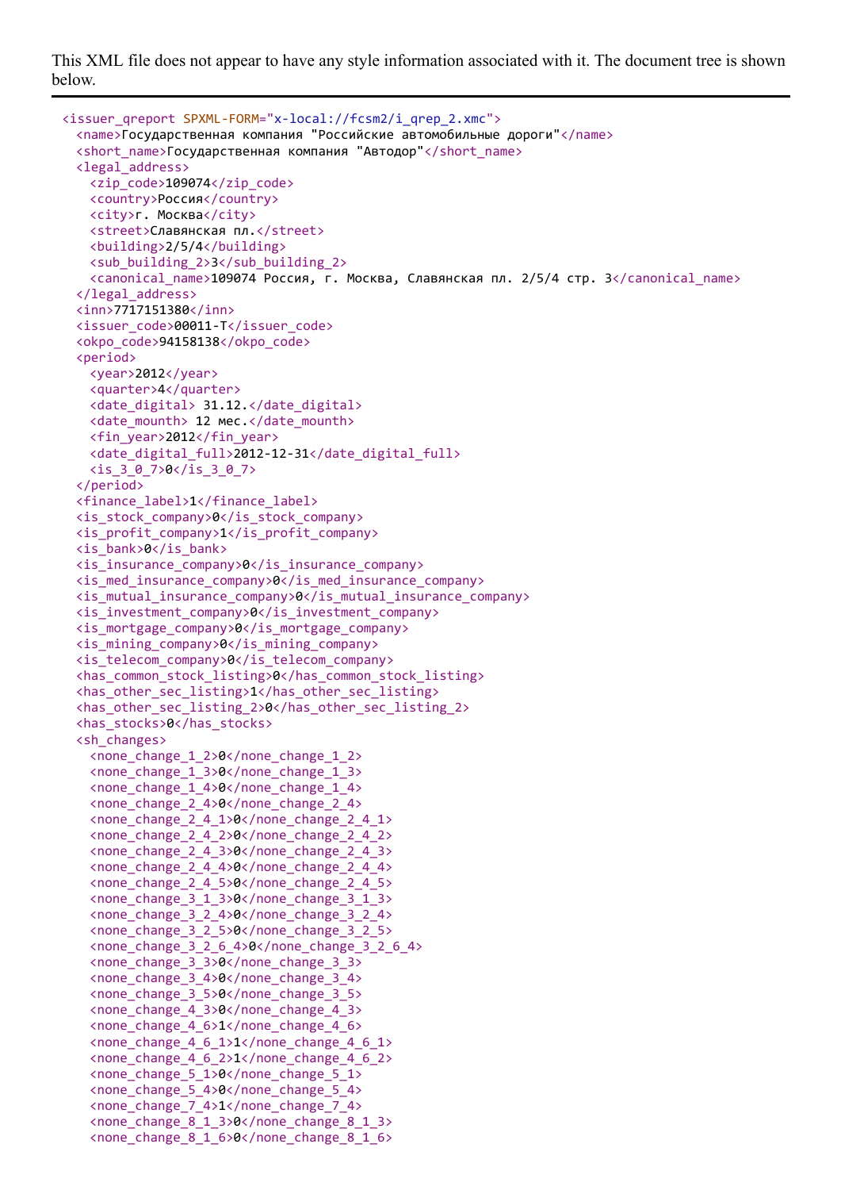This XML file does not appear to have any style information associated with it. The document tree is shown below.

```
<issuer_qreport SPXML-FORM="x-local://fcsm2/i_qrep_2.xmc">
  <name>Государственная компания "Российские автомобильные дороги"</name>
 <short_name>Государственная компания "Автодор"</short_name>
 <legal_address>
   <zip_code>109074</zip_code>
   <country>Россия</country>
   <city>г. Москва</city>
   <street>Славянская пл.</street>
   <building>2/5/4</building>
   <sub_building_2>3</sub_building_2>
   <canonical_name>109074 Россия, г. Москва, Славянская пл. 2/5/4 стр. 3</canonical_name>
 </legal_address>
 <inn>7717151380</inn>
 <issuer_code>00011-T</issuer_code>
 <okpo_code>94158138</okpo_code>
 <period>
   <year>2012</year>
   <quarter>4</quarter>
   <date_digital> 31.12.</date_digital>
   <date_mounth> 12 мес.</date_mounth>
   <fin_year>2012</fin_year>
   <date_digital_full>2012-12-31</date_digital_full>
   <is_3_0_7>0</is_3_0_7>
 </period>
 <finance_label>1</finance_label>
 <is_stock_company>0</is_stock_company>
 <is_profit_company>1</is_profit_company>
 <is_bank>0</is_bank>
 \langleis insurance company>0\langleis insurance company>
 \langle is med insurance company>0\langle is med insurance company>
 <is_mutual_insurance_company>0</is_mutual_insurance_company>
 <is_investment_company>0</is_investment_company>
 <is_mortgage_company>0</is_mortgage_company>
 <is_mining_company>0</is_mining_company>
 <is_telecom_company>0</is_telecom_company>
 <has common stock listing>0</has common stock listing>
 <has_other_sec_listing>1</has_other_sec_listing>
 <has_other_sec_listing_2>0</has_other_sec_listing_2>
 <has_stocks>0</has_stocks>
 <sh_changes>
   <none_change_1_2>0</none_change_1_2>
   <none_change_1_3>0</none_change_1_3>
   <none_change_1_4>0</none_change_1_4>
   <none_change_2_4>0</none_change_2_4>
   <none_change_2_4_1>0</none_change_2_4_1>
   <none_change_2_4_2>0</none_change_2_4_2>
   <none_change_2_4_3>0</none_change_2_4_3>
   <none_change_2_4_4>0</none_change_2_4_4>
   <none_change_2_4_5>0</none_change_2_4_5>
   <none_change_3_1_3>0</none_change_3_1_3>
   <none_change_3_2_4>0</none_change_3_2_4>
   <none_change_3_2_5>0</none_change_3_2_5>
   <none_change_3_2_6_4>0</none_change_3_2_6_4>
   <none_change_3_3>0</none_change_3_3>
   <none_change_3_4>0</none_change_3_4>
   <none_change_3_5>0</none_change_3_5>
   <none_change_4_3>0</none_change_4_3>
   <none_change_4_6>1</none_change_4_6>
   <none_change_4_6_1>1</none_change_4_6_1>
   <none_change_4_6_2>1</none_change_4_6_2>
   <none_change_5_1>0</none_change_5_1>
   <none_change_5_4>0</none_change_5_4>
   <none_change_7_4>1</none_change_7_4>
   \langle none_change_8_1_3>0\langle/none_change_8_1_3>
   \langle none_change_8_1_6>0\langle/none_change_8_1_6>
```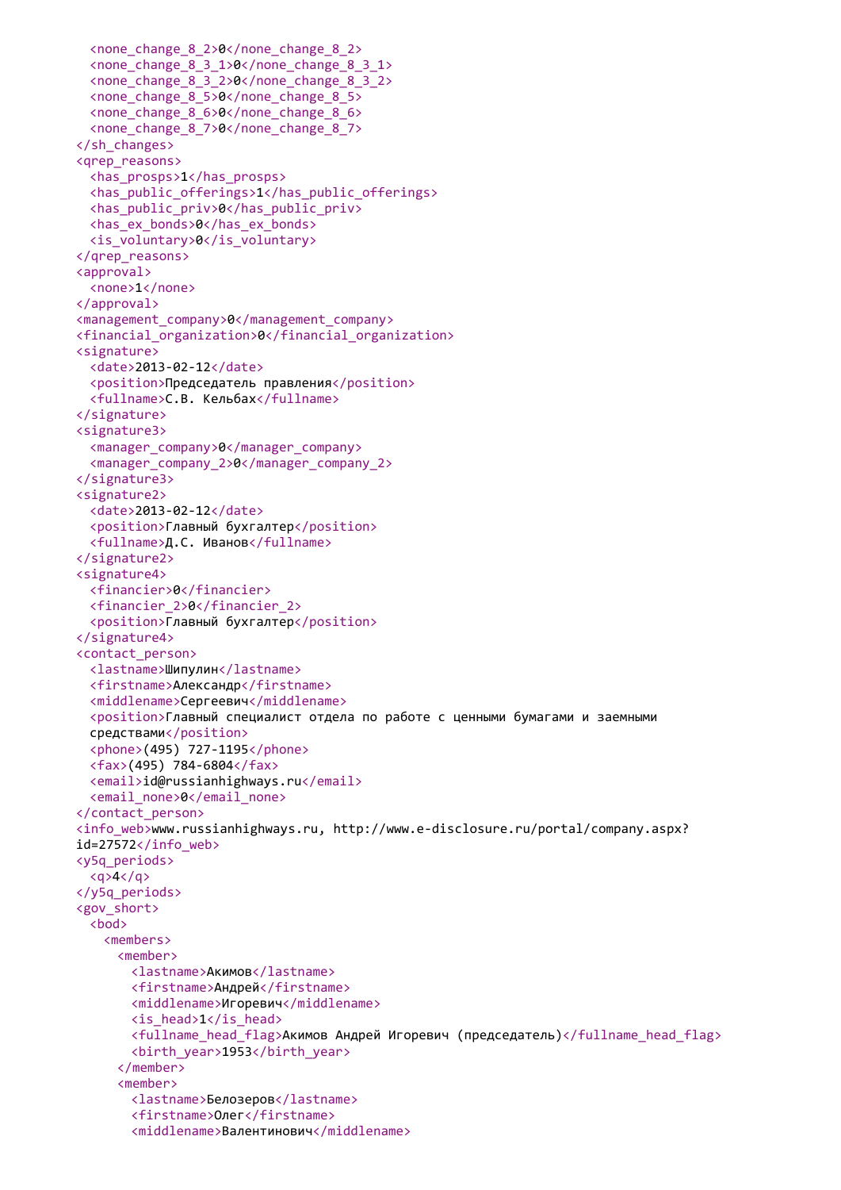```
<none_change_8_2>0</none_change_8_2>
  <none_change_8_3_1>0</none_change_8_3_1>
  <none_change_8_3_2>0</none_change_8_3_2>
  <none_change_8_5>0</none_change_8_5>
  <none_change_8_6>0</none_change_8_6>
  <none_change_8_7>0</none_change_8_7>
</sh_changes>
<qrep_reasons>
  <has_prosps>1</has_prosps>
  <has_public_offerings>1</has_public_offerings>
  <has_public_priv>0</has_public_priv>
  <has_ex_bonds>0</has_ex_bonds>
  <is_voluntary>0</is_voluntary>
</qrep_reasons>
<approval>
  <none>1</none>
</approval>
<management_company>0</management_company>
<financial_organization>0</financial_organization>
<signature>
  <date>2013-02-12</date>
  <position>Председатель правления</position>
  <fullname>С.В. Кельбах</fullname>
</signature>
<signature3>
  <manager_company>0</manager_company>
  <manager_company_2>0</manager_company_2>
</signature3>
<signature2>
  <date>2013-02-12</date>
  <position>Главный бухгалтер</position>
  <fullname>Д.С. Иванов</fullname>
</signature2>
<signature4>
  <financier>0</financier>
  <financier_2>0</financier_2>
  <position>Главный бухгалтер</position>
</signature4>
<contact_person>
  <lastname>Шипулин</lastname>
  <firstname>Александр</firstname>
  <middlename>Сергеевич</middlename>
  <position>Главный специалист отдела по работе с ценными бумагами и заемными
  средствами</position>
  <phone>(495) 727-1195</phone>
  <fax>(495) 784-6804</fax>
  <email>id@russianhighways.ru</email>
  <email_none>0</email_none>
</contact_person>
<info_web>www.russianhighways.ru, http://www.e-disclosure.ru/portal/company.aspx?
id=27572 </info_web>
<y5q_periods>
  \langle a \rangle 4 \langle a \rangle</y5q_periods>
<gov_short>
  <bod>
   <members>
     <member>
       <lastname>Акимов</lastname>
       <firstname>Андрей</firstname>
       <middlename>Игоревич</middlename>
       <is_head>1</is_head>
       <fullname_head_flag>Акимов Андрей Игоревич (председатель)</fullname_head_flag>
       <birth_year>1953</birth_year>
     </member>
     <member>
       <lastname>Белозеров</lastname>
       <firstname>Олег</firstname>
       <middlename>Валентинович</middlename>
```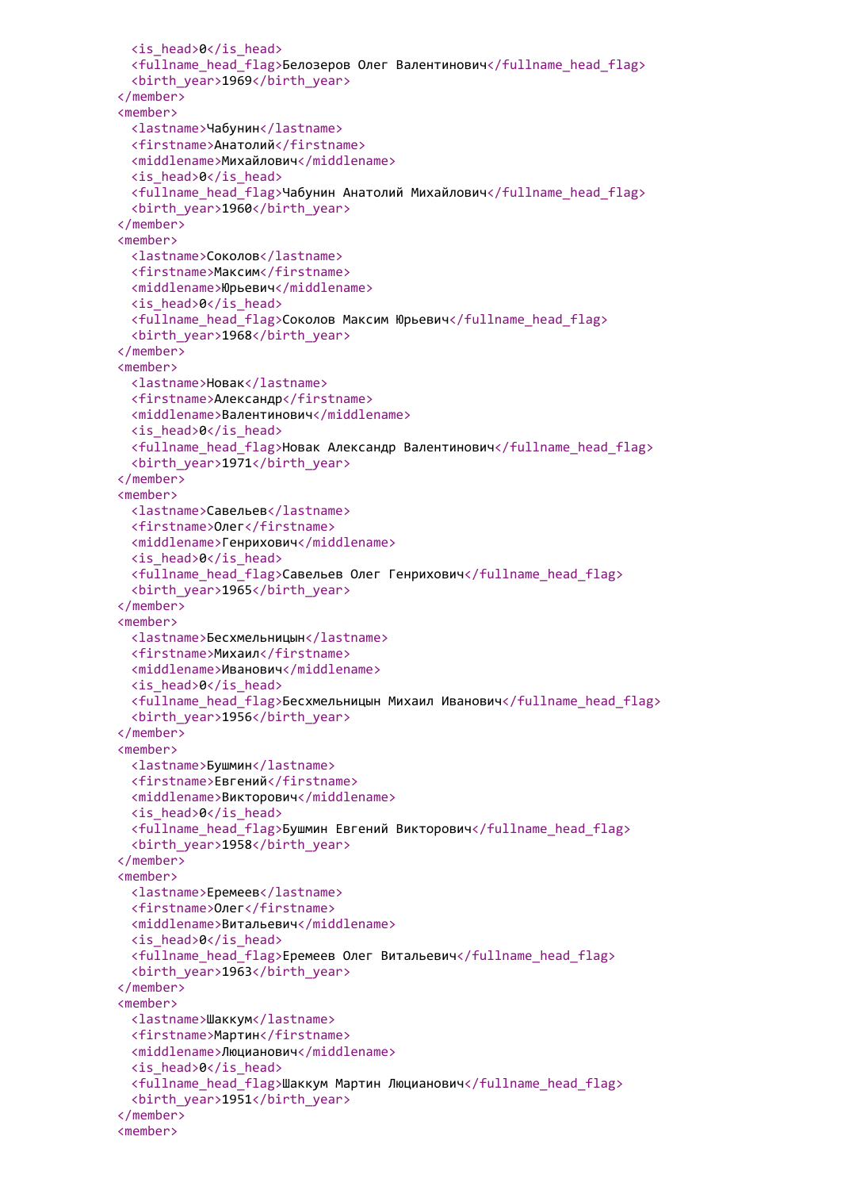```
<is_head>0</is_head>
 <fullname_head_flag>Белозеров Олег Валентинович</fullname_head_flag>
 <birth_year>1969</birth_year>
</member>
<member>
 <lastname>Чабунин</lastname>
 <firstname>Анатолий</firstname>
 <middlename>Михайлович</middlename>
 <is_head>0</is_head>
 <fullname_head_flag>Чабунин Анатолий Михайлович</fullname_head_flag>
 <birth_year>1960</birth_year>
</member>
<member>
 <lastname>Соколов</lastname>
 <firstname>Максим</firstname>
 <middlename>Юрьевич</middlename>
 <is_head>0</is_head>
 <fullname_head_flag>Соколов Максим Юрьевич</fullname_head_flag>
 <birth_year>1968</birth_year>
</member>
<member>
 <lastname>Новак</lastname>
 <firstname>Александр</firstname>
 <middlename>Валентинович</middlename>
 <is_head>0</is_head>
 <fullname_head_flag>Новак Александр Валентинович</fullname_head_flag>
 <birth_year>1971</birth_year>
</member>
<member>
 <lastname>Савельев</lastname>
 <firstname>Олег</firstname>
 <middlename>Генрихович</middlename>
 <is_head>0</is_head>
 <fullname_head_flag>Савельев Олег Генрихович</fullname_head_flag>
 <birth_year>1965</birth_year>
</member>
<member>
 <lastname>Бесхмельницын</lastname>
 <firstname>Михаил</firstname>
 <middlename>Иванович</middlename>
 <is_head>0</is_head>
 <fullname_head_flag>Бесхмельницын Михаил Иванович</fullname_head_flag>
 <birth_year>1956</birth_year>
</member>
<member>
 <lastname>Бушмин</lastname>
 <firstname>Евгений</firstname>
 <middlename>Викторович</middlename>
 <is_head>0</is_head>
 <fullname_head_flag>Бушмин Евгений Викторович</fullname_head_flag>
 <birth_year>1958</birth_year>
</member>
<member>
 <lastname>Еремеев</lastname>
 <firstname>Олег</firstname>
 <middlename>Витальевич</middlename>
 <is_head>0</is_head>
 <fullname_head_flag>Еремеев Олег Витальевич</fullname_head_flag>
 <birth_year>1963</birth_year>
</member>
<member>
 <lastname>Шаккум</lastname>
 <firstname>Мартин</firstname>
 <middlename>Люцианович</middlename>
 <is_head>0</is_head>
 <fullname_head_flag>Шаккум Мартин Люцианович</fullname_head_flag>
 <birth_year>1951</birth_year>
</member>
<member>
```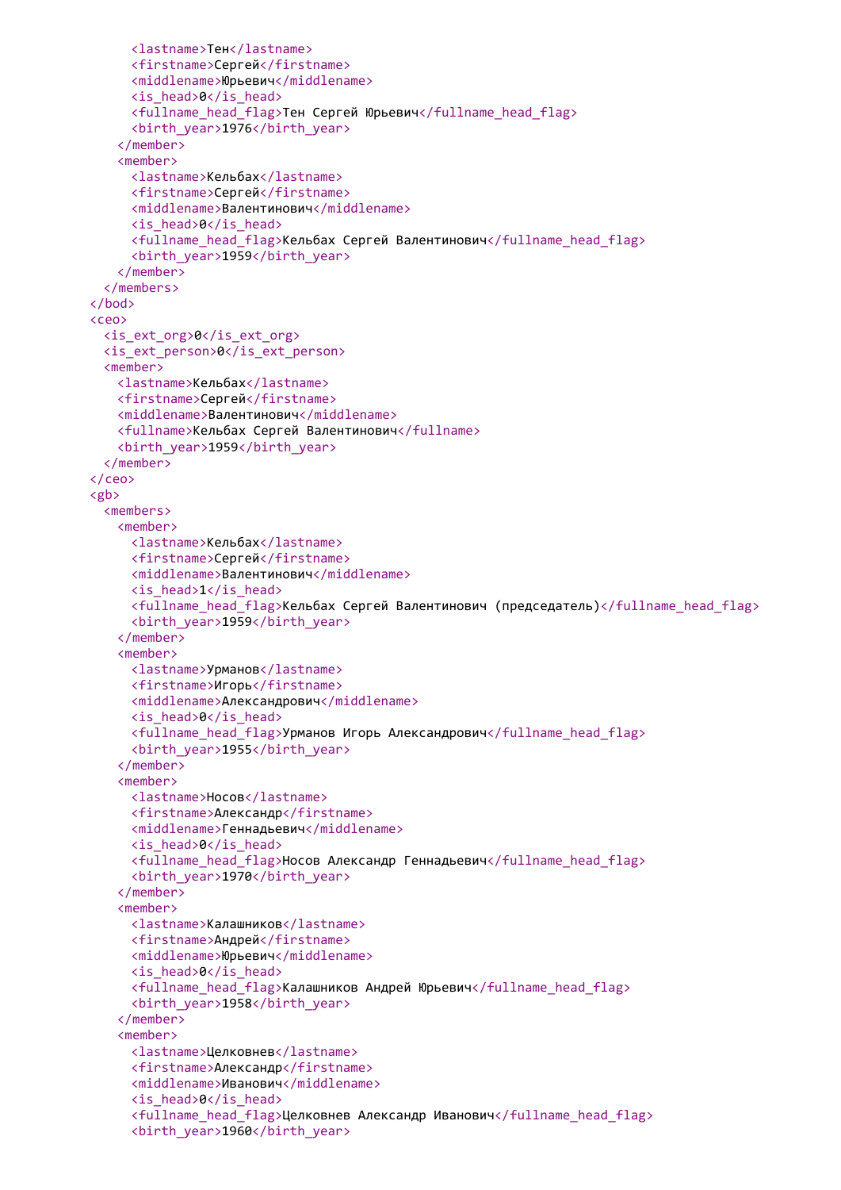```
<lastname>Тен</lastname>
     <firstname>Сергей</firstname>
     <middlename>Юрьевич</middlename>
     <is_head>0</is_head>
     <fullname_head_flag>Тен Сергей Юрьевич</fullname_head_flag>
     <birth_year>1976</birth_year>
   </member>
   <member>
     <lastname>Кельбах</lastname>
     <firstname>Сергей</firstname>
     <middlename>Валентинович</middlename>
     <is_head>0</is_head>
     <fullname_head_flag>Кельбах Сергей Валентинович</fullname_head_flag>
     <birth_year>1959</birth_year>
   </member>
 </members>
</bod>
<ceo>
 <is_ext_org>0</is_ext_org>
 <is_ext_person>0</is_ext_person>
 <member>
   <lastname>Кельбах</lastname>
   <firstname>Сергей</firstname>
   <middlename>Валентинович</middlename>
   <fullname>Кельбах Сергей Валентинович</fullname>
   <birth_year>1959</birth_year>
 </member>
</ceo>
<gb>
 <members>
   <member>
     <lastname>Кельбах</lastname>
     <firstname>Сергей</firstname>
     <middlename>Валентинович</middlename>
     \langleis head>1\langleis head>
     <fullname_head_flag>Кельбах Сергей Валентинович (председатель)</fullname_head_flag>
     <birth_year>1959</birth_year>
   </member>
   <member>
     <lastname>Урманов</lastname>
     <firstname>Игорь</firstname>
     <middlename>Александрович</middlename>
     <is_head>0</is_head>
     <fullname_head_flag>Урманов Игорь Александрович</fullname_head_flag>
     <birth_year>1955</birth_year>
   </member>
   <member>
     <lastname>Носов</lastname>
     <firstname>Александр</firstname>
     <middlename>Геннадьевич</middlename>
     <is_head>0</is_head>
     <fullname_head_flag>Носов Александр Геннадьевич</fullname_head_flag>
     <birth_year>1970</birth_year>
   </member>
   <member>
     <lastname>Калашников</lastname>
     <firstname>Андрей</firstname>
     <middlename>Юрьевич</middlename>
     <is_head>0</is_head>
     <fullname_head_flag>Калашников Андрей Юрьевич</fullname_head_flag>
     <birth_year>1958</birth_year>
   </member>
   <member>
     <lastname>Целковнев</lastname>
     <firstname>Александр</firstname>
     <middlename>Иванович</middlename>
     <is_head>0</is_head>
     <fullname_head_flag>Целковнев Александр Иванович</fullname_head_flag>
     <birth_year>1960</birth_year>
```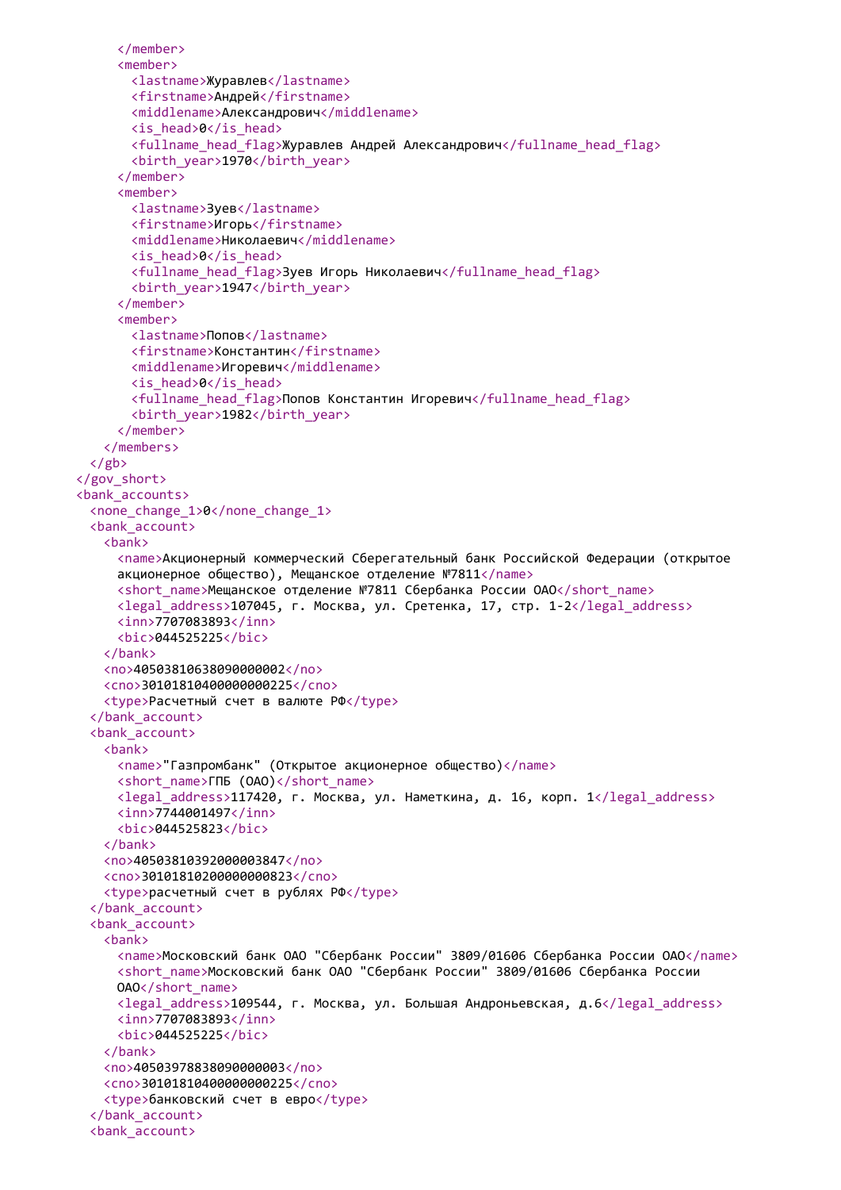```
</member>
     <member>
       <lastname>Журавлев</lastname>
       <firstname>Андрей</firstname>
       <middlename>Александрович</middlename>
       <is_head>0</is_head>
       <fullname_head_flag>Журавлев Андрей Александрович</fullname_head_flag>
       <birth_year>1970</birth_year>
     </member>
     <member>
       <lastname>Зуев</lastname>
       <firstname>Игорь</firstname>
       <middlename>Николаевич</middlename>
       <is_head>0</is_head>
       <fullname head flag>Зуев Игорь Николаевич</fullname head flag>
       <birth_year>1947</birth_year>
     </member>
     <member>
       <lastname>Попов</lastname>
       <firstname>Константин</firstname>
       <middlename>Игоревич</middlename>
       <is_head>0</is_head>
       <fullname_head_flag>Попов Константин Игоревич</fullname_head_flag>
       <birth_year>1982</birth_year>
     </member>
   </members>
 \langle/gb>
</gov_short>
<bank_accounts>
 <none_change_1>0</none_change_1>
 <bank_account>
   <bank>
     <name>Акционерный коммерческий Сберегательный банк Российской Федерации (открытое
     акционерное общество), Мещанское отделение №7811</name>
     <short name>Мещанское отделение №7811 Сбербанка России ОАО</short name>
     <legal_address>107045, г. Москва, ул. Сретенка, 17, стр. 1-2</legal_address>
     <inn>7707083893</inn>
     <bic>044525225</bic>
   </bank>
   <no>40503810638090000002</no>
   <cno>30101810400000000225</cno>
   <type>Расчетный счет в валюте РФ</type>
 </bank_account>
 <bank_account>
   <bank>
     <name>"Газпромбанк" (Открытое акционерное общество)</name>
     <short name>ГПБ (ОАО)</short name>
     <legal_address>117420, г. Москва, ул. Наметкина, д. 16, корп. 1</legal_address>
     <inn>7744001497</inn>
     <bic>044525823</bic>
   </bank>
   <no>40503810392000003847</no>
   <cno>30101810200000000823</cno>
   <type>расчетный счет в рублях РФ</type>
 </bank_account>
 <bank_account>
   <bank>
     <name>Московский банк ОАО "Сбербанк России" 3809/01606 Сбербанка России ОАО</name>
     <short name>Московский банк ОАО "Сбербанк России" 3809/01606 Сбербанка России
     OAO</short_name>
     <legal_address>109544, г. Москва, ул. Большая Андроньевская, д.6</legal_address>
     <inn>7707083893</inn>
     <bic>044525225</bic>
   </bank>
   <no>40503978838090000003</no>
   <cno>30101810400000000225</cno>
   <type>банковский счет в евро</type>
 </bank_account>
 <bank_account>
```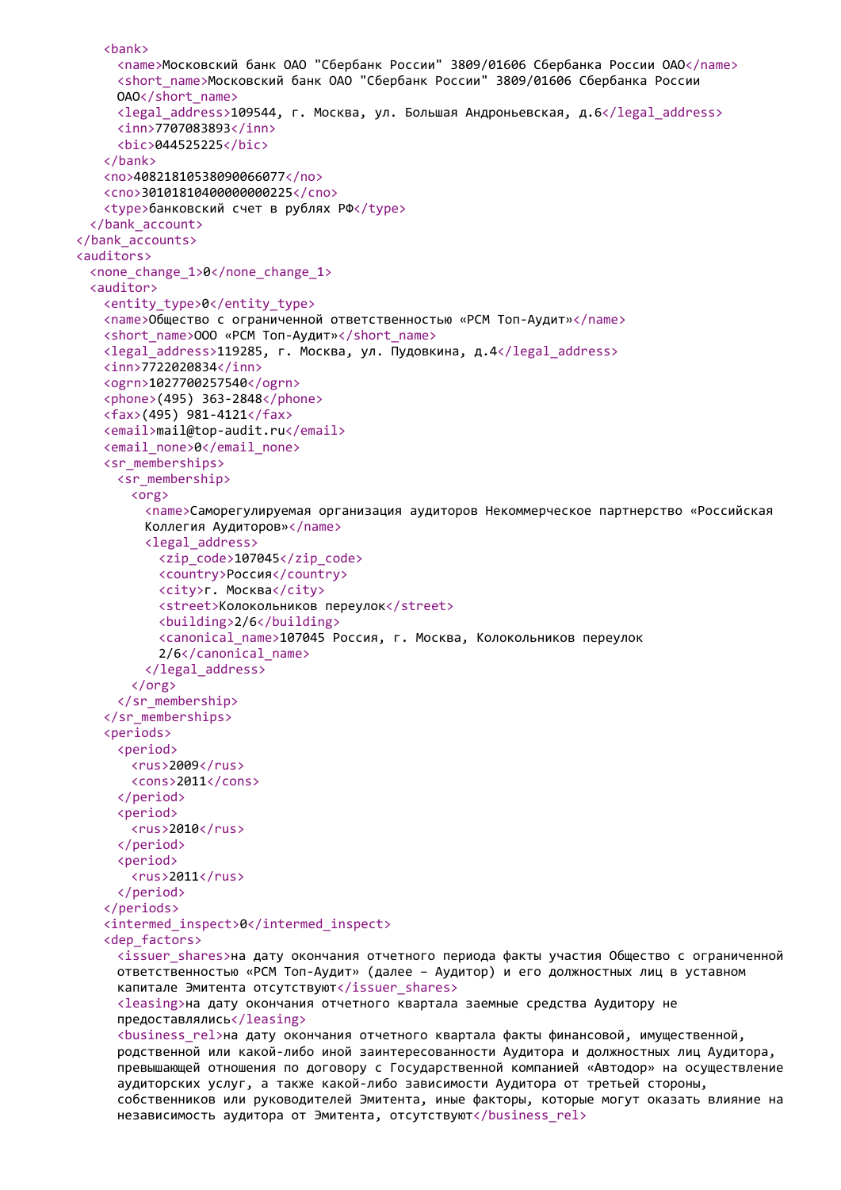```
<bank>
     <name>Московский банк ОАО "Сбербанк России" 3809/01606 Сбербанка России ОАО</name>
     <short_name>Московский банк ОАО "Сбербанк России" 3809/01606 Сбербанка России
     ОАО</short_name>
     <legal_address>109544, г. Москва, ул. Большая Андроньевская, д.6</legal_address>
     <inn>7707083893</inn>
     <bic>044525225</bic>
   </bank>
   <no>40821810538090066077</no>
   <cno>30101810400000000225</cno>
   <type>банковский счет в рублях РФ</type>
  </bank_account>
</bank_accounts>
<auditors>
  <none_change_1>0</none_change_1>
  <auditor>
   <entity_type>0</entity_type>
   <name>Общество с ограниченной ответственностью «РСМ Топ-Аудит»</name>
   <short name>ООО «РСМ Топ-Аудит»</short_name>
   <legal_address>119285, г. Москва, ул. Пудовкина, д.4</legal_address>
   <inn>7722020834</inn>
   <ogrn>1027700257540</ogrn>
   <phone>(495) 363-2848</phone>
   <fax>(495) 981-4121</fax>
   <email>mail@top-audit.ru</email>
   <email_none>0</email_none>
   <sr_memberships>
     <sr_membership>
       <org>
         <name>Саморегулируемая организация аудиторов Некоммерческое партнерство «Российская
         Коллегия Аудиторов»</name>
         <legal_address>
           <zip_code>107045</zip_code>
           <country>Россия</country>
           <city>г. Москва</city>
           <street>Колокольников переулок</street>
           <building>2/6</building>
           <canonical_name>107045 Россия, г. Москва, Колокольников переулок
           2/6</canonical_name>
         </legal_address>
       </org>
     </sr_membership>
   </sr_memberships>
   <periods>
     <period>
       <rus>2009</rus>
       <cons>2011</cons>
     </period>
     <period>
       <rus>2010</rus>
     </period>
     <period>
       \langle \text{rus}>2011\langle \text{/rus}\rangle</period>
   </periods>
   <intermed_inspect>0</intermed_inspect>
   <dep_factors>
     <issuer_shares>на дату окончания отчетного периода факты участия Общество с ограниченной
     ответственностью «РСМ Топ-Аудит» (далее – Аудитор) и его должностных лиц в уставном
     капитале Эмитента отсутствуют</issuer_shares>
     <leasing>на дату окончания отчетного квартала заемные средства Аудитору не
     предоставлялись</leasing>
     <business rel>на дату окончания отчетного квартала факты финансовой, имущественной,
     родственной или какой-либо иной заинтересованности Аудитора и должностных лиц Аудитора,
     превышающей отношения по договору с Государственной компанией «Автодор» на осуществление
     аудиторских услуг, а также какой-либо зависимости Аудитора от третьей стороны,
     собственников или руководителей Эмитента, иные факторы, которые могут оказать влияние на
     независимость аудитора от Эмитента, отсутствуют</business_rel>
```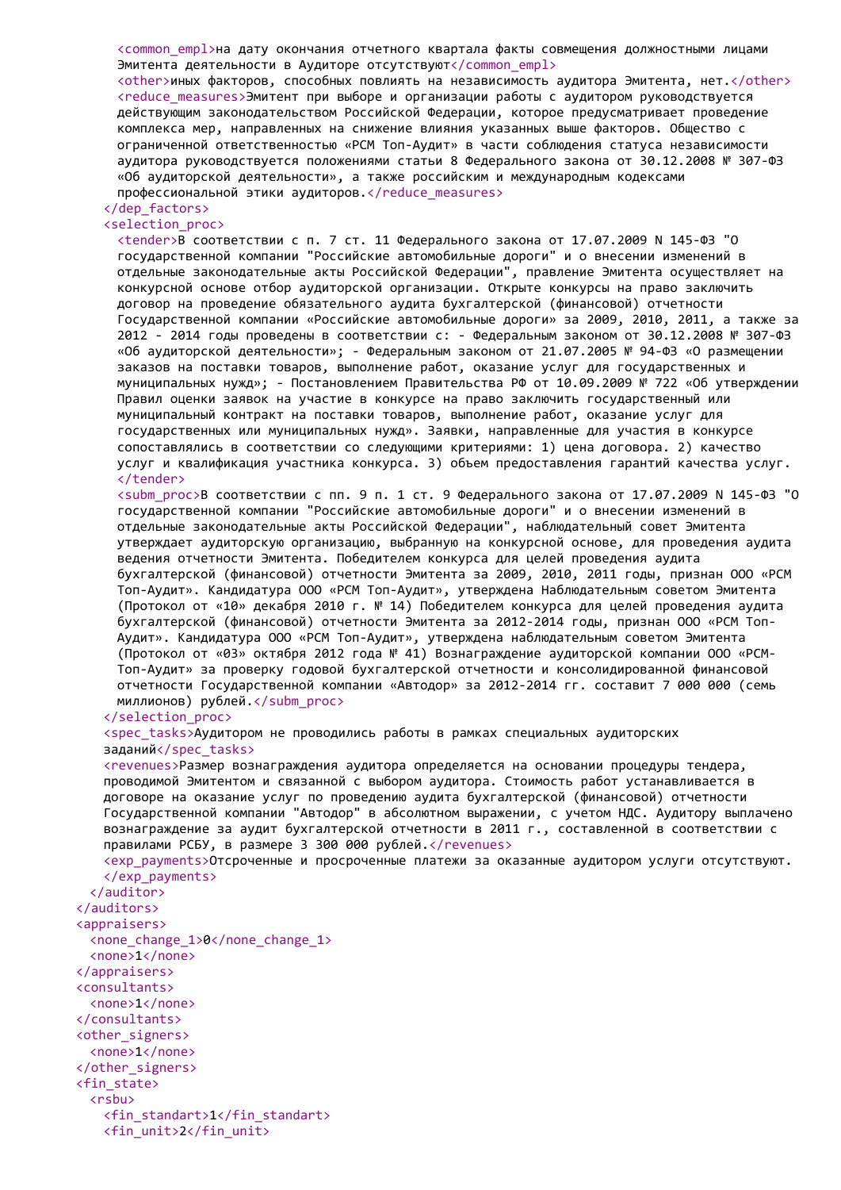<common\_empl>на дату окончания отчетного квартала факты совмещения должностными лицами Эмитента деятельности в Аудиторе отсутствуют</common\_empl>

<other>иных факторов, способных повлиять на независимость аудитора Эмитента, нет.</other> <reduce\_measures>Эмитент при выборе и организации работы с аудитором руководствуется действующим законодательством Российской Федерации, которое предусматривает проведение комплекса мер, направленных на снижение влияния указанных выше факторов. Общество с ограниченной ответственностью «РСМ Топ-Аудит» в части соблюдения статуса независимости аудитора руководствуется положениями статьи 8 Федерального закона от 30.12.2008 № 307-ФЗ «Об аудиторской деятельности», а также российским и международным кодексами профессиональной этики аудиторов.</reduce measures>

# </dep\_factors>

<selection\_proc>

<tender>В соответствии с п. 7 ст. 11 Федерального закона от 17.07.2009 N 145-ФЗ "О государственной компании "Российские автомобильные дороги" и о внесении изменений в отдельные законодательные акты Российской Федерации", правление Эмитента осуществляет на конкурсной основе отбор аудиторской организации. Открыте конкурсы на право заключить договор на проведение обязательного аудита бухгалтерской (финансовой) отчетности Государственной компании «Российские автомобильные дороги» за 2009, 2010, 2011, а также за 2012 - 2014 годы проведены в соответствии с: - Федеральным законом от 30.12.2008 № 307-ФЗ «Об аудиторской деятельности»; - Федеральным законом от 21.07.2005 № 94-ФЗ «О размещении заказов на поставки товаров, выполнение работ, оказание услуг для государственных и муниципальных нужд»; - Постановлением Правительства РФ от 10.09.2009 № 722 «Об утверждении Правил оценки заявок на участие в конкурсе на право заключить государственный или муниципальный контракт на поставки товаров, выполнение работ, оказание услуг для государственных или муниципальных нужд». Заявки, направленные для участия в конкурсе сопоставлялись в соответствии со следующими критериями: 1) цена договора. 2) качество услуг и квалификация участника конкурса. 3) объем предоставления гарантий качества услуг. </tender>

<subm proc>В соответствии с пп. 9 п. 1 ст. 9 Федерального закона от 17.07.2009 N 145-ФЗ "О государственной компании "Российские автомобильные дороги" и о внесении изменений в отдельные законодательные акты Российской Федерации", наблюдательный совет Эмитента утверждает аудиторскую организацию, выбранную на конкурсной основе, для проведения аудита ведения отчетности Эмитента. Победителем конкурса для целей проведения аудита бухгалтерской (финансовой) отчетности Эмитента за 2009, 2010, 2011 годы, признан ООО «РСМ Топ-Аудит». Кандидатура ООО «РСМ Топ-Аудит», утверждена Наблюдательным советом Эмитента (Протокол от «10» декабря 2010 г. № 14) Победителем конкурса для целей проведения аудита бухгалтерской (финансовой) отчетности Эмитента за 2012-2014 годы, признан ООО «РСМ Топ-Аудит». Кандидатура ООО «РСМ Топ-Аудит», утверждена наблюдательным советом Эмитента (Протокол от «03» октября 2012 года № 41) Вознаграждение аудиторской компании ООО «РСМ-Топ-Аудит» за проверку годовой бухгалтерской отчетности и консолидированной финансовой отчетности Государственной компании «Автодор» за 2012-2014 гг. составит 7 000 000 (семь миллионов) рублей.</subm\_proc>

#### </selection\_proc>

<spec\_tasks>Аудитором не проводились работы в рамках специальных аудиторских заданий</spec\_tasks>

<revenues>Размер вознаграждения аудитора определяется на основании процедуры тендера, проводимой Эмитентом и связанной с выбором аудитора. Стоимость работ устанавливается в договоре на оказание услуг по проведению аудита бухгалтерской (финансовой) отчетности Государственной компании "Автодор" в абсолютном выражении, с учетом НДС. Аудитору выплачено вознаграждение за аудит бухгалтерской отчетности в 2011 г., составленной в соответствии с правилами РСБУ, в размере 3 300 000 рублей.</revenues>

<exp\_payments>Отсроченные и просроченные платежи за оказанные аудитором услуги отсутствуют. </exp\_payments>

```
</auditor>
</auditors>
<appraisers>
  <none_change_1>0</none_change_1>
  <none>1</none>
</appraisers>
<consultants>
  <none>1</none>
</consultants>
<other_signers>
  <none>1</none>
</other_signers>
<fin_state>
  <rsbu>
   <fin_standart>1</fin_standart>
   <fin_unit>2</fin_unit>
```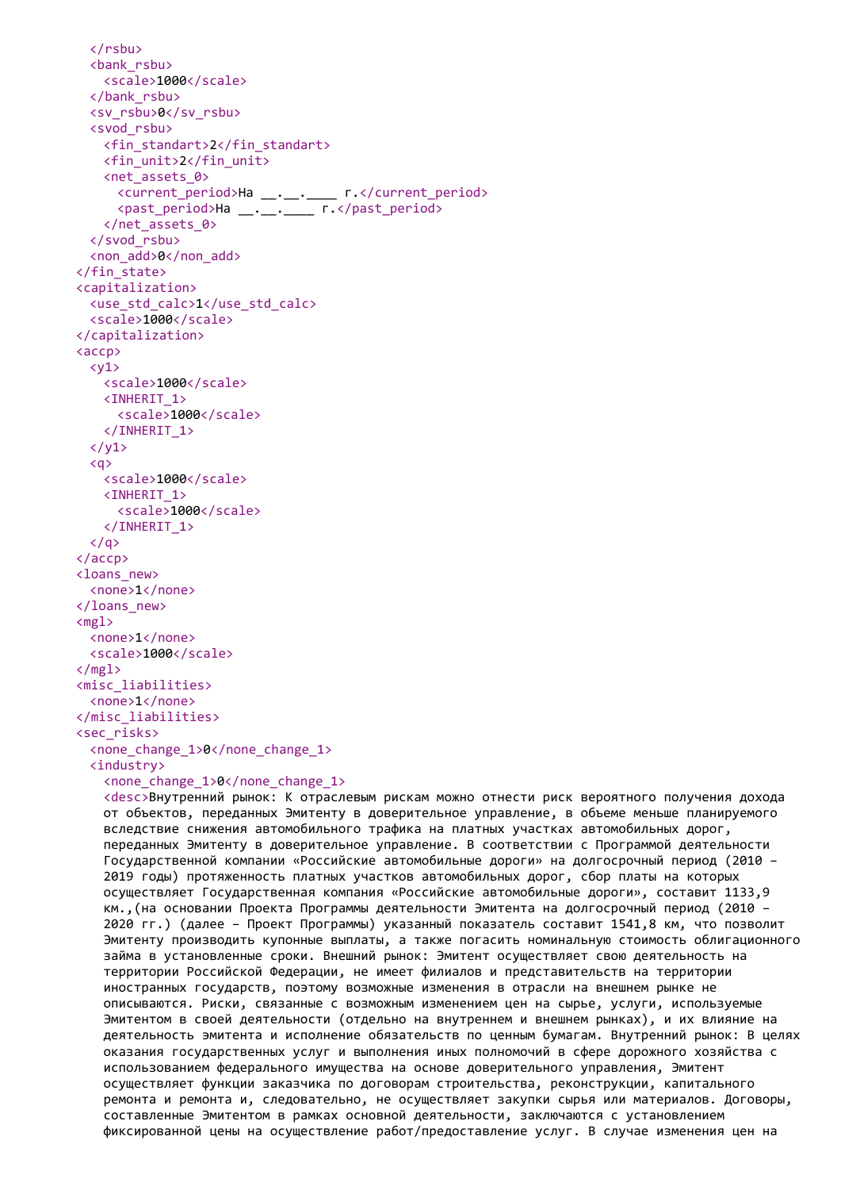```
\langle/rsbu\rangle<bank_rsbu>
   <scale>1000</scale>
  </bank_rsbu>
  <sv_rsbu>0</sv_rsbu>
  <svod_rsbu>
   <fin_standart>2</fin_standart>
   <fin_unit>2</fin_unit>
   <net_assets_0>
     <current_period>На __.__.____ г.</current_period>
     <past_period>На __.__.____ г.</past_period>
   </net_assets_0>
  </svod_rsbu>
  <non_add>0</non_add>
</fin_state>
<capitalization>
 <use_std_calc>1</use_std_calc>
  <scale>1000</scale>
</capitalization>
<accp>
  \langle v1 \rangle<scale>1000</scale>
   <INHERIT_1>
     <scale>1000</scale>
   </INHERIT_1>
  \langle/y1>
  \langlea>
   <scale>1000</scale>
   <INHERIT_1>
     <scale>1000</scale>
   </INHERIT_1>
  \langle/q>
</accp>
<loans_new>
 <none>1</none>
</loans_new>
<mgl<none>1</none>
 <scale>1000</scale>
\langle/mgl\rangle<misc_liabilities>
 <none>1</none>
</misc_liabilities>
<sec_risks>
  <none_change_1>0</none_change_1>
  <industry>
   <none_change_1>0</none_change_1>
   <desc>Внутренний рынок: К отраслевым рискам можно отнести риск вероятного получения дохода
   от объектов, переданных Эмитенту в доверительное управление, в объеме меньше планируемого
   вследствие снижения автомобильного трафика на платных участках автомобильных дорог,
   переданных Эмитенту в доверительное управление. В соответствии с Программой деятельности
   Государственной компании «Российские автомобильные дороги» на долгосрочный период (2010 –
   2019 годы) протяженность платных участков автомобильных дорог, сбор платы на которых
   осуществляет Государственная компания «Российские автомобильные дороги», составит 1133,9
   км.,(на основании Проекта Программы деятельности Эмитента на долгосрочный период (2010 –
   2020 гг.) (далее – Проект Программы) указанный показатель составит 1541,8 км, что позволит
   Эмитенту производить купонные выплаты, а также погасить номинальную стоимость облигационного
   займа в установленные сроки. Внешний рынок: Эмитент осуществляет свою деятельность на
   территории Российской Федерации, не имеет филиалов и представительств на территории
   иностранных государств, поэтому возможные изменения в отрасли на внешнем рынке не
   описываются. Риски, связанные с возможным изменением цен на сырье, услуги, используемые
   Эмитентом в своей деятельности (отдельно на внутреннем и внешнем рынках), и их влияние на
   деятельность эмитента и исполнение обязательств по ценным бумагам. Внутренний рынок: В целях
   оказания государственных услуг и выполнения иных полномочий в сфере дорожного хозяйства с
   использованием федерального имущества на основе доверительного управления, Эмитент
   осуществляет функции заказчика по договорам строительства, реконструкции, капитального
   ремонта и ремонта и, следовательно, не осуществляет закупки сырья или материалов. Договоры,
   составленные Эмитентом в рамках основной деятельности, заключаются с установлением
   фиксированной цены на осуществление работ/предоставление услуг. В случае изменения цен на
```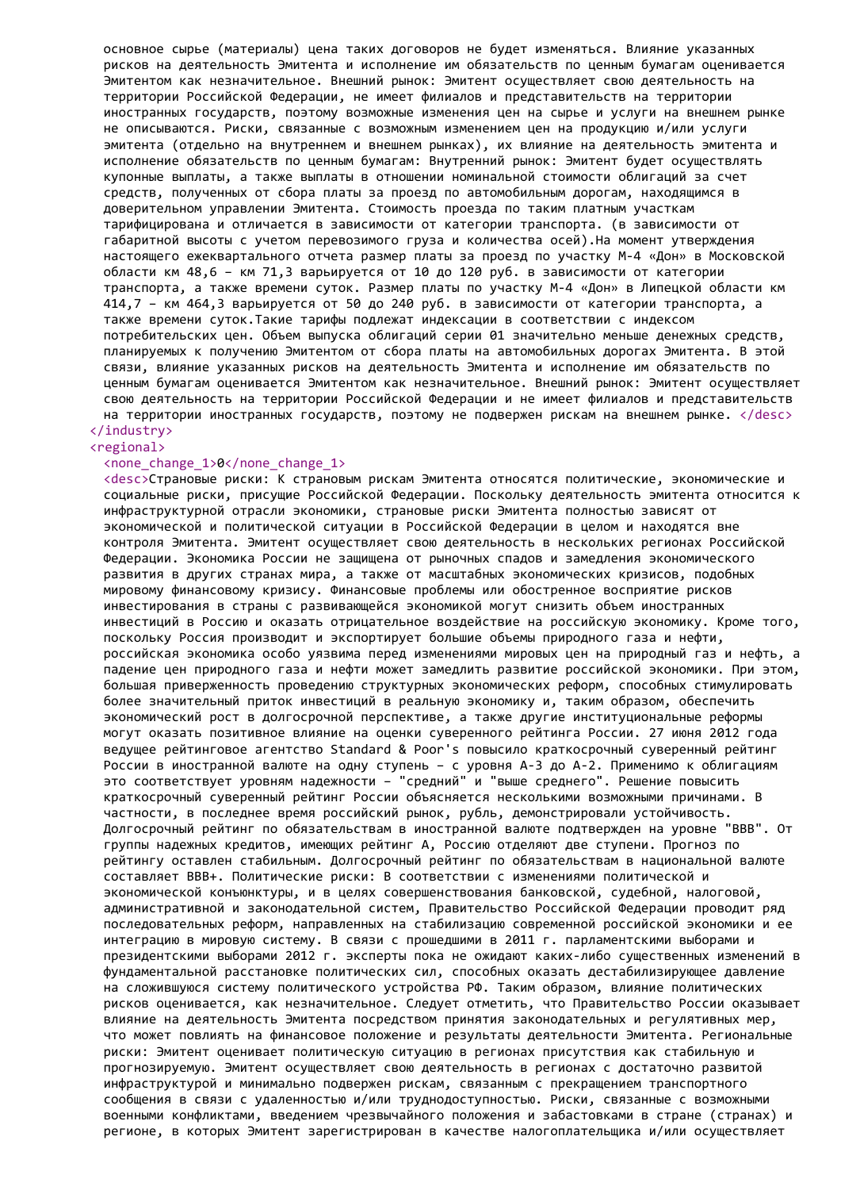основное сырье (материалы) цена таких договоров не будет изменяться. Влияние указанных рисков на деятельность Эмитента и исполнение им обязательств по ценным бумагам оценивается Эмитентом как незначительное. Внешний рынок: Эмитент осуществляет свою деятельность на территории Российской Федерации, не имеет филиалов и представительств на территории иностранных государств, поэтому возможные изменения цен на сырье и услуги на внешнем рынке не описываются. Риски, связанные с возможным изменением цен на продукцию и/или услуги эмитента (отдельно на внутреннем и внешнем рынках), их влияние на деятельность эмитента и исполнение обязательств по ценным бумагам: Внутренний рынок: Эмитент будет осуществлять купонные выплаты, а также выплаты в отношении номинальной стоимости облигаций за счет средств, полученных от сбора платы за проезд по автомобильным дорогам, находящимся в доверительном управлении Эмитента. Стоимость проезда по таким платным участкам тарифицирована и отличается в зависимости от категории транспорта. (в зависимости от габаритной высоты с учетом перевозимого груза и количества осей).На момент утверждения настоящего ежеквартального отчета размер платы за проезд по участку М-4 «Дон» в Московской области км 48,6 – км 71,3 варьируется от 10 до 120 руб. в зависимости от категории транспорта, а также времени суток. Размер платы по участку М-4 «Дон» в Липецкой области км 414,7 – км 464,3 варьируется от 50 до 240 руб. в зависимости от категории транспорта, а также времени суток.Такие тарифы подлежат индексации в соответствии с индексом потребительских цен. Объем выпуска облигаций серии 01 значительно меньше денежных средств, планируемых к получению Эмитентом от сбора платы на автомобильных дорогах Эмитента. В этой связи, влияние указанных рисков на деятельность Эмитента и исполнение им обязательств по ценным бумагам оценивается Эмитентом как незначительное. Внешний рынок: Эмитент осуществляет свою деятельность на территории Российской Федерации и не имеет филиалов и представительств на территории иностранных государств, поэтому не подвержен рискам на внешнем рынке. </desc> </industry>

#### <regional>

#### <none\_change\_1>0</none\_change\_1>

<desc>Страновые риски: К страновым рискам Эмитента относятся политические, экономические и социальные риски, присущие Российской Федерации. Поскольку деятельность эмитента относится к инфраструктурной отрасли экономики, страновые риски Эмитента полностью зависят от экономической и политической ситуации в Российской Федерации в целом и находятся вне контроля Эмитента. Эмитент осуществляет свою деятельность в нескольких регионах Российской Федерации. Экономика России не защищена от рыночных спадов и замедления экономического развития в других странах мира, а также от масштабных экономических кризисов, подобных мировому финансовому кризису. Финансовые проблемы или обостренное восприятие рисков инвестирования в страны с развивающейся экономикой могут снизить объем иностранных инвестиций в Россию и оказать отрицательное воздействие на российскую экономику. Кроме того, поскольку Россия производит и экспортирует большие объемы природного газа и нефти, российская экономика особо уязвима перед изменениями мировых цен на природный газ и нефть, а падение цен природного газа и нефти может замедлить развитие российской экономики. При этом, большая приверженность проведению структурных экономических реформ, способных стимулировать более значительный приток инвестиций в реальную экономику и, таким образом, обеспечить экономический рост в долгосрочной перспективе, а также другие институциональные реформы могут оказать позитивное влияние на оценки суверенного рейтинга России. 27 июня 2012 года ведущее рейтинговое агентство Standard & Poor's повысило краткосрочный суверенный рейтинг России в иностранной валюте на одну ступень – с уровня А-3 до А-2. Применимо к облигациям это соответствует уровням надежности – "средний" и "выше среднего". Решение повысить краткосрочный суверенный рейтинг России объясняется несколькими возможными причинами. В частности, в последнее время российский рынок, рубль, демонстрировали устойчивость. Долгосрочный рейтинг по обязательствам в иностранной валюте подтвержден на уровне "BBB". От группы надежных кредитов, имеющих рейтинг А, Россию отделяют две ступени. Прогноз по рейтингу оставлен стабильным. Долгосрочный рейтинг по обязательствам в национальной валюте составляет BBB+. Политические риски: В соответствии с изменениями политической и экономической конъюнктуры, и в целях совершенствования банковской, судебной, налоговой, административной и законодательной систем, Правительство Российской Федерации проводит ряд последовательных реформ, направленных на стабилизацию современной российской экономики и ее интеграцию в мировую систему. В связи с прошедшими в 2011 г. парламентскими выборами и президентскими выборами 2012 г. эксперты пока не ожидают каких-либо существенных изменений в фундаментальной расстановке политических сил, способных оказать дестабилизирующее давление на сложившуюся систему политического устройства РФ. Таким образом, влияние политических рисков оценивается, как незначительное. Следует отметить, что Правительство России оказывает влияние на деятельность Эмитента посредством принятия законодательных и регулятивных мер, что может повлиять на финансовое положение и результаты деятельности Эмитента. Региональные риски: Эмитент оценивает политическую ситуацию в регионах присутствия как стабильную и прогнозируемую. Эмитент осуществляет свою деятельность в регионах с достаточно развитой инфраструктурой и минимально подвержен рискам, связанным с прекращением транспортного сообщения в связи с удаленностью и/или труднодоступностью. Риски, связанные с возможными военными конфликтами, введением чрезвычайного положения и забастовками в стране (странах) и регионе, в которых Эмитент зарегистрирован в качестве налогоплательщика и/или осуществляет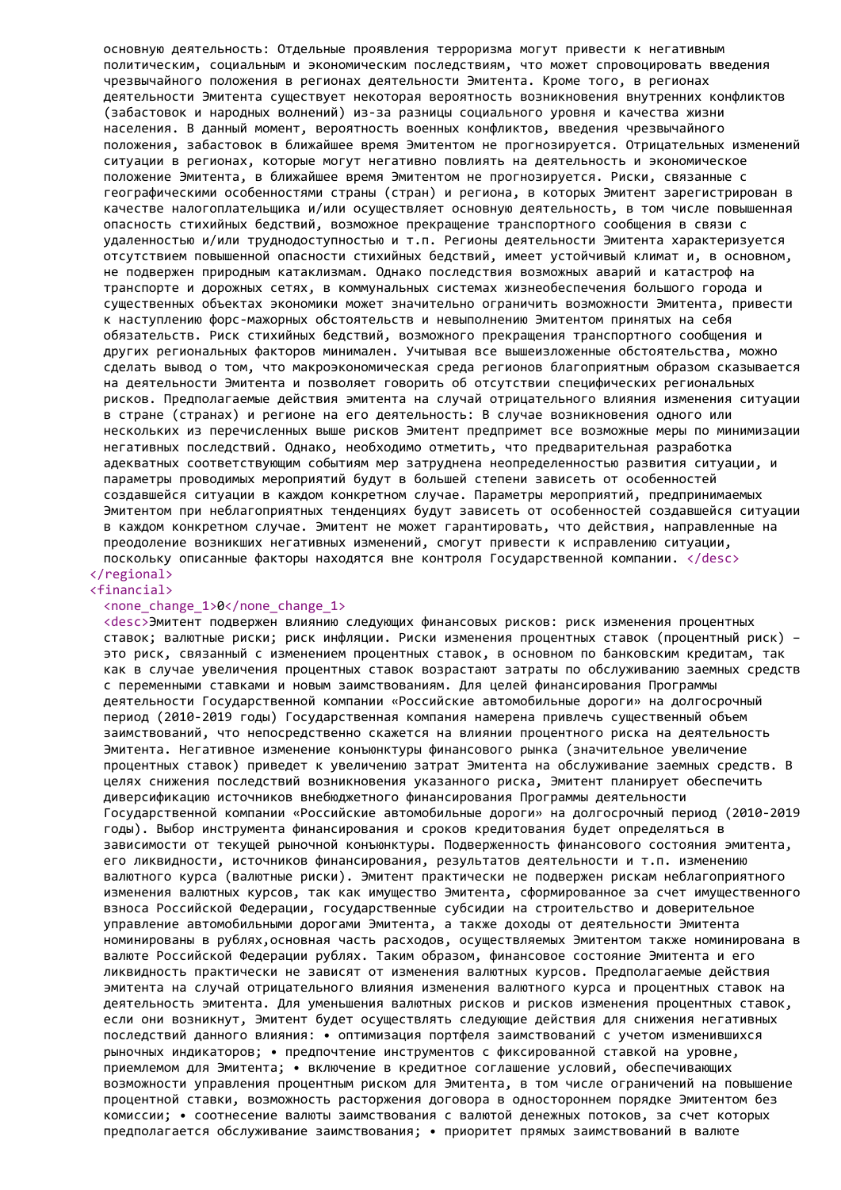основную деятельность: Отдельные проявления терроризма могут привести к негативным политическим, социальным и экономическим последствиям, что может спровоцировать введения чрезвычайного положения в регионах деятельности Эмитента. Кроме того, в регионах деятельности Эмитента существует некоторая вероятность возникновения внутренних конфликтов (забастовок и народных волнений) из-за разницы социального уровня и качества жизни населения. В данный момент, вероятность военных конфликтов, введения чрезвычайного положения, забастовок в ближайшее время Эмитентом не прогнозируется. Отрицательных изменений ситуации в регионах, которые могут негативно повлиять на деятельность и экономическое положение Эмитента, в ближайшее время Эмитентом не прогнозируется. Риски, связанные с географическими особенностями страны (стран) и региона, в которых Эмитент зарегистрирован в качестве налогоплательщика и/или осуществляет основную деятельность, в том числе повышенная опасность стихийных бедствий, возможное прекращение транспортного сообщения в связи с удаленностью и/или труднодоступностью и т.п. Регионы деятельности Эмитента характеризуется отсутствием повышенной опасности стихийных бедствий, имеет устойчивый климат и, в основном, не подвержен природным катаклизмам. Однако последствия возможных аварий и катастроф на транспорте и дорожных сетях, в коммунальных системах жизнеобеспечения большого города и существенных объектах экономики может значительно ограничить возможности Эмитента, привести к наступлению форс-мажорных обстоятельств и невыполнению Эмитентом принятых на себя обязательств. Риск стихийных бедствий, возможного прекращения транспортного сообщения и других региональных факторов минимален. Учитывая все вышеизложенные обстоятельства, можно сделать вывод о том, что макроэкономическая среда регионов благоприятным образом сказывается на деятельности Эмитента и позволяет говорить об отсутствии специфических региональных рисков. Предполагаемые действия эмитента на случай отрицательного влияния изменения ситуации в стране (странах) и регионе на его деятельность: В случае возникновения одного или нескольких из перечисленных выше рисков Эмитент предпримет все возможные меры по минимизации негативных последствий. Однако, необходимо отметить, что предварительная разработка адекватных соответствующим событиям мер затруднена неопределенностью развития ситуации, и параметры проводимых мероприятий будут в большей степени зависеть от особенностей создавшейся ситуации в каждом конкретном случае. Параметры мероприятий, предпринимаемых Эмитентом при неблагоприятных тенденциях будут зависеть от особенностей создавшейся ситуации в каждом конкретном случае. Эмитент не может гарантировать, что действия, направленные на преодоление возникших негативных изменений, смогут привести к исправлению ситуации, поскольку описанные факторы находятся вне контроля Государственной компании. </desc> </regional>

#### <financial>

#### <none\_change\_1>0</none\_change\_1>

<desc>Эмитент подвержен влиянию следующих финансовых рисков: риск изменения процентных ставок; валютные риски; риск инфляции. Риски изменения процентных ставок (процентный риск) – это риск, связанный с изменением процентных ставок, в основном по банковским кредитам, так как в случае увеличения процентных ставок возрастают затраты по обслуживанию заемных средств с переменными ставками и новым заимствованиям. Для целей финансирования Программы деятельности Государственной компании «Российские автомобильные дороги» на долгосрочный период (2010-2019 годы) Государственная компания намерена привлечь существенный объем заимствований, что непосредственно скажется на влиянии процентного риска на деятельность Эмитента. Негативное изменение конъюнктуры финансового рынка (значительное увеличение процентных ставок) приведет к увеличению затрат Эмитента на обслуживание заемных средств. В целях снижения последствий возникновения указанного риска, Эмитент планирует обеспечить диверсификацию источников внебюджетного финансирования Программы деятельности Государственной компании «Российские автомобильные дороги» на долгосрочный период (2010-2019 годы). Выбор инструмента финансирования и сроков кредитования будет определяться в зависимости от текущей рыночной конъюнктуры. Подверженность финансового состояния эмитента, его ликвидности, источников финансирования, результатов деятельности и т.п. изменению валютного курса (валютные риски). Эмитент практически не подвержен рискам неблагоприятного изменения валютных курсов, так как имущество Эмитента, сформированное за счет имущественного взноса Российской Федерации, государственные субсидии на строительство и доверительное управление автомобильными дорогами Эмитента, а также доходы от деятельности Эмитента номинированы в рублях,основная часть расходов, осуществляемых Эмитентом также номинирована в валюте Российской Федерации рублях. Таким образом, финансовое состояние Эмитента и его ликвидность практически не зависят от изменения валютных курсов. Предполагаемые действия эмитента на случай отрицательного влияния изменения валютного курса и процентных ставок на деятельность эмитента. Для уменьшения валютных рисков и рисков изменения процентных ставок, если они возникнут, Эмитент будет осуществлять следующие действия для снижения негативных последствий данного влияния: • оптимизация портфеля заимствований с учетом изменившихся рыночных индикаторов; • предпочтение инструментов с фиксированной ставкой на уровне, приемлемом для Эмитента; • включение в кредитное соглашение условий, обеспечивающих возможности управления процентным риском для Эмитента, в том числе ограничений на повышение процентной ставки, возможность расторжения договора в одностороннем порядке Эмитентом без комиссии; • соотнесение валюты заимствования с валютой денежных потоков, за счет которых предполагается обслуживание заимствования; • приоритет прямых заимствований в валюте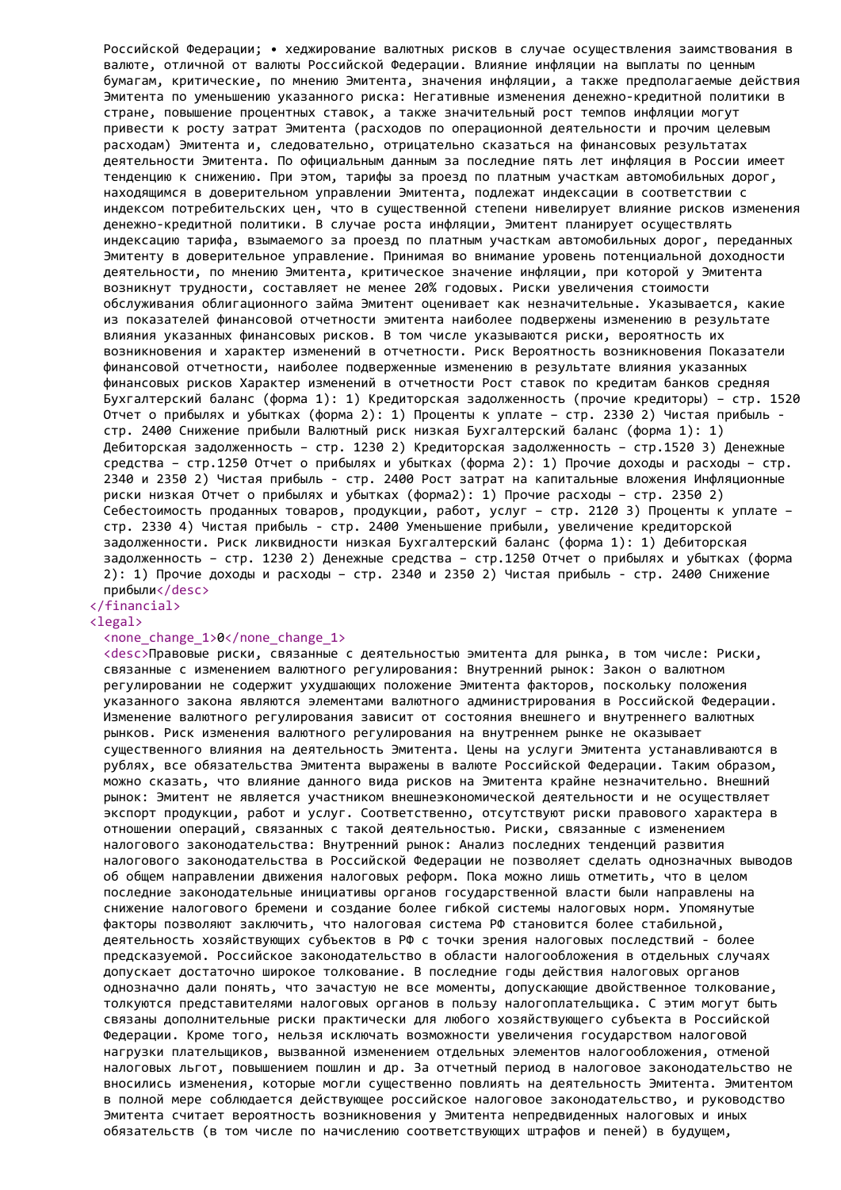Российской Федерации; • хеджирование валютных рисков в случае осуществления заимствования в валюте, отличной от валюты Российской Федерации. Влияние инфляции на выплаты по ценным бумагам, критические, по мнению Эмитента, значения инфляции, а также предполагаемые действия Эмитента по уменьшению указанного риска: Негативные изменения денежно-кредитной политики в стране, повышение процентных ставок, а также значительный рост темпов инфляции могут привести к росту затрат Эмитента (расходов по операционной деятельности и прочим целевым расходам) Эмитента и, следовательно, отрицательно сказаться на финансовых результатах деятельности Эмитента. По официальным данным за последние пять лет инфляция в России имеет тенденцию к снижению. При этом, тарифы за проезд по платным участкам автомобильных дорог, находящимся в доверительном управлении Эмитента, подлежат индексации в соответствии с индексом потребительских цен, что в существенной степени нивелирует влияние рисков изменения денежно-кредитной политики. В случае роста инфляции, Эмитент планирует осуществлять индексацию тарифа, взымаемого за проезд по платным участкам автомобильных дорог, переданных Эмитенту в доверительное управление. Принимая во внимание уровень потенциальной доходности деятельности, по мнению Эмитента, критическое значение инфляции, при которой у Эмитента возникнут трудности, составляет не менее 20% годовых. Риски увеличения стоимости обслуживания облигационного займа Эмитент оценивает как незначительные. Указывается, какие из показателей финансовой отчетности эмитента наиболее подвержены изменению в результате влияния указанных финансовых рисков. В том числе указываются риски, вероятность их возникновения и характер изменений в отчетности. Риск Вероятность возникновения Показатели финансовой отчетности, наиболее подверженные изменению в результате влияния указанных финансовых рисков Характер изменений в отчетности Рост ставок по кредитам банков средняя Бухгалтерский баланс (форма 1): 1) Кредиторская задолженность (прочие кредиторы) – стр. 1520 Отчет о прибылях и убытках (форма 2): 1) Проценты к уплате – стр. 2330 2) Чистая прибыль стр. 2400 Снижение прибыли Валютный риск низкая Бухгалтерский баланс (форма 1): 1) Дебиторская задолженность – стр. 1230 2) Кредиторская задолженность – стр.1520 3) Денежные средства – стр.1250 Отчет о прибылях и убытках (форма 2): 1) Прочие доходы и расходы – стр. 2340 и 2350 2) Чистая прибыль - стр. 2400 Рост затрат на капитальные вложения Инфляционные риски низкая Отчет о прибылях и убытках (форма2): 1) Прочие расходы – стр. 2350 2) Себестоимость проданных товаров, продукции, работ, услуг – стр. 2120 3) Проценты к уплате – стр. 2330 4) Чистая прибыль - стр. 2400 Уменьшение прибыли, увеличение кредиторской задолженности. Риск ликвидности низкая Бухгалтерский баланс (форма 1): 1) Дебиторская задолженность – стр. 1230 2) Денежные средства – стр.1250 Отчет о прибылях и убытках (форма 2): 1) Прочие доходы и расходы – стр. 2340 и 2350 2) Чистая прибыль - стр. 2400 Снижение прибыли</desc>

#### </financial>

#### <legal>

#### <none\_change\_1>0</none\_change\_1>

<desc>Правовые риски, связанные с деятельностью эмитента для рынка, в том числе: Риски, связанные с изменением валютного регулирования: Внутренний рынок: Закон о валютном регулировании не содержит ухудшающих положение Эмитента факторов, поскольку положения указанного закона являются элементами валютного администрирования в Российской Федерации. Изменение валютного регулирования зависит от состояния внешнего и внутреннего валютных рынков. Риск изменения валютного регулирования на внутреннем рынке не оказывает существенного влияния на деятельность Эмитента. Цены на услуги Эмитента устанавливаются в рублях, все обязательства Эмитента выражены в валюте Российской Федерации. Таким образом, можно сказать, что влияние данного вида рисков на Эмитента крайне незначительно. Внешний рынок: Эмитент не является участником внешнеэкономической деятельности и не осуществляет экспорт продукции, работ и услуг. Соответственно, отсутствуют риски правового характера в отношении операций, связанных с такой деятельностью. Риски, связанные с изменением налогового законодательства: Внутренний рынок: Анализ последних тенденций развития налогового законодательства в Российской Федерации не позволяет сделать однозначных выводов об общем направлении движения налоговых реформ. Пока можно лишь отметить, что в целом последние законодательные инициативы органов государственной власти были направлены на снижение налогового бремени и создание более гибкой системы налоговых норм. Упомянутые факторы позволяют заключить, что налоговая система РФ становится более стабильной, деятельность хозяйствующих субъектов в РФ с точки зрения налоговых последствий - более предсказуемой. Российское законодательство в области налогообложения в отдельных случаях допускает достаточно широкое толкование. В последние годы действия налоговых органов однозначно дали понять, что зачастую не все моменты, допускающие двойственное толкование, толкуются представителями налоговых органов в пользу налогоплательщика. С этим могут быть связаны дополнительные риски практически для любого хозяйствующего субъекта в Российской Федерации. Кроме того, нельзя исключать возможности увеличения государством налоговой нагрузки плательщиков, вызванной изменением отдельных элементов налогообложения, отменой налоговых льгот, повышением пошлин и др. За отчетный период в налоговое законодательство не вносились изменения, которые могли существенно повлиять на деятельность Эмитента. Эмитентом в полной мере соблюдается действующее российское налоговое законодательство, и руководство Эмитента считает вероятность возникновения у Эмитента непредвиденных налоговых и иных обязательств (в том числе по начислению соответствующих штрафов и пеней) в будущем,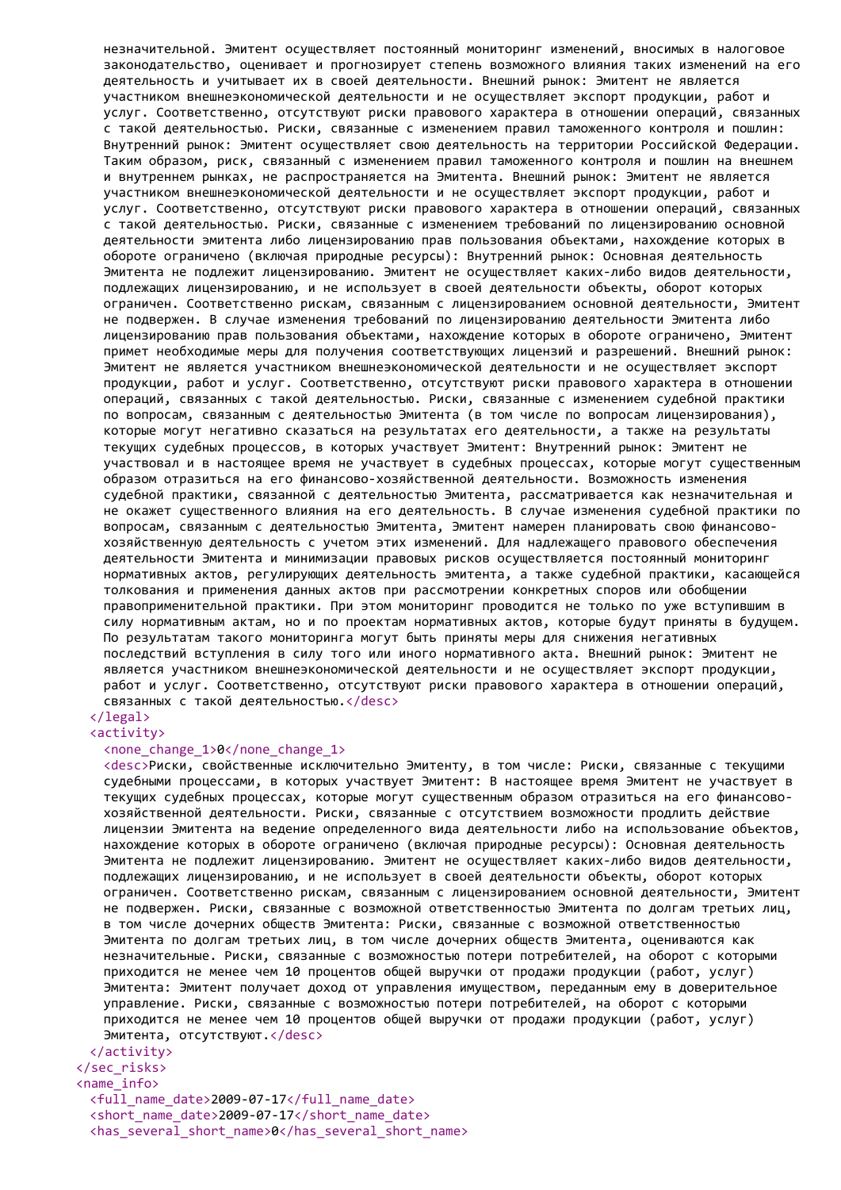незначительной. Эмитент осуществляет постоянный мониторинг изменений, вносимых в налоговое законодательство, оценивает и прогнозирует степень возможного влияния таких изменений на его деятельность и учитывает их в своей деятельности. Внешний рынок: Эмитент не является участником внешнеэкономической деятельности и не осуществляет экспорт продукции, работ и услуг. Соответственно, отсутствуют риски правового характера в отношении операций, связанных с такой деятельностью. Риски, связанные с изменением правил таможенного контроля и пошлин: Внутренний рынок: Эмитент осуществляет свою деятельность на территории Российской Федерации. Таким образом, риск, связанный с изменением правил таможенного контроля и пошлин на внешнем и внутреннем рынках, не распространяется на Эмитента. Внешний рынок: Эмитент не является участником внешнеэкономической деятельности и не осуществляет экспорт продукции, работ и услуг. Соответственно, отсутствуют риски правового характера в отношении операций, связанных с такой деятельностью. Риски, связанные с изменением требований по лицензированию основной деятельности эмитента либо лицензированию прав пользования объектами, нахождение которых в обороте ограничено (включая природные ресурсы): Внутренний рынок: Основная деятельность Эмитента не подлежит лицензированию. Эмитент не осуществляет каких-либо видов деятельности, подлежащих лицензированию, и не использует в своей деятельности объекты, оборот которых ограничен. Соответственно рискам, связанным с лицензированием основной деятельности, Эмитент не подвержен. В случае изменения требований по лицензированию деятельности Эмитента либо лицензированию прав пользования объектами, нахождение которых в обороте ограничено, Эмитент примет необходимые меры для получения соответствующих лицензий и разрешений. Внешний рынок: Эмитент не является участником внешнеэкономической деятельности и не осуществляет экспорт продукции, работ и услуг. Соответственно, отсутствуют риски правового характера в отношении операций, связанных с такой деятельностью. Риски, связанные с изменением судебной практики по вопросам, связанным с деятельностью Эмитента (в том числе по вопросам лицензирования), которые могут негативно сказаться на результатах его деятельности, а также на результаты текущих судебных процессов, в которых участвует Эмитент: Внутренний рынок: Эмитент не участвовал и в настоящее время не участвует в судебных процессах, которые могут существенным образом отразиться на его финансово-хозяйственной деятельности. Возможность изменения судебной практики, связанной с деятельностью Эмитента, рассматривается как незначительная и не окажет существенного влияния на его деятельность. В случае изменения судебной практики по вопросам, связанным с деятельностью Эмитента, Эмитент намерен планировать свою финансовохозяйственную деятельность с учетом этих изменений. Для надлежащего правового обеспечения деятельности Эмитента и минимизации правовых рисков осуществляется постоянный мониторинг нормативных актов, регулирующих деятельность эмитента, а также судебной практики, касающейся толкования и применения данных актов при рассмотрении конкретных споров или обобщении правоприменительной практики. При этом мониторинг проводится не только по уже вступившим в силу нормативным актам, но и по проектам нормативных актов, которые будут приняты в будущем. По результатам такого мониторинга могут быть приняты меры для снижения негативных последствий вступления в силу того или иного нормативного акта. Внешний рынок: Эмитент не является участником внешнеэкономической деятельности и не осуществляет экспорт продукции, работ и услуг. Соответственно, отсутствуют риски правового характера в отношении операций, связанных с такой деятельностью.</desc>

### </legal> <activity>

#### <none\_change\_1>0</none\_change\_1>

<desc>Риски, свойственные исключительно Эмитенту, в том числе: Риски, связанные с текущими судебными процессами, в которых участвует Эмитент: В настоящее время Эмитент не участвует в текущих судебных процессах, которые могут существенным образом отразиться на его финансовохозяйственной деятельности. Риски, связанные с отсутствием возможности продлить действие лицензии Эмитента на ведение определенного вида деятельности либо на использование объектов, нахождение которых в обороте ограничено (включая природные ресурсы): Основная деятельность Эмитента не подлежит лицензированию. Эмитент не осуществляет каких-либо видов деятельности, подлежащих лицензированию, и не использует в своей деятельности объекты, оборот которых ограничен. Соответственно рискам, связанным с лицензированием основной деятельности, Эмитент не подвержен. Риски, связанные с возможной ответственностью Эмитента по долгам третьих лиц, в том числе дочерних обществ Эмитента: Риски, связанные с возможной ответственностью Эмитента по долгам третьих лиц, в том числе дочерних обществ Эмитента, оцениваются как незначительные. Риски, связанные с возможностью потери потребителей, на оборот с которыми приходится не менее чем 10 процентов общей выручки от продажи продукции (работ, услуг) Эмитента: Эмитент получает доход от управления имуществом, переданным ему в доверительное управление. Риски, связанные с возможностью потери потребителей, на оборот с которыми приходится не менее чем 10 процентов общей выручки от продажи продукции (работ, услуг) Эмитента, отсутствуют.</desc> </activity>

## </sec\_risks>

#### <name\_info>

<full\_name\_date>2009-07-17</full\_name\_date> <short\_name\_date>2009-07-17</short\_name\_date> <has\_several\_short\_name>0</has\_several\_short\_name>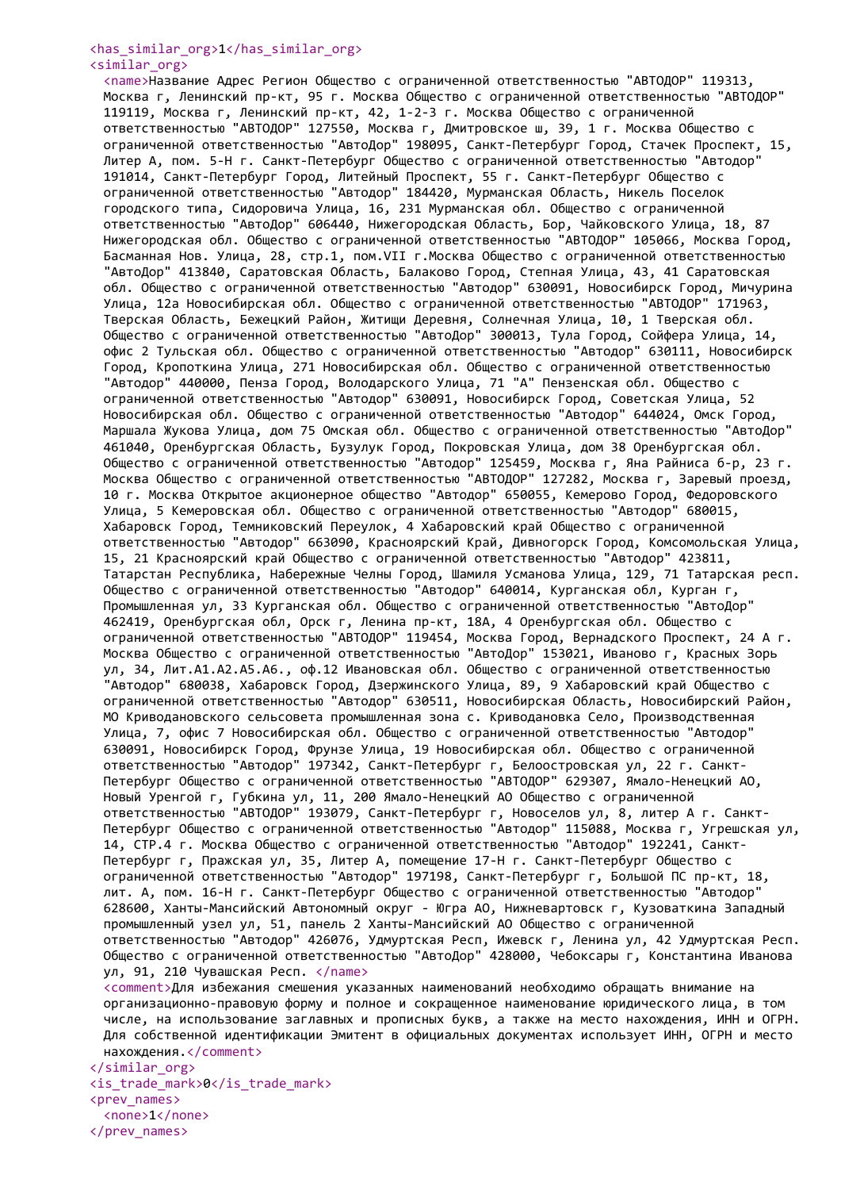#### <has\_similar\_org>1</has\_similar\_org> <similar\_org>

<name>Название Адрес Регион Общество с ограниченной ответственностью "АВТОДОР" 119313, Москва г, Ленинский пр-кт, 95 г. Москва Общество с ограниченной ответственностью "АВТОДОР" 119119, Москва г, Ленинский пр-кт, 42, 1-2-3 г. Москва Общество с ограниченной ответственностью "АВТОДОР" 127550, Москва г, Дмитровское ш, 39, 1 г. Москва Общество с ограниченной ответственностью "АвтоДор" 198095, Санкт-Петербург Город, Стачек Проспект, 15, Литер А, пом. 5-Н г. Санкт-Петербург Общество с ограниченной ответственностью "Автодор" 191014, Санкт-Петербург Город, Литейный Проспект, 55 г. Санкт-Петербург Общество с ограниченной ответственностью "Автодор" 184420, Мурманская Область, Никель Поселок городского типа, Сидоровича Улица, 16, 231 Мурманская обл. Общество с ограниченной ответственностью "АвтоДор" 606440, Нижегородская Область, Бор, Чайковского Улица, 18, 87 Нижегородская обл. Общество с ограниченной ответственностью "АВТОДОР" 105066, Москва Город, Басманная Нов. Улица, 28, стр.1, пом.VII г.Москва Общество с ограниченной ответственностью "АвтоДор" 413840, Саратовская Область, Балаково Город, Степная Улица, 43, 41 Саратовская обл. Общество с ограниченной ответственностью "Автодор" 630091, Новосибирск Город, Мичурина Улица, 12а Новосибирская обл. Общество с ограниченной ответственностью "АВТОДОР" 171963, Тверская Область, Бежецкий Район, Житищи Деревня, Солнечная Улица, 10, 1 Тверская обл. Общество с ограниченной ответственностью "АвтоДор" 300013, Тула Город, Сойфера Улица, 14, офис 2 Тульская обл. Общество с ограниченной ответственностью "Автодор" 630111, Новосибирск Город, Кропоткина Улица, 271 Новосибирская обл. Общество с ограниченной ответственностью "Автодор" 440000, Пенза Город, Володарского Улица, 71 "А" Пензенская обл. Общество с ограниченной ответственностью "Автодор" 630091, Новосибирск Город, Советская Улица, 52 Новосибирская обл. Общество с ограниченной ответственностью "Автодор" 644024, Омск Город, Маршала Жукова Улица, дом 75 Омская обл. Общество с ограниченной ответственностью "АвтоДор" 461040, Оренбургская Область, Бузулук Город, Покровская Улица, дом 38 Оренбургская обл. Общество с ограниченной ответственностью "Автодор" 125459, Москва г, Яна Райниса б-р, 23 г. Москва Общество с ограниченной ответственностью "АВТОДОР" 127282, Москва г, Заревый проезд, 10 г. Москва Открытое акционерное общество "Автодор" 650055, Кемерово Город, Федоровского Улица, 5 Кемеровская обл. Общество с ограниченной ответственностью "Автодор" 680015, Хабаровск Город, Темниковский Переулок, 4 Хабаровский край Общество с ограниченной ответственностью "Автодор" 663090, Красноярский Край, Дивногорск Город, Комсомольская Улица, 15, 21 Красноярский край Общество с ограниченной ответственностью "Автодор" 423811, Татарстан Республика, Набережные Челны Город, Шамиля Усманова Улица, 129, 71 Татарская респ. Общество с ограниченной ответственностью "Автодор" 640014, Курганская обл, Курган г, Промышленная ул, 33 Курганская обл. Общество с ограниченной ответственностью "АвтоДор" 462419, Оренбургская обл, Орск г, Ленина пр-кт, 18А, 4 Оренбургская обл. Общество с ограниченной ответственностью "АВТОДОР" 119454, Москва Город, Вернадского Проспект, 24 А г. Москва Общество с ограниченной ответственностью "АвтоДор" 153021, Иваново г, Красных Зорь ул, 34, Лит.А1.А2.А5.А6., оф.12 Ивановская обл. Общество с ограниченной ответственностью "Автодор" 680038, Хабаровск Город, Дзержинского Улица, 89, 9 Хабаровский край Общество с ограниченной ответственностью "Автодор" 630511, Новосибирская Область, Новосибирский Район, МО Криводановского сельсовета промышленная зона с. Криводановка Село, Производственная Улица, 7, офис 7 Новосибирская обл. Общество с ограниченной ответственностью "Автодор" 630091, Новосибирск Город, Фрунзе Улица, 19 Новосибирская обл. Общество с ограниченной ответственностью "Автодор" 197342, Санкт-Петербург г, Белоостровская ул, 22 г. Санкт-Петербург Общество с ограниченной ответственностью "АВТОДОР" 629307, Ямало-Ненецкий АО, Новый Уренгой г, Губкина ул, 11, 200 Ямало-Ненецкий АО Общество с ограниченной ответственностью "АВТОДОР" 193079, Санкт-Петербург г, Новоселов ул, 8, литер А г. Санкт-Петербург Общество с ограниченной ответственностью "Автодор" 115088, Москва г, Угрешская ул, 14, СТР.4 г. Москва Общество с ограниченной ответственностью "Автодор" 192241, Санкт-Петербург г, Пражская ул, 35, Литер А, помещение 17-Н г. Санкт-Петербург Общество с ограниченной ответственностью "Автодор" 197198, Санкт-Петербург г, Большой ПС пр-кт, 18, лит. А, пом. 16-Н г. Санкт-Петербург Общество с ограниченной ответственностью "Автодор" 628600, Ханты-Мансийский Автономный округ - Югра АО, Нижневартовск г, Кузоваткина Западный промышленный узел ул, 51, панель 2 Ханты-Мансийский АО Общество с ограниченной ответственностью "Автодор" 426076, Удмуртская Респ, Ижевск г, Ленина ул, 42 Удмуртская Респ. Общество с ограниченной ответственностью "АвтоДор" 428000, Чебоксары г, Константина Иванова ул, 91, 210 Чувашская Респ. </name> <comment>Для избежания смешения указанных наименований необходимо обращать внимание на

организационно-правовую форму и полное и сокращенное наименование юридического лица, в том числе, на использование заглавных и прописных букв, а также на место нахождения, ИНН и ОГРН. Для собственной идентификации Эмитент в официальных документах использует ИНН, ОГРН и место нахождения.</comment>

</similar\_org> <is\_trade\_mark>0</is\_trade\_mark> <prev\_names> <none>1</none> </prev\_names>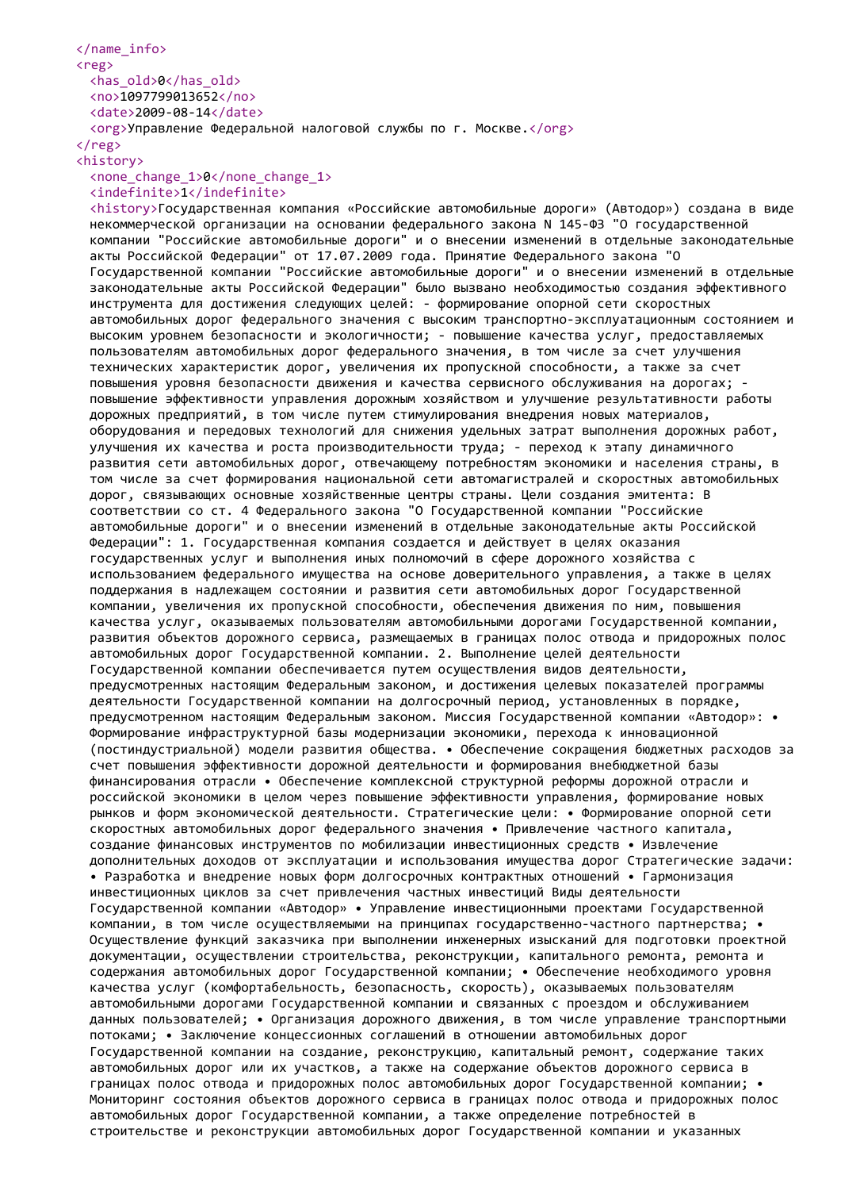```
</name_info>
<reg>
  <has_old>0</has_old>
  <no>1097799013652</no>
  <date>2009-08-14</date>
  <org>Управление Федеральной налоговой службы по г. Москве.</org>
\langle/reg\rangle
```
<history>

## <none\_change\_1>0</none\_change\_1>

## <indefinite>1</indefinite>

<history>Государственная компания «Российские автомобильные дороги» (Автодор») создана в виде некоммерческой организации на основании федерального закона N 145-ФЗ "О государственной компании "Российские автомобильные дороги" и о внесении изменений в отдельные законодательные акты Российской Федерации" от 17.07.2009 года. Принятие Федерального закона "О Государственной компании "Российские автомобильные дороги" и о внесении изменений в отдельные законодательные акты Российской Федерации" было вызвано необходимостью создания эффективного инструмента для достижения следующих целей: - формирование опорной сети скоростных автомобильных дорог федерального значения с высоким транспортно-эксплуатационным состоянием и высоким уровнем безопасности и экологичности; - повышение качества услуг, предоставляемых пользователям автомобильных дорог федерального значения, в том числе за счет улучшения технических характеристик дорог, увеличения их пропускной способности, а также за счет повышения уровня безопасности движения и качества сервисного обслуживания на дорогах; повышение эффективности управления дорожным хозяйством и улучшение результативности работы дорожных предприятий, в том числе путем стимулирования внедрения новых материалов, оборудования и передовых технологий для снижения удельных затрат выполнения дорожных работ, улучшения их качества и роста производительности труда; - переход к этапу динамичного развития сети автомобильных дорог, отвечающему потребностям экономики и населения страны, в том числе за счет формирования национальной сети автомагистралей и скоростных автомобильных дорог, связывающих основные хозяйственные центры страны. Цели создания эмитента: В соответствии со ст. 4 Федерального закона "О Государственной компании "Российские автомобильные дороги" и о внесении изменений в отдельные законодательные акты Российской Федерации": 1. Государственная компания создается и действует в целях оказания государственных услуг и выполнения иных полномочий в сфере дорожного хозяйства с использованием федерального имущества на основе доверительного управления, а также в целях поддержания в надлежащем состоянии и развития сети автомобильных дорог Государственной компании, увеличения их пропускной способности, обеспечения движения по ним, повышения качества услуг, оказываемых пользователям автомобильными дорогами Государственной компании, развития объектов дорожного сервиса, размещаемых в границах полос отвода и придорожных полос автомобильных дорог Государственной компании. 2. Выполнение целей деятельности Государственной компании обеспечивается путем осуществления видов деятельности, предусмотренных настоящим Федеральным законом, и достижения целевых показателей программы деятельности Государственной компании на долгосрочный период, установленных в порядке, предусмотренном настоящим Федеральным законом. Миссия Государственной компании «Автодор»: • Формирование инфраструктурной базы модернизации экономики, перехода к инновационной (постиндустриальной) модели развития общества. • Обеспечение сокращения бюджетных расходов за счет повышения эффективности дорожной деятельности и формирования внебюджетной базы финансирования отрасли • Обеспечение комплексной структурной реформы дорожной отрасли и российской экономики в целом через повышение эффективности управления, формирование новых рынков и форм экономической деятельности. Стратегические цели: • Формирование опорной сети скоростных автомобильных дорог федерального значения • Привлечение частного капитала, создание финансовых инструментов по мобилизации инвестиционных средств • Извлечение дополнительных доходов от эксплуатации и использования имущества дорог Стратегические задачи: • Разработка и внедрение новых форм долгосрочных контрактных отношений • Гармонизация инвестиционных циклов за счет привлечения частных инвестиций Виды деятельности Государственной компании «Автодор» • Управление инвестиционными проектами Государственной компании, в том числе осуществляемыми на принципах государственно-частного партнерства; • Осуществление функций заказчика при выполнении инженерных изысканий для подготовки проектной документации, осуществлении строительства, реконструкции, капитального ремонта, ремонта и содержания автомобильных дорог Государственной компании; • Обеспечение необходимого уровня качества услуг (комфортабельность, безопасность, скорость), оказываемых пользователям автомобильными дорогами Государственной компании и связанных с проездом и обслуживанием данных пользователей; • Организация дорожного движения, в том числе управление транспортными потоками; • Заключение концессионных соглашений в отношении автомобильных дорог Государственной компании на создание, реконструкцию, капитальный ремонт, содержание таких автомобильных дорог или их участков, а также на содержание объектов дорожного сервиса в границах полос отвода и придорожных полос автомобильных дорог Государственной компании; • Мониторинг состояния объектов дорожного сервиса в границах полос отвода и придорожных полос автомобильных дорог Государственной компании, а также определение потребностей в строительстве и реконструкции автомобильных дорог Государственной компании и указанных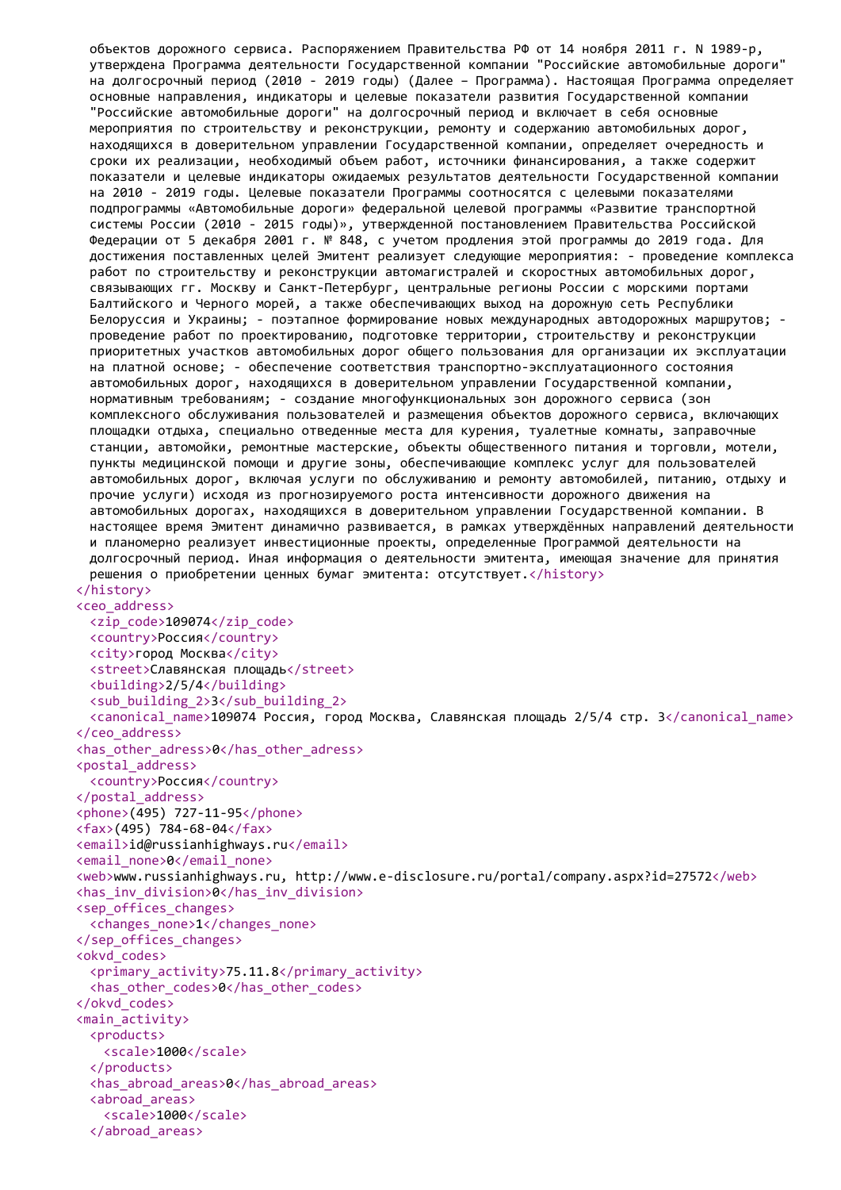объектов дорожного сервиса. Распоряжением Правительства РФ от 14 ноября 2011 г. N 1989-р, утверждена Программа деятельности Государственной компании "Российские автомобильные дороги" на долгосрочный период (2010 - 2019 годы) (Далее – Программа). Настоящая Программа определяет основные направления, индикаторы и целевые показатели развития Государственной компании "Российские автомобильные дороги" на долгосрочный период и включает в себя основные мероприятия по строительству и реконструкции, ремонту и содержанию автомобильных дорог, находящихся в доверительном управлении Государственной компании, определяет очередность и сроки их реализации, необходимый объем работ, источники финансирования, а также содержит показатели и целевые индикаторы ожидаемых результатов деятельности Государственной компании на 2010 - 2019 годы. Целевые показатели Программы соотносятся с целевыми показателями подпрограммы «Автомобильные дороги» федеральной целевой программы «Развитие транспортной системы России (2010 - 2015 годы)», утвержденной постановлением Правительства Российской Федерации от 5 декабря 2001 г. № 848, с учетом продления этой программы до 2019 года. Для достижения поставленных целей Эмитент реализует следующие мероприятия: - проведение комплекса работ по строительству и реконструкции автомагистралей и скоростных автомобильных дорог, связывающих гг. Москву и Санкт-Петербург, центральные регионы России с морскими портами Балтийского и Черного морей, а также обеспечивающих выход на дорожную сеть Республики Белоруссия и Украины; - поэтапное формирование новых международных автодорожных маршрутов; проведение работ по проектированию, подготовке территории, строительству и реконструкции приоритетных участков автомобильных дорог общего пользования для организации их эксплуатации на платной основе; - обеспечение соответствия транспортно-эксплуатационного состояния автомобильных дорог, находящихся в доверительном управлении Государственной компании, нормативным требованиям; - создание многофункциональных зон дорожного сервиса (зон комплексного обслуживания пользователей и размещения объектов дорожного сервиса, включающих площадки отдыха, специально отведенные места для курения, туалетные комнаты, заправочные станции, автомойки, ремонтные мастерские, объекты общественного питания и торговли, мотели, пункты медицинской помощи и другие зоны, обеспечивающие комплекс услуг для пользователей автомобильных дорог, включая услуги по обслуживанию и ремонту автомобилей, питанию, отдыху и прочие услуги) исходя из прогнозируемого роста интенсивности дорожного движения на автомобильных дорогах, находящихся в доверительном управлении Государственной компании. В настоящее время Эмитент динамично развивается, в рамках утверждённых направлений деятельности и планомерно реализует инвестиционные проекты, определенные Программой деятельности на долгосрочный период. Иная информация о деятельности эмитента, имеющая значение для принятия решения о приобретении ценных бумаг эмитента: отсутствует.</history> </history> <ceo\_address> <zip\_code>109074</zip\_code> <country>Россия</country> <city>город Москва</city> <street>Славянская площадь</street> <building>2/5/4</building> <sub\_building\_2>3</sub\_building\_2> <canonical\_name>109074 Россия, город Москва, Славянская площадь 2/5/4 стр. 3</canonical\_name> </ceo\_address> <has\_other\_adress>0</has\_other\_adress> <postal\_address> <country>Россия</country> </postal\_address> <phone>(495) 727-11-95</phone> <fax>(495) 784-68-04</fax> <email>id@russianhighways.ru</email> <email\_none>0</email\_none> <web>www.russianhighways.ru, http://www.e-disclosure.ru/portal/company.aspx?id=27572</web> <has\_inv\_division>0</has\_inv\_division> <sep\_offices\_changes> <changes\_none>1</changes\_none> </sep\_offices\_changes> <okvd\_codes> <primary\_activity>75.11.8</primary\_activity> <has\_other\_codes>0</has\_other\_codes> </okvd\_codes> <main\_activity> <products> <scale>1000</scale> </products> <has\_abroad\_areas>0</has\_abroad\_areas> <abroad\_areas> <scale>1000</scale> </abroad\_areas>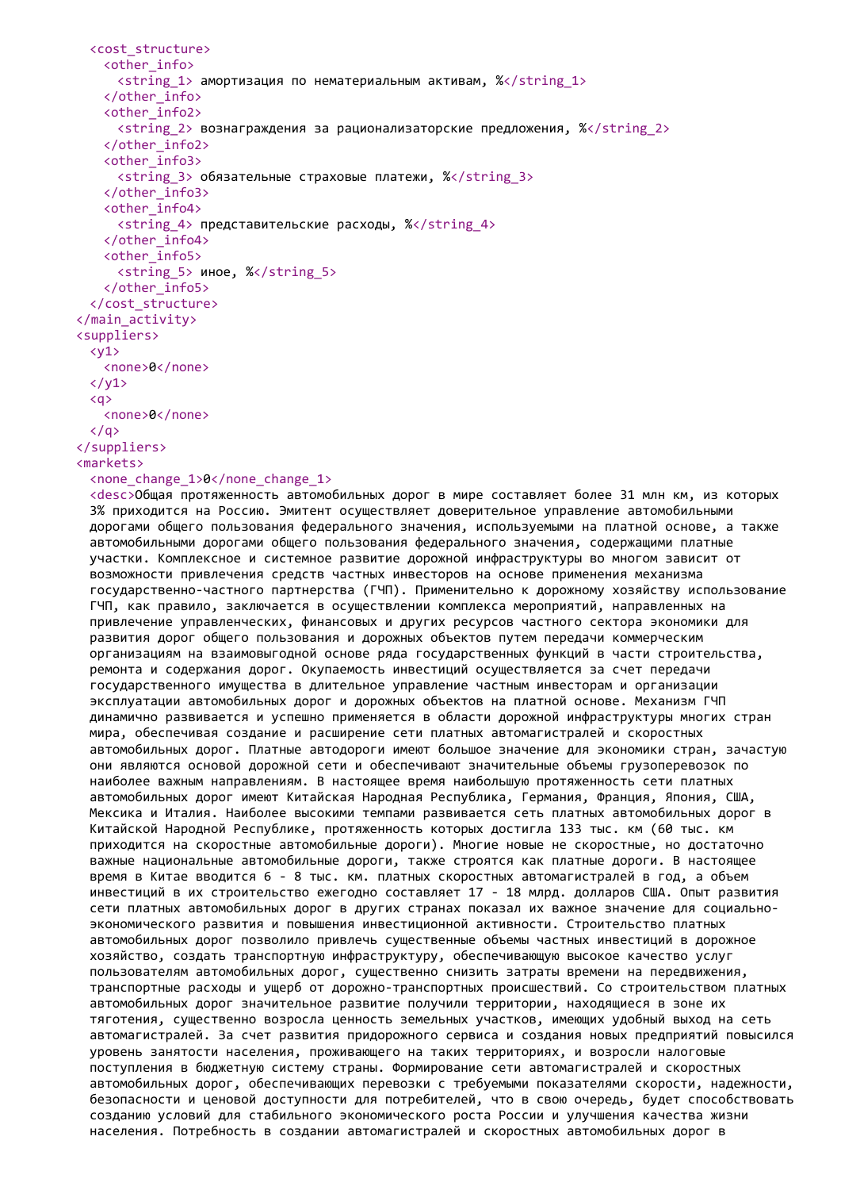```
<cost_structure>
    <other_info>
      <string_1> амортизация по нематериальным активам, %</string_1>
    </other_info>
    <other_info2>
      \langlestring 2> вознаграждения за рационализаторские предложения, %\langle/string 2>
    </other_info2>
    <other_info3>
      <string_3> обязательные страховые платежи, %</string_3>
    </other_info3>
    <other_info4>
      <string_4> представительские расходы, %</string_4>
    </other_info4>
    <other_info5>
      <string_5> иное, %</string_5>
    </other_info5>
  </cost_structure>
</main_activity>
<suppliers>
  \langle y1 \rangle<none>0</none>
  \langle/y1>
  \langlea>
    <none>0</none>
  \langle/a>
</suppliers>
<markets>
```
<none\_change\_1>0</none\_change\_1>

<desc>Общая протяженность автомобильных дорог в мире составляет более 31 млн км, из которых 3% приходится на Россию. Эмитент осуществляет доверительное управление автомобильными дорогами общего пользования федерального значения, используемыми на платной основе, а также автомобильными дорогами общего пользования федерального значения, содержащими платные участки. Комплексное и системное развитие дорожной инфраструктуры во многом зависит от возможности привлечения средств частных инвесторов на основе применения механизма государственно-частного партнерства (ГЧП). Применительно к дорожному хозяйству использование ГЧП, как правило, заключается в осуществлении комплекса мероприятий, направленных на привлечение управленческих, финансовых и других ресурсов частного сектора экономики для развития дорог общего пользования и дорожных объектов путем передачи коммерческим организациям на взаимовыгодной основе ряда государственных функций в части строительства, ремонта и содержания дорог. Окупаемость инвестиций осуществляется за счет передачи государственного имущества в длительное управление частным инвесторам и организации эксплуатации автомобильных дорог и дорожных объектов на платной основе. Механизм ГЧП динамично развивается и успешно применяется в области дорожной инфраструктуры многих стран мира, обеспечивая создание и расширение сети платных автомагистралей и скоростных автомобильных дорог. Платные автодороги имеют большое значение для экономики стран, зачастую они являются основой дорожной сети и обеспечивают значительные объемы грузоперевозок по наиболее важным направлениям. В настоящее время наибольшую протяженность сети платных автомобильных дорог имеют Китайская Народная Республика, Германия, Франция, Япония, США, Мексика и Италия. Наиболее высокими темпами развивается сеть платных автомобильных дорог в Китайской Народной Республике, протяженность которых достигла 133 тыс. км (60 тыс. км приходится на скоростные автомобильные дороги). Многие новые не скоростные, но достаточно важные национальные автомобильные дороги, также строятся как платные дороги. В настоящее время в Китае вводится 6 - 8 тыс. км. платных скоростных автомагистралей в год, а объем инвестиций в их строительство ежегодно составляет 17 - 18 млрд. долларов США. Опыт развития сети платных автомобильных дорог в других странах показал их важное значение для социальноэкономического развития и повышения инвестиционной активности. Строительство платных автомобильных дорог позволило привлечь существенные объемы частных инвестиций в дорожное хозяйство, создать транспортную инфраструктуру, обеспечивающую высокое качество услуг пользователям автомобильных дорог, существенно снизить затраты времени на передвижения, транспортные расходы и ущерб от дорожно-транспортных происшествий. Со строительством платных автомобильных дорог значительное развитие получили территории, находящиеся в зоне их тяготения, существенно возросла ценность земельных участков, имеющих удобный выход на сеть автомагистралей. За счет развития придорожного сервиса и создания новых предприятий повысился уровень занятости населения, проживающего на таких территориях, и возросли налоговые поступления в бюджетную систему страны. Формирование сети автомагистралей и скоростных автомобильных дорог, обеспечивающих перевозки с требуемыми показателями скорости, надежности, безопасности и ценовой доступности для потребителей, что в свою очередь, будет способствовать созданию условий для стабильного экономического роста России и улучшения качества жизни населения. Потребность в создании автомагистралей и скоростных автомобильных дорог в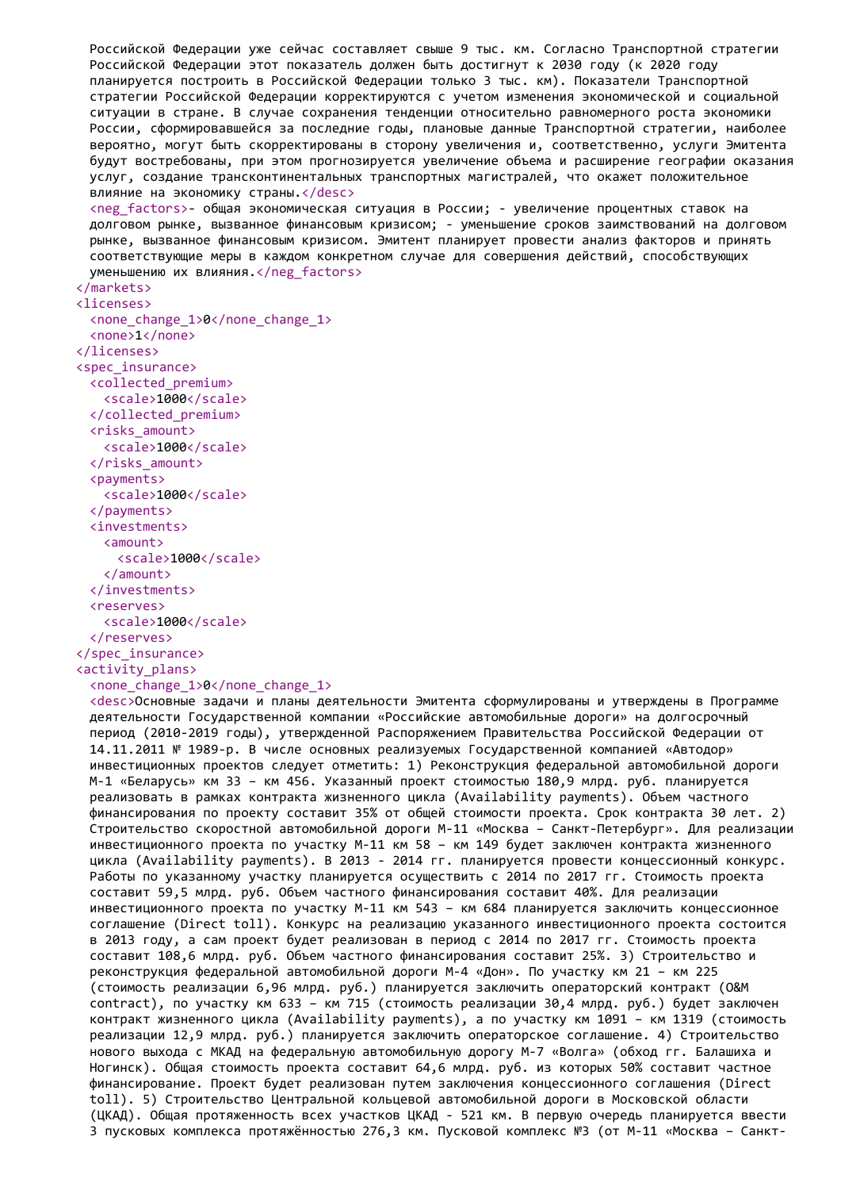Российской Федерации уже сейчас составляет свыше 9 тыс. км. Согласно Транспортной стратегии Российской Федерации этот показатель должен быть достигнут к 2030 году (к 2020 году планируется построить в Российской Федерации только 3 тыс. км). Показатели Транспортной стратегии Российской Федерации корректируются с учетом изменения экономической и социальной ситуации в стране. В случае сохранения тенденции относительно равномерного роста экономики России, сформировавшейся за последние годы, плановые данные Транспортной стратегии, наиболее вероятно, могут быть скорректированы в сторону увеличения и, соответственно, услуги Эмитента будут востребованы, при этом прогнозируется увеличение объема и расширение географии оказания услуг, создание трансконтинентальных транспортных магистралей, что окажет положительное влияние на экономику страны.</desc>

<neg\_factors>- общая экономическая ситуация в России; - увеличение процентных ставок на долговом рынке, вызванное финансовым кризисом; - уменьшение сроков заимствований на долговом рынке, вызванное финансовым кризисом. Эмитент планирует провести анализ факторов и принять соответствующие меры в каждом конкретном случае для совершения действий, способствующих уменьшению их влияния.</neg\_factors>

```
</markets>
```

```
<licenses>
```

```
<none_change_1>0</none_change_1>
 <none>1</none>
</licenses>
<spec_insurance>
 <collected_premium>
   <scale>1000</scale>
 </collected_premium>
 <risks_amount>
   <scale>1000</scale>
 </risks_amount>
 <payments>
   <scale>1000</scale>
 </payments>
 <investments>
   <amount>
     <scale>1000</scale>
   </amount>
 </investments>
 <reserves>
```

```
<scale>1000</scale>
</reserves>
```
</spec\_insurance> <activity\_plans>

<none\_change\_1>0</none\_change\_1>

<desc>Основные задачи и планы деятельности Эмитента сформулированы и утверждены в Программе деятельности Государственной компании «Российские автомобильные дороги» на долгосрочный период (2010-2019 годы), утвержденной Распоряжением Правительства Российской Федерации от 14.11.2011 № 1989-р. В числе основных реализуемых Государственной компанией «Автодор» инвестиционных проектов следует отметить: 1) Реконструкция федеральной автомобильной дороги М-1 «Беларусь» км 33 – км 456. Указанный проект стоимостью 180,9 млрд. руб. планируется реализовать в рамках контракта жизненного цикла (Availability payments). Объем частного финансирования по проекту составит 35% от общей стоимости проекта. Срок контракта 30 лет. 2) Строительство скоростной автомобильной дороги М-11 «Москва – Санкт-Петербург». Для реализации инвестиционного проекта по участку М-11 км 58 – км 149 будет заключен контракта жизненного цикла (Availability payments). В 2013 - 2014 гг. планируется провести концессионный конкурс. Работы по указанному участку планируется осуществить с 2014 по 2017 гг. Стоимость проекта составит 59,5 млрд. руб. Объем частного финансирования составит 40%. Для реализации инвестиционного проекта по участку М-11 км 543 – км 684 планируется заключить концессионное соглашение (Direct toll). Конкурс на реализацию указанного инвестиционного проекта состоится в 2013 году, а сам проект будет реализован в период с 2014 по 2017 гг. Стоимость проекта составит 108,6 млрд. руб. Объем частного финансирования составит 25%. 3) Строительство и реконструкция федеральной автомобильной дороги M-4 «Дон». По участку км 21 – км 225 (стоимость реализации 6,96 млрд. руб.) планируется заключить операторский контракт (O&M contract), по участку км 633 – км 715 (стоимость реализации 30,4 млрд. руб.) будет заключен контракт жизненного цикла (Availability payments), а по участку км 1091 – км 1319 (стоимость реализации 12,9 млрд. руб.) планируется заключить операторское соглашение. 4) Строительство нового выхода с МКАД на федеральную автомобильную дорогу М-7 «Волга» (обход гг. Балашиха и Ногинск). Общая стоимость проекта составит 64,6 млрд. руб. из которых 50% составит частное финансирование. Проект будет реализован путем заключения концессионного соглашения (Direct toll). 5) Строительство Центральной кольцевой автомобильной дороги в Московской области (ЦКАД). Общая протяженность всех участков ЦКАД - 521 км. В первую очередь планируется ввести 3 пусковых комплекса протяжённостью 276,3 км. Пусковой комплекс №3 (от М-11 «Москва – Санкт-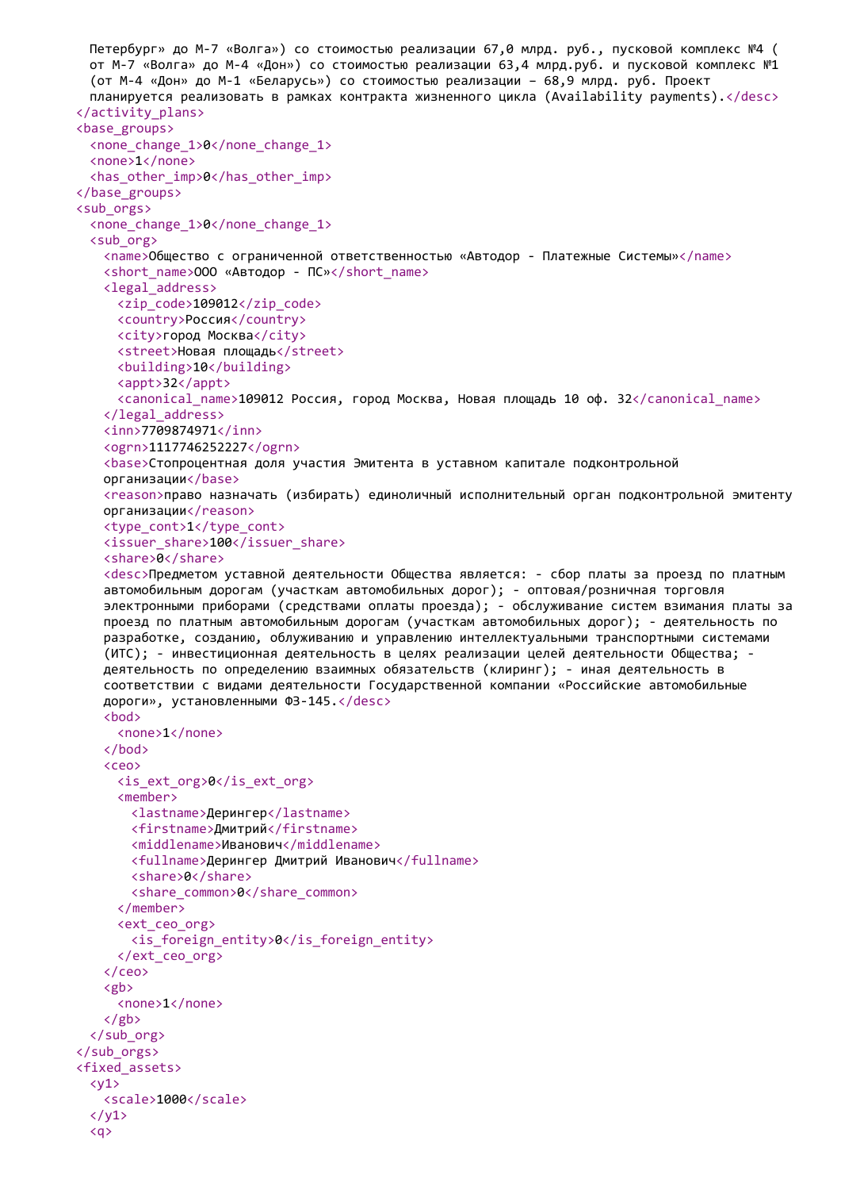```
Петербург» до М-7 «Волга») со стоимостью реализации 67,0 млрд. руб., пусковой комплекс №4 (
 от М-7 «Волга» до М-4 «Дон») со стоимостью реализации 63,4 млрд.руб. и пусковой комплекс №1
  (от М-4 «Дон» до М-1 «Беларусь») со стоимостью реализации – 68,9 млрд. руб. Проект
 планируется реализовать в рамках контракта жизненного цикла (Availability payments).</desc>
</activity_plans>
<base_groups>
  <none_change_1>0</none_change_1>
  <none>1</none>
  <has_other_imp>0</has_other_imp>
</base_groups>
<sub_orgs>
  <none_change_1>0</none_change_1>
  <sub_org>
   <name>Общество с ограниченной ответственностью «Автодор - Платежные Системы»</name>
   <short name>ООО «Автодор - ПС»</short name>
   <legal_address>
     <zip_code>109012</zip_code>
     <country>Россия</country>
     <city>город Москва</city>
     <street>Новая площадь</street>
     <building>10</building>
     <appt>32</appt>
     <canonical_name>109012 Россия, город Москва, Новая площадь 10 оф. 32</canonical_name>
   </legal_address>
   <inn>7709874971</inn>
   <ogrn>1117746252227</ogrn>
   <base>Стопроцентная доля участия Эмитента в уставном капитале подконтрольной
   организации</base>
   <reason>право назначать (избирать) единоличный исполнительный орган подконтрольной эмитенту
   организации</reason>
   <type_cont>1</type_cont>
   <issuer_share>100</issuer_share>
   <share>0</share>
   <desc>Предметом уставной деятельности Общества является: - сбор платы за проезд по платным
   автомобильным дорогам (участкам автомобильных дорог); - оптовая/розничная торговля
   электронными приборами (средствами оплаты проезда); - обслуживание систем взимания платы за
   проезд по платным автомобильным дорогам (участкам автомобильных дорог); - деятельность по
   разработке, созданию, облуживанию и управлению интеллектуальными транспортными системами
   (ИТС); - инвестиционная деятельность в целях реализации целей деятельности Общества; -
   деятельность по определению взаимных обязательств (клиринг); - иная деятельность в
   соответствии с видами деятельности Государственной компании «Российские автомобильные
   дороги», установленными ФЗ-145.</desc>
   <bod>
     <none>1</none>
   </bod>
   <ceo>
     <is_ext_org>0</is_ext_org>
     <member>
       <lastname>Дерингер</lastname>
       <firstname>Дмитрий</firstname>
       <middlename>Иванович</middlename>
       <fullname>Дерингер Дмитрий Иванович</fullname>
       <share>0</share>
       <share_common>0</share_common>
     </member>
     <ext_ceo_org>
       <is_foreign_entity>0</is_foreign_entity>
     </ext_ceo_org>
   </ceo>
   <gb>
     <none>1</none>
   </gb>
  </sub_org>
</sub_orgs>
<fixed_assets>
  \langle y1 \rangle<scale>1000</scale>
  \langle/y1>
  \langle q \rangle
```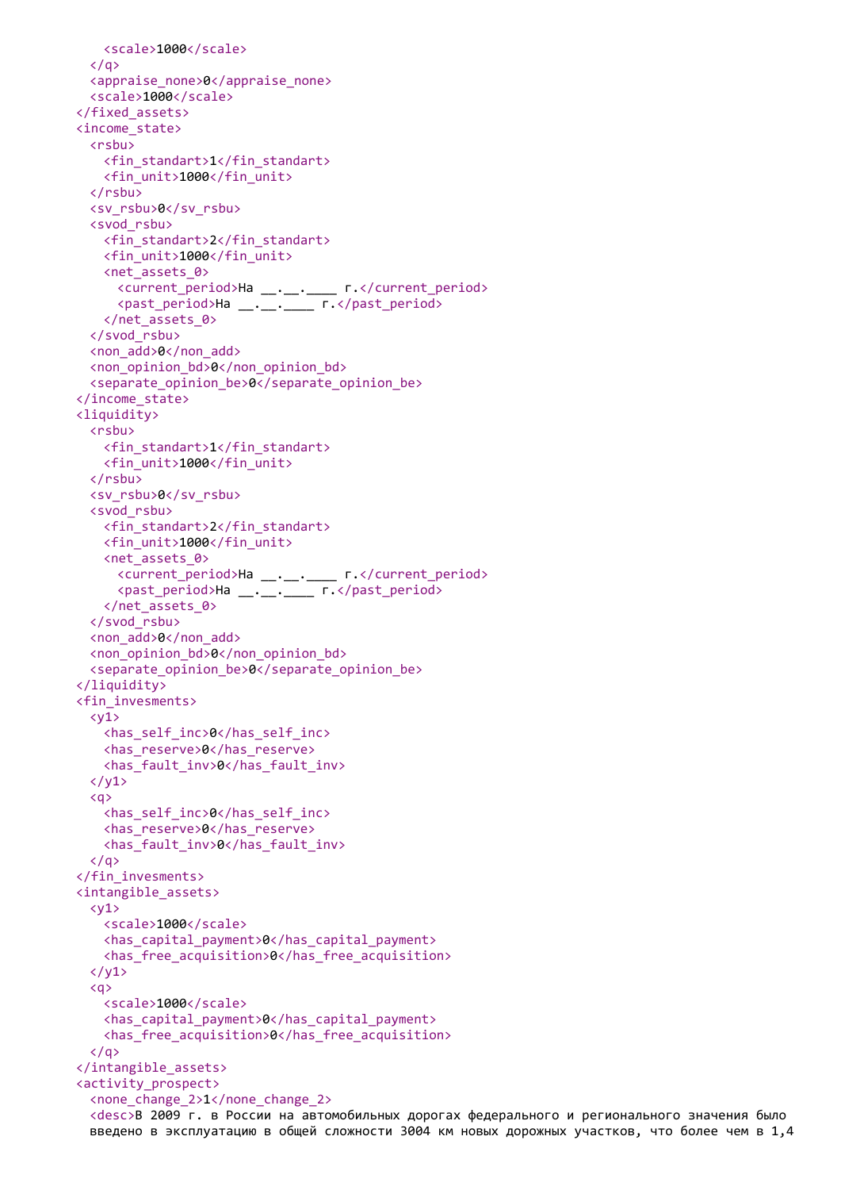```
<scale>1000</scale>
  \langle/q>
  <appraise_none>0</appraise_none>
 <scale>1000</scale>
</fixed_assets>
<income_state>
 <rsbu>
   <fin standart>1</fin standart>
   <fin_unit>1000</fin_unit>
  </rsbu>
  <sv_rsbu>0</sv_rsbu>
  <svod_rsbu>
   <fin_standart>2</fin_standart>
   <fin_unit>1000</fin_unit>
   <net_assets_0>
     <current_period>На __.__.____ г.</current_period>
     <past_period>На __.__.____ г.</past_period>
   </net_assets_0>
  </svod_rsbu>
  <non_add>0</non_add>
  <non_opinion_bd>0</non_opinion_bd>
  <separate_opinion_be>0</separate_opinion_be>
</income_state>
<liquidity>
 <rsbu>
   <fin_standart>1</fin_standart>
   <fin_unit>1000</fin_unit>
  </rsbu>
  <sv_rsbu>0</sv_rsbu>
  <svod_rsbu>
   <fin_standart>2</fin_standart>
   <fin_unit>1000</fin_unit>
   <net_assets_0>
     <current_period>На __.__.____ г.</current_period>
     <past_period>На __.__.____ г.</past_period>
   </net_assets_0>
  </svod_rsbu>
  <non_add>0</non_add>
  <non_opinion_bd>0</non_opinion_bd>
  <separate_opinion_be>0</separate_opinion_be>
</liquidity>
<fin_invesments>
  \langle y1 \rangle<has_self_inc>0</has_self_inc>
   <has_reserve>0</has_reserve>
   <has_fault_inv>0</has_fault_inv>
  \langle/y1>
  <q>
   <has_self_inc>0</has_self_inc>
   <has_reserve>0</has_reserve>
   <has_fault_inv>0</has_fault_inv>
 \langle/a>
</fin_invesments>
<intangible_assets>
  \langle v1 \rangle<scale>1000</scale>
   <has_capital_payment>0</has_capital_payment>
   <has_free_acquisition>0</has_free_acquisition>
  \langle/y1>
  \langlea>
   <scale>1000</scale>
   <has_capital_payment>0</has_capital_payment>
   <has_free_acquisition>0</has_free_acquisition>
 \langle/q>
</intangible_assets>
<activity_prospect>
  <none_change_2>1</none_change_2>
  <desc>В 2009 г. в России на автомобильных дорогах федерального и регионального значения было
  введено в эксплуатацию в общей сложности 3004 км новых дорожных участков, что более чем в 1,4
```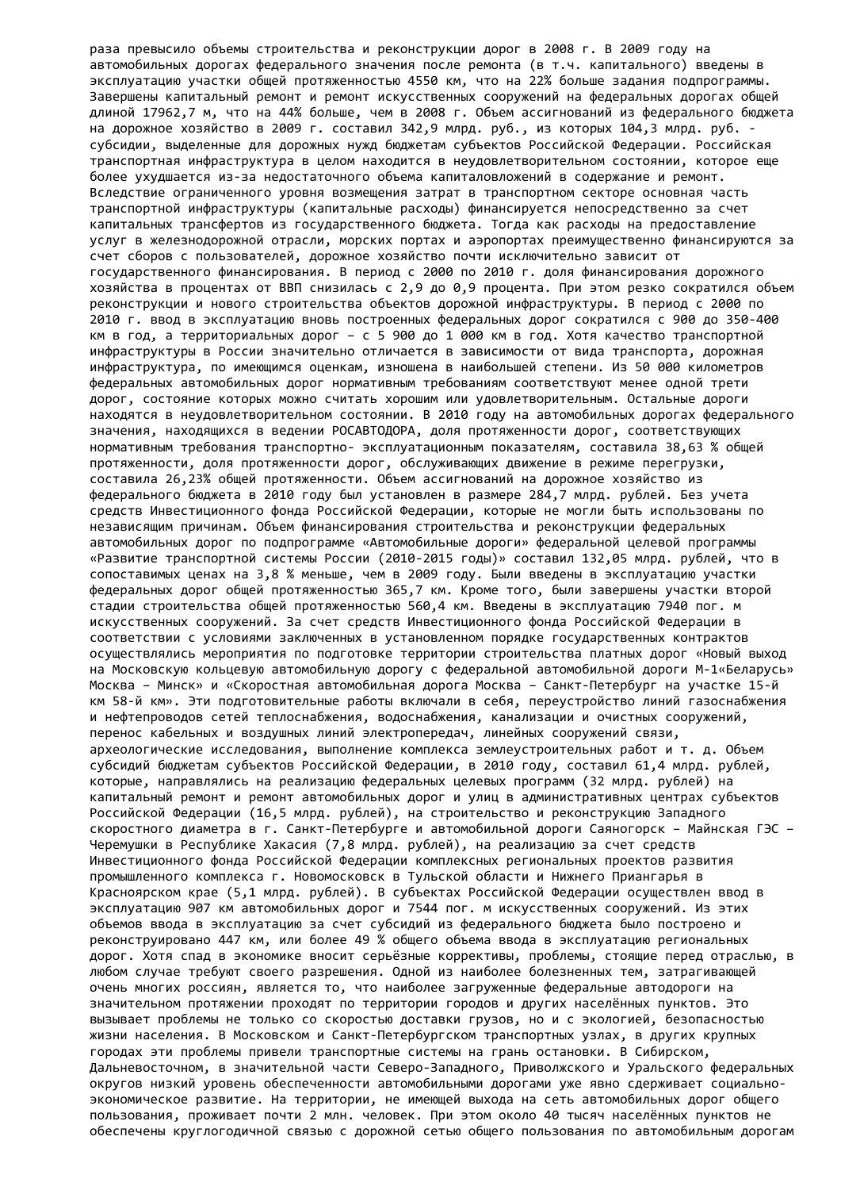раза превысило объемы строительства и реконструкции дорог в 2008 г. В 2009 году на автомобильных дорогах федерального значения после ремонта (в т.ч. капитального) введены в эксплуатацию участки общей протяженностью 4550 км, что на 22% больше задания подпрограммы. Завершены капитальный ремонт и ремонт искусственных сооружений на федеральных дорогах общей длиной 17962,7 м, что на 44% больше, чем в 2008 г. Объем ассигнований из федерального бюджета на дорожное хозяйство в 2009 г. составил 342,9 млрд. руб., из которых 104,3 млрд. руб. субсидии, выделенные для дорожных нужд бюджетам субъектов Российской Федерации. Российская транспортная инфраструктура в целом находится в неудовлетворительном состоянии, которое еще более ухудшается из-за недостаточного объема капиталовложений в содержание и ремонт. Вследствие ограниченного уровня возмещения затрат в транспортном секторе основная часть транспортной инфраструктуры (капитальные расходы) финансируется непосредственно за счет капитальных трансфертов из государственного бюджета. Тогда как расходы на предоставление услуг в железнодорожной отрасли, морских портах и аэропортах преимущественно финансируются за счет сборов с пользователей, дорожное хозяйство почти исключительно зависит от государственного финансирования. В период с 2000 по 2010 г. доля финансирования дорожного хозяйства в процентах от ВВП снизилась с 2,9 до 0,9 процента. При этом резко сократился объем реконструкции и нового строительства объектов дорожной инфраструктуры. В период с 2000 по 2010 г. ввод в эксплуатацию вновь построенных федеральных дорог сократился с 900 до 350-400 км в год, а территориальных дорог – с 5 900 до 1 000 км в год. Хотя качество транспортной инфраструктуры в России значительно отличается в зависимости от вида транспорта, дорожная инфраструктура, по имеющимся оценкам, изношена в наибольшей степени. Из 50 000 километров федеральных автомобильных дорог нормативным требованиям соответствуют менее одной трети дорог, состояние которых можно считать хорошим или удовлетворительным. Остальные дороги находятся в неудовлетворительном состоянии. В 2010 году на автомобильных дорогах федерального значения, находящихся в ведении РОСАВТОДОРА, доля протяженности дорог, соответствующих нормативным требования транспортно- эксплуатационным показателям, составила 38,63 % общей протяженности, доля протяженности дорог, обслуживающих движение в режиме перегрузки, составила 26,23% общей протяженности. Объем ассигнований на дорожное хозяйство из федерального бюджета в 2010 году был установлен в размере 284,7 млрд. рублей. Без учета средств Инвестиционного фонда Российской Федерации, которые не могли быть использованы по независящим причинам. Объем финансирования строительства и реконструкции федеральных автомобильных дорог по подпрограмме «Автомобильные дороги» федеральной целевой программы «Развитие транспортной системы России (2010-2015 годы)» составил 132,05 млрд. рублей, что в сопоставимых ценах на 3,8 % меньше, чем в 2009 году. Были введены в эксплуатацию участки федеральных дорог общей протяженностью 365,7 км. Кроме того, были завершены участки второй стадии строительства общей протяженностью 560,4 км. Введены в эксплуатацию 7940 пог. м искусственных сооружений. За счет средств Инвестиционного фонда Российской Федерации в соответствии с условиями заключенных в установленном порядке государственных контрактов осуществлялись мероприятия по подготовке территории строительства платных дорог «Новый выход на Московскую кольцевую автомобильную дорогу с федеральной автомобильной дороги М-1«Беларусь» Москва – Минск» и «Скоростная автомобильная дорога Москва – Санкт-Петербург на участке 15-й км 58-й км». Эти подготовительные работы включали в себя, переустройство линий газоснабжения и нефтепроводов сетей теплоснабжения, водоснабжения, канализации и очистных сооружений, перенос кабельных и воздушных линий электропередач, линейных сооружений связи, археологические исследования, выполнение комплекса землеустроительных работ и т. д. Объем субсидий бюджетам субъектов Российской Федерации, в 2010 году, составил 61,4 млрд. рублей, которые, направлялись на реализацию федеральных целевых программ (32 млрд. рублей) на капитальный ремонт и ремонт автомобильных дорог и улиц в административных центрах субъектов Российской Федерации (16,5 млрд. рублей), на строительство и реконструкцию Западного скоростного диаметра в г. Санкт-Петербурге и автомобильной дороги Саяногорск – Майнская ГЭС – Черемушки в Республике Хакасия (7,8 млрд. рублей), на реализацию за счет средств Инвестиционного фонда Российской Федерации комплексных региональных проектов развития промышленного комплекса г. Новомосковск в Тульской области и Нижнего Приангарья в Красноярском крае (5,1 млрд. рублей). В субъектах Российской Федерации осуществлен ввод в эксплуатацию 907 км автомобильных дорог и 7544 пог. м искусственных сооружений. Из этих объемов ввода в эксплуатацию за счет субсидий из федерального бюджета было построено и реконструировано 447 км, или более 49 % общего объема ввода в эксплуатацию региональных дорог. Хотя спад в экономике вносит серьёзные коррективы, проблемы, стоящие перед отраслью, в любом случае требуют своего разрешения. Одной из наиболее болезненных тем, затрагивающей очень многих россиян, является то, что наиболее загруженные федеральные автодороги на значительном протяжении проходят по территории городов и других населённых пунктов. Это вызывает проблемы не только со скоростью доставки грузов, но и с экологией, безопасностью жизни населения. В Московском и Санкт-Петербургском транспортных узлах, в других крупных городах эти проблемы привели транспортные системы на грань остановки. В Сибирском, Дальневосточном, в значительной части Северо-Западного, Приволжского и Уральского федеральных округов низкий уровень обеспеченности автомобильными дорогами уже явно сдерживает социальноэкономическое развитие. На территории, не имеющей выхода на сеть автомобильных дорог общего пользования, проживает почти 2 млн. человек. При этом около 40 тысяч населённых пунктов не обеспечены круглогодичной связью с дорожной сетью общего пользования по автомобильным дорогам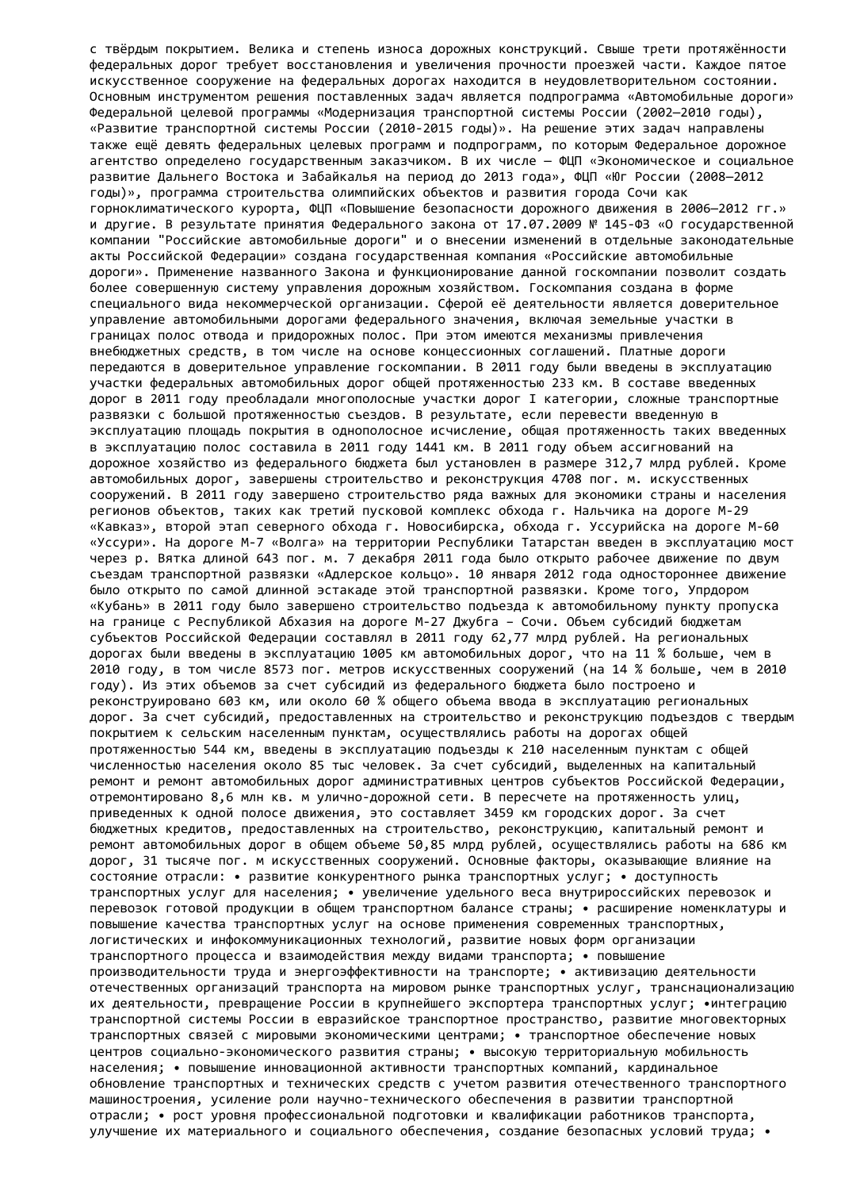с твёрдым покрытием. Велика и степень износа дорожных конструкций. Свыше трети протяжённости федеральных дорог требует восстановления и увеличения прочности проезжей части. Каждое пятое искусственное сооружение на федеральных дорогах находится в неудовлетворительном состоянии. Основным инструментом решения поставленных задач является подпрограмма «Автомобильные дороги» Федеральной целевой программы «Модернизация транспортной системы России (2002—2010 годы), «Развитие транспортной системы России (2010-2015 годы)». На решение этих задач направлены также ещё девять федеральных целевых программ и подпрограмм, по которым Федеральное дорожное агентство определено государственным заказчиком. В их числе — ФЦП «Экономическое и социальное развитие Дальнего Востока и Забайкалья на период до 2013 года», ФЦП «Юг России (2008—2012 годы)», программа строительства олимпийских объектов и развития города Сочи как горноклиматического курорта, ФЦП «Повышение безопасности дорожного движения в 2006—2012 гг.» и другие. В результате принятия Федерального закона от 17.07.2009 № 145-ФЗ «О государственной компании "Российские автомобильные дороги" и о внесении изменений в отдельные законодательные акты Российской Федерации» создана государственная компания «Российские автомобильные дороги». Применение названного Закона и функционирование данной госкомпании позволит создать более совершенную систему управления дорожным хозяйством. Госкомпания создана в форме специального вида некоммерческой организации. Сферой её деятельности является доверительное управление автомобильными дорогами федерального значения, включая земельные участки в границах полос отвода и придорожных полос. При этом имеются механизмы привлечения внебюджетных средств, в том числе на основе концессионных соглашений. Платные дороги передаются в доверительное управление госкомпании. В 2011 году были введены в эксплуатацию участки федеральных автомобильных дорог общей протяженностью 233 км. В составе введенных дорог в 2011 году преобладали многополосные участки дорог I категории, сложные транспортные развязки с большой протяженностью съездов. В результате, если перевести введенную в эксплуатацию площадь покрытия в однополосное исчисление, общая протяженность таких введенных в эксплуатацию полос составила в 2011 году 1441 км. В 2011 году объем ассигнований на дорожное хозяйство из федерального бюджета был установлен в размере 312,7 млрд рублей. Кроме автомобильных дорог, завершены строительство и реконструкция 4708 пог. м. искусственных сооружений. В 2011 году завершено строительство ряда важных для экономики страны и населения регионов объектов, таких как третий пусковой комплекс обхода г. Нальчика на дороге М-29 «Кавказ», второй этап северного обхода г. Новосибирска, обхода г. Уссурийска на дороге М-60 «Уссури». На дороге М-7 «Волга» на территории Республики Татарстан введен в эксплуатацию мост через р. Вятка длиной 643 пог. м. 7 декабря 2011 года было открыто рабочее движение по двум съездам транспортной развязки «Адлерское кольцо». 10 января 2012 года одностороннее движение было открыто по самой длинной эстакаде этой транспортной развязки. Кроме того, Упрдором «Кубань» в 2011 году было завершено строительство подъезда к автомобильному пункту пропуска на границе с Республикой Абхазия на дороге М-27 Джубга – Сочи. Объем субсидий бюджетам субъектов Российской Федерации составлял в 2011 году 62,77 млрд рублей. На региональных дорогах были введены в эксплуатацию 1005 км автомобильных дорог, что на 11 % больше, чем в 2010 году, в том числе 8573 пог. метров искусственных сооружений (на 14 % больше, чем в 2010 году). Из этих объемов за счет субсидий из федерального бюджета было построено и реконструировано 603 км, или около 60 % общего объема ввода в эксплуатацию региональных дорог. За счет субсидий, предоставленных на строительство и реконструкцию подъездов с твердым покрытием к сельским населенным пунктам, осуществлялись работы на дорогах общей протяженностью 544 км, введены в эксплуатацию подъезды к 210 населенным пунктам с общей численностью населения около 85 тыс человек. За счет субсидий, выделенных на капитальный ремонт и ремонт автомобильных дорог административных центров субъектов Российской Федерации, отремонтировано 8,6 млн кв. м улично-дорожной сети. В пересчете на протяженность улиц, приведенных к одной полосе движения, это составляет 3459 км городских дорог. За счет бюджетных кредитов, предоставленных на строительство, реконструкцию, капитальный ремонт и ремонт автомобильных дорог в общем объеме 50,85 млрд рублей, осуществлялись работы на 686 км дорог, 31 тысяче пог. м искусственных сооружений. Основные факторы, оказывающие влияние на состояние отрасли: • развитие конкурентного рынка транспортных услуг; • доступность транспортных услуг для населения; • увеличение удельного веса внутрироссийских перевозок и перевозок готовой продукции в общем транспортном балансе страны; • расширение номенклатуры и повышение качества транспортных услуг на основе применения современных транспортных, логистических и инфокоммуникационных технологий, развитие новых форм организации транспортного процесса и взаимодействия между видами транспорта; • повышение производительности труда и энергоэффективности на транспорте; • активизацию деятельности отечественных организаций транспорта на мировом рынке транспортных услуг, транснационализацию их деятельности, превращение России в крупнейшего экспортера транспортных услуг; •интеграцию транспортной системы России в евразийское транспортное пространство, развитие многовекторных транспортных связей с мировыми экономическими центрами; • транспортное обеспечение новых центров социально-экономического развития страны; • высокую территориальную мобильность населения; • повышение инновационной активности транспортных компаний, кардинальное обновление транспортных и технических средств с учетом развития отечественного транспортного машиностроения, усиление роли научно-технического обеспечения в развитии транспортной отрасли; • рост уровня профессиональной подготовки и квалификации работников транспорта, улучшение их материального и социального обеспечения, создание безопасных условий труда; •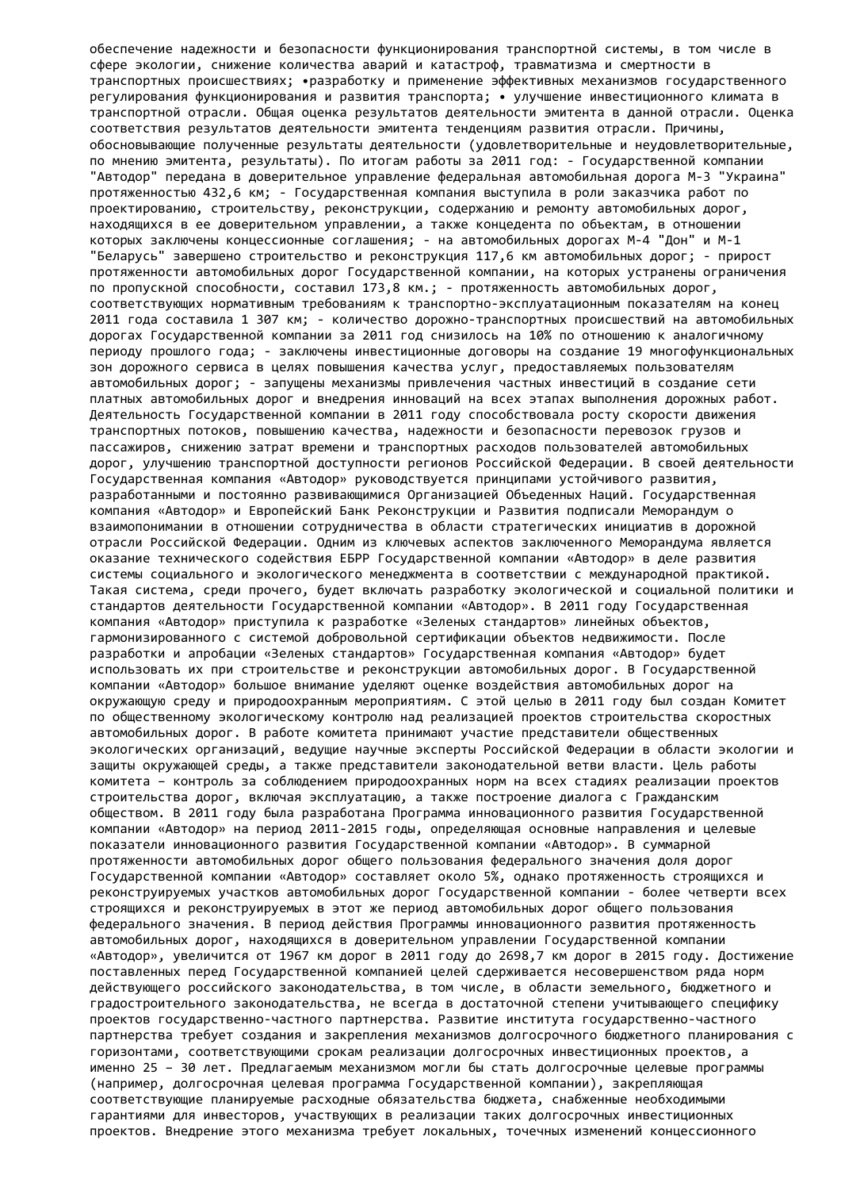обеспечение надежности и безопасности функционирования транспортной системы, в том числе в сфере экологии, снижение количества аварий и катастроф, травматизма и смертности в транспортных происшествиях; •разработку и применение эффективных механизмов государственного регулирования функционирования и развития транспорта; • улучшение инвестиционного климата в транспортной отрасли. Общая оценка результатов деятельности эмитента в данной отрасли. Оценка соответствия результатов деятельности эмитента тенденциям развития отрасли. Причины, обосновывающие полученные результаты деятельности (удовлетворительные и неудовлетворительные, по мнению эмитента, результаты). По итогам работы за 2011 год: - Государственной компании "Автодор" передана в доверительное управление федеральная автомобильная дорога М-3 "Украина" протяженностью 432,6 км; - Государственная компания выступила в роли заказчика работ по проектированию, строительству, реконструкции, содержанию и ремонту автомобильных дорог, находящихся в ее доверительном управлении, а также концедента по объектам, в отношении которых заключены концессионные соглашения; - на автомобильных дорогах М-4 "Дон" и М-1 "Беларусь" завершено строительство и реконструкция 117,6 км автомобильных дорог; - прирост протяженности автомобильных дорог Государственной компании, на которых устранены ограничения по пропускной способности, составил 173,8 км.; - протяженность автомобильных дорог, соответствующих нормативным требованиям к транспортно-эксплуатационным показателям на конец 2011 года составила 1 307 км; - количество дорожно-транспортных происшествий на автомобильных дорогах Государственной компании за 2011 год снизилось на 10% по отношению к аналогичному периоду прошлого года; - заключены инвестиционные договоры на создание 19 многофункциональных зон дорожного сервиса в целях повышения качества услуг, предоставляемых пользователям автомобильных дорог; - запущены механизмы привлечения частных инвестиций в создание сети платных автомобильных дорог и внедрения инноваций на всех этапах выполнения дорожных работ. Деятельность Государственной компании в 2011 году способствовала росту скорости движения транспортных потоков, повышению качества, надежности и безопасности перевозок грузов и пассажиров, снижению затрат времени и транспортных расходов пользователей автомобильных дорог, улучшению транспортной доступности регионов Российской Федерации. В своей деятельности Государственная компания «Автодор» руководствуется принципами устойчивого развития, разработанными и постоянно развивающимися Организацией Объеденных Наций. Государственная компания «Автодор» и Европейский Банк Реконструкции и Развития подписали Меморандум о взаимопонимании в отношении сотрудничества в области стратегических инициатив в дорожной отрасли Российской Федерации. Одним из ключевых аспектов заключенного Меморандума является оказание технического содействия ЕБРР Государственной компании «Автодор» в деле развития системы социального и экологического менеджмента в соответствии с международной практикой. Такая система, среди прочего, будет включать разработку экологической и социальной политики и стандартов деятельности Государственной компании «Автодор». В 2011 году Государственная компания «Автодор» приступила к разработке «Зеленых стандартов» линейных объектов, гармонизированного с системой добровольной сертификации объектов недвижимости. После разработки и апробации «Зеленых стандартов» Государственная компания «Автодор» будет использовать их при строительстве и реконструкции автомобильных дорог. В Государственной компании «Автодор» большое внимание уделяют оценке воздействия автомобильных дорог на окружающую среду и природоохранным мероприятиям. С этой целью в 2011 году был создан Комитет по общественному экологическому контролю над реализацией проектов строительства скоростных автомобильных дорог. В работе комитета принимают участие представители общественных экологических организаций, ведущие научные эксперты Российской Федерации в области экологии и защиты окружающей среды, а также представители законодательной ветви власти. Цель работы комитета – контроль за соблюдением природоохранных норм на всех стадиях реализации проектов строительства дорог, включая эксплуатацию, а также построение диалога с Гражданским обществом. В 2011 году была разработана Программа инновационного развития Государственной компании «Автодор» на период 2011-2015 годы, определяющая основные направления и целевые показатели инновационного развития Государственной компании «Автодор». В суммарной протяженности автомобильных дорог общего пользования федерального значения доля дорог Государственной компании «Автодор» составляет около 5%, однако протяженность строящихся и реконструируемых участков автомобильных дорог Государственной компании - более четверти всех строящихся и реконструируемых в этот же период автомобильных дорог общего пользования федерального значения. В период действия Программы инновационного развития протяженность автомобильных дорог, находящихся в доверительном управлении Государственной компании «Автодор», увеличится от 1967 км дорог в 2011 году до 2698,7 км дорог в 2015 году. Достижение поставленных перед Государственной компанией целей сдерживается несовершенством ряда норм действующего российского законодательства, в том числе, в области земельного, бюджетного и градостроительного законодательства, не всегда в достаточной степени учитывающего специфику проектов государственно-частного партнерства. Развитие института государственно-частного партнерства требует создания и закрепления механизмов долгосрочного бюджетного планирования с горизонтами, соответствующими срокам реализации долгосрочных инвестиционных проектов, а именно 25 – 30 лет. Предлагаемым механизмом могли бы стать долгосрочные целевые программы (например, долгосрочная целевая программа Государственной компании), закрепляющая соответствующие планируемые расходные обязательства бюджета, снабженные необходимыми гарантиями для инвесторов, участвующих в реализации таких долгосрочных инвестиционных проектов. Внедрение этого механизма требует локальных, точечных изменений концессионного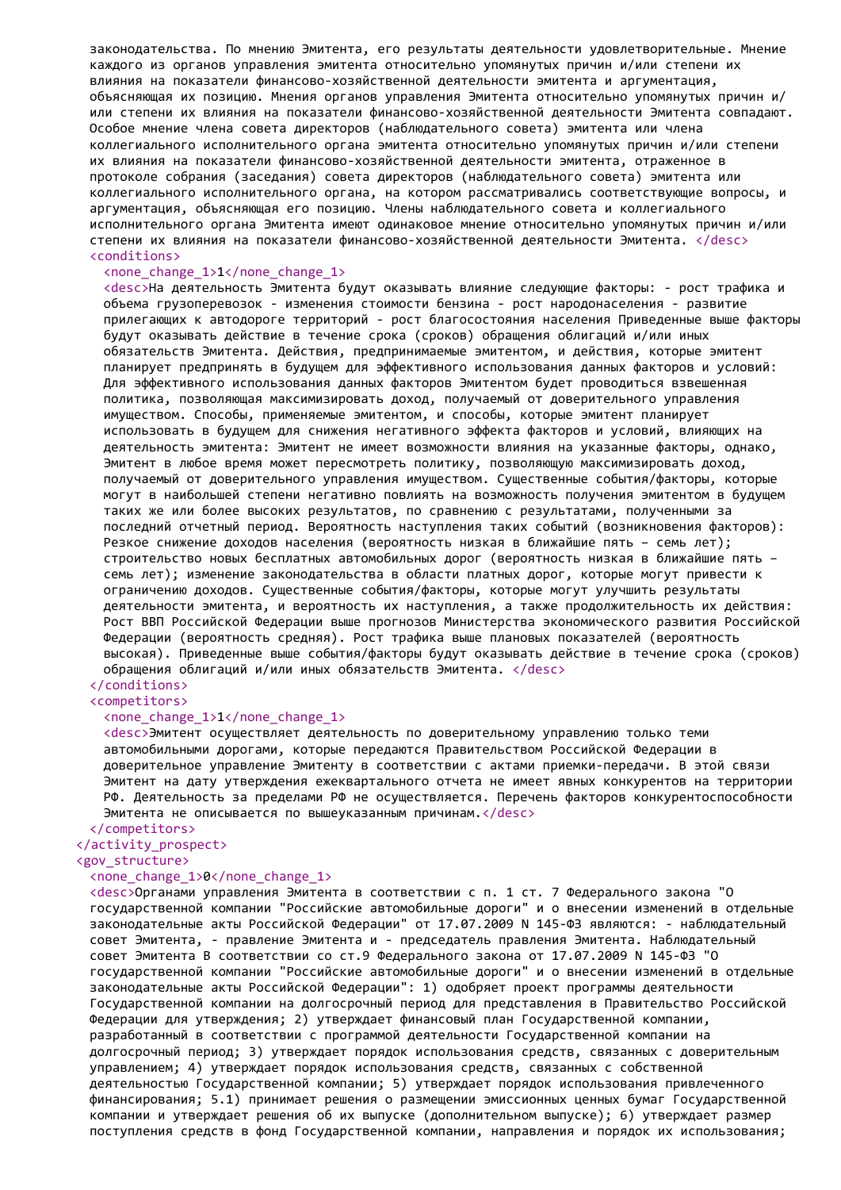законодательства. По мнению Эмитента, его результаты деятельности удовлетворительные. Мнение каждого из органов управления эмитента относительно упомянутых причин и/или степени их влияния на показатели финансово-хозяйственной деятельности эмитента и аргументация, объясняющая их позицию. Мнения органов управления Эмитента относительно упомянутых причин и/ или степени их влияния на показатели финансово-хозяйственной деятельности Эмитента совпадают. Особое мнение члена совета директоров (наблюдательного совета) эмитента или члена коллегиального исполнительного органа эмитента относительно упомянутых причин и/или степени их влияния на показатели финансово-хозяйственной деятельности эмитента, отраженное в протоколе собрания (заседания) совета директоров (наблюдательного совета) эмитента или коллегиального исполнительного органа, на котором рассматривались соответствующие вопросы, и аргументация, объясняющая его позицию. Члены наблюдательного совета и коллегиального исполнительного органа Эмитента имеют одинаковое мнение относительно упомянутых причин и/или степени их влияния на показатели финансово-хозяйственной деятельности Эмитента. </desc> <conditions>

#### $\langle$  none\_change\_1>1 $\langle$ /none\_change\_1>

<desc>На деятельность Эмитента будут оказывать влияние следующие факторы: - рост трафика и объема грузоперевозок - изменения стоимости бензина - рост народонаселения - развитие прилегающих к автодороге территорий - рост благосостояния населения Приведенные выше факторы будут оказывать действие в течение срока (сроков) обращения облигаций и/или иных обязательств Эмитента. Действия, предпринимаемые эмитентом, и действия, которые эмитент планирует предпринять в будущем для эффективного использования данных факторов и условий: Для эффективного использования данных факторов Эмитентом будет проводиться взвешенная политика, позволяющая максимизировать доход, получаемый от доверительного управления имуществом. Способы, применяемые эмитентом, и способы, которые эмитент планирует использовать в будущем для снижения негативного эффекта факторов и условий, влияющих на деятельность эмитента: Эмитент не имеет возможности влияния на указанные факторы, однако, Эмитент в любое время может пересмотреть политику, позволяющую максимизировать доход, получаемый от доверительного управления имуществом. Существенные события/факторы, которые могут в наибольшей степени негативно повлиять на возможность получения эмитентом в будущем таких же или более высоких результатов, по сравнению с результатами, полученными за последний отчетный период. Вероятность наступления таких событий (возникновения факторов): Резкое снижение доходов населения (вероятность низкая в ближайшие пять – семь лет); строительство новых бесплатных автомобильных дорог (вероятность низкая в ближайшие пять – семь лет); изменение законодательства в области платных дорог, которые могут привести к ограничению доходов. Существенные события/факторы, которые могут улучшить результаты деятельности эмитента, и вероятность их наступления, а также продолжительность их действия: Рост ВВП Российской Федерации выше прогнозов Министерства экономического развития Российской Федерации (вероятность средняя). Рост трафика выше плановых показателей (вероятность высокая). Приведенные выше события/факторы будут оказывать действие в течение срока (сроков) обращения облигаций и/или иных обязательств Эмитента. </desc>

# </conditions>

## <competitors>

## $\langle$  none change  $1$ >1 $\langle$ /none change  $1$ >

<desc>Эмитент осуществляет деятельность по доверительному управлению только теми автомобильными дорогами, которые передаются Правительством Российской Федерации в доверительное управление Эмитенту в соответствии с актами приемки-передачи. В этой связи Эмитент на дату утверждения ежеквартального отчета не имеет явных конкурентов на территории РФ. Деятельность за пределами РФ не осуществляется. Перечень факторов конкурентоспособности Эмитента не описывается по вышеуказанным причинам.</desc>

## </competitors>

#### </activity\_prospect>

#### <gov\_structure>

### <none\_change\_1>0</none\_change\_1>

<desc>Органами управления Эмитента в соответствии с п. 1 ст. 7 Федерального закона "О государственной компании "Российские автомобильные дороги" и о внесении изменений в отдельные законодательные акты Российской Федерации" от 17.07.2009 N 145-ФЗ являются: - наблюдательный совет Эмитента, - правление Эмитента и - председатель правления Эмитента. Наблюдательный совет Эмитента В соответствии со ст.9 Федерального закона от 17.07.2009 N 145-ФЗ "О государственной компании "Российские автомобильные дороги" и о внесении изменений в отдельные законодательные акты Российской Федерации": 1) одобряет проект программы деятельности Государственной компании на долгосрочный период для представления в Правительство Российской Федерации для утверждения; 2) утверждает финансовый план Государственной компании, разработанный в соответствии с программой деятельности Государственной компании на долгосрочный период; 3) утверждает порядок использования средств, связанных с доверительным управлением; 4) утверждает порядок использования средств, связанных с собственной деятельностью Государственной компании; 5) утверждает порядок использования привлеченного финансирования; 5.1) принимает решения о размещении эмиссионных ценных бумаг Государственной компании и утверждает решения об их выпуске (дополнительном выпуске); 6) утверждает размер поступления средств в фонд Государственной компании, направления и порядок их использования;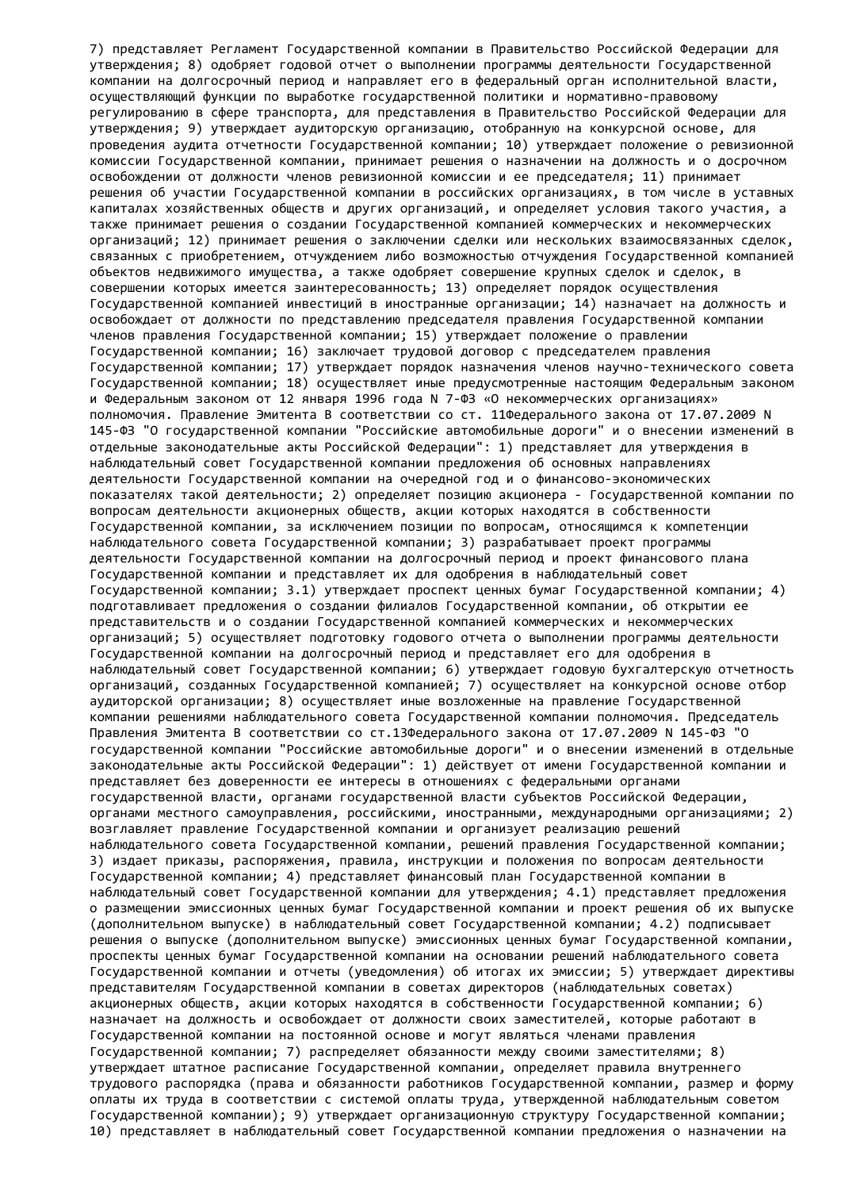7) представляет Регламент Государственной компании в Правительство Российской Федерации для утверждения; 8) одобряет годовой отчет о выполнении программы деятельности Государственной компании на долгосрочный период и направляет его в федеральный орган исполнительной власти, осуществляющий функции по выработке государственной политики и нормативно-правовому регулированию в сфере транспорта, для представления в Правительство Российской Федерации для утверждения; 9) утверждает аудиторскую организацию, отобранную на конкурсной основе, для проведения аудита отчетности Государственной компании; 10) утверждает положение о ревизионной комиссии Государственной компании, принимает решения о назначении на должность и о досрочном освобождении от должности членов ревизионной комиссии и ее председателя; 11) принимает решения об участии Государственной компании в российских организациях, в том числе в уставных капиталах хозяйственных обществ и других организаций, и определяет условия такого участия, а также принимает решения о создании Государственной компанией коммерческих и некоммерческих организаций; 12) принимает решения о заключении сделки или нескольких взаимосвязанных сделок, связанных с приобретением, отчуждением либо возможностью отчуждения Государственной компанией объектов недвижимого имущества, а также одобряет совершение крупных сделок и сделок, в совершении которых имеется заинтересованность; 13) определяет порядок осуществления Государственной компанией инвестиций в иностранные организации; 14) назначает на должность и освобождает от должности по представлению председателя правления Государственной компании членов правления Государственной компании; 15) утверждает положение о правлении Государственной компании; 16) заключает трудовой договор с председателем правления Государственной компании; 17) утверждает порядок назначения членов научно-технического совета Государственной компании; 18) осуществляет иные предусмотренные настоящим Федеральным законом и Федеральным законом от 12 января 1996 года N 7-ФЗ «О некоммерческих организациях» полномочия. Правление Эмитента В соответствии со ст. 11Федерального закона от 17.07.2009 N 145-ФЗ "О государственной компании "Российские автомобильные дороги" и о внесении изменений в отдельные законодательные акты Российской Федерации": 1) представляет для утверждения в наблюдательный совет Государственной компании предложения об основных направлениях деятельности Государственной компании на очередной год и о финансово-экономических показателях такой деятельности; 2) определяет позицию акционера - Государственной компании по вопросам деятельности акционерных обществ, акции которых находятся в собственности Государственной компании, за исключением позиции по вопросам, относящимся к компетенции наблюдательного совета Государственной компании; 3) разрабатывает проект программы деятельности Государственной компании на долгосрочный период и проект финансового плана Государственной компании и представляет их для одобрения в наблюдательный совет Государственной компании; 3.1) утверждает проспект ценных бумаг Государственной компании; 4) подготавливает предложения о создании филиалов Государственной компании, об открытии ее представительств и о создании Государственной компанией коммерческих и некоммерческих организаций; 5) осуществляет подготовку годового отчета о выполнении программы деятельности Государственной компании на долгосрочный период и представляет его для одобрения в наблюдательный совет Государственной компании; 6) утверждает годовую бухгалтерскую отчетность организаций, созданных Государственной компанией; 7) осуществляет на конкурсной основе отбор аудиторской организации; 8) осуществляет иные возложенные на правление Государственной компании решениями наблюдательного совета Государственной компании полномочия. Председатель Правления Эмитента В соответствии со ст.13Федерального закона от 17.07.2009 N 145-ФЗ "О государственной компании "Российские автомобильные дороги" и о внесении изменений в отдельные законодательные акты Российской Федерации": 1) действует от имени Государственной компании и представляет без доверенности ее интересы в отношениях с федеральными органами государственной власти, органами государственной власти субъектов Российской Федерации, органами местного самоуправления, российскими, иностранными, международными организациями; 2) возглавляет правление Государственной компании и организует реализацию решений наблюдательного совета Государственной компании, решений правления Государственной компании; 3) издает приказы, распоряжения, правила, инструкции и положения по вопросам деятельности Государственной компании; 4) представляет финансовый план Государственной компании в наблюдательный совет Государственной компании для утверждения; 4.1) представляет предложения о размещении эмиссионных ценных бумаг Государственной компании и проект решения об их выпуске (дополнительном выпуске) в наблюдательный совет Государственной компании; 4.2) подписывает решения о выпуске (дополнительном выпуске) эмиссионных ценных бумаг Государственной компании, проспекты ценных бумаг Государственной компании на основании решений наблюдательного совета Государственной компании и отчеты (уведомления) об итогах их эмиссии; 5) утверждает директивы представителям Государственной компании в советах директоров (наблюдательных советах) акционерных обществ, акции которых находятся в собственности Государственной компании; 6) назначает на должность и освобождает от должности своих заместителей, которые работают в Государственной компании на постоянной основе и могут являться членами правления Государственной компании; 7) распределяет обязанности между своими заместителями; 8) утверждает штатное расписание Государственной компании, определяет правила внутреннего трудового распорядка (права и обязанности работников Государственной компании, размер и форму оплаты их труда в соответствии с системой оплаты труда, утвержденной наблюдательным советом Государственной компании); 9) утверждает организационную структуру Государственной компании; 10) представляет в наблюдательный совет Государственной компании предложения о назначении на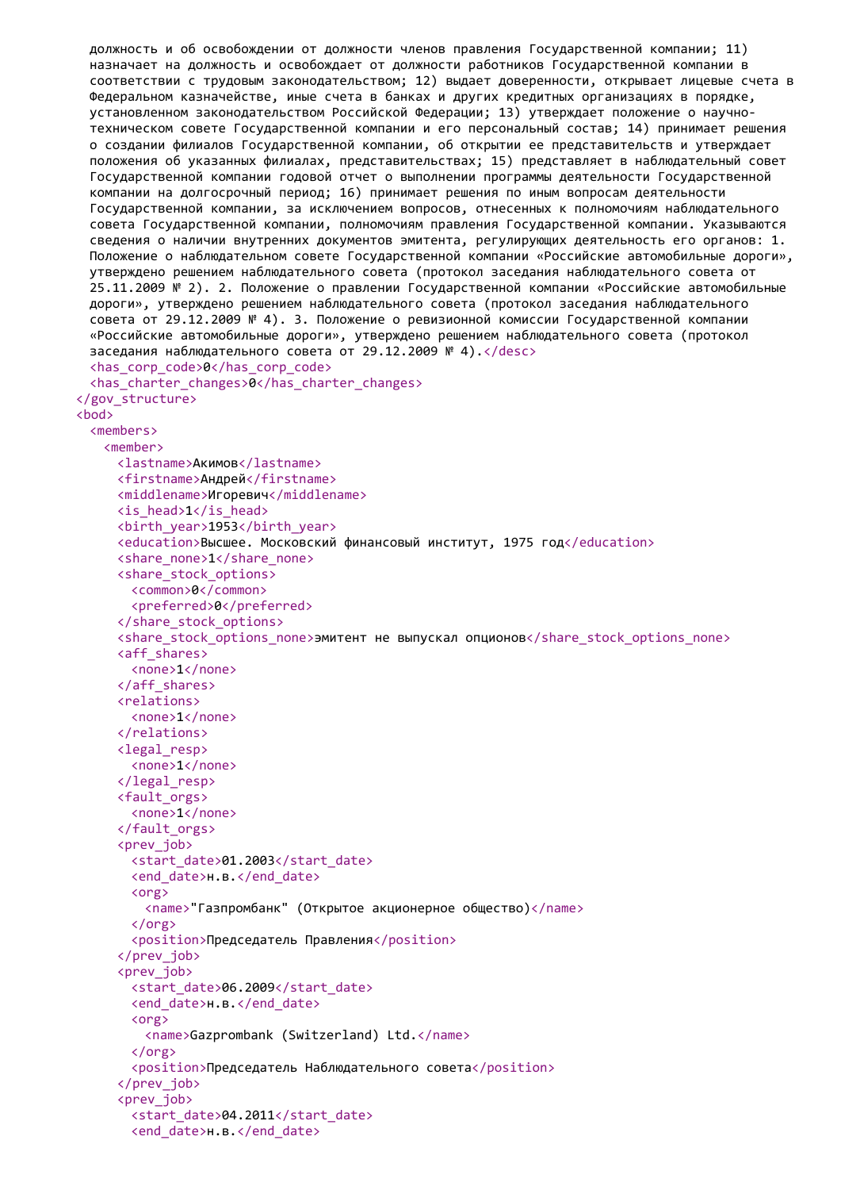```
должность и об освобождении от должности членов правления Государственной компании; 11)
 назначает на должность и освобождает от должности работников Государственной компании в
 соответствии с трудовым законодательством; 12) выдает доверенности, открывает лицевые счета в
 Федеральном казначействе, иные счета в банках и других кредитных организациях в порядке,
 установленном законодательством Российской Федерации; 13) утверждает положение о научно-
 техническом совете Государственной компании и его персональный состав; 14) принимает решения
 о создании филиалов Государственной компании, об открытии ее представительств и утверждает
 положения об указанных филиалах, представительствах; 15) представляет в наблюдательный совет
 Государственной компании годовой отчет о выполнении программы деятельности Государственной
 компании на долгосрочный период; 16) принимает решения по иным вопросам деятельности
 Государственной компании, за исключением вопросов, отнесенных к полномочиям наблюдательного
 совета Государственной компании, полномочиям правления Государственной компании. Указываются
 сведения о наличии внутренних документов эмитента, регулирующих деятельность его органов: 1.
 Положение о наблюдательном совете Государственной компании «Российские автомобильные дороги»,
 утверждено решением наблюдательного совета (протокол заседания наблюдательного совета от
 25.11.2009 № 2). 2. Положение о правлении Государственной компании «Российские автомобильные
 дороги», утверждено решением наблюдательного совета (протокол заседания наблюдательного
 совета от 29.12.2009 № 4). 3. Положение о ревизионной комиссии Государственной компании
 «Российские автомобильные дороги», утверждено решением наблюдательного совета (протокол
 заседания наблюдательного совета от 29.12.2009 № 4).</desc>
 <has_corp_code>0</has_corp_code>
 <has_charter_changes>0</has_charter_changes>
</gov_structure>
<bod>
 <members>
   <member>
     <lastname>Акимов</lastname>
     <firstname>Андрей</firstname>
     <middlename>Игоревич</middlename>
     <is_head>1</is_head>
     <birth_year>1953</birth_year>
     <education>Высшее. Московский финансовый институт, 1975 год</education>
     <share_none>1</share_none>
     <share_stock_options>
       <common>0</common>
       <preferred>0</preferred>
     </share_stock_options>
     <share stock options none>эмитент не выпускал опционов</share stock options none>
     <aff_shares>
       <none>1</none>
     </aff_shares>
     <relations>
       <none>1</none>
     </relations>
     <legal_resp>
       <none>1</none>
     </legal_resp>
     <fault_orgs>
       <none>1</none>
     </fault_orgs>
     <prev_iob>
       <start_date>01.2003</start_date>
       <end date>н.в.</end date>
       <org>
         <name>"Газпромбанк" (Открытое акционерное общество)</name>
       \zeta/org\zeta<position>Председатель Правления</position>
     </prev_job>
     <prev_job>
       <start_date>06.2009</start_date>
       <end date>н.в.</end date>
       <org>
         <name>Gazprombank (Switzerland) Ltd.</name>
       </org>
       <position>Председатель Наблюдательного совета</position>
     </prev_job>
     <prev_job>
       <start_date>04.2011</start_date>
       <end_date>н.в.</end_date>
```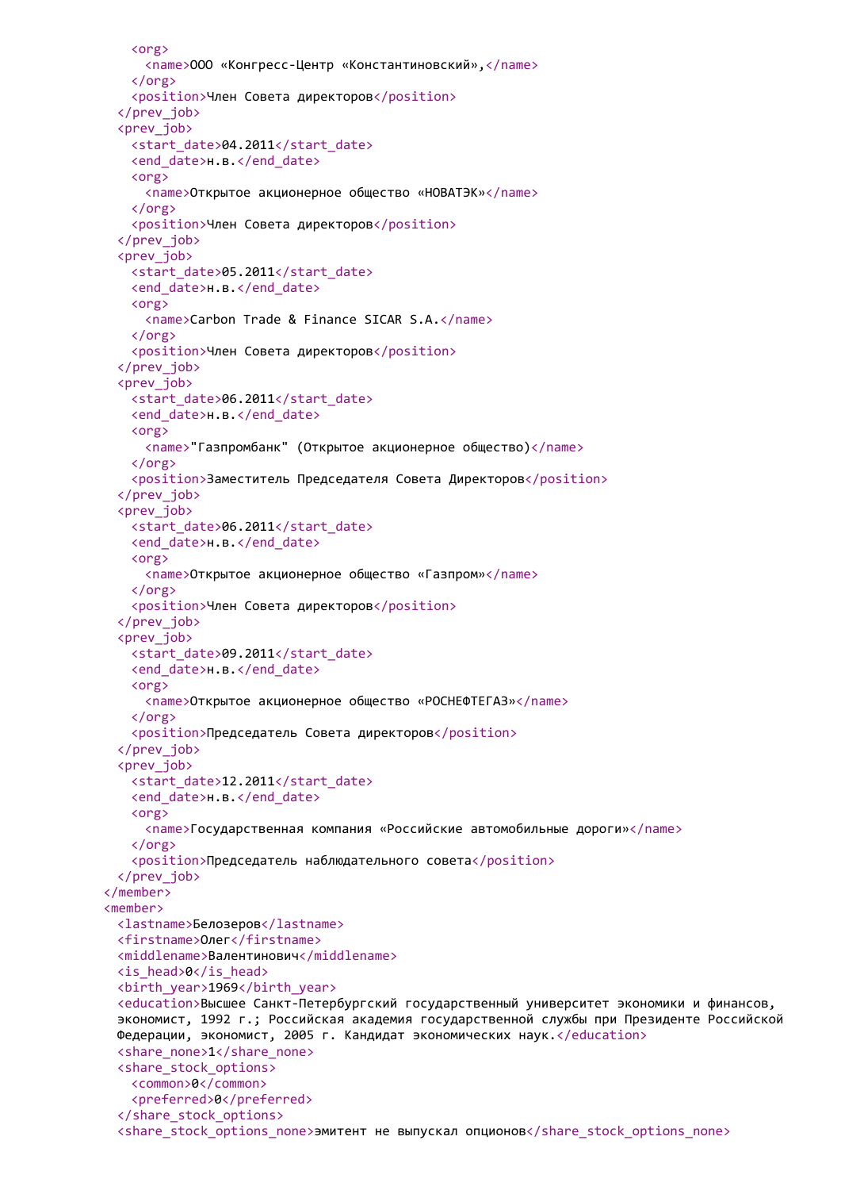```
<org>
     <name>ООО «Конгресс-Центр «Константиновский»,</name>
   </org>
   <position>Член Совета директоров</position>
 </prev_job>
 <prev_job>
   <start_date>04.2011</start_date>
   <end date>н.в.</end date>
   <org>
     <name>Открытое акционерное общество «НОВАТЭК»</name>
   </org>
   <position>Член Совета директоров</position>
 </prev_job>
 <prev_job>
   <start_date>05.2011</start_date>
   <end date>н.в.</end date>
   <org>
     <name>Carbon Trade & Finanсe SICAR S.A.</name>
   </org>
   <position>Член Совета директоров</position>
 </prev_job>
 <prev_job>
   <start_date>06.2011</start_date>
   <end date>н.в.</end date>
   <org>
     <name>"Газпромбанк" (Открытое акционерное общество)</name>
   </org>
   <position>Заместитель Председателя Совета Директоров</position>
 </prev_job>
 <prev_job>
   <start_date>06.2011</start_date>
   <end_date>н.в.</end_date>
   <org>
     <name>Открытое акционерное общество «Газпром»</name>
   </org>
   <position>Член Совета директоров</position>
 </prev_job>
 <prev_job>
   <start_date>09.2011</start_date>
   <end date>н.в.</end date>
   <org>
     <name>Открытое акционерное общество «РОСНЕФТЕГАЗ»</name>
   </org>
   <position>Председатель Совета директоров</position>
 </prev_job>
 <prev_job>
   <start_date>12.2011</start_date>
   <end date>н.в.</end date>
   <org>
     <name>Государственная компания «Российские автомобильные дороги»</name>
   </org>
   <position>Председатель наблюдательного совета</position>
 </prev_job>
</member>
<member>
 <lastname>Белозеров</lastname>
 <firstname>Олег</firstname>
 <middlename>Валентинович</middlename>
 <is_head>0</is_head>
 <birth_year>1969</birth_year>
 <education>Высшее Санкт-Петербургский государственный университет экономики и финансов,
 экономист, 1992 г.; Российская академия государственной службы при Президенте Российской
 Федерации, экономист, 2005 г. Кандидат экономических наук.</education>
 <share_none>1</share_none>
 <share_stock_options>
   <common>0</common>
   <preferred>0</preferred>
 </share_stock_options>
 <share_stock_options_none>эмитент не выпускал опционов</share_stock_options_none>
```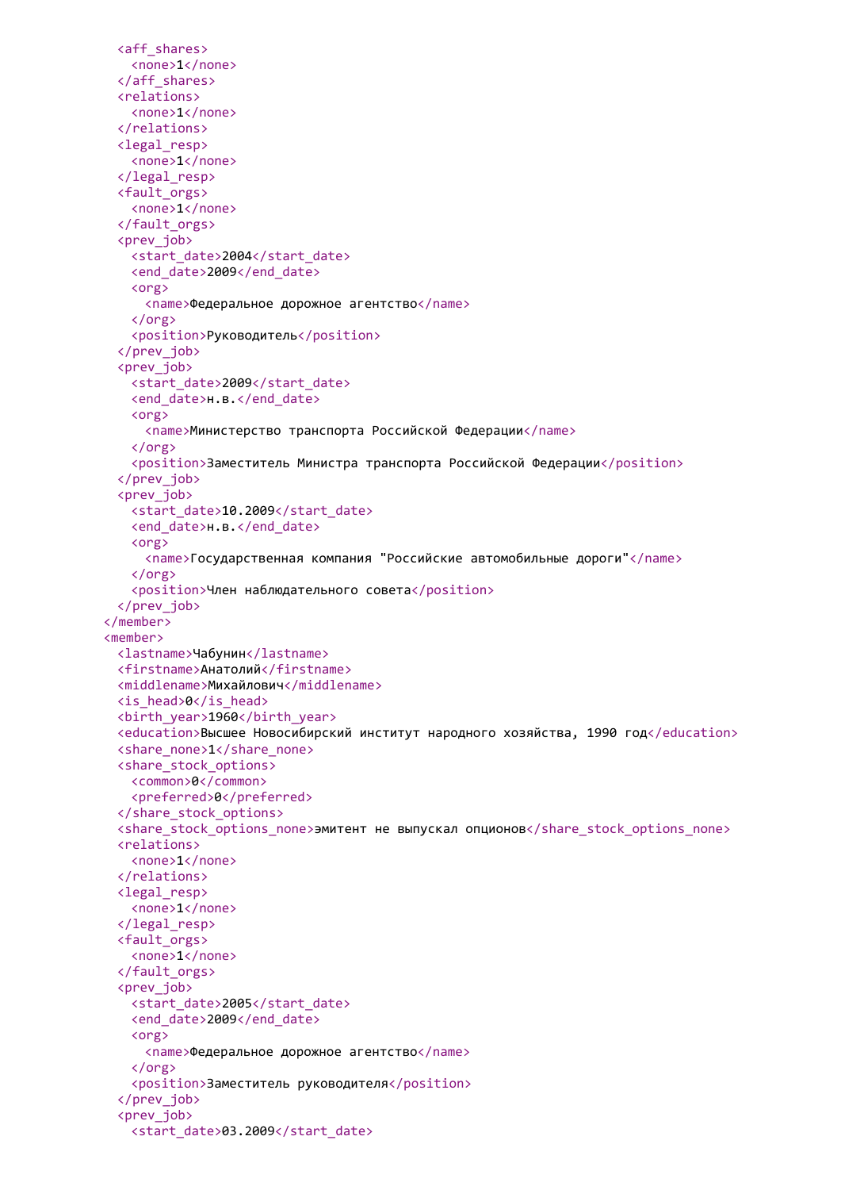```
<aff_shares>
   <none>1</none>
 </aff_shares>
 <relations>
   <none>1</none>
 </relations>
 <legal_resp>
   <none>1</none>
 </legal_resp>
 <fault_orgs>
   <none>1</none>
 </fault_orgs>
 <prev_job>
   <start_date>2004</start_date>
   <end_date>2009</end_date>
   <org>
     <name>Федеральное дорожное агентство</name>
   </org>
   <position>Руководитель</position>
 </prev_job>
 <prev_job>
   <start date>2009</start date>
   <end date>н.в.</end date>
   <org>
     <name>Министерство транспорта Российской Федерации</name>
   </org>
   <position>Заместитель Министра транспорта Российской Федерации</position>
 </prev_job>
 <prev_job>
   <start_date>10.2009</start_date>
   <end date>н.в.</end date>
   <org>
     <name>Государственная компания "Российские автомобильные дороги"</name>
   </org>
   <position>Член наблюдательного совета</position>
 </prev_job>
</member>
<member>
 <lastname>Чабунин</lastname>
 <firstname>Анатолий</firstname>
 <middlename>Михайлович</middlename>
 <is_head>0</is_head>
 <birth_year>1960</birth_year>
 <education>Высшее Новосибирский институт народного хозяйства, 1990 год</education>
 <share_none>1</share_none>
 <share_stock_options>
   <common>0</common>
   <preferred>0</preferred>
 </share_stock_options>
 <share_stock_options_none>эмитент не выпускал опционов</share_stock_options_none>
 <relations>
   <none>1</none>
 </relations>
 <legal_resp>
   <none>1</none>
 </legal_resp>
 <fault_orgs>
   <none>1</none>
 </fault_orgs>
 <prev_iob>
   <start_date>2005</start_date>
   <end date>2009</end date>
   <org>
     <name>Федеральное дорожное агентство</name>
   </org>
   <position>Заместитель руководителя</position>
 </prev_job>
 <prev_job>
   <start_date>03.2009</start_date>
```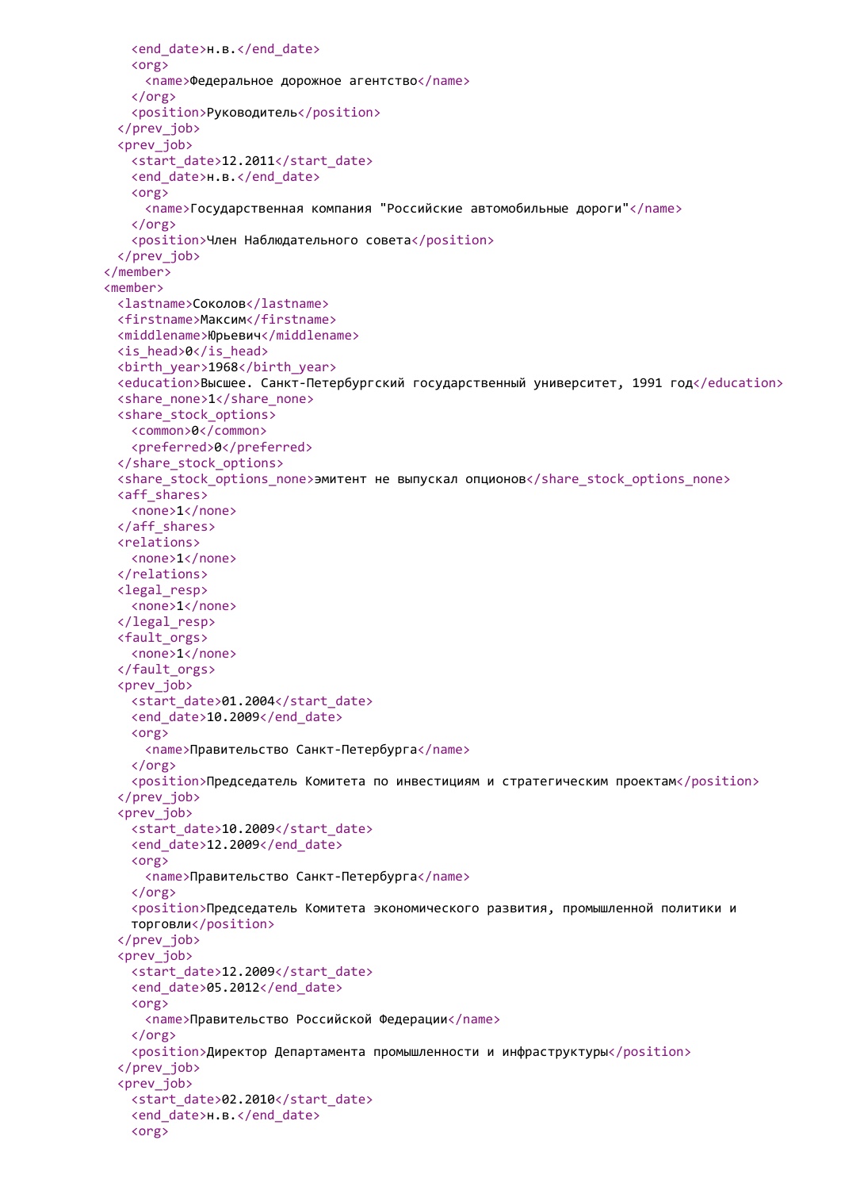```
<end_date>н.в.</end_date>
   <org>
     <name>Федеральное дорожное агентство</name>
   </org>
   <position>Руководитель</position>
 </prev_job>
 <prev_job>
   <start_date>12.2011</start_date>
   <end_date>н.в.</end_date>
   <org>
     <name>Государственная компания "Российские автомобильные дороги"</name>
   </org>
   <position>Член Наблюдательного совета</position>
 </prev_job>
</member>
<member>
 <lastname>Соколов</lastname>
 <firstname>Максим</firstname>
 <middlename>Юрьевич</middlename>
 <is_head>0</is_head>
 <birth_year>1968</birth_year>
 <education>Высшее. Санкт-Петербургский государственный университет, 1991 год</education>
 <share_none>1</share_none>
 <share_stock_options>
   <common>0</common>
   <preferred>0</preferred>
 </share_stock_options>
 <share stock options none>эмитент не выпускал опционов</share stock options none>
 <aff_shares>
   <none>1</none>
 </aff_shares>
 <relations>
   <none>1</none>
 </relations>
 <legal_resp>
   <none>1</none>
 </legal_resp>
 <fault_orgs>
   <none>1</none>
 </fault_orgs>
 <prev_job>
   <start_date>01.2004</start_date>
   <end_date>10.2009</end_date>
   <org>
     <name>Правительство Санкт-Петербурга</name>
   </org>
   <position>Председатель Комитета по инвестициям и стратегическим проектам</position>
 </prev_job>
 <prev_job>
   <start_date>10.2009</start_date>
   <end_date>12.2009</end_date>
   <org>
     <name>Правительство Санкт-Петербурга</name>
   \zeta/org\zeta<position>Председатель Комитета экономического развития, промышленной политики и
   торговли</position>
 </prev_job>
 <prev_iob>
   <start_date>12.2009</start_date>
   <end date>05.2012</end date>
   <org>
     <name>Правительство Российской Федерации</name>
   </org>
   <position>Директор Департамента промышленности и инфраструктуры</position>
 </prev_job>
 <prev_job>
   <start_date>02.2010</start_date>
   <end_date>н.в.</end_date>
   <org>
```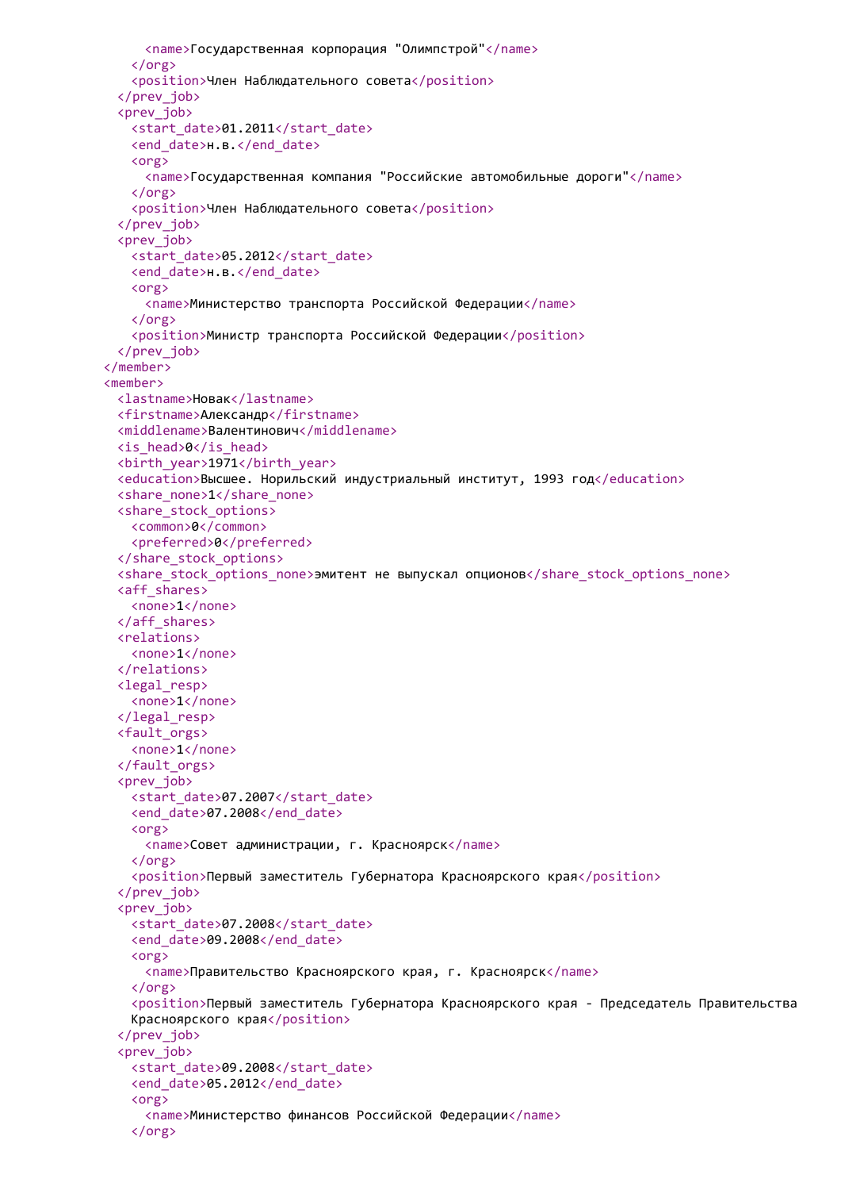```
<name>Государственная корпорация "Олимпстрой"</name>
   </org>
   <position>Член Наблюдательного совета</position>
 </prev_job>
 <prev_job>
   <start_date>01.2011</start_date>
   <end_date>н.в.</end_date>
   <org>
     <name>Государственная компания "Российские автомобильные дороги"</name>
   </org>
   <position>Член Наблюдательного совета</position>
 </prev_job>
 <prev_job>
   <start_date>05.2012</start_date>
   <end_date>н.в.</end_date>
   <org>
     <name>Министерство транспорта Российской Федерации</name>
   </org>
   <position>Министр транспорта Российской Федерации</position>
 </prev_job>
</member>
<member>
 <lastname>Новак</lastname>
 <firstname>Александр</firstname>
 <middlename>Валентинович</middlename>
 <is_head>0</is_head>
 <birth_year>1971</birth_year>
 <education>Высшее. Норильский индустриальный институт, 1993 год</education>
 <share_none>1</share_none>
 <share_stock_options>
   <common>0</common>
   <preferred>0</preferred>
 </share_stock_options>
 <share stock options none>эмитент не выпускал опционов</share stock options none>
 <aff_shares>
   <none>1</none>
 </aff_shares>
 <relations>
   <none>1</none>
 </relations>
 <legal_resp>
   <none>1</none>
 </legal_resp>
 <fault_orgs>
   <none>1</none>
 </fault_orgs>
 <prev_job>
   <start_date>07.2007</start_date>
   <end_date>07.2008</end_date>
   <org>
     <name>Совет администрации, г. Красноярск</name>
   \langle/org\rangle<position>Первый заместитель Губернатора Красноярского края</position>
 </prev_job>
 <prev_iob>
   <start_date>07.2008</start_date>
   <end_date>09.2008</end_date>
   <org>
     <name>Правительство Красноярского края, г. Красноярск</name>
   </org>
   <position>Первый заместитель Губернатора Красноярского края - Председатель Правительства
   Красноярского края</position>
 </prev_job>
 <prev_job>
   <start_date>09.2008</start_date>
   <end_date>05.2012</end_date>
   <org>
     <name>Министерство финансов Российской Федерации</name>
   </org>
```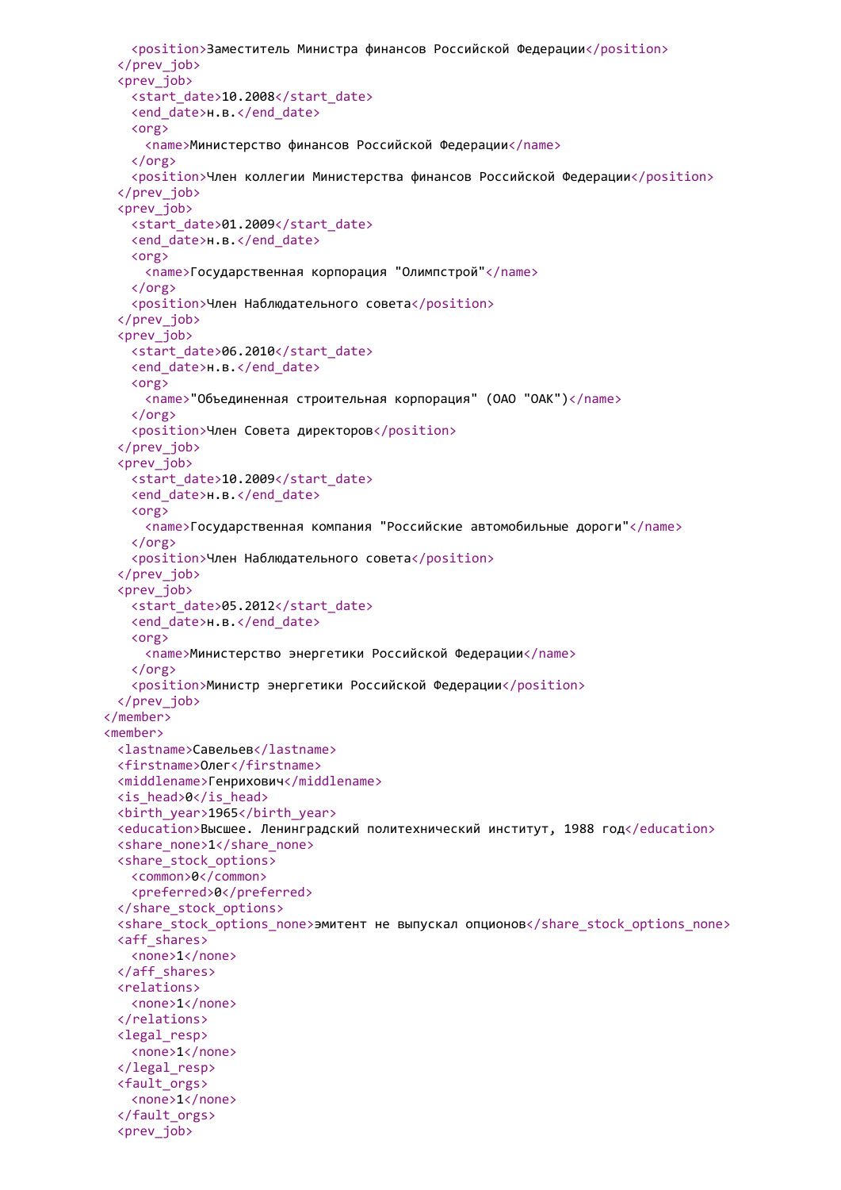```
<position>Заместитель Министра финансов Российской Федерации</position>
 </prev_job>
 <prev_job>
   <start_date>10.2008</start_date>
   <end_date>н.в.</end_date>
   <org>
     <name>Министерство финансов Российской Федерации</name>
   </org>
   <position>Член коллегии Министерства финансов Российской Федерации</position>
 </prev_job>
 <prev_job>
   <start_date>01.2009</start_date>
   <end date>н.в.</end date>
   <org>
     <name>Государственная корпорация "Олимпстрой"</name>
   </org>
   <position>Член Наблюдательного совета</position>
 </prev_job>
 <prev_job>
   <start_date>06.2010</start_date>
   <end date>н.в.</end date>
   <org>
     <name>"Объединенная строительная корпорация" (ОАО "ОАК")</name>
   </org>
   <position>Член Совета директоров</position>
 </prev_job>
 <prev_job>
   <start_date>10.2009</start_date>
   <end date>н.в.</end date>
   <org>
     <name>Государственная компания "Российские автомобильные дороги"</name>
   </org>
   <position>Член Наблюдательного совета</position>
 </prev_job>
 <prev_job>
   <start_date>05.2012</start_date>
   <end_date>н.в.</end_date>
   <org>
     <name>Министерство энергетики Российской Федерации</name>
   </org>
   <position>Министр энергетики Российской Федерации</position>
 </prev_job>
</member>
<member>
 <lastname>Савельев</lastname>
 <firstname>Олег</firstname>
 <middlename>Генрихович</middlename>
 <is_head>0</is_head>
 <birth_year>1965</birth_year>
 <education>Высшее. Ленинградский политехнический институт, 1988 год</education>
 <share_none>1</share_none>
 <share_stock_options>
   <common>0</common>
   <preferred>0</preferred>
 </share_stock_options>
 <share_stock_options_none>эмитент не выпускал опционов</share_stock_options_none>
 <aff_shares>
   <none>1</none>
 </aff_shares>
 <relations>
   <none>1</none>
 </relations>
 <legal_resp>
   <none>1</none>
 </legal_resp>
 <fault_orgs>
   <none>1</none>
 </fault_orgs>
 <prev_job>
```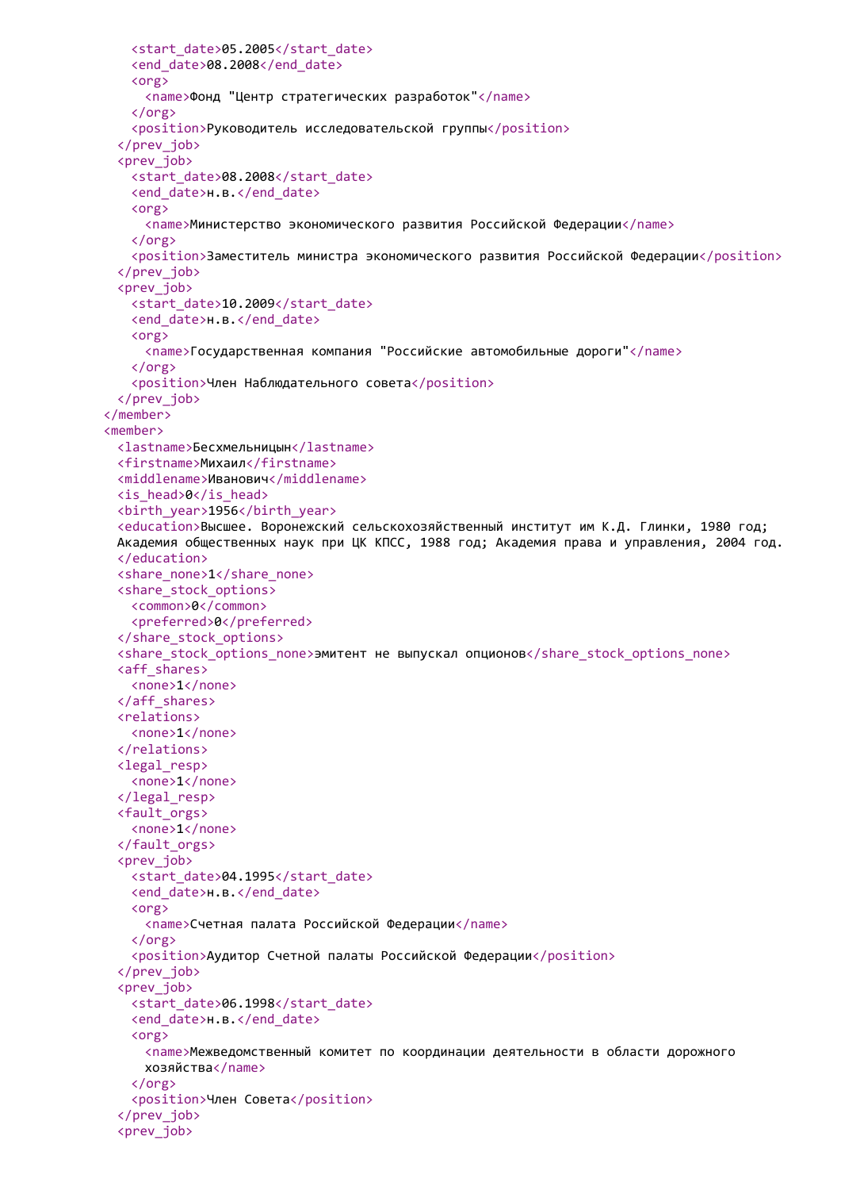```
<start_date>05.2005</start_date>
   <end_date>08.2008</end_date>
   <org>
     <name>Фонд "Центр стратегических разработок"</name>
   </org>
   <position>Руководитель исследовательской группы</position>
 </prev_job>
 <prev_job>
   <start_date>08.2008</start_date>
   <end_date>н.в.</end_date>
   <org>
     <name>Министерство экономического развития Российской Федерации</name>
   </org>
   <position>Заместитель министра экономического развития Российской Федерации</position>
 </prev_job>
 <prev_job>
   <start_date>10.2009</start_date>
   <end date>н.в.</end date>
   <org>
     <name>Государственная компания "Российские автомобильные дороги"</name>
   </org>
   <position>Член Наблюдательного совета</position>
 </prev_job>
</member>
<member>
 <lastname>Бесхмельницын</lastname>
 <firstname>Михаил</firstname>
 <middlename>Иванович</middlename>
 <is_head>0</is_head>
 <birth_year>1956</birth_year>
 <education>Высшее. Воронежский сельскохозяйственный институт им К.Д. Глинки, 1980 год;
 Академия общественных наук при ЦК КПСС, 1988 год; Академия права и управления, 2004 год.
 </education>
 <share_none>1</share_none>
 <share_stock_options>
   <common>0</common>
   <preferred>0</preferred>
 </share_stock_options>
 <share stock options none>эмитент не выпускал опционов</share stock options none>
 <aff_shares>
   <none>1</none>
 </aff_shares>
 <relations>
   <none>1</none>
 </relations>
 <legal_resp>
   <none>1</none>
 </legal_resp>
 <fault_orgs>
   <none>1</none>
 </fault_orgs>
 <prev_iob>
   <start_date>04.1995</start_date>
   <end date>н.в.</end date>
   <org>
     <name>Счетная палата Российской Федерации</name>
   </org>
   <position>Аудитор Счетной палаты Российской Федерации</position>
 </prev_job>
 <prev_iob>
   <start_date>06.1998</start_date>
   <end date>н.в.</end date>
   <org>
     <name>Межведомственный комитет по координации деятельности в области дорожного
     хозяйства</name>
   </org>
   <position>Член Совета</position>
 </prev_job>
 <prev_job>
```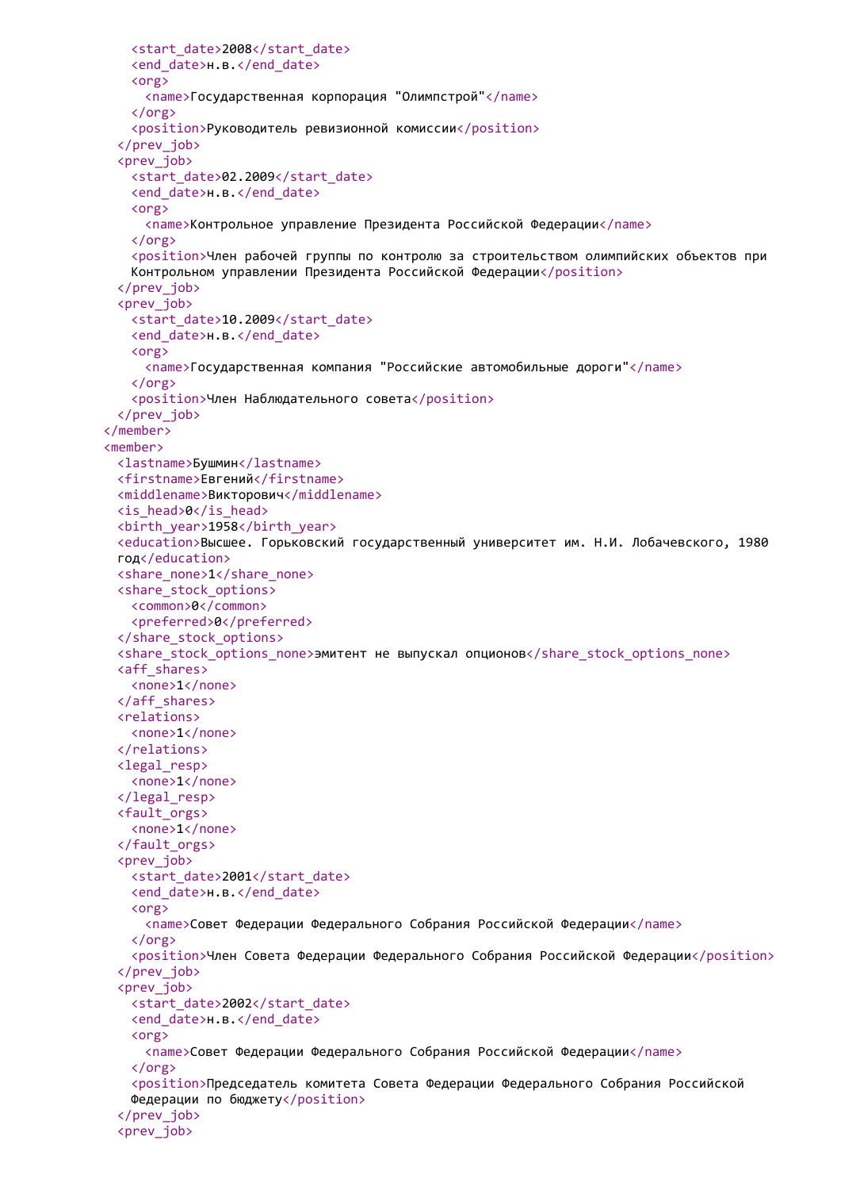```
<start_date>2008</start_date>
   <end_date>н.в.</end_date>
   <org>
     <name>Государственная корпорация "Олимпстрой"</name>
   </org>
   <position>Руководитель ревизионной комиссии</position>
 </prev_job>
 <prev_job>
   <start_date>02.2009</start_date>
   <end_date>н.в.</end_date>
   <org>
     <name>Контрольное управление Президента Российской Федерации</name>
   </org>
   <position>Член рабочей группы по контролю за строительством олимпийских объектов при
   Контрольном управлении Президента Российской Федерации</position>
 </prev_job>
 <prev_job>
   <start_date>10.2009</start_date>
   <end date>н.в.</end date>
   <org>
     <name>Государственная компания "Российские автомобильные дороги"</name>
   </org>
   <position>Член Наблюдательного совета</position>
 </prev_job>
</member>
<member>
 <lastname>Бушмин</lastname>
 <firstname>Евгений</firstname>
 <middlename>Викторович</middlename>
 <is_head>0</is_head>
 <birth_year>1958</birth_year>
 <education>Высшее. Горьковский государственный университет им. Н.И. Лобачевского, 1980
 год</education>
 <share_none>1</share_none>
 <share_stock_options>
   <common>0</common>
   <preferred>0</preferred>
 </share_stock_options>
 <share stock options none>эмитент не выпускал опционов</share stock options none>
 <aff_shares>
   <none>1</none>
 </aff_shares>
 <relations>
   <none>1</none>
 </relations>
 <legal_resp>
   <none>1</none>
 </legal_resp>
 <fault_orgs>
   <none>1</none>
 </fault_orgs>
 <prev_iob>
   <start_date>2001</start_date>
   <end date>н.в.</end date>
   <org>
     <name>Совет Федерации Федерального Собрания Российской Федерации</name>
   </org>
   <position>Член Совета Федерации Федерального Собрания Российской Федерации</position>
 </prev_job>
 <prev_iob>
   <start_date>2002</start_date>
   <end date>н.в.</end date>
   <org>
     <name>Совет Федерации Федерального Собрания Российской Федерации</name>
   </org>
   <position>Председатель комитета Совета Федерации Федерального Собрания Российской
   Федерации по бюджету</position>
 </prev_job>
 <prev_job>
```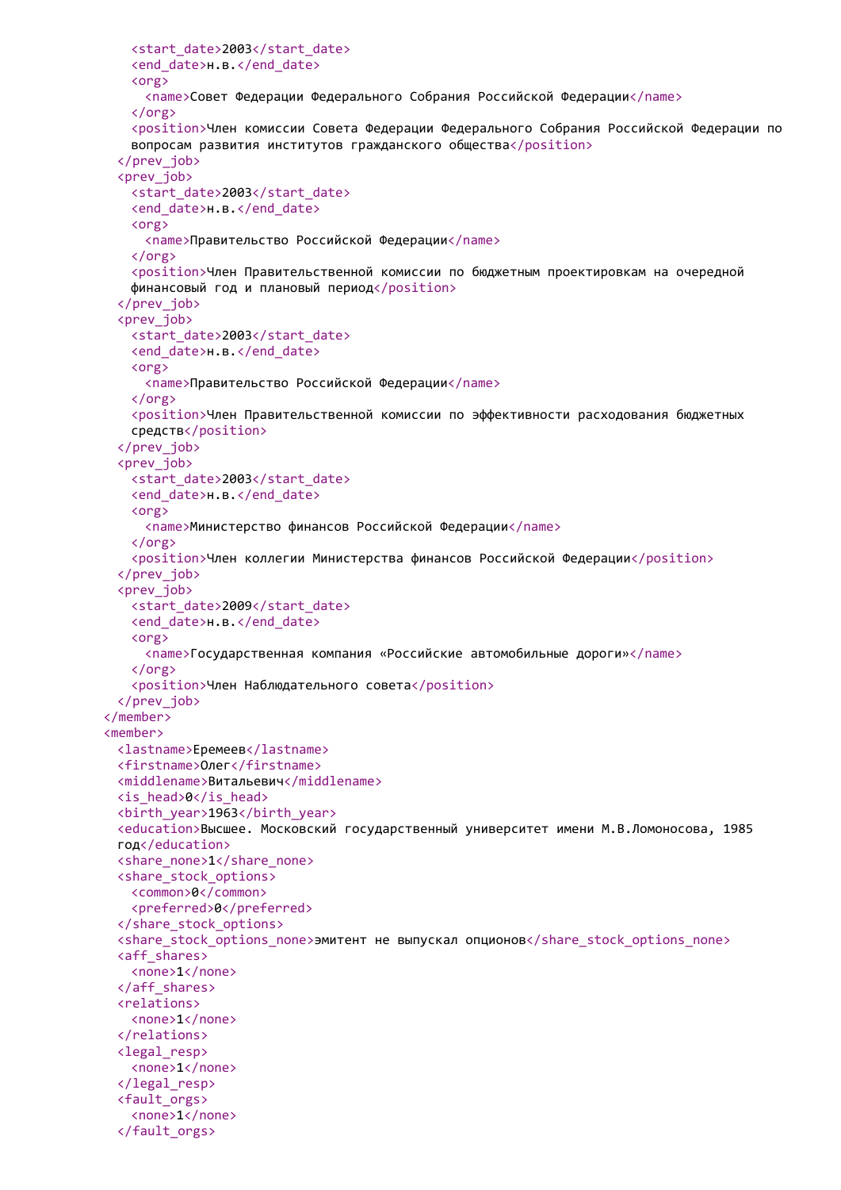```
<start_date>2003</start_date>
   <end_date>н.в.</end_date>
   <org>
     <name>Совет Федерации Федерального Собрания Российской Федерации</name>
   </org>
   <position>Член комиссии Совета Федерации Федерального Собрания Российской Федерации по
   вопросам развития институтов гражданского общества</position>
 </prev_job>
 <prev_job>
   <start_date>2003</start_date>
   <end_date>н.в.</end_date>
   <org>
     <name>Правительство Российской Федерации</name>
   </org>
   <position>Член Правительственной комиссии по бюджетным проектировкам на очередной
   финансовый год и плановый период</position>
 </prev_job>
 <prev_job>
   <start_date>2003</start_date>
   <end date>н.в.</end date>
   <org>
     <name>Правительство Российской Федерации</name>
   </org>
   <position>Член Правительственной комиссии по эффективности расходования бюджетных
   средств</position>
 </prev_job>
 <prev_job>
   <start_date>2003</start_date>
   <end date>н.в.</end date>
   <org>
     <name>Министерство финансов Российской Федерации</name>
   </org>
   <position>Член коллегии Министерства финансов Российской Федерации</position>
 </prev_job>
 <prev_job>
   <start_date>2009</start_date>
   <end_date>н.в.</end_date>
   <org>
     <name>Государственная компания «Российские автомобильные дороги»</name>
   </org>
   <position>Член Наблюдательного совета</position>
 </prev_job>
</member>
<member>
 <lastname>Еремеев</lastname>
 <firstname>Олег</firstname>
 <middlename>Витальевич</middlename>
 <is_head>0</is_head>
 <birth_year>1963</birth_year>
 <education>Высшее. Московский государственный университет имени М.В.Ломоносова, 1985
 год</education>
 <share_none>1</share_none>
 <share_stock_options>
   <common>0</common>
   <preferred>0</preferred>
 </share_stock_options>
 <share_stock_options_none>эмитент не выпускал опционов</share_stock_options_none>
 <aff_shares>
   <none>1</none>
 </aff_shares>
 <relations>
   <none>1</none>
 </relations>
 <legal_resp>
   <none>1</none>
 </legal_resp>
 <fault_orgs>
   <none>1</none>
 </fault_orgs>
```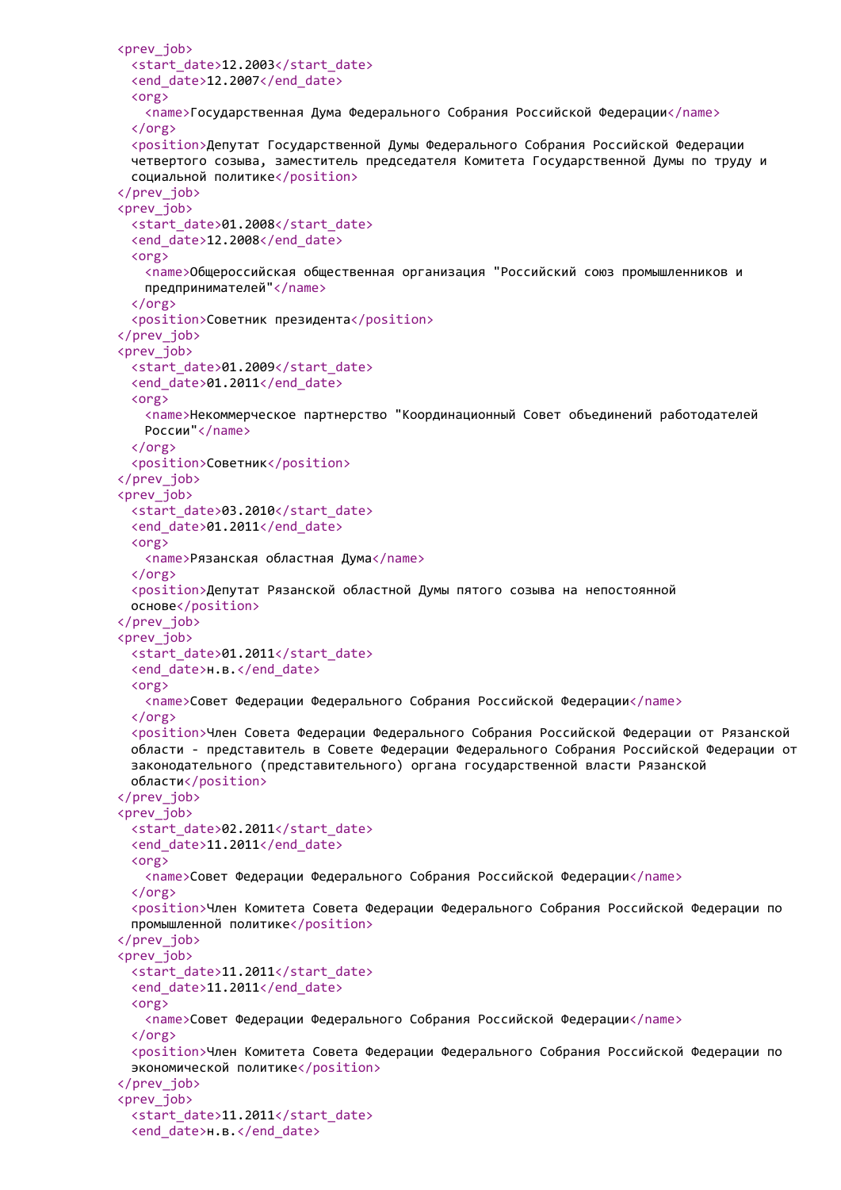```
<prev_job>
 <start_date>12.2003</start_date>
 <end_date>12.2007</end_date>
 <org>
   <name>Государственная Дума Федерального Собрания Российской Федерации</name>
 </org>
 <position>Депутат Государственной Думы Федерального Собрания Российской Федерации
 четвертого созыва, заместитель председателя Комитета Государственной Думы по труду и
 социальной политике</position>
</prev_job>
<prev_job>
 <start_date>01.2008</start_date>
 <end_date>12.2008</end_date>
 <org>
   <name>Общероссийская общественная организация "Российский союз промышленников и
   предпринимателей"</name>
 </org>
 <position>Советник президента</position>
</prev_job>
<prev_job>
 <start_date>01.2009</start_date>
 <end date>01.2011</end date>
 <org>
   <name>Некоммерческое партнерство "Координационный Совет объединений работодателей
   России"</name>
 </org>
 <position>Советник</position>
</prev_job>
<prev_job>
 <start_date>03.2010</start_date>
 <end date>01.2011</end date>
 <org>
   <name>Рязанская областная Дума</name>
 </org>
 <position>Депутат Рязанской областной Думы пятого созыва на непостоянной
 основе</position>
</prev_job>
<prev_job>
 <start_date>01.2011</start_date>
 <end date>н.в.</end date>
 <org>
   <name>Совет Федерации Федерального Собрания Российской Федерации</name>
 </org>
 <position>Член Совета Федерации Федерального Собрания Российской Федерации от Рязанской
 области - представитель в Совете Федерации Федерального Собрания Российской Федерации от
 законодательного (представительного) органа государственной власти Рязанской
 области</position>
</prev_job>
<prev_job>
 <start_date>02.2011</start_date>
 <end_date>11.2011</end_date>
 <org>
   <name>Совет Федерации Федерального Собрания Российской Федерации</name>
 \zeta/org\zeta<position>Член Комитета Совета Федерации Федерального Собрания Российской Федерации по
 промышленной политике</position>
</prev_job>
<prev_iob>
 <start_date>11.2011</start_date>
 <end date>11.2011</end date>
 <org>
   <name>Совет Федерации Федерального Собрания Российской Федерации</name>
 \langle/org\rangle<position>Член Комитета Совета Федерации Федерального Собрания Российской Федерации по
 экономической политике</position>
</prev_job>
<prev_job>
 <start_date>11.2011</start_date>
 <end_date>н.в.</end_date>
```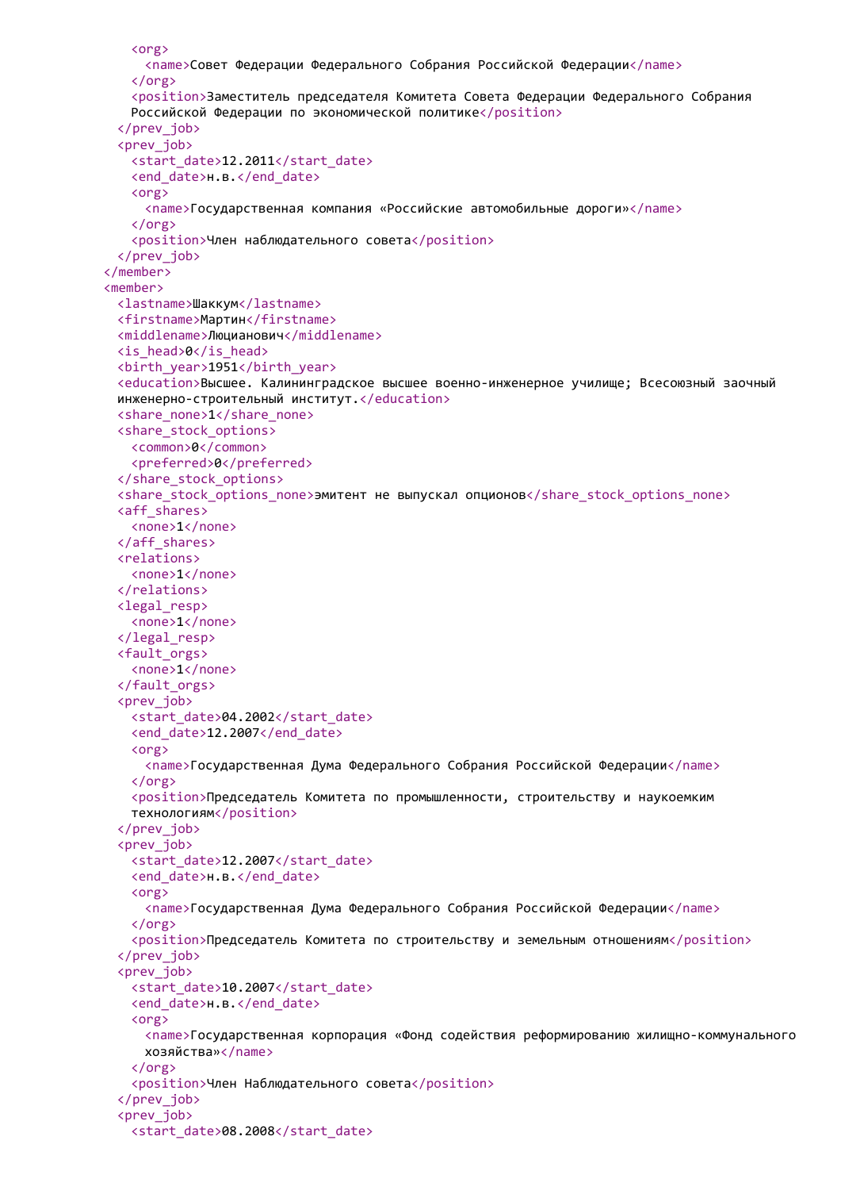```
<org>
     <name>Совет Федерации Федерального Собрания Российской Федерации</name>
   </org>
   <position>Заместитель председателя Комитета Совета Федерации Федерального Собрания
   Российской Федерации по экономической политике</position>
 </prev_job>
 <prev_job>
   <start_date>12.2011</start_date>
   <end_date>н.в.</end_date>
   <org>
     <name>Государственная компания «Российские автомобильные дороги»</name>
   </org>
   <position>Член наблюдательного совета</position>
 </prev_job>
</member>
<member>
 <lastname>Шаккум</lastname>
 <firstname>Мартин</firstname>
 <middlename>Люцианович</middlename>
 <is_head>0</is_head>
 <birth_year>1951</birth_year>
 <education>Высшее. Калининградское высшее военно-инженерное училище; Всесоюзный заочный
 инженерно-строительный институт.</education>
 <share_none>1</share_none>
 <share_stock_options>
   <common>0</common>
   <preferred>0</preferred>
 </share_stock_options>
 <share stock options none>эмитент не выпускал опционов</share stock options none>
 <aff_shares>
   <none>1</none>
 </aff_shares>
 <relations>
   <none>1</none>
 </relations>
 <legal_resp>
   <none>1</none>
 </legal_resp>
 <fault_orgs>
   <none>1</none>
 </fault_orgs>
 <prev_job>
   <start_date>04.2002</start_date>
   <end date>12.2007</end date>
   <org>
     <name>Государственная Дума Федерального Собрания Российской Федерации</name>
   \langle/org\rangle<position>Председатель Комитета по промышленности, строительству и наукоемким
   технологиям</position>
 </prev_job>
 <prev_iob>
   <start_date>12.2007</start_date>
   <end date>н.в.</end date>
   <org>
     <name>Государственная Дума Федерального Собрания Российской Федерации</name>
   \zeta/org\zeta<position>Председатель Комитета по строительству и земельным отношениям</position>
 </prev_job>
 <prev_job>
   <start_date>10.2007</start_date>
   <end date>н.в.</end date>
   <org>
     <name>Государственная корпорация «Фонд содействия реформированию жилищно-коммунального
     хозяйства»</name>
   </org>
   <position>Член Наблюдательного совета</position>
 </prev_job>
 <prev_job>
   <start_date>08.2008</start_date>
```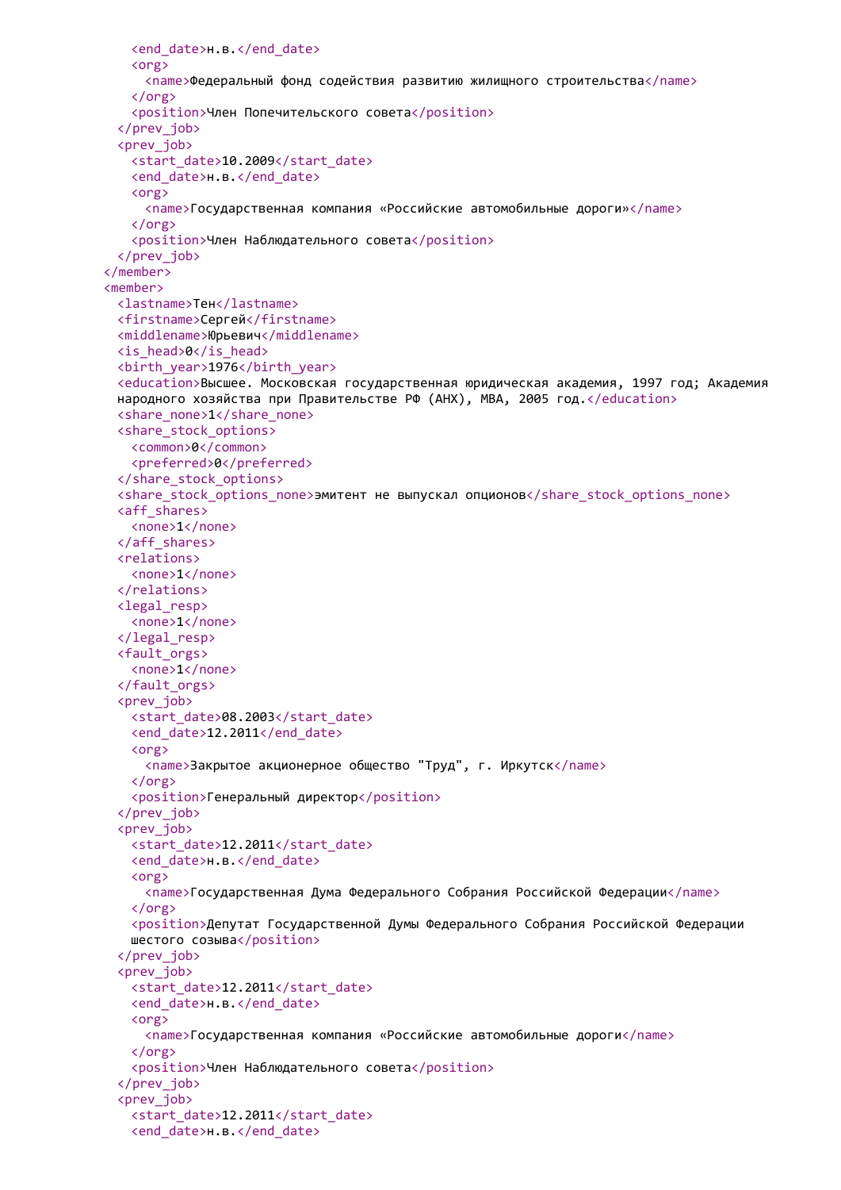```
<end_date>н.в.</end_date>
   <org>
     <name>Федеральный фонд содействия развитию жилищного строительства</name>
   </org>
   <position>Член Попечительского совета</position>
 </prev_job>
 <prev_job>
   <start_date>10.2009</start_date>
   <end_date>н.в.</end_date>
   <org>
     <name>Государственная компания «Российские автомобильные дороги»</name>
   </org>
   <position>Член Наблюдательного совета</position>
 </prev_job>
</member>
<member>
 <lastname>Тен</lastname>
 <firstname>Сергей</firstname>
 <middlename>Юрьевич</middlename>
 <is_head>0</is_head>
 <birth_year>1976</birth_year>
 <education>Высшее. Московская государственная юридическая академия, 1997 год; Академия
 народного хозяйства при Правительстве РФ (АНХ), MBA, 2005 год.</education>
 <share_none>1</share_none>
 <share_stock_options>
   <common>0</common>
   <preferred>0</preferred>
 </share_stock_options>
 <share stock options none>эмитент не выпускал опционов</share stock options none>
 <aff_shares>
   <none>1</none>
 </aff_shares>
 <relations>
   <none>1</none>
 </relations>
 <legal_resp>
   <none>1</none>
 </legal_resp>
 <fault_orgs>
   <none>1</none>
 </fault_orgs>
 <prev_job>
   <start_date>08.2003</start_date>
   <end date>12.2011</end date>
   <org>
     <name>Закрытое акционерное общество "Труд", г. Иркутск</name>
   \langle/org\rangle<position>Генеральный директор</position>
 </prev_job>
 <prev_iob>
   <start_date>12.2011</start_date>
   <end date>н.в.</end date>
   <org>
     <name>Государственная Дума Федерального Собрания Российской Федерации</name>
   \langle/\rangle<position>Депутат Государственной Думы Федерального Собрания Российской Федерации
   шестого созыва</position>
 </prev_job>
 <prev_job>
   <start_date>12.2011</start_date>
   <end date>н.в.</end date>
   <org>
     <name>Государственная компания «Российские автомобильные дороги</name>
   </org>
   <position>Член Наблюдательного совета</position>
 </prev_job>
 <prev_job>
   <start_date>12.2011</start_date>
   <end_date>н.в.</end_date>
```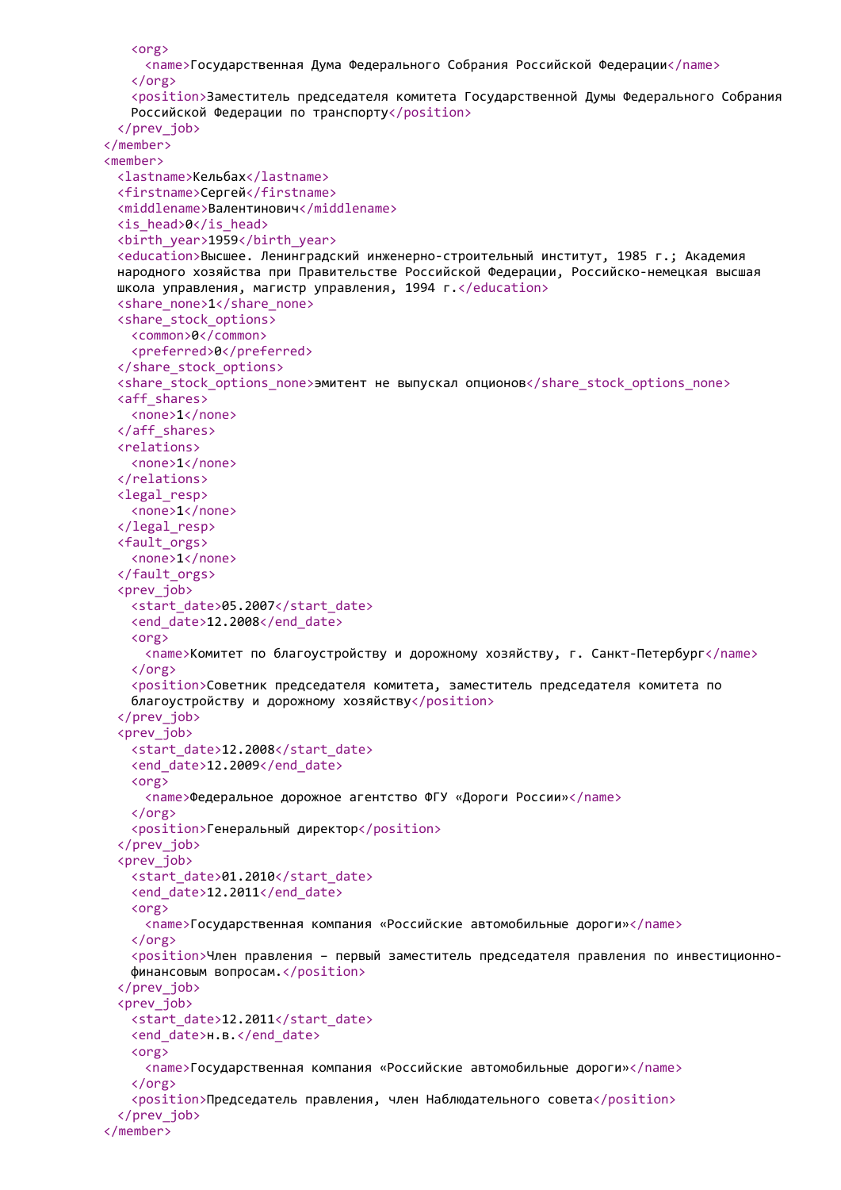```
<org>
     <name>Государственная Дума Федерального Собрания Российской Федерации</name>
   </org>
   <position>Заместитель председателя комитета Государственной Думы Федерального Собрания
   Российской Федерации по транспорту</position>
 </prev_job>
</member>
<member>
 <lastname>Кельбах</lastname>
 <firstname>Сергей</firstname>
 <middlename>Валентинович</middlename>
 <is_head>0</is_head>
 <birth_year>1959</birth_year>
 <education>Высшее. Ленинградский инженерно-строительный институт, 1985 г.; Академия
 народного хозяйства при Правительстве Российской Федерации, Российско-немецкая высшая
 школа управления, магистр управления, 1994 г.</education>
 <share_none>1</share_none>
 <share_stock_options>
   <common>0</common>
   <preferred>0</preferred>
 </share_stock_options>
 <share_stock_options_none>эмитент не выпускал опционов</share_stock_options_none>
 <aff_shares>
   <none>1</none>
 </aff_shares>
 <relations>
   <none>1</none>
 </relations>
 <legal_resp>
   <none>1</none>
 </legal_resp>
 <fault_orgs>
   <none>1</none>
 </fault_orgs>
 <prev_job>
   <start_date>05.2007</start_date>
   <end_date>12.2008</end_date>
   <org>
     <name>Комитет по благоустройству и дорожному хозяйству, г. Санкт-Петербург</name>
   </org>
   <position>Советник председателя комитета, заместитель председателя комитета по
   благоустройству и дорожному хозяйству</position>
 </prev_job>
 <prev_job>
   <start_date>12.2008</start_date>
   <end date>12.2009</end date>
   <org>
     <name>Федеральное дорожное агентство ФГУ «Дороги России»</name>
   \langle/org\rangle<position>Генеральный директор</position>
 </prev_job>
 <prev_iob>
   <start_date>01.2010</start_date>
   <end_date>12.2011</end_date>
   <org>
     <name>Государственная компания «Российские автомобильные дороги»</name>
   \zeta/org\zeta<position>Член правления – первый заместитель председателя правления по инвестиционно-
   финансовым вопросам.</position>
 </prev_job>
 <prev_iob>
   <start_date>12.2011</start_date>
   <end date>н.в.</end date>
   <org>
     <name>Государственная компания «Российские автомобильные дороги»</name>
   </org>
   <position>Председатель правления, член Наблюдательного совета</position>
 </prev_job>
</member>
```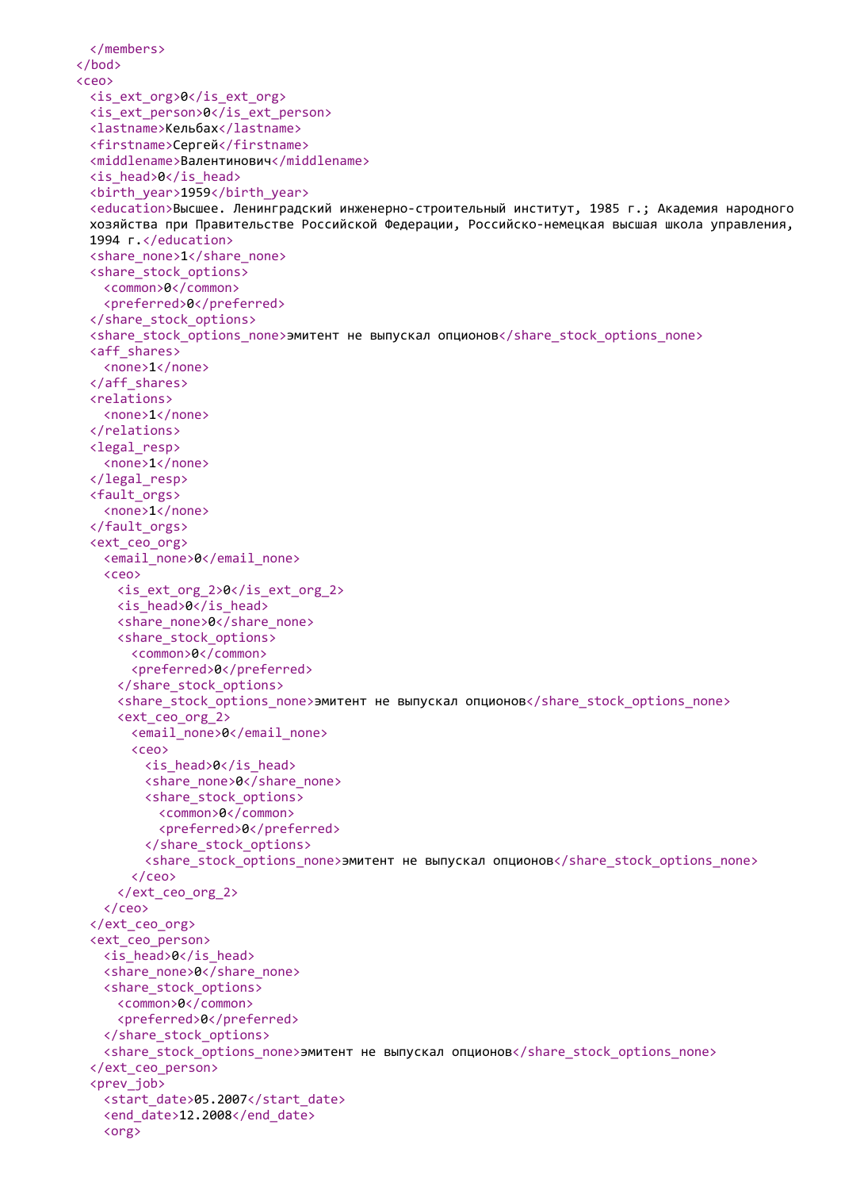```
</members>
</bod>
<ceo>
  <is_ext_org>0</is_ext_org>
  <is_ext_person>0</is_ext_person>
  <lastname>Кельбах</lastname>
  <firstname>Сергей</firstname>
  <middlename>Валентинович</middlename>
  <is_head>0</is_head>
  <birth_year>1959</birth_year>
  <education>Высшее. Ленинградский инженерно-строительный институт, 1985 г.; Академия народного
  хозяйства при Правительстве Российской Федерации, Российско-немецкая высшая школа управления,
 1994 г. </education>
  <share_none>1</share_none>
  <share_stock_options>
   <common>0</common>
   <preferred>0</preferred>
  </share_stock_options>
  <share stock options none>эмитент не выпускал опционов</share stock options none>
  <aff_shares>
   <none>1</none>
  </aff_shares>
  <relations>
   <none>1</none>
  </relations>
  <legal_resp>
   <none>1</none>
  </legal_resp>
  <fault_orgs>
   <none>1</none>
  </fault_orgs>
  <ext_ceo_org>
   <email_none>0</email_none>
   <ceo>
     \langle is ext org 2>0\langle is ext org 2>
     <is_head>0</is_head>
     <share_none>0</share_none>
     <share_stock_options>
       <common>0</common>
       <preferred>0</preferred>
     </share_stock_options>
     <share_stock_options_none>эмитент не выпускал опционов</share_stock_options_none>
     <ext_ceo_org_2>
       <email_none>0</email_none>
       <ceo>
         <is_head>0</is_head>
         <share_none>0</share_none>
         <share_stock_options>
           <common>0</common>
           <preferred>0</preferred>
         </share_stock_options>
         <share_stock_options_none>эмитент не выпускал опционов</share_stock_options_none>
       </ceo>
     </ext_ceo_org_2>
   </ceo>
  </ext_ceo_org>
  <ext_ceo_person>
   <is_head>0</is_head>
   <share_none>0</share_none>
   <share_stock_options>
     <common>0</common>
     <preferred>0</preferred>
   </share_stock_options>
   <share_stock_options_none>эмитент не выпускал опционов</share_stock_options_none>
  </ext_ceo_person>
  <prev_job>
   <start_date>05.2007</start_date>
   <end_date>12.2008</end_date>
   <org>
```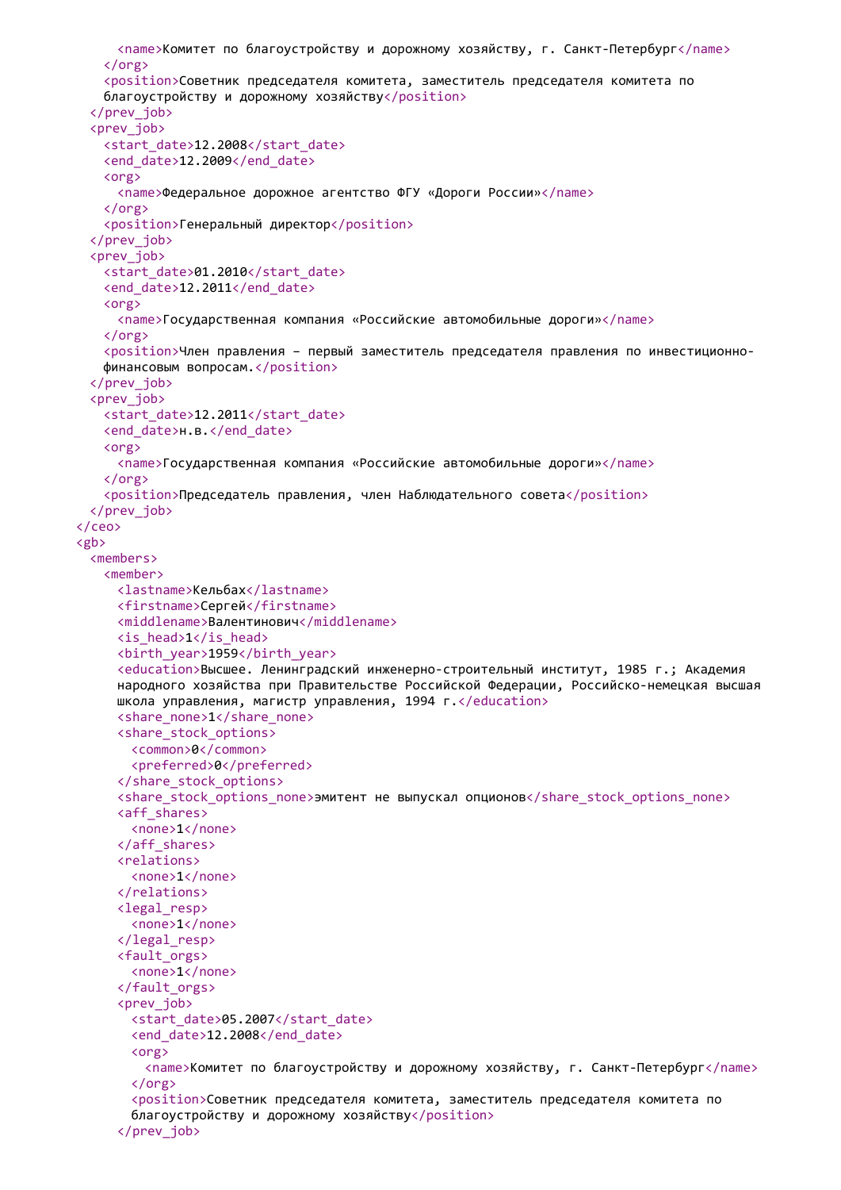```
<name>Комитет по благоустройству и дорожному хозяйству, г. Санкт-Петербург</name>
   </org>
   <position>Советник председателя комитета, заместитель председателя комитета по
   благоустройству и дорожному хозяйству</position>
 </prev_job>
 <prev_job>
   <start_date>12.2008</start_date>
   <end_date>12.2009</end_date>
   <org>
     <name>Федеральное дорожное агентство ФГУ «Дороги России»</name>
   </org>
   <position>Генеральный директор</position>
 </prev_job>
 <prev_iob>
   <start_date>01.2010</start_date>
   <end date>12.2011</end date>
   <org>
     <name>Государственная компания «Российские автомобильные дороги»</name>
   </org>
   <position>Член правления – первый заместитель председателя правления по инвестиционно-
   финансовым вопросам.</position>
 </prev_job>
 <prev_job>
   <start_date>12.2011</start_date>
   <end_date>н.в.</end_date>
   <org>
     <name>Государственная компания «Российские автомобильные дороги»</name>
   </org>
   <position>Председатель правления, член Наблюдательного совета</position>
 </prev_job>
</ceo>
<gb>
 <members>
   <member>
     <lastname>Кельбах</lastname>
     <firstname>Сергей</firstname>
     <middlename>Валентинович</middlename>
     <is_head>1</is_head>
     <birth_year>1959</birth_year>
     <education>Высшее. Ленинградский инженерно-строительный институт, 1985 г.; Академия
     народного хозяйства при Правительстве Российской Федерации, Российско-немецкая высшая
     школа управления, магистр управления, 1994 г.</education>
     <share_none>1</share_none>
     <share_stock_options>
       <common>0</common>
       <preferred>0</preferred>
     </share_stock_options>
     <share stock options none>эмитент не выпускал опционов</share stock options none>
     <aff_shares>
       <none>1</none>
     </aff_shares>
     <relations>
       <none>1</none>
     </relations>
     <legal_resp>
       <none>1</none>
     </legal_resp>
     <fault_orgs>
       <none>1</none>
     </fault_orgs>
     <prev_iob>
       <start_date>05.2007</start_date>
       <end date>12.2008</end date>
       <org>
         <name>Комитет по благоустройству и дорожному хозяйству, г. Санкт-Петербург</name>
       </org>
       <position>Советник председателя комитета, заместитель председателя комитета по
       благоустройству и дорожному хозяйству</position>
     </prev_job>
```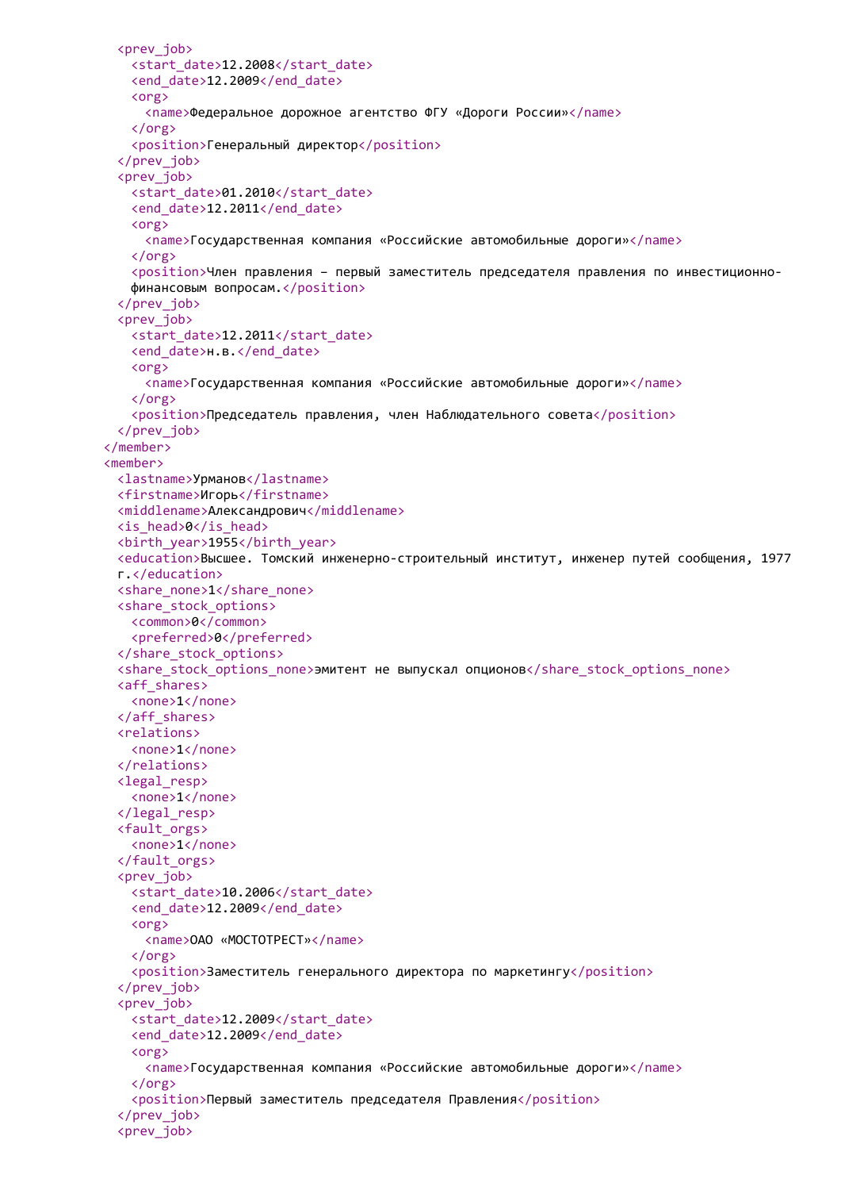```
<prev_job>
   <start_date>12.2008</start_date>
   <end_date>12.2009</end_date>
   <org>
     <name>Федеральное дорожное агентство ФГУ «Дороги России»</name>
   </org>
   <position>Генеральный директор</position>
 </prev_job>
 <prev_job>
   <start_date>01.2010</start_date>
   <end_date>12.2011</end_date>
   <org>
     <name>Государственная компания «Российские автомобильные дороги»</name>
   </org>
   <position>Член правления – первый заместитель председателя правления по инвестиционно-
   финансовым вопросам.</position>
 </prev_job>
 <prev_job>
   <start_date>12.2011</start_date>
   <end date>н.в.</end date>
   <org>
     <name>Государственная компания «Российские автомобильные дороги»</name>
   </org>
   <position>Председатель правления, член Наблюдательного совета</position>
 </prev_job>
</member>
<member>
 <lastname>Урманов</lastname>
 <firstname>Игорь</firstname>
 <middlename>Александрович</middlename>
 <is_head>0</is_head>
 <birth_year>1955</birth_year>
 <education>Высшее. Томский инженерно-строительный институт, инженер путей сообщения, 1977
 г.</education>
 <share_none>1</share_none>
 <share_stock_options>
   <common>0</common>
   <preferred>0</preferred>
 </share_stock_options>
 <share stock options none>эмитент не выпускал опционов</share stock options none>
 <aff_shares>
   <none>1</none>
 </aff_shares>
 <relations>
   <none>1</none>
 </relations>
 <legal_resp>
   <none>1</none>
 </legal_resp>
 <fault_orgs>
   <none>1</none>
 </fault_orgs>
 <prev_iob>
   <start_date>10.2006</start_date>
   <end_date>12.2009</end_date>
   <org>
     <name>ОАО «МОСТОТРЕСТ»</name>
   </org>
   <position>Заместитель генерального директора по маркетингу</position>
 </prev_job>
 <prev_iob>
   <start_date>12.2009</start_date>
   <end_date>12.2009</end_date>
   <org>
     <name>Государственная компания «Российские автомобильные дороги»</name>
   </org>
   <position>Первый заместитель председателя Правления</position>
 </prev_job>
 <prev_job>
```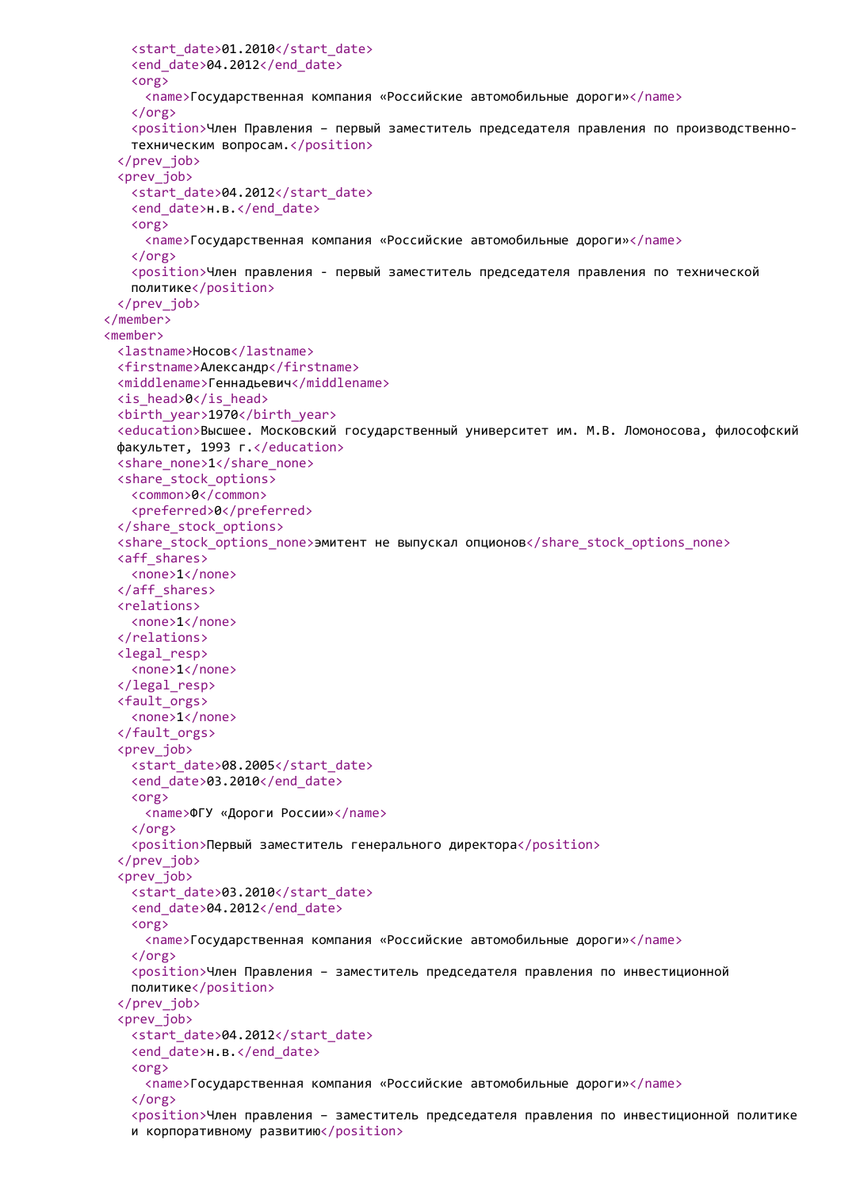```
<start_date>01.2010</start_date>
   <end_date>04.2012</end_date>
   <org>
     <name>Государственная компания «Российские автомобильные дороги»</name>
   </org>
   <position>Член Правления – первый заместитель председателя правления по производственно-
   техническим вопросам.</position>
 </prev_job>
 <prev_job>
   <start_date>04.2012</start_date>
   <end_date>н.в.</end_date>
   <org>
     <name>Государственная компания «Российские автомобильные дороги»</name>
   </org>
   <position>Член правления - первый заместитель председателя правления по технической
   политике</position>
 </prev_job>
</member>
<member>
 <lastname>Носов</lastname>
 <firstname>Александр</firstname>
 <middlename>Геннадьевич</middlename>
 <is_head>0</is_head>
 <birth_year>1970</birth_year>
 <education>Высшее. Московский государственный университет им. М.В. Ломоносова, философский
 факультет, 1993 г.</education>
 <share_none>1</share_none>
 <share_stock_options>
   <common>0</common>
   <preferred>0</preferred>
 </share_stock_options>
 <share_stock_options_none>эмитент не выпускал опционов</share_stock_options_none>
 <aff_shares>
   <none>1</none>
 </aff_shares>
 <relations>
   <none>1</none>
 </relations>
 <legal_resp>
   <none>1</none>
 </legal_resp>
 <fault_orgs>
   <none>1</none>
 </fault_orgs>
 <prev_job>
   <start_date>08.2005</start_date>
   <end date>03.2010</end date>
   <org>
     <name>ФГУ «Дороги России»</name>
   \langle/org\rangle<position>Первый заместитель генерального директора</position>
 </prev_job>
 <prev_iob>
   <start_date>03.2010</start_date>
   <end_date>04.2012</end_date>
   <org>
     <name>Государственная компания «Российские автомобильные дороги»</name>
   </org>
   <position>Член Правления – заместитель председателя правления по инвестиционной
   политике</position>
 </prev_job>
 <prev_iob>
   <start_date>04.2012</start_date>
   <end_date>н.в.</end_date>
   <org>
     <name>Государственная компания «Российские автомобильные дороги»</name>
   </org>
   <position>Член правления – заместитель председателя правления по инвестиционной политике
   и корпоративному развитию</position>
```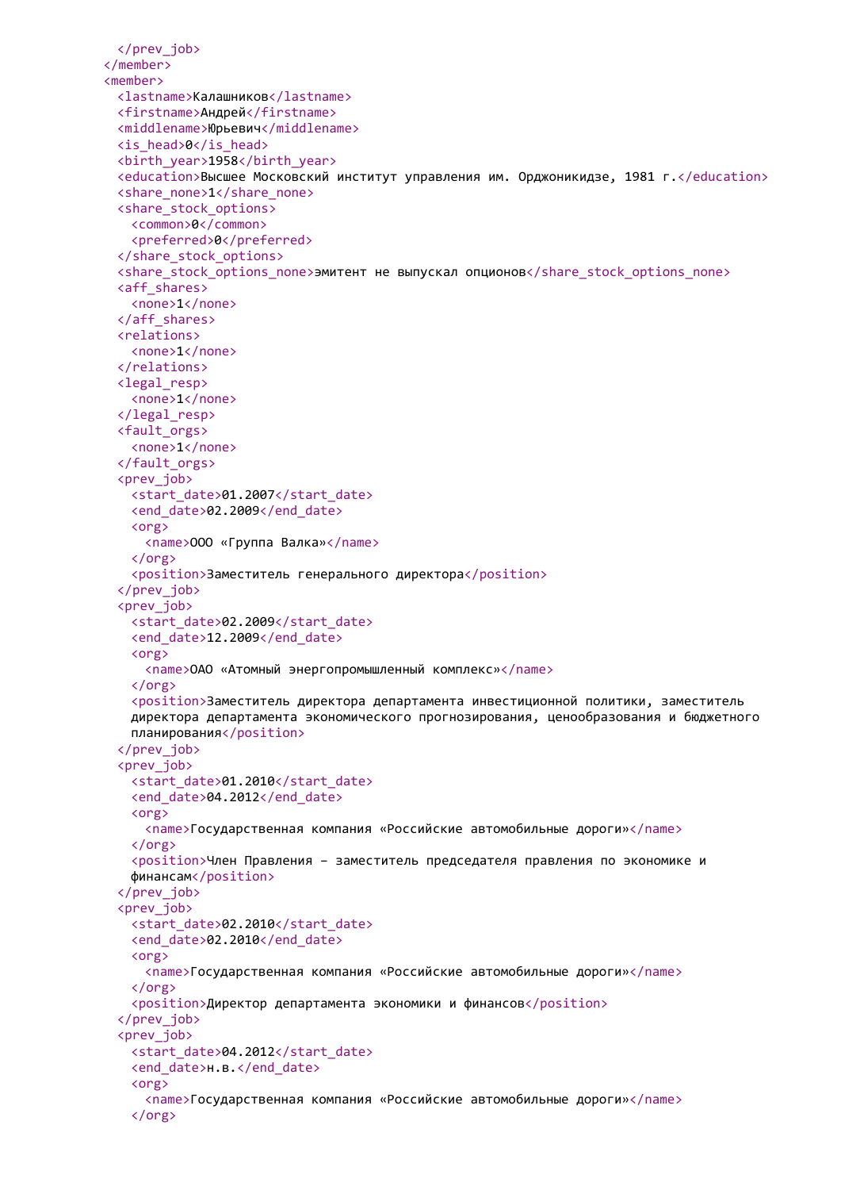```
</prev_job>
</member>
<member>
 <lastname>Калашников</lastname>
 <firstname>Андрей</firstname>
 <middlename>Юрьевич</middlename>
 <is_head>0</is_head>
 <birth_year>1958</birth_year>
 <education>Высшее Московский институт управления им. Орджоникидзе, 1981 г.</education>
 <share_none>1</share_none>
 <share_stock_options>
   <common>0</common>
   <preferred>0</preferred>
 </share_stock_options>
 <share_stock_options_none>эмитент не выпускал опционов</share_stock_options_none>
 <aff_shares>
   <none>1</none>
 </aff_shares>
 <relations>
   <none>1</none>
 </relations>
 <legal_resp>
   <none>1</none>
 </legal_resp>
 <fault_orgs>
   <none>1</none>
 </fault_orgs>
 <prev_job>
   <start_date>01.2007</start_date>
   <end_date>02.2009</end_date>
   <org>
     <name>ООО «Группа Валка»</name>
   </org>
   <position>Заместитель генерального директора</position>
 </prev_job>
 <prev_job>
   <start_date>02.2009</start_date>
   <end date>12.2009</end date>
   <org>
     <name>ОАО «Атомный энергопромышленный комплекс»</name>
   </org>
   <position>Заместитель директора департамента инвестиционной политики, заместитель
   директора департамента экономического прогнозирования, ценообразования и бюджетного
   планирования</position>
 </prev_job>
 <prev_job>
   <start_date>01.2010</start_date>
   <end_date>04.2012</end_date>
   <org>
     <name>Государственная компания «Российские автомобильные дороги»</name>
   </org>
   <position>Член Правления – заместитель председателя правления по экономике и
   финансам</position>
 </prev_job>
 <prev_iob>
   <start_date>02.2010</start_date>
   <end_date>02.2010</end_date>
   <org>
     <name>Государственная компания «Российские автомобильные дороги»</name>
   \langle/\rangle<position>Директор департамента экономики и финансов</position>
 </prev_job>
 <prev_iob>
   <start_date>04.2012</start_date>
   <end_date>н.в.</end_date>
   <org>
     <name>Государственная компания «Российские автомобильные дороги»</name>
   </org>
```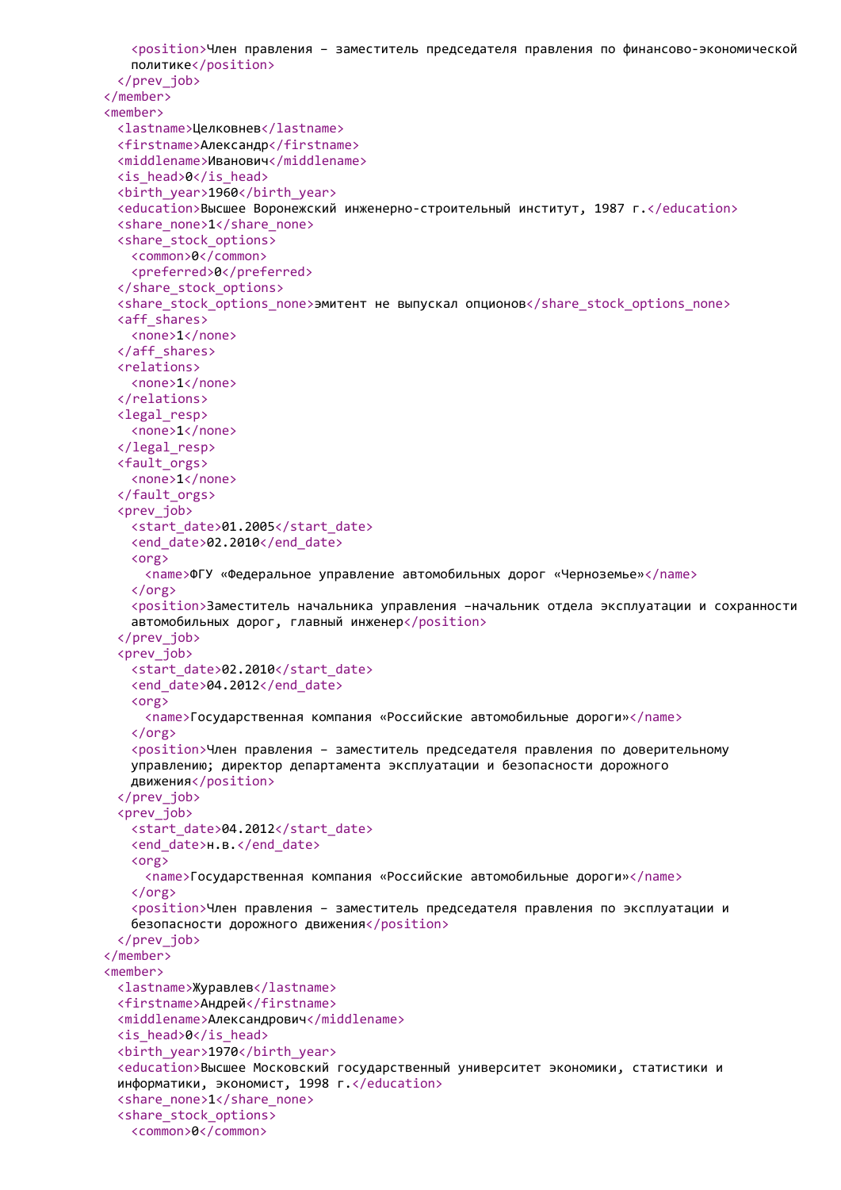```
<position>Член правления – заместитель председателя правления по финансово-экономической
   политике</position>
 </prev_job>
</member>
<member>
 <lastname>Целковнев</lastname>
 <firstname>Александр</firstname>
 <middlename>Иванович</middlename>
 <is_head>0</is_head>
 <birth_year>1960</birth_year>
 <education>Высшее Воронежский инженерно-строительный институт, 1987 г.</education>
 <share_none>1</share_none>
 <share_stock_options>
   <common>0</common>
   <preferred>0</preferred>
 </share_stock_options>
 <share_stock_options_none>эмитент не выпускал опционов</share_stock_options_none>
 <aff_shares>
   <none>1</none>
 </aff_shares>
 <relations>
   <none>1</none>
 </relations>
 <legal_resp>
   <none>1</none>
 </legal_resp>
 <fault_orgs>
   <none>1</none>
 </fault_orgs>
 <prev_job>
   <start date>01.2005</start date>
   <end_date>02.2010</end_date>
   <org>
     <name>ФГУ «Федеральное управление автомобильных дорог «Черноземье»</name>
   </org>
   <position>Заместитель начальника управления –начальник отдела эксплуатации и сохранности
   автомобильных дорог, главный инженер</position>
 </prev_job>
 <prev_job>
   <start_date>02.2010</start_date>
   <end date>04.2012</end date>
   <org>
     <name>Государственная компания «Российские автомобильные дороги»</name>
   </org>
   <position>Член правления – заместитель председателя правления по доверительному
   управлению; директор департамента эксплуатации и безопасности дорожного
   движения</position>
 </prev_job>
 <prev_job>
   <start_date>04.2012</start_date>
   <end date>н.в.</end date>
   <org>
     <name>Государственная компания «Российские автомобильные дороги»</name>
   \zeta/org\zeta<position>Член правления – заместитель председателя правления по эксплуатации и
   безопасности дорожного движения</position>
 </prev_job>
</member>
<member>
 <lastname>Журавлев</lastname>
 <firstname>Андрей</firstname>
 <middlename>Александрович</middlename>
 <is_head>0</is_head>
 <birth_year>1970</birth_year>
 <education>Высшее Московский государственный университет экономики, статистики и
 информатики, экономист, 1998 г.</education>
 <share_none>1</share_none>
 <share_stock_options>
   <common>0</common>
```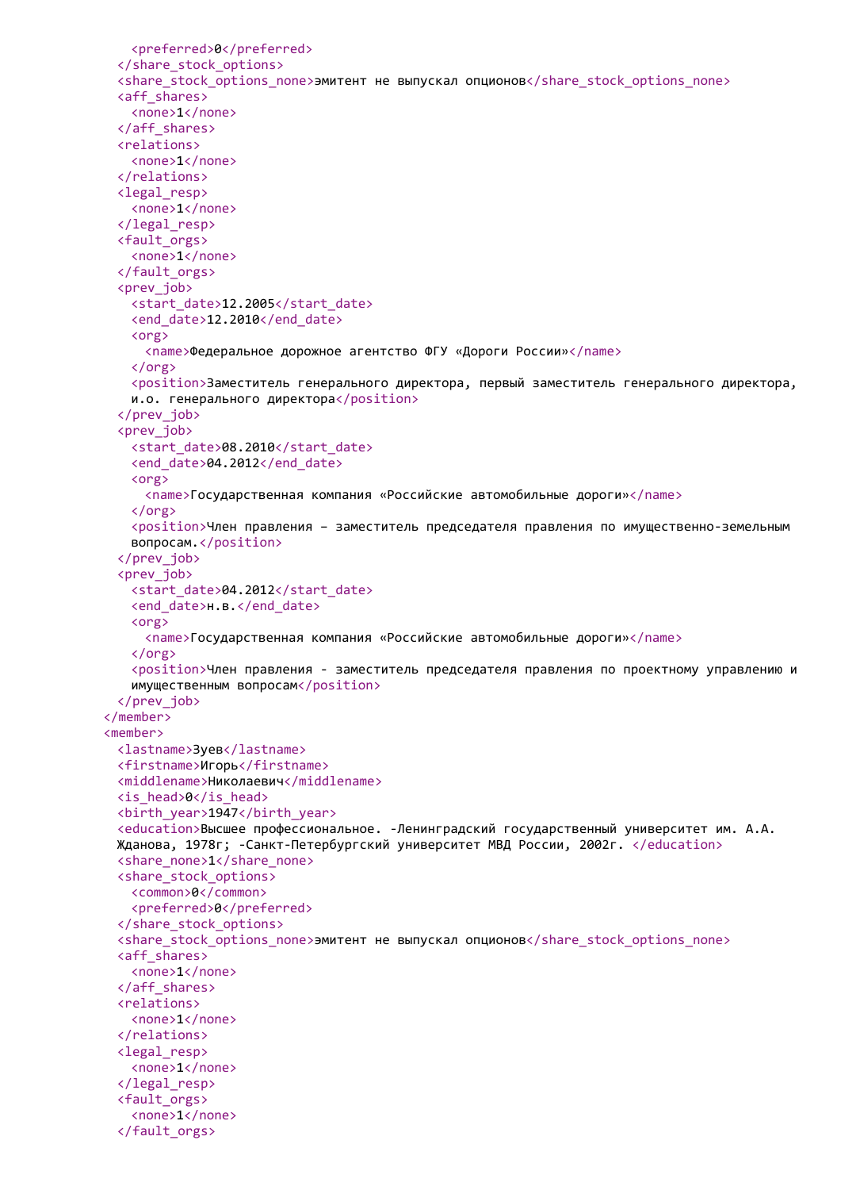```
<preferred>0</preferred>
 </share_stock_options>
 <share_stock_options_none>эмитент не выпускал опционов</share_stock_options_none>
 <aff_shares>
   <none>1</none>
 </aff_shares>
 <relations>
   <none>1</none>
 </relations>
 <legal_resp>
   <none>1</none>
 </legal_resp>
 <fault_orgs>
   <none>1</none>
 </fault_orgs>
 <prev_job>
   <start_date>12.2005</start_date>
   <end date>12.2010</end date>
   <org>
     <name>Федеральное дорожное агентство ФГУ «Дороги России»</name>
   </org>
   <position>Заместитель генерального директора, первый заместитель генерального директора,
   и.о. генерального директора</position>
 </prev_job>
 <prev_job>
   <start date>08.2010</start date>
   <end_date>04.2012</end_date>
   <org>
     <name>Государственная компания «Российские автомобильные дороги»</name>
   </org>
   <position>Член правления – заместитель председателя правления по имущественно-земельным
   вопросам.</position>
 </prev_job>
 <prev_job>
   <start_date>04.2012</start_date>
   <end_date>н.в.</end_date>
   <org>
     <name>Государственная компания «Российские автомобильные дороги»</name>
   </org>
   <position>Член правления - заместитель председателя правления по проектному управлению и
   имущественным вопросам</position>
 </prev_job>
</member>
<member>
 <lastname>Зуев</lastname>
 <firstname>Игорь</firstname>
 <middlename>Николаевич</middlename>
 <is_head>0</is_head>
 <birth_year>1947</birth_year>
 <education>Высшее профессиональное. -Ленинградский государственный университет им. А.А.
 Жданова, 1978г; -Санкт-Петербургский университет МВД России, 2002г. </education>
 <share_none>1</share_none>
 <share_stock_options>
   <common>0</common>
   <preferred>0</preferred>
 </share_stock_options>
 <share_stock_options_none>эмитент не выпускал опционов</share_stock_options_none>
 <aff_shares>
   <none>1</none>
 </aff_shares>
 <relations>
   <none>1</none>
 </relations>
 <legal_resp>
   <none>1</none>
 </legal_resp>
 <fault_orgs>
   <none>1</none>
 </fault_orgs>
```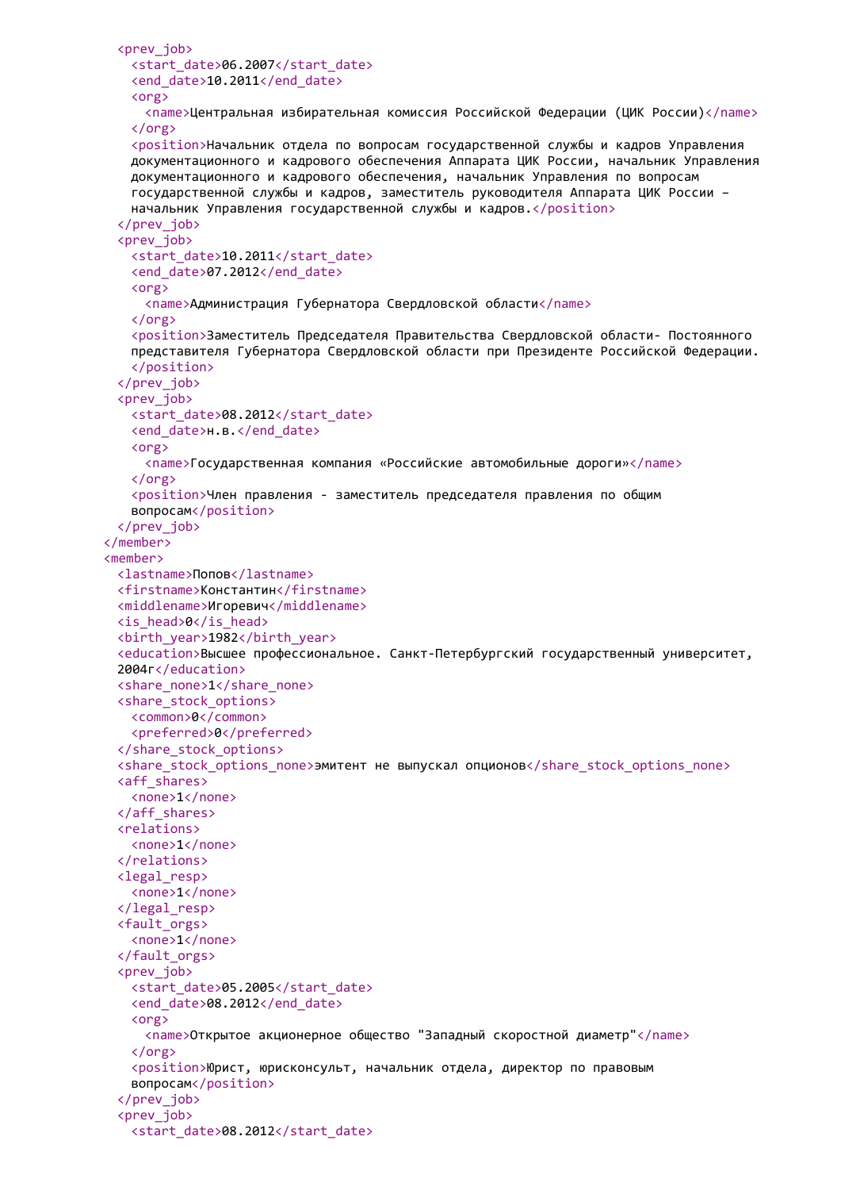```
<prev_job>
   <start_date>06.2007</start_date>
   <end_date>10.2011</end_date>
   <org>
     <name>Центральная избирательная комиссия Российской Федерации (ЦИК России)</name>
   </org>
   <position>Начальник отдела по вопросам государственной службы и кадров Управления
   документационного и кадрового обеспечения Аппарата ЦИК России, начальник Управления
   документационного и кадрового обеспечения, начальник Управления по вопросам
   государственной службы и кадров, заместитель руководителя Аппарата ЦИК России –
   начальник Управления государственной службы и кадров.</position>
 </prev_job>
 <prev_job>
   <start_date>10.2011</start_date>
   <end_date>07.2012</end_date>
   <org>
     <name>Администрация Губернатора Свердловской области</name>
   </org>
   <position>Заместитель Председателя Правительства Свердловской области- Постоянного
   представителя Губернатора Свердловской области при Президенте Российской Федерации.
   </position>
 </prev_job>
 <prev_job>
   <start_date>08.2012</start_date>
   <end_date>н.в.</end_date>
   <org>
     <name>Государственная компания «Российские автомобильные дороги»</name>
   </org>
   <position>Член правления - заместитель председателя правления по общим
   вопросам</position>
 </prev_job>
</member>
<member>
 <lastname>Попов</lastname>
 <firstname>Константин</firstname>
 <middlename>Игоревич</middlename>
 <is_head>0</is_head>
 <birth_year>1982</birth_year>
 <education>Высшее профессиональное. Санкт-Петербургский государственный университет,
 2004г</education>
 <share_none>1</share_none>
 <share_stock_options>
   <common>0</common>
   <preferred>0</preferred>
 </share_stock_options>
 <share stock options none>эмитент не выпускал опционов</share stock options none>
 <aff_shares>
   <none>1</none>
 </aff_shares>
 <relations>
   <none>1</none>
 </relations>
 <legal_resp>
   <none>1</none>
 </legal_resp>
 <fault_orgs>
   <none>1</none>
 </fault_orgs>
 <prev_job>
   <start_date>05.2005</start_date>
   <end_date>08.2012</end_date>
   <org>
     <name>Открытое акционерное общество "Западный скоростной диаметр"</name>
   \langle/org\rangle<position>Юрист, юрисконсульт, начальник отдела, директор по правовым
   вопросам</position>
 </prev_job>
 <prev_job>
   <start_date>08.2012</start_date>
```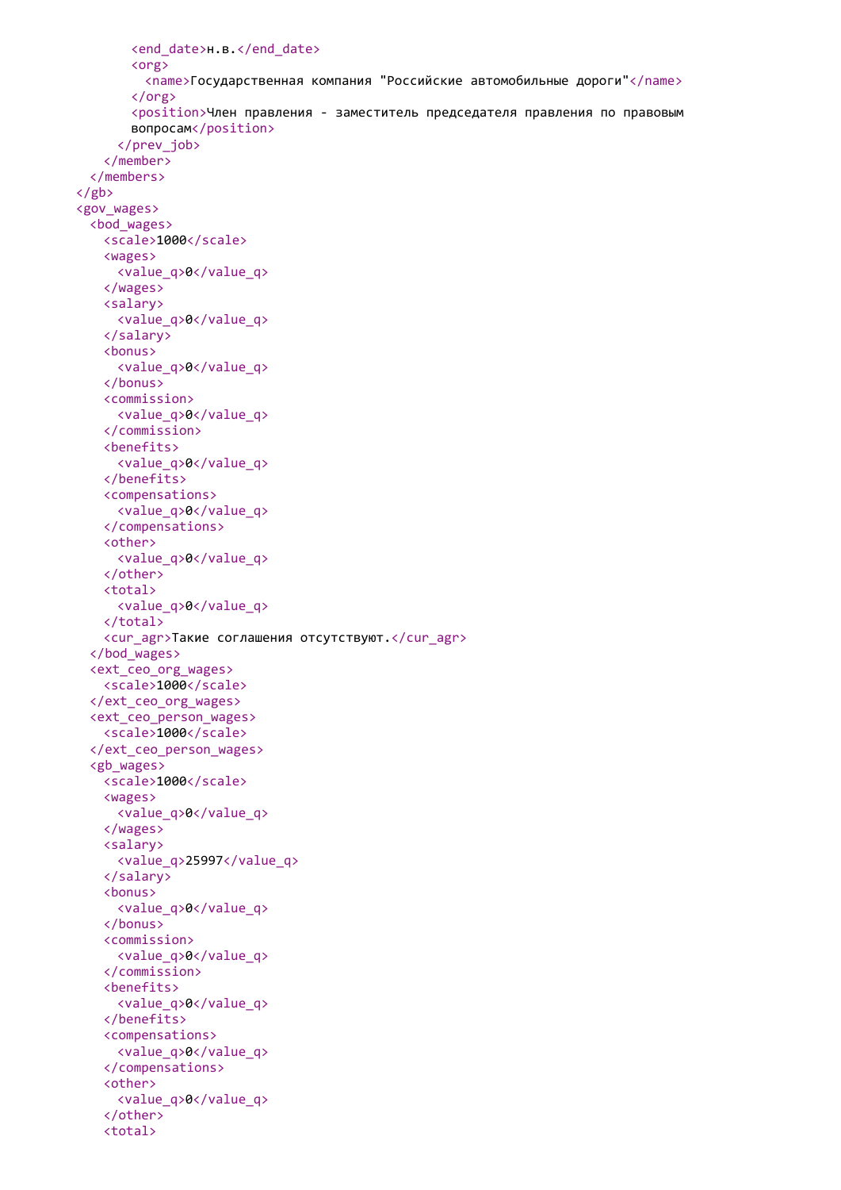```
<end_date>н.в.</end_date>
       <org>
         <name>Государственная компания "Российские автомобильные дороги"</name>
       </org>
       <position>Член правления - заместитель председателя правления по правовым
       вопросам</position>
     </prev_job>
   </member>
 </members>
\langle/gb>
<gov_wages>
  <bod_wages>
   <scale>1000</scale>
   <wages>
     <value_q>0</value_q>
   </wages>
   <salary>
     <value_q>0</value_q>
   </salary>
   <bonus>
     <value_q>0</value_q>
   </bonus>
   <commission>
     <value_q>0</value_q>
   </commission>
   <benefits>
     <value_q>0</value_q>
   </benefits>
   <compensations>
     <value_q>0</value_q>
   </compensations>
   <other>
     <value_q>0</value_q>
   </other>
   <total>
     <value_q>0</value_q>
   </total>
   <cur_agr>Такие соглашения отсутствуют.</cur_agr>
  </bod_wages>
  <ext_ceo_org_wages>
   <scale>1000</scale>
  </ext_ceo_org_wages>
  <ext_ceo_person_wages>
   <scale>1000</scale>
  </ext_ceo_person_wages>
  <gb_wages>
   <scale>1000</scale>
   <wages>
     <value_q>0</value_q>
   </wages>
   <salary>
     <value_q>25997</value_q>
   </salary>
   <bonus>
     <value_q>0</value_q>
   </bonus>
   <commission>
     <value_q>0</value_q>
   </commission>
   <benefits>
     <value_q>0</value_q>
   </benefits>
   <compensations>
     <value_q>0</value_q>
   </compensations>
   <other>
     <value_q>0</value_q>
   </other>
   <total>
```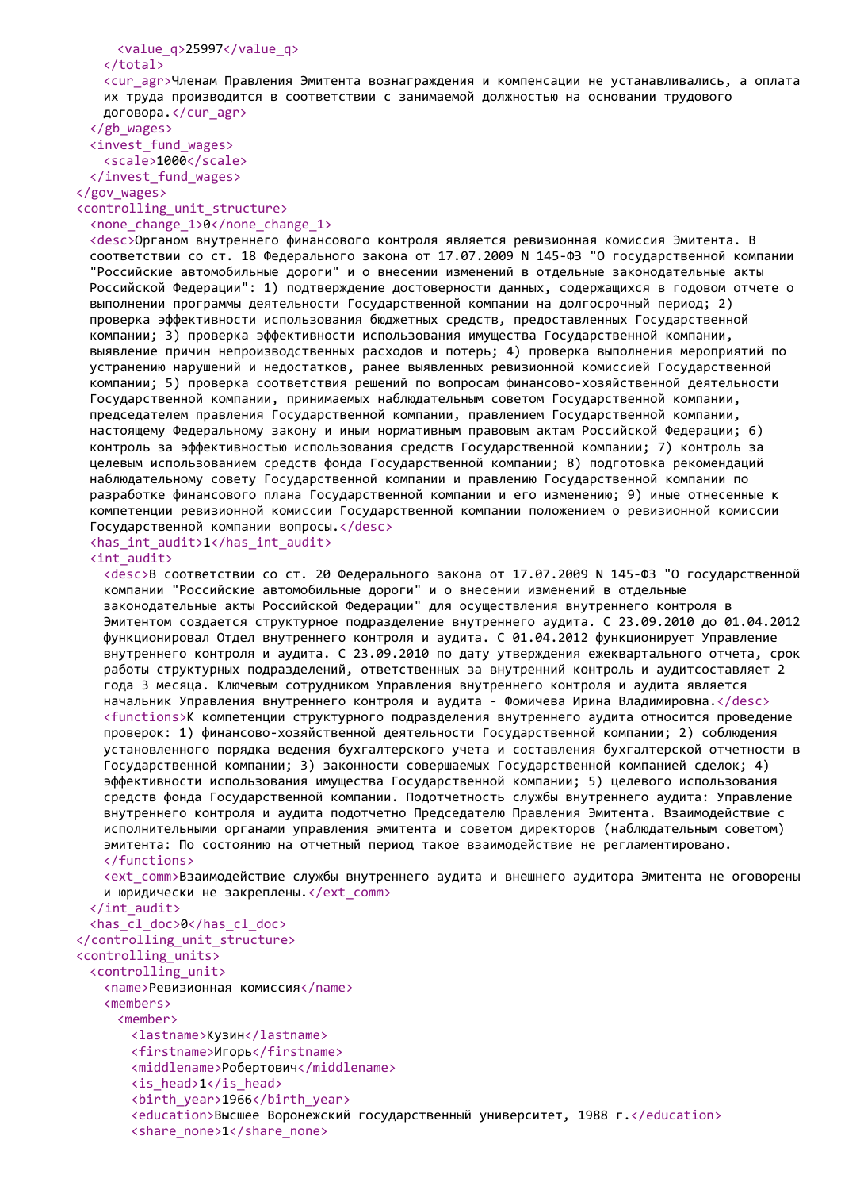```
<value_q>25997</value_q>
   </total>
   <cur_agr>Членам Правления Эмитента вознаграждения и компенсации не устанавливались, а оплата
   их труда производится в соответствии с занимаемой должностью на основании трудового
   договора.</cur_agr>
 </gb_wages>
 <invest_fund_wages>
   <scale>1000</scale>
 </invest_fund_wages>
</gov_wages>
```
<controlling\_unit\_structure> <none\_change\_1>0</none\_change\_1>

<desc>Органом внутреннего финансового контроля является ревизионная комиссия Эмитента. В соответствии со ст. 18 Федерального закона от 17.07.2009 N 145-ФЗ "О государственной компании "Российские автомобильные дороги" и о внесении изменений в отдельные законодательные акты Российской Федерации": 1) подтверждение достоверности данных, содержащихся в годовом отчете о выполнении программы деятельности Государственной компании на долгосрочный период; 2) проверка эффективности использования бюджетных средств, предоставленных Государственной компании; 3) проверка эффективности использования имущества Государственной компании, выявление причин непроизводственных расходов и потерь; 4) проверка выполнения мероприятий по устранению нарушений и недостатков, ранее выявленных ревизионной комиссией Государственной компании; 5) проверка соответствия решений по вопросам финансово-хозяйственной деятельности Государственной компании, принимаемых наблюдательным советом Государственной компании, председателем правления Государственной компании, правлением Государственной компании, настоящему Федеральному закону и иным нормативным правовым актам Российской Федерации; 6) контроль за эффективностью использования средств Государственной компании; 7) контроль за целевым использованием средств фонда Государственной компании; 8) подготовка рекомендаций наблюдательному совету Государственной компании и правлению Государственной компании по разработке финансового плана Государственной компании и его изменению; 9) иные отнесенные к компетенции ревизионной комиссии Государственной компании положением о ревизионной комиссии Государственной компании вопросы.</desc>

<has\_int\_audit>1</has\_int\_audit>

## <int\_audit>

<desc>В соответствии со ст. 20 Федерального закона от 17.07.2009 N 145-ФЗ "О государственной компании "Российские автомобильные дороги" и о внесении изменений в отдельные законодательные акты Российской Федерации" для осуществления внутреннего контроля в Эмитентом создается структурное подразделение внутреннего аудита. С 23.09.2010 до 01.04.2012 функционировал Отдел внутреннего контроля и аудита. С 01.04.2012 функционирует Управление внутреннего контроля и аудита. С 23.09.2010 по дату утверждения ежеквартального отчета, срок работы структурных подразделений, ответственных за внутренний контроль и аудитсоставляет 2 года 3 месяца. Ключевым сотрудником Управления внутреннего контроля и аудита является начальник Управления внутреннего контроля и аудита - Фомичева Ирина Владимировна.</desc> <functions>К компетенции структурного подразделения внутреннего аудита относится проведение проверок: 1) финансово-хозяйственной деятельности Государственной компании; 2) соблюдения установленного порядка ведения бухгалтерского учета и составления бухгалтерской отчетности в Государственной компании; 3) законности совершаемых Государственной компанией сделок; 4) эффективности использования имущества Государственной компании; 5) целевого использования средств фонда Государственной компании. Подотчетность службы внутреннего аудита: Управление внутреннего контроля и аудита подотчетно Председателю Правления Эмитента. Взаимодействие с исполнительными органами управления эмитента и советом директоров (наблюдательным советом) эмитента: По состоянию на отчетный период такое взаимодействие не регламентировано. </functions>

<ext\_comm>Взаимодействие службы внутреннего аудита и внешнего аудитора Эмитента не оговорены и юридически не закреплены. </ext comm>

```
</int_audit>
 <has_cl_doc>0</has_cl_doc>
</controlling_unit_structure>
<controlling_units>
 <controlling_unit>
   <name>Ревизионная комиссия</name>
   <members>
     <member>
       <lastname>Кузин</lastname>
       <firstname>Игорь</firstname>
       <middlename>Робертович</middlename>
       <is_head>1</is_head>
       <birth_year>1966</birth_year>
       <education>Высшее Воронежский государственный университет, 1988 г.</education>
       <share_none>1</share_none>
```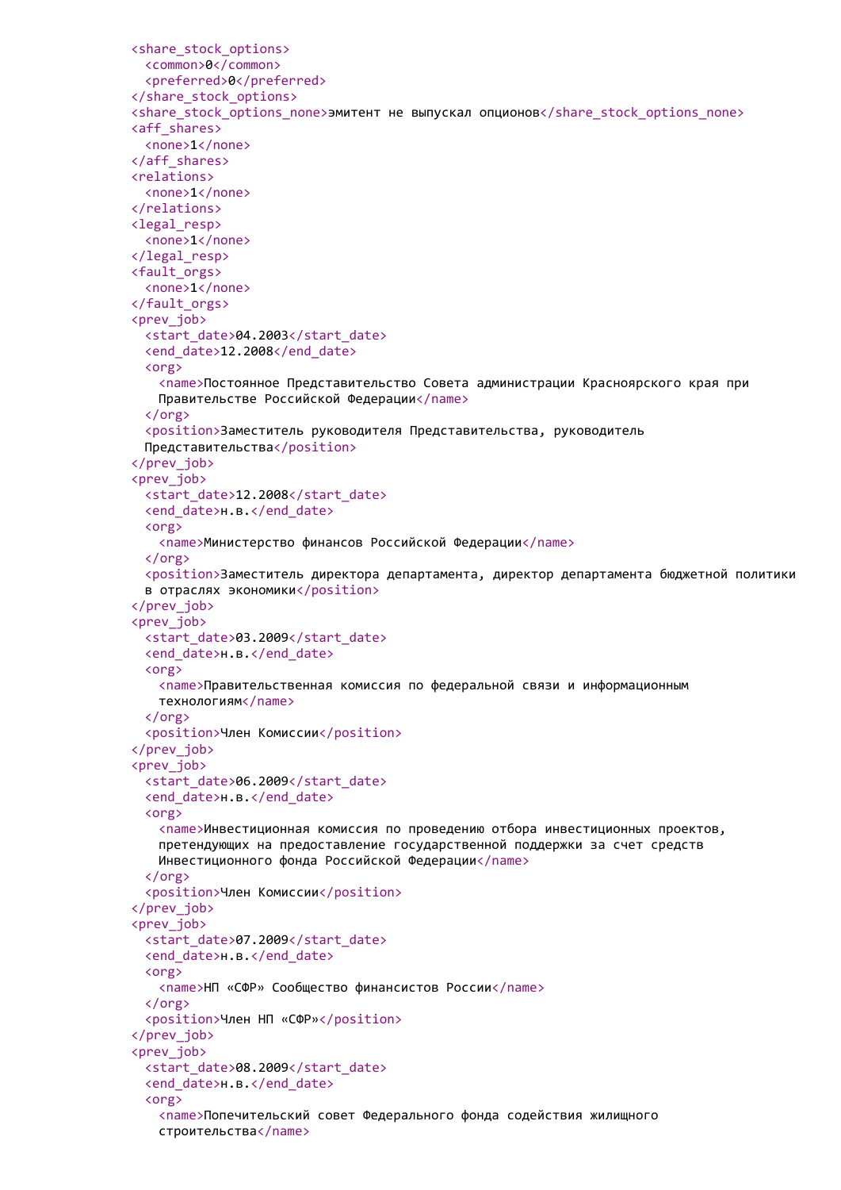```
<share_stock_options>
 <common>0</common>
  <preferred>0</preferred>
</share_stock_options>
<share_stock_options_none>эмитент не выпускал опционов</share_stock_options_none>
<aff_shares>
 <none>1</none>
</aff_shares>
<relations>
 <none>1</none>
</relations>
<legal_resp>
 <none>1</none>
</legal_resp>
<fault_orgs>
 <none>1</none>
</fault_orgs>
<prev_iob>
 <start_date>04.2003</start_date>
  <end date>12.2008</end date>
  <org>
   <name>Постоянное Представительство Совета администрации Красноярского края при
   Правительстве Российской Федерации</name>
  </org>
  <position>Заместитель руководителя Представительства, руководитель
 Представительства</position>
</prev_job>
<prev_job>
 <start_date>12.2008</start_date>
  <end_date>н.в.</end_date>
 <org>
   <name>Министерство финансов Российской Федерации</name>
 </org>
 <position>Заместитель директора департамента, директор департамента бюджетной политики
 в отраслях экономики</position>
</prev_job>
<prev_job>
 <start_date>03.2009</start_date>
 <end date>н.в.</end date>
 <org>
   <name>Правительственная комиссия по федеральной связи и информационным
   технологиям</name>
 </org>
 <position>Член Комиссии</position>
</prev_job>
<prev_job>
 <start_date>06.2009</start_date>
 <end date>н.в.</end date>
 <org>
   <name>Инвестиционная комиссия по проведению отбора инвестиционных проектов,
   претендующих на предоставление государственной поддержки за счет средств
   Инвестиционного фонда Российской Федерации</name>
  </org>
  <position>Член Комиссии</position>
</prev_job>
<prev_iob>
 <start_date>07.2009</start_date>
 <end date>н.в.</end date>
 <org>
   <name>НП «СФР» Сообщество финансистов России</name>
 </org>
 <position>Член НП «СФР»</position>
</prev_job>
<prev_iob>
 <start_date>08.2009</start_date>
  <end_date>н.в.</end_date>
  <org>
   <name>Попечительский совет Федерального фонда содействия жилищного
   строительства</name>
```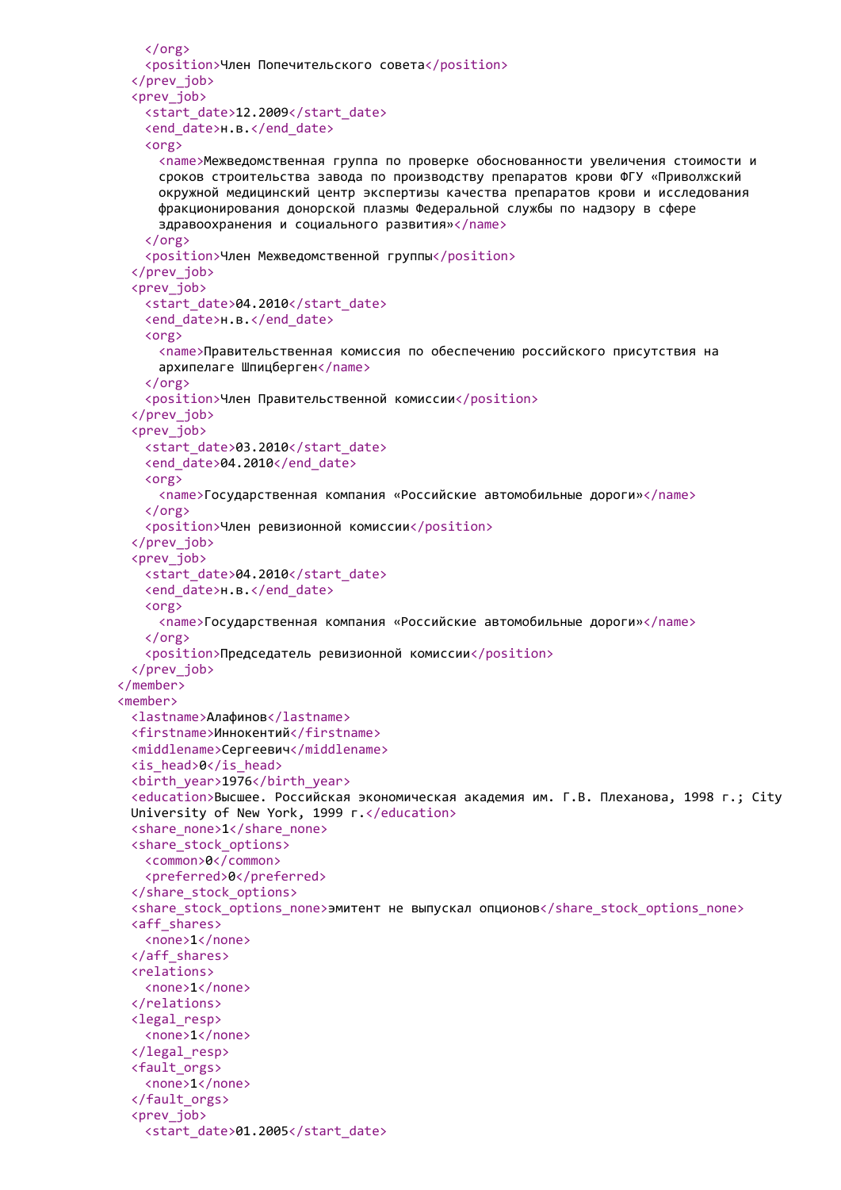```
</org>
   <position>Член Попечительского совета</position>
 </prev_job>
 <prev_job>
   <start_date>12.2009</start_date>
   <end date>н.в.</end date>
   <org>
     <name>Межведомственная группа по проверке обоснованности увеличения стоимости и
     сроков строительства завода по производству препаратов крови ФГУ «Приволжский
     окружной медицинский центр экспертизы качества препаратов крови и исследования
     фракционирования донорской плазмы Федеральной службы по надзору в сфере
     здравоохранения и социального развития»</name>
   </org>
   <position>Член Межведомственной группы</position>
 </prev_job>
 <prev_job>
   <start_date>04.2010</start_date>
   <end date>н.в.</end date>
   <org>
     <name>Правительственная комиссия по обеспечению российского присутствия на
     архипелаге Шпицберген</name>
   </org>
   <position>Член Правительственной комиссии</position>
 </prev_job>
 <prev_job>
   <start_date>03.2010</start_date>
   <end date>04.2010</end date>
   <org>
     <name>Государственная компания «Российские автомобильные дороги»</name>
   </org>
   <position>Член ревизионной комиссии</position>
 </prev_job>
 <prev_job>
   <start_date>04.2010</start_date>
   <end date>н.в.</end date>
   <org>
     <name>Государственная компания «Российские автомобильные дороги»</name>
   </org>
   <position>Председатель ревизионной комиссии</position>
 </prev_job>
</member>
<member>
 <lastname>Алафинов</lastname>
 <firstname>Иннокентий</firstname>
 <middlename>Сергеевич</middlename>
 <is_head>0</is_head>
 <birth_year>1976</birth_year>
 <education>Высшее. Российская экономическая академия им. Г.В. Плеханова, 1998 г.; City
 University of New York, 1999 г.</education>
 <share_none>1</share_none>
 <share_stock_options>
   <common>0</common>
   <preferred>0</preferred>
 </share_stock_options>
 <share_stock_options_none>эмитент не выпускал опционов</share_stock_options_none>
 <aff_shares>
   <none>1</none>
 </aff_shares>
 <relations>
   <none>1</none>
 </relations>
 <legal_resp>
   <none>1</none>
 </legal_resp>
 <fault_orgs>
   <none>1</none>
 </fault_orgs>
 <prev_job>
   <start_date>01.2005</start_date>
```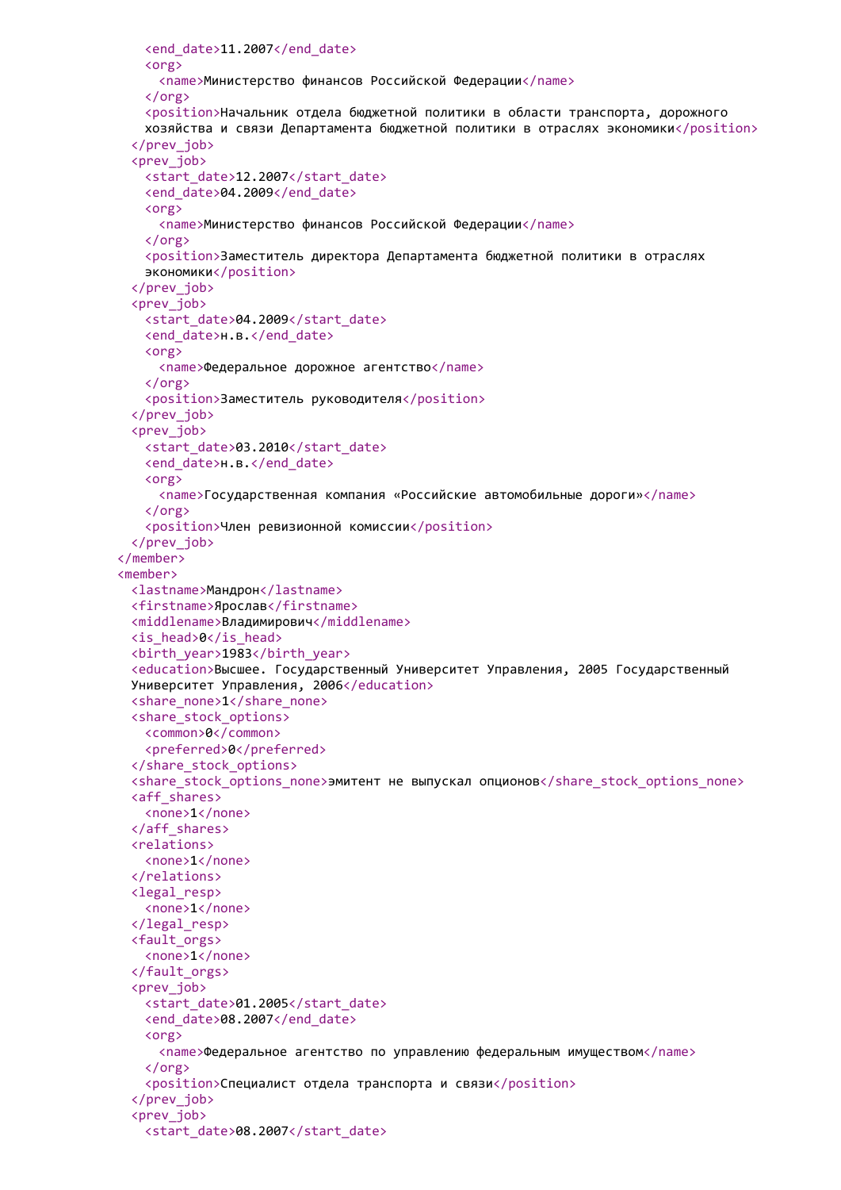```
<end_date>11.2007</end_date>
   <org>
     <name>Министерство финансов Российской Федерации</name>
   </org>
   <position>Начальник отдела бюджетной политики в области транспорта, дорожного
   хозяйства и связи Департамента бюджетной политики в отраслях экономики</position>
 </prev_job>
 <prev_job>
   <start_date>12.2007</start_date>
   <end_date>04.2009</end_date>
   <org>
     <name>Министерство финансов Российской Федерации</name>
   </org>
   <position>Заместитель директора Департамента бюджетной политики в отраслях
   экономики</position>
 </prev_job>
 <prev_job>
   <start_date>04.2009</start_date>
   <end date>н.в.</end date>
   <org>
     <name>Федеральное дорожное агентство</name>
   </org>
   <position>Заместитель руководителя</position>
 </prev_job>
 <prev_job>
   <start_date>03.2010</start_date>
   <end date>н.в.</end date>
   <org>
     <name>Государственная компания «Российские автомобильные дороги»</name>
   </org>
   <position>Член ревизионной комиссии</position>
 </prev_job>
</member>
<member>
 <lastname>Мандрон</lastname>
 <firstname>Ярослав</firstname>
 <middlename>Владимирович</middlename>
 <is_head>0</is_head>
 <birth_year>1983</birth_year>
 <education>Высшее. Государственный Университет Управления, 2005 Государственный
 Университет Управления, 2006</education>
 <share_none>1</share_none>
 <share_stock_options>
   <common>0</common>
   <preferred>0</preferred>
 </share_stock_options>
 <share stock options none>эмитент не выпускал опционов</share stock options none>
 <aff_shares>
   <none>1</none>
 </aff_shares>
 <relations>
   <none>1</none>
 </relations>
 <legal_resp>
   <none>1</none>
 </legal_resp>
 <fault_orgs>
   <none>1</none>
 </fault_orgs>
 <prev_iob>
   <start_date>01.2005</start_date>
   <end_date>08.2007</end_date>
   \langle org\rangle<name>Федеральное агентство по управлению федеральным имуществом</name>
   </org>
   <position>Специалист отдела транспорта и связи</position>
 </prev_job>
 <prev_job>
   <start_date>08.2007</start_date>
```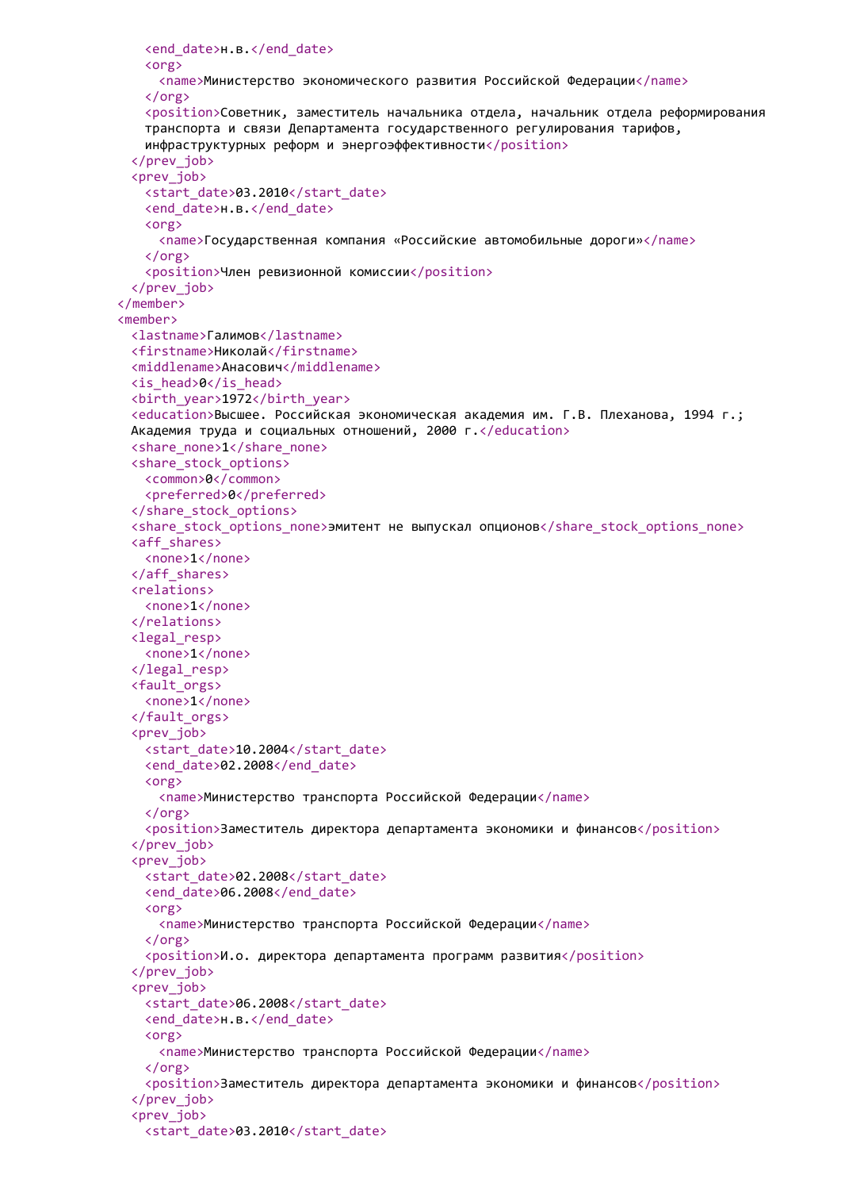```
<end_date>н.в.</end_date>
   <org>
     <name>Министерство экономического развития Российской Федерации</name>
   </org>
   <position>Советник, заместитель начальника отдела, начальник отдела реформирования
   транспорта и связи Департамента государственного регулирования тарифов,
   инфраструктурных реформ и энергоэффективности</position>
 </prev_job>
 <prev_job>
   <start_date>03.2010</start_date>
   <end_date>н.в.</end_date>
   <org>
     <name>Государственная компания «Российские автомобильные дороги»</name>
   </org>
   <position>Член ревизионной комиссии</position>
 </prev_job>
</member>
<member>
 <lastname>Галимов</lastname>
 <firstname>Николай</firstname>
 <middlename>Анасович</middlename>
 <is_head>0</is_head>
 <birth_year>1972</birth_year>
 <education>Высшее. Российская экономическая академия им. Г.В. Плеханова, 1994 г.;
 Академия труда и социальных отношений, 2000 г.</education>
 <share_none>1</share_none>
 <share_stock_options>
   <common>0</common>
   <preferred>0</preferred>
 </share_stock_options>
 <share stock options none>эмитент не выпускал опционов</share stock options none>
 <aff_shares>
   <none>1</none>
 </aff_shares>
 <relations>
   <none>1</none>
 </relations>
 <legal_resp>
   <none>1</none>
 </legal_resp>
 <fault_orgs>
   <none>1</none>
 </fault_orgs>
 <prev_job>
   <start_date>10.2004</start_date>
   <end date>02.2008</end date>
   <org>
     <name>Министерство транспорта Российской Федерации</name>
   \langle/org\rangle<position>Заместитель директора департамента экономики и финансов</position>
 </prev_job>
 <prev_iob>
   <start_date>02.2008</start_date>
   <end_date>06.2008</end_date>
   <org>
     <name>Министерство транспорта Российской Федерации</name>
   \zeta/org\zeta<position>И.о. директора департамента программ развития</position>
 </prev_job>
 <prev_iob>
   <start_date>06.2008</start_date>
   <end date>н.в.</end date>
   <org>
     <name>Министерство транспорта Российской Федерации</name>
   </org>
   <position>Заместитель директора департамента экономики и финансов</position>
 </prev_job>
 <prev_job>
   <start_date>03.2010</start_date>
```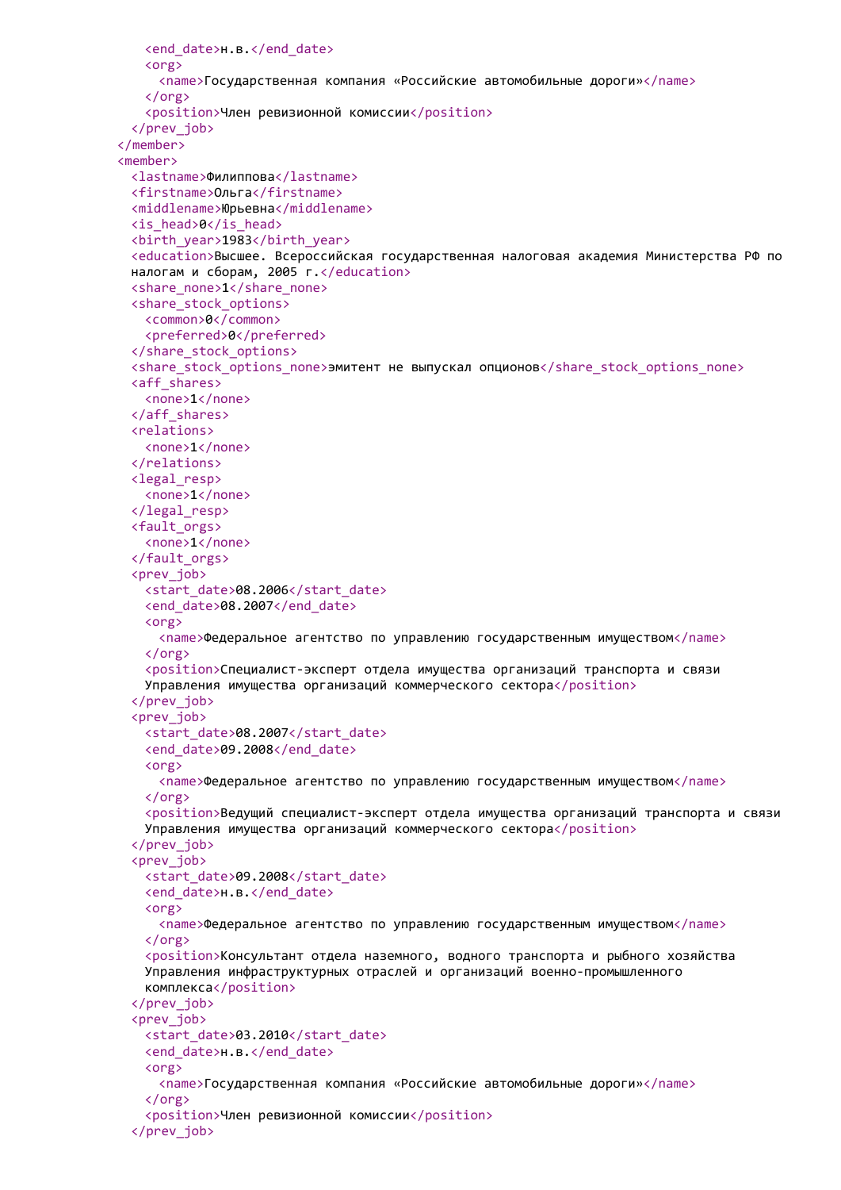```
<end_date>н.в.</end_date>
   <org>
     <name>Государственная компания «Российские автомобильные дороги»</name>
   </org>
   <position>Член ревизионной комиссии</position>
 </prev_job>
</member>
<member>
 <lastname>Филиппова</lastname>
 <firstname>Ольга</firstname>
 <middlename>Юрьевна</middlename>
 <is_head>0</is_head>
 <birth_year>1983</birth_year>
 <education>Высшее. Всероссийская государственная налоговая академия Министерства РФ по
 налогам и сборам, 2005 г.</education>
 <share_none>1</share_none>
 <share_stock_options>
   <common>0</common>
   <preferred>0</preferred>
 </share_stock_options>
 <share stock options none>эмитент не выпускал опционов</share stock options none>
 <aff_shares>
   <none>1</none>
 </aff_shares>
 <relations>
   <none>1</none>
 </relations>
 <legal_resp>
   <none>1</none>
 </legal_resp>
 <fault_orgs>
   <none>1</none>
 </fault_orgs>
 <prev_job>
   <start_date>08.2006</start_date>
   <end_date>08.2007</end_date>
   <org>
     <name>Федеральное агентство по управлению государственным имуществом</name>
   </org>
   <position>Специалист-эксперт отдела имущества организаций транспорта и связи
   Управления имущества организаций коммерческого сектора</position>
 </prev_job>
 <prev_job>
   <start_date>08.2007</start_date>
   <end date>09.2008</end date>
   <org>
     <name>Федеральное агентство по управлению государственным имуществом</name>
   \langle/org\rangle<position>Ведущий специалист-эксперт отдела имущества организаций транспорта и связи
   Управления имущества организаций коммерческого сектора</position>
 </prev_job>
 <prev_iob>
   <start_date>09.2008</start_date>
   <end date>н.в.</end date>
   <org>
     <name>Федеральное агентство по управлению государственным имуществом</name>
   \zeta/org\zeta<position>Консультант отдела наземного, водного транспорта и рыбного хозяйства
   Управления инфраструктурных отраслей и организаций военно-промышленного
   комплекса</position>
 </prev_job>
 <prev_iob>
   <start_date>03.2010</start_date>
   <end date>н.в.</end date>
   <org>
     <name>Государственная компания «Российские автомобильные дороги»</name>
   </org>
   <position>Член ревизионной комиссии</position>
 </prev_job>
```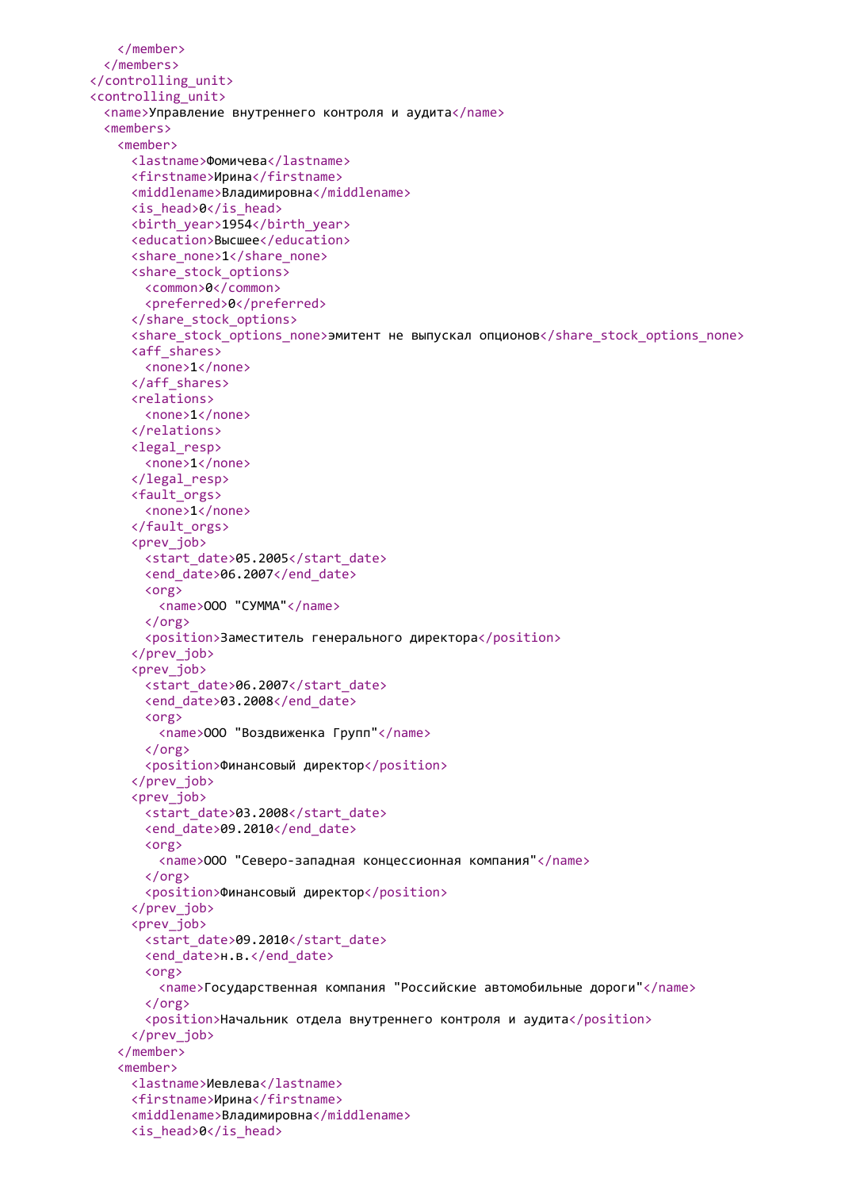```
</member>
 </members>
</controlling_unit>
<controlling_unit>
 <name>Управление внутреннего контроля и аудита</name>
 <members>
   <member>
     <lastname>Фомичева</lastname>
     <firstname>Ирина</firstname>
     <middlename>Владимировна</middlename>
     <is_head>0</is_head>
     <birth_year>1954</birth_year>
     <education>Высшее</education>
     <share_none>1</share_none>
     <share_stock_options>
       <common>0</common>
       <preferred>0</preferred>
     </share_stock_options>
     <share stock options none>эмитент не выпускал опционов</share stock options none>
     <aff_shares>
       <none>1</none>
     </aff_shares>
     <relations>
       <none>1</none>
     </relations>
     <legal_resp>
       <none>1</none>
     </legal_resp>
     <fault_orgs>
       <none>1</none>
     </fault_orgs>
     <prev_job>
       <start_date>05.2005</start_date>
       <end_date>06.2007</end_date>
       <org>
         <name>ООО "СУММА"</name>
       </org>
       <position>Заместитель генерального директора</position>
     </prev_job>
     <prev_job>
       <start_date>06.2007</start_date>
       <end_date>03.2008</end_date>
       <org>
         <name>ООО "Воздвиженка Групп"</name>
       </org>
       <position>Финансовый директор</position>
     </prev_job>
     <prev_job>
       <start_date>03.2008</start_date>
       <end_date>09.2010</end_date>
       <org>
         <name>ООО "Северо-западная концессионная компания"</name>
       </org>
       <position>Финансовый директор</position>
     </prev_job>
     <prev_iob>
       <start_date>09.2010</start_date>
       <end date>н.в.</end date>
       <org>
         <name>Государственная компания "Российские автомобильные дороги"</name>
       </org>
       <position>Начальник отдела внутреннего контроля и аудита</position>
     </prev_job>
   </member>
   <member>
     <lastname>Иевлева</lastname>
     <firstname>Ирина</firstname>
     <middlename>Владимировна</middlename>
     <is_head>0</is_head>
```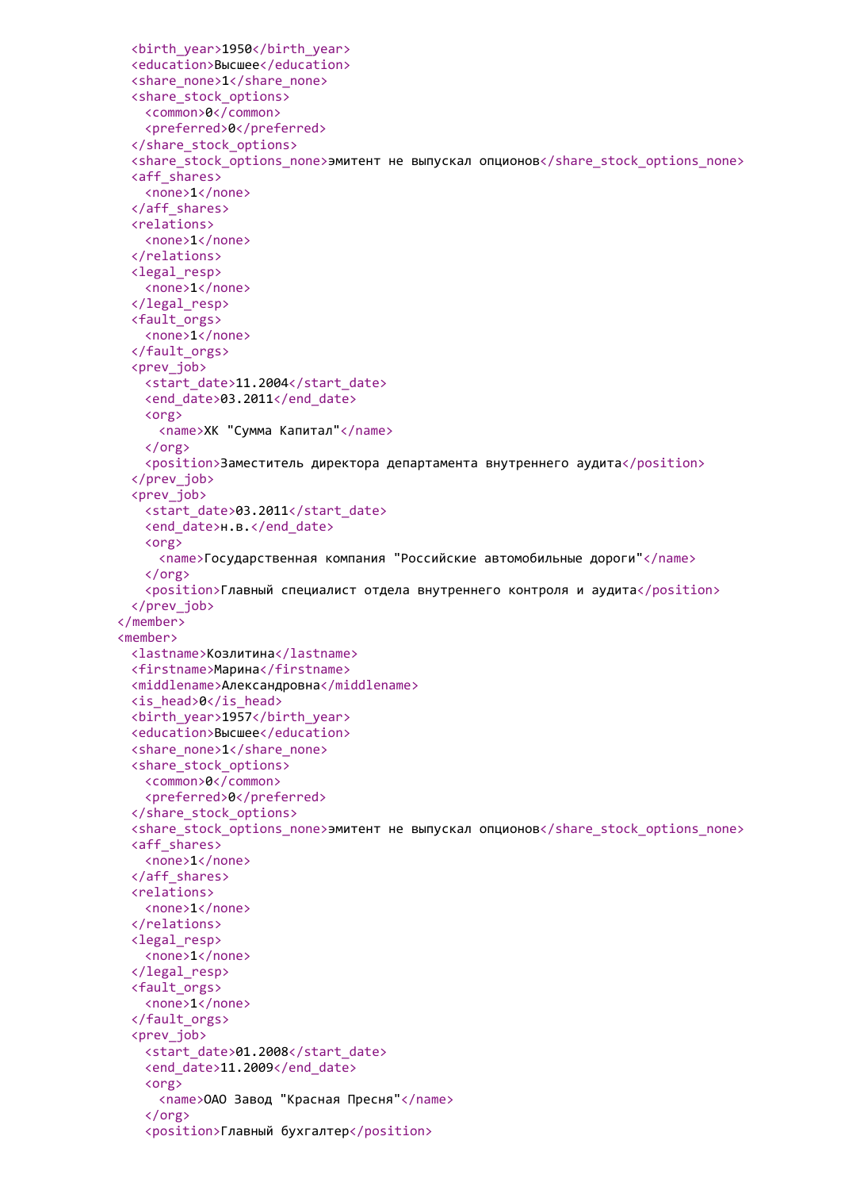```
<birth_year>1950</birth_year>
 <education>Высшее</education>
 <share_none>1</share_none>
 <share_stock_options>
   <common>0</common>
   <preferred>0</preferred>
 </share_stock_options>
 <share stock options none>эмитент не выпускал опционов</share stock options none>
 <aff_shares>
   <none>1</none>
 </aff_shares>
 <relations>
   <none>1</none>
 </relations>
 <legal_resp>
   <none>1</none>
 </legal_resp>
 <fault_orgs>
   <none>1</none>
 </fault_orgs>
 <prev_job>
   <start_date>11.2004</start_date>
   <end date>03.2011</end date>
   <org>
     <name>ХК "Сумма Капитал"</name>
   </org>
   <position>Заместитель директора департамента внутреннего аудита</position>
 </prev_job>
 <prev_job>
   <start_date>03.2011</start_date>
   <end date>н.в.</end date>
   <org>
     <name>Государственная компания "Российские автомобильные дороги"</name>
   </org>
   <position>Главный специалист отдела внутреннего контроля и аудита</position>
 </prev_job>
</member>
<member>
 <lastname>Козлитина</lastname>
 <firstname>Марина</firstname>
 <middlename>Александровна</middlename>
 <is_head>0</is_head>
 <birth_year>1957</birth_year>
 <education>Высшее</education>
 <share_none>1</share_none>
 <share_stock_options>
   <common>0</common>
   <preferred>0</preferred>
 </share_stock_options>
 <share_stock_options_none>эмитент не выпускал опционов</share_stock_options_none>
 <aff_shares>
   <none>1</none>
 </aff_shares>
 <relations>
   <none>1</none>
 </relations>
 <legal_resp>
   <none>1</none>
 </legal_resp>
 <fault_orgs>
   <none>1</none>
 </fault_orgs>
 <prev_iob>
   <start_date>01.2008</start_date>
   <end_date>11.2009</end_date>
   <org>
     <name>ОАО Завод "Красная Пресня"</name>
   </org>
   <position>Главный бухгалтер</position>
```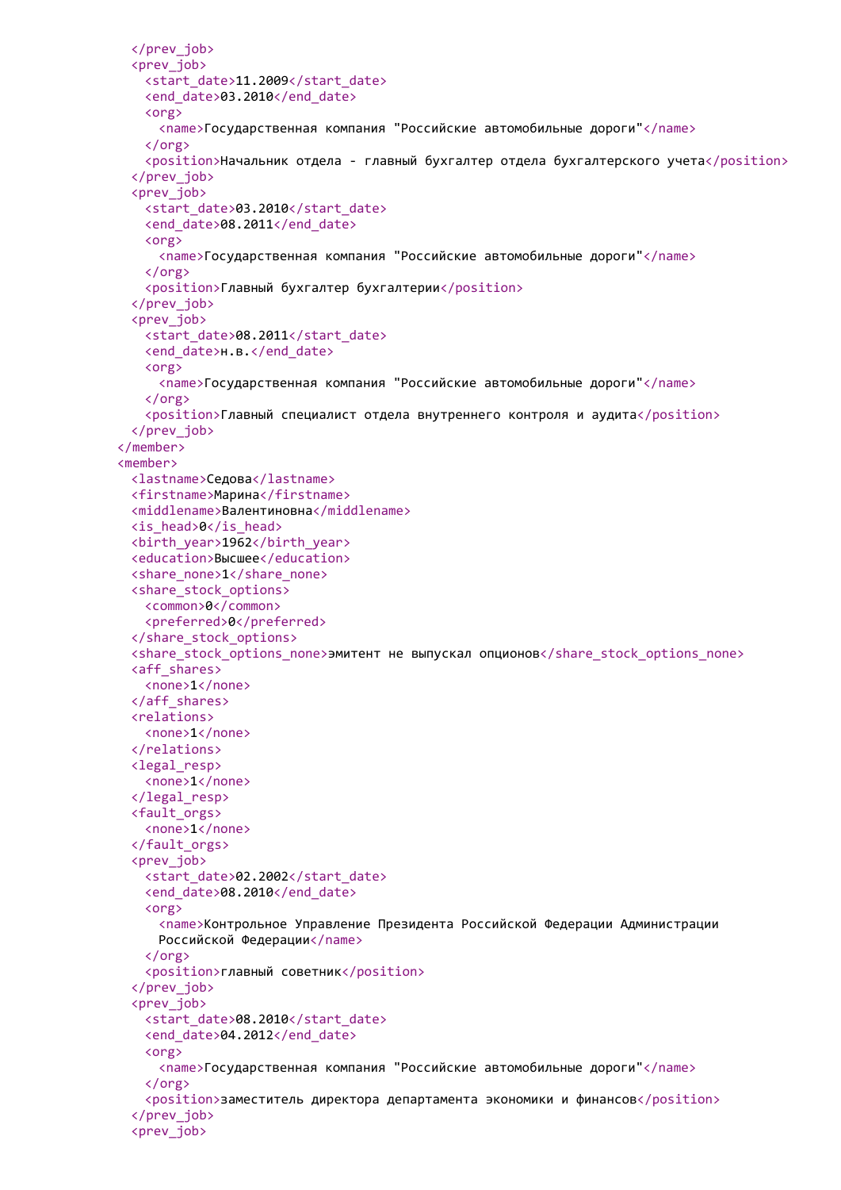```
</prev_job>
 <prev_job>
   <start_date>11.2009</start_date>
   <end_date>03.2010</end_date>
   <org>
     <name>Государственная компания "Российские автомобильные дороги"</name>
   </org>
   <position>Начальник отдела - главный бухгалтер отдела бухгалтерского учета</position>
 </prev_job>
 <prev_job>
   <start_date>03.2010</start_date>
   <end_date>08.2011</end_date>
   <org>
     <name>Государственная компания "Российские автомобильные дороги"</name>
   </org>
   <position>Главный бухгалтер бухгалтерии</position>
 </prev_job>
 <prev_job>
   <start_date>08.2011</start_date>
   <end date>н.в.</end date>
   <org>
     <name>Государственная компания "Российские автомобильные дороги"</name>
   </org>
   <position>Главный специалист отдела внутреннего контроля и аудита</position>
 </prev_job>
</member>
<member>
 <lastname>Седова</lastname>
 <firstname>Марина</firstname>
 <middlename>Валентиновна</middlename>
 <is_head>0</is_head>
 <birth_year>1962</birth_year>
 <education>Высшее</education>
 <share_none>1</share_none>
 <share_stock_options>
   <common>0</common>
   <preferred>0</preferred>
 </share_stock_options>
 <share stock options none>эмитент не выпускал опционов</share stock options none>
 <aff_shares>
   <none>1</none>
 </aff_shares>
 <relations>
   <none>1</none>
 </relations>
 <legal_resp>
   <none>1</none>
 </legal_resp>
 <fault_orgs>
   <none>1</none>
 </fault_orgs>
 <prev_iob>
   <start_date>02.2002</start_date>
   <end date>08.2010</end date>
   <org>
     <name>Контрольное Управление Президента Российской Федерации Администрации
     Российской Федерации</name>
   </org>
   <position>главный советник</position>
 </prev_job>
 <prev_iob>
   <start_date>08.2010</start_date>
   <end_date>04.2012</end_date>
   <org>
     <name>Государственная компания "Российские автомобильные дороги"</name>
   </org>
   <position>заместитель директора департамента экономики и финансов</position>
 </prev_job>
 <prev_job>
```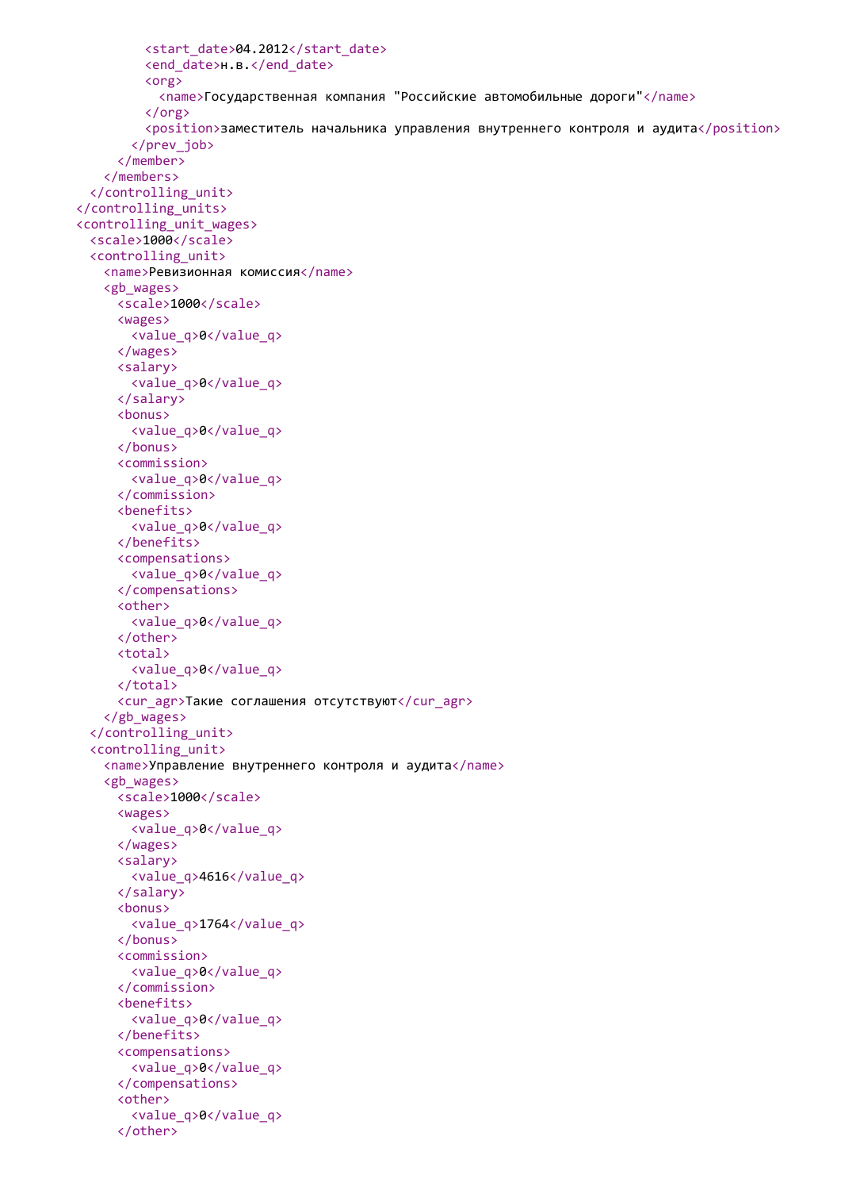```
<start_date>04.2012</start_date>
         <end_date>н.в.</end_date>
         <org>
           <name>Государственная компания "Российские автомобильные дороги"</name>
         </org>
         <position>заместитель начальника управления внутреннего контроля и аудита</position>
       </prev_job>
     </member>
   </members>
  </controlling_unit>
</controlling_units>
<controlling_unit_wages>
  <scale>1000</scale>
  <controlling_unit>
   <name>Ревизионная комиссия</name>
   <gb_wages>
     <scale>1000</scale>
     <wages>
       <value_q>0</value_q>
     </wages>
     <salary>
       <value_q>0</value_q>
     </salary>
     <bonus>
       <value_q>0</value_q>
     </bonus>
     <commission>
       <value_q>0</value_q>
     </commission>
     <benefits>
       <value_q>0</value_q>
     </benefits>
     <compensations>
       <value_q>0</value_q>
     </compensations>
     <other>
       <value_q>0</value_q>
     </other>
     <total>
       <value_q>0</value_q>
     </total>
     <cur_agr>Такие соглашения отсутствуют</cur_agr>
   </gb_wages>
  </controlling_unit>
  <controlling_unit>
   <name>Управление внутреннего контроля и аудита</name>
   <gb_wages>
     <scale>1000</scale>
     <wages>
       <value_q>0</value_q>
     </wages>
     <salary>
       <value_q>4616</value_q>
     </salary>
     <bonus>
       <value_q>1764</value_q>
     </bonus>
     <commission>
       <value_q>0</value_q>
     </commission>
     <benefits>
       <value_q>0</value_q>
     </benefits>
     <compensations>
       <value_q>0</value_q>
     </compensations>
     <other>
       <value_q>0</value_q>
```
</other>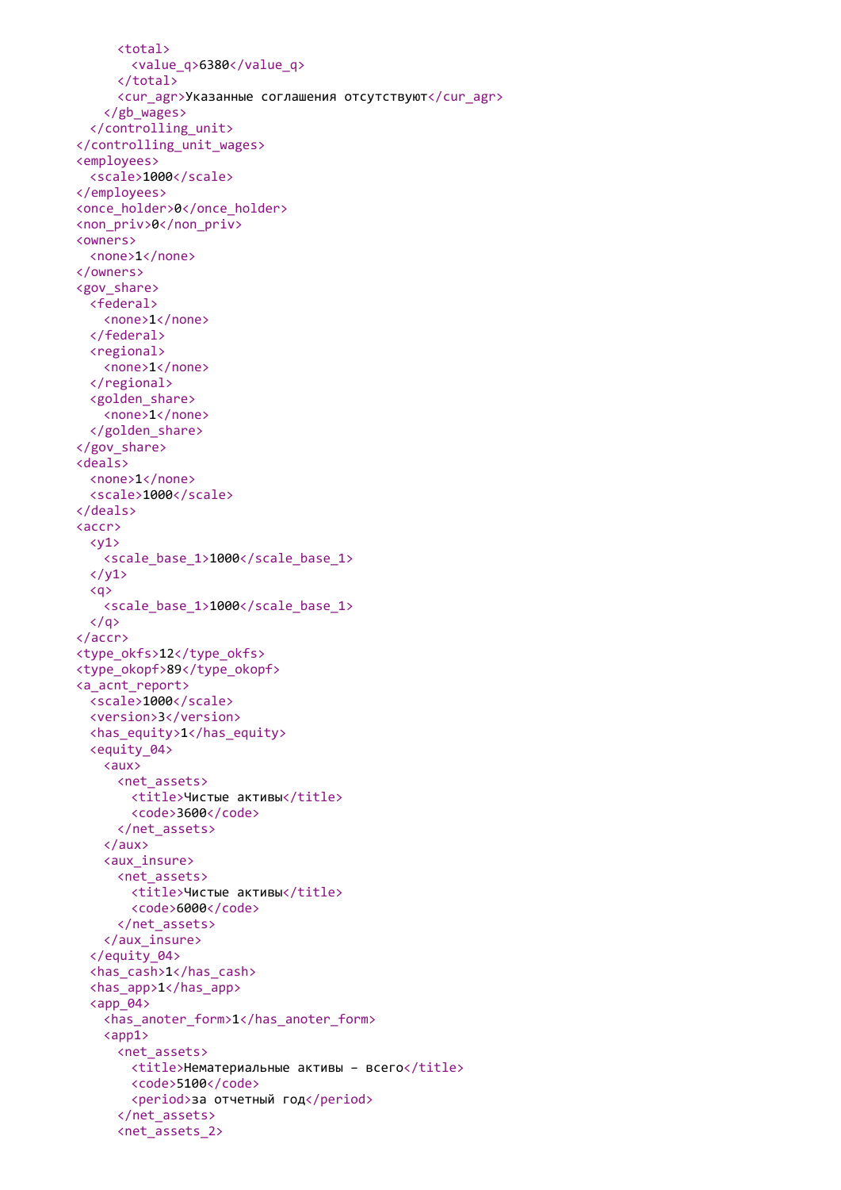```
<total>
       <value_q>6380</value_q>
     </total>
     <cur_agr>Указанные соглашения отсутствуют</cur_agr>
    </gb_wages>
 </controlling_unit>
</controlling_unit_wages>
<employees>
 <scale>1000</scale>
</employees>
<once_holder>0</once_holder>
<non_priv>0</non_priv>
<owners>
 <none>1</none>
</owners>
<gov_share>
 <federal>
   <none>1</none>
 </federal>
 <regional>
   <none>1</none>
  </regional>
  <golden_share>
   <none>1</none>
  </golden_share>
</gov_share>
<deals>
 <none>1</none>
 <scale>1000</scale>
</deals>
<accr>
  <y1>
   <scale_base_1>1000</scale_base_1>
 \langle/y1>
  <q>
   <scale_base_1>1000</scale_base_1>
  \langle/q>
</accr>
<type_okfs>12</type_okfs>
<type_okopf>89</type_okopf>
<a_acnt_report>
 <scale>1000</scale>
 <version>3</version>
  <has_equity>1</has_equity>
  <equity_04>
   <aux>
     <net_assets>
       <title>Чистые активы</title>
       <code>3600</code>
     </net_assets>
   </aux>
   <aux_insure>
     <net_assets>
       <title>Чистые активы</title>
       <code>6000</code>
     </net_assets>
   </aux_insure>
  </equity_04>
  <has_cash>1</has_cash>
  <has_app>1</has_app>
  <app_04>
   <has anoter form>1</has anoter form>
   \langleapp1\rangle<net_assets>
       <title>Нематериальные активы - всего</title>
       <code>5100</code>
       <period>за отчетный год</period>
     </net_assets>
     <net_assets_2>
```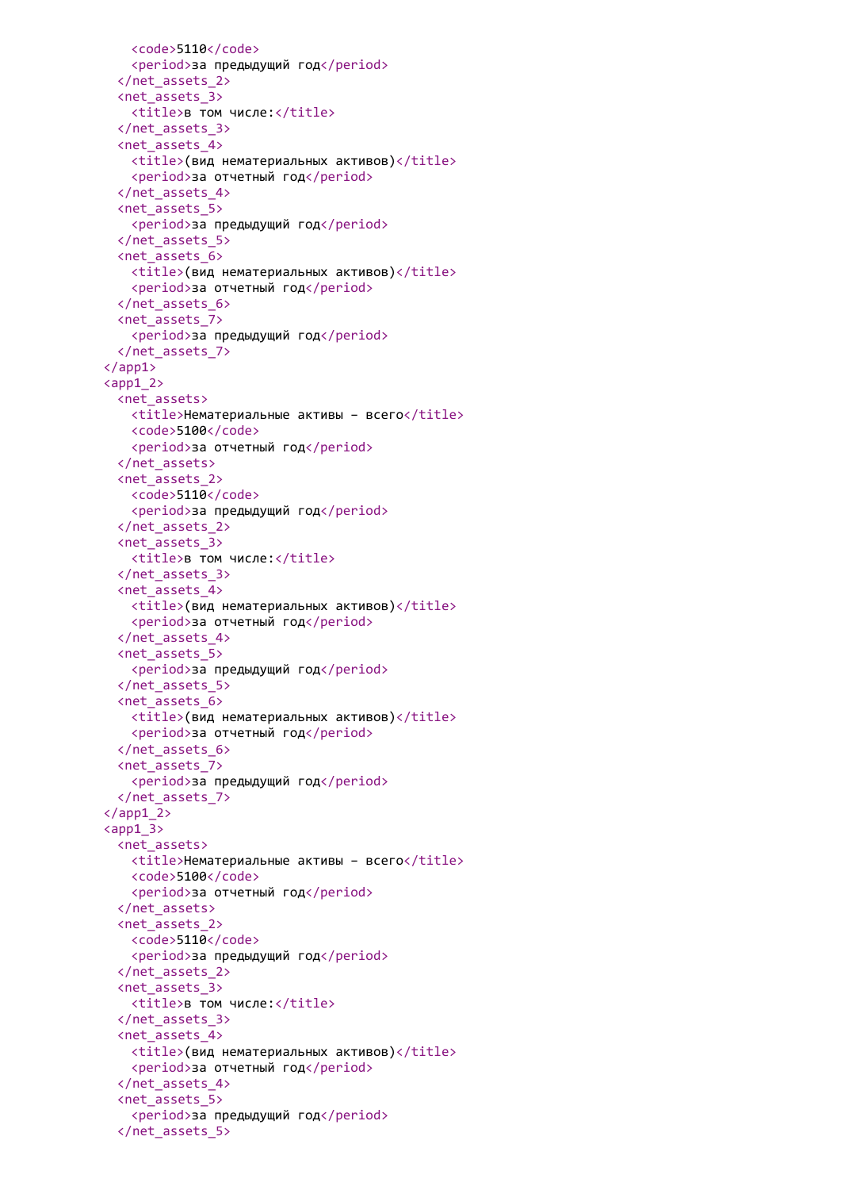```
<code>5110</code>
   <period>за предыдущий год</period>
 </net_assets_2>
 <net_assets_3>
   <title>в том числе:</title>
 </net_assets_3>
 <net_assets_4>
   <title>(вид нематериальных активов)</title>
   <period>за отчетный год</period>
 </net_assets_4>
 <net_assets_5>
   <period>за предыдущий год</period>
 </net_assets_5>
 <net_assets_6>
   <title>(вид нематериальных активов)</title>
   <period>за отчетный год</period>
 </net_assets_6>
 <net_assets_7>
   <period>за предыдущий год</period>
 </net_assets_7>
</app1>
\langle app1 \rangle<net assets>
   <title>Нематериальные активы - всего</title>
   <code>5100</code>
   <period>за отчетный год</period>
 </net_assets>
 <net_assets_2>
   <code>5110</code>
   <period>за предыдущий год</period>
 </net_assets_2>
 <net_assets_3>
   <title>в том числе:</title>
 </net_assets_3>
 <net_assets_4>
   <title>(вид нематериальных активов)</title>
   <period>за отчетный год</period>
 </net_assets_4>
 <net_assets_5>
   <period>за предыдущий год</period>
 </net_assets_5>
 <net_assets_6>
   <title>(вид нематериальных активов)</title>
   <period>за отчетный год</period>
 </net_assets_6>
 <net_assets_7>
   <period>за предыдущий год</period>
 </net_assets_7>
\langle app1 2>
\langleapp13\rangle<net_assets>
   <title>Нематериальные активы – всего</title>
   <code>5100</code>
   <period>за отчетный год</period>
 </net_assets>
 <net_assets_2>
   <code>5110</code>
   <period>за предыдущий год</period>
 </net_assets_2>
 <net_assets_3>
   <title>в том числе:</title>
 </net_assets_3>
 <net_assets_4>
   <title>(вид нематериальных активов)</title>
   <period>за отчетный год</period>
 </net_assets_4>
 <net_assets_5>
   <period>за предыдущий год</period>
 </net_assets_5>
```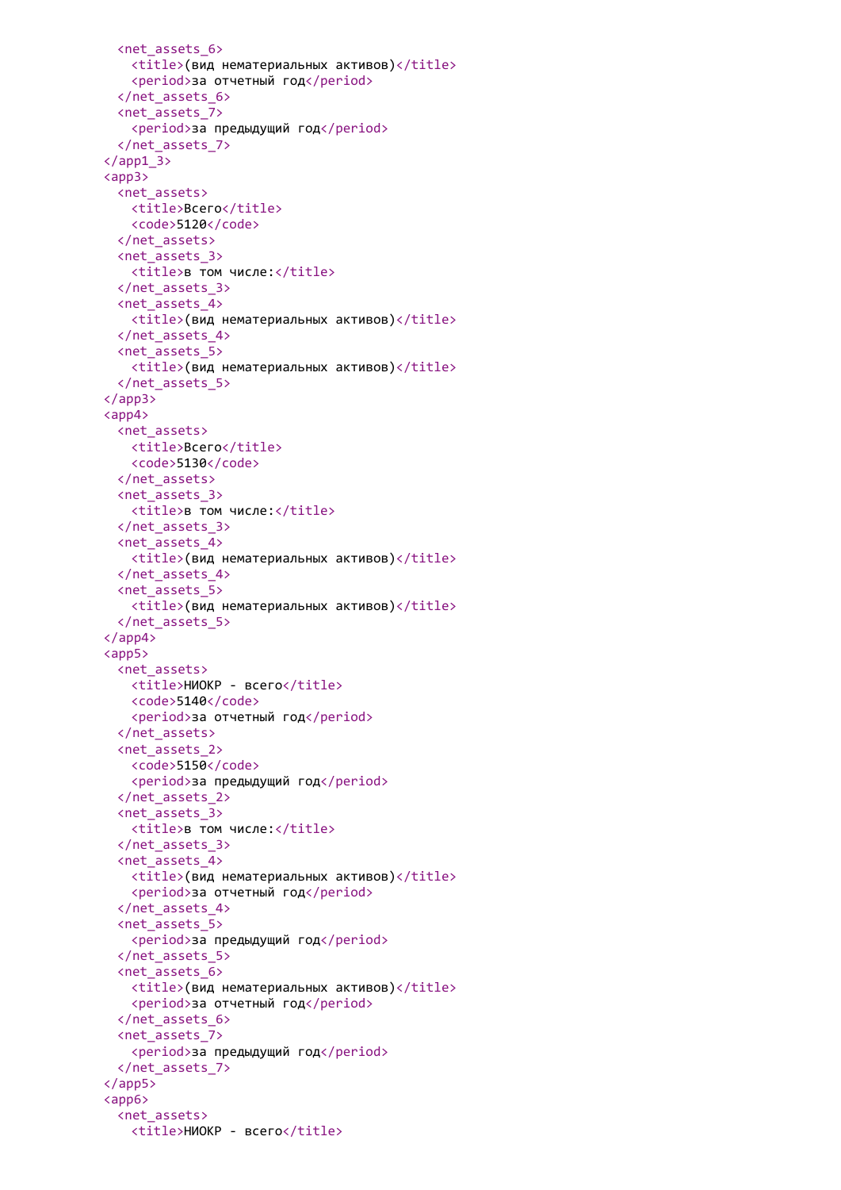```
<net_assets_6>
   <title>(вид нематериальных активов)</title>
   <period>за отчетный год</period>
 </net_assets_6>
 <net_assets_7>
   <period>за предыдущий год</period>
 </net_assets_7>
\langle app1_3>
<app3>
 <net_assets>
   <title>Bcero</title>
   <code>5120</code>
 </net_assets>
 <net_assets_3>
   <title>в том числе:</title>
 </net_assets_3>
 <net_assets_4>
   <title>(вид нематериальных активов)</title>
 </net_assets_4>
 <net_assets_5>
   <title>(вид нематериальных активов)</title>
 </net_assets_5>
</app3>
<app4>
 <net_assets>
   <title>Всего</title>
   <code>5130</code>
 </net_assets>
 <net_assets_3>
   <title>в том числе:</title>
 </net_assets_3>
 <net_assets_4>
   <title>(вид нематериальных активов)</title>
 </net_assets_4>
 <net_assets_5>
   <title>(вид нематериальных активов)</title>
 </net_assets_5>
</app4>
<app5>
 <net_assets>
   <title>НИОКР - всего</title>
   <code>5140</code>
   <period>за отчетный год</period>
 </net_assets>
 <net_assets_2>
   <code>5150</code>
   <period>за предыдущий год</period>
 </net_assets_2>
 <net_assets_3>
   <title>в том числе:</title>
 </net_assets_3>
 <net_assets_4>
   <title>(вид нематериальных активов)</title>
   <period>за отчетный год</period>
 </net_assets_4>
 <net_assets_5>
   <period>за предыдущий год</period>
 </net_assets_5>
 <net_assets_6>
   <title>(вид нематериальных активов)</title>
   <period>за отчетный год</period>
 </net_assets_6>
 <net_assets_7>
   <period>за предыдущий год</period>
 </net_assets_7>
</app5>
<app6>
 <net_assets>
   <title>НИОКР - всего</title>
```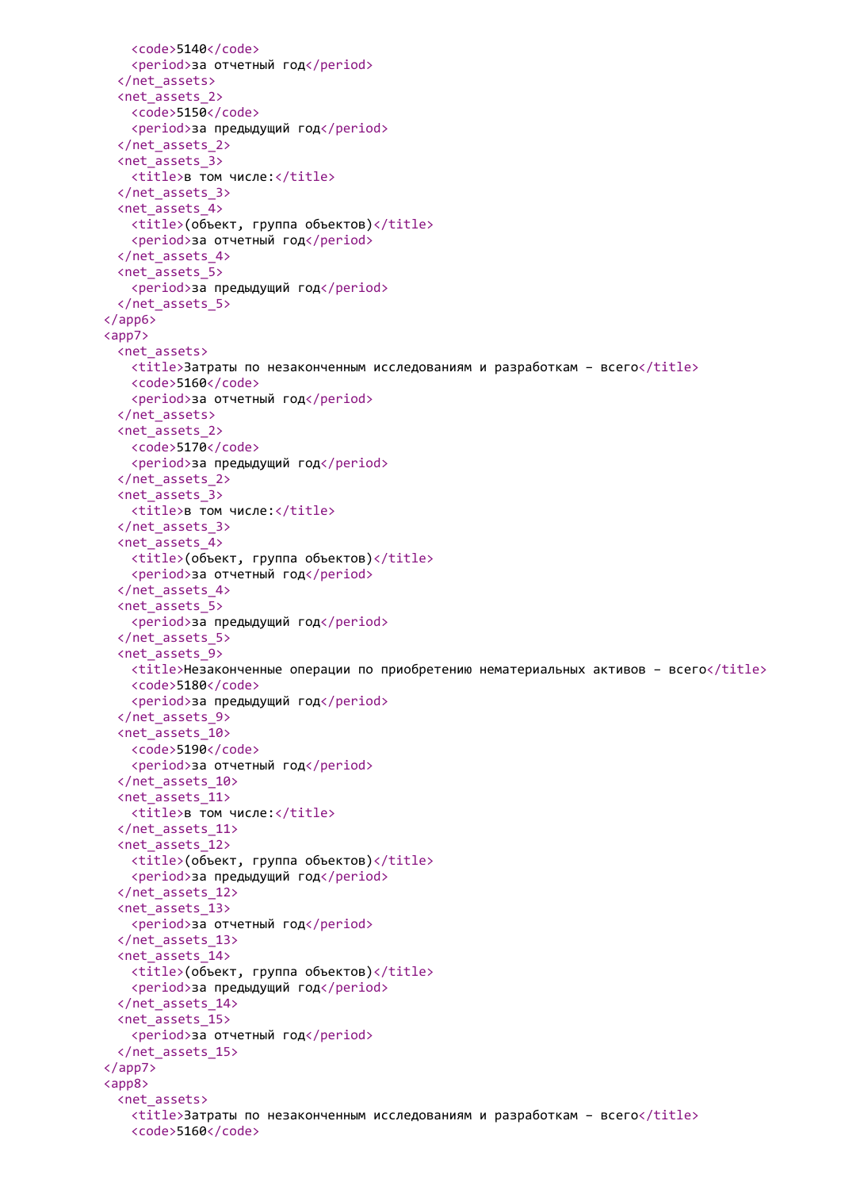```
<code>5140</code>
   <period>за отчетный год</period>
 </net_assets>
 <net_assets_2>
   <code>5150</code>
   <period>за предыдущий год</period>
 </net_assets_2>
 <net_assets_3>
   <title>в том числе:</title>
 </net_assets_3>
 <net_assets_4>
   <title>(объект, группа объектов)</title>
   <period>за отчетный год</period>
 </net_assets_4>
 <net_assets_5>
   <period>за предыдущий год</period>
 </net_assets_5>
</app6>
<app7>
 <net_assets>
   <title>Затраты по незаконченным исследованиям и разработкам – всего</title>
   <code>5160</code>
   <period>за отчетный год</period>
 </net_assets>
 <net_assets_2>
   <code>5170</code>
   <period>за предыдущий год</period>
 </net_assets_2>
 <net_assets_3>
   <title>в том числе:</title>
 </net_assets_3>
 <net_assets_4>
   <title>(объект, группа объектов)</title>
   <period>за отчетный год</period>
 </net_assets_4>
 <net_assets_5>
   <period>за предыдущий год</period>
 </net_assets_5>
 <net_assets_9>
   <title>Незаконченные операции по приобретению нематериальных активов – всего</title>
   <code>5180</code>
   <period>за предыдущий год</period>
 </net_assets_9>
 <net_assets_10>
   <code>5190</code>
   <period>за отчетный год</period>
 </net_assets_10>
 <net_assets_11>
   <title>в том числе:</title>
 </net_assets_11>
 <net_assets_12>
   <title>(объект, группа объектов)</title>
   <period>за предыдущий год</period>
 </net_assets_12>
 <net_assets_13>
   <period>за отчетный год</period>
 </net_assets_13>
 <net_assets_14>
   <title>(объект, группа объектов)</title>
   <period>за предыдущий год</period>
 </net_assets_14>
 <net_assets_15>
   <period>за отчетный год</period>
 </net_assets_15>
</app7>
<app8>
 <net assets>
   <title>Затраты по незаконченным исследованиям и разработкам – всего</title>
   <code>5160</code>
```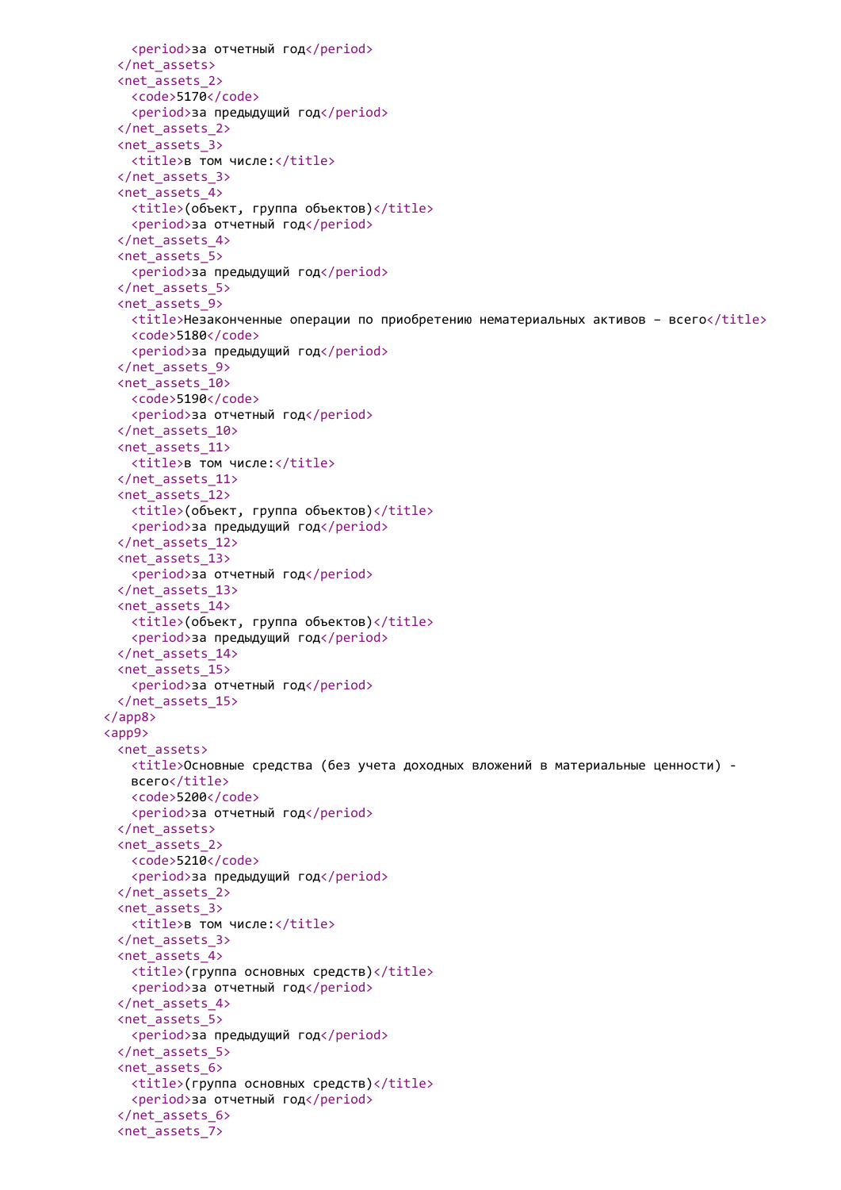```
<period>за отчетный год</period>
 </net_assets>
 <net_assets_2>
   <code>5170</code>
   <period>за предыдущий год</period>
 </net_assets_2>
 <net_assets_3>
   <title>в том числе:</title>
 </net_assets_3>
 <net_assets_4>
   <title>(объект, группа объектов)</title>
   <period>за отчетный год</period>
 </net_assets_4>
 <net_assets_5>
   <period>за предыдущий год</period>
 </net_assets_5>
 <net_assets_9>
   <title>Незаконченные операции по приобретению нематериальных активов – всего</title>
   <code>5180</code>
   <period>за предыдущий год</period>
 </net_assets_9>
 <net_assets_10>
   <code>5190</code>
   <period>за отчетный год</period>
 </net_assets_10>
 <net_assets_11>
   <title>в том числе:</title>
 </net_assets_11>
 <net_assets_12>
   <title>(объект, группа объектов)</title>
   <period>за предыдущий год</period>
 </net_assets_12>
 <net_assets_13>
   <period>за отчетный год</period>
 </net_assets_13>
 <net_assets_14>
   <title>(объект, группа объектов)</title>
   <period>за предыдущий год</period>
 </net_assets_14>
 <net_assets_15>
   <period>за отчетный год</period>
 </net_assets_15>
</app8>
<app9>
 <net_assets>
   <title>Основные средства (без учета доходных вложений в материальные ценности) -
   всего</title>
   <code>5200</code>
   <period>за отчетный год</period>
 </net_assets>
 <net_assets_2>
   <code>5210</code>
   <period>за предыдущий год</period>
 </net_assets_2>
 <net_assets_3>
   <title>в том числе:</title>
 </net_assets_3>
 <net_assets_4>
   <title>(группа основных средств)</title>
   <period>за отчетный год</period>
 </net_assets_4>
 <net_assets_5>
   <period>за предыдущий год</period>
 </net_assets_5>
 <net_assets_6>
   <title>(группа основных средств)</title>
   <period>за отчетный год</period>
 </net_assets_6>
 <net_assets_7>
```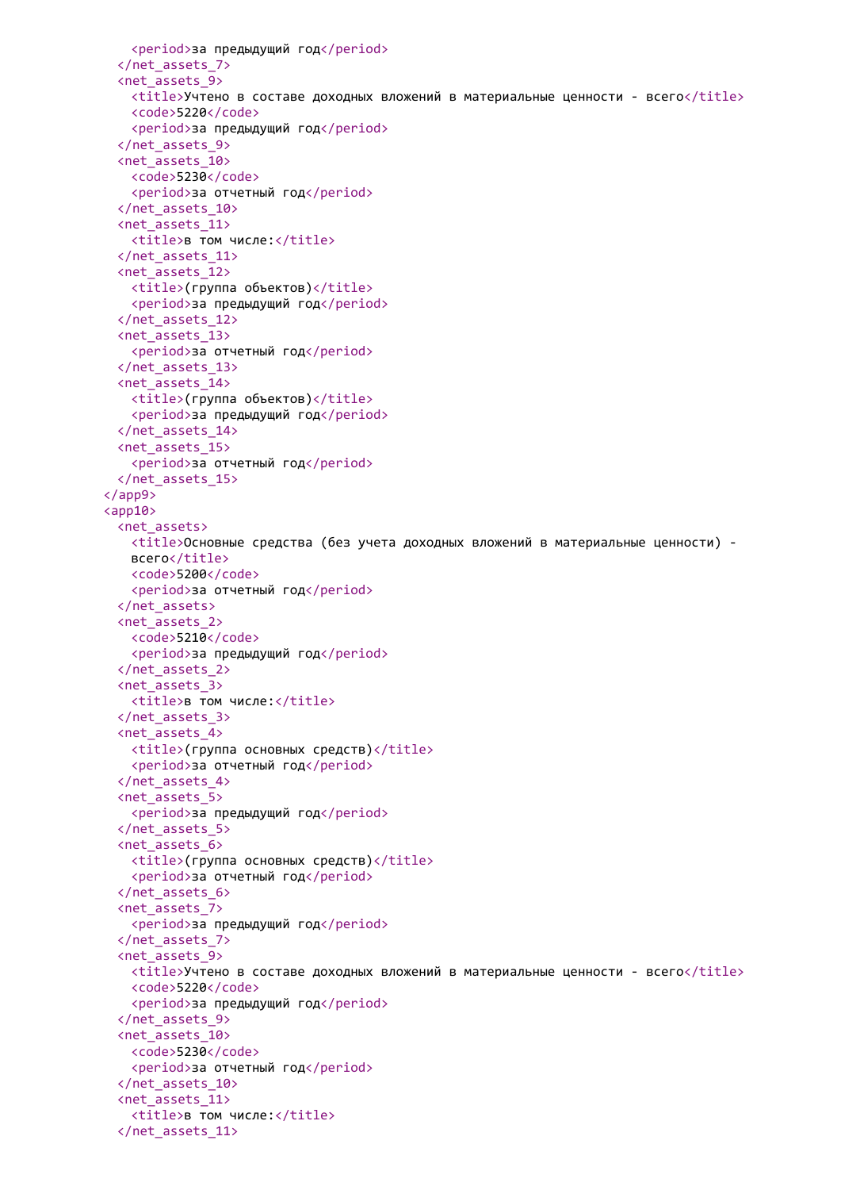```
<period>за предыдущий год</period>
 </net_assets_7>
 <net_assets_9>
   <title>Учтено в составе доходных вложений в материальные ценности - всего</title>
   <code>5220</code>
   <period>за предыдущий год</period>
 </net_assets_9>
 <net_assets_10>
   <code>5230</code>
   <period>за отчетный год</period>
 </net_assets_10>
 <net_assets_11>
   <title>в том числе:</title>
 </net_assets_11>
 <net_assets_12>
   <title>(группа объектов)</title>
   <period>за предыдущий год</period>
 </net_assets_12>
 <net_assets_13>
   <period>за отчетный год</period>
 </net_assets_13>
 <net_assets_14>
   <title>(группа объектов)</title>
   <period>за предыдущий год</period>
 </net_assets_14>
 <net_assets_15>
   <period>за отчетный год</period>
 </net_assets_15>
</app9>
<app10>
 <net_assets>
   <title>Основные средства (без учета доходных вложений в материальные ценности) -
   всего</title>
   <code>5200</code>
   <period>за отчетный год</period>
 </net_assets>
 <net_assets_2>
   <code>5210</code>
   <period>за предыдущий год</period>
 </net_assets_2>
 <net_assets_3>
   <title>в том числе:</title>
 </net_assets_3>
 <net_assets_4>
   <title>(группа основных средств)</title>
   <period>за отчетный год</period>
 </net_assets_4>
 <net_assets_5>
   <period>за предыдущий год</period>
 </net_assets_5>
 <net_assets_6>
   <title>(группа основных средств)</title>
   <period>за отчетный год</period>
 </net_assets_6>
 <net_assets_7>
   <period>за предыдущий год</period>
 </net_assets_7>
 <net_assets_9>
   \timestitle>Учтено в составе доходных вложений в материальные ценности - всего\times/title>
   <code>5220</code>
   <period>за предыдущий год</period>
 </net_assets_9>
 <net_assets_10>
   <code>5230</code>
   <period>за отчетный год</period>
 </net_assets_10>
 <net_assets_11>
   <title>в том числе:</title>
 </net_assets_11>
```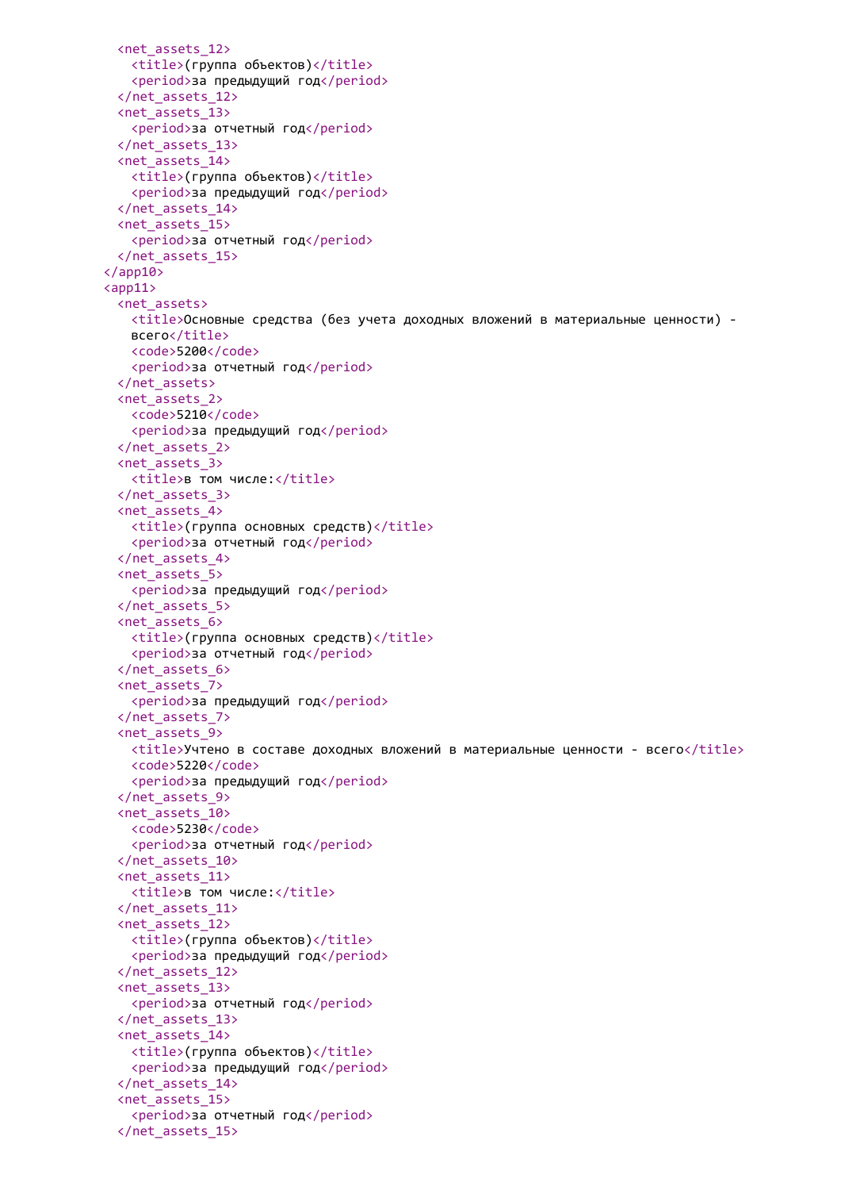```
<net_assets_12>
   <title>(группа объектов)</title>
   <period>за предыдущий год</period>
 </net_assets_12>
 <net_assets_13>
   <period>за отчетный год</period>
 </net_assets_13>
 <net_assets_14>
   <title>(группа объектов)</title>
   <period>за предыдущий год</period>
 </net_assets_14>
 <net_assets_15>
   <period>за отчетный год</period>
 </net_assets_15>
\langle app10>
\langleapp11>
 <net_assets>
   <title>Основные средства (без учета доходных вложений в материальные ценности) -
   всего</title>
   <code>5200</code>
   <period>за отчетный год</period>
 </net_assets>
 <net_assets_2>
   <code>5210</code>
   <period>за предыдущий год</period>
 </net_assets_2>
 <net_assets_3>
   <title>в том числе:</title>
 </net_assets_3>
 <net_assets_4>
   <title>(группа основных средств)</title>
   <period>за отчетный год</period>
 </net_assets_4>
 <net_assets_5>
   <period>за предыдущий год</period>
 </net_assets_5>
 <net_assets_6>
   <title>(группа основных средств)</title>
   <period>за отчетный год</period>
 </net_assets_6>
 <net_assets_7>
   <period>за предыдущий год</period>
 </net_assets_7>
 <net_assets_9>
   \timestitle>Учтено в составе доходных вложений в материальные ценности - всего\times/title>
   <code>5220</code>
   <period>за предыдущий год</period>
 </net_assets_9>
 <net_assets_10>
   <code>5230</code>
   <period>за отчетный год</period>
 </net_assets_10>
 <net_assets_11>
   <title>в том числе:</title>
 </net_assets_11>
 <net_assets_12>
   <title>(группа объектов)</title>
   <period>за предыдущий год</period>
 </net_assets_12>
 <net_assets_13>
   <period>за отчетный год</period>
 </net_assets_13>
 <net_assets_14>
   <title>(группа объектов)</title>
   <period>за предыдущий год</period>
 </net_assets_14>
 <net_assets_15>
   <period>за отчетный год</period>
 </net_assets_15>
```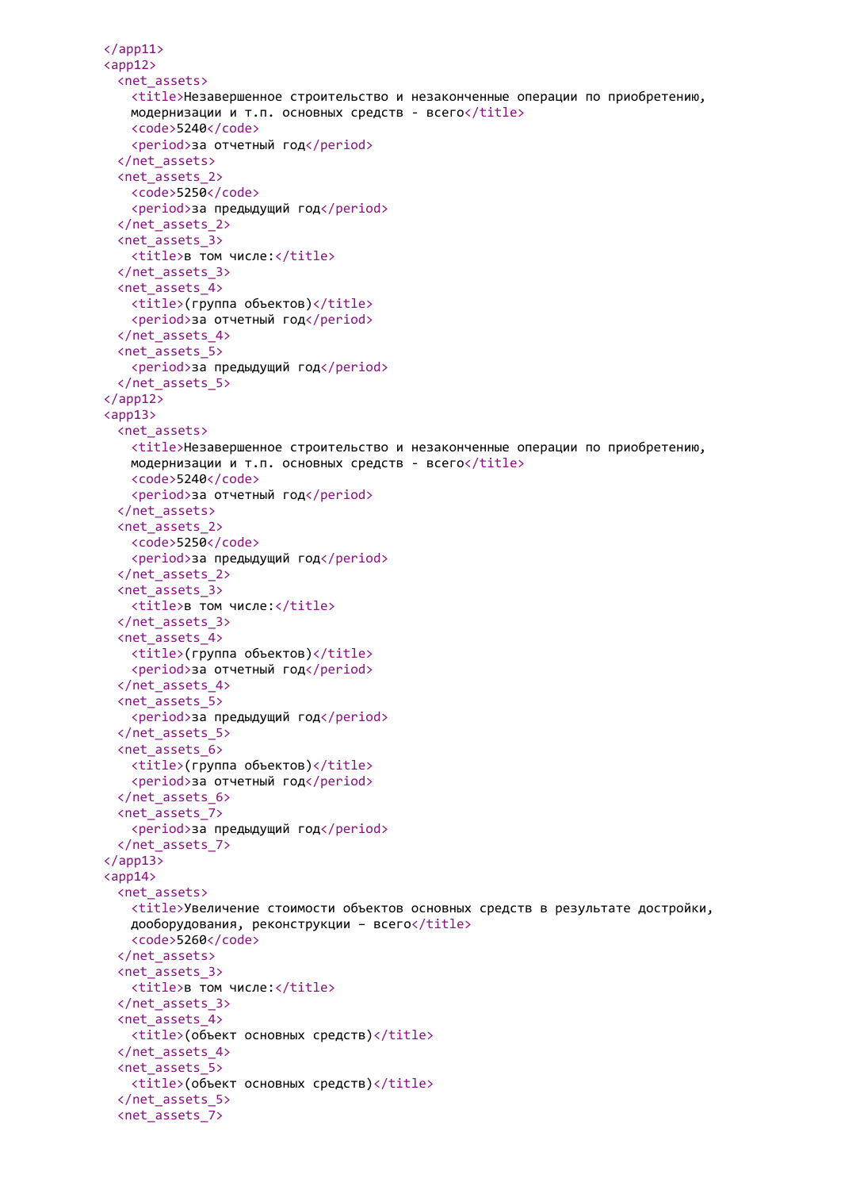```
\langle app11>
<app12>
 <net_assets>
   <title>Незавершенное строительство и незаконченные операции по приобретению,
   модернизации и т.п. основных средств - всего</title>
   <code>5240</code>
   <period>за отчетный год</period>
 </net_assets>
 <net_assets_2>
   <code>5250</code>
   <period>за предыдущий год</period>
 </net_assets_2>
 <net_assets_3>
   <title>в том числе:</title>
 </net_assets_3>
 <net_assets_4>
   <title>(группа объектов)</title>
   <period>за отчетный год</period>
 </net_assets_4>
 <net_assets_5>
   <period>за предыдущий год</period>
 </net_assets_5>
</app12>
<app13>
 <net_assets>
   <title>Незавершенное строительство и незаконченные операции по приобретению,
   модернизации и т.п. основных средств - всего</title>
   <code>5240</code>
   <period>за отчетный год</period>
 </net_assets>
 <net_assets_2>
   <code>5250</code>
   <period>за предыдущий год</period>
 </net_assets_2>
 <net_assets_3>
   <title>в том числе:</title>
 </net_assets_3>
 <net_assets_4>
   <title>(группа объектов)</title>
   <period>за отчетный год</period>
 </net_assets_4>
 <net_assets_5>
   <period>за предыдущий год</period>
 </net_assets_5>
 <net_assets_6>
   <title>(группа объектов)</title>
   <period>за отчетный год</period>
 </net_assets_6>
 <net_assets_7>
   <period>за предыдущий год</period>
 </net_assets_7>
</app13>
<app14>
 <net_assets>
   <title>Увеличение стоимости объектов основных средств в результате достройки,
   дооборудования, реконструкции – всего</title>
   <code>5260</code>
 </net_assets>
 <net_assets_3>
   <title>в том числе:</title>
 </net_assets_3>
 <net_assets_4>
   <title>(объект основных средств)</title>
 </net_assets_4>
 <net_assets_5>
   <title>(объект основных средств)</title>
 </net_assets_5>
 <net_assets_7>
```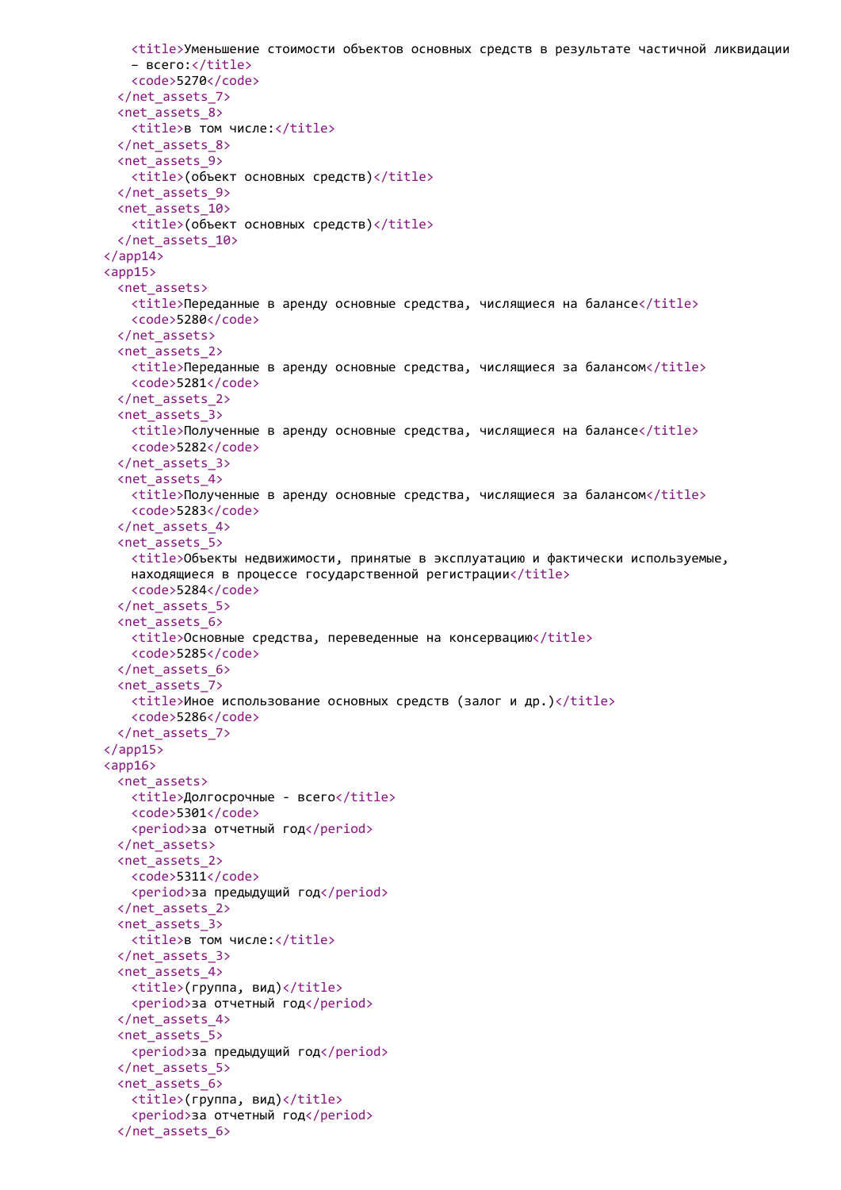```
<title>Уменьшение стоимости объектов основных средств в результате частичной ликвидации
   – всего:</title>
   <code>5270</code>
 </net_assets_7>
 <net_assets_8>
   <title>в том числе:</title>
 </net_assets_8>
 <net_assets_9>
   <title>(объект основных средств)</title>
 </net_assets_9>
 <net_assets_10>
   <title>(объект основных средств)</title>
 </net_assets_10>
</app14>
\langle app15 \rangle<net_assets>
   <title>Переданные в аренду основные средства, числящиеся на балансе</title>
   <code>5280</code>
 </net_assets>
 <net_assets_2>
   <title>Переданные в аренду основные средства, числящиеся за балансом</title>
   <code>5281</code>
 </net_assets_2>
 <net_assets_3>
   <title>Полученные в аренду основные средства, числящиеся на балансе</title>
   <code>5282</code>
 </net_assets_3>
 <net_assets_4>
   <title>Полученные в аренду основные средства, числящиеся за балансом</title>
   <code>5283</code>
 </net_assets_4>
 <net_assets_5>
   <title>Объекты недвижимости, принятые в эксплуатацию и фактически используемые,
   находящиеся в процессе государственной регистрации</title>
   <code>5284</code>
 </net_assets_5>
 <net_assets_6>
   <title>Основные средства, переведенные на консервацию</title>
   <code>5285</code>
 </net_assets_6>
 <net_assets_7>
   <title>Иное использование основных средств (залог и др.)</title>
   <code>5286</code>
 </net_assets_7>
\langle app15>
<app16>
 <net_assets>
   <title>Долгосрочные - всего</title>
   <code>5301</code>
   <period>за отчетный год</period>
 </net_assets>
 <net_assets_2>
   <code>5311</code>
   <period>за предыдущий год</period>
 </net_assets_2>
 <net_assets_3>
   <title>в том числе:</title>
 </net_assets_3>
 <net_assets_4>
   <title>(группа, вид)</title>
   <period>за отчетный год</period>
 </net_assets_4>
 <net_assets_5>
   <period>за предыдущий год</period>
 </net_assets_5>
 <net_assets_6>
   <title>(группа, вид)</title>
   <period>за отчетный год</period>
 </net_assets_6>
```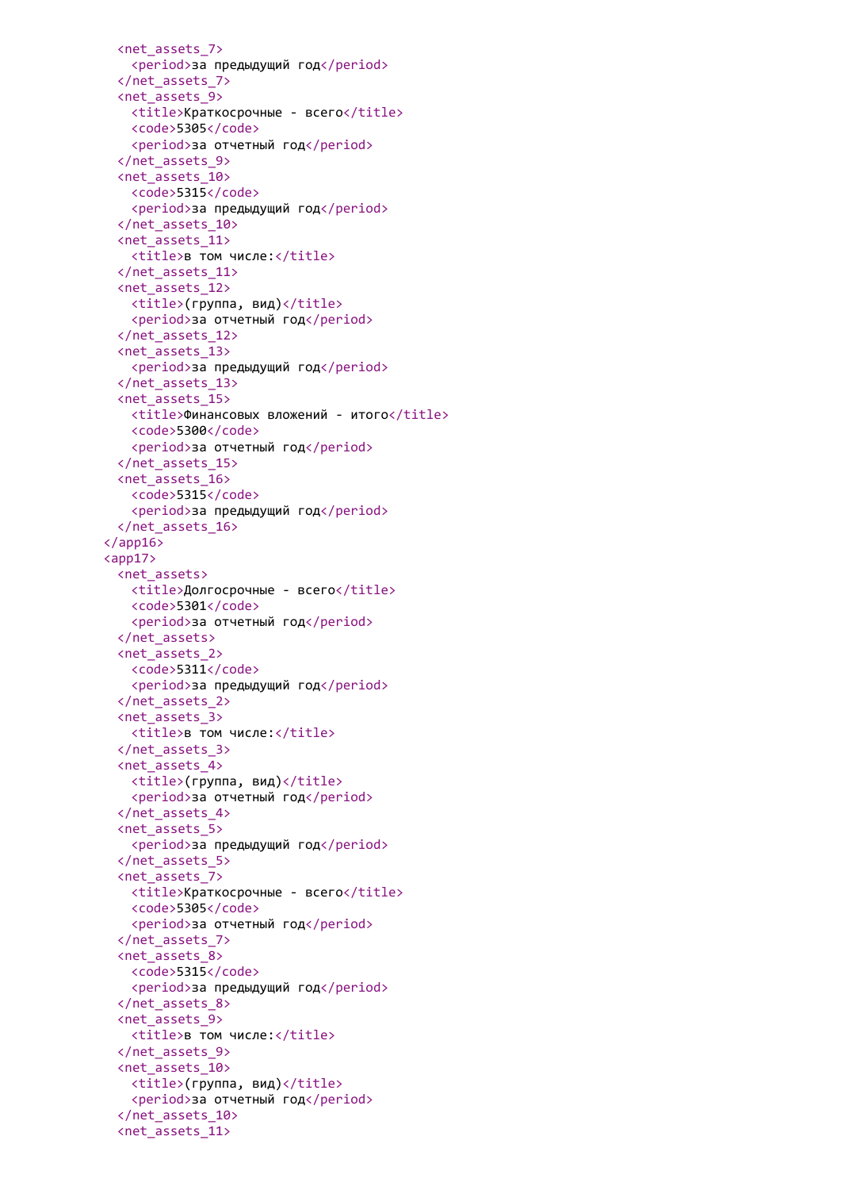```
<net_assets_7>
   <period>за предыдущий год</period>
 </net_assets_7>
 <net_assets_9>
   <title>Краткосрочные - всего</title>
   <code>5305</code>
   <period>за отчетный год</period>
 </net_assets_9>
 <net_assets_10>
   <code>5315</code>
   <period>за предыдущий год</period>
 </net_assets_10>
 <net_assets_11>
   <title>в том числе:</title>
 </net_assets_11>
 <net_assets_12>
   \langle \text{title} \rangle(группа, вид)</title>
   <period>за отчетный год</period>
 </net_assets_12>
 <net_assets_13>
   <period>за предыдущий год</period>
 </net_assets_13>
 <net_assets_15>
   <title>Финансовых вложений - итого</title>
   <code>5300</code>
   <period>за отчетный год</period>
 </net_assets_15>
 <net_assets_16>
   <code>5315</code>
   <period>за предыдущий год</period>
 </net_assets_16>
</app16>
<app17>
 <net_assets>
   <title>Долгосрочные - всего</title>
   <code>5301</code>
   <period>за отчетный год</period>
 </net_assets>
 <net_assets_2>
   <code>5311</code>
   <period>за предыдущий год</period>
 </net_assets_2>
 <net_assets_3>
   <title>в том числе:</title>
 </net_assets_3>
 <net_assets_4>
   <title>(группа, вид)</title>
   <period>за отчетный год</period>
 </net_assets_4>
 <net_assets_5>
   <period>за предыдущий год</period>
 </net_assets_5>
 <net_assets_7>
   <title>Краткосрочные - всего</title>
   <code>5305</code>
   <period>за отчетный год</period>
 </net_assets_7>
 <net_assets_8>
   <code>5315</code>
   <period>за предыдущий год</period>
 </net_assets_8>
 <net_assets_9>
   <title>в том числе:</title>
 </net_assets_9>
 <net_assets_10>
   <title>(группа, вид)</title>
   <period>за отчетный год</period>
 </net_assets_10>
 <net_assets_11>
```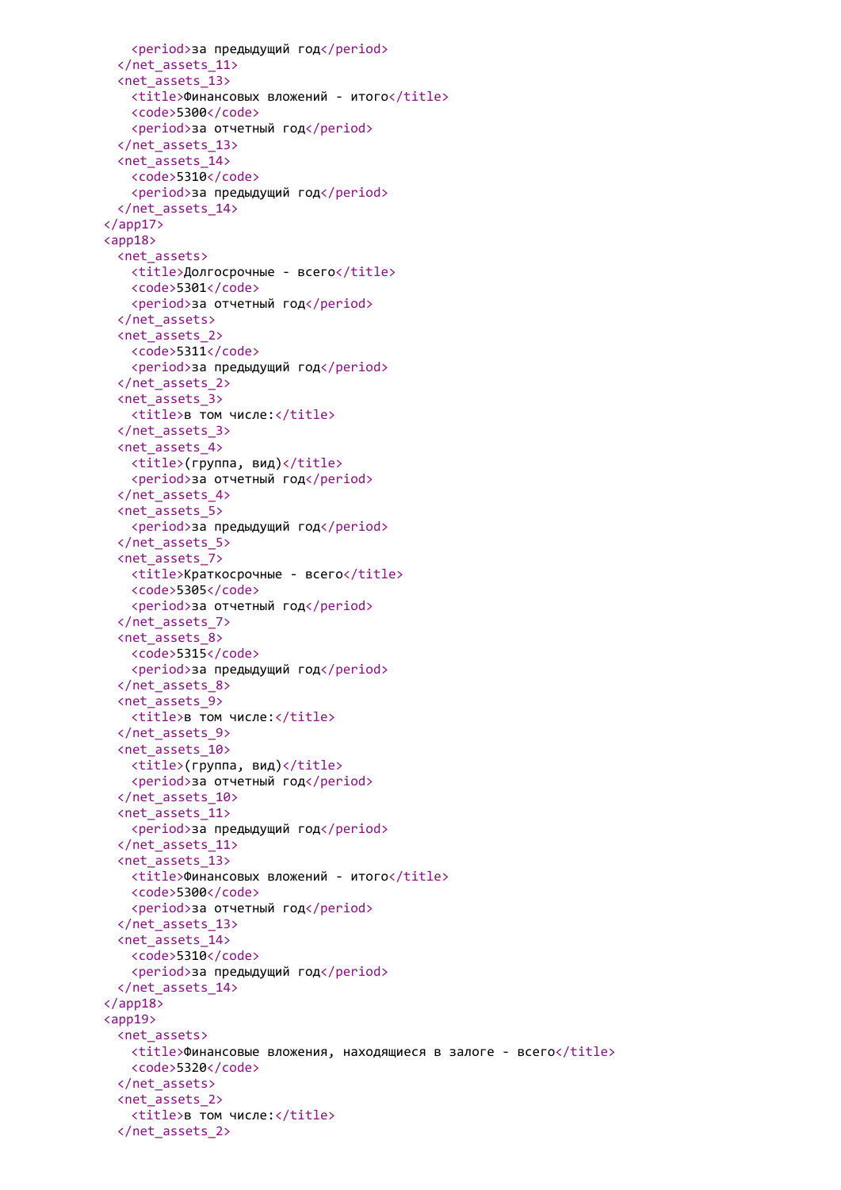```
<period>за предыдущий год</period>
 </net_assets_11>
 <net_assets_13>
   <title>Финансовых вложений - итого</title>
   <code>5300</code>
   <period>за отчетный год</period>
 </net_assets_13>
 <net_assets_14>
   <code>5310</code>
   <period>за предыдущий год</period>
 </net_assets_14>
</app17>
<app18>
 <net_assets>
   <title>Долгосрочные - всего</title>
   <code>5301</code>
   <period>за отчетный год</period>
 </net_assets>
 <net_assets_2>
   <code>5311</code>
   <period>за предыдущий год</period>
 </net_assets_2>
 <net_assets_3>
   <title>в том числе:</title>
 </net_assets_3>
 <net_assets_4>
   <title>(группа, вид)</title>
   <period>за отчетный год</period>
 </net_assets_4>
 <net_assets_5>
   <period>за предыдущий год</period>
 </net_assets_5>
 <net_assets_7>
   <title>Краткосрочные - всего</title>
   <code>5305</code>
   <period>за отчетный год</period>
 </net_assets_7>
 <net_assets_8>
   <code>5315</code>
   <period>за предыдущий год</period>
 </net_assets_8>
 <net_assets_9>
   <title>в том числе:</title>
 </net_assets_9>
 <net_assets_10>
   <title>(группа, вид)</title>
   <period>за отчетный год</period>
 </net_assets_10>
 <net_assets_11>
   <period>за предыдущий год</period>
 </net_assets_11>
 <net_assets_13>
   <title>Финансовых вложений - итого</title>
   <code>5300</code>
   <period>за отчетный год</period>
 </net_assets_13>
 <net_assets_14>
   <code>5310</code>
   <period>за предыдущий год</period>
 </net_assets_14>
</app18>
<app19>
 <net_assets>
   <title>Финансовые вложения, находящиеся в залоге - всего</title>
   <code>5320</code>
 </net_assets>
 <net_assets_2>
   <title>в том числе:</title>
 </net_assets_2>
```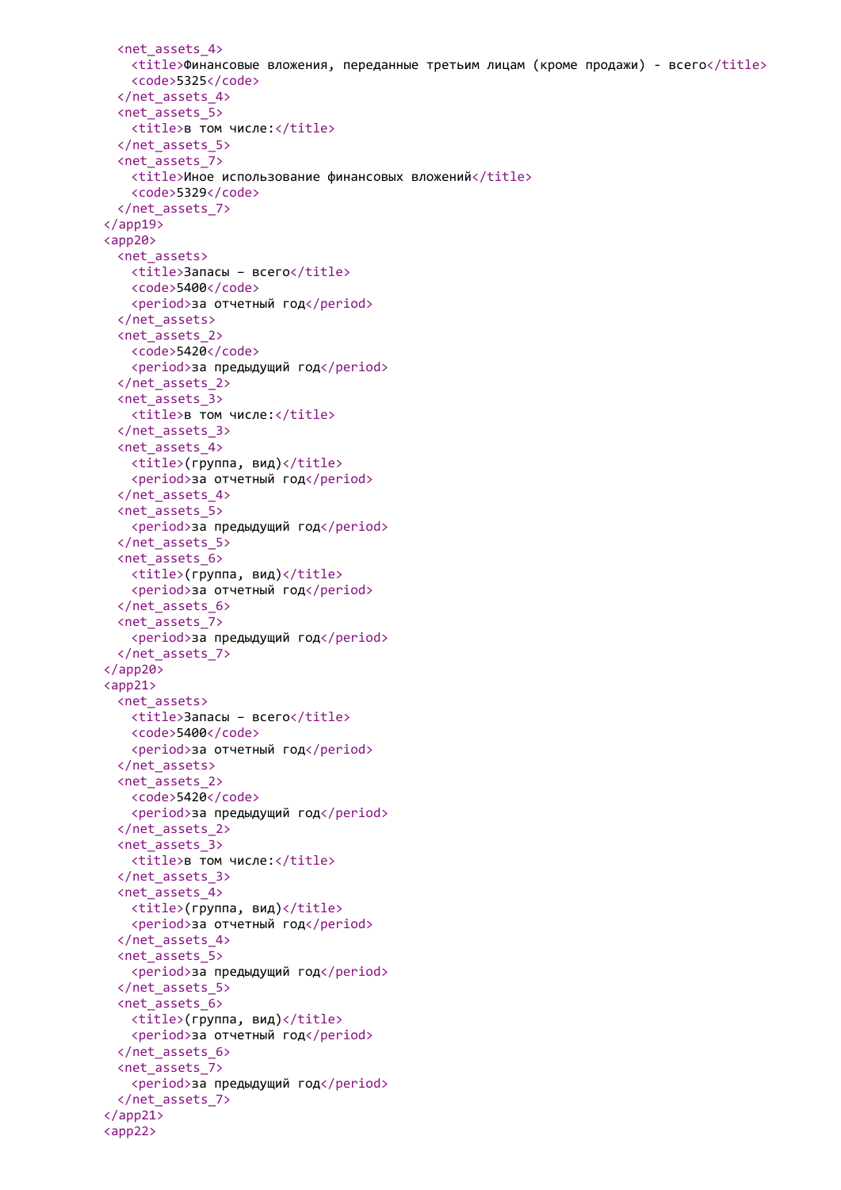```
<net_assets_4>
   <title>Финансовые вложения, переданные третьим лицам (кроме продажи) - всего</title>
   <code>5325</code>
 </net_assets_4>
 <net_assets_5>
   <title>в том числе:</title>
 </net_assets_5>
 <net_assets_7>
   <title>Иное использование финансовых вложений</title>
   <code>5329</code>
 </net_assets_7>
</app19>
<app20>
 <net_assets>
   <title>Запасы - всего</title>
   <code>5400</code>
   <period>за отчетный год</period>
 </net_assets>
 <net_assets_2>
   <code>5420</code>
   <period>за предыдущий год</period>
 </net_assets_2>
 <net_assets_3>
   <title>в том числе:</title>
 </net_assets_3>
 <net_assets_4>
   <title>(группа, вид)</title>
   <period>за отчетный год</period>
 </net_assets_4>
 <net_assets_5>
   <period>за предыдущий год</period>
 </net_assets_5>
 <net_assets_6>
   \langle \text{title} \rangle(группа, вид)</title>
   <period>за отчетный год</period>
 </net_assets_6>
 <net_assets_7>
   <period>за предыдущий год</period>
 </net_assets_7>
</app20>
<app21>
 <net_assets>
   <title>Запасы – всего</title>
   <code>5400</code>
   <period>за отчетный год</period>
 </net_assets>
 <net_assets_2>
   <code>5420</code>
   <period>за предыдущий год</period>
 </net_assets_2>
 <net_assets_3>
   <title>в том числе:</title>
 </net_assets_3>
 <net_assets_4>
   <title>(группа, вид)</title>
   <period>за отчетный год</period>
 </net_assets_4>
 <net_assets_5>
   <period>за предыдущий год</period>
 </net_assets_5>
 <net_assets_6>
   \langle \text{title} \rangle(группа, вид)</title>
   <period>за отчетный год</period>
 </net_assets_6>
 <net_assets_7>
   <period>за предыдущий год</period>
 </net_assets_7>
\langle app21>
<app22>
```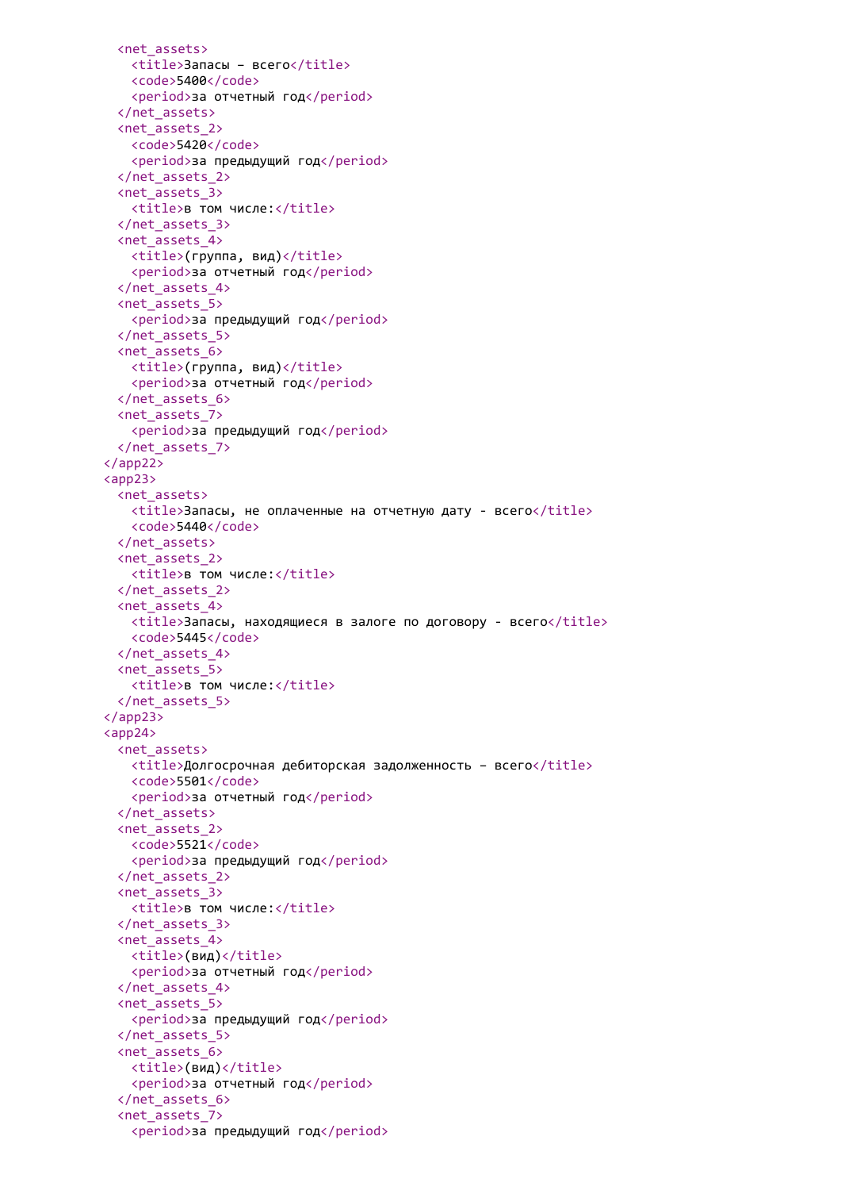```
<net_assets>
   <title>Запасы - всего</title>
   <code>5400</code>
   <period>за отчетный год</period>
 </net_assets>
 <net_assets_2>
   <code>5420</code>
   <period>за предыдущий год</period>
 </net_assets_2>
 <net_assets_3>
   <title>в том числе:</title>
 </net_assets_3>
 <net_assets_4>
   \langle \text{title} \rangle(группа, вид)</title>
   <period>за отчетный год</period>
 </net_assets_4>
 <net_assets_5>
   <period>за предыдущий год</period>
 </net_assets_5>
 <net_assets_6>
   \langle \text{title} \rangle(группа, вид)</title>
   <period>за отчетный год</period>
 </net_assets_6>
 <net_assets_7>
   <period>за предыдущий год</period>
 </net_assets_7>
</app22>
<app23>
 <net assets>
   <title>Запасы, не оплаченные на отчетную дату - всего</title>
   <code>5440</code>
 </net_assets>
 <net_assets_2>
   <title>в том числе:</title>
 </net_assets_2>
 <net_assets_4>
   <title>Запасы, находящиеся в залоге по договору - всего</title>
   <code>5445</code>
 </net_assets_4>
 <net_assets_5>
   <title>в том числе:</title>
 </net_assets_5>
</app23>
<app24>
 <net_assets>
   <title>Долгосрочная дебиторская задолженность – всего</title>
   <code>5501</code>
   <period>за отчетный год</period>
 </net_assets>
 <net_assets_2>
   <code>5521</code>
   <period>за предыдущий год</period>
 </net_assets_2>
 <net_assets_3>
   <title>в том числе:</title>
 </net_assets_3>
 <net_assets_4>
   <title>(вид)</title>
   <period>за отчетный год</period>
 </net_assets_4>
 <net_assets_5>
   <period>за предыдущий год</period>
 </net_assets_5>
 <net_assets_6>
   <title>(вид)</title>
   <period>за отчетный год</period>
 </net_assets_6>
 <net_assets_7>
   <period>за предыдущий год</period>
```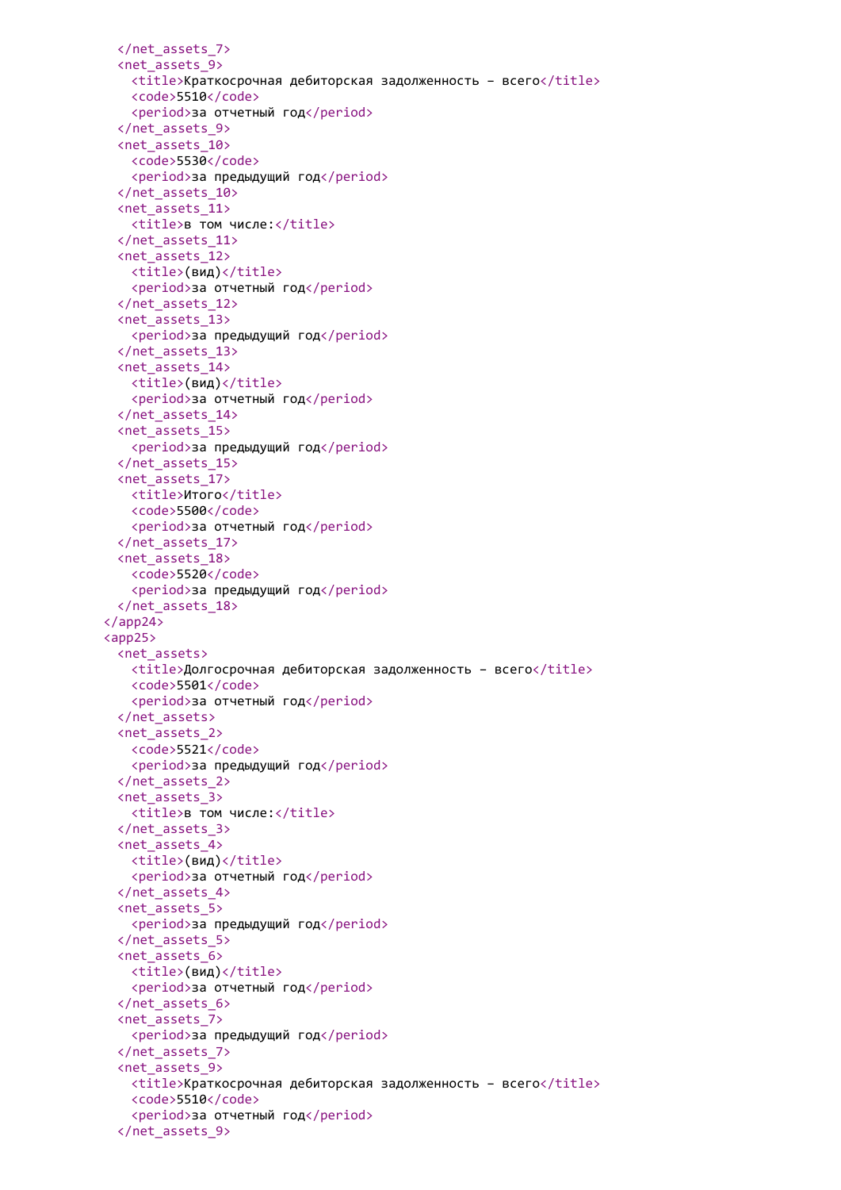```
</net_assets_7>
 <net_assets_9>
   \langletitle>Краткосрочная дебиторская задолженность – всего\langletitle>
   <code>5510</code>
   <period>за отчетный год</period>
 </net_assets_9>
 <net_assets_10>
   <code>5530</code>
   <period>за предыдущий год</period>
 </net_assets_10>
 <net_assets_11>
   <title>в том числе:</title>
 </net_assets_11>
 <net_assets_12>
   <title>(вид)</title>
   <period>за отчетный год</period>
 </net_assets_12>
 <net_assets_13>
   <period>за предыдущий год</period>
 </net_assets_13>
 <net_assets_14>
   <title>(вид)</title>
   <period>за отчетный год</period>
 </net_assets_14>
 <net_assets_15>
   <period>за предыдущий год</period>
 </net_assets_15>
 <net_assets_17>
   <title>Итого</title>
   <code>5500</code>
   <period>за отчетный год</period>
 </net_assets_17>
 <net_assets_18>
   <code>5520</code>
   <period>за предыдущий год</period>
 </net_assets_18>
</app24>
<app25>
 <net_assets>
   \langletitle>Долгосрочная дебиторская задолженность - всего\langletitle>
   <code>5501</code>
   <period>за отчетный год</period>
 </net_assets>
 <net_assets_2>
   <code>5521</code>
   <period>за предыдущий год</period>
 </net_assets_2>
 <net_assets_3>
   <title>в том числе:</title>
 </net_assets_3>
 <net_assets_4>
   <title>(вид)</title>
   <period>за отчетный год</period>
 </net_assets_4>
 <net_assets_5>
   <period>за предыдущий год</period>
 </net_assets_5>
 <net_assets_6>
   <title>(вид)</title>
   <period>за отчетный год</period>
 </net_assets_6>
 <net_assets_7>
   <period>за предыдущий год</period>
 </net_assets_7>
 <net_assets_9>
   <title>Краткосрочная дебиторская задолженность - всего</title>
   <code>5510</code>
   <period>за отчетный год</period>
 </net_assets_9>
```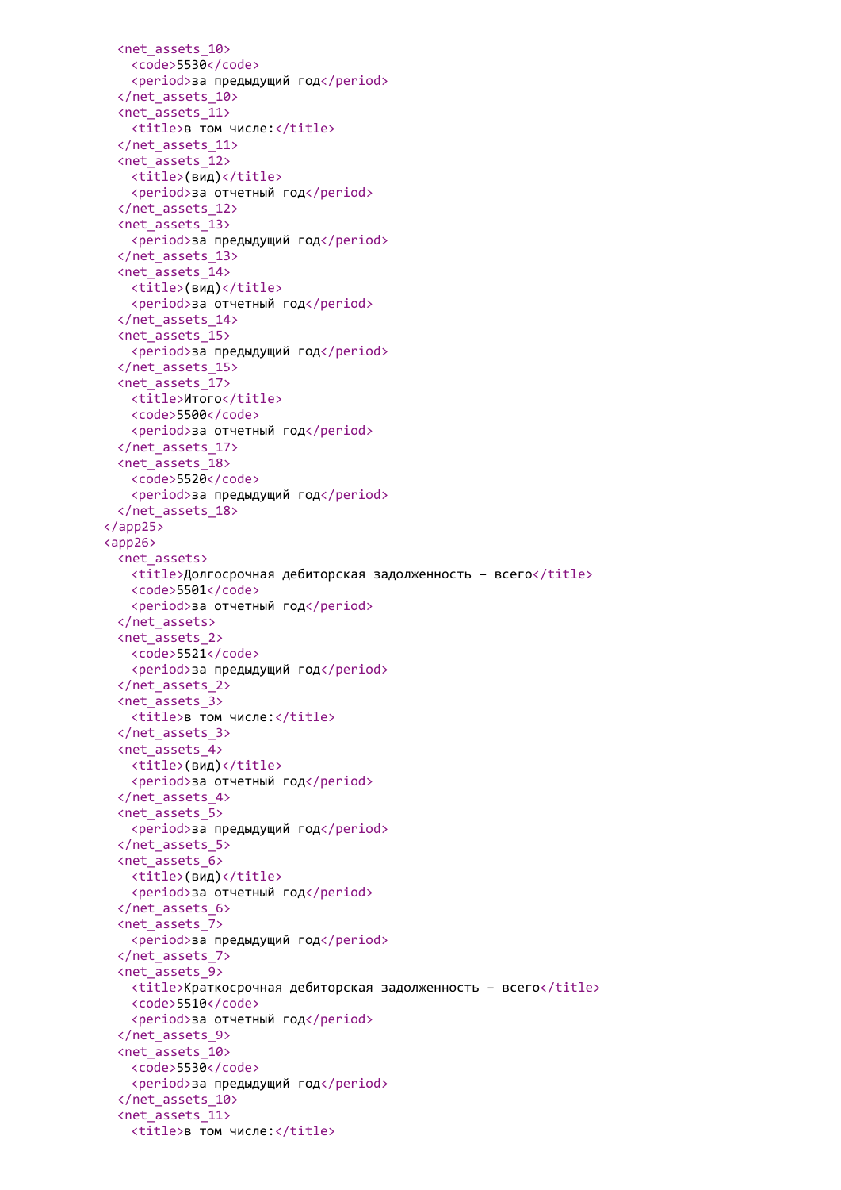```
<net_assets_10>
   <code>5530</code>
   <period>за предыдущий год</period>
 </net_assets_10>
 <net_assets_11>
   <title>в том числе:</title>
 </net_assets_11>
 <net_assets_12>
   <title>(вид)</title>
   <period>за отчетный год</period>
 </net_assets_12>
 <net_assets_13>
   <period>за предыдущий год</period>
 </net_assets_13>
 <net_assets_14>
   <title>(вид)</title>
   <period>за отчетный год</period>
 </net_assets_14>
 <net_assets_15>
   <period>за предыдущий год</period>
 </net_assets_15>
 <net_assets_17>
   <title>Итого</title>
   <code>5500</code>
   <period>за отчетный год</period>
 </net_assets_17>
 <net_assets_18>
   <code>5520</code>
   <period>за предыдущий год</period>
 </net_assets_18>
</app25>
<app26>
 <net_assets>
   <title>Долгосрочная дебиторская задолженность – всего</title>
   <code>5501</code>
   <period>за отчетный год</period>
 </net_assets>
 <net_assets_2>
   <code>5521</code>
   <period>за предыдущий год</period>
 </net_assets_2>
 <net_assets_3>
   <title>в том числе:</title>
 </net_assets_3>
 <net_assets_4>
   <title>(вид)</title>
   <period>за отчетный год</period>
 </net_assets_4>
 <net_assets_5>
   <period>за предыдущий год</period>
 </net_assets_5>
 <net_assets_6>
   <title>(вид)</title>
   <period>за отчетный год</period>
 </net_assets_6>
 <net_assets_7>
   <period>за предыдущий год</period>
 </net_assets_7>
 <net_assets_9>
   <title>Краткосрочная дебиторская задолженность – всего</title>
   <code>5510</code>
   <period>за отчетный год</period>
 </net_assets_9>
 <net_assets_10>
   <code>5530</code>
   <period>за предыдущий год</period>
 </net_assets_10>
 <net_assets_11>
   <title>в том числе:</title>
```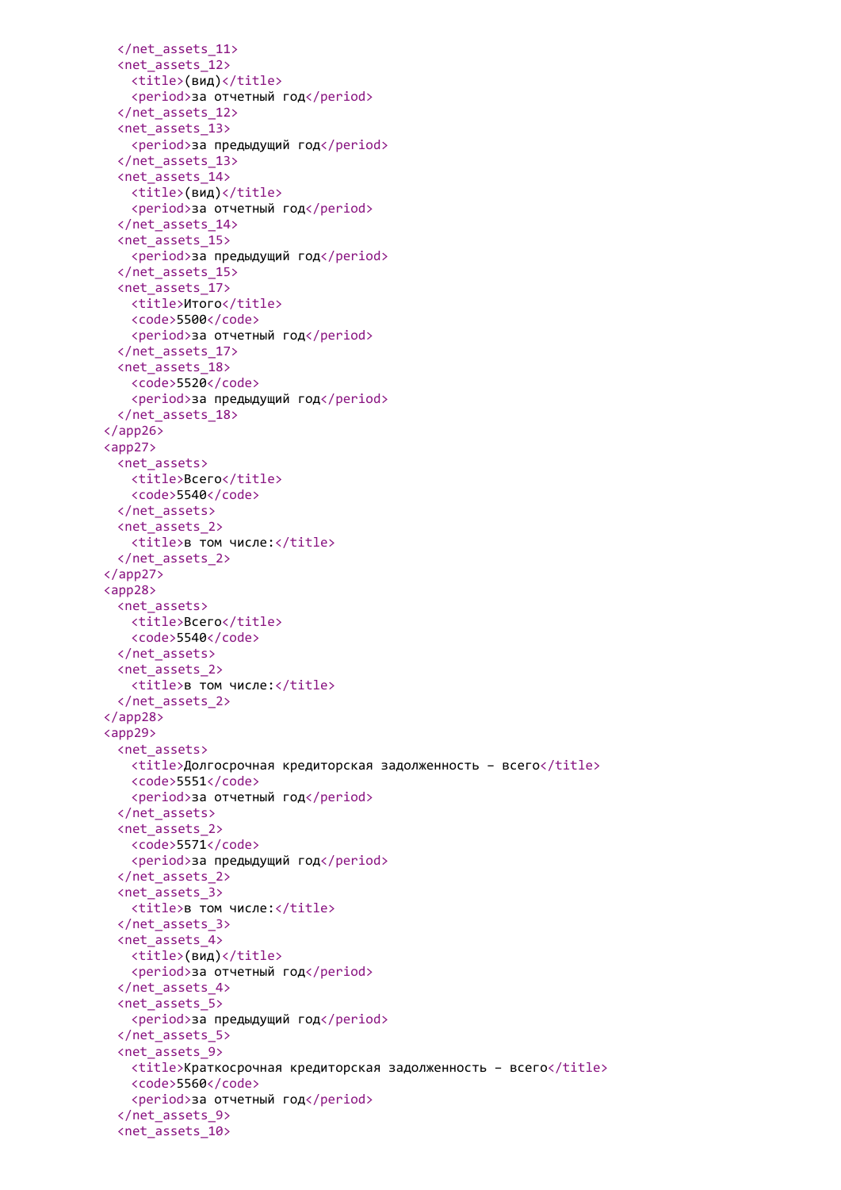```
</net_assets_11>
 <net_assets_12>
   <title>(вид)</title>
   <period>за отчетный год</period>
 </net_assets_12>
 <net_assets_13>
   <period>за предыдущий год</period>
 </net_assets_13>
 <net_assets_14>
   <title>(вид)</title>
   <period>за отчетный год</period>
 </net_assets_14>
 <net_assets_15>
   <period>за предыдущий год</period>
 </net_assets_15>
 <net_assets_17>
   <title>Итого</title>
   <code>5500</code>
   <period>за отчетный год</period>
 </net_assets_17>
 <net_assets_18>
   <code>5520</code>
   <period>за предыдущий год</period>
 </net_assets_18>
</app26>
<app27>
 <net assets>
   <title>Всего</title>
   <code>5540</code>
 </net_assets>
 <net_assets_2>
   <title>в том числе:</title>
 </net_assets_2>
</app27>
<app28>
 <net_assets>
   <title>Всего</title>
   <code>5540</code>
 </net_assets>
 <net_assets_2>
   <title>в том числе:</title>
 </net_assets_2>
</app28>
<app29>
 <net_assets>
   <title>Долгосрочная кредиторская задолженность – всего</title>
   <code>5551</code>
   <period>за отчетный год</period>
 </net_assets>
 <net_assets_2>
   <code>5571</code>
   <period>за предыдущий год</period>
 </net_assets_2>
 <net_assets_3>
   <title>в том числе:</title>
 </net_assets_3>
 <net_assets_4>
   <title>(вид)</title>
   <period>за отчетный год</period>
 </net_assets_4>
 <net_assets_5>
   <period>за предыдущий год</period>
 </net_assets_5>
 <net_assets_9>
   <title>Краткосрочная кредиторская задолженность - всего</title>
   <code>5560</code>
   <period>за отчетный год</period>
 </net_assets_9>
 <net_assets_10>
```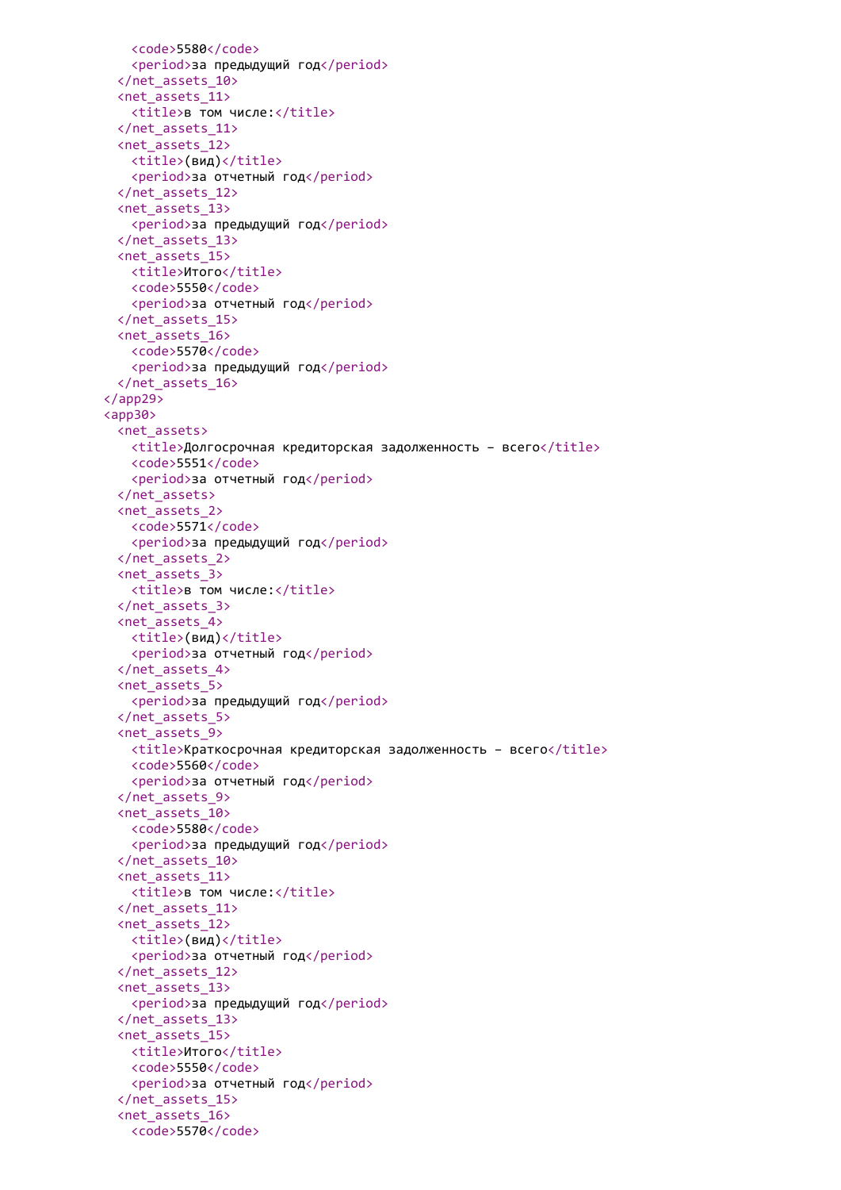```
<code>5580</code>
   <period>за предыдущий год</period>
 </net_assets_10>
 <net_assets_11>
   <title>в том числе:</title>
 </net_assets_11>
 <net_assets_12>
   <title>(вид)</title>
   <period>за отчетный год</period>
 </net_assets_12>
 <net_assets_13>
   <period>за предыдущий год</period>
 </net_assets_13>
 <net_assets_15>
   <title>Итого</title>
   <code>5550</code>
   <period>за отчетный год</period>
 </net_assets_15>
 <net_assets_16>
   <code>5570</code>
   <period>за предыдущий год</period>
 </net_assets_16>
</app29>
<app30>
 <net_assets>
   <title>Долгосрочная кредиторская задолженность – всего</title>
   <code>5551</code>
   <period>за отчетный год</period>
 </net_assets>
 <net_assets_2>
   <code>5571</code>
   <period>за предыдущий год</period>
 </net_assets_2>
 <net_assets_3>
   <title>в том числе:</title>
 </net_assets_3>
 <net_assets_4>
   <title>(вид)</title>
   <period>за отчетный год</period>
 </net_assets_4>
 <net_assets_5>
   <period>за предыдущий год</period>
 </net_assets_5>
 <net_assets_9>
   <title>Краткосрочная кредиторская задолженность - всего</title>
   <code>5560</code>
   <period>за отчетный год</period>
 </net_assets_9>
 <net_assets_10>
   <code>5580</code>
   <period>за предыдущий год</period>
 </net_assets_10>
 <net_assets_11>
   <title>в том числе:</title>
 </net_assets_11>
 <net_assets_12>
   <title>(вид)</title>
   <period>за отчетный год</period>
 </net_assets_12>
 <net_assets_13>
   <period>за предыдущий год</period>
 </net_assets_13>
 <net_assets_15>
   <title>Итого</title>
   <code>5550</code>
   <period>за отчетный год</period>
 </net_assets_15>
 <net_assets_16>
   <code>5570</code>
```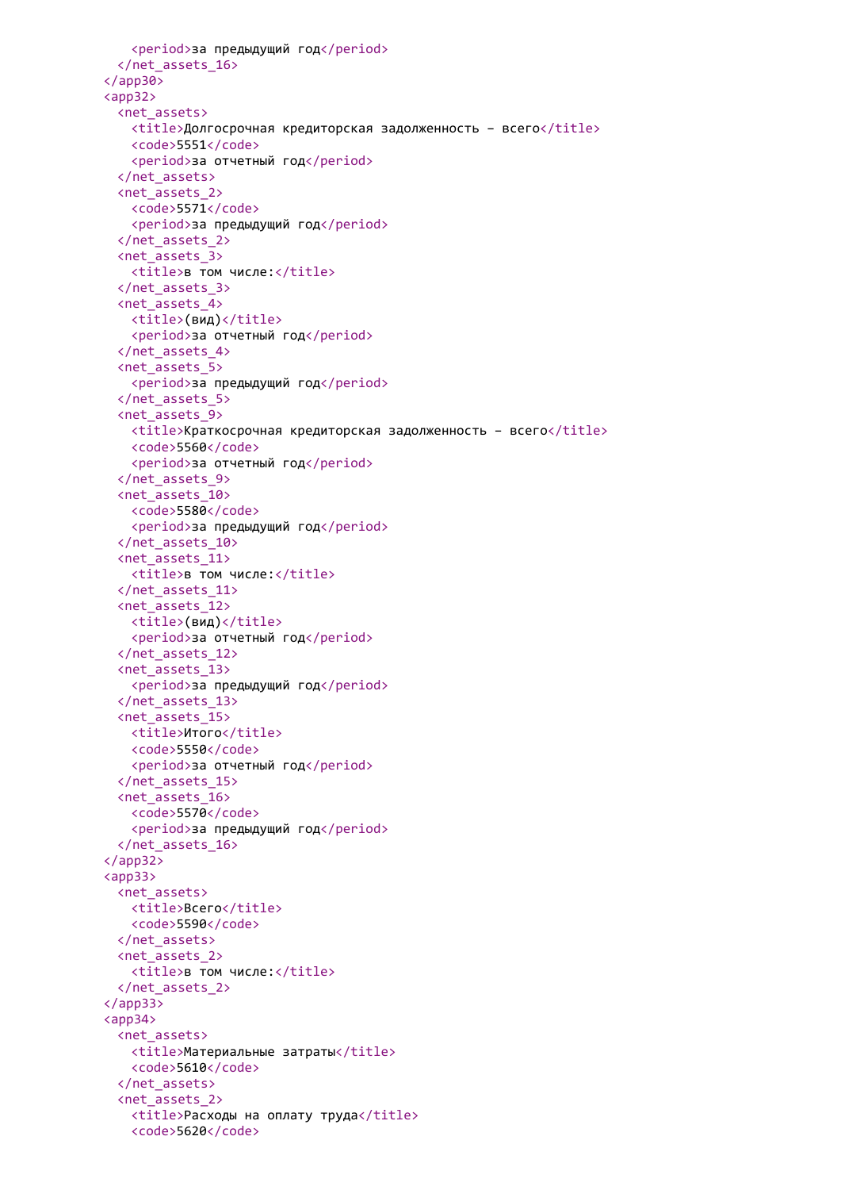```
<period>за предыдущий год</period>
 </net_assets_16>
</app30>
<app32>
 <net_assets>
   <title>Долгосрочная кредиторская задолженность – всего</title>
   <code>5551</code>
   <period>за отчетный год</period>
 </net_assets>
 <net_assets_2>
   <code>5571</code>
   <period>за предыдущий год</period>
 </net_assets_2>
 <net_assets_3>
   <title>в том числе:</title>
 </net_assets_3>
 <net_assets_4>
   <title>(вид)</title>
   <period>за отчетный год</period>
 </net_assets_4>
 <net_assets_5>
   <period>за предыдущий год</period>
 </net_assets_5>
 <net_assets_9>
   <title>Краткосрочная кредиторская задолженность – всего</title>
   <code>5560</code>
   <period>за отчетный год</period>
 </net_assets_9>
 <net_assets_10>
   <code>5580</code>
   <period>за предыдущий год</period>
 </net_assets_10>
 <net_assets_11>
   <title>в том числе:</title>
 </net_assets_11>
 <net_assets_12>
   <title>(вид)</title>
   <period>за отчетный год</period>
 </net_assets_12>
 <net_assets_13>
   <period>за предыдущий год</period>
 </net_assets_13>
 <net_assets_15>
   <title>Итого</title>
   <code>5550</code>
   <period>за отчетный год</period>
 </net_assets_15>
 <net_assets_16>
   <code>5570</code>
   <period>за предыдущий год</period>
 </net_assets_16>
</app32>
<app33>
 <net_assets>
   <title>Всего</title>
   <code>5590</code>
 </net_assets>
 <net_assets_2>
   <title>в том числе:</title>
 </net_assets_2>
</app33>
<app34>
 <net_assets>
   <title>Материальные затраты</title>
   <code>5610</code>
 </net_assets>
 <net_assets_2>
   <title>Расходы на оплату труда</title>
   <code>5620</code>
```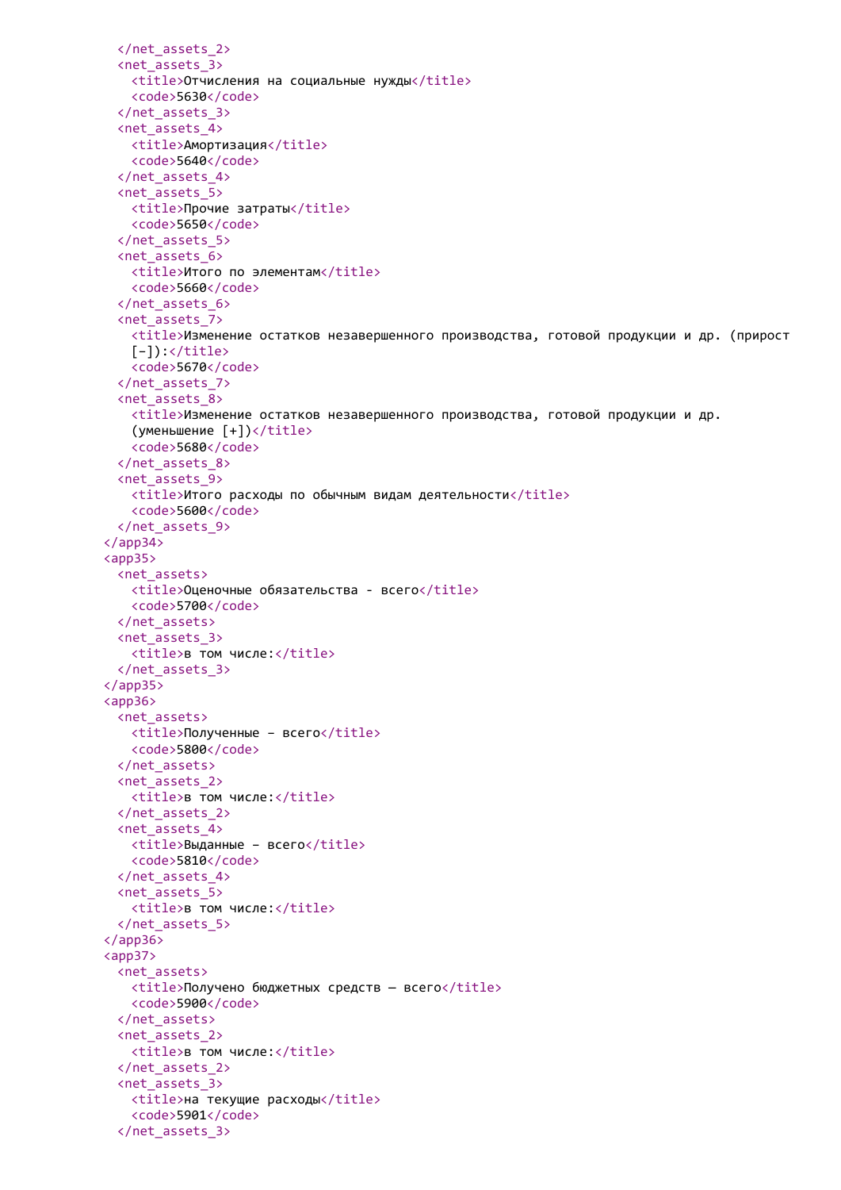```
</net_assets_2>
 <net_assets_3>
   <title>Отчисления на социальные нужды</title>
   <code>5630</code>
 </net_assets_3>
 <net_assets_4>
   <title>Амортизация</title>
   <code>5640</code>
 </net_assets_4>
 <net_assets_5>
   <title>Прочие затраты</title>
   <code>5650</code>
 </net_assets_5>
 <net_assets_6>
   <title>Итого по элементам</title>
   <code>5660</code>
 </net_assets_6>
 <net_assets_7>
   <title>Изменение остатков незавершенного производства, готовой продукции и др. (прирост
   [-]):\langle/title>
   <code>5670</code>
 </net_assets_7>
 <net_assets_8>
   <title>Изменение остатков незавершенного производства, готовой продукции и др.
   (yменьшение [+])</title>
   <code>5680</code>
 </net_assets_8>
 <net_assets_9>
   <title>Итого расходы по обычным видам деятельности</title>
   <code>5600</code>
 </net_assets_9>
</app34>
<app35>
 <net assets>
   <title>Оценочные обязательства - всего</title>
   <code>5700</code>
 </net_assets>
 <net_assets_3>
   <title>в том числе:</title>
 </net_assets_3>
</app35>
<app36>
 <net_assets>
   <title>Полученные - всего</title>
   <code>5800</code>
 </net_assets>
 <net_assets_2>
   <title>в том числе:</title>
 </net_assets_2>
 <net_assets_4>
   <title>Выданные – всего</title>
   <code>5810</code>
 </net_assets_4>
 <net_assets_5>
   <title>в том числе:</title>
 </net_assets_5>
</app36>
<app37>
 <net_assets>
   <title>Получено бюджетных средств - всего</title>
   <code>5900</code>
 </net_assets>
 <net_assets_2>
   <title>в том числе:</title>
 </net_assets_2>
 <net_assets_3>
   <title>на текущие расходы</title>
   <code>5901</code>
 </net_assets_3>
```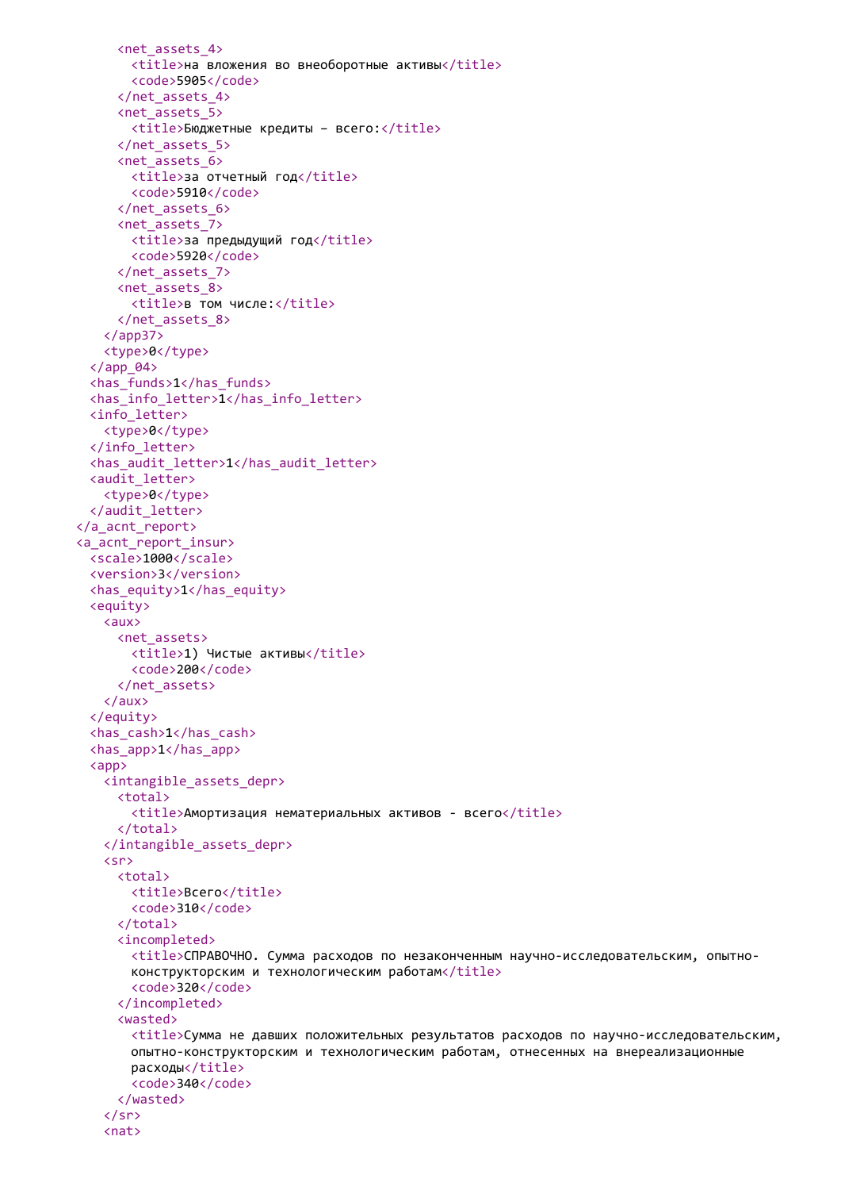```
<net_assets_4>
       <title>на вложения во внеоборотные активы</title>
       <code>5905</code>
     </net_assets_4>
     <net_assets_5>
       <title>Бюджетные кредиты - всего:</title>
     </net_assets_5>
     <net_assets_6>
       <title>за отчетный год</title>
       <code>5910</code>
     </net_assets_6>
     <net_assets_7>
       <title>за предыдущий год</title>
       <code>5920</code>
     </net_assets_7>
     <net_assets_8>
       <title>в том числе:</title>
     </net_assets_8>
   </app37>
   <type>0</type>
  \langle app 04\rangle<has_funds>1</has_funds>
  <has_info_letter>1</has_info_letter>
  <info_letter>
   <type>0</type>
  </info_letter>
  <has_audit_letter>1</has_audit_letter>
  <audit_letter>
   <type>0</type>
  </audit_letter>
</a_acnt_report>
<a_acnt_report_insur>
 <scale>1000</scale>
  <version>3</version>
  <has_equity>1</has_equity>
  <equity>
   <aux>
     <net_assets>
       <title>1) Чистые активы</title>
       <code>200</code>
     </net_assets>
   </aux>
  </equity>
  <has_cash>1</has_cash>
  <has_app>1</has_app>
  <app>
   <intangible_assets_depr>
     <total>
       <title>Амортизация нематериальных активов - всего</title>
     </total>
   </intangible_assets_depr>
   <sr>
     <total>
       <title>Всего</title>
       <code>310</code>
     </total>
     <incompleted>
       <title>СПРАВОЧНО. Сумма расходов по незаконченным научно-исследовательским, опытно-
       конструкторским и технологическим работам</title>
       <code>320</code>
     </incompleted>
     <wasted>
       <title>Сумма не давших положительных результатов расходов по научно-исследовательским,
       опытно-конструкторским и технологическим работам, отнесенных на внереализационные
       расходы</title>
       <code>340</code>
     </wasted>
   \langle/sr>
   <nat>
```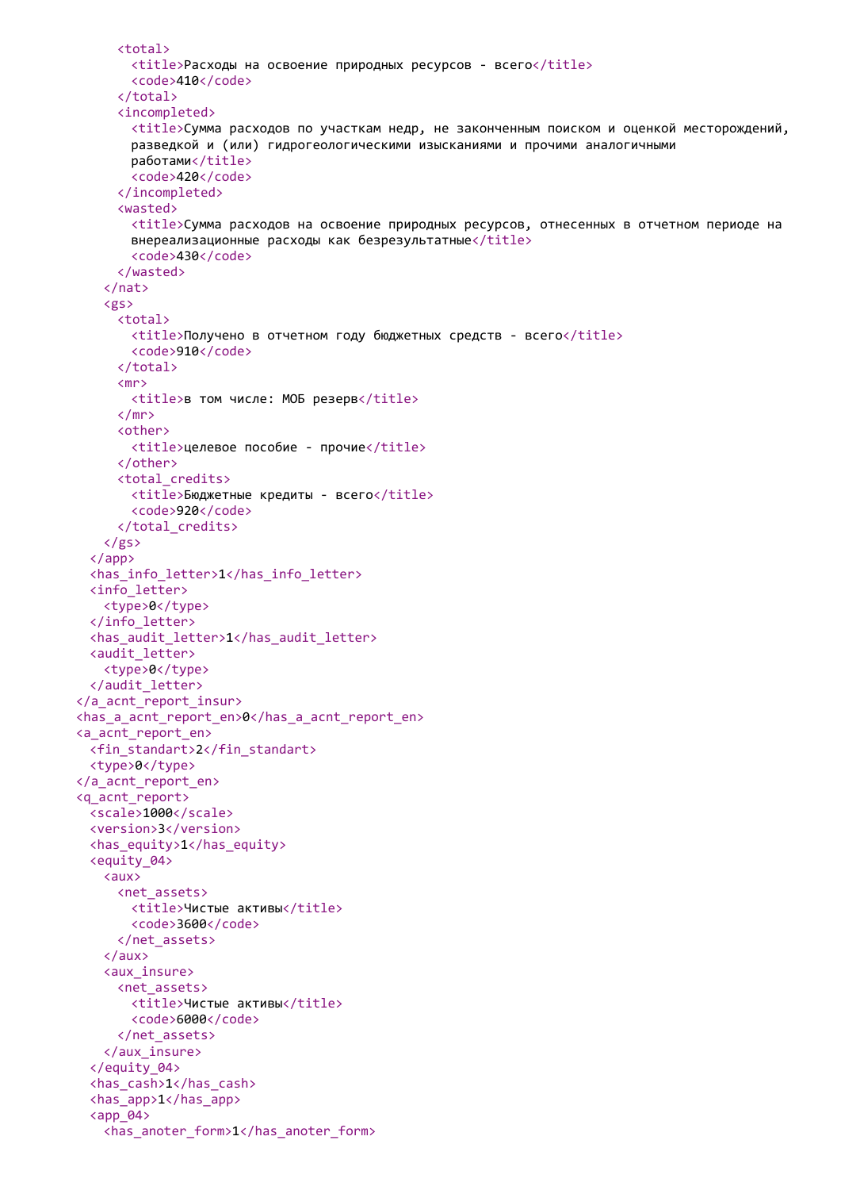```
<total>
       <title>Расходы на освоение природных ресурсов - всего</title>
       <code>410</code>
     </total>
     <incompleted>
       <title>Сумма расходов по участкам недр, не законченным поиском и оценкой месторождений,
       разведкой и (или) гидрогеологическими изысканиями и прочими аналогичными
       работами</title>
       <code>420</code>
     </incompleted>
     <wasted>
       <title>Сумма расходов на освоение природных ресурсов, отнесенных в отчетном периоде на
       внереализационные расходы как безрезультатные</title>
       <code>430</code>
     </wasted>
   </nat>
   <gs>
     <total>
       \langletitle>Получено в отчетном году бюджетных средств - всего\langletitle>
       <code>910</code>
     </total>
     <mr>
       <title>в том числе: МОБ резерв</title>
     \langle/mr\rangle<other>
       <title>целевое пособие - прочие</title>
     </other>
     <total_credits>
       <title>Бюджетные кредиты - всего</title>
       <code>920</code>
     </total_credits>
   \langle/gs>
  </app>
  <has_info_letter>1</has_info_letter>
  <info_letter>
   <type>0</type>
  </info_letter>
  <has_audit_letter>1</has_audit_letter>
  <audit_letter>
   <type>0</type>
  </audit_letter>
</a_acnt_report_insur>
<has a acnt report en>0</has a acnt report en>
<a_acnt_report_en>
 <fin_standart>2</fin_standart>
 <type>0</type>
</a_acnt_report_en>
<q_acnt_report>
 <scale>1000</scale>
 <version>3</version>
 <has_equity>1</has_equity>
  <equity_04>
   <aux>
     <net_assets>
       <title>Чистые активы</title>
       <code>3600</code>
     </net_assets>
   </aux>
   <aux_insure>
     <net_assets>
       <title>Чистые активы</title>
       <code>6000</code>
     </net_assets>
   </aux_insure>
  </equity_04>
 <has_cash>1</has_cash>
  <has_app>1</has_app>
  <app_04>
   <has_anoter_form>1</has_anoter_form>
```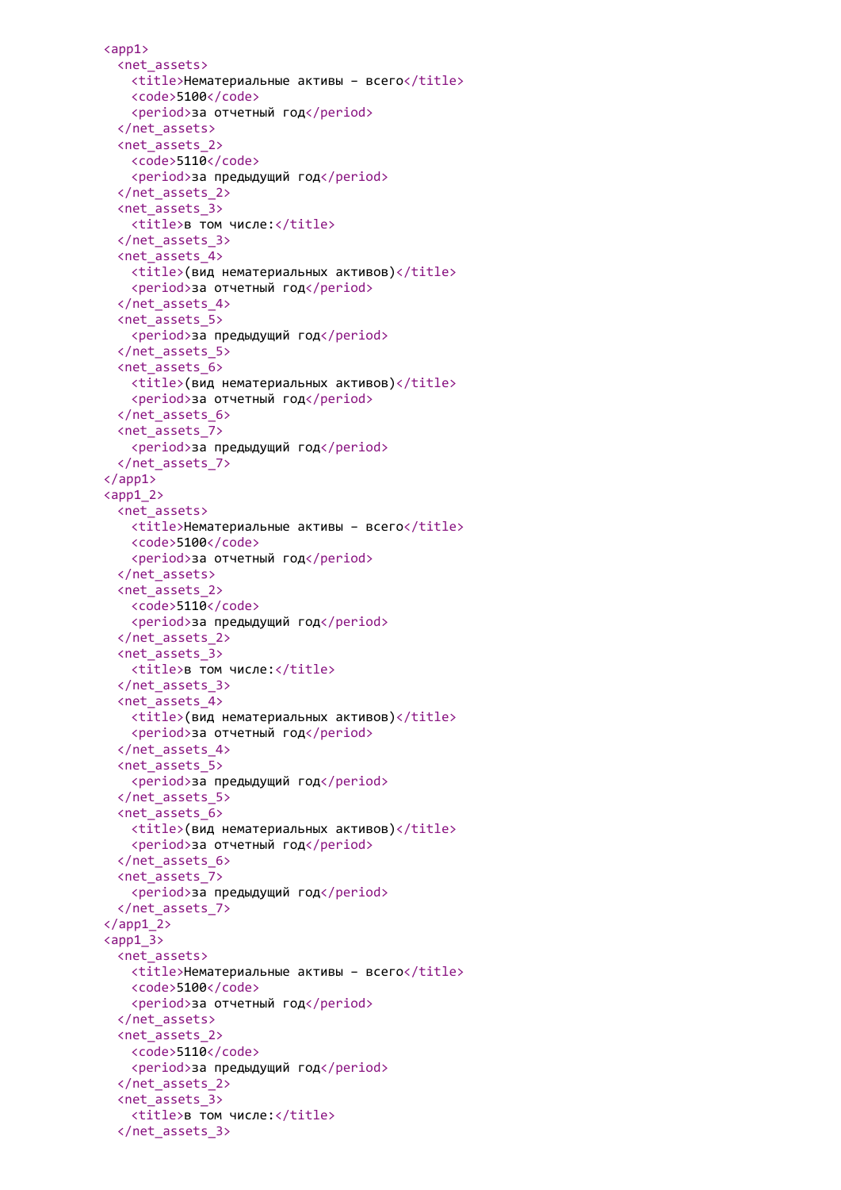```
\langle app1 \rangle<net_assets>
   <title>Нематериальные активы – всего</title>
   <code>5100</code>
   <period>за отчетный год</period>
 </net_assets>
 <net_assets_2>
   <code>5110</code>
   <period>за предыдущий год</period>
 </net_assets_2>
 <net_assets_3>
   <title>в том числе:</title>
 </net_assets_3>
 <net_assets_4>
   <title>(вид нематериальных активов)</title>
   <period>за отчетный год</period>
 </net_assets_4>
 <net_assets_5>
   <period>за предыдущий год</period>
 </net_assets_5>
 <net_assets_6>
   <title>(вид нематериальных активов)</title>
   <period>за отчетный год</period>
 </net_assets_6>
 <net_assets_7>
   <period>за предыдущий год</period>
 </net_assets_7>
</app1>
\langle app1 \rangle 2>
 <net_assets>
   <title>Нематериальные активы - всего</title>
   <code>5100</code>
   <period>за отчетный год</period>
 </net_assets>
 <net_assets_2>
   <code>5110</code>
   <period>за предыдущий год</period>
 </net_assets_2>
 <net_assets_3>
   <title>в том числе:</title>
 </net_assets_3>
 <net_assets_4>
   <title>(вид нематериальных активов)</title>
   <period>за отчетный год</period>
 </net_assets_4>
 <net_assets_5>
   <period>за предыдущий год</period>
 </net_assets_5>
 <net_assets_6>
   <title>(вид нематериальных активов)</title>
   <period>за отчетный год</period>
 </net_assets_6>
 <net_assets_7>
   <period>за предыдущий год</period>
 </net_assets_7>
\langle/app1_2>
\langleapp13\rangle<net_assets>
   <title>Нематериальные активы – всего</title>
   <code>5100</code>
   <period>за отчетный год</period>
 </net_assets>
 <net_assets_2>
   <code>5110</code>
   <period>за предыдущий год</period>
 </net_assets_2>
 <net_assets_3>
   <title>в том числе:</title>
 </net_assets_3>
```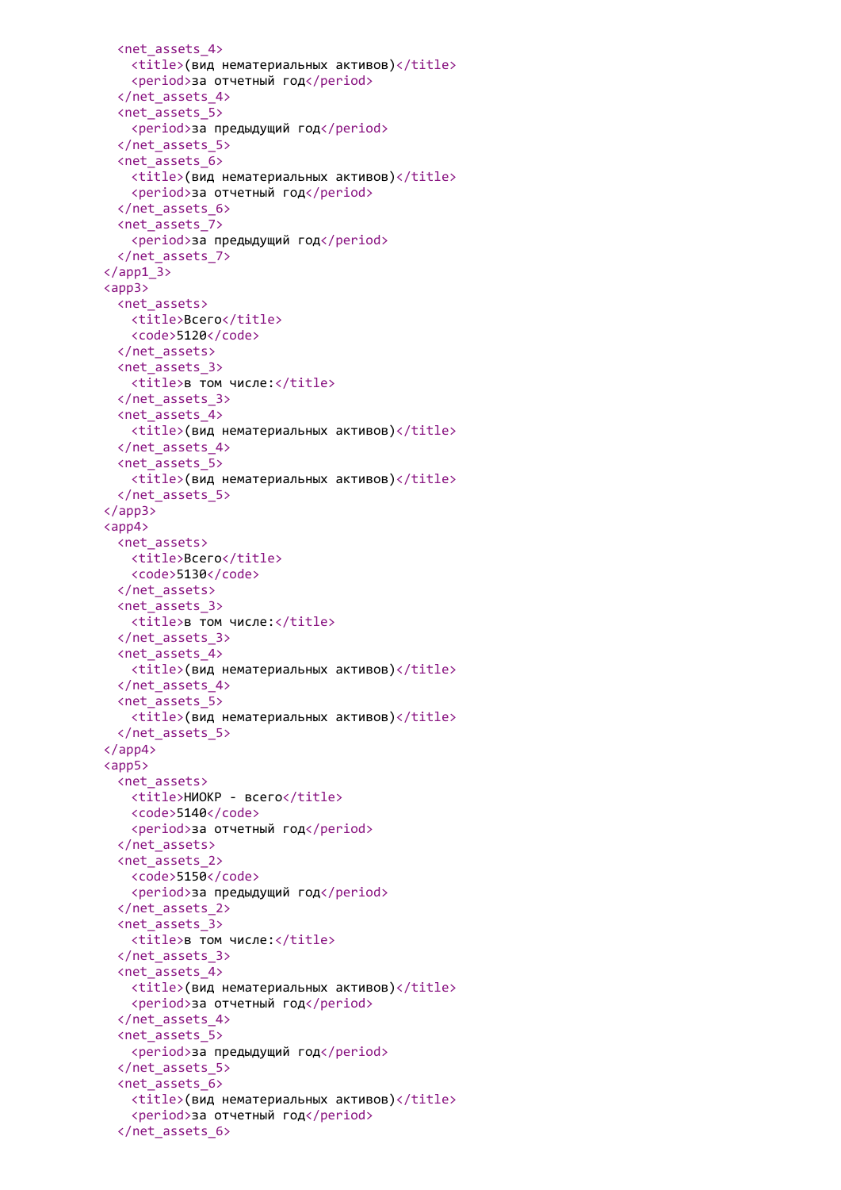```
<net_assets_4>
   <title>(вид нематериальных активов)</title>
   <period>за отчетный год</period>
 </net_assets_4>
 <net_assets_5>
   <period>за предыдущий год</period>
 </net_assets_5>
 <net_assets_6>
   <title>(вид нематериальных активов)</title>
   <period>за отчетный год</period>
 </net_assets_6>
 <net_assets_7>
   <period>за предыдущий год</period>
 </net_assets_7>
\langle app1_3>
<app3>
 <net_assets>
   <title>Всего</title>
   <code>5120</code>
 </net_assets>
 <net_assets_3>
   <title>в том числе:</title>
 </net_assets_3>
 <net_assets_4>
   <title>(вид нематериальных активов)</title>
 </net_assets_4>
 <net_assets_5>
   <title>(вид нематериальных активов)</title>
 </net_assets_5>
</app3>
<app4>
 <net_assets>
   <title>Bcero</title>
   <code>5130</code>
 </net_assets>
 <net_assets_3>
   <title>в том числе:</title>
 </net_assets_3>
 <net_assets_4>
   <title>(вид нематериальных активов)</title>
 </net_assets_4>
 <net_assets_5>
   <title>(вид нематериальных активов)</title>
 </net_assets_5>
</app4>
<app5>
 <net_assets>
   <title>НИОКР - всего</title>
   <code>5140</code>
   <period>за отчетный год</period>
 </net_assets>
 <net_assets_2>
   <code>5150</code>
   <period>за предыдущий год</period>
 </net_assets_2>
 <net_assets_3>
   <title>в том числе:</title>
 </net_assets_3>
 <net_assets_4>
   <title>(вид нематериальных активов)</title>
   <period>за отчетный год</period>
 </net_assets_4>
 <net_assets_5>
   <period>за предыдущий год</period>
 </net_assets_5>
 <net_assets_6>
   <title>(вид нематериальных активов)</title>
   <period>за отчетный год</period>
 </net_assets_6>
```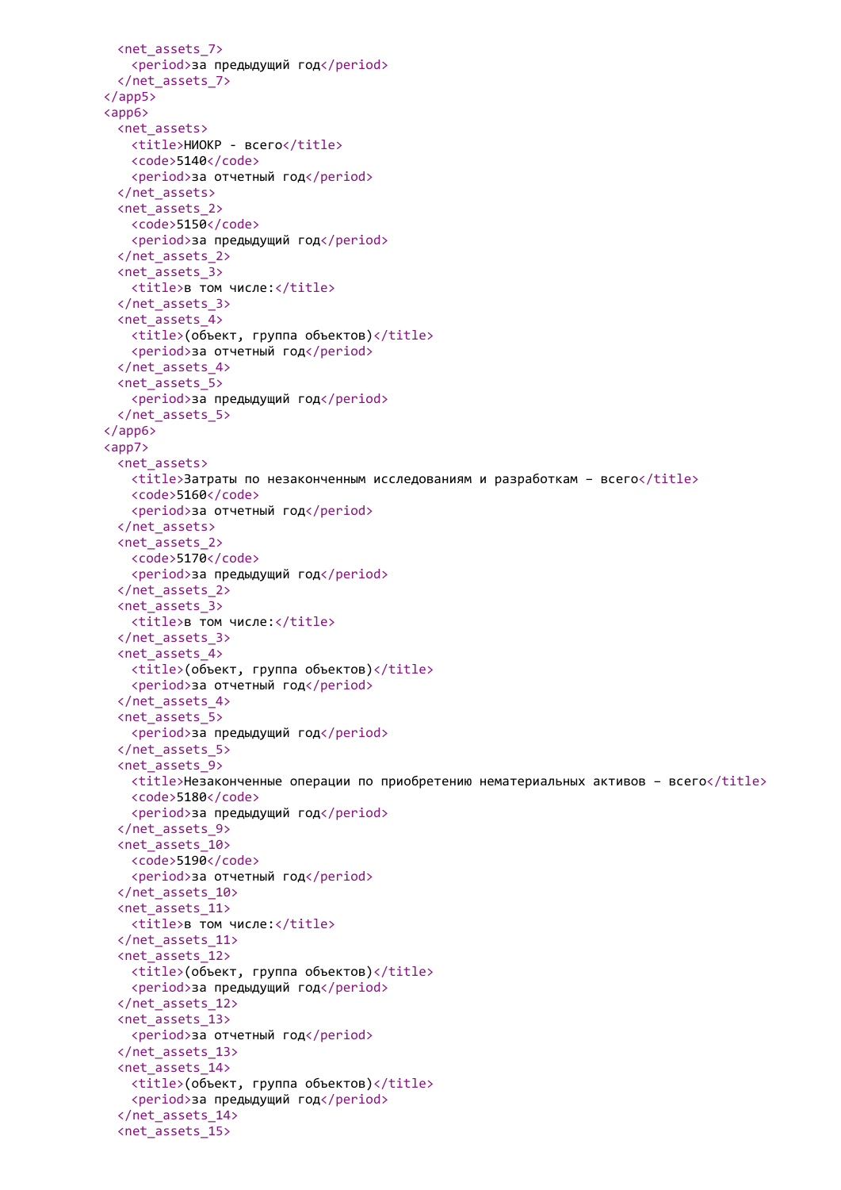```
<net_assets_7>
   <period>за предыдущий год</period>
 </net_assets_7>
</app5>
<app6>
 <net_assets>
   <title>НИОКР - всего</title>
   <code>5140</code>
   <period>за отчетный год</period>
 </net_assets>
 <net_assets_2>
   <code>5150</code>
   <period>за предыдущий год</period>
 </net_assets_2>
 <net_assets_3>
   <title>в том числе:</title>
 </net_assets_3>
 <net_assets_4>
   <title>(объект, группа объектов)</title>
   <period>за отчетный год</period>
 </net_assets_4>
 <net_assets_5>
   <period>за предыдущий год</period>
 </net_assets_5>
</app6>
<app7>
 <net assets>
   <title>Затраты по незаконченным исследованиям и разработкам – всего</title>
   <code>5160</code>
   <period>за отчетный год</period>
 </net_assets>
 <net_assets_2>
   <code>5170</code>
   <period>за предыдущий год</period>
 </net_assets_2>
 <net_assets_3>
   <title>в том числе:</title>
 </net_assets_3>
 <net_assets_4>
   <title>(объект, группа объектов)</title>
   <period>за отчетный год</period>
 </net_assets_4>
 <net_assets_5>
   <period>за предыдущий год</period>
 </net_assets_5>
 <net_assets_9>
   \timestitle>Незаконченные операции по приобретению нематериальных активов - всего\times/title>
   <code>5180</code>
   <period>за предыдущий год</period>
 </net_assets_9>
 <net_assets_10>
   <code>5190</code>
   <period>за отчетный год</period>
 </net_assets_10>
 <net_assets_11>
   <title>в том числе:</title>
 </net_assets_11>
 <net_assets_12>
   <title>(объект, группа объектов)</title>
   <period>за предыдущий год</period>
 </net_assets_12>
 <net_assets_13>
   <period>за отчетный год</period>
 </net_assets_13>
 <net_assets_14>
   <title>(объект, группа объектов)</title>
   <period>за предыдущий год</period>
 </net_assets_14>
 <net_assets_15>
```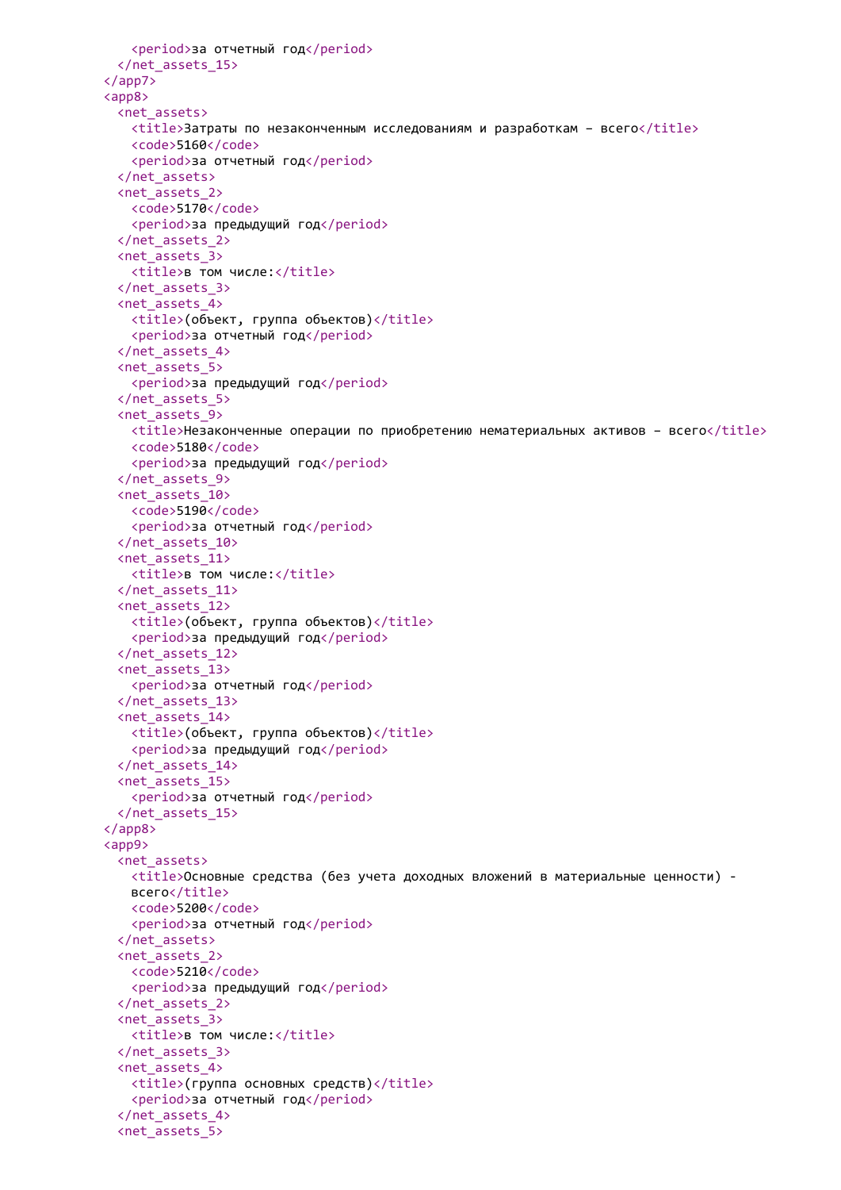```
<period>за отчетный год</period>
 </net_assets_15>
</app7>
<app8>
 <net_assets>
   <title>Затраты по незаконченным исследованиям и разработкам – всего</title>
   <code>5160</code>
   <period>за отчетный год</period>
 </net_assets>
 <net_assets_2>
   <code>5170</code>
   <period>за предыдущий год</period>
 </net_assets_2>
 <net_assets_3>
   <title>в том числе:</title>
 </net_assets_3>
 <net_assets_4>
   <title>(объект, группа объектов)</title>
   <period>за отчетный год</period>
 </net_assets_4>
 <net_assets_5>
   <period>за предыдущий год</period>
 </net_assets_5>
 <net_assets_9>
   <title>Незаконченные операции по приобретению нематериальных активов – всего</title>
   <code>5180</code>
   <period>за предыдущий год</period>
 </net_assets_9>
 <net_assets_10>
   <code>5190</code>
   <period>за отчетный год</period>
 </net_assets_10>
 <net_assets_11>
   <title>в том числе:</title>
 </net_assets_11>
 <net_assets_12>
   <title>(объект, группа объектов)</title>
   <period>за предыдущий год</period>
 </net_assets_12>
 <net_assets_13>
   <period>за отчетный год</period>
 </net_assets_13>
 <net_assets_14>
   <title>(объект, группа объектов)</title>
   <period>за предыдущий год</period>
 </net_assets_14>
 <net_assets_15>
   <period>за отчетный год</period>
 </net_assets_15>
</app8>
<app9>
 <net_assets>
   <title>Основные средства (без учета доходных вложений в материальные ценности) -
   всего</title>
   <code>5200</code>
   <period>за отчетный год</period>
 </net_assets>
 <net_assets_2>
   <code>5210</code>
   <period>за предыдущий год</period>
 </net_assets_2>
 <net_assets_3>
   <title>в том числе:</title>
 </net_assets_3>
 <net_assets_4>
   <title>(группа основных средств)</title>
   <period>за отчетный год</period>
 </net_assets_4>
 <net_assets_5>
```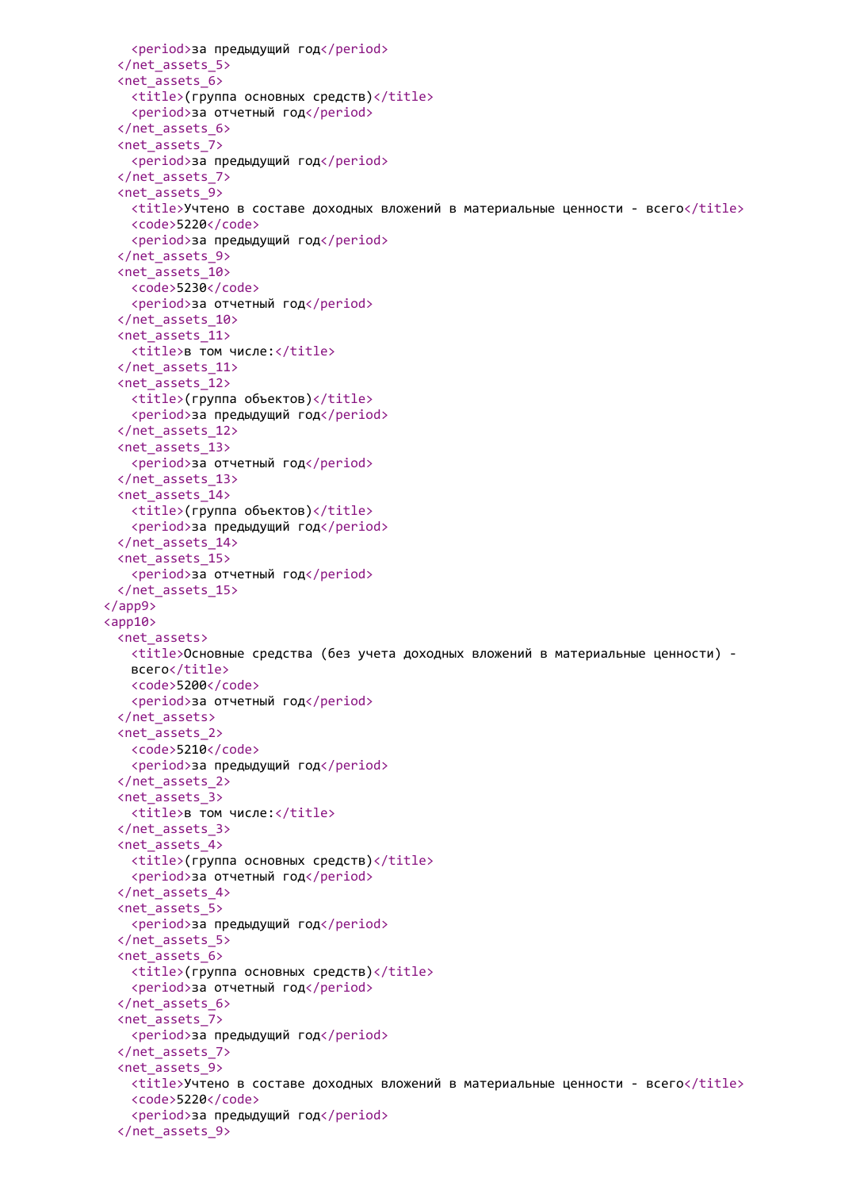```
<period>за предыдущий год</period>
 </net_assets_5>
 <net_assets_6>
   <title>(группа основных средств)</title>
   <period>за отчетный год</period>
 </net_assets_6>
 <net_assets_7>
   <period>за предыдущий год</period>
 </net_assets_7>
 <net_assets_9>
   <title>Учтено в составе доходных вложений в материальные ценности - всего</title>
   <code>5220</code>
   <period>за предыдущий год</period>
 </net_assets_9>
 <net_assets_10>
   <code>5230</code>
   <period>за отчетный год</period>
 </net_assets_10>
 <net_assets_11>
   <title>в том числе:</title>
 </net_assets_11>
 <net_assets_12>
   <title>(группа объектов)</title>
   <period>за предыдущий год</period>
 </net_assets_12>
 <net_assets_13>
   <period>за отчетный год</period>
 </net_assets_13>
 <net_assets_14>
   <title>(группа объектов)</title>
   <period>за предыдущий год</period>
 </net_assets_14>
 <net_assets_15>
   <period>за отчетный год</period>
 </net_assets_15>
</app9>
<app10>
 <net assets>
   <title>Основные средства (без учета доходных вложений в материальные ценности) -
   всего</title>
   <code>5200</code>
   <period>за отчетный год</period>
 </net_assets>
 <net_assets_2>
   <code>5210</code>
   <period>за предыдущий год</period>
 </net_assets_2>
 <net_assets_3>
   <title>в том числе:</title>
 </net_assets_3>
 <net_assets_4>
   <title>(группа основных средств)</title>
   <period>за отчетный год</period>
 </net_assets_4>
 <net_assets_5>
   <period>за предыдущий год</period>
 </net_assets_5>
 <net_assets_6>
   <title>(группа основных средств)</title>
   <period>за отчетный год</period>
 </net_assets_6>
 <net_assets_7>
   <period>за предыдущий год</period>
 </net_assets_7>
 <net_assets_9>
   <title>Учтено в составе доходных вложений в материальные ценности - всего</title>
   <code>5220</code>
   <period>за предыдущий год</period>
 </net_assets_9>
```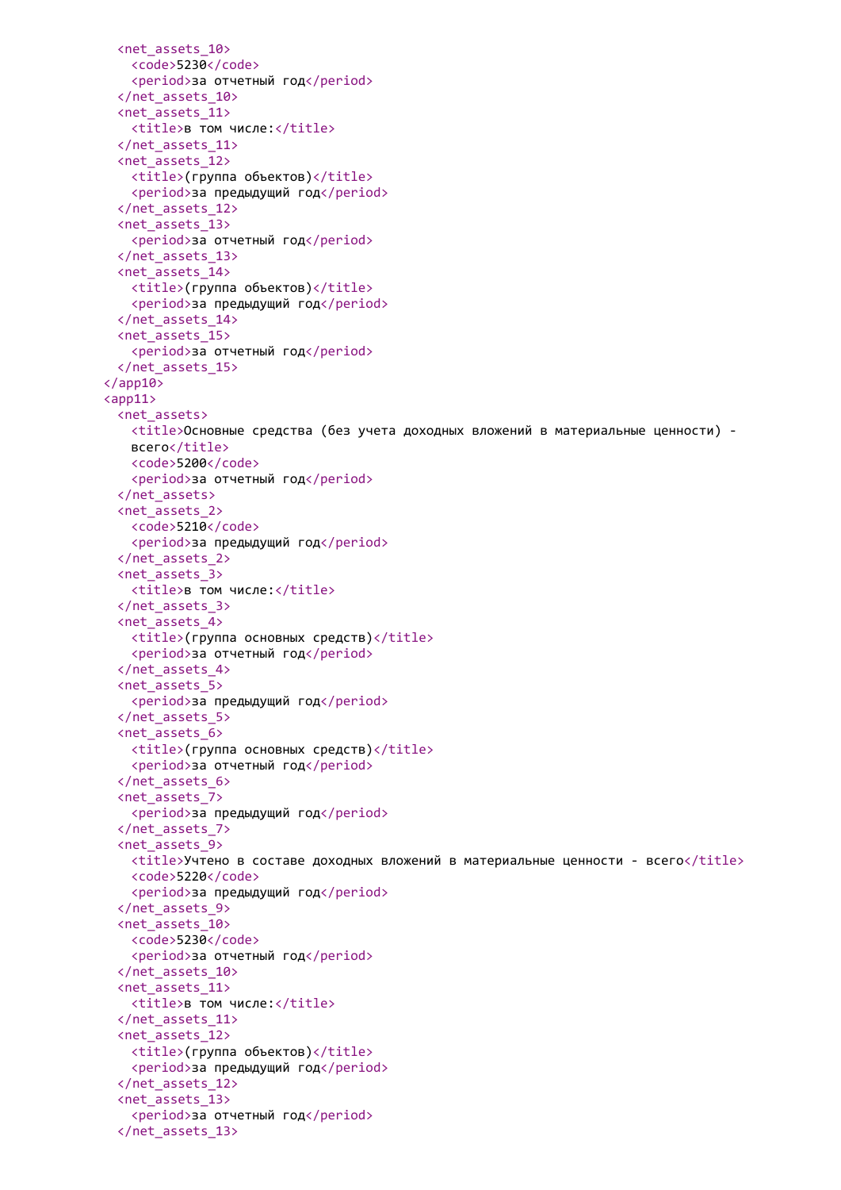```
<net_assets_10>
   <code>5230</code>
   <period>за отчетный год</period>
 </net_assets_10>
 <net_assets_11>
   <title>в том числе:</title>
 </net_assets_11>
 <net_assets_12>
   <title>(группа объектов)</title>
   <period>за предыдущий год</period>
 </net_assets_12>
 <net_assets_13>
   <period>за отчетный год</period>
 </net_assets_13>
 <net_assets_14>
   <title>(группа объектов)</title>
   <period>за предыдущий год</period>
 </net_assets_14>
 <net_assets_15>
   <period>за отчетный год</period>
 </net_assets_15>
\langle app10>
\langleapp11>
 <net_assets>
   <title>Основные средства (без учета доходных вложений в материальные ценности) -
   всего</title>
   <code>5200</code>
   <period>за отчетный год</period>
 </net_assets>
 <net_assets_2>
   <code>5210</code>
   <period>за предыдущий год</period>
 </net_assets_2>
 <net_assets_3>
   <title>в том числе:</title>
 </net_assets_3>
 <net_assets_4>
   <title>(группа основных средств)</title>
   <period>за отчетный год</period>
 </net_assets_4>
 <net_assets_5>
   <period>за предыдущий год</period>
 </net_assets_5>
 <net_assets_6>
   <title>(группа основных средств)</title>
   <period>за отчетный год</period>
 </net_assets_6>
 <net_assets_7>
   <period>за предыдущий год</period>
 </net_assets_7>
 <net_assets_9>
   \langletitle>Учтено в составе доходных вложений в материальные ценности - всего\langle/title>
   <code>5220</code>
   <period>за предыдущий год</period>
 </net_assets_9>
 <net_assets_10>
   <code>5230</code>
   <period>за отчетный год</period>
 </net_assets_10>
 <net_assets_11>
   <title>в том числе:</title>
 </net_assets_11>
 <net_assets_12>
   <title>(группа объектов)</title>
   <period>за предыдущий год</period>
 </net_assets_12>
 <net_assets_13>
   <period>за отчетный год</period>
 </net_assets_13>
```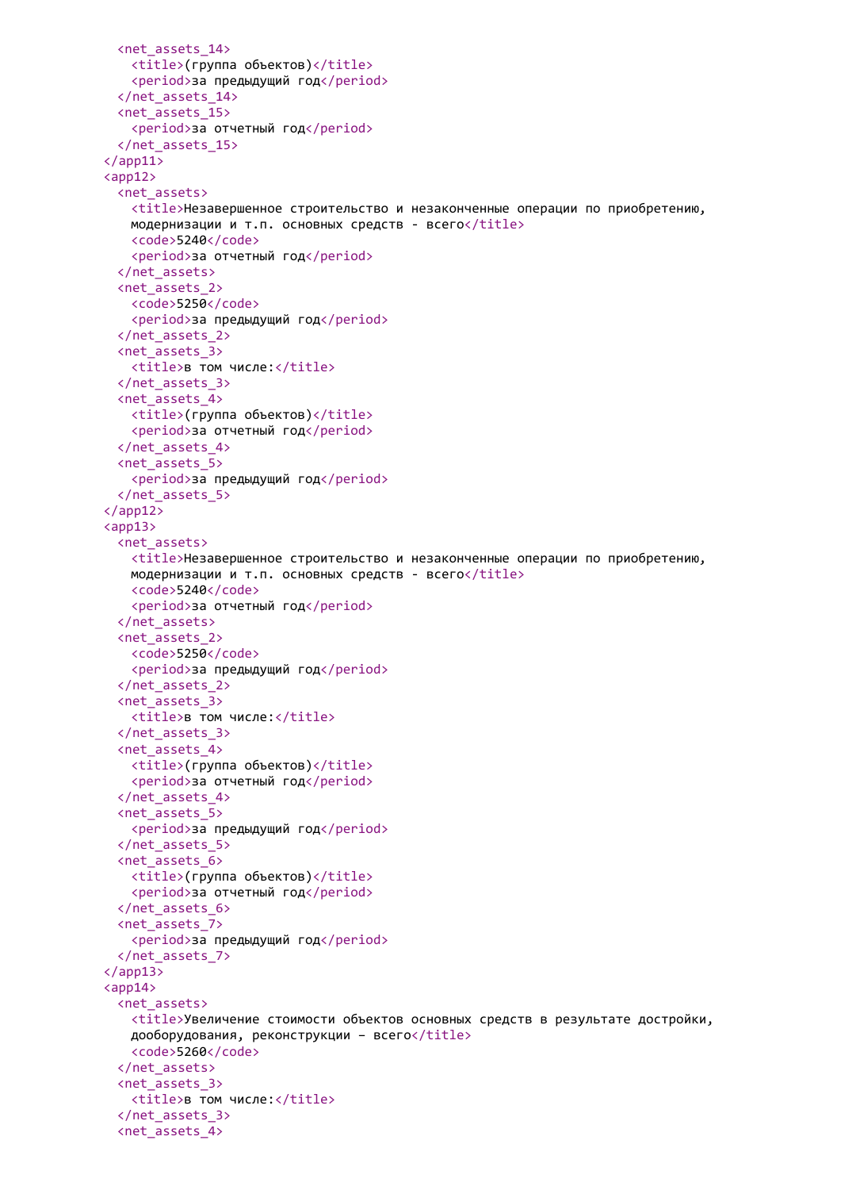```
<net_assets_14>
   <title>(группа объектов)</title>
   <period>за предыдущий год</period>
 </net_assets_14>
 <net_assets_15>
   <period>за отчетный год</period>
 </net_assets_15>
\langle app11>
<app12>
 <net_assets>
   <title>Незавершенное строительство и незаконченные операции по приобретению,
   модернизации и т.п. основных средств - всего</title>
   <code>5240</code>
   <period>за отчетный год</period>
 </net_assets>
 <net_assets_2>
   <code>5250</code>
   <period>за предыдущий год</period>
 </net_assets_2>
 <net_assets_3>
   <title>в том числе:</title>
 </net_assets_3>
 <net_assets_4>
   <title>(группа объектов)</title>
   <period>за отчетный год</period>
 </net_assets_4>
 <net_assets_5>
   <period>за предыдущий год</period>
 </net_assets_5>
</app12>
<app13>
 <net_assets>
   <title>Незавершенное строительство и незаконченные операции по приобретению,
   модернизации и т.п. основных средств - всего</title>
   <code>5240</code>
   <period>за отчетный год</period>
 </net_assets>
 <net_assets_2>
   <code>5250</code>
   <period>за предыдущий год</period>
 </net_assets_2>
 <net_assets_3>
   <title>в том числе:</title>
 </net_assets_3>
 <net_assets_4>
   <title>(группа объектов)</title>
   <period>за отчетный год</period>
 </net_assets_4>
 <net_assets_5>
   <period>за предыдущий год</period>
 </net_assets_5>
 <net_assets_6>
   <title>(группа объектов)</title>
   <period>за отчетный год</period>
 </net_assets_6>
 <net_assets_7>
   <period>за предыдущий год</period>
 </net_assets_7>
</app13>
\langleapp14\rangle<net_assets>
   <title>Увеличение стоимости объектов основных средств в результате достройки,
   дооборудования, реконструкции - всего</title>
   <code>5260</code>
 </net_assets>
 <net_assets_3>
   <title>в том числе:</title>
 </net_assets_3>
 <net_assets_4>
```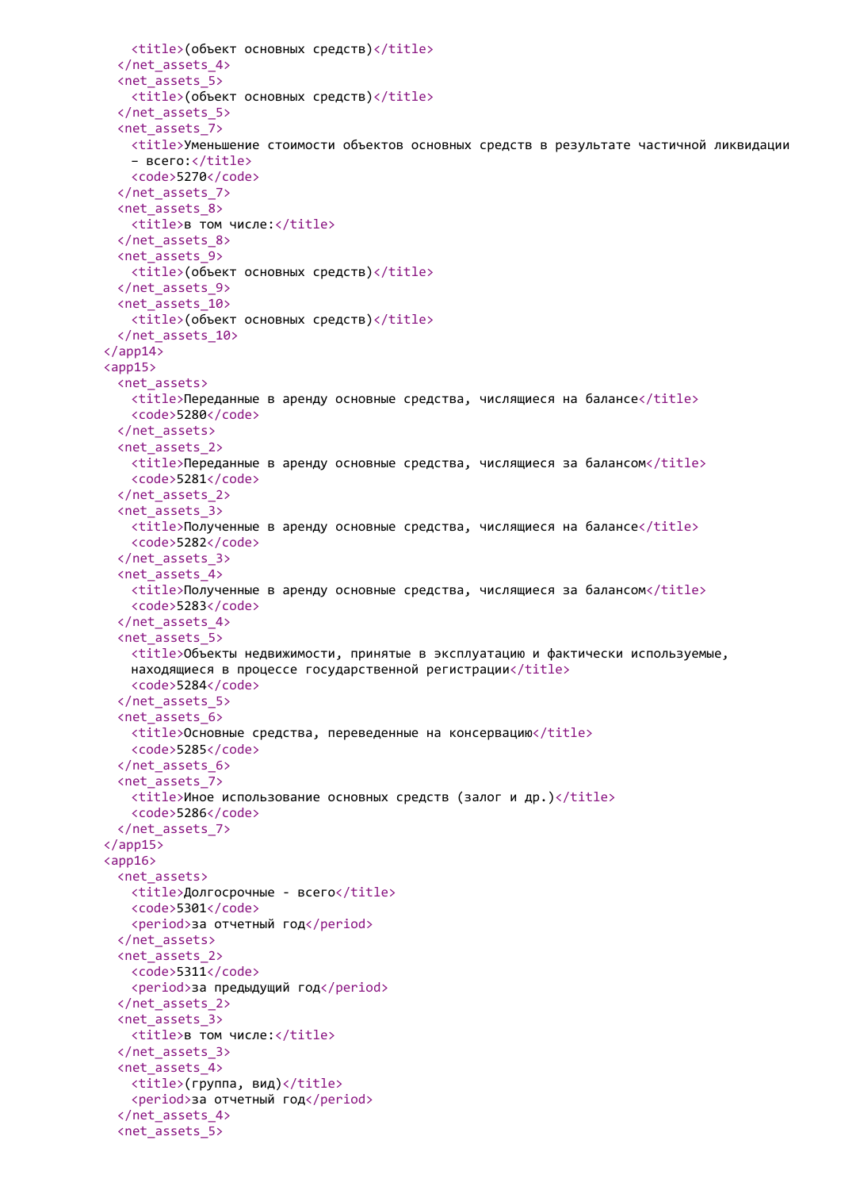```
<title>(объект основных средств)</title>
 </net_assets_4>
 <net_assets_5>
   <title>(объект основных средств)</title>
 </net_assets_5>
 <net_assets_7>
   <title>Уменьшение стоимости объектов основных средств в результате частичной ликвидации
   – всего:</title>
   <code>5270</code>
 </net_assets_7>
 <net_assets_8>
   <title>в том числе:</title>
 </net_assets_8>
 <net_assets_9>
   <title>(объект основных средств)</title>
 </net_assets_9>
 <net_assets_10>
   <title>(объект основных средств)</title>
 </net_assets_10>
</app14>
\langleapp15\rangle<net assets>
   \langletitle>Переданные в аренду основные средства, числящиеся на балансе\langletitle>
   <code>5280</code>
 </net_assets>
 <net_assets_2>
   <title>Переданные в аренду основные средства, числящиеся за балансом</title>
   <code>5281</code>
 </net_assets_2>
 <net_assets_3>
   <title>Полученные в аренду основные средства, числящиеся на балансе</title>
   <code>5282</code>
 </net_assets_3>
 <net_assets_4>
   <title>Полученные в аренду основные средства, числящиеся за балансом</title>
   <code>5283</code>
 </net_assets_4>
 <net_assets_5>
   <title>Объекты недвижимости, принятые в эксплуатацию и фактически используемые,
   находящиеся в процессе государственной регистрации</title>
   <code>5284</code>
 </net_assets_5>
 <net_assets_6>
   <title>Основные средства, переведенные на консервацию</title>
   <code>5285</code>
 </net_assets_6>
 <net_assets_7>
   \langletitle>Иное использование основных средств (залог и др.)\langle/title>
   <code>5286</code>
 </net_assets_7>
</app15>
\langleapp16\rangle<net_assets>
   <title>Долгосрочные - всего</title>
   <code>5301</code>
   <period>за отчетный год</period>
 </net_assets>
 <net_assets_2>
   <code>5311</code>
   <period>за предыдущий год</period>
 </net_assets_2>
 <net_assets_3>
   <title>в том числе:</title>
 </net_assets_3>
 <net_assets_4>
   <title>(группа, вид)</title>
   <period>за отчетный год</period>
 </net_assets_4>
 <net_assets_5>
```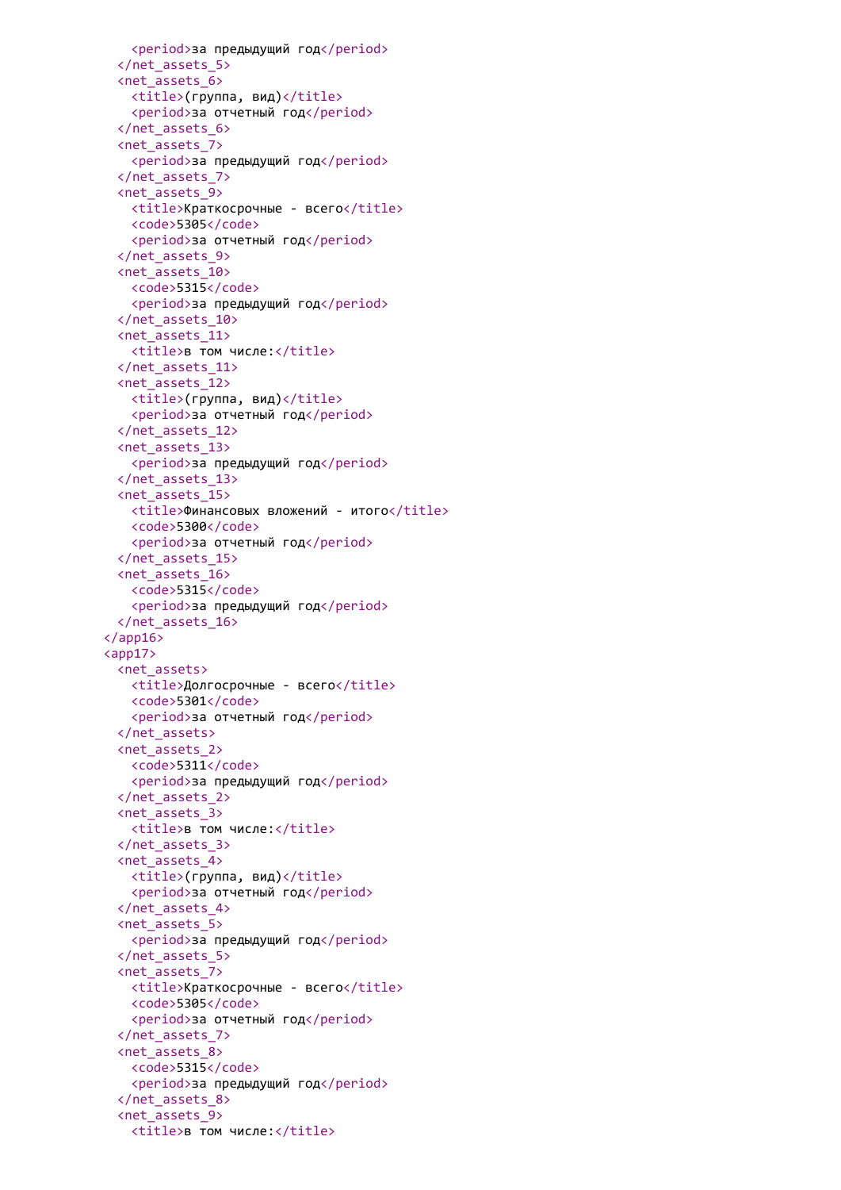```
<period>за предыдущий год</period>
 </net_assets_5>
 <net_assets_6>
   <title>(группа, вид)</title>
   <period>за отчетный год</period>
 </net_assets_6>
 <net_assets_7>
   <period>за предыдущий год</period>
 </net_assets_7>
 <net_assets_9>
   <title>Краткосрочные - всего</title>
   <code>5305</code>
   <period>за отчетный год</period>
 </net_assets_9>
 <net_assets_10>
   <code>5315</code>
   <period>за предыдущий год</period>
 </net_assets_10>
 <net_assets_11>
   <title>в том числе:</title>
 </net_assets_11>
 <net_assets_12>
   <title>(группа, вид)</title>
   <period>за отчетный год</period>
 </net_assets_12>
 <net_assets_13>
   <period>за предыдущий год</period>
 </net_assets_13>
 <net_assets_15>
   <title>Финансовых вложений - итого</title>
   <code>5300</code>
   <period>за отчетный год</period>
 </net_assets_15>
 <net_assets_16>
   <code>5315</code>
   <period>за предыдущий год</period>
 </net_assets_16>
</app16>
<app17>
 <net assets>
   <title>Долгосрочные - всего</title>
   <code>5301</code>
   <period>за отчетный год</period>
 </net_assets>
 <net_assets_2>
   <code>5311</code>
   <period>за предыдущий год</period>
 </net_assets_2>
 <net_assets_3>
   <title>в том числе:</title>
 </net_assets_3>
 <net_assets_4>
   <title>(группа, вид)</title>
   <period>за отчетный год</period>
 </net_assets_4>
 <net_assets_5>
   <period>за предыдущий год</period>
 </net_assets_5>
 <net_assets_7>
   <title>Краткосрочные - всего</title>
   <code>5305</code>
   <period>за отчетный год</period>
 </net_assets_7>
 <net_assets_8>
   <code>5315</code>
   <period>за предыдущий год</period>
 </net_assets_8>
 <net_assets_9>
   <title>в том числе:</title>
```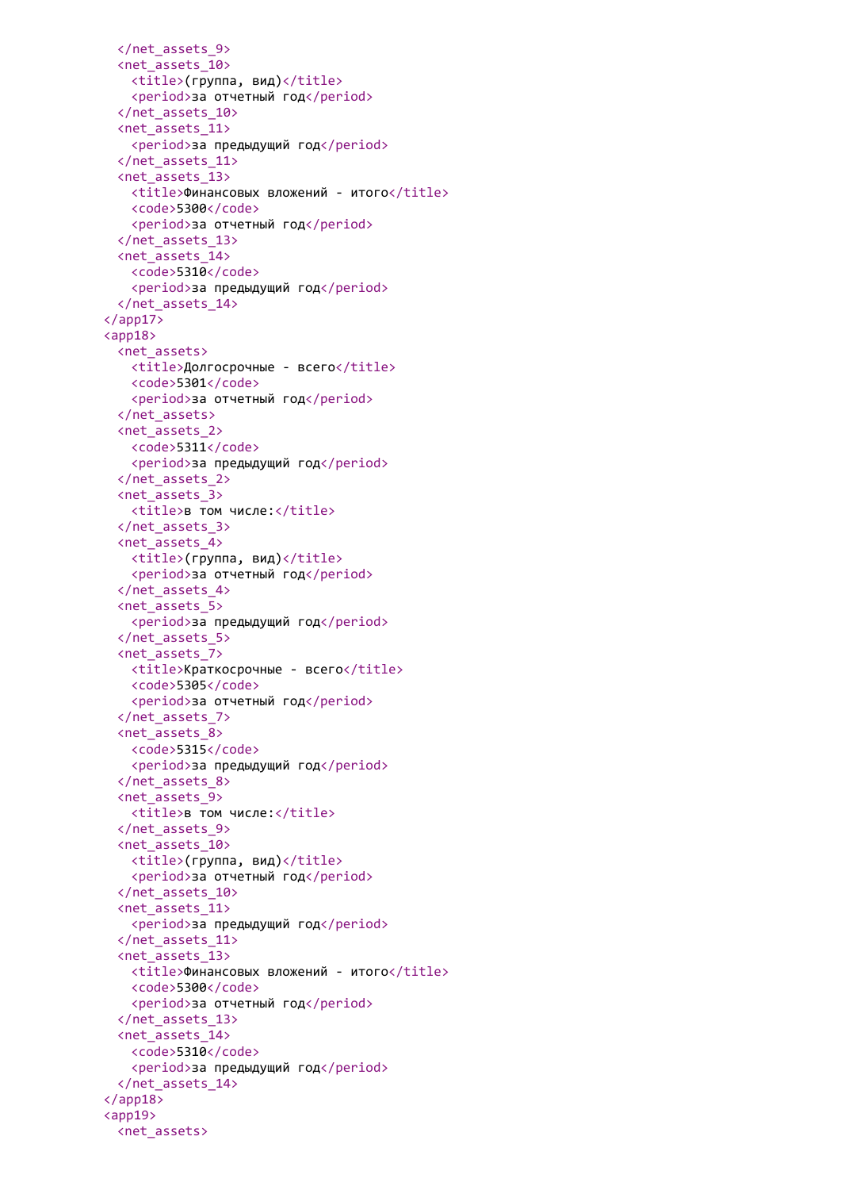```
</net_assets_9>
 <net_assets_10>
   <title>(группа, вид)</title>
   <period>за отчетный год</period>
 </net_assets_10>
 <net_assets_11>
   <period>за предыдущий год</period>
 </net_assets_11>
 <net_assets_13>
   <title>Финансовых вложений - итого</title>
   <code>5300</code>
   <period>за отчетный год</period>
 </net_assets_13>
 <net_assets_14>
   <code>5310</code>
   <period>за предыдущий год</period>
 </net_assets_14>
</app17>
<app18>
 <net_assets>
   <title>Долгосрочные - всего</title>
   <code>5301</code>
   <period>за отчетный год</period>
 </net_assets>
 <net_assets_2>
   <code>5311</code>
   <period>за предыдущий год</period>
 </net_assets_2>
 <net_assets_3>
   <title>в том числе:</title>
 </net_assets_3>
 <net_assets_4>
   \langle \text{title} \rangle(группа, вид)</title>
   <period>за отчетный год</period>
 </net_assets_4>
 <net_assets_5>
   <period>за предыдущий год</period>
 </net_assets_5>
 <net_assets_7>
   <title>Краткосрочные - всего</title>
   <code>5305</code>
   <period>за отчетный год</period>
 </net_assets_7>
 <net_assets_8>
   <code>5315</code>
   <period>за предыдущий год</period>
 </net_assets_8>
 <net_assets_9>
   <title>в том числе:</title>
 </net_assets_9>
 <net_assets_10>
   <title>(группа, вид)</title>
   <period>за отчетный год</period>
 </net_assets_10>
 <net_assets_11>
   <period>за предыдущий год</period>
 </net_assets_11>
 <net_assets_13>
   <title>Финансовых вложений - итого</title>
   <code>5300</code>
   <period>за отчетный год</period>
 </net_assets_13>
 <net_assets_14>
   <code>5310</code>
   <period>за предыдущий год</period>
 </net_assets_14>
</app18>
<app19>
 <net_assets>
```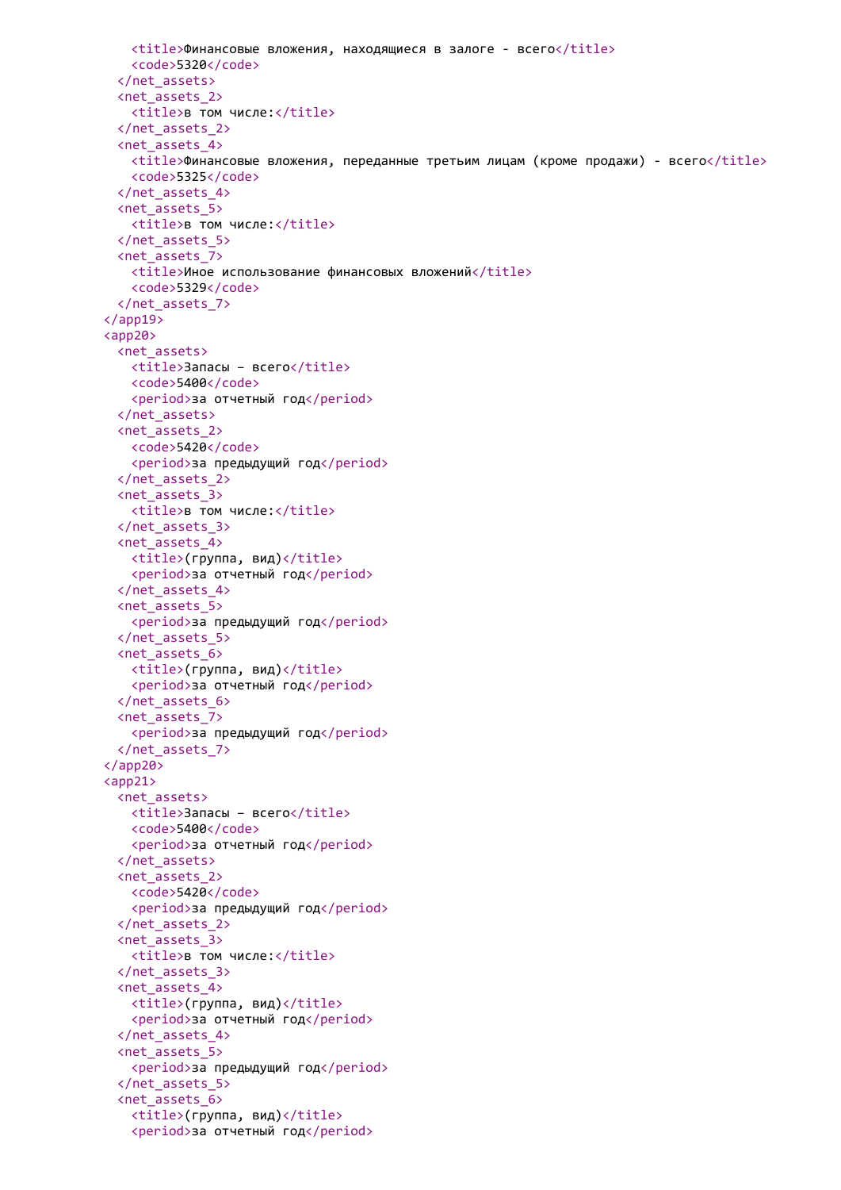```
\langletitle>Финансовые вложения, находящиеся в залоге - всего\langletitle>
   <code>5320</code>
 </net_assets>
 <net_assets_2>
   <title>в том числе:</title>
 </net_assets_2>
 <net_assets_4>
   <title>Финансовые вложения, переданные третьим лицам (кроме продажи) - всего</title>
   <code>5325</code>
 </net_assets_4>
 <net_assets_5>
   <title>в том числе:</title>
 </net_assets_5>
 <net_assets_7>
   <title>Иное использование финансовых вложений</title>
   <code>5329</code>
 </net_assets_7>
</app19>
<app20>
 <net_assets>
   <title>Запасы - всего</title>
   <code>5400</code>
   <period>за отчетный год</period>
 </net_assets>
 <net_assets_2>
   <code>5420</code>
   <period>за предыдущий год</period>
 </net_assets_2>
 <net_assets_3>
   <title>в том числе:</title>
 </net_assets_3>
 <net_assets_4>
   <title>(группа, вид)</title>
   <period>за отчетный год</period>
 </net_assets_4>
 <net_assets_5>
   <period>за предыдущий год</period>
 </net_assets_5>
 <net_assets_6>
   <title>(группа, вид)</title>
   <period>за отчетный год</period>
 </net_assets_6>
 <net_assets_7>
   <period>за предыдущий год</period>
 </net_assets_7>
</app20>
<app21>
 <net_assets>
   <title>Запасы – всего</title>
   <code>5400</code>
   <period>за отчетный год</period>
 </net_assets>
 <net_assets_2>
   <code>5420</code>
   <period>за предыдущий год</period>
 </net_assets_2>
 <net_assets_3>
   <title>в том числе:</title>
 </net_assets_3>
 <net_assets_4>
   <title>(группа, вид)</title>
   <period>за отчетный год</period>
 </net_assets_4>
 <net_assets_5>
   <period>за предыдущий год</period>
 </net_assets_5>
 <net_assets_6>
   \langle \text{title} \rangle(группа, вид)</title>
   <period>за отчетный год</period>
```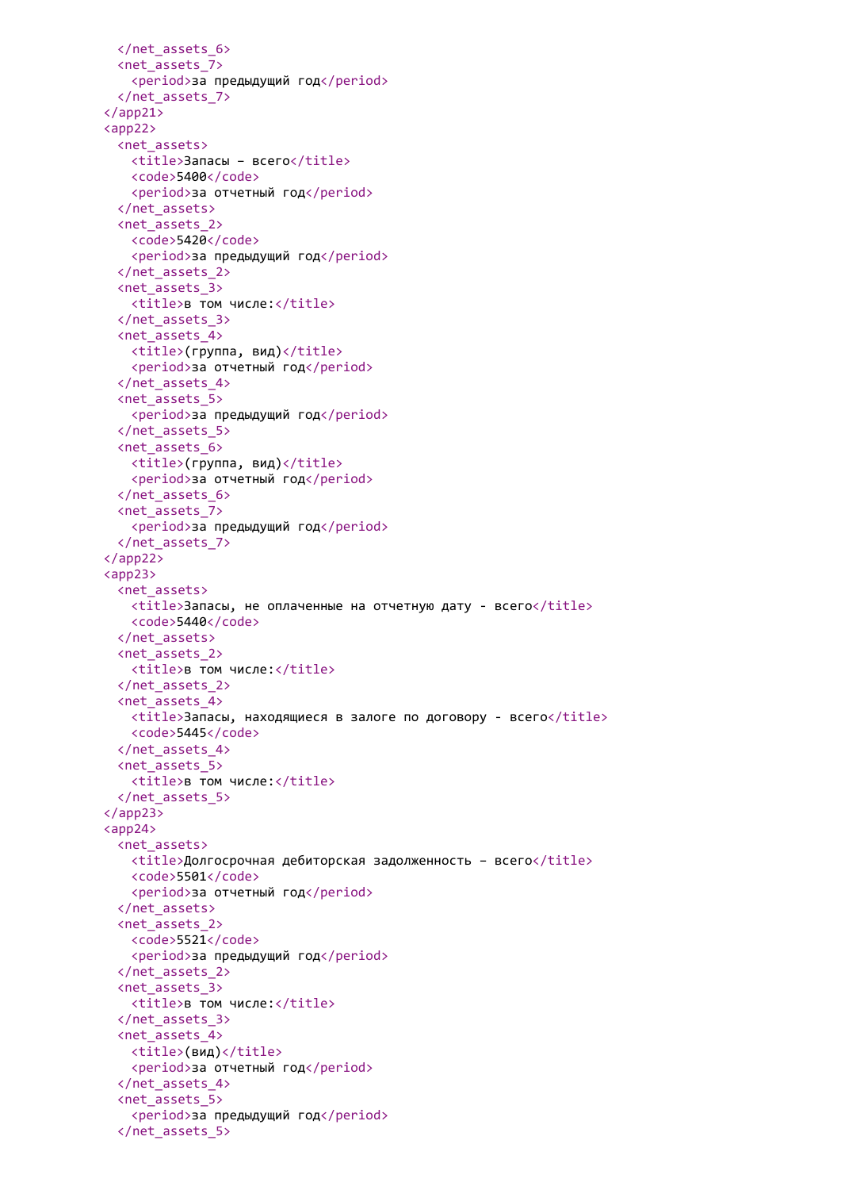```
</net_assets_6>
 <net_assets_7>
   <period>за предыдущий год</period>
 </net_assets_7>
</app21>
<app22>
 <net_assets>
   <title>Запасы - всего</title>
   <code>5400</code>
   <period>за отчетный год</period>
 </net_assets>
 <net_assets_2>
   <code>5420</code>
   <period>за предыдущий год</period>
 </net_assets_2>
 <net_assets_3>
   <title>в том числе:</title>
 </net_assets_3>
 <net_assets_4>
   \langle \text{title} \rangle(группа, вид)</title>
   <period>за отчетный год</period>
 </net_assets_4>
 <net_assets_5>
   <period>за предыдущий год</period>
 </net_assets_5>
 <net_assets_6>
   \langle \text{title} \rangle(группа, вид)</title>
   <period>за отчетный год</period>
 </net_assets_6>
 <net_assets_7>
   <period>за предыдущий год</period>
 </net_assets_7>
</app22>
<app23>
 <net_assets>
   <title>Запасы, не оплаченные на отчетную дату - всего</title>
   <code>5440</code>
 </net_assets>
 <net_assets_2>
   <title>в том числе:</title>
 </net_assets_2>
 <net_assets_4>
   <title>Запасы, находящиеся в залоге по договору - всего</title>
   <code>5445</code>
 </net_assets_4>
 <net_assets_5>
   <title>в том числе:</title>
 </net_assets_5>
</app23>
<app24>
 <net_assets>
   <title>Долгосрочная дебиторская задолженность – всего</title>
   <code>5501</code>
   <period>за отчетный год</period>
 </net_assets>
 <net_assets_2>
   <code>5521</code>
   <period>за предыдущий год</period>
 </net_assets_2>
 <net_assets_3>
   <title>в том числе:</title>
 </net_assets_3>
 <net_assets_4>
   <title>(вид)</title>
   <period>за отчетный год</period>
 </net_assets_4>
 <net_assets_5>
   <period>за предыдущий год</period>
 </net_assets_5>
```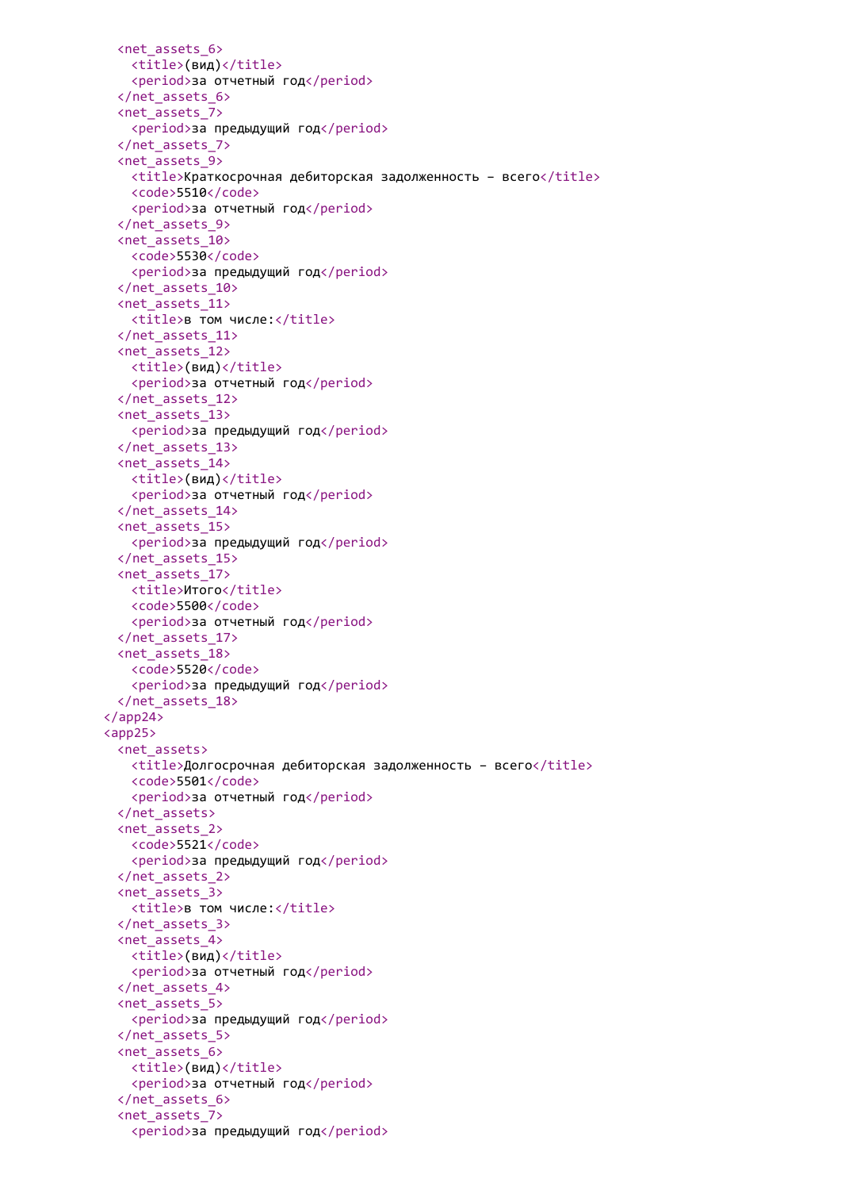```
<net_assets_6>
   <title>(вид)</title>
   <period>за отчетный год</period>
 </net_assets_6>
 <net_assets_7>
   <period>за предыдущий год</period>
 </net_assets_7>
 <net_assets_9>
   <title>Краткосрочная дебиторская задолженность - всего</title>
   <code>5510</code>
   <period>за отчетный год</period>
 </net_assets_9>
 <net_assets_10>
   <code>5530</code>
   <period>за предыдущий год</period>
 </net_assets_10>
 <net_assets_11>
   <title>в том числе:</title>
 </net_assets_11>
 <net_assets_12>
   <title>(вид)</title>
   <period>за отчетный год</period>
 </net_assets_12>
 <net_assets_13>
   <period>за предыдущий год</period>
 </net_assets_13>
 <net_assets_14>
   <title>(вид)</title>
   <period>за отчетный год</period>
 </net_assets_14>
 <net_assets_15>
   <period>за предыдущий год</period>
 </net_assets_15>
 <net_assets_17>
   <title>Итого</title>
   <code>5500</code>
   <period>за отчетный год</period>
 </net_assets_17>
 <net_assets_18>
   <code>5520</code>
   <period>за предыдущий год</period>
 </net_assets_18>
</app24>
<app25>
 <net_assets>
   <title>Долгосрочная дебиторская задолженность – всего</title>
   <code>5501</code>
   <period>за отчетный год</period>
 </net_assets>
 <net_assets_2>
   <code>5521</code>
   <period>за предыдущий год</period>
 </net_assets_2>
 <net_assets_3>
   <title>в том числе:</title>
 </net_assets_3>
 <net_assets_4>
   <title>(вид)</title>
   <period>за отчетный год</period>
 </net_assets_4>
 <net_assets_5>
   <period>за предыдущий год</period>
 </net_assets_5>
 <net_assets_6>
   <title>(вид)</title>
   <period>за отчетный год</period>
 </net_assets_6>
 <net_assets_7>
   <period>за предыдущий год</period>
```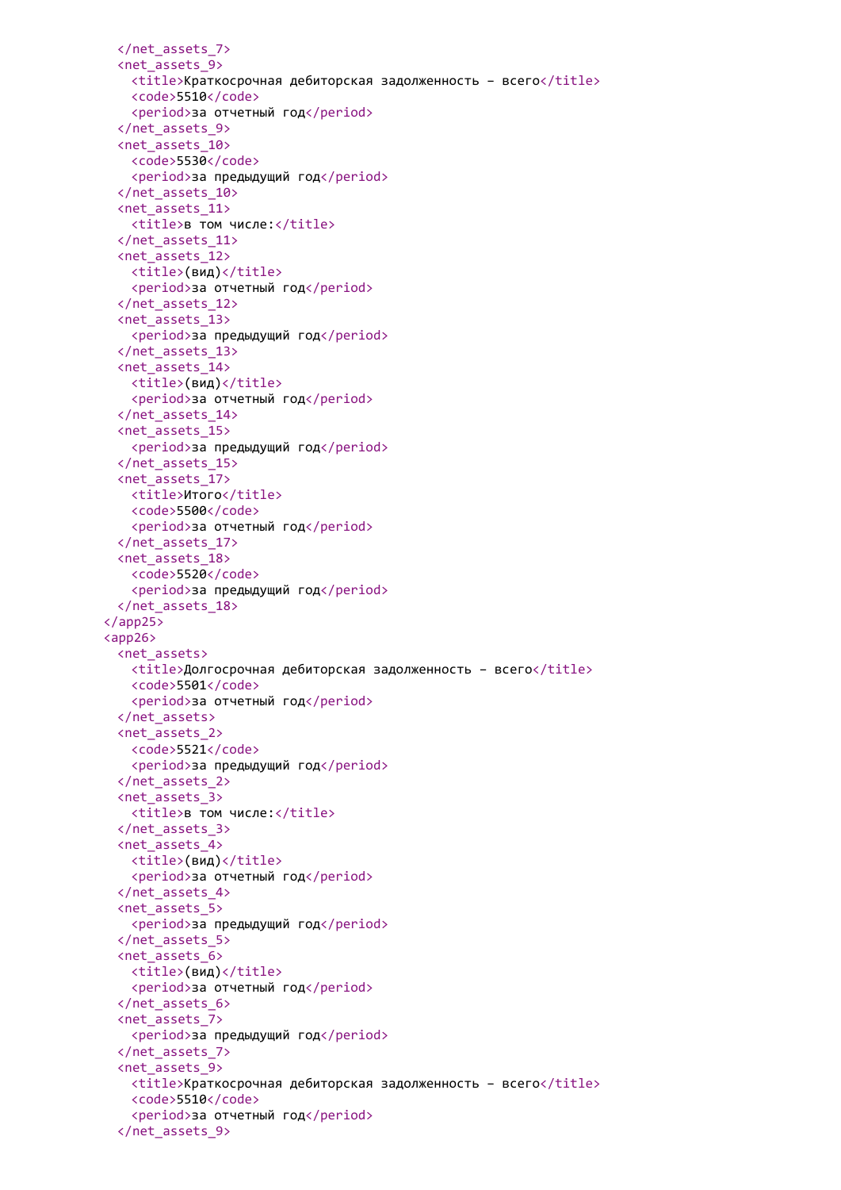```
</net_assets_7>
 <net_assets_9>
   <title>Краткосрочная дебиторская задолженность – всего</title>
   <code>5510</code>
   <period>за отчетный год</period>
 </net_assets_9>
 <net_assets_10>
   <code>5530</code>
   <period>за предыдущий год</period>
 </net_assets_10>
 <net_assets_11>
   <title>в том числе:</title>
 </net_assets_11>
 <net_assets_12>
   <title>(вид)</title>
   <period>за отчетный год</period>
 </net_assets_12>
 <net_assets_13>
   <period>за предыдущий год</period>
 </net_assets_13>
 <net_assets_14>
   <title>(вид)</title>
   <period>за отчетный год</period>
 </net_assets_14>
 <net_assets_15>
   <period>за предыдущий год</period>
 </net_assets_15>
 <net_assets_17>
   <title>Итого</title>
   <code>5500</code>
   <period>за отчетный год</period>
 </net_assets_17>
 <net_assets_18>
   <code>5520</code>
   <period>за предыдущий год</period>
 </net_assets_18>
</app25>
<app26>
 <net_assets>
   \langletitle>Долгосрочная дебиторская задолженность - всего\langletitle>
   <code>5501</code>
   <period>за отчетный год</period>
 </net_assets>
 <net_assets_2>
   <code>5521</code>
   <period>за предыдущий год</period>
 </net_assets_2>
 <net_assets_3>
   <title>в том числе:</title>
 </net_assets_3>
 <net_assets_4>
   <title>(вид)</title>
   <period>за отчетный год</period>
 </net_assets_4>
 <net_assets_5>
   <period>за предыдущий год</period>
 </net_assets_5>
 <net_assets_6>
   <title>(вид)</title>
   <period>за отчетный год</period>
 </net_assets_6>
 <net_assets_7>
   <period>за предыдущий год</period>
 </net_assets_7>
 <net_assets_9>
   <title>Краткосрочная дебиторская задолженность - всего</title>
   <code>5510</code>
   <period>за отчетный год</period>
 </net_assets_9>
```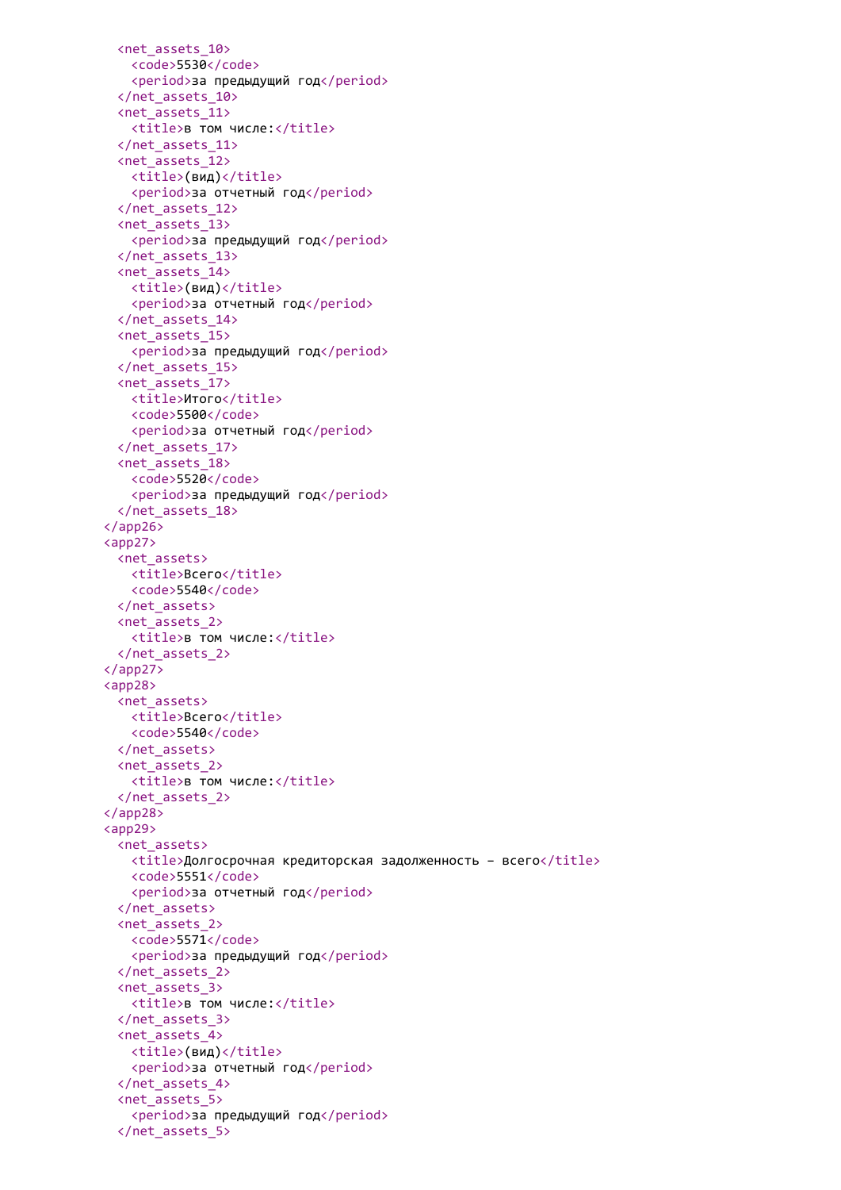```
<net_assets_10>
   <code>5530</code>
   <period>за предыдущий год</period>
 </net_assets_10>
 <net_assets_11>
   <title>в том числе:</title>
 </net_assets_11>
 <net_assets_12>
   <title>(вид)</title>
   <period>за отчетный год</period>
 </net_assets_12>
 <net_assets_13>
   <period>за предыдущий год</period>
 </net_assets_13>
 <net_assets_14>
   <title>(вид)</title>
   <period>за отчетный год</period>
 </net_assets_14>
 <net_assets_15>
   <period>за предыдущий год</period>
 </net_assets_15>
 <net_assets_17>
   <title>Итого</title>
   <code>5500</code>
   <period>за отчетный год</period>
 </net_assets_17>
 <net_assets_18>
   <code>5520</code>
   <period>за предыдущий год</period>
 </net_assets_18>
</app26>
<app27>
 <net assets>
   <title>Bcero</title>
   <code>5540</code>
 </net_assets>
 <net_assets_2>
   <title>в том числе:</title>
 </net_assets_2>
</app27>
<app28>
 <net_assets>
   <title>Bcero</title>
   <code>5540</code>
 </net_assets>
 <net_assets_2>
   <title>в том числе:</title>
 </net_assets_2>
</app28>
<app29>
 <net_assets>
   \langletitle>Долгосрочная кредиторская задолженность – всего\langletitle>
   <code>5551</code>
   <period>за отчетный год</period>
 </net_assets>
 <net_assets_2>
   <code>5571</code>
   <period>за предыдущий год</period>
 </net_assets_2>
 <net_assets_3>
   <title>в том числе:</title>
 </net_assets_3>
 <net_assets_4>
   <title>(вид)</title>
   <period>за отчетный год</period>
 </net_assets_4>
 <net_assets_5>
   <period>за предыдущий год</period>
 </net_assets_5>
```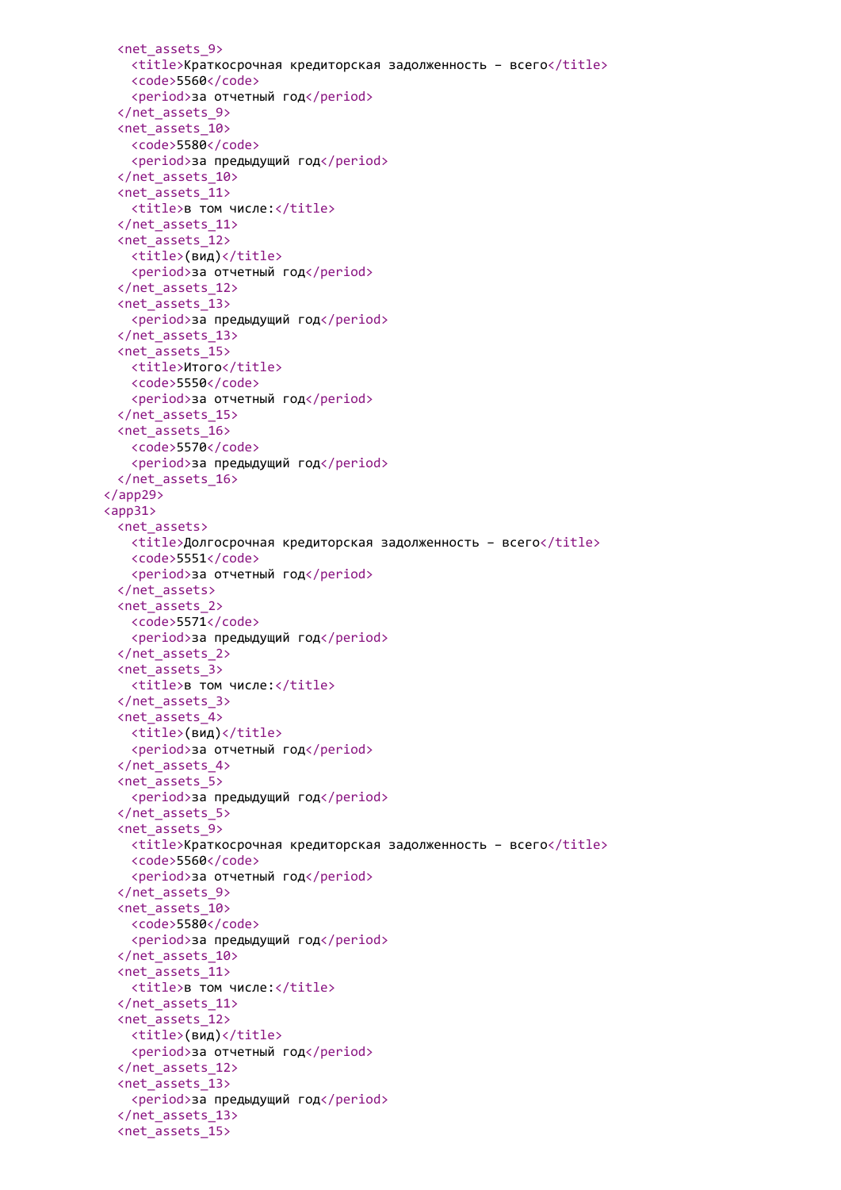```
<net_assets_9>
   <title>Краткосрочная кредиторская задолженность – всего</title>
   <code>5560</code>
   <period>за отчетный год</period>
 </net_assets_9>
 <net_assets_10>
   <code>5580</code>
   <period>за предыдущий год</period>
 </net_assets_10>
 <net_assets_11>
   <title>в том числе:</title>
 </net_assets_11>
 <net_assets_12>
   <title>(вид)</title>
   <period>за отчетный год</period>
 </net_assets_12>
 <net_assets_13>
   <period>за предыдущий год</period>
 </net_assets_13>
 <net_assets_15>
   <title>Итого</title>
   <code>5550</code>
   <period>за отчетный год</period>
 </net_assets_15>
 <net_assets_16>
   <code>5570</code>
   <period>за предыдущий год</period>
 </net_assets_16>
</app29>
<app31>
 <net assets>
   <title>Долгосрочная кредиторская задолженность – всего</title>
   <code>5551</code>
   <period>за отчетный год</period>
 </net_assets>
 <net_assets_2>
   <code>5571</code>
   <period>за предыдущий год</period>
 </net_assets_2>
 <net_assets_3>
   <title>в том числе:</title>
 </net_assets_3>
 <net_assets_4>
   <title>(вид)</title>
   <period>за отчетный год</period>
 </net_assets_4>
 <net_assets_5>
   <period>за предыдущий год</period>
 </net_assets_5>
 <net_assets_9>
   <title>Краткосрочная кредиторская задолженность – всего</title>
   <code>5560</code>
   <period>за отчетный год</period>
 </net_assets_9>
 <net_assets_10>
   <code>5580</code>
   <period>за предыдущий год</period>
 </net_assets_10>
 <net_assets_11>
   <title>в том числе:</title>
 </net_assets_11>
 <net_assets_12>
   <title>(вид)</title>
   <period>за отчетный год</period>
 </net_assets_12>
 <net_assets_13>
   <period>за предыдущий год</period>
 </net_assets_13>
 <net_assets_15>
```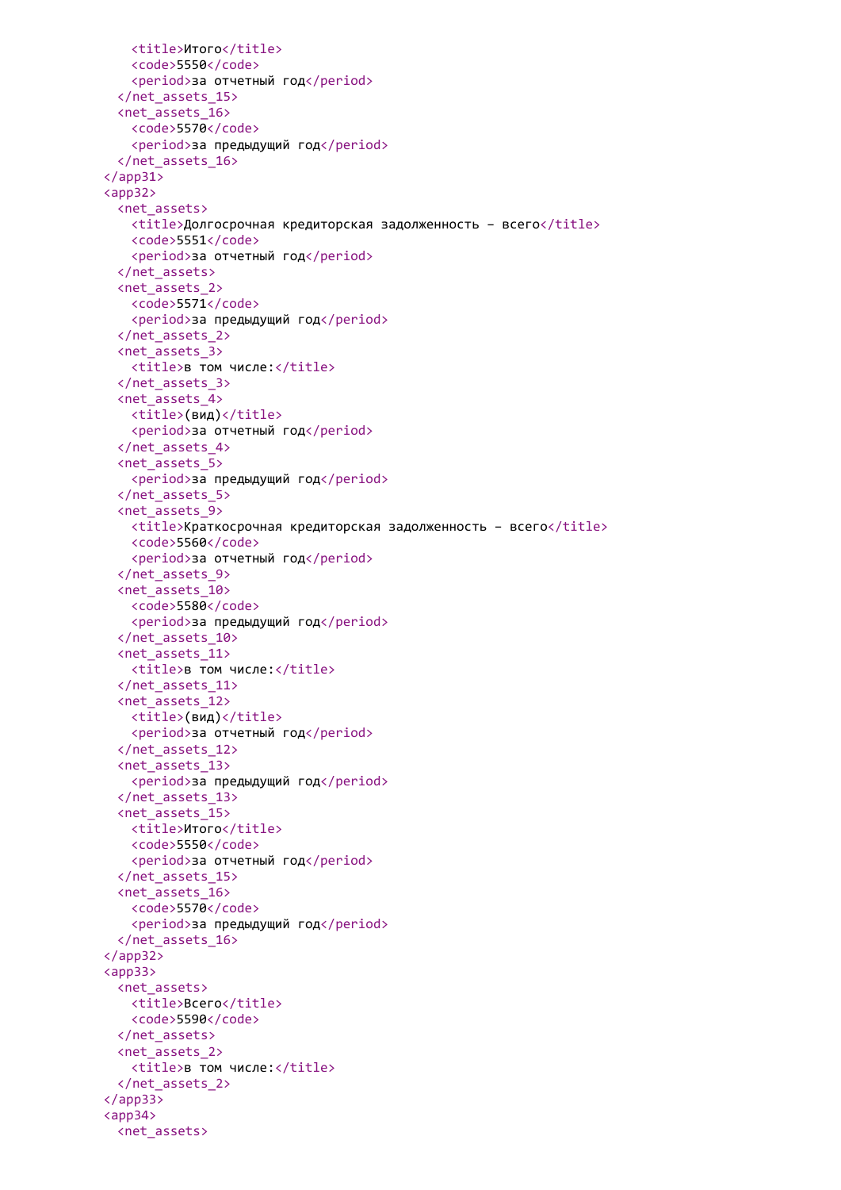```
<title>Итого</title>
   <code>5550</code>
   <period>за отчетный год</period>
 </net_assets_15>
 <net_assets_16>
   <code>5570</code>
   <period>за предыдущий год</period>
 </net_assets_16>
</app31>
<app32>
 <net_assets>
   <title>Долгосрочная кредиторская задолженность - всего</title>
   <code>5551</code>
   <period>за отчетный год</period>
 </net_assets>
 <net_assets_2>
   <code>5571</code>
   <period>за предыдущий год</period>
 </net_assets_2>
 <net_assets_3>
   <title>в том числе:</title>
 </net_assets_3>
 <net_assets_4>
   <title>(вид)</title>
   <period>за отчетный год</period>
 </net_assets_4>
 <net_assets_5>
   <period>за предыдущий год</period>
 </net_assets_5>
 <net_assets_9>
   <title>Краткосрочная кредиторская задолженность – всего</title>
   <code>5560</code>
   <period>за отчетный год</period>
 </net_assets_9>
 <net_assets_10>
   <code>5580</code>
   <period>за предыдущий год</period>
 </net_assets_10>
 <net_assets_11>
   <title>в том числе:</title>
 </net_assets_11>
 <net_assets_12>
   <title>(вид)</title>
   <period>за отчетный год</period>
 </net_assets_12>
 <net_assets_13>
   <period>за предыдущий год</period>
 </net_assets_13>
 <net_assets_15>
   <title>Итого</title>
   <code>5550</code>
   <period>за отчетный год</period>
 </net_assets_15>
 <net_assets_16>
   <code>5570</code>
   <period>за предыдущий год</period>
 </net_assets_16>
</app32>
<app33>
 <net_assets>
   <title>Всего</title>
   <code>5590</code>
 </net_assets>
 <net_assets_2>
   <title>в том числе:</title>
 </net_assets_2>
</app33>
<app34>
 <net_assets>
```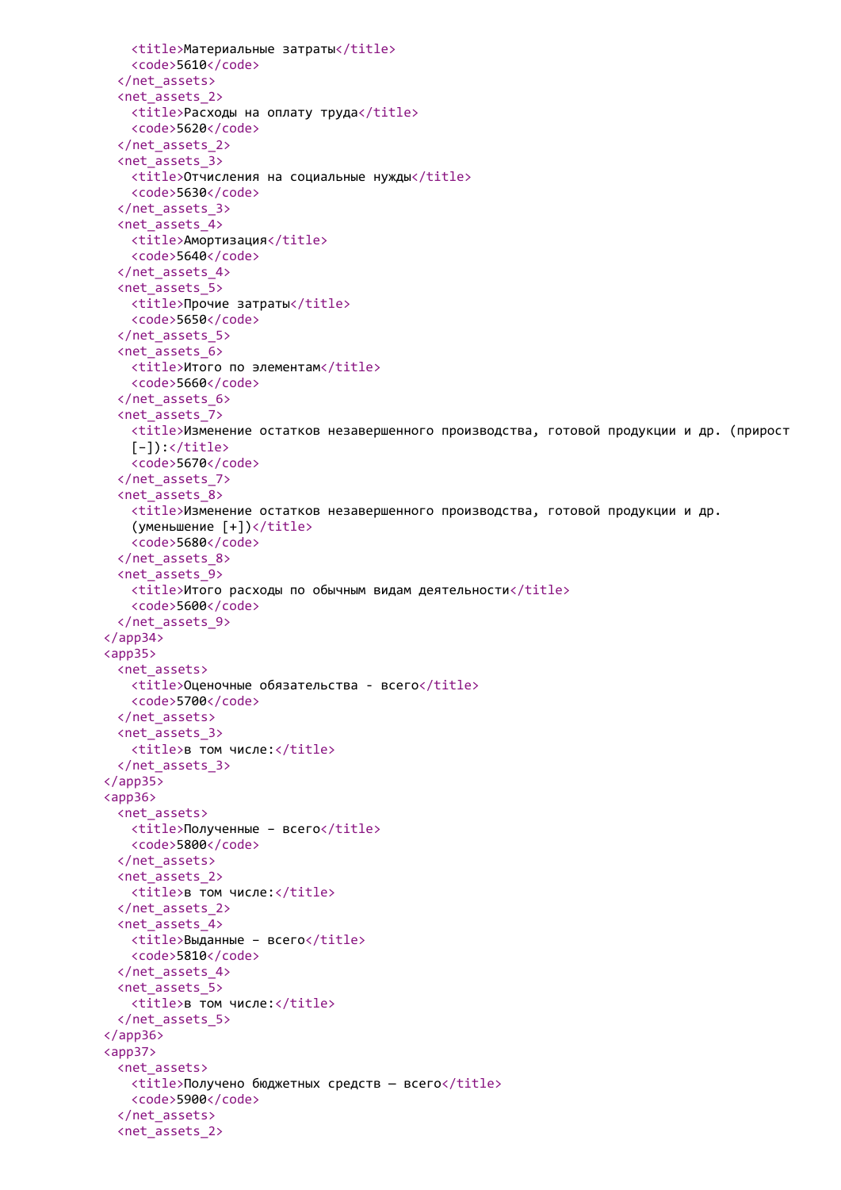```
<title>Материальные затраты</title>
   <code>5610</code>
 </net_assets>
 <net_assets_2>
   <title>Расходы на оплату труда</title>
   <code>5620</code>
 </net_assets_2>
 <net_assets_3>
   <title>Отчисления на социальные нужды</title>
   <code>5630</code>
 </net_assets_3>
 <net_assets_4>
   <title>Амортизация</title>
   <code>5640</code>
 </net_assets_4>
 <net_assets_5>
   <title>Прочие затраты</title>
   <code>5650</code>
 </net_assets_5>
 <net_assets_6>
   <title>Итого по элементам</title>
   <code>5660</code>
 </net_assets_6>
 <net_assets_7>
   <title>Изменение остатков незавершенного производства, готовой продукции и др. (прирост
   [-]):\langle/title>
   <code>5670</code>
 </net_assets_7>
 <net_assets_8>
   <title>Изменение остатков незавершенного производства, готовой продукции и др.
   (yменьшение [+]) </title>
   <code>5680</code>
 </net_assets_8>
 <net_assets_9>
   <title>Итого расходы по обычным видам деятельности</title>
   <code>5600</code>
 </net_assets_9>
</app34>
<app35>
 <net_assets>
   <title>Оценочные обязательства - всего</title>
   <code>5700</code>
 </net_assets>
 <net_assets_3>
   <title>в том числе:</title>
 </net_assets_3>
</app35>
<app36>
 <net_assets>
   <title>Полученные - всего</title>
   <code>5800</code>
 </net_assets>
 <net_assets_2>
   <title>в том числе:</title>
 </net_assets_2>
 <net_assets_4>
   <title>Выданные – всего</title>
   <code>5810</code>
 </net_assets_4>
 <net_assets_5>
   <title>в том числе:</title>
 </net_assets_5>
</app36>
<app37>
 <net_assets>
   <title>Получено бюджетных средств - всего</title>
   <code>5900</code>
 </net_assets>
 <net_assets_2>
```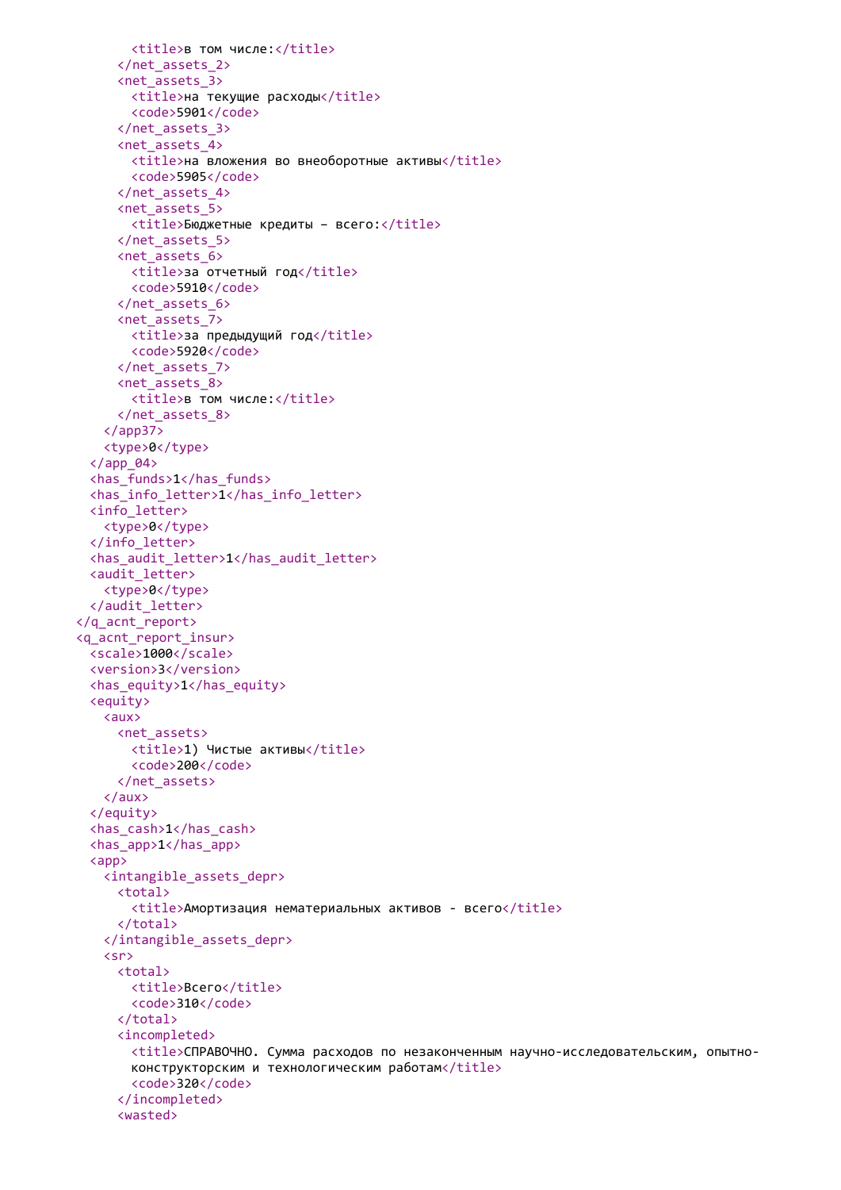```
<title>в том числе:</title>
     </net_assets_2>
     <net_assets_3>
       <title>на текущие расходы</title>
       <code>5901</code>
     </net_assets_3>
     <net_assets_4>
       <title>на вложения во внеоборотные активы</title>
       <code>5905</code>
     </net_assets_4>
     <net_assets_5>
       <title>Бюджетные кредиты - всего:</title>
     </net_assets_5>
     <net_assets_6>
       <title>за отчетный год</title>
       <code>5910</code>
     </net_assets_6>
     <net_assets_7>
       <title>за предыдущий год</title>
       <code>5920</code>
     </net_assets_7>
     <net_assets_8>
       <title>в том числе:</title>
     </net_assets_8>
   </app37>
   <type>0</type>
  \langle app 04\rangle<has_funds>1</has_funds>
  <has_info_letter>1</has_info_letter>
  <info_letter>
   <type>0</type>
  </info_letter>
  <has_audit_letter>1</has_audit_letter>
  <audit_letter>
   <type>0</type>
 </audit_letter>
</q_acnt_report>
<q_acnt_report_insur>
 <scale>1000</scale>
 <version>3</version>
 <has_equity>1</has_equity>
  <equity>
   <aux>
     <net_assets>
       <title>1) Чистые активы</title>
       <code>200</code>
     </net_assets>
   </aux>
  </equity>
  <has_cash>1</has_cash>
  <has_app>1</has_app>
  <app>
   <intangible_assets_depr>
     <total>
       <title>Амортизация нематериальных активов - всего</title>
     </total>
   </intangible_assets_depr>
   \langlesr>
     <total>
       <title>Всего</title>
       <code>310</code>
     </total>
     <incompleted>
       <title>СПРАВОЧНО. Сумма расходов по незаконченным научно-исследовательским, опытно-
       конструкторским и технологическим работам</title>
       <code>320</code>
     </incompleted>
     <wasted>
```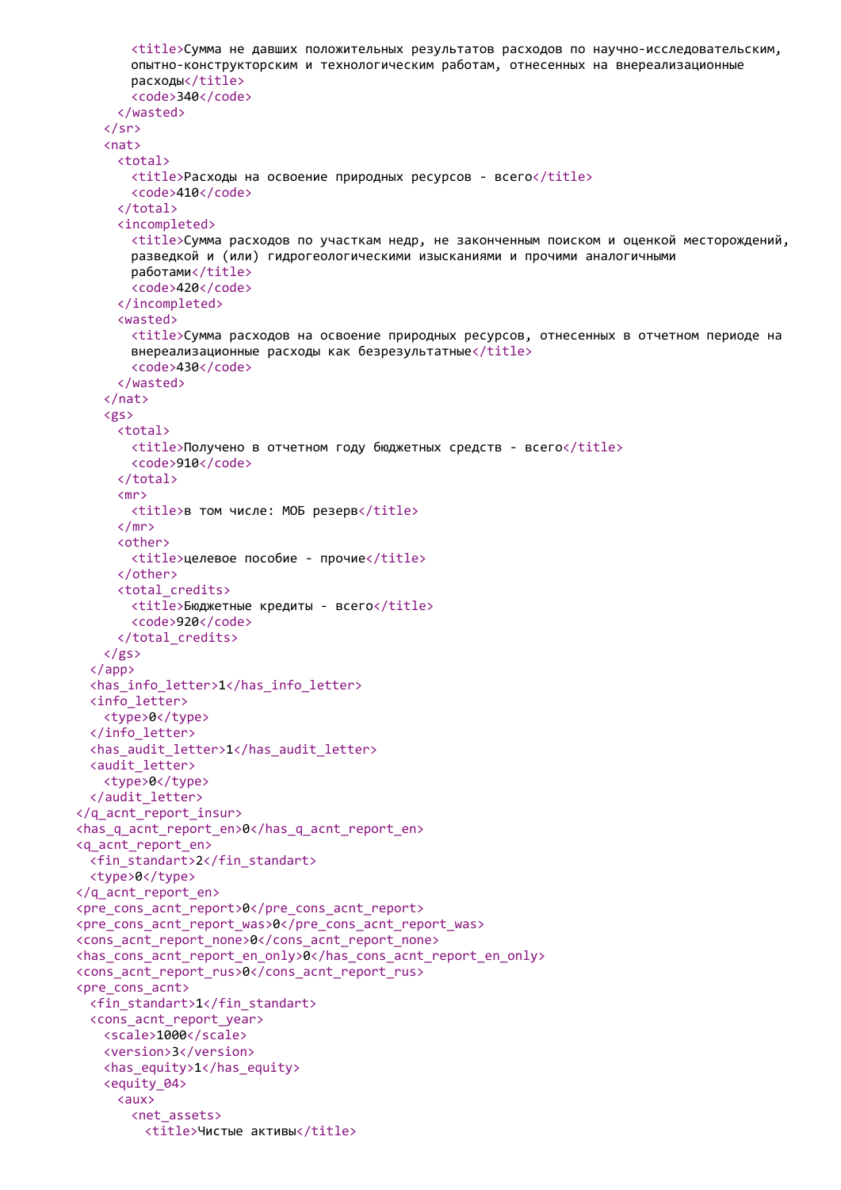```
<title>Сумма не давших положительных результатов расходов по научно-исследовательским,
       опытно-конструкторским и технологическим работам, отнесенных на внереализационные
       расходы</title>
       <code>340</code>
     </wasted>
   \langle/sr\rangle<nat>
     <total>
       <title>Расходы на освоение природных ресурсов - всего</title>
       <code>410</code>
     </total>
     <incompleted>
       <title>Сумма расходов по участкам недр, не законченным поиском и оценкой месторождений,
       разведкой и (или) гидрогеологическими изысканиями и прочими аналогичными
       работами</title>
       <code>420</code>
     </incompleted>
     <wasted>
       <title>Сумма расходов на освоение природных ресурсов, отнесенных в отчетном периоде на
       внереализационные расходы как безрезультатные</title>
       <code>430</code>
     </wasted>
   </nat>
   <gs>
     <total>
       <title>Получено в отчетном году бюджетных средств - всего</title>
       <code>910</code>
     </total>
     <mr>
       <title>в том числе: МОБ резерв</title>
     \langle/mr\rangle<other>
       <title>целевое пособие - прочие</title>
     </other>
     <total_credits>
       <title>Бюджетные кредиты - всего</title>
       <code>920</code>
     </total_credits>
   \langle/gs>
  </app>
  <has info letter>1</has info letter>
  <info_letter>
   <type>0</type>
  </info_letter>
  <has_audit_letter>1</has_audit_letter>
  <audit_letter>
   <type>0</type>
 </audit_letter>
</q_acnt_report_insur>
<has_q_acnt_report_en>0</has_q_acnt_report_en>
<q_acnt_report_en>
 <fin_standart>2</fin_standart>
  <type>0</type>
</q_acnt_report_en>
<pre_cons_acnt_report>0</pre_cons_acnt_report>
<pre_cons_acnt_report_was>0</pre_cons_acnt_report_was>
<cons_acnt_report_none>0</cons_acnt_report_none>
<has_cons_acnt_report_en_only>0</has_cons_acnt_report_en_only>
<cons_acnt_report_rus>0</cons_acnt_report_rus>
<pre_cons_acnt>
 <fin_standart>1</fin_standart>
  <cons_acnt_report_year>
   <scale>1000</scale>
   <version>3</version>
   <has_equity>1</has_equity>
   <equity_04>
     <aux>
       <net_assets>
         <title>Чистые активы</title>
```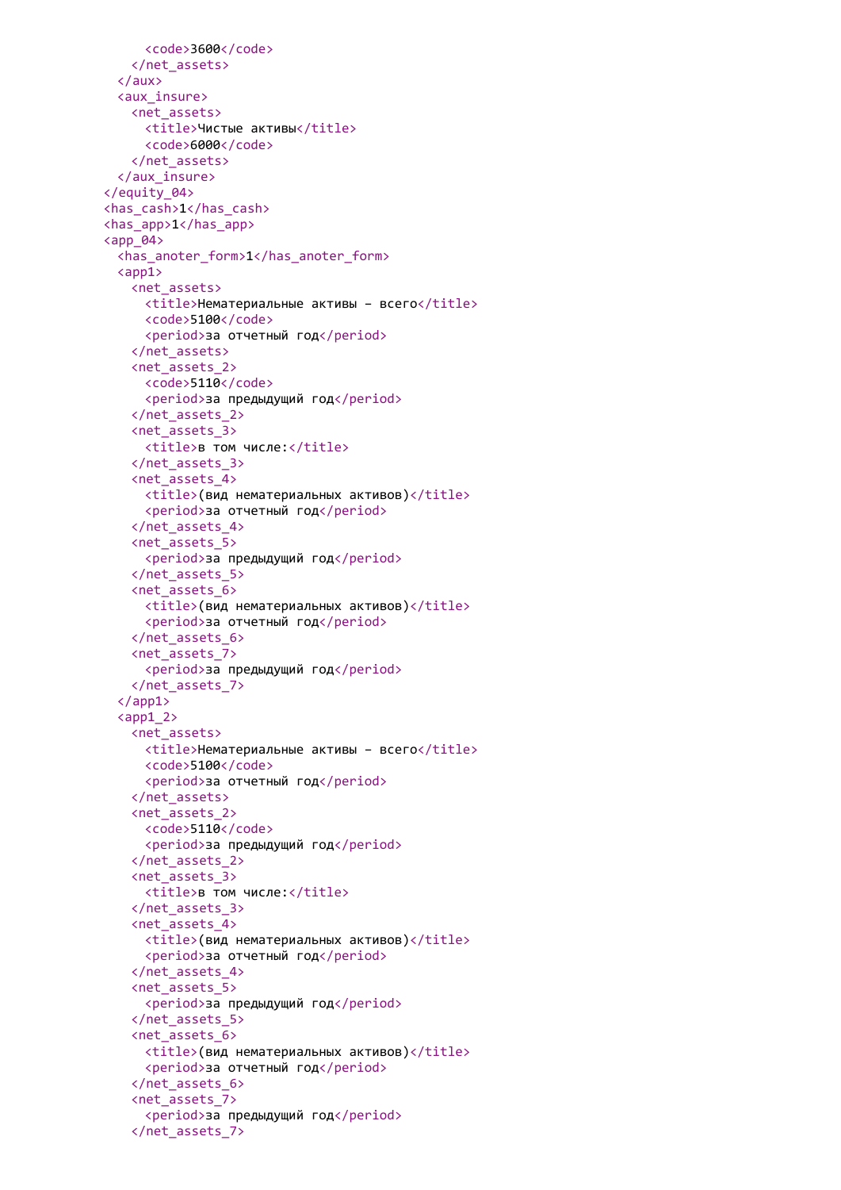```
<code>3600</code>
   </net_assets>
  </aux>
 <aux_insure>
   <net_assets>
     <title>Чистые активы</title>
     <code>6000</code>
   </net_assets>
  </aux_insure>
</equity_04>
<has_cash>1</has_cash>
<has_app>1</has_app>
<app_04>
 <has_anoter_form>1</has_anoter_form>
 \langle app1 \rangle<net_assets>
     <title>Нематериальные активы – всего</title>
     <code>5100</code>
     <period>за отчетный год</period>
   </net_assets>
   <net_assets_2>
     <code>5110</code>
     <period>за предыдущий год</period>
   </net_assets_2>
   <net_assets_3>
     <title>в том числе:</title>
   </net_assets_3>
   <net_assets_4>
     <title>(вид нематериальных активов)</title>
     <period>за отчетный год</period>
   </net_assets_4>
   <net_assets_5>
     <period>за предыдущий год</period>
   </net_assets_5>
   <net_assets_6>
     <title>(вид нематериальных активов)</title>
     <period>за отчетный год</period>
   </net_assets_6>
   <net_assets_7>
     <period>за предыдущий год</period>
   </net_assets_7>
  </app1>
  \langle app1 \rangle 2>
   <net_assets>
     <title>Нематериальные активы - всего</title>
     <code>5100</code>
     <period>за отчетный год</period>
   </net_assets>
   <net_assets_2>
     <code>5110</code>
     <period>за предыдущий год</period>
   </net_assets_2>
   <net_assets_3>
     <title>в том числе:</title>
   </net_assets_3>
   <net_assets_4>
     <title>(вид нематериальных активов)</title>
     <period>за отчетный год</period>
   </net_assets_4>
   <net_assets_5>
     <period>за предыдущий год</period>
   </net_assets_5>
   <net_assets_6>
     <title>(вид нематериальных активов)</title>
     <period>за отчетный год</period>
   </net_assets_6>
   <net_assets_7>
     <period>за предыдущий год</period>
   </net_assets_7>
```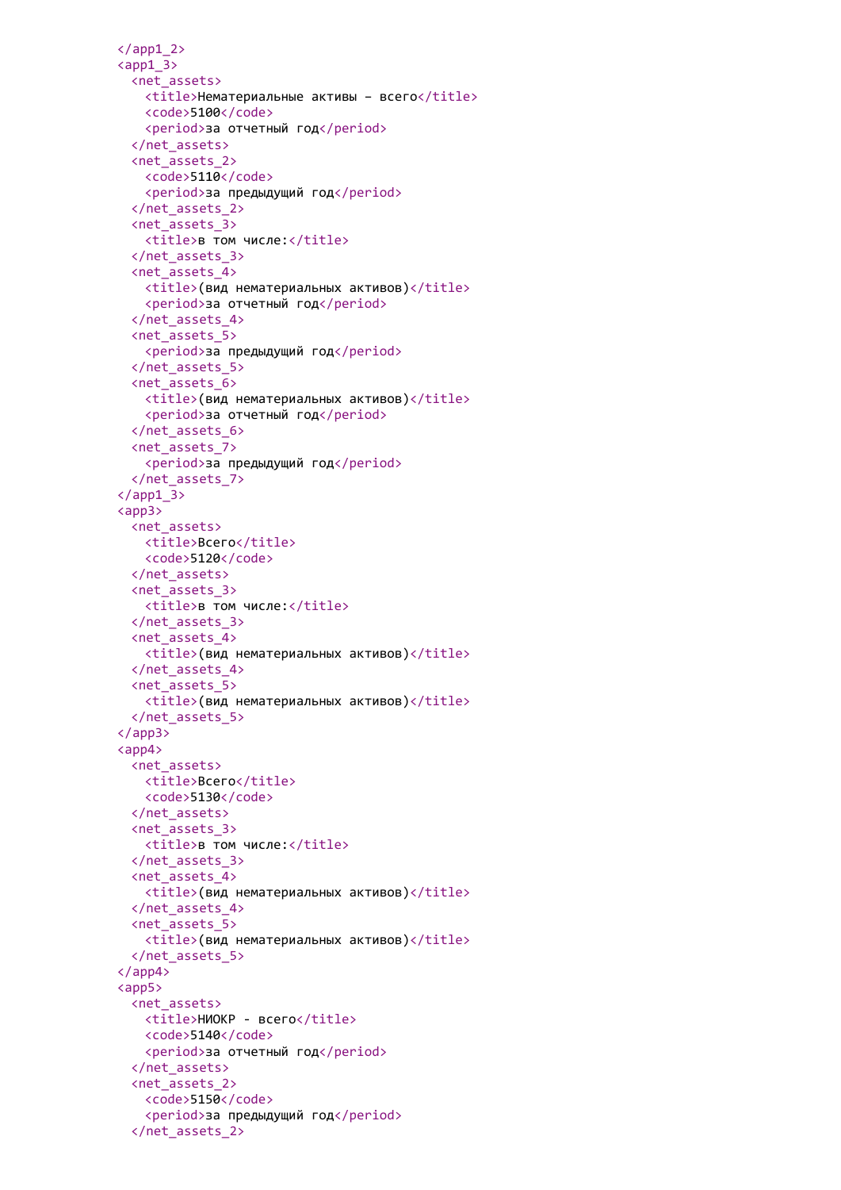```
\langle app1_2>
\langle app1_3 \rangle<net_assets>
   <title>Нематериальные активы – всего</title>
   <code>5100</code>
   <period>за отчетный год</period>
 </net_assets>
 <net_assets_2>
   <code>5110</code>
   <period>за предыдущий год</period>
 </net_assets_2>
 <net_assets_3>
   <title>в том числе:</title>
 </net_assets_3>
 <net_assets_4>
   <title>(вид нематериальных активов)</title>
   <period>за отчетный год</period>
 </net_assets_4>
 <net_assets_5>
   <period>за предыдущий год</period>
 </net_assets_5>
 <net_assets_6>
   <title>(вид нематериальных активов)</title>
   <period>за отчетный год</period>
 </net_assets_6>
 <net_assets_7>
   <period>за предыдущий год</period>
 </net_assets_7>
\langle app1 3><app3>
 <net_assets>
   <title>Всего</title>
   <code>5120</code>
 </net_assets>
 <net_assets_3>
   <title>в том числе:</title>
 </net_assets_3>
 <net_assets_4>
   <title>(вид нематериальных активов)</title>
 </net_assets_4>
 <net_assets_5>
   <title>(вид нематериальных активов)</title>
 </net_assets_5>
</app3>
<app4>
 <net_assets>
   <title>Bcero</title>
   <code>5130</code>
 </net_assets>
 <net_assets_3>
   <title>в том числе:</title>
 </net_assets_3>
 <net_assets_4>
   <title>(вид нематериальных активов)</title>
 </net_assets_4>
 <net_assets_5>
   <title>(вид нематериальных активов)</title>
 </net_assets_5>
</app4>
<app5>
 <net_assets>
   <title>НИОКР - всего</title>
   <code>5140</code>
   <period>за отчетный год</period>
 </net_assets>
 <net_assets_2>
   <code>5150</code>
   <period>за предыдущий год</period>
 </net_assets_2>
```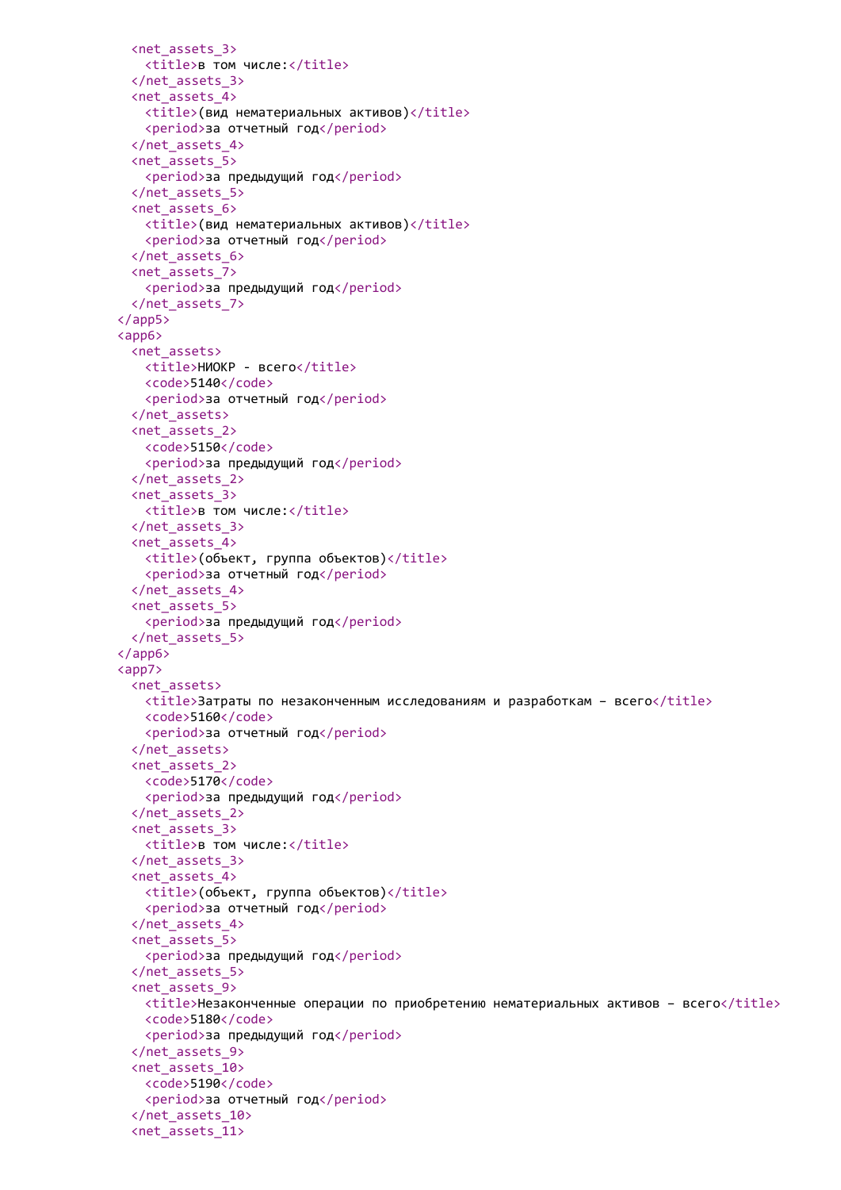```
<net_assets_3>
   <title>в том числе:</title>
 </net_assets_3>
 <net_assets_4>
   <title>(вид нематериальных активов)</title>
   <period>за отчетный год</period>
 </net_assets_4>
 <net_assets_5>
   <period>за предыдущий год</period>
 </net_assets_5>
 <net_assets_6>
   <title>(вид нематериальных активов)</title>
   <period>за отчетный год</period>
 </net_assets_6>
 <net_assets_7>
   <period>за предыдущий год</period>
 </net_assets_7>
</app5>
<app6>
 <net_assets>
   <title>НИОКР - всего</title>
   <code>5140</code>
   <period>за отчетный год</period>
 </net_assets>
 <net_assets_2>
   <code>5150</code>
   <period>за предыдущий год</period>
 </net_assets_2>
 <net_assets_3>
   <title>в том числе:</title>
 </net_assets_3>
 <net_assets_4>
   <title>(объект, группа объектов)</title>
   <period>за отчетный год</period>
 </net_assets_4>
 <net_assets_5>
   <period>за предыдущий год</period>
 </net_assets_5>
</app6>
<app7>
 <net_assets>
   <title>Затраты по незаконченным исследованиям и разработкам – всего</title>
   <code>5160</code>
   <period>за отчетный год</period>
 </net_assets>
 <net_assets_2>
   <code>5170</code>
   <period>за предыдущий год</period>
 </net_assets_2>
 <net_assets_3>
   <title>в том числе:</title>
 </net_assets_3>
 <net_assets_4>
   <title>(объект, группа объектов)</title>
   <period>за отчетный год</period>
 </net_assets_4>
 <net_assets_5>
   <period>за предыдущий год</period>
 </net_assets_5>
 <net_assets_9>
   \langletitle>Незаконченные операции по приобретению нематериальных активов – всего\langle/title>
   <code>5180</code>
   <period>за предыдущий год</period>
 </net_assets_9>
 <net_assets_10>
   <code>5190</code>
   <period>за отчетный год</period>
 </net_assets_10>
 <net_assets_11>
```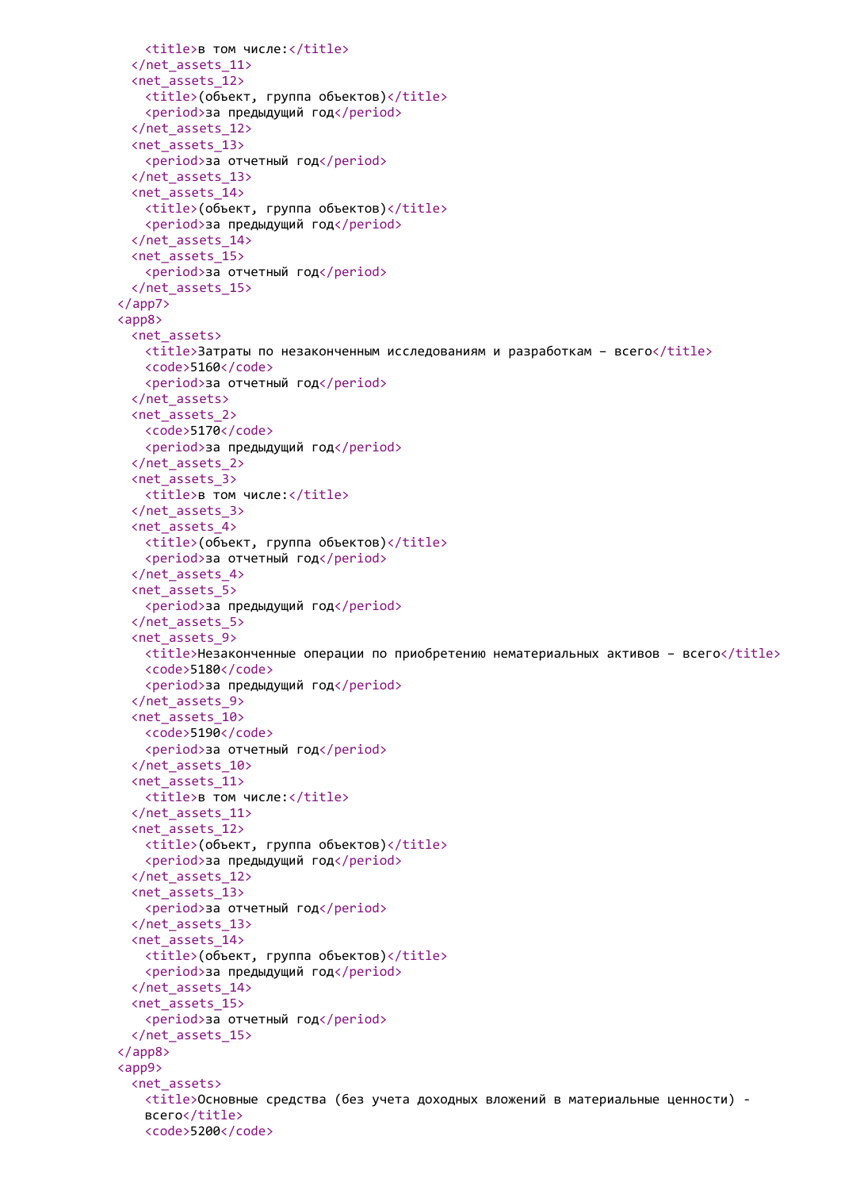```
<title>в том числе:</title>
 </net_assets_11>
 <net_assets_12>
   <title>(объект, группа объектов)</title>
   <period>за предыдущий год</period>
 </net_assets_12>
 <net_assets_13>
   <period>за отчетный год</period>
 </net_assets_13>
 <net_assets_14>
   <title>(объект, группа объектов)</title>
   <period>за предыдущий год</period>
 </net_assets_14>
 <net_assets_15>
   <period>за отчетный год</period>
 </net_assets_15>
</app7>
<app8>
 <net_assets>
   <title>Затраты по незаконченным исследованиям и разработкам – всего</title>
   <code>5160</code>
   <period>за отчетный год</period>
 </net_assets>
 <net_assets_2>
   <code>5170</code>
   <period>за предыдущий год</period>
 </net_assets_2>
 <net_assets_3>
   <title>в том числе:</title>
 </net_assets_3>
 <net_assets_4>
   <title>(объект, группа объектов)</title>
   <period>за отчетный год</period>
 </net_assets_4>
 <net_assets_5>
   <period>за предыдущий год</period>
 </net_assets_5>
 <net_assets_9>
   <title>Незаконченные операции по приобретению нематериальных активов – всего</title>
   <code>5180</code>
   <period>за предыдущий год</period>
 </net_assets_9>
 <net_assets_10>
   <code>5190</code>
   <period>за отчетный год</period>
 </net_assets_10>
 <net_assets_11>
   <title>в том числе:</title>
 </net_assets_11>
 <net_assets_12>
   <title>(объект, группа объектов)</title>
   <period>за предыдущий год</period>
 </net_assets_12>
 <net_assets_13>
   <period>за отчетный год</period>
 </net_assets_13>
 <net_assets_14>
   <title>(объект, группа объектов)</title>
   <period>за предыдущий год</period>
 </net_assets_14>
 <net_assets_15>
   <period>за отчетный год</period>
 </net_assets_15>
</app8>
<app9>
 <net_assets>
   <title>Основные средства (без учета доходных вложений в материальные ценности) -
   всего</title>
   <code>5200</code>
```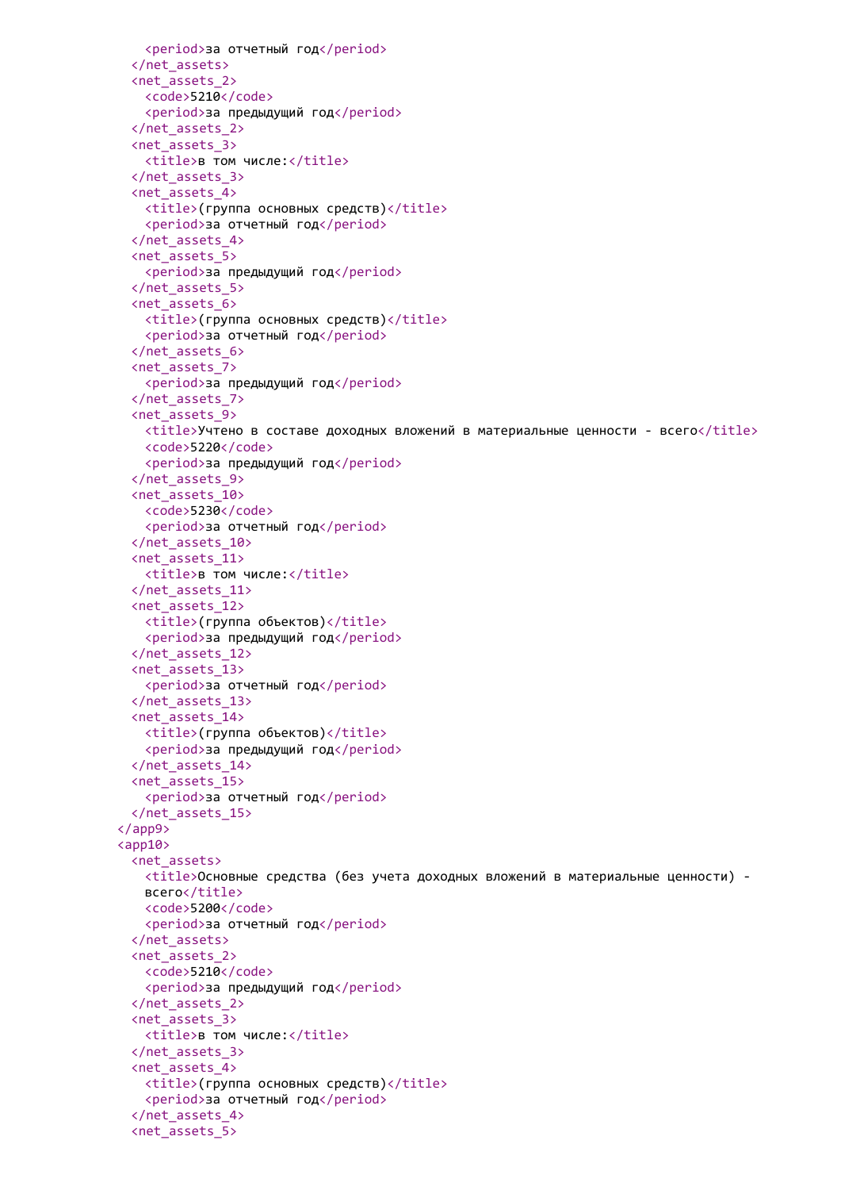```
<period>за отчетный год</period>
 </net_assets>
 <net_assets_2>
   <code>5210</code>
   <period>за предыдущий год</period>
 </net_assets_2>
 <net_assets_3>
   <title>в том числе:</title>
 </net_assets_3>
 <net_assets_4>
   <title>(группа основных средств)</title>
   <period>за отчетный год</period>
 </net_assets_4>
 <net_assets_5>
   <period>за предыдущий год</period>
 </net_assets_5>
 <net_assets_6>
   <title>(группа основных средств)</title>
   <period>за отчетный год</period>
 </net_assets_6>
 <net_assets_7>
   <period>за предыдущий год</period>
 </net_assets_7>
 <net_assets_9>
   <title>Учтено в составе доходных вложений в материальные ценности - всего</title>
   <code>5220</code>
   <period>за предыдущий год</period>
 </net_assets_9>
 <net_assets_10>
   <code>5230</code>
   <period>за отчетный год</period>
 </net_assets_10>
 <net_assets_11>
   <title>в том числе:</title>
 </net_assets_11>
 <net_assets_12>
   <title>(группа объектов)</title>
   <period>за предыдущий год</period>
 </net_assets_12>
 <net_assets_13>
   <period>за отчетный год</period>
 </net_assets_13>
 <net_assets_14>
   <title>(группа объектов)</title>
   <period>за предыдущий год</period>
 </net_assets_14>
 <net_assets_15>
   <period>за отчетный год</period>
 </net_assets_15>
</app9>
\langleapp10\rangle<net_assets>
   <title>Основные средства (без учета доходных вложений в материальные ценности) -
   всего</title>
   <code>5200</code>
   <period>за отчетный год</period>
 </net_assets>
 <net_assets_2>
   <code>5210</code>
   <period>за предыдущий год</period>
 </net_assets_2>
 <net_assets_3>
   <title>в том числе:</title>
 </net_assets_3>
 <net_assets_4>
   <title>(группа основных средств)</title>
   <period>за отчетный год</period>
 </net_assets_4>
 <net_assets_5>
```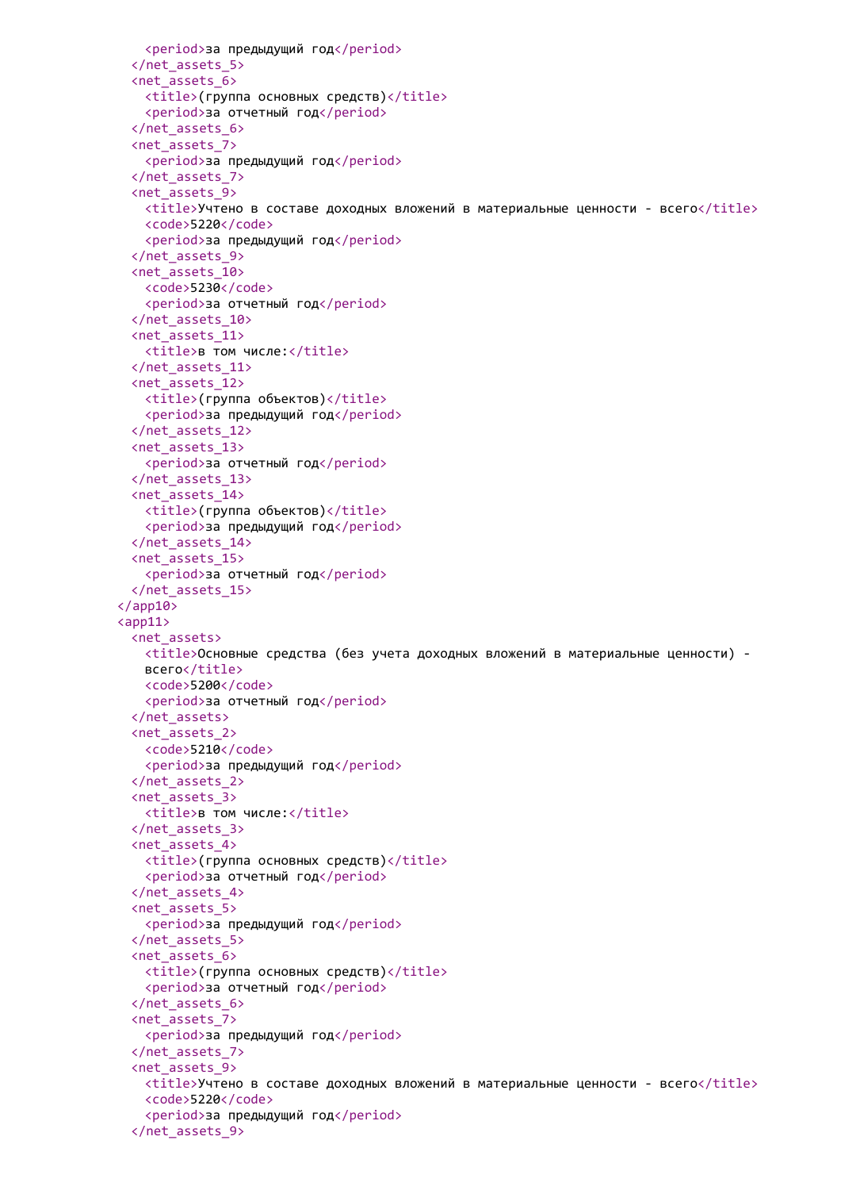```
<period>за предыдущий год</period>
 </net_assets_5>
 <net_assets_6>
   <title>(группа основных средств)</title>
   <period>за отчетный год</period>
 </net_assets_6>
 <net_assets_7>
   <period>за предыдущий год</period>
 </net_assets_7>
 <net_assets_9>
   <title>Учтено в составе доходных вложений в материальные ценности - всего</title>
   <code>5220</code>
   <period>за предыдущий год</period>
 </net_assets_9>
 <net_assets_10>
   <code>5230</code>
   <period>за отчетный год</period>
 </net_assets_10>
 <net_assets_11>
   <title>в том числе:</title>
 </net_assets_11>
 <net_assets_12>
   <title>(группа объектов)</title>
   <period>за предыдущий год</period>
 </net_assets_12>
 <net_assets_13>
   <period>за отчетный год</period>
 </net_assets_13>
 <net_assets_14>
   <title>(группа объектов)</title>
   <period>за предыдущий год</period>
 </net_assets_14>
 <net_assets_15>
   <period>за отчетный год</period>
 </net_assets_15>
\langle / app10>
<app11>
 <net_assets>
   <title>Основные средства (без учета доходных вложений в материальные ценности) -
   всего</title>
   <code>5200</code>
   <period>за отчетный год</period>
 </net_assets>
 <net_assets_2>
   <code>5210</code>
   <period>за предыдущий год</period>
 </net_assets_2>
 <net_assets_3>
   <title>в том числе:</title>
 </net_assets_3>
 <net_assets_4>
   <title>(группа основных средств)</title>
   <period>за отчетный год</period>
 </net_assets_4>
 <net_assets_5>
   <period>за предыдущий год</period>
 </net_assets_5>
 <net_assets_6>
   <title>(группа основных средств)</title>
   <period>за отчетный год</period>
 </net_assets_6>
 <net_assets_7>
   <period>за предыдущий год</period>
 </net_assets_7>
 <net_assets_9>
   <title>Учтено в составе доходных вложений в материальные ценности - всего</title>
   <code>5220</code>
   <period>за предыдущий год</period>
 </net_assets_9>
```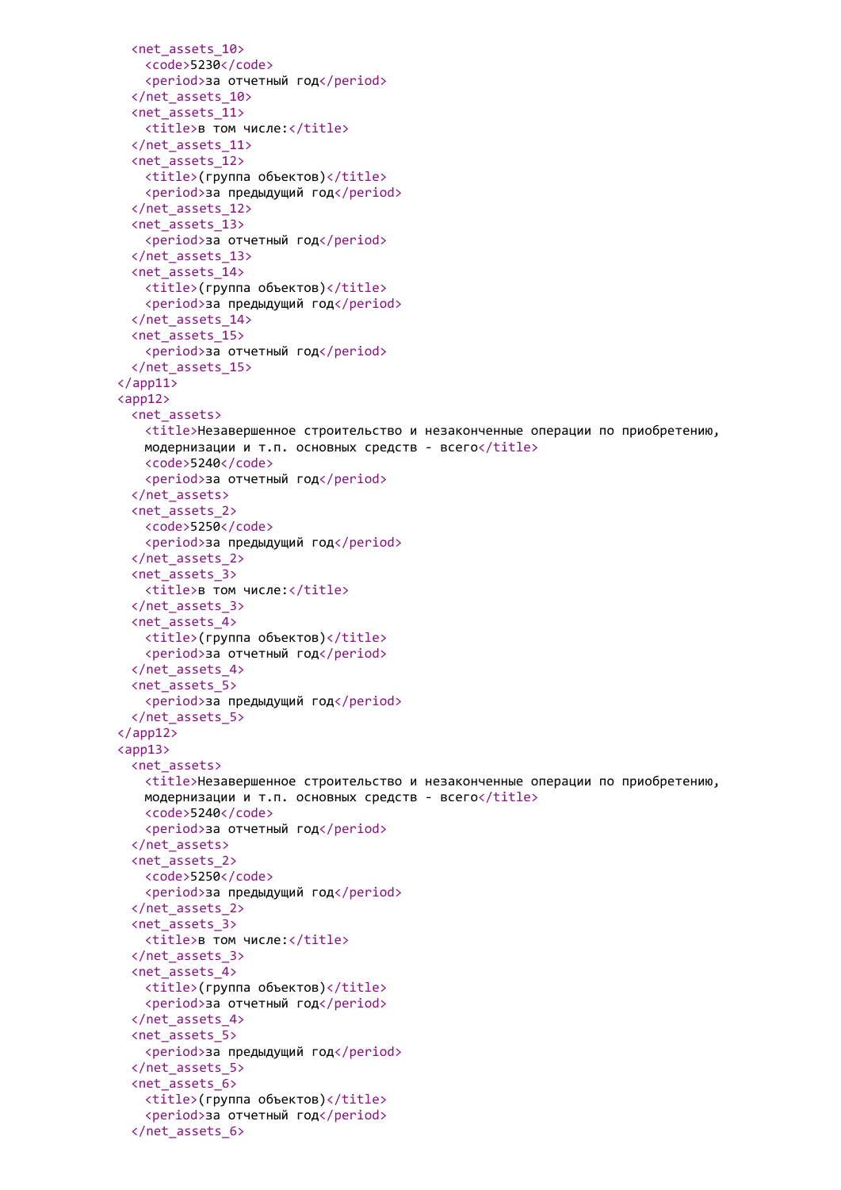```
<net_assets_10>
   <code>5230</code>
   <period>за отчетный год</period>
 </net_assets_10>
 <net_assets_11>
   <title>в том числе:</title>
 </net_assets_11>
 <net_assets_12>
   <title>(группа объектов)</title>
   <period>за предыдущий год</period>
 </net_assets_12>
 <net_assets_13>
   <period>за отчетный год</period>
 </net_assets_13>
 <net_assets_14>
   <title>(группа объектов)</title>
   <period>за предыдущий год</period>
 </net_assets_14>
 <net_assets_15>
   <period>за отчетный год</period>
 </net_assets_15>
\langle app11>
<app12>
 <net_assets>
   <title>Незавершенное строительство и незаконченные операции по приобретению,
   модернизации и т.п. основных средств - всего\langle\text{title}\rangle<code>5240</code>
   <period>за отчетный год</period>
 </net_assets>
 <net_assets_2>
   <code>5250</code>
   <period>за предыдущий год</period>
 </net_assets_2>
 <net_assets_3>
   <title>в том числе:</title>
 </net_assets_3>
 <net_assets_4>
   <title>(группа объектов)</title>
   <period>за отчетный год</period>
 </net_assets_4>
 <net_assets_5>
   <period>за предыдущий год</period>
 </net_assets_5>
\langle app12>
<app13>
 <net_assets>
   <title>Незавершенное строительство и незаконченные операции по приобретению,
   модернизации и т.п. основных средств - всего\langletitle>
   <code>5240</code>
   <period>за отчетный год</period>
 </net_assets>
 <net_assets_2>
   <code>5250</code>
   <period>за предыдущий год</period>
 </net_assets_2>
 <net_assets_3>
   <title>в том числе:</title>
 </net_assets_3>
 <net_assets_4>
   <title>(группа объектов)</title>
   <period>за отчетный год</period>
 </net_assets_4>
 <net_assets_5>
   <period>за предыдущий год</period>
 </net_assets_5>
 <net_assets_6>
   <title>(группа объектов)</title>
   <period>за отчетный год</period>
 </net_assets_6>
```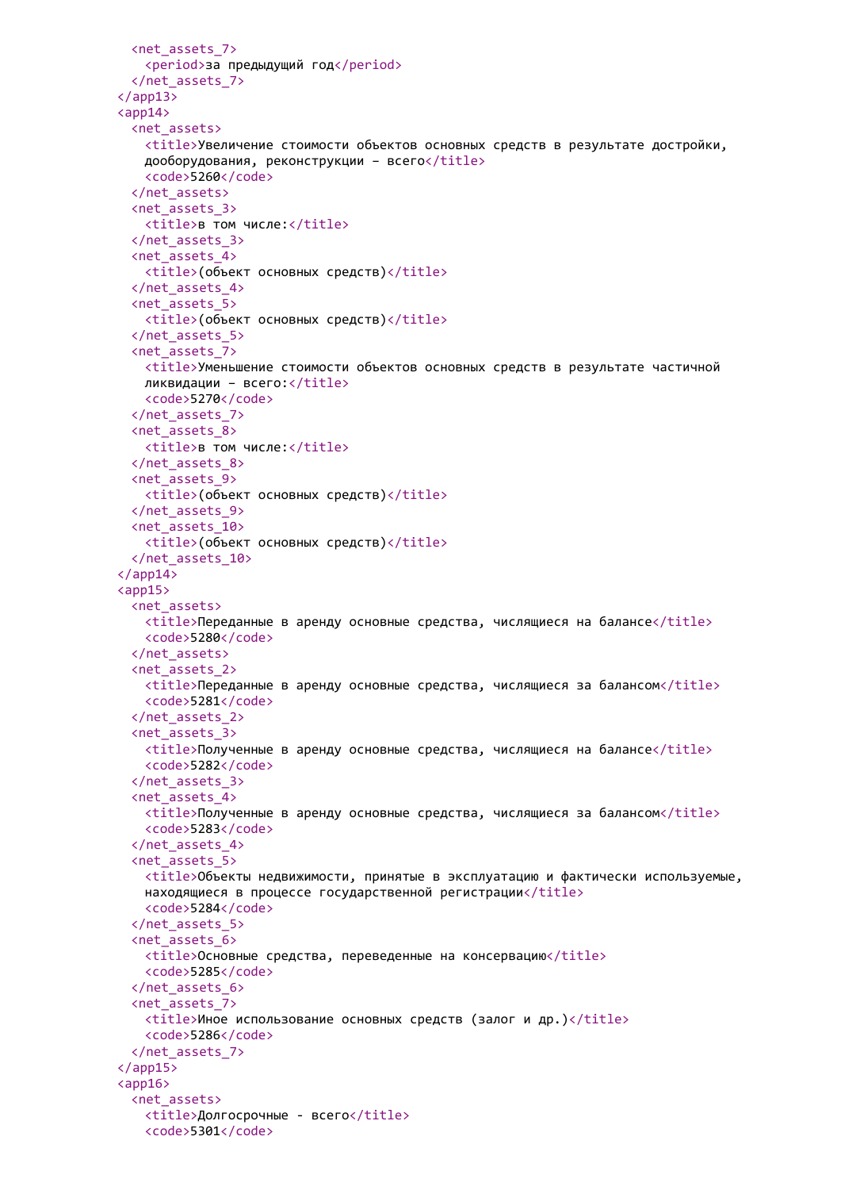```
<net_assets_7>
   <period>за предыдущий год</period>
 </net_assets_7>
</app13>
<app14>
 <net_assets>
   <title>Увеличение стоимости объектов основных средств в результате достройки,
   дооборудования, реконструкции - всего</title>
   <code>5260</code>
 </net_assets>
 <net_assets_3>
   <title>в том числе:</title>
 </net_assets_3>
 <net_assets_4>
   <title>(объект основных средств)</title>
 </net_assets_4>
 <net_assets_5>
   <title>(объект основных средств)</title>
 </net_assets_5>
 <net_assets_7>
   <title>Уменьшение стоимости объектов основных средств в результате частичной
   ликвидации – всего:\langletitle>
   <code>5270</code>
 </net_assets_7>
 <net_assets_8>
   <title>в том числе:</title>
 </net_assets_8>
 <net_assets_9>
   <title>(объект основных средств)</title>
 </net_assets_9>
 <net_assets_10>
   <title>(объект основных средств)</title>
 </net_assets_10>
\langle app14>
<app15>
 <net_assets>
   <title>Переданные в аренду основные средства, числящиеся на балансе</title>
   <code>5280</code>
 </net_assets>
 <net_assets_2>
   <title>Переданные в аренду основные средства, числящиеся за балансом</title>
   <code>5281</code>
 </net_assets_2>
 <net_assets_3>
   \langletitle>Полученные в аренду основные средства, числящиеся на балансе\langletitle>
   <code>5282</code>
 </net_assets_3>
 <net_assets_4>
   <title>Полученные в аренду основные средства, числящиеся за балансом</title>
   <code>5283</code>
 </net_assets_4>
 <net_assets_5>
   <title>Объекты недвижимости, принятые в эксплуатацию и фактически используемые,
   находящиеся в процессе государственной регистрации</title>
   <code>5284</code>
 </net_assets_5>
 <net_assets_6>
   <title>Основные средства, переведенные на консервацию</title>
   <code>5285</code>
 </net_assets_6>
 <net_assets_7>
   <title>Иное использование основных средств (залог и др.)</title>
   <code>5286</code>
 </net_assets_7>
</app15>
<app16>
 <net_assets>
   <title>Долгосрочные - всего</title>
   <code>5301</code>
```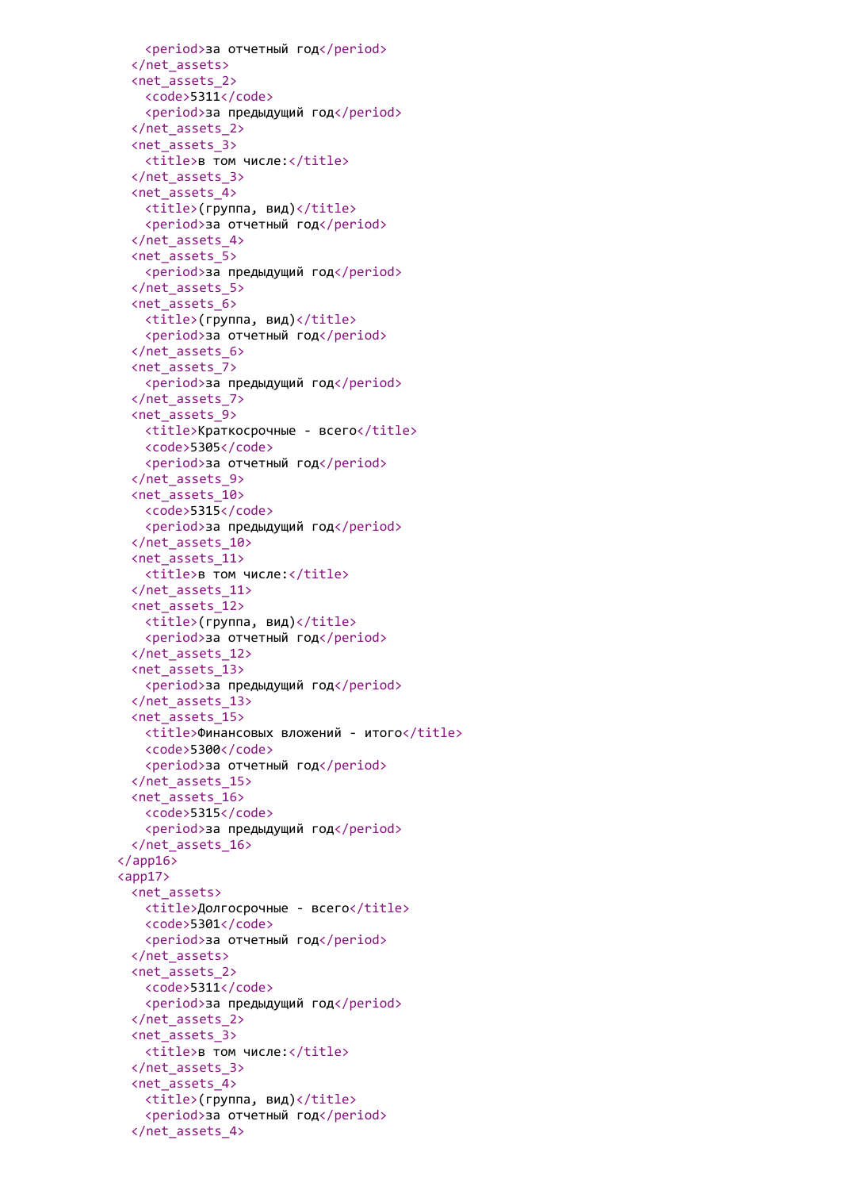```
<period>за отчетный год</period>
 </net_assets>
 <net_assets_2>
   <code>5311</code>
   <period>за предыдущий год</period>
 </net_assets_2>
 <net_assets_3>
   <title>в том числе:</title>
 </net_assets_3>
 <net_assets_4>
   <title>(группа, вид)</title>
   <period>за отчетный год</period>
 </net_assets_4>
 <net_assets_5>
   <period>за предыдущий год</period>
 </net_assets_5>
 <net_assets_6>
   \langle \text{title} \rangle(группа, вид)</title>
   <period>за отчетный год</period>
 </net_assets_6>
 <net_assets_7>
   <period>за предыдущий год</period>
 </net_assets_7>
 <net_assets_9>
   <title>Краткосрочные - всего</title>
   <code>5305</code>
   <period>за отчетный год</period>
 </net_assets_9>
 <net_assets_10>
   <code>5315</code>
   <period>за предыдущий год</period>
 </net_assets_10>
 <net_assets_11>
   <title>в том числе:</title>
 </net_assets_11>
 <net_assets_12>
   <title>(группа, вид)</title>
   <period>за отчетный год</period>
 </net_assets_12>
 <net_assets_13>
   <period>за предыдущий год</period>
 </net_assets_13>
 <net_assets_15>
   <title>Финансовых вложений - итого</title>
   <code>5300</code>
   <period>за отчетный год</period>
 </net_assets_15>
 <net_assets_16>
   <code>5315</code>
   <period>за предыдущий год</period>
 </net_assets_16>
</app16>
\langleapp17 \rangle<net_assets>
   <title>Долгосрочные - всего</title>
   <code>5301</code>
   <period>за отчетный год</period>
 </net_assets>
 <net_assets_2>
   <code>5311</code>
   <period>за предыдущий год</period>
 </net_assets_2>
 <net_assets_3>
   <title>в том числе:</title>
 </net_assets_3>
 <net_assets_4>
   <title>(группа, вид)</title>
   <period>за отчетный год</period>
 </net_assets_4>
```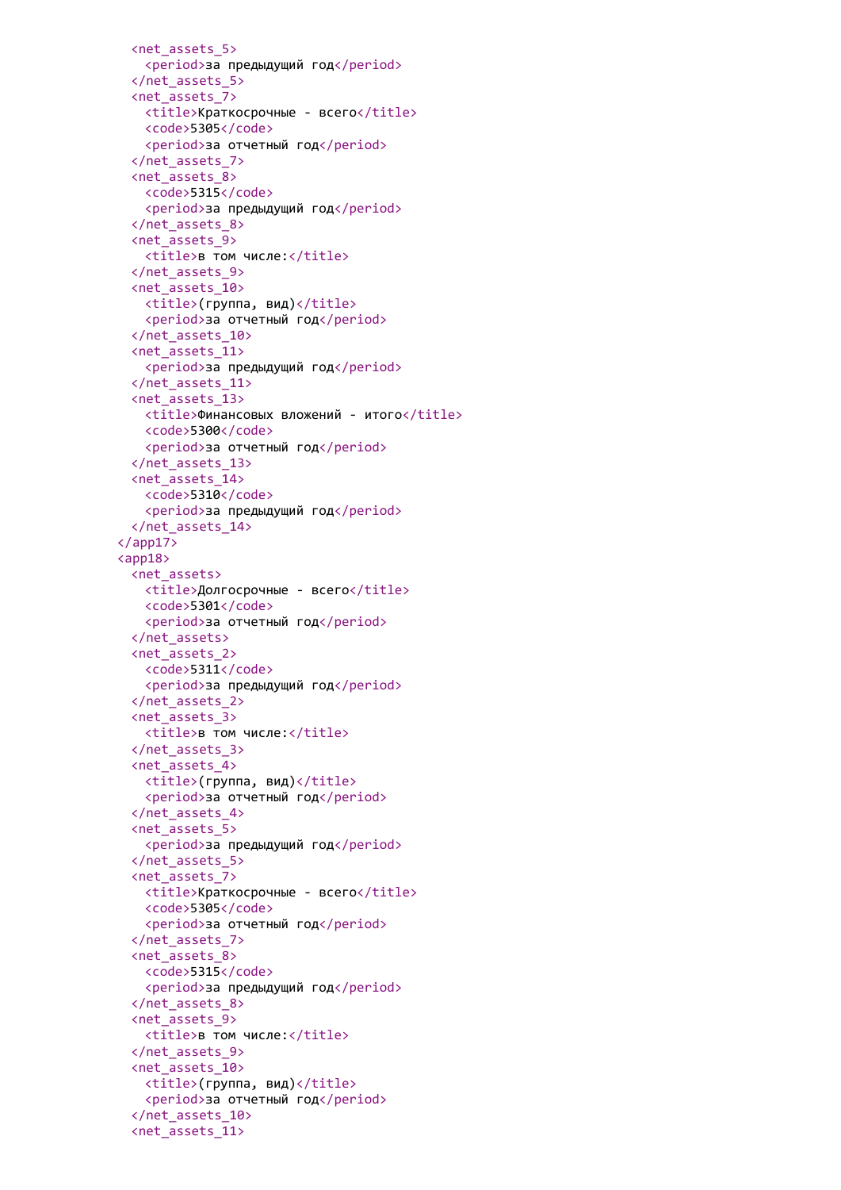```
<net_assets_5>
   <period>за предыдущий год</period>
 </net_assets_5>
 <net_assets_7>
   <title>Краткосрочные - всего</title>
   <code>5305</code>
   <period>за отчетный год</period>
 </net_assets_7>
 <net_assets_8>
   <code>5315</code>
   <period>за предыдущий год</period>
 </net_assets_8>
 <net_assets_9>
   <title>в том числе:</title>
 </net_assets_9>
 <net_assets_10>
   \langle \text{title} \rangle(группа, вид)</title>
   <period>за отчетный год</period>
 </net_assets_10>
 <net_assets_11>
   <period>за предыдущий год</period>
 </net_assets_11>
 <net_assets_13>
   <title>Финансовых вложений - итого</title>
   <code>5300</code>
   <period>за отчетный год</period>
 </net_assets_13>
 <net_assets_14>
   <code>5310</code>
   <period>за предыдущий год</period>
 </net_assets_14>
\langle/app17>
<app18>
 <net_assets>
   <title>Долгосрочные - всего</title>
   <code>5301</code>
   <period>за отчетный год</period>
 </net_assets>
 <net_assets_2>
   <code>5311</code>
   <period>за предыдущий год</period>
 </net_assets_2>
 <net_assets_3>
   <title>в том числе:</title>
 </net_assets_3>
 <net_assets_4>
   \langle \text{title} \rangle(группа, вид)</title>
   <period>за отчетный год</period>
 </net_assets_4>
 <net_assets_5>
   <period>за предыдущий год</period>
 </net_assets_5>
 <net_assets_7>
   <title>Краткосрочные - всего</title>
   <code>5305</code>
   <period>за отчетный год</period>
 </net_assets_7>
 <net_assets_8>
   <code>5315</code>
   <period>за предыдущий год</period>
 </net_assets_8>
 <net_assets_9>
   <title>в том числе:</title>
 </net_assets_9>
 <net_assets_10>
   <title>(группа, вид)</title>
   <period>за отчетный год</period>
 </net_assets_10>
 <net_assets_11>
```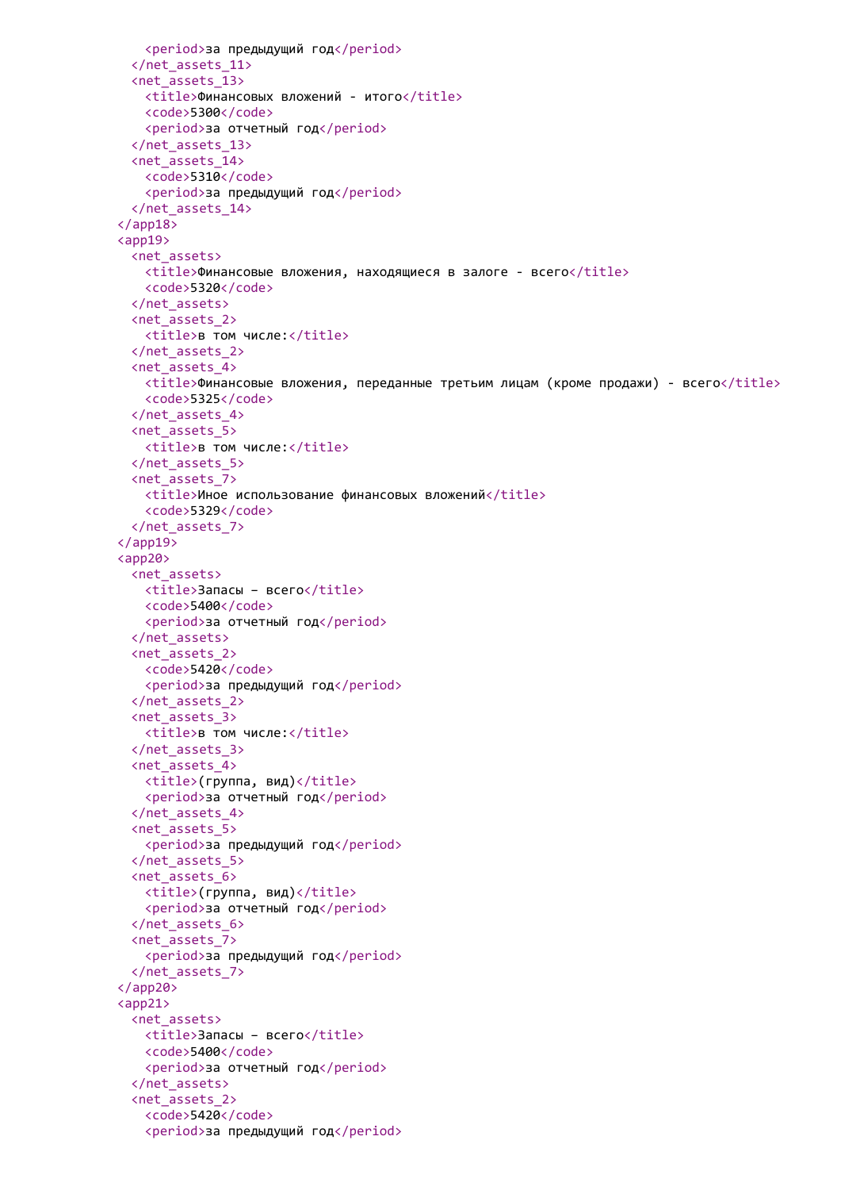```
<period>за предыдущий год</period>
 </net_assets_11>
 <net_assets_13>
   <title>Финансовых вложений - итого</title>
   <code>5300</code>
   <period>за отчетный год</period>
 </net_assets_13>
 <net_assets_14>
   <code>5310</code>
   <period>за предыдущий год</period>
 </net_assets_14>
</app18>
<app19>
 <net_assets>
   <title>Финансовые вложения, находящиеся в залоге - всего</title>
   <code>5320</code>
 </net_assets>
 <net_assets_2>
   <title>в том числе:</title>
 </net_assets_2>
 <net_assets_4>
   <title>Финансовые вложения, переданные третьим лицам (кроме продажи) - всего</title>
   <code>5325</code>
 </net_assets_4>
 <net_assets_5>
   <title>в том числе:</title>
 </net_assets_5>
 <net_assets_7>
   <title>Иное использование финансовых вложений</title>
   <code>5329</code>
 </net_assets_7>
</app19>
<app20>
 <net_assets>
   <title>Запасы - всего</title>
   <code>5400</code>
   <period>за отчетный год</period>
 </net_assets>
 <net_assets_2>
   <code>5420</code>
   <period>за предыдущий год</period>
 </net_assets_2>
 <net_assets_3>
   <title>в том числе:</title>
 </net_assets_3>
 <net_assets_4>
   <title>(группа, вид)</title>
   <period>за отчетный год</period>
 </net_assets_4>
 <net_assets_5>
   <period>за предыдущий год</period>
 </net_assets_5>
 <net_assets_6>
   <title>(группа, вид)</title>
   <period>за отчетный год</period>
 </net_assets_6>
 <net_assets_7>
   <period>за предыдущий год</period>
 </net_assets_7>
</app20>
\langleapp21\rangle<net_assets>
   <title>Запасы – всего</title>
   <code>5400</code>
   <period>за отчетный год</period>
 </net_assets>
 <net_assets_2>
   <code>5420</code>
   <period>за предыдущий год</period>
```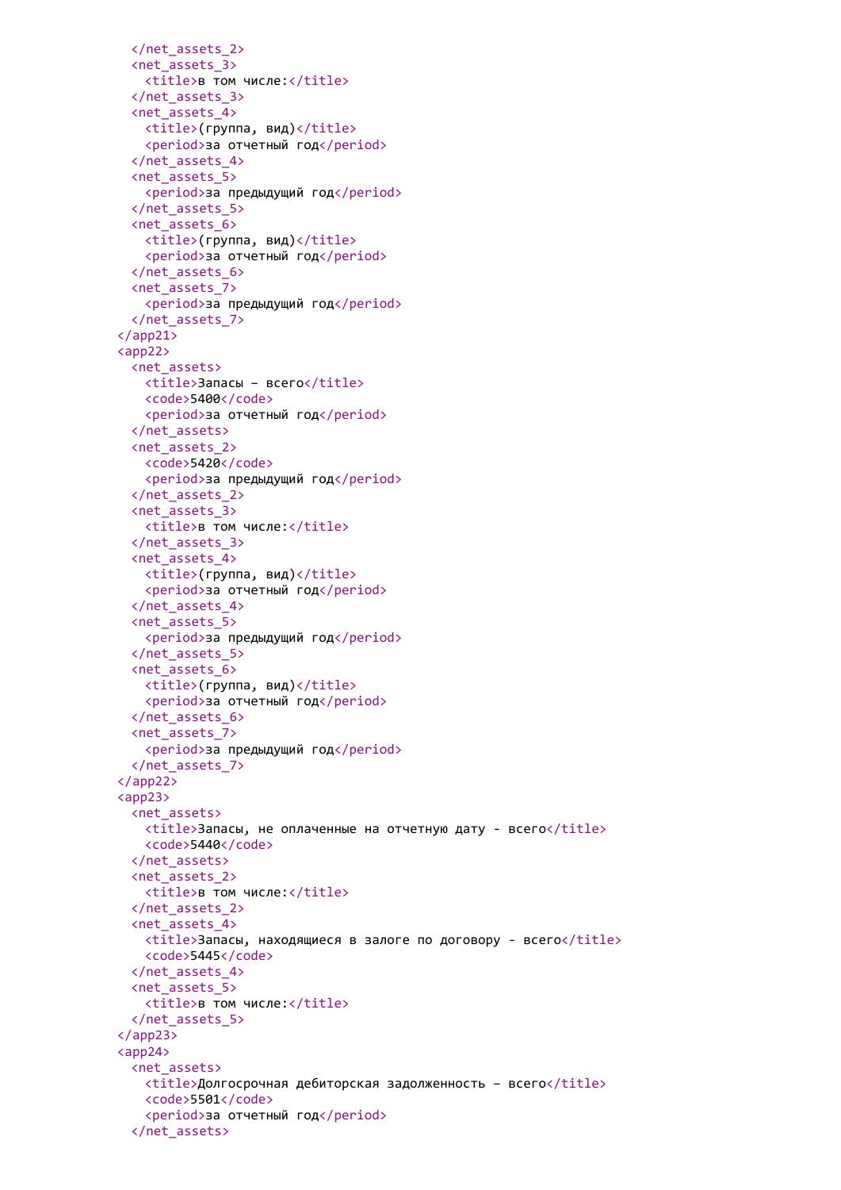```
</net_assets_2>
 <net_assets_3>
   <title>в том числе:</title>
 </net_assets_3>
 <net_assets_4>
   <title>(группа, вид)</title>
   <period>за отчетный год</period>
 </net_assets_4>
 <net_assets_5>
   <period>за предыдущий год</period>
 </net_assets_5>
 <net_assets_6>
   <title>(группа, вид)</title>
   <period>за отчетный год</period>
 </net_assets_6>
 <net_assets_7>
   <period>за предыдущий год</period>
 </net_assets_7>
</app21>
<app22>
 <net_assets>
   <title>Запасы - всего</title>
   <code>5400</code>
   <period>за отчетный год</period>
 </net_assets>
 <net_assets_2>
   <code>5420</code>
   <period>за предыдущий год</period>
 </net_assets_2>
 <net_assets_3>
   <title>в том числе:</title>
 </net_assets_3>
 <net_assets_4>
   \langle \text{title} \rangle(группа, вид)</title>
   <period>за отчетный год</period>
 </net_assets_4>
 <net_assets_5>
   <period>за предыдущий год</period>
 </net_assets_5>
 <net_assets_6>
   <title>(группа, вид)</title>
   <period>за отчетный год</period>
 </net_assets_6>
 <net_assets_7>
   <period>за предыдущий год</period>
 </net_assets_7>
</app22>
<app23>
 <net_assets>
   <title>Запасы, не оплаченные на отчетную дату - всего</title>
   <code>5440</code>
 </net_assets>
 <net_assets_2>
   <title>в том числе:</title>
 </net_assets_2>
 <net_assets_4>
   <title>Запасы, находящиеся в залоге по договору - всего</title>
   <code>5445</code>
 </net_assets_4>
 <net_assets_5>
   <title>в том числе:</title>
 </net_assets_5>
</app23>
<app24>
 <net_assets>
   <title>Долгосрочная дебиторская задолженность – всего</title>
   <code>5501</code>
   <period>за отчетный год</period>
 </net_assets>
```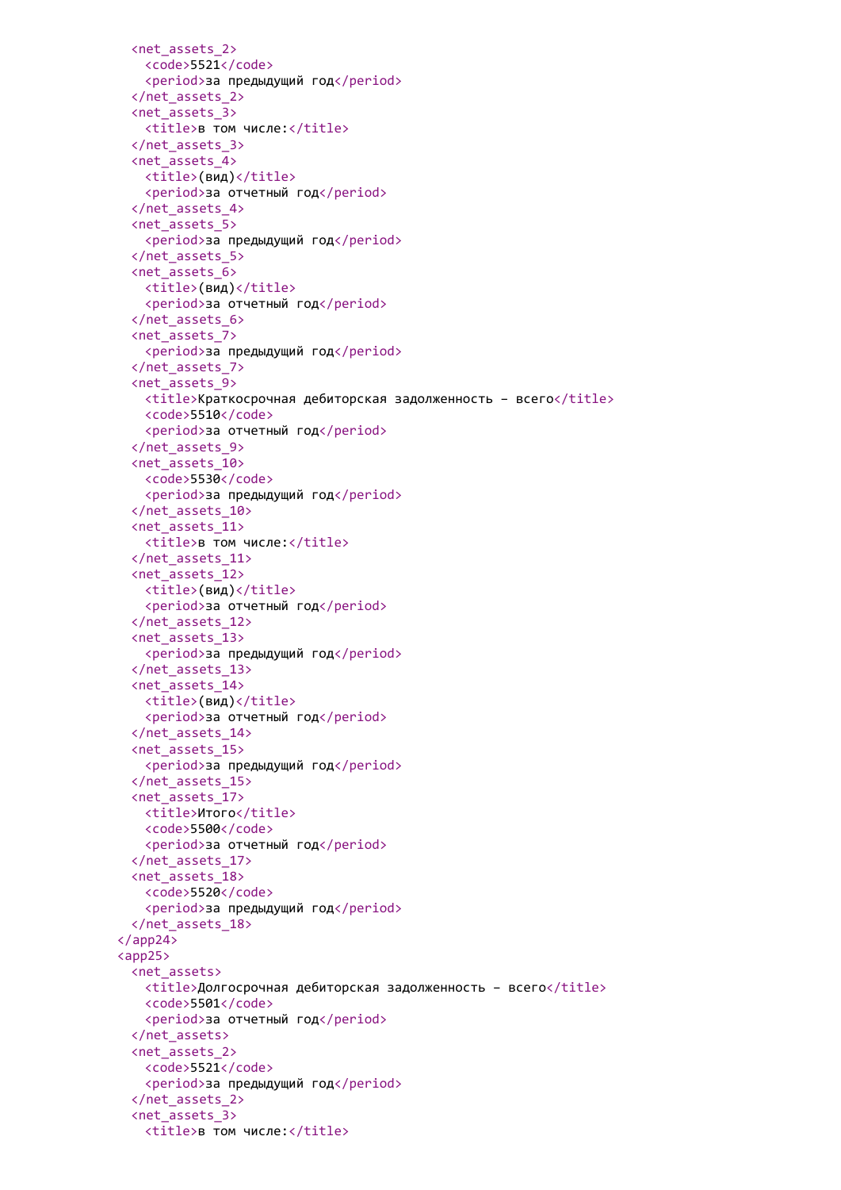```
<net_assets_2>
   <code>5521</code>
   <period>за предыдущий год</period>
 </net_assets_2>
 <net_assets_3>
   <title>в том числе:</title>
 </net_assets_3>
 <net_assets_4>
   <title>(вид)</title>
   <period>за отчетный год</period>
 </net_assets_4>
 <net_assets_5>
   <period>за предыдущий год</period>
 </net_assets_5>
 <net_assets_6>
   <title>(вид)</title>
   <period>за отчетный год</period>
 </net_assets_6>
 <net_assets_7>
   <period>за предыдущий год</period>
 </net_assets_7>
 <net_assets_9>
   <title>Краткосрочная дебиторская задолженность – всего</title>
   <code>5510</code>
   <period>за отчетный год</period>
 </net_assets_9>
 <net_assets_10>
   <code>5530</code>
   <period>за предыдущий год</period>
 </net_assets_10>
 <net_assets_11>
   <title>в том числе:</title>
 </net_assets_11>
 <net_assets_12>
   <title>(вид)</title>
   <period>за отчетный год</period>
 </net_assets_12>
 <net_assets_13>
   <period>за предыдущий год</period>
 </net_assets_13>
 <net_assets_14>
   <title>(вид)</title>
   <period>за отчетный год</period>
 </net_assets_14>
 <net_assets_15>
   <period>за предыдущий год</period>
 </net_assets_15>
 <net_assets_17>
   <title>Итого</title>
   <code>5500</code>
   <period>за отчетный год</period>
 </net_assets_17>
 <net_assets_18>
   <code>5520</code>
   <period>за предыдущий год</period>
 </net_assets_18>
</app24>
<app25>
 <net_assets>
   <title>Долгосрочная дебиторская задолженность – всего</title>
   <code>5501</code>
   <period>за отчетный год</period>
 </net_assets>
 <net_assets_2>
   <code>5521</code>
   <period>за предыдущий год</period>
 </net_assets_2>
 <net_assets_3>
   <title>в том числе:</title>
```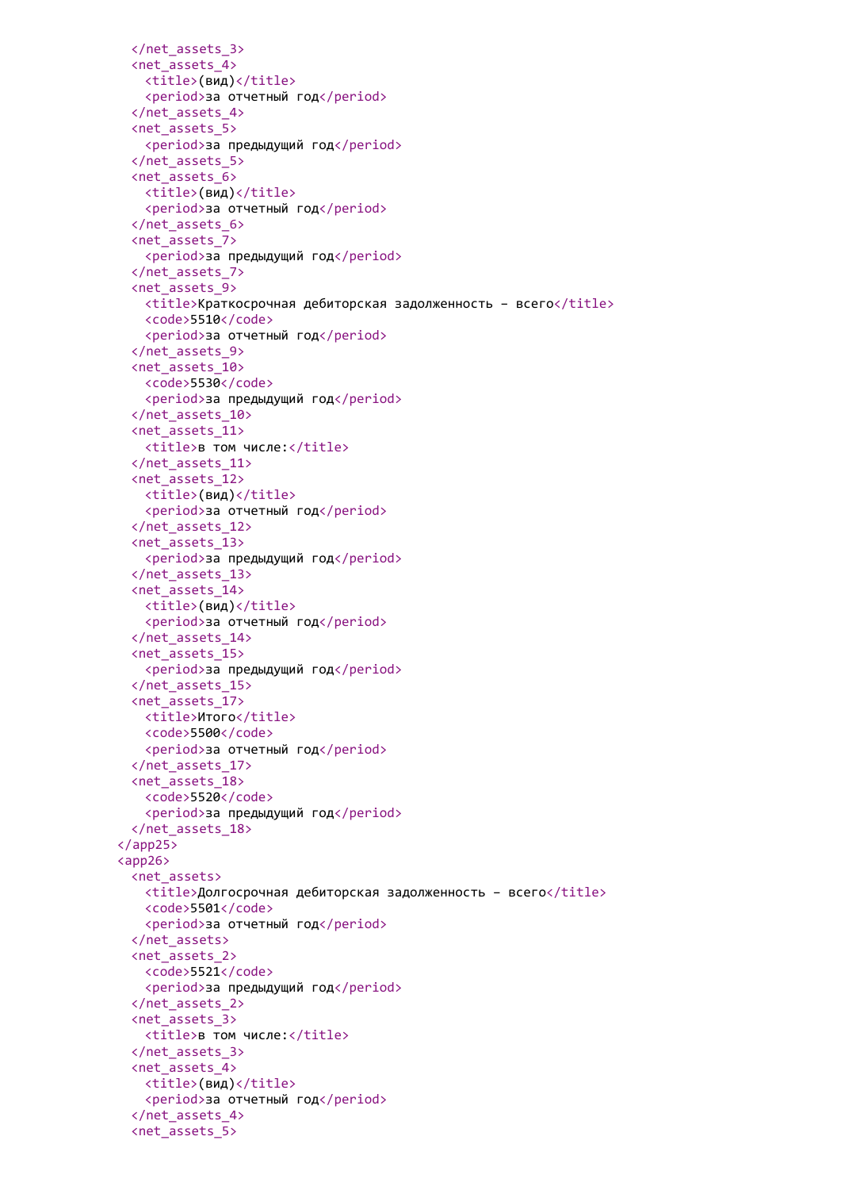```
</net_assets_3>
 <net_assets_4>
   <title>(вид)</title>
   <period>за отчетный год</period>
 </net_assets_4>
 <net_assets_5>
   <period>за предыдущий год</period>
 </net_assets_5>
 <net_assets_6>
   <title>(вид)</title>
   <period>за отчетный год</period>
 </net_assets_6>
 <net_assets_7>
   <period>за предыдущий год</period>
 </net_assets_7>
 <net_assets_9>
   <title>Краткосрочная дебиторская задолженность – всего</title>
   <code>5510</code>
   <period>за отчетный год</period>
 </net_assets_9>
 <net_assets_10>
   <code>5530</code>
   <period>за предыдущий год</period>
 </net_assets_10>
 <net_assets_11>
   <title>в том числе:</title>
 </net_assets_11>
 <net_assets_12>
   <title>(вид)</title>
   <period>за отчетный год</period>
 </net_assets_12>
 <net_assets_13>
   <period>за предыдущий год</period>
 </net_assets_13>
 <net_assets_14>
   <title>(вид)</title>
   <period>за отчетный год</period>
 </net_assets_14>
 <net_assets_15>
   <period>за предыдущий год</period>
 </net_assets_15>
 <net_assets_17>
   <title>Итого</title>
   <code>5500</code>
   <period>за отчетный год</period>
 </net_assets_17>
 <net_assets_18>
   <code>5520</code>
   <period>за предыдущий год</period>
 </net_assets_18>
</app25>
\langleapp26\rangle<net_assets>
   <title>Долгосрочная дебиторская задолженность – всего</title>
   <code>5501</code>
   <period>за отчетный год</period>
 </net_assets>
 <net_assets_2>
   <code>5521</code>
   <period>за предыдущий год</period>
 </net_assets_2>
 <net_assets_3>
   <title>в том числе:</title>
 </net_assets_3>
 <net_assets_4>
   <title>(вид)</title>
   <period>за отчетный год</period>
 </net_assets_4>
 <net_assets_5>
```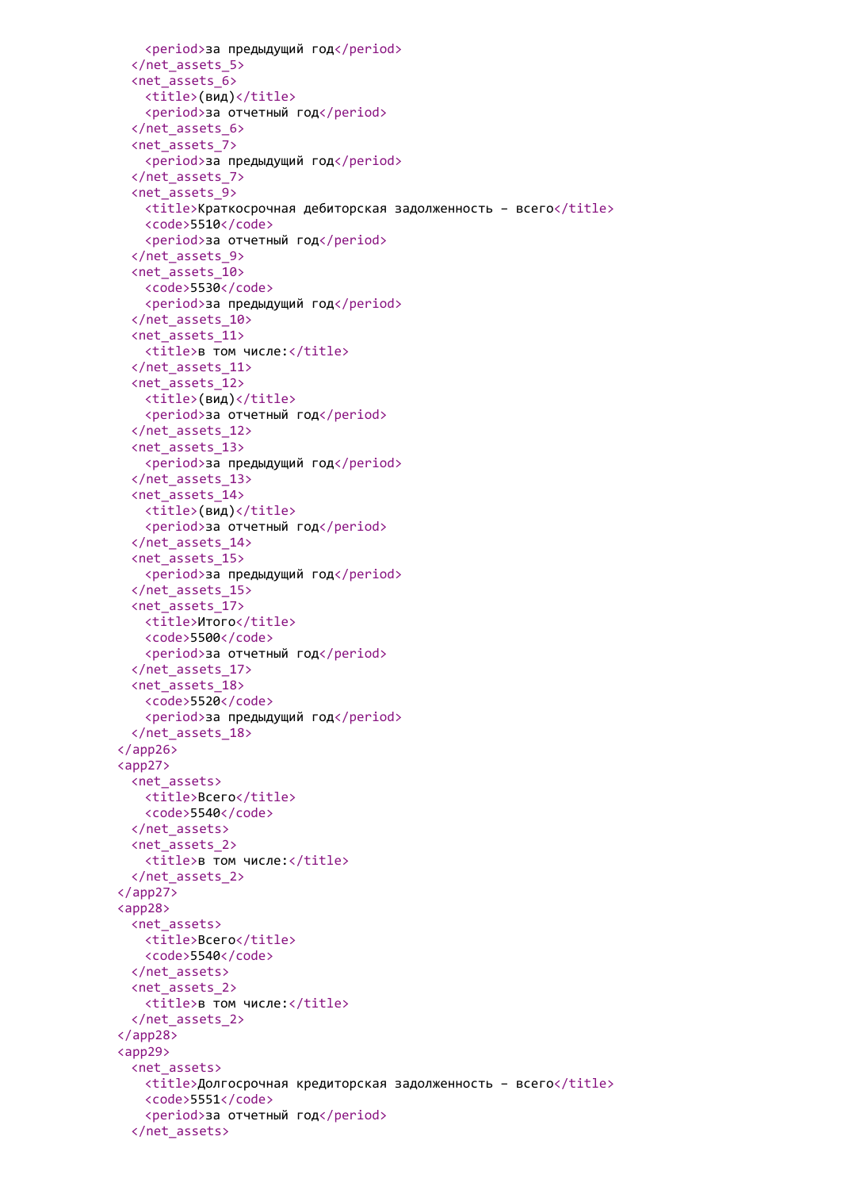```
<period>за предыдущий год</period>
  </net_assets_5>
  <net_assets_6>
   <title>(вид)</title>
   <period>за отчетный год</period>
  </net_assets_6>
  <net_assets_7>
   <period>за предыдущий год</period>
  </net_assets_7>
  <net_assets_9>
   <title>Краткосрочная дебиторская задолженность - всего</title>
   <code>5510</code>
   <period>за отчетный год</period>
  </net_assets_9>
  <net_assets_10>
   <code>5530</code>
   <period>за предыдущий год</period>
  </net_assets_10>
  <net_assets_11>
   <title>в том числе:</title>
  </net_assets_11>
  <net_assets_12>
   <title>(вид)</title>
   <period>за отчетный год</period>
  </net_assets_12>
  <net_assets_13>
   <period>за предыдущий год</period>
  </net_assets_13>
  <net_assets_14>
   <title>(вид)</title>
   <period>за отчетный год</period>
  </net_assets_14>
  <net_assets_15>
   <period>за предыдущий год</period>
  </net_assets_15>
  <net_assets_17>
   <title>Итого</title>
   <code>5500</code>
   <period>за отчетный год</period>
 </net_assets_17>
 <net_assets_18>
   <code>5520</code>
   <period>за предыдущий год</period>
  </net_assets_18>
</app26>
<app27>
 <net_assets>
   <title>Bcero</title>
   <code>5540</code>
 </net_assets>
 <net_assets_2>
   <title>в том числе:</title>
  </net_assets_2>
</app27>
<app28>
 <net_assets>
   <title>Всего</title>
   <code>5540</code>
 </net_assets>
 <net_assets_2>
   <title>в том числе:</title>
  </net_assets_2>
</app28>
<app29>
 <net_assets>
   <title>Долгосрочная кредиторская задолженность – всего</title>
   <code>5551</code>
   <period>за отчетный год</period>
  </net_assets>
```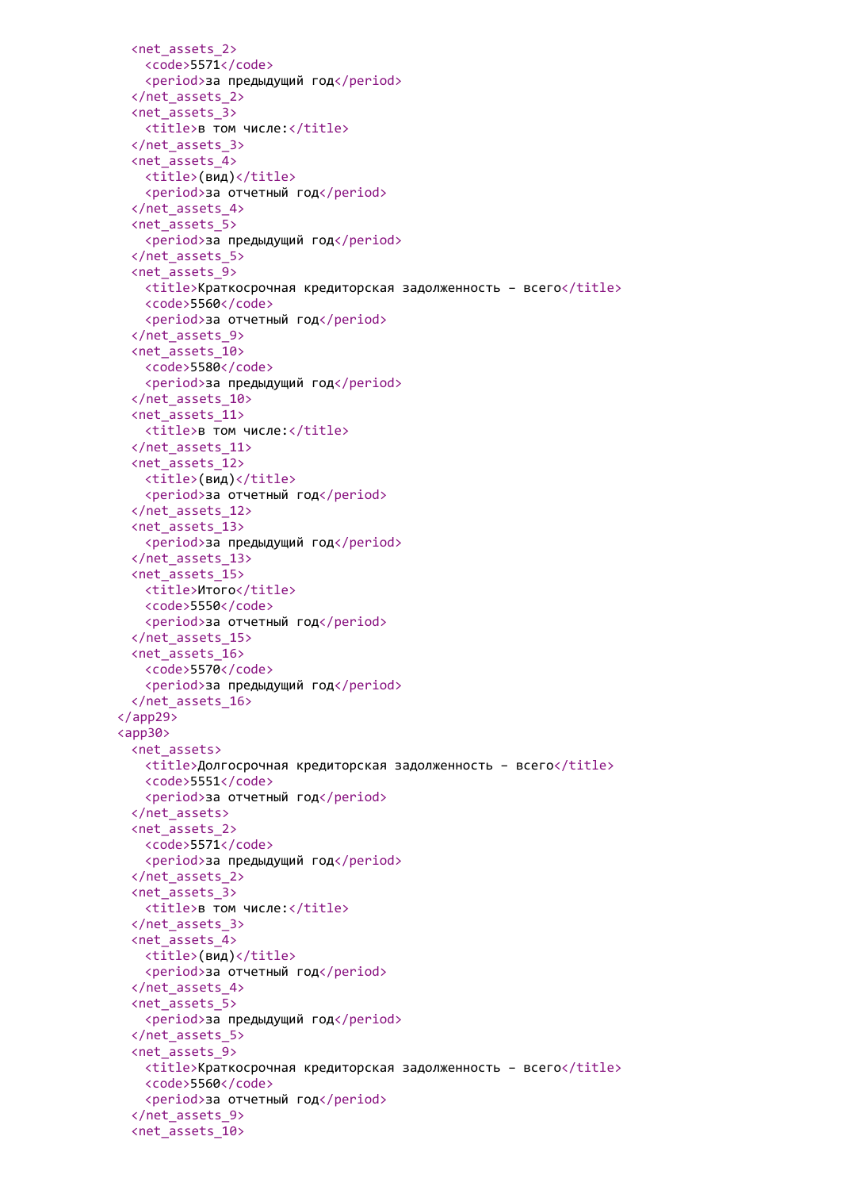```
<net_assets_2>
   <code>5571</code>
   <period>за предыдущий год</period>
 </net_assets_2>
 <net_assets_3>
   <title>в том числе:</title>
 </net_assets_3>
 <net_assets_4>
   <title>(вид)</title>
   <period>за отчетный год</period>
 </net_assets_4>
 <net_assets_5>
   <period>за предыдущий год</period>
 </net_assets_5>
 <net_assets_9>
   <title>Краткосрочная кредиторская задолженность - всего</title>
   <code>5560</code>
   <period>за отчетный год</period>
 </net_assets_9>
 <net_assets_10>
   <code>5580</code>
   <period>за предыдущий год</period>
 </net_assets_10>
 <net_assets_11>
   <title>в том числе:</title>
 </net_assets_11>
 <net_assets_12>
   <title>(вид)</title>
   <period>за отчетный год</period>
 </net_assets_12>
 <net_assets_13>
   <period>за предыдущий год</period>
 </net_assets_13>
 <net_assets_15>
   <title>Итого</title>
   <code>5550</code>
   <period>за отчетный год</period>
 </net_assets_15>
 <net_assets_16>
   <code>5570</code>
   <period>за предыдущий год</period>
 </net_assets_16>
</app29>
<app30>
 <net assets>
   <title>Долгосрочная кредиторская задолженность – всего</title>
   <code>5551</code>
   <period>за отчетный год</period>
 </net_assets>
 <net_assets_2>
   <code>5571</code>
   <period>за предыдущий год</period>
 </net_assets_2>
 <net_assets_3>
   <title>в том числе:</title>
 </net_assets_3>
 <net_assets_4>
   <title>(вид)</title>
   <period>за отчетный год</period>
 </net_assets_4>
 <net_assets_5>
   <period>за предыдущий год</period>
 </net_assets_5>
 <net_assets_9>
   <title>Краткосрочная кредиторская задолженность – всего</title>
   <code>5560</code>
   <period>за отчетный год</period>
 </net_assets_9>
 <net_assets_10>
```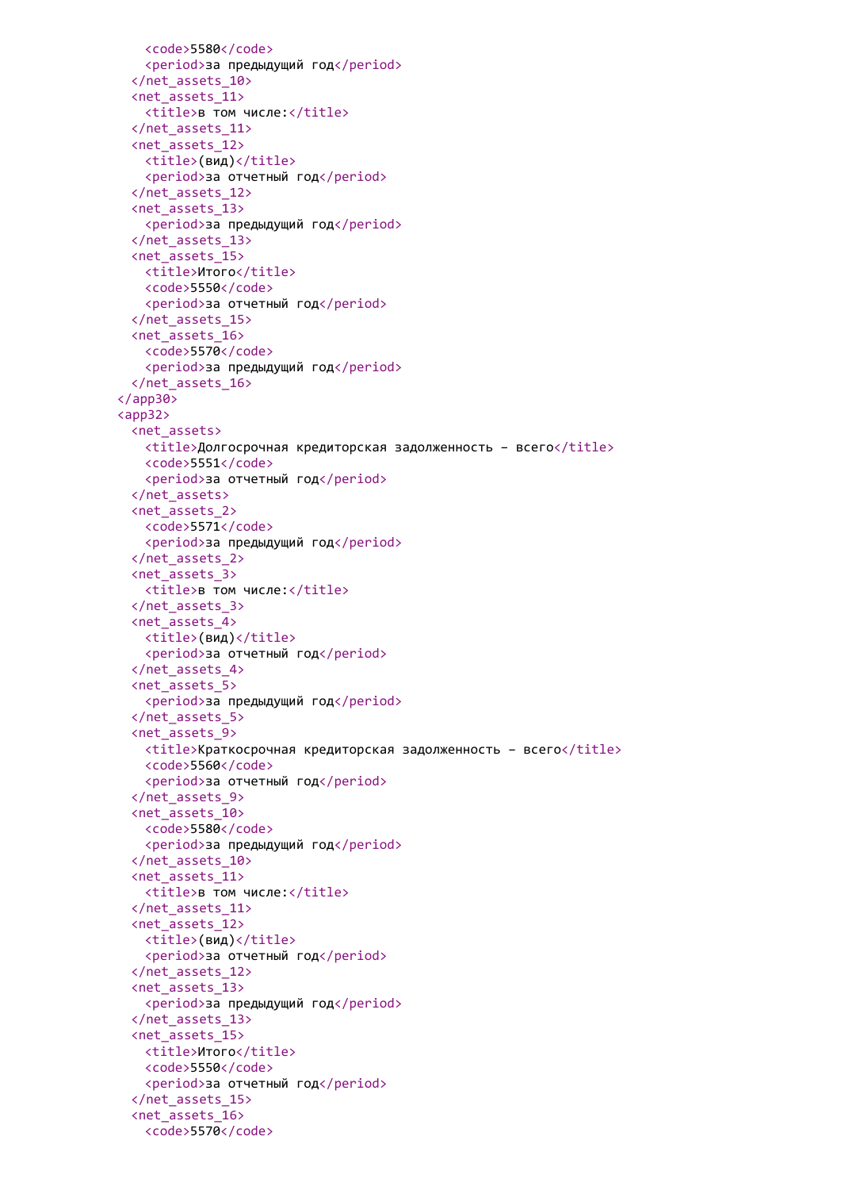```
<code>5580</code>
   <period>за предыдущий год</period>
 </net_assets_10>
 <net_assets_11>
   <title>в том числе:</title>
 </net_assets_11>
 <net_assets_12>
   <title>(вид)</title>
   <period>за отчетный год</period>
 </net_assets_12>
 <net_assets_13>
   <period>за предыдущий год</period>
 </net_assets_13>
 <net_assets_15>
   <title>Итого</title>
   <code>5550</code>
   <period>за отчетный год</period>
 </net_assets_15>
 <net_assets_16>
   <code>5570</code>
   <period>за предыдущий год</period>
 </net_assets_16>
</app30>
<app32>
 <net_assets>
   <title>Долгосрочная кредиторская задолженность – всего</title>
   <code>5551</code>
   <period>за отчетный год</period>
 </net_assets>
 <net_assets_2>
   <code>5571</code>
   <period>за предыдущий год</period>
 </net_assets_2>
 <net_assets_3>
   <title>в том числе:</title>
 </net_assets_3>
 <net_assets_4>
   <title>(вид)</title>
   <period>за отчетный год</period>
 </net_assets_4>
 <net_assets_5>
   <period>за предыдущий год</period>
 </net_assets_5>
 <net_assets_9>
   <title>Краткосрочная кредиторская задолженность - всего</title>
   <code>5560</code>
   <period>за отчетный год</period>
 </net_assets_9>
 <net_assets_10>
   <code>5580</code>
   <period>за предыдущий год</period>
 </net_assets_10>
 <net_assets_11>
   <title>в том числе:</title>
 </net_assets_11>
 <net_assets_12>
   <title>(вид)</title>
   <period>за отчетный год</period>
 </net_assets_12>
 <net_assets_13>
   <period>за предыдущий год</period>
 </net_assets_13>
 <net_assets_15>
   <title>Итого</title>
   <code>5550</code>
   <period>за отчетный год</period>
 </net_assets_15>
 <net_assets_16>
   <code>5570</code>
```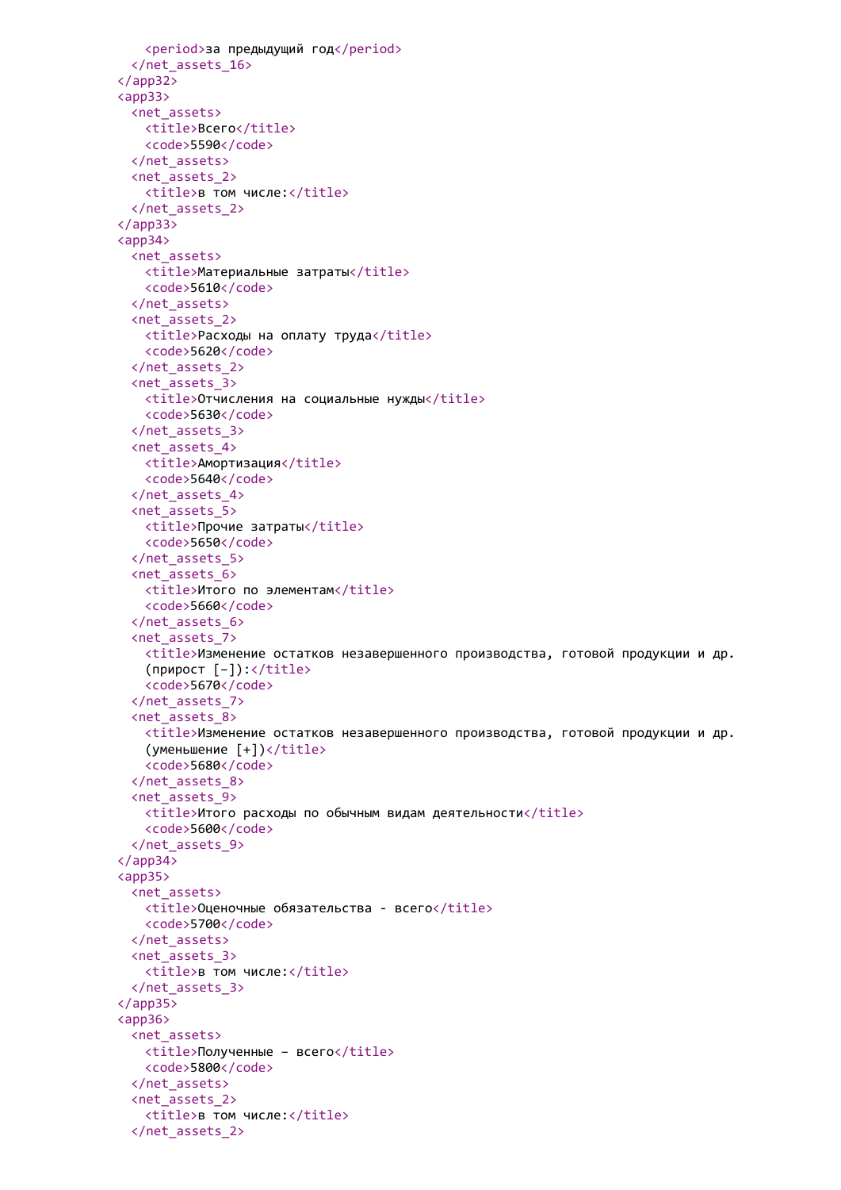```
<period>за предыдущий год</period>
 </net_assets_16>
</app32>
<app33>
 <net_assets>
   <title>Bcero</title>
   <code>5590</code>
 </net_assets>
 <net_assets_2>
   <title>в том числе:</title>
 </net_assets_2>
</app33>
<app34>
 <net_assets>
   <title>Материальные затраты</title>
   <code>5610</code>
 </net_assets>
 <net_assets_2>
   <title>Расходы на оплату труда</title>
   <code>5620</code>
 </net_assets_2>
 <net_assets_3>
   <title>Отчисления на социальные нужды</title>
   <code>5630</code>
 </net_assets_3>
 <net_assets_4>
   <title>Амортизация</title>
   <code>5640</code>
 </net_assets_4>
 <net_assets_5>
   <title>Прочие затраты</title>
   <code>5650</code>
 </net_assets_5>
 <net_assets_6>
   <title>Итого по элементам</title>
   <code>5660</code>
 </net_assets_6>
 <net_assets_7>
   <title>Изменение остатков незавершенного производства, готовой продукции и др.
   (np\mu pост [-]): \langle /title>
   <code>5670</code>
 </net_assets_7>
 <net_assets_8>
   <title>Изменение остатков незавершенного производства, готовой продукции и др.
   (yменьшение [+])</title>
   <code>5680</code>
 </net_assets_8>
 <net_assets_9>
   <title>Итого расходы по обычным видам деятельности</title>
   <code>5600</code>
 </net_assets_9>
</app34>
\langleapp35\rangle<net_assets>
   <title>Оценочные обязательства - всего</title>
   <code>5700</code>
 </net_assets>
 <net_assets_3>
   <title>в том числе:</title>
 </net_assets_3>
</app35>
\langleapp36 \rangle<net_assets>
   <title>Полученные - всего</title>
   <code>5800</code>
 </net_assets>
 <net_assets_2>
   <title>в том числе:</title>
 </net_assets_2>
```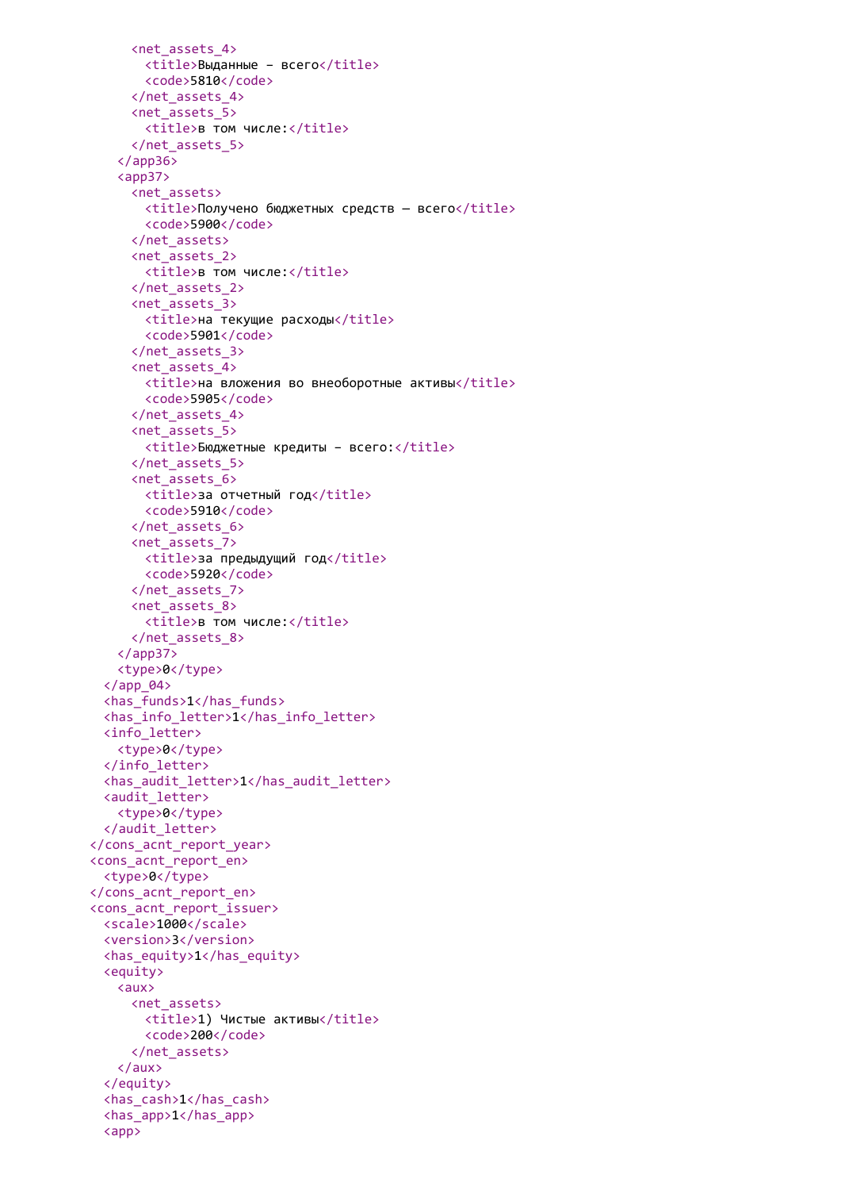```
<net_assets_4>
       <title>Выданные – всего</title>
       <code>5810</code>
     </net_assets_4>
     <net_assets_5>
       <title>в том числе:</title>
     </net_assets_5>
   </app36>
   <app37>
     <net_assets>
       <title>Получено бюджетных средств - всего</title>
       <code>5900</code>
     </net_assets>
     <net_assets_2>
       <title>в том числе:</title>
     </net_assets_2>
     <net_assets_3>
       <title>на текущие расходы</title>
       <code>5901</code>
     </net_assets_3>
     <net_assets_4>
       <title>на вложения во внеоборотные активы</title>
       <code>5905</code>
     </net_assets_4>
     <net_assets_5>
       <title>Бюджетные кредиты - всего:</title>
     </net_assets_5>
     <net_assets_6>
       <title>за отчетный год</title>
       <code>5910</code>
     </net_assets_6>
     <net_assets_7>
       <title>за предыдущий год</title>
       <code>5920</code>
     </net_assets_7>
     <net_assets_8>
       <title>в том числе:</title>
     </net_assets_8>
   </app37>
   <type>0</type>
 \langle app 04 \rangle<has_funds>1</has_funds>
 <has_info_letter>1</has_info_letter>
 <info_letter>
   <type>0</type>
 </info_letter>
 <has_audit_letter>1</has_audit_letter>
 <audit_letter>
   <type>0</type>
 </audit_letter>
</cons_acnt_report_year>
<cons_acnt_report_en>
 <type>0</type>
</cons_acnt_report_en>
<cons_acnt_report_issuer>
 <scale>1000</scale>
 <version>3</version>
 <has_equity>1</has_equity>
 <equity>
   <aux>
     <net_assets>
       <title>1) Чистые активы</title>
       <code>200</code>
     </net_assets>
   \langle / aux\rangle</equity>
 <has_cash>1</has_cash>
 <has_app>1</has_app>
 <app>
```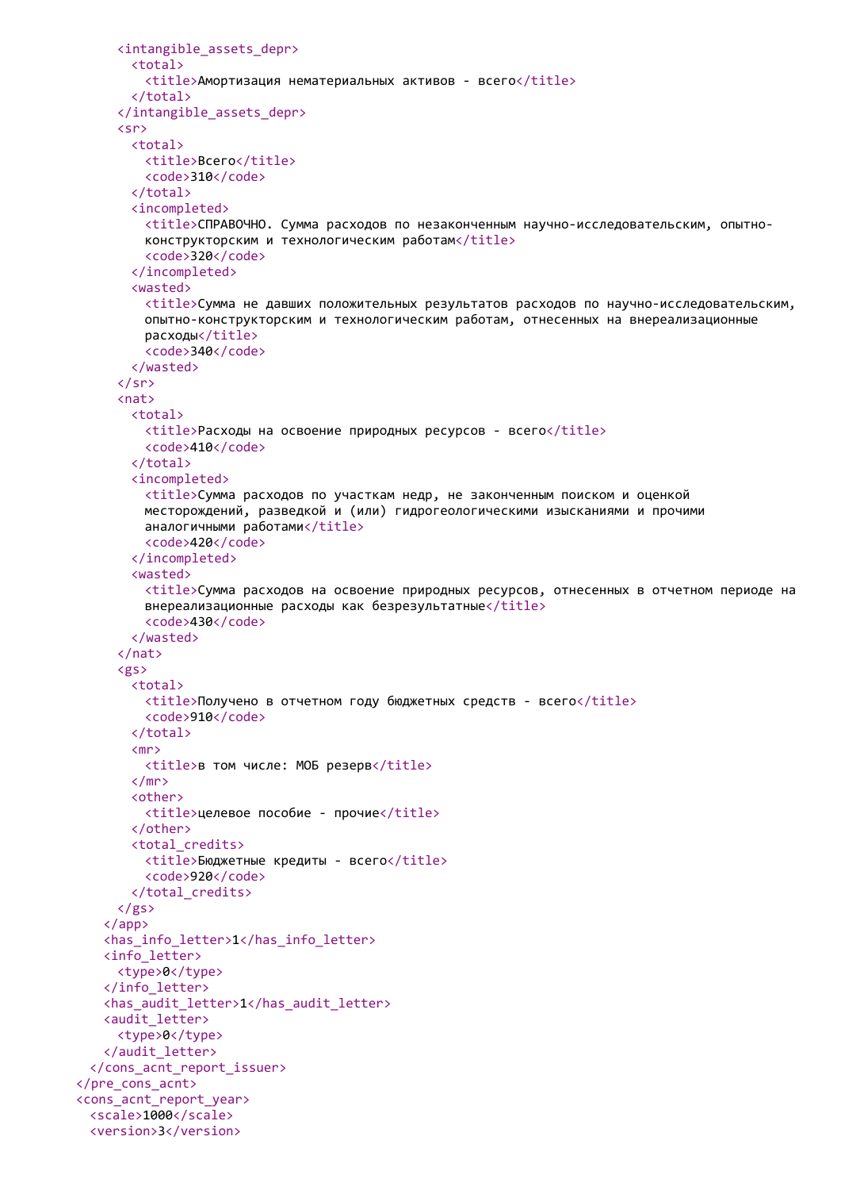```
<intangible_assets_depr>
       <total>
         <title>Амортизация нематериальных активов - всего</title>
       </total>
     </intangible_assets_depr>
     <sr>
       <total>
         <title>Bcero</title>
         <code>310</code>
       </total>
       <incompleted>
         <title>СПРАВОЧНО. Сумма расходов по незаконченным научно-исследовательским, опытно-
         конструкторским и технологическим работам</title>
         <code>320</code>
       </incompleted>
       <wasted>
         <title>Сумма не давших положительных результатов расходов по научно-исследовательским,
         опытно-конструкторским и технологическим работам, отнесенных на внереализационные
         расходы</title>
         <code>340</code>
       </wasted>
     \langle/sr>
     <nat>
       <total>
         <title>Расходы на освоение природных ресурсов - всего</title>
         <code>410</code>
       </total>
       <incompleted>
         <title>Сумма расходов по участкам недр, не законченным поиском и оценкой
         месторождений, разведкой и (или) гидрогеологическими изысканиями и прочими
         аналогичными работами</title>
         <code>420</code>
       </incompleted>
       <wasted>
         <title>Сумма расходов на освоение природных ресурсов, отнесенных в отчетном периоде на
         внереализационные расходы как безрезультатные</title>
         <code>430</code>
       </wasted>
     </nat>
     <gs>
       <total>
         <title>Получено в отчетном году бюджетных средств - всего</title>
         <code>910</code>
       </total>
       <mr>
         <title>в том числе: МОБ резерв</title>
       \langle/mr>
       <other>
         <title>целевое пособие - прочие</title>
       </other>
       <total_credits>
         <title>Бюджетные кредиты - всего</title>
         <code>920</code>
       </total_credits>
     \langle/gs>
   </app>
   <has_info_letter>1</has_info_letter>
   <info_letter>
     <type>0</type>
   </info_letter>
   <has_audit_letter>1</has_audit_letter>
   <audit_letter>
     <type>0</type>
   </audit_letter>
  </cons_acnt_report_issuer>
</pre_cons_acnt>
<cons_acnt_report_year>
 <scale>1000</scale>
  <version>3</version>
```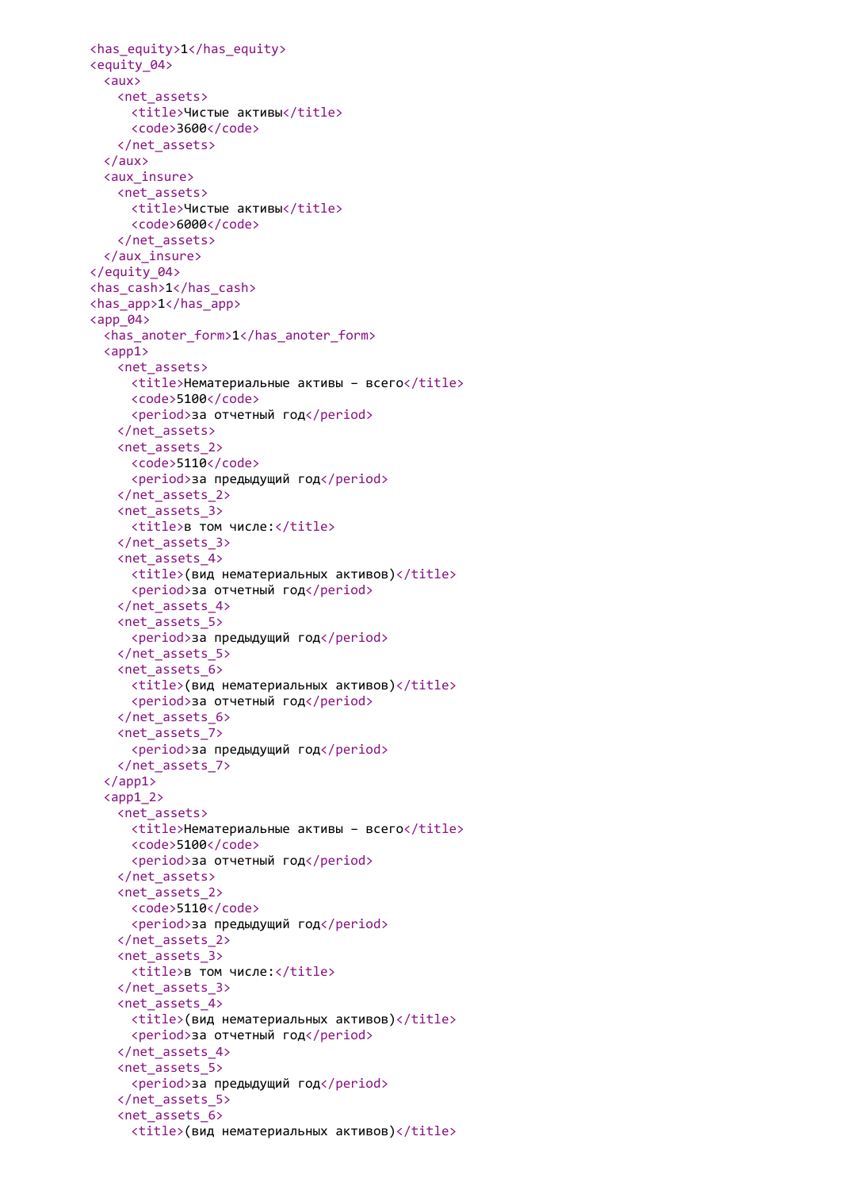```
<has_equity>1</has_equity>
<equity_04>
 <aux>
   <net_assets>
     <title>Чистые активы</title>
     <code>3600</code>
   </net_assets>
 </aux>
 <aux_insure>
   <net_assets>
     <title>Чистые активы</title>
     <code>6000</code>
   </net_assets>
 </aux_insure>
</equity_04>
<has_cash>1</has_cash>
<has_app>1</has_app>
<app_04>
 <has anoter form>1</has anoter form>
 \langle app1 \rangle<net_assets>
     <title>Нематериальные активы - всего</title>
     <code>5100</code>
     <period>за отчетный год</period>
   </net_assets>
   <net_assets_2>
     <code>5110</code>
     <period>за предыдущий год</period>
   </net_assets_2>
   <net_assets_3>
     <title>в том числе:</title>
   </net_assets_3>
   <net_assets_4>
     <title>(вид нематериальных активов)</title>
     <period>за отчетный год</period>
   </net_assets_4>
   <net_assets_5>
     <period>за предыдущий год</period>
   </net_assets_5>
   <net_assets_6>
     <title>(вид нематериальных активов)</title>
     <period>за отчетный год</period>
   </net_assets_6>
   <net_assets_7>
     <period>за предыдущий год</period>
   </net_assets_7>
  </app1>
  \langle app1 \rangle<net_assets>
     <title>Нематериальные активы – всего</title>
     <code>5100</code>
     <period>за отчетный год</period>
   </net_assets>
   <net_assets_2>
     <code>5110</code>
     <period>за предыдущий год</period>
   </net_assets_2>
   <net_assets_3>
     <title>в том числе:</title>
   </net_assets_3>
   <net_assets_4>
     <title>(вид нематериальных активов)</title>
     <period>за отчетный год</period>
   </net_assets_4>
   <net_assets_5>
     <period>за предыдущий год</period>
   </net_assets_5>
   <net_assets_6>
     <title>(вид нематериальных активов)</title>
```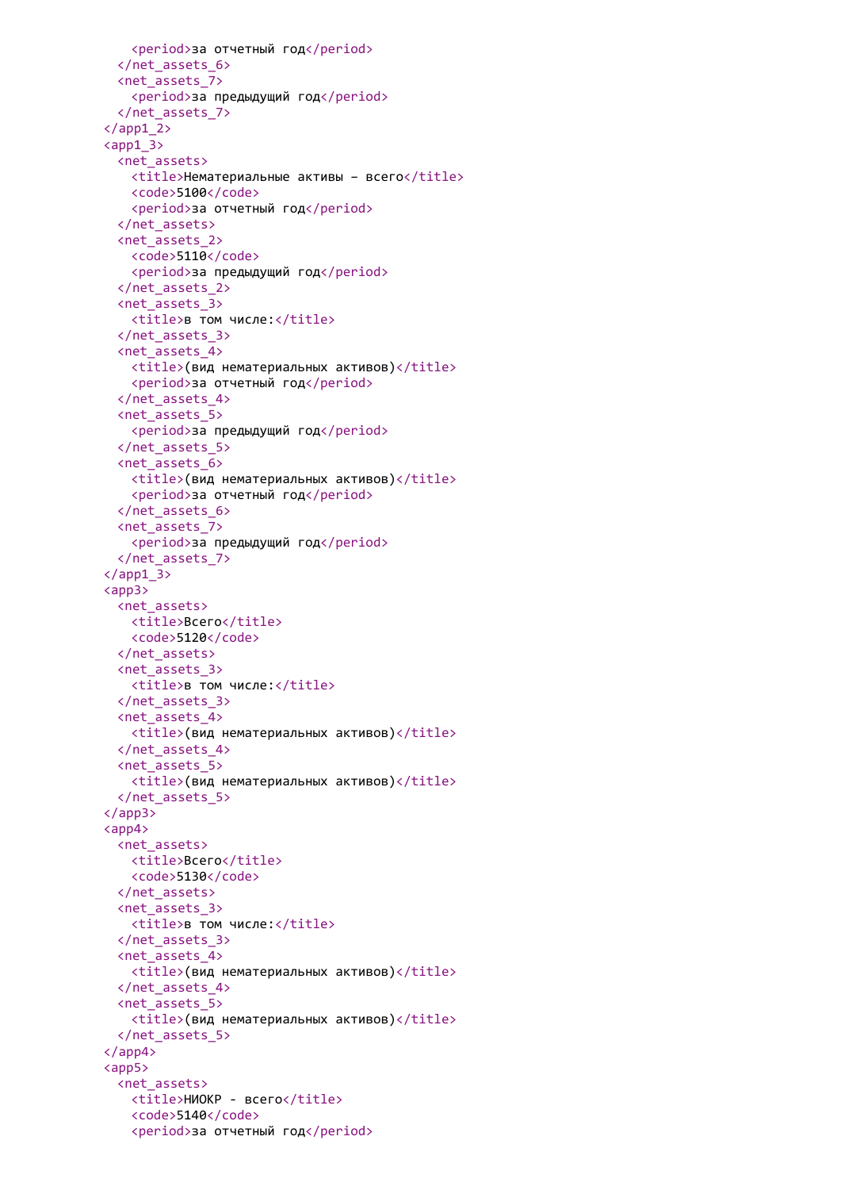```
<period>за отчетный год</period>
 </net_assets_6>
 <net_assets_7>
   <period>за предыдущий год</period>
 </net_assets_7>
\langle app1 2>
\langle app1_3 \rangle<net_assets>
   <title>Нематериальные активы - всего</title>
   <code>5100</code>
   <period>за отчетный год</period>
 </net_assets>
 <net_assets_2>
   <code>5110</code>
   <period>за предыдущий год</period>
 </net_assets_2>
 <net_assets_3>
   <title>в том числе:</title>
 </net_assets_3>
 <net_assets_4>
   <title>(вид нематериальных активов)</title>
   <period>за отчетный год</period>
 </net_assets_4>
 <net_assets_5>
   <period>за предыдущий год</period>
 </net_assets_5>
 <net_assets_6>
   <title>(вид нематериальных активов)</title>
   <period>за отчетный год</period>
 </net_assets_6>
 <net_assets_7>
   <period>за предыдущий год</period>
 </net_assets_7>
\langle app1 3><app3>
 <net_assets>
   <title>Bcero</title>
   <code>5120</code>
 </net_assets>
 <net_assets_3>
   <title>в том числе:</title>
 </net_assets_3>
 <net_assets_4>
   <title>(вид нематериальных активов)</title>
 </net_assets_4>
 <net_assets_5>
   <title>(вид нематериальных активов)</title>
 </net_assets_5>
</app3>
<app4>
 <net_assets>
   <title>Всего</title>
   <code>5130</code>
 </net_assets>
 <net_assets_3>
   <title>в том числе:</title>
 </net_assets_3>
 <net_assets_4>
   <title>(вид нематериальных активов)</title>
 </net_assets_4>
 <net_assets_5>
   <title>(вид нематериальных активов)</title>
 </net_assets_5>
</app4>
<app5>
 <net_assets>
   <title>НИОКР - всего</title>
   <code>5140</code>
   <period>за отчетный год</period>
```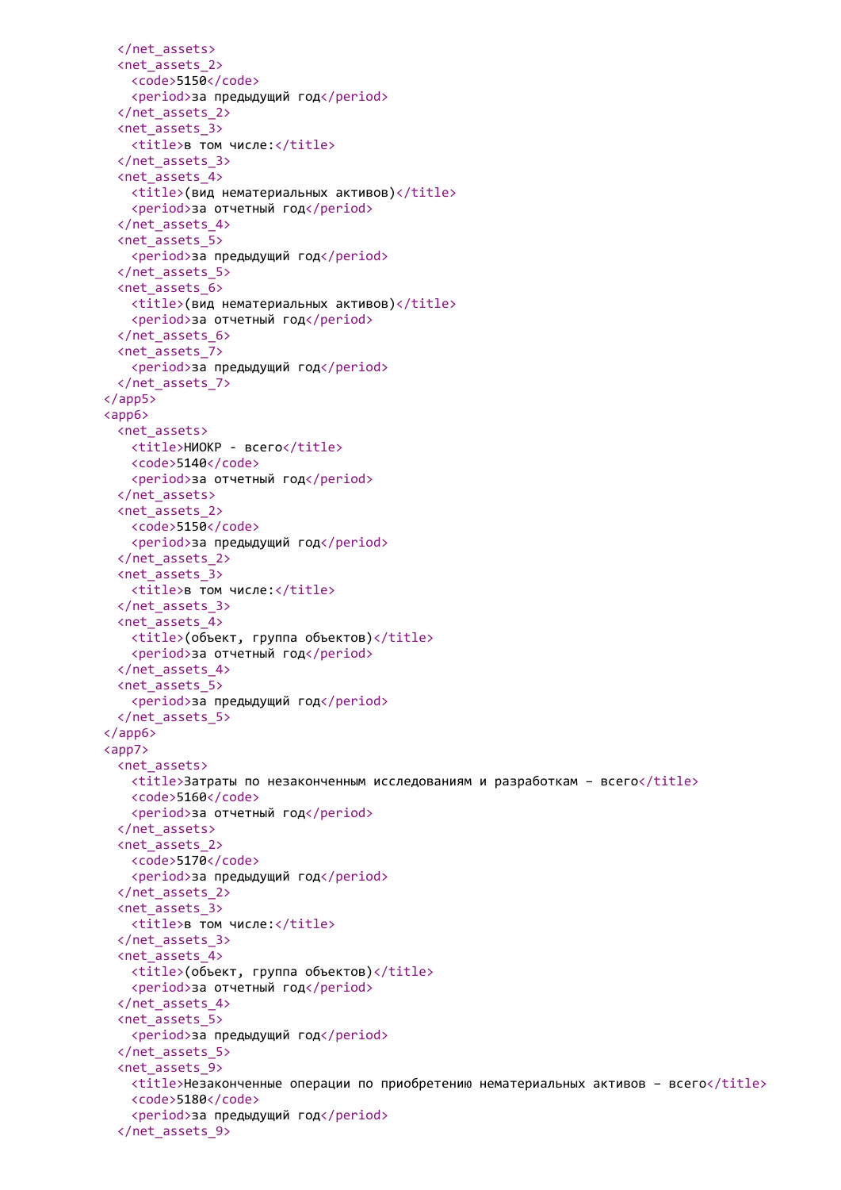```
</net_assets>
 <net_assets_2>
   <code>5150</code>
   <period>за предыдущий год</period>
 </net_assets_2>
 <net_assets_3>
   <title>в том числе:</title>
 </net_assets_3>
 <net_assets_4>
   <title>(вид нематериальных активов)</title>
   <period>за отчетный год</period>
 </net_assets_4>
 <net_assets_5>
   <period>за предыдущий год</period>
 </net_assets_5>
 <net_assets_6>
   <title>(вид нематериальных активов)</title>
   <period>за отчетный год</period>
 </net_assets_6>
 <net_assets_7>
   <period>за предыдущий год</period>
 </net_assets_7>
</app5>
<app6>
 <net_assets>
   <title>НИОКР - всего</title>
   <code>5140</code>
   <period>за отчетный год</period>
 </net_assets>
 <net_assets_2>
   <code>5150</code>
   <period>за предыдущий год</period>
 </net_assets_2>
 <net_assets_3>
   <title>в том числе:</title>
 </net_assets_3>
 <net_assets_4>
   <title>(объект, группа объектов)</title>
   <period>за отчетный год</period>
 </net_assets_4>
 <net_assets_5>
   <period>за предыдущий год</period>
 </net_assets_5>
</app6>
<app7>
 <net_assets>
   <title>Затраты по незаконченным исследованиям и разработкам – всего</title>
   <code>5160</code>
   <period>за отчетный год</period>
 </net_assets>
 <net_assets_2>
   <code>5170</code>
   <period>за предыдущий год</period>
 </net_assets_2>
 <net_assets_3>
   <title>в том числе:</title>
 </net_assets_3>
 <net_assets_4>
   <title>(объект, группа объектов)</title>
   <period>за отчетный год</period>
 </net_assets_4>
 <net_assets_5>
   <period>за предыдущий год</period>
 </net_assets_5>
 <net_assets_9>
   <title>Незаконченные операции по приобретению нематериальных активов – всего</title>
   <code>5180</code>
   <period>за предыдущий год</period>
 </net_assets_9>
```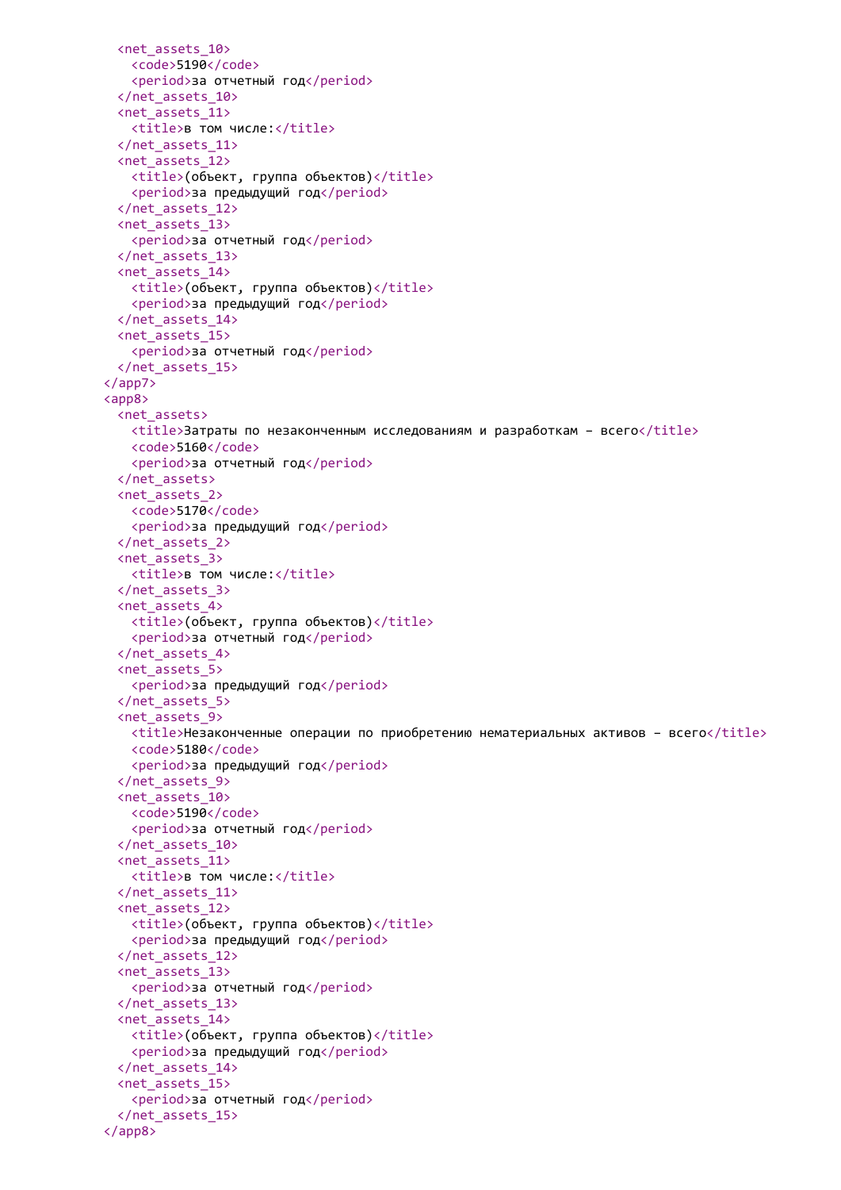```
<net_assets_10>
   <code>5190</code>
   <period>за отчетный год</period>
 </net_assets_10>
 <net_assets_11>
   <title>в том числе:</title>
 </net_assets_11>
 <net_assets_12>
   <title>(объект, группа объектов)</title>
   <period>за предыдущий год</period>
 </net_assets_12>
 <net_assets_13>
   <period>за отчетный год</period>
 </net_assets_13>
 <net_assets_14>
   <title>(объект, группа объектов)</title>
   <period>за предыдущий год</period>
 </net_assets_14>
 <net_assets_15>
   <period>за отчетный год</period>
 </net_assets_15>
</app7>
<app8>
 <net_assets>
   <title>Затраты по незаконченным исследованиям и разработкам – всего</title>
   <code>5160</code>
   <period>за отчетный год</period>
 </net_assets>
 <net_assets_2>
   <code>5170</code>
   <period>за предыдущий год</period>
 </net_assets_2>
 <net_assets_3>
   <title>в том числе:</title>
 </net_assets_3>
 <net_assets_4>
   <title>(объект, группа объектов)</title>
   <period>за отчетный год</period>
 </net_assets_4>
 <net_assets_5>
   <period>за предыдущий год</period>
 </net_assets_5>
 <net_assets_9>
   <title>Незаконченные операции по приобретению нематериальных активов – всего</title>
   <code>5180</code>
   <period>за предыдущий год</period>
 </net_assets_9>
 <net_assets_10>
   <code>5190</code>
   <period>за отчетный год</period>
 </net_assets_10>
 <net_assets_11>
   <title>в том числе:</title>
 </net_assets_11>
 <net_assets_12>
   <title>(объект, группа объектов)</title>
   <period>за предыдущий год</period>
 </net_assets_12>
 <net_assets_13>
   <period>за отчетный год</period>
 </net_assets_13>
 <net_assets_14>
   <title>(объект, группа объектов)</title>
   <period>за предыдущий год</period>
 </net_assets_14>
 <net_assets_15>
   <period>за отчетный год</period>
 </net_assets_15>
</app8>
```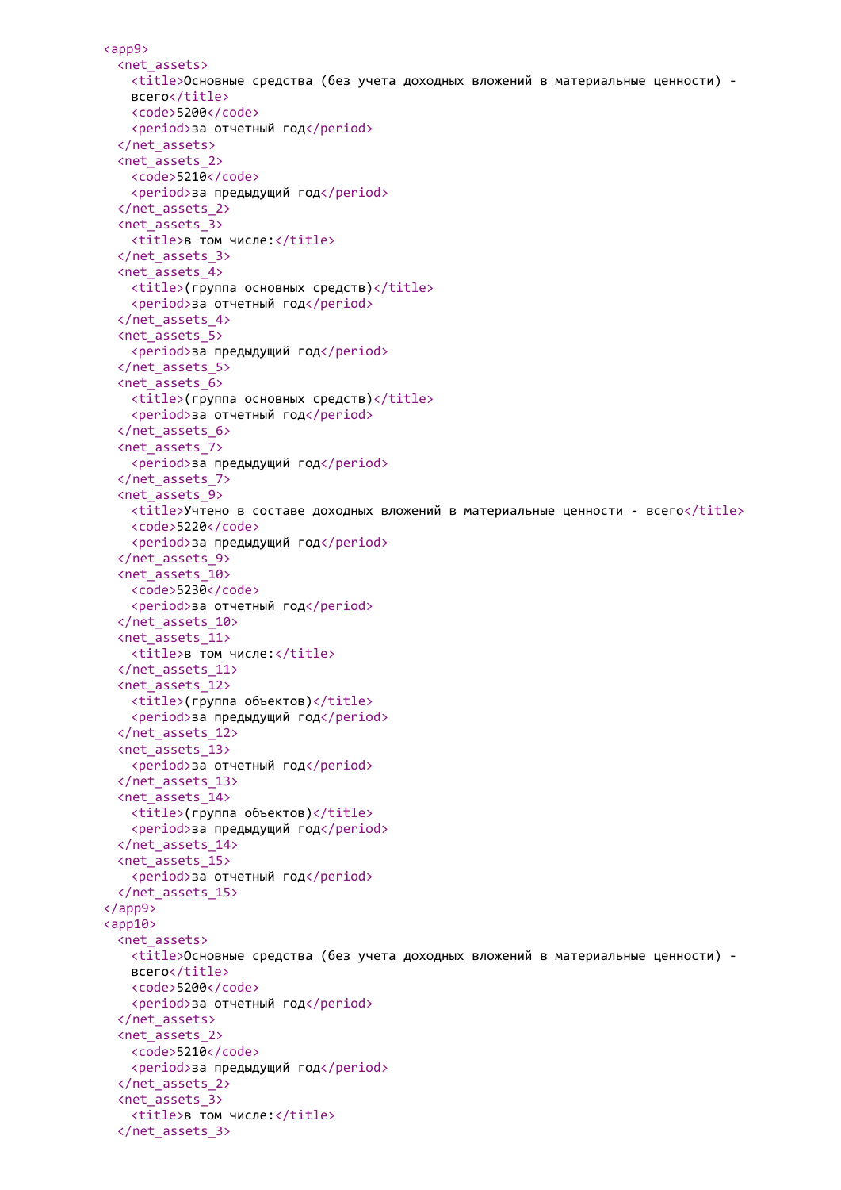```
<app9>
 <net_assets>
   <title>Основные средства (без учета доходных вложений в материальные ценности) -
   всего</title>
   <code>5200</code>
   <period>за отчетный год</period>
 </net_assets>
 <net_assets_2>
   <code>5210</code>
   <period>за предыдущий год</period>
 </net_assets_2>
 <net_assets_3>
   <title>в том числе:</title>
 </net_assets_3>
 <net_assets_4>
   <title>(группа основных средств)</title>
   <period>за отчетный год</period>
 </net_assets_4>
 <net_assets_5>
   <period>за предыдущий год</period>
 </net_assets_5>
 <net_assets_6>
   <title>(группа основных средств)</title>
   <period>за отчетный год</period>
 </net_assets_6>
 <net_assets_7>
   <period>за предыдущий год</period>
 </net_assets_7>
 <net_assets_9>
   <title>Учтено в составе доходных вложений в материальные ценности - всего</title>
   <code>5220</code>
   <period>за предыдущий год</period>
 </net_assets_9>
 <net_assets_10>
   <code>5230</code>
   <period>за отчетный год</period>
 </net_assets_10>
 <net_assets_11>
   <title>в том числе:</title>
 </net_assets_11>
 <net_assets_12>
   <title>(группа объектов)</title>
   <period>за предыдущий год</period>
 </net_assets_12>
 <net_assets_13>
   <period>за отчетный год</period>
 </net_assets_13>
 <net_assets_14>
   <title>(группа объектов)</title>
   <period>за предыдущий год</period>
 </net_assets_14>
 <net_assets_15>
   <period>за отчетный год</period>
 </net_assets_15>
</app9>
<app10>
 <net_assets>
   <title>Основные средства (без учета доходных вложений в материальные ценности) -
   всего</title>
   <code>5200</code>
   <period>за отчетный год</period>
 </net_assets>
 <net_assets_2>
   <code>5210</code>
   <period>за предыдущий год</period>
 </net_assets_2>
 <net_assets_3>
   <title>в том числе:</title>
 </net_assets_3>
```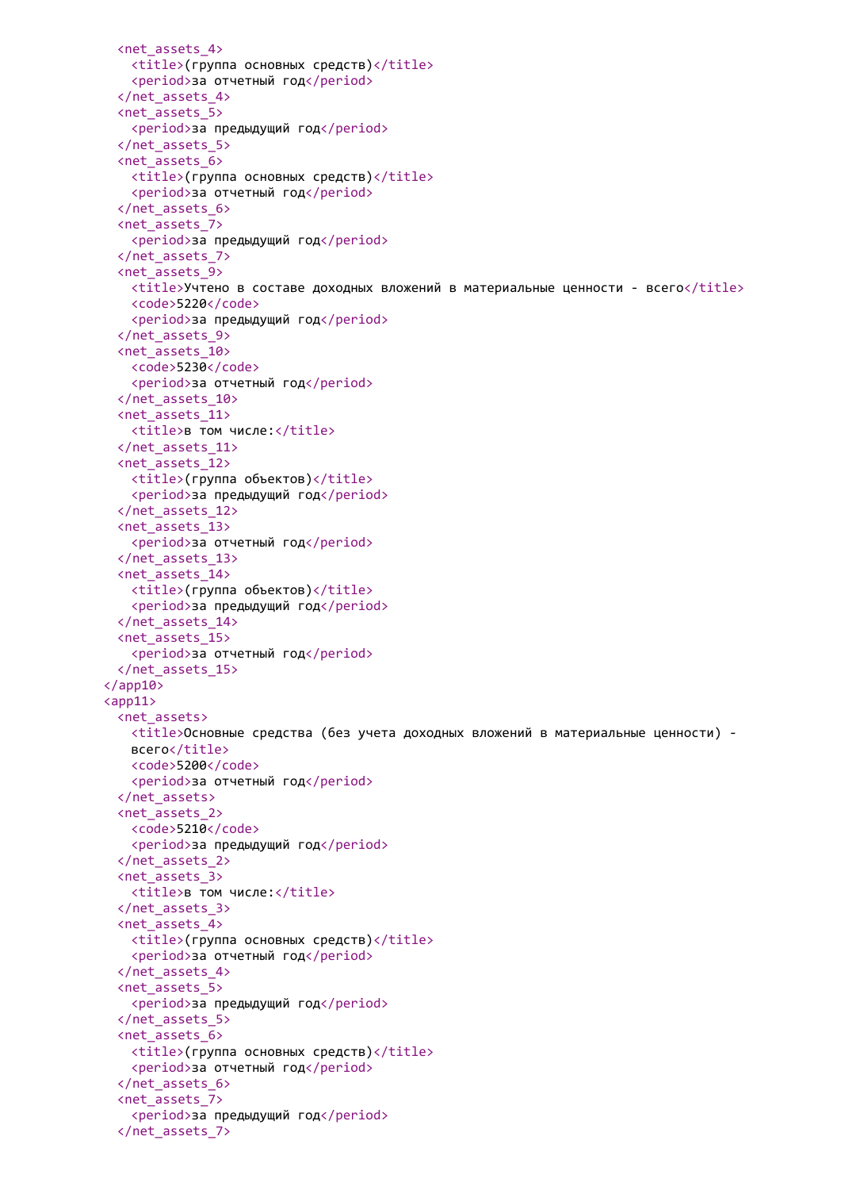```
<net_assets_4>
   <title>(группа основных средств)</title>
   <period>за отчетный год</period>
 </net_assets_4>
 <net_assets_5>
   <period>за предыдущий год</period>
 </net_assets_5>
 <net_assets_6>
   <title>(группа основных средств)</title>
   <period>за отчетный год</period>
 </net_assets_6>
 <net_assets_7>
   <period>за предыдущий год</period>
 </net_assets_7>
 <net_assets_9>
   <title>Учтено в составе доходных вложений в материальные ценности - всего</title>
   <code>5220</code>
   <period>за предыдущий год</period>
 </net_assets_9>
 <net_assets_10>
   <code>5230</code>
   <period>за отчетный год</period>
 </net_assets_10>
 <net_assets_11>
   <title>в том числе:</title>
 </net_assets_11>
 <net_assets_12>
   <title>(группа объектов)</title>
   <period>за предыдущий год</period>
 </net_assets_12>
 <net_assets_13>
   <period>за отчетный год</period>
 </net_assets_13>
 <net_assets_14>
   <title>(группа объектов)</title>
   <period>за предыдущий год</period>
 </net_assets_14>
 <net_assets_15>
   <period>за отчетный год</period>
 </net_assets_15>
\langle / app10>
<app11>
 <net_assets>
   <title>Основные средства (без учета доходных вложений в материальные ценности) -
   всего</title>
   <code>5200</code>
   <period>за отчетный год</period>
 </net_assets>
 <net_assets_2>
   <code>5210</code>
   <period>за предыдущий год</period>
 </net_assets_2>
 <net_assets_3>
   <title>в том числе:</title>
 </net_assets_3>
 <net_assets_4>
   <title>(группа основных средств)</title>
   <period>за отчетный год</period>
 </net_assets_4>
 <net_assets_5>
   <period>за предыдущий год</period>
 </net_assets_5>
 <net_assets_6>
   <title>(группа основных средств)</title>
   <period>за отчетный год</period>
 </net_assets_6>
 <net_assets_7>
   <period>за предыдущий год</period>
 </net_assets_7>
```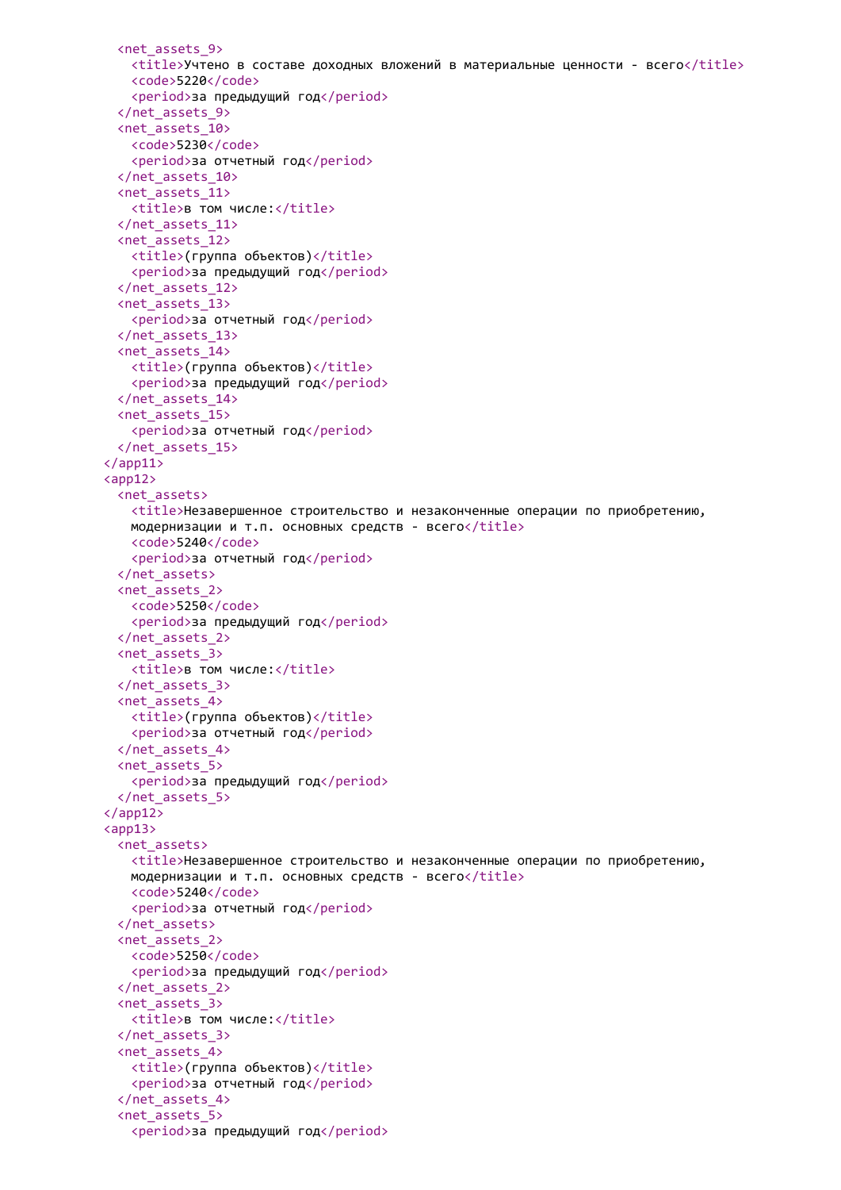```
<net_assets_9>
   <title>Учтено в составе доходных вложений в материальные ценности - всего</title>
   <code>5220</code>
   <period>за предыдущий год</period>
 </net_assets_9>
 <net_assets_10>
   <code>5230</code>
   <period>за отчетный год</period>
 </net_assets_10>
 <net_assets_11>
   <title>в том числе:</title>
 </net_assets_11>
 <net_assets_12>
   <title>(группа объектов)</title>
   <period>за предыдущий год</period>
 </net_assets_12>
 <net_assets_13>
   <period>за отчетный год</period>
 </net_assets_13>
 <net_assets_14>
   <title>(группа объектов)</title>
   <period>за предыдущий год</period>
 </net_assets_14>
 <net_assets_15>
   <period>за отчетный год</period>
 </net_assets_15>
\langle app11>
<app12>
 <net assets>
   <title>Незавершенное строительство и незаконченные операции по приобретению,
   модернизации и т.п. основных средств - всего</title>
   <code>5240</code>
   <period>за отчетный год</period>
 </net_assets>
 <net_assets_2>
   <code>5250</code>
   <period>за предыдущий год</period>
 </net_assets_2>
 <net_assets_3>
   <title>в том числе:</title>
 </net_assets_3>
 <net_assets_4>
   <title>(группа объектов)</title>
   <period>за отчетный год</period>
 </net_assets_4>
 <net_assets_5>
   <period>за предыдущий год</period>
 </net_assets_5>
</app12>
<app13>
 <net_assets>
   <title>Незавершенное строительство и незаконченные операции по приобретению,
   модернизации и т.п. основных средств - всего\langletitle>
   <code>5240</code>
   <period>за отчетный год</period>
 </net_assets>
 <net_assets_2>
   <code>5250</code>
   <period>за предыдущий год</period>
 </net_assets_2>
 <net_assets_3>
   <title>в том числе:</title>
 </net_assets_3>
 <net_assets_4>
   <title>(группа объектов)</title>
   <period>за отчетный год</period>
 </net_assets_4>
 <net_assets_5>
   <period>за предыдущий год</period>
```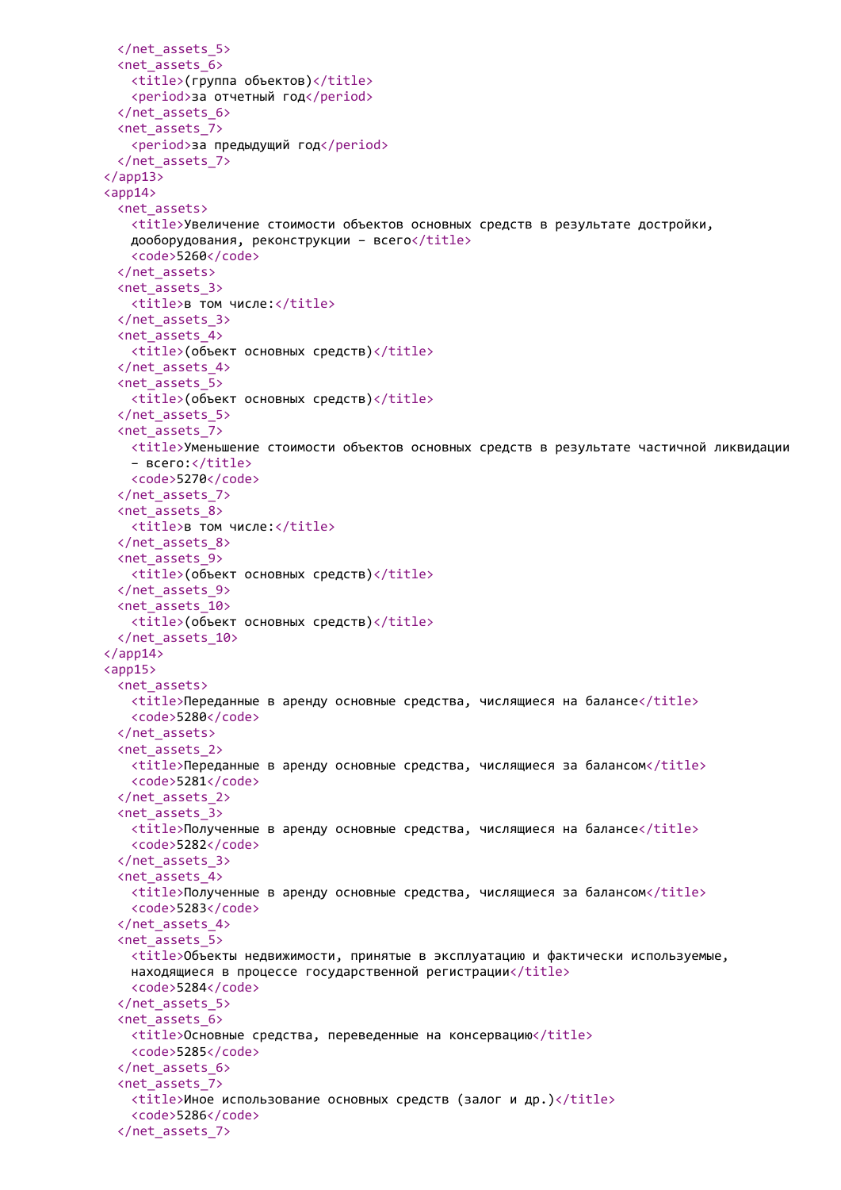```
</net_assets_5>
 <net_assets_6>
   <title>(группа объектов)</title>
   <period>за отчетный год</period>
 </net_assets_6>
 <net_assets_7>
   <period>за предыдущий год</period>
 </net_assets_7>
</app13>
<app14>
 <net_assets>
   <title>Увеличение стоимости объектов основных средств в результате достройки,
   дооборудования, реконструкции - всего</title>
   <code>5260</code>
 </net_assets>
 <net_assets_3>
   <title>в том числе:</title>
 </net_assets_3>
 <net_assets_4>
   <title>(объект основных средств)</title>
 </net_assets_4>
 <net_assets_5>
   <title>(объект основных средств)</title>
 </net_assets_5>
 <net_assets_7>
   <title>Уменьшение стоимости объектов основных средств в результате частичной ликвидации
   – всего:</title>
   <code>5270</code>
 </net_assets_7>
 <net_assets_8>
   <title>в том числе:</title>
 </net_assets_8>
 <net_assets_9>
   <title>(объект основных средств)</title>
 </net_assets_9>
 <net_assets_10>
   <title>(объект основных средств)</title>
 </net_assets_10>
</app14>
<app15>
 <net_assets>
   <title>Переданные в аренду основные средства, числящиеся на балансе</title>
   <code>5280</code>
 </net_assets>
 <net_assets_2>
   <title>Переданные в аренду основные средства, числящиеся за балансом</title>
   <code>5281</code>
 </net_assets_2>
 <net_assets_3>
   <title>Полученные в аренду основные средства, числящиеся на балансе</title>
   <code>5282</code>
 </net_assets_3>
 <net_assets_4>
   <title>Полученные в аренду основные средства, числящиеся за балансом</title>
   <code>5283</code>
 </net_assets_4>
 <net_assets_5>
   <title>Объекты недвижимости, принятые в эксплуатацию и фактически используемые,
   находящиеся в процессе государственной регистрации</title>
   <code>5284</code>
 </net_assets_5>
 <net_assets_6>
   <title>Основные средства, переведенные на консервацию</title>
   <code>5285</code>
 </net_assets_6>
 <net_assets_7>
   <title>Иное использование основных средств (залог и др.)</title>
   <code>5286</code>
 </net_assets_7>
```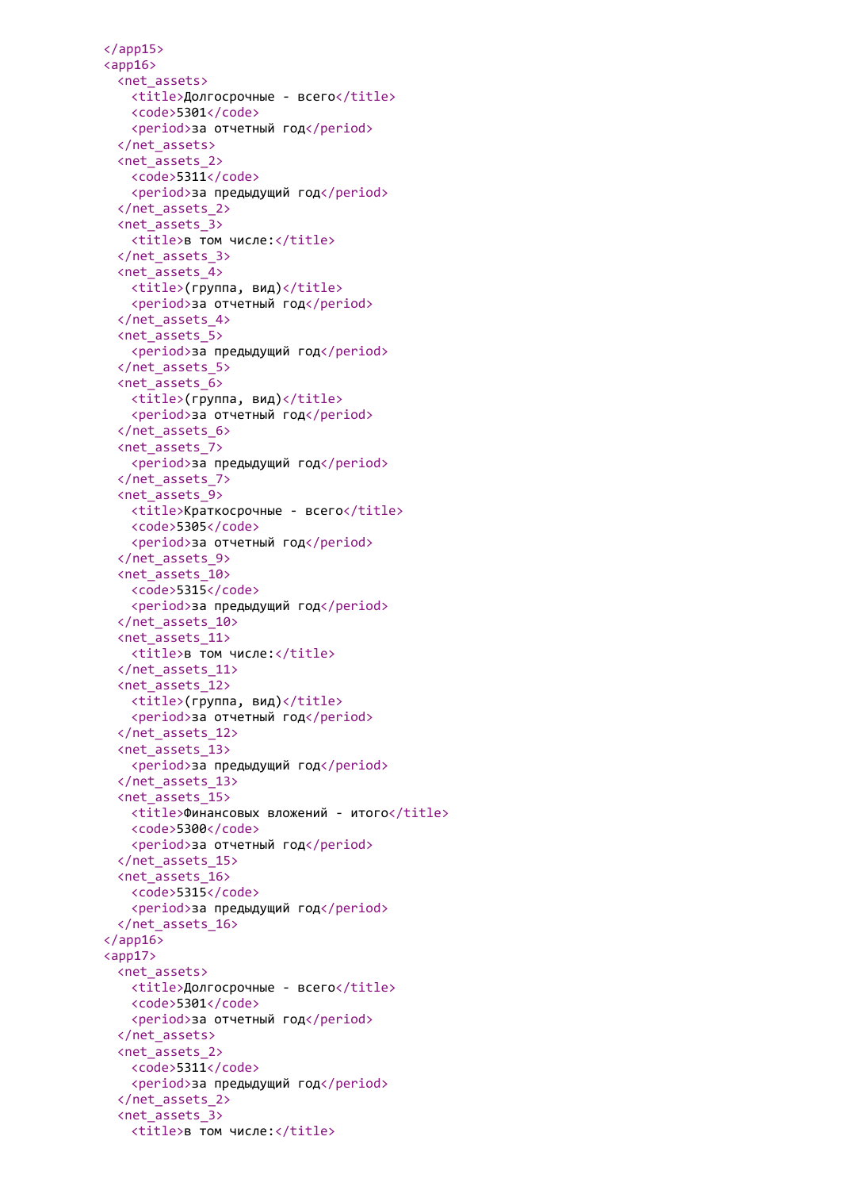```
</app15>
<app16>
 <net_assets>
   <title>Долгосрочные - всего</title>
   <code>5301</code>
   <period>за отчетный год</period>
 </net_assets>
 <net_assets_2>
   <code>5311</code>
   <period>за предыдущий год</period>
 </net_assets_2>
 <net_assets_3>
   <title>в том числе:</title>
 </net_assets_3>
 <net_assets_4>
   <title>(группа, вид)</title>
   <period>за отчетный год</period>
 </net_assets_4>
 <net_assets_5>
   <period>за предыдущий год</period>
 </net_assets_5>
 <net_assets_6>
   <title>(группа, вид)</title>
   <period>за отчетный год</period>
 </net_assets_6>
 <net_assets_7>
   <period>за предыдущий год</period>
 </net_assets_7>
 <net_assets_9>
   <title>Краткосрочные - всего</title>
   <code>5305</code>
   <period>за отчетный год</period>
 </net_assets_9>
 <net_assets_10>
   <code>5315</code>
   <period>за предыдущий год</period>
 </net_assets_10>
 <net_assets_11>
   <title>в том числе:</title>
 </net_assets_11>
 <net_assets_12>
   <title>(группа, вид)</title>
   <period>за отчетный год</period>
 </net_assets_12>
 <net_assets_13>
   <period>за предыдущий год</period>
 </net_assets_13>
 <net_assets_15>
   <title>Финансовых вложений - итого</title>
   <code>5300</code>
   <period>за отчетный год</period>
 </net_assets_15>
 <net_assets_16>
   <code>5315</code>
   <period>за предыдущий год</period>
 </net_assets_16>
</app16>
<app17>
 <net_assets>
   <title>Долгосрочные - всего</title>
   <code>5301</code>
   <period>за отчетный год</period>
 </net_assets>
 <net_assets_2>
   <code>5311</code>
   <period>за предыдущий год</period>
 </net_assets_2>
 <net_assets_3>
   <title>в том числе:</title>
```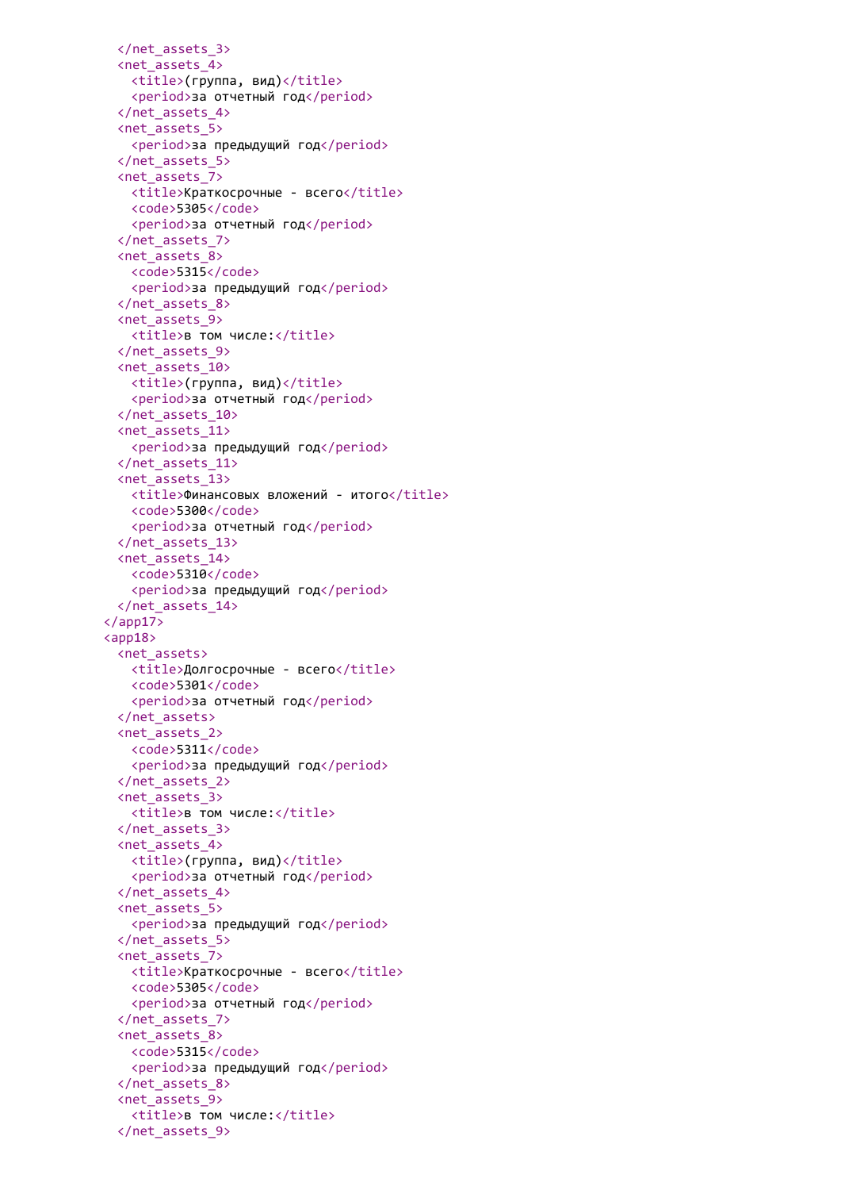```
</net_assets_3>
 <net_assets_4>
   <title>(группа, вид)</title>
   <period>за отчетный год</period>
 </net_assets_4>
 <net_assets_5>
   <period>за предыдущий год</period>
 </net_assets_5>
 <net_assets_7>
   <title>Краткосрочные - всего</title>
   <code>5305</code>
   <period>за отчетный год</period>
 </net_assets_7>
 <net_assets_8>
   <code>5315</code>
   <period>за предыдущий год</period>
 </net_assets_8>
 <net_assets_9>
   <title>в том числе:</title>
 </net_assets_9>
 <net_assets_10>
   <title>(группа, вид)</title>
   <period>за отчетный год</period>
 </net_assets_10>
 <net_assets_11>
   <period>за предыдущий год</period>
 </net_assets_11>
 <net_assets_13>
   <title>Финансовых вложений - итого</title>
   <code>5300</code>
   <period>за отчетный год</period>
 </net_assets_13>
 <net_assets_14>
   <code>5310</code>
   <period>за предыдущий год</period>
 </net_assets_14>
</app17>
<app18>
 <net_assets>
   <title>Долгосрочные - всего</title>
   <code>5301</code>
   <period>за отчетный год</period>
 </net_assets>
 <net_assets_2>
   <code>5311</code>
   <period>за предыдущий год</period>
 </net_assets_2>
 <net_assets_3>
   <title>в том числе:</title>
 </net_assets_3>
 <net_assets_4>
   <title>(группа, вид)</title>
   <period>за отчетный год</period>
 </net_assets_4>
 <net_assets_5>
   <period>за предыдущий год</period>
 </net_assets_5>
 <net_assets_7>
   <title>Краткосрочные - всего</title>
   <code>5305</code>
   <period>за отчетный год</period>
 </net_assets_7>
 <net_assets_8>
   <code>5315</code>
   <period>за предыдущий год</period>
 </net_assets_8>
 <net_assets_9>
   <title>в том числе:</title>
 </net_assets_9>
```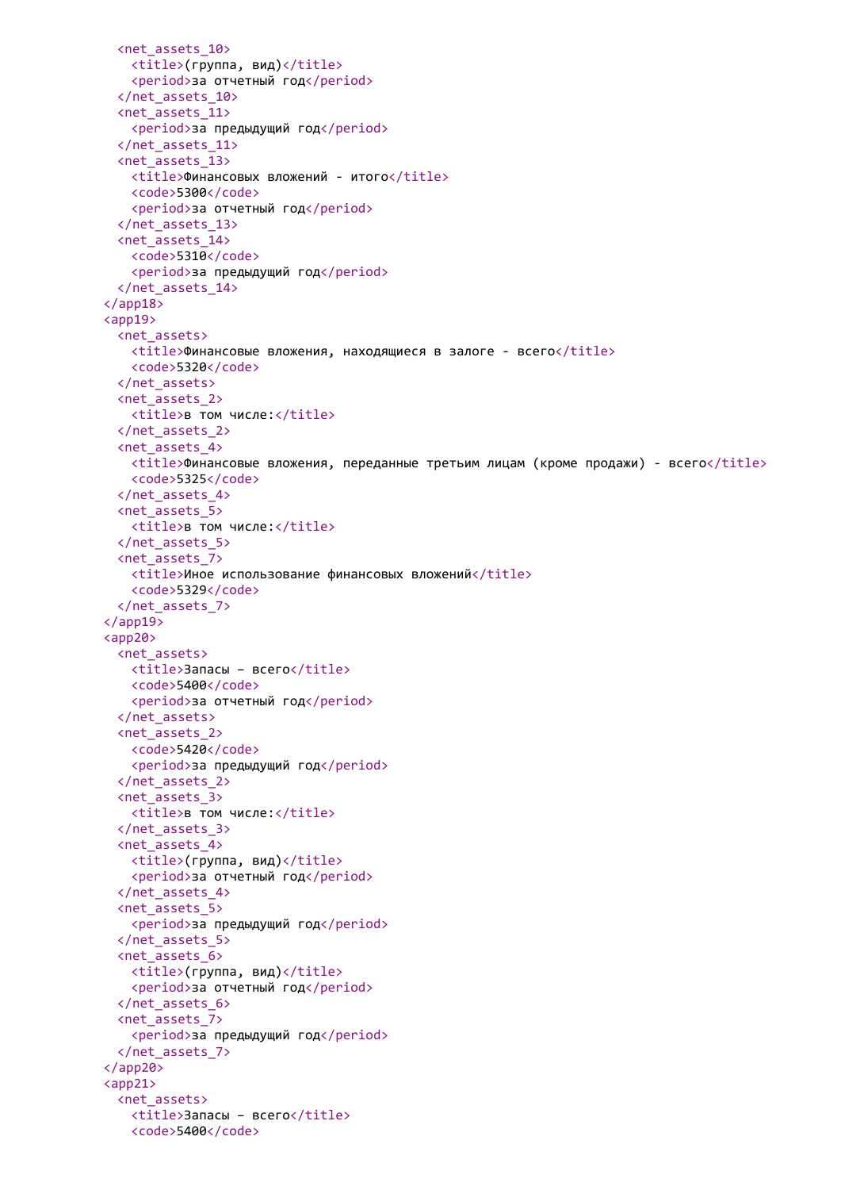```
<net_assets_10>
   <title>(группа, вид)</title>
   <period>за отчетный год</period>
 </net_assets_10>
 <net_assets_11>
   <period>за предыдущий год</period>
 </net_assets_11>
 <net_assets_13>
   <title>Финансовых вложений - итого</title>
   <code>5300</code>
   <period>за отчетный год</period>
 </net_assets_13>
 <net_assets_14>
   <code>5310</code>
   <period>за предыдущий год</period>
 </net_assets_14>
</app18>
<app19>
 <net_assets>
   <title>Финансовые вложения, находящиеся в залоге - всего</title>
   <code>5320</code>
 </net_assets>
 <net_assets_2>
   <title>в том числе:</title>
 </net_assets_2>
 <net_assets_4>
   <title>Финансовые вложения, переданные третьим лицам (кроме продажи) - всего</title>
   <code>5325</code>
 </net_assets_4>
 <net_assets_5>
   <title>в том числе:</title>
 </net_assets_5>
 <net_assets_7>
   <title>Иное использование финансовых вложений</title>
   <code>5329</code>
 </net_assets_7>
</app19>
<app20>
 <net_assets>
   <title>Запасы – всего</title>
   <code>5400</code>
   <period>за отчетный год</period>
 </net_assets>
 <net_assets_2>
   <code>5420</code>
   <period>за предыдущий год</period>
 </net_assets_2>
 <net_assets_3>
   <title>в том числе:</title>
 </net_assets_3>
 <net_assets_4>
   <title>(группа, вид)</title>
   <period>за отчетный год</period>
 </net_assets_4>
 <net_assets_5>
   <period>за предыдущий год</period>
 </net_assets_5>
 <net_assets_6>
   <title>(группа, вид)</title>
   <period>за отчетный год</period>
 </net_assets_6>
 <net_assets_7>
   <period>за предыдущий год</period>
 </net_assets_7>
</app20>
<app21>
 <net_assets>
   <title>Запасы - всего</title>
   <code>5400</code>
```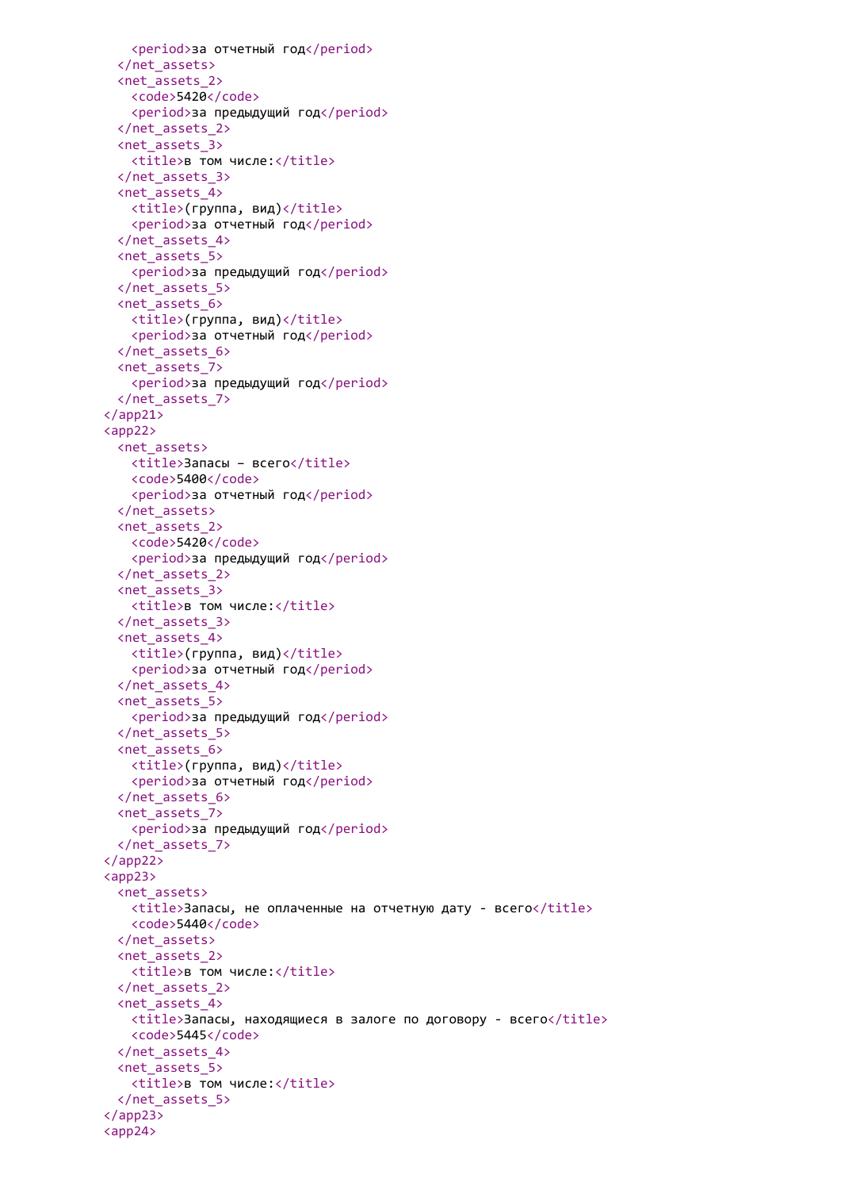```
<period>за отчетный год</period>
 </net_assets>
 <net_assets_2>
   <code>5420</code>
   <period>за предыдущий год</period>
 </net_assets_2>
 <net_assets_3>
   <title>в том числе:</title>
 </net_assets_3>
 <net_assets_4>
   <title>(группа, вид)</title>
   <period>за отчетный год</period>
 </net_assets_4>
 <net_assets_5>
   <period>за предыдущий год</period>
 </net_assets_5>
 <net_assets_6>
   \langle \text{title} \rangle(группа, вид)</title>
   <period>за отчетный год</period>
 </net_assets_6>
 <net_assets_7>
   <period>за предыдущий год</period>
 </net_assets_7>
</app21>
<app22>
 <net_assets>
   <title>Запасы - всего</title>
   <code>5400</code>
   <period>за отчетный год</period>
 </net_assets>
 <net_assets_2>
   <code>5420</code>
   <period>за предыдущий год</period>
 </net_assets_2>
 <net_assets_3>
   <title>в том числе:</title>
 </net_assets_3>
 <net_assets_4>
   <title>(группа, вид)</title>
   <period>за отчетный год</period>
 </net_assets_4>
 <net_assets_5>
   <period>за предыдущий год</period>
 </net_assets_5>
 <net_assets_6>
   \langletitle>(группа, вид)</title>
   <period>за отчетный год</period>
 </net_assets_6>
 <net_assets_7>
   <period>за предыдущий год</period>
 </net_assets_7>
</app22>
<app23>
 <net_assets>
   <title>Запасы, не оплаченные на отчетную дату - всего</title>
   <code>5440</code>
 </net_assets>
 <net_assets_2>
   <title>в том числе:</title>
 </net_assets_2>
 <net_assets_4>
   <title>Запасы, находящиеся в залоге по договору - всего</title>
   <code>5445</code>
 </net_assets_4>
 <net_assets_5>
   <title>в том числе:</title>
 </net_assets_5>
</app23>
<app24>
```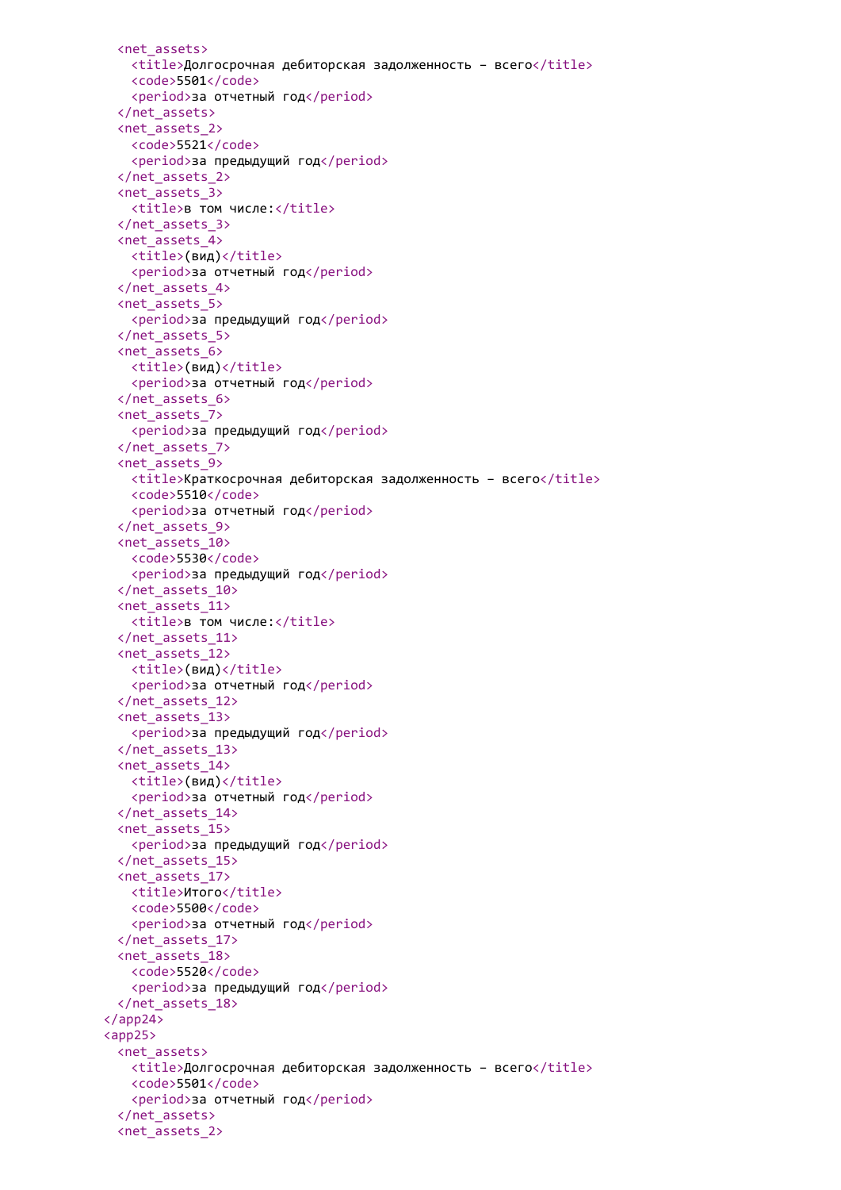```
<net_assets>
   <title>Долгосрочная дебиторская задолженность – всего</title>
   <code>5501</code>
   <period>за отчетный год</period>
 </net_assets>
 <net_assets_2>
   <code>5521</code>
   <period>за предыдущий год</period>
 </net_assets_2>
 <net_assets_3>
   <title>в том числе:</title>
 </net_assets_3>
 <net_assets_4>
   <title>(вид)</title>
   <period>за отчетный год</period>
 </net_assets_4>
 <net_assets_5>
   <period>за предыдущий год</period>
 </net_assets_5>
 <net_assets_6>
   <title>(вид)</title>
   <period>за отчетный год</period>
 </net_assets_6>
 <net_assets_7>
   <period>за предыдущий год</period>
 </net_assets_7>
 <net_assets_9>
   <title>Краткосрочная дебиторская задолженность – всего</title>
   <code>5510</code>
   <period>за отчетный год</period>
 </net_assets_9>
 <net_assets_10>
   <code>5530</code>
   <period>за предыдущий год</period>
 </net_assets_10>
 <net_assets_11>
   <title>в том числе:</title>
 </net_assets_11>
 <net_assets_12>
   <title>(вид)</title>
   <period>за отчетный год</period>
 </net_assets_12>
 <net_assets_13>
   <period>за предыдущий год</period>
 </net_assets_13>
 <net_assets_14>
   <title>(вид)</title>
   <period>за отчетный год</period>
 </net_assets_14>
 <net_assets_15>
   <period>за предыдущий год</period>
 </net_assets_15>
 <net_assets_17>
   <title>Итого</title>
   <code>5500</code>
   <period>за отчетный год</period>
 </net_assets_17>
 <net_assets_18>
   <code>5520</code>
   <period>за предыдущий год</period>
 </net_assets_18>
</app24>
<app25>
 <net_assets>
   <title>Долгосрочная дебиторская задолженность – всего</title>
   <code>5501</code>
   <period>за отчетный год</period>
 </net_assets>
 <net_assets_2>
```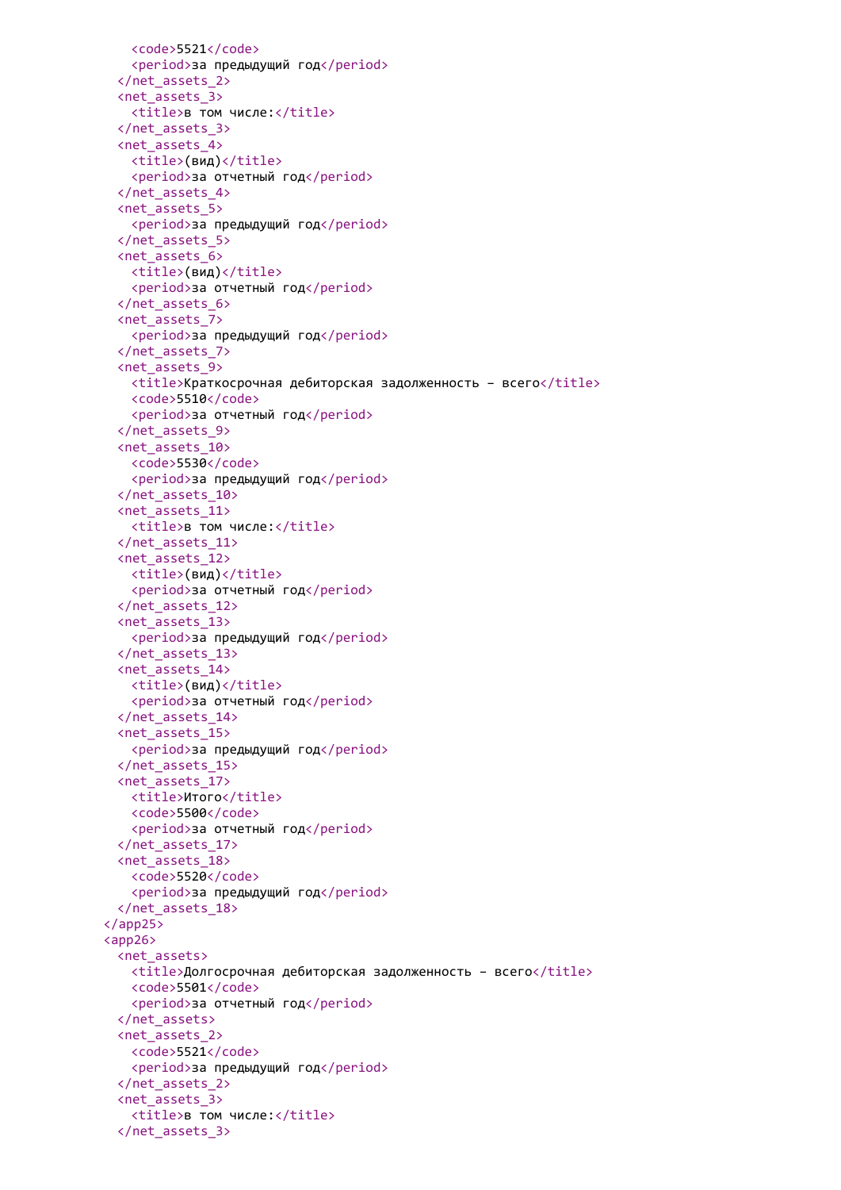```
<code>5521</code>
   <period>за предыдущий год</period>
 </net_assets_2>
 <net_assets_3>
   <title>в том числе:</title>
 </net_assets_3>
 <net_assets_4>
   <title>(вид)</title>
   <period>за отчетный год</period>
 </net_assets_4>
 <net_assets_5>
   <period>за предыдущий год</period>
 </net_assets_5>
 <net_assets_6>
   <title>(вид)</title>
   <period>за отчетный год</period>
 </net_assets_6>
 <net_assets_7>
   <period>за предыдущий год</period>
 </net_assets_7>
 <net_assets_9>
   <title>Краткосрочная дебиторская задолженность – всего</title>
   <code>5510</code>
   <period>за отчетный год</period>
 </net_assets_9>
 <net_assets_10>
   <code>5530</code>
   <period>за предыдущий год</period>
 </net_assets_10>
 <net_assets_11>
   <title>в том числе:</title>
 </net_assets_11>
 <net_assets_12>
   <title>(вид)</title>
   <period>за отчетный год</period>
 </net_assets_12>
 <net_assets_13>
   <period>за предыдущий год</period>
 </net_assets_13>
 <net_assets_14>
   <title>(вид)</title>
   <period>за отчетный год</period>
 </net_assets_14>
 <net_assets_15>
   <period>за предыдущий год</period>
 </net_assets_15>
 <net_assets_17>
   <title>Итого</title>
   <code>5500</code>
   <period>за отчетный год</period>
 </net_assets_17>
 <net_assets_18>
   <code>5520</code>
   <period>за предыдущий год</period>
 </net_assets_18>
</app25>
<app26>
 <net_assets>
   <title>Долгосрочная дебиторская задолженность – всего</title>
   <code>5501</code>
   <period>за отчетный год</period>
 </net_assets>
 <net_assets_2>
   <code>5521</code>
   <period>за предыдущий год</period>
 </net_assets_2>
 <net_assets_3>
   <title>в том числе:</title>
 </net_assets_3>
```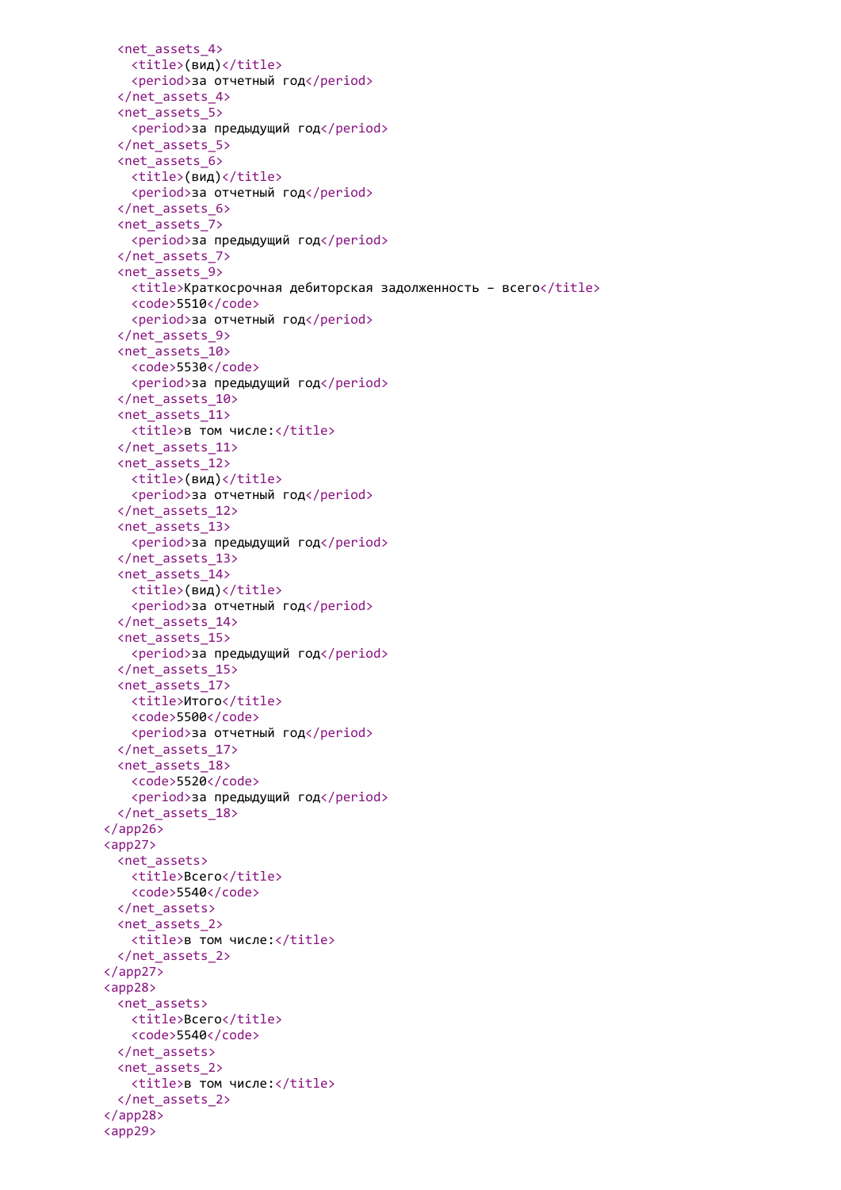```
<net_assets_4>
   <title>(вид)</title>
   <period>за отчетный год</period>
 </net_assets_4>
 <net_assets_5>
   <period>за предыдущий год</period>
 </net_assets_5>
 <net_assets_6>
   <title>(вид)</title>
   <period>за отчетный год</period>
 </net_assets_6>
 <net_assets_7>
   <period>за предыдущий год</period>
 </net_assets_7>
 <net_assets_9>
   <title>Краткосрочная дебиторская задолженность – всего</title>
   <code>5510</code>
   <period>за отчетный год</period>
 </net_assets_9>
 <net_assets_10>
   <code>5530</code>
   <period>за предыдущий год</period>
 </net_assets_10>
 <net_assets_11>
   <title>в том числе:</title>
 </net_assets_11>
 <net_assets_12>
   <title>(вид)</title>
   <period>за отчетный год</period>
 </net_assets_12>
 <net_assets_13>
   <period>за предыдущий год</period>
 </net_assets_13>
 <net_assets_14>
   <title>(вид)</title>
   <period>за отчетный год</period>
 </net_assets_14>
 <net_assets_15>
   <period>за предыдущий год</period>
 </net_assets_15>
 <net_assets_17>
   <title>Итого</title>
   <code>5500</code>
   <period>за отчетный год</period>
 </net_assets_17>
 <net_assets_18>
   <code>5520</code>
   <period>за предыдущий год</period>
 </net_assets_18>
</app26>
<app27>
 <net_assets>
   <title>Всего</title>
   <code>5540</code>
 </net_assets>
 <net_assets_2>
   <title>в том числе:</title>
 </net_assets_2>
</app27>
<app28>
 <net_assets>
   <title>Всего</title>
   <code>5540</code>
 </net_assets>
 <net_assets_2>
   <title>в том числе:</title>
 </net_assets_2>
</app28>
<app29>
```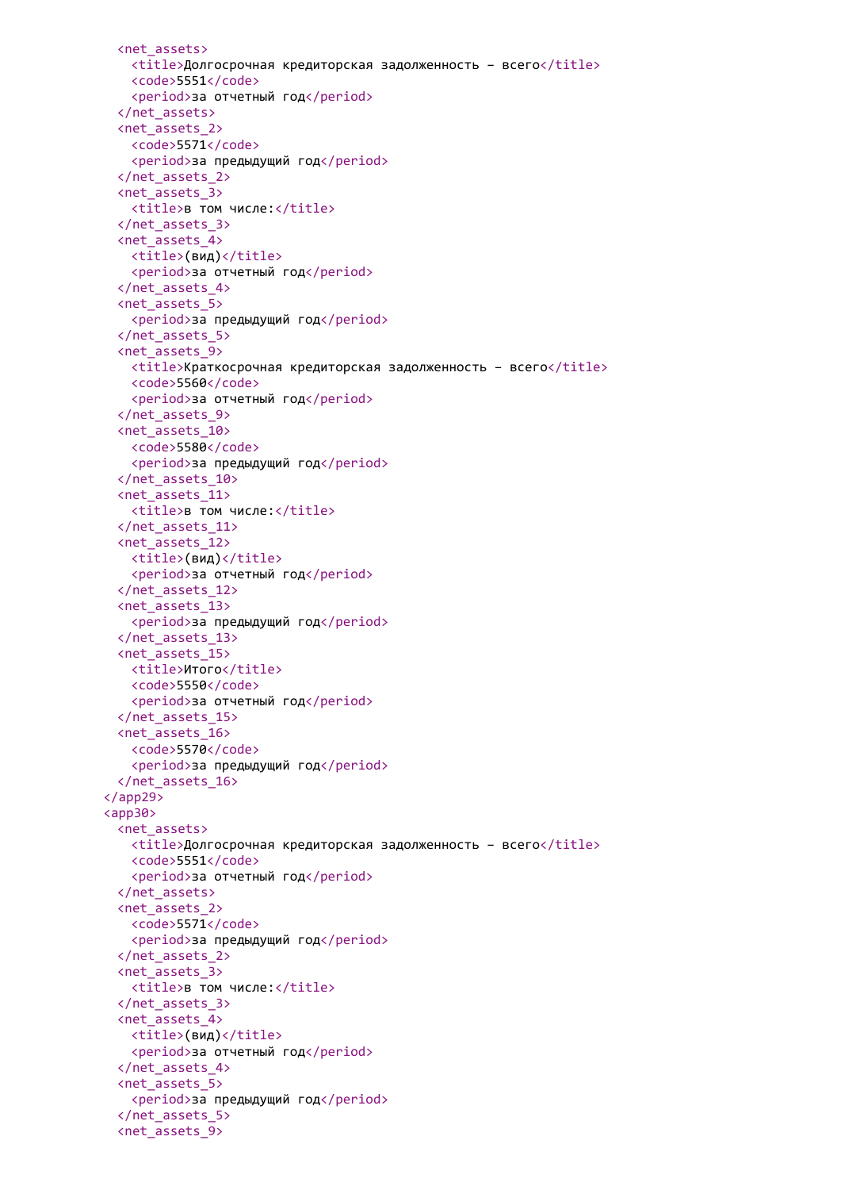```
<net_assets>
   <title>Долгосрочная кредиторская задолженность – всего</title>
   <code>5551</code>
   <period>за отчетный год</period>
 </net_assets>
 <net_assets_2>
   <code>5571</code>
   <period>за предыдущий год</period>
 </net_assets_2>
 <net_assets_3>
   <title>в том числе:</title>
 </net_assets_3>
 <net_assets_4>
   <title>(вид)</title>
   <period>за отчетный год</period>
 </net_assets_4>
 <net_assets_5>
   <period>за предыдущий год</period>
 </net_assets_5>
 <net_assets_9>
   <title>Краткосрочная кредиторская задолженность – всего</title>
   <code>5560</code>
   <period>за отчетный год</period>
 </net_assets_9>
 <net_assets_10>
   <code>5580</code>
   <period>за предыдущий год</period>
 </net_assets_10>
 <net_assets_11>
   <title>в том числе:</title>
 </net_assets_11>
 <net_assets_12>
   <title>(вид)</title>
   <period>за отчетный год</period>
 </net_assets_12>
 <net_assets_13>
   <period>за предыдущий год</period>
 </net_assets_13>
 <net_assets_15>
   <title>Итого</title>
   <code>5550</code>
   <period>за отчетный год</period>
 </net_assets_15>
 <net_assets_16>
   <code>5570</code>
   <period>за предыдущий год</period>
 </net_assets_16>
</app29>
<app30>
 <net_assets>
   \langletitle>Долгосрочная кредиторская задолженность – всего</title>
   <code>5551</code>
   <period>за отчетный год</period>
 </net_assets>
 <net_assets_2>
   <code>5571</code>
   <period>за предыдущий год</period>
 </net_assets_2>
 <net_assets_3>
   <title>в том числе:</title>
 </net_assets_3>
 <net_assets_4>
   <title>(вид)</title>
   <period>за отчетный год</period>
 </net_assets_4>
 <net_assets_5>
   <period>за предыдущий год</period>
 </net_assets_5>
 <net_assets_9>
```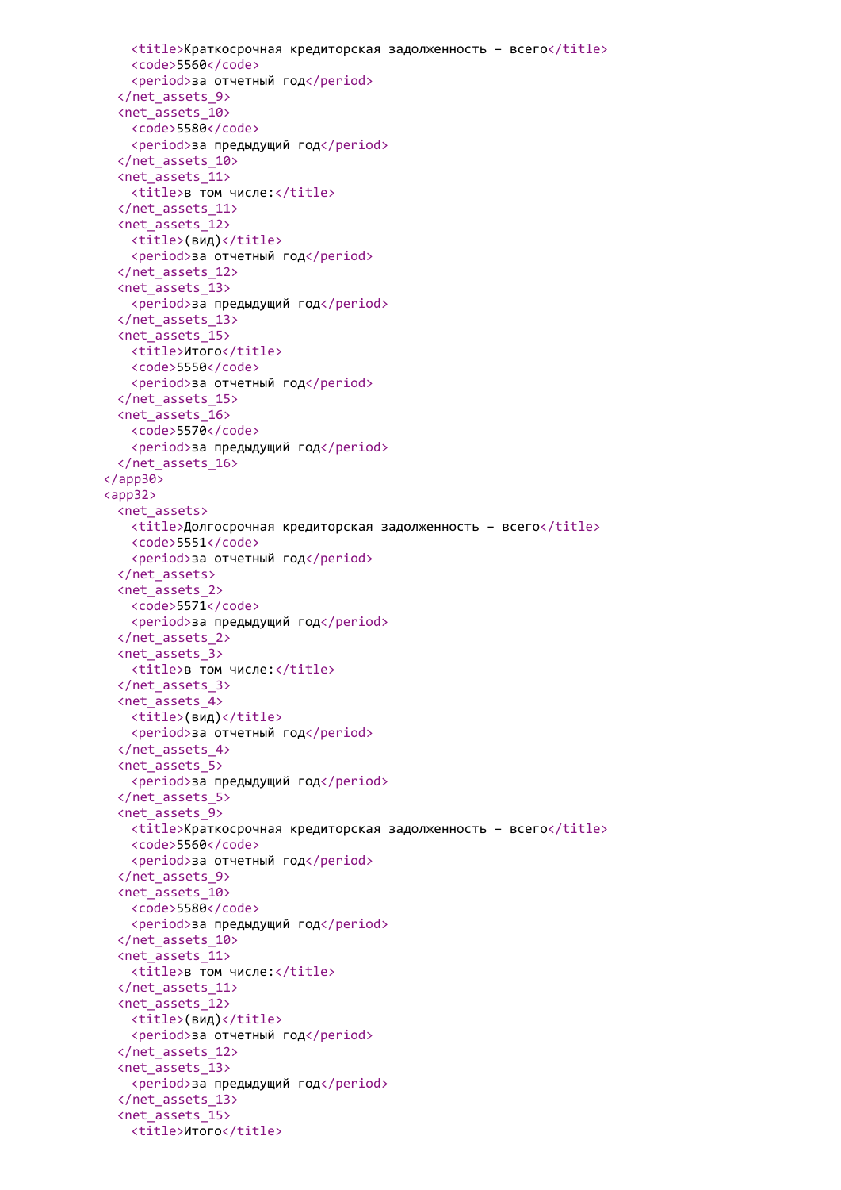```
<title>Краткосрочная кредиторская задолженность – всего</title>
   <code>5560</code>
   <period>за отчетный год</period>
 </net_assets_9>
 <net_assets_10>
   <code>5580</code>
   <period>за предыдущий год</period>
 </net_assets_10>
 <net_assets_11>
   <title>в том числе:</title>
 </net_assets_11>
 <net_assets_12>
   <title>(вид)</title>
   <period>за отчетный год</period>
 </net_assets_12>
 <net_assets_13>
   <period>за предыдущий год</period>
 </net_assets_13>
 <net_assets_15>
   <title>Итого</title>
   <code>5550</code>
   <period>за отчетный год</period>
 </net_assets_15>
 <net_assets_16>
   <code>5570</code>
   <period>за предыдущий год</period>
 </net_assets_16>
</app30>
<app32>
 <net_assets>
   <title>Долгосрочная кредиторская задолженность – всего</title>
   <code>5551</code>
   <period>за отчетный год</period>
 </net_assets>
 <net_assets_2>
   <code>5571</code>
   <period>за предыдущий год</period>
 </net_assets_2>
 <net_assets_3>
   <title>в том числе:</title>
 </net_assets_3>
 <net_assets_4>
   <title>(вид)</title>
   <period>за отчетный год</period>
 </net_assets_4>
 <net_assets_5>
   <period>за предыдущий год</period>
 </net_assets_5>
 <net_assets_9>
   <title>Краткосрочная кредиторская задолженность – всего</title>
   <code>5560</code>
   <period>за отчетный год</period>
 </net_assets_9>
 <net_assets_10>
   <code>5580</code>
   <period>за предыдущий год</period>
 </net_assets_10>
 <net_assets_11>
   <title>в том числе:</title>
 </net_assets_11>
 <net_assets_12>
   <title>(вид)</title>
   <period>за отчетный год</period>
 </net_assets_12>
 <net_assets_13>
   <period>за предыдущий год</period>
 </net_assets_13>
 <net_assets_15>
   <title>Итого</title>
```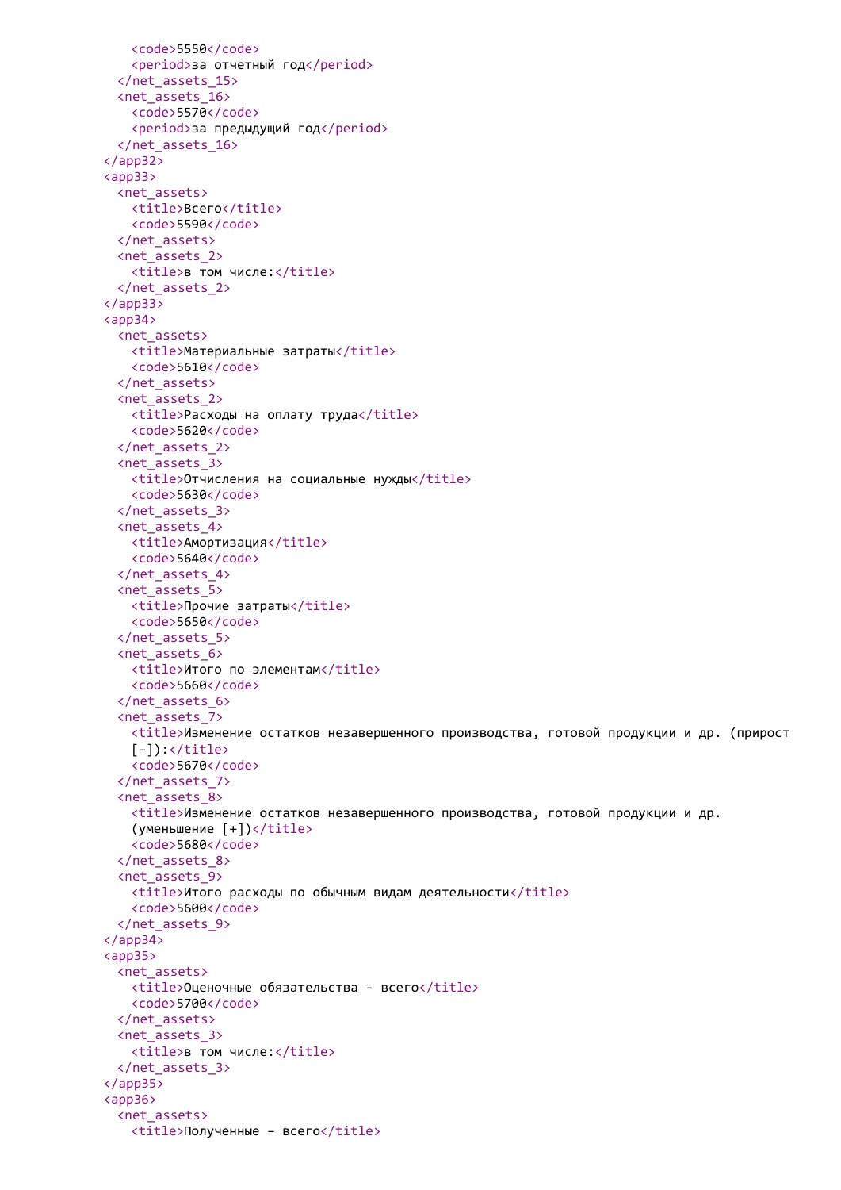```
<code>5550</code>
   <period>за отчетный год</period>
 </net_assets_15>
 <net_assets_16>
   <code>5570</code>
   <period>за предыдущий год</period>
 </net_assets_16>
</app32>
<app33>
 <net_assets>
   <title>Bcero</title>
   <code>5590</code>
 </net_assets>
 <net_assets_2>
   <title>в том числе:</title>
 </net_assets_2>
</app33>
<app34>
 <net_assets>
   <title>Материальные затраты</title>
   <code>5610</code>
 </net_assets>
 <net_assets_2>
   <title>Расходы на оплату труда</title>
   <code>5620</code>
 </net_assets_2>
 <net_assets_3>
   <title>Отчисления на социальные нужды</title>
   <code>5630</code>
 </net_assets_3>
 <net_assets_4>
   <title>Амортизация</title>
   <code>5640</code>
 </net_assets_4>
 <net_assets_5>
   <title>Прочие затраты</title>
   <code>5650</code>
 </net_assets_5>
 <net_assets_6>
   <title>Итого по элементам</title>
   <code>5660</code>
 </net_assets_6>
 <net_assets_7>
   <title>Изменение остатков незавершенного производства, готовой продукции и др. (прирост
   [-]):\langle/title>
   <code>5670</code>
 </net_assets_7>
 <net_assets_8>
   <title>Изменение остатков незавершенного производства, готовой продукции и др.
   ( уменьшение [+]) \lt/title>
   <code>5680</code>
 </net_assets_8>
 <net_assets_9>
   <title>Итого расходы по обычным видам деятельности</title>
   <code>5600</code>
 </net_assets_9>
</app34>
<app35>
 <net_assets>
   <title>Оценочные обязательства - всего</title>
   <code>5700</code>
 </net_assets>
 <net_assets_3>
   <title>в том числе:</title>
 </net_assets_3>
</app35>
<app36>
 <net_assets>
   <title>Полученные – всего</title>
```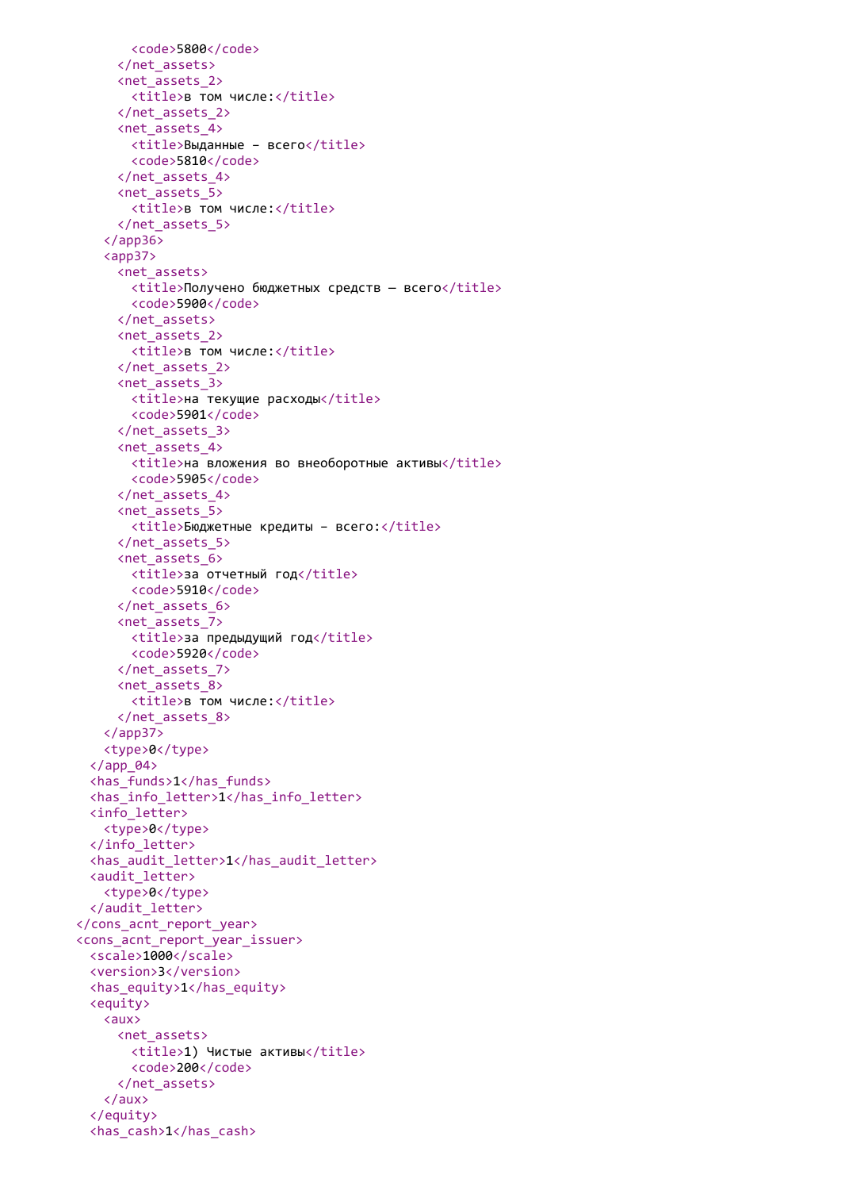```
<code>5800</code>
     </net_assets>
     <net_assets_2>
       <title>в том числе:</title>
     </net_assets_2>
     <net_assets_4>
       <title>Выданные – всего</title>
       <code>5810</code>
     </net_assets_4>
     <net_assets_5>
       <title>в том числе:</title>
     </net_assets_5>
   </app36>
   <app37>
     <net assets>
       <title>Получено бюджетных средств - всего</title>
       <code>5900</code>
     </net_assets>
     <net_assets_2>
       <title>в том числе:</title>
     </net_assets_2>
     <net_assets_3>
       <title>на текущие расходы</title>
       <code>5901</code>
     </net_assets_3>
     <net_assets_4>
       <title>на вложения во внеоборотные активы</title>
       <code>5905</code>
     </net_assets_4>
     <net_assets_5>
       <title>Бюджетные кредиты - всего:</title>
     </net_assets_5>
     <net_assets_6>
       <title>за отчетный год</title>
       <code>5910</code>
     </net_assets_6>
     <net_assets_7>
       <title>за предыдущий год</title>
       <code>5920</code>
     </net_assets_7>
     <net_assets_8>
       <title>в том числе:</title>
     </net_assets_8>
   </app37>
   <type>0</type>
  \langle app 04\rangle<has_funds>1</has_funds>
  <has info letter>1</has info letter>
  <info_letter>
   <type>0</type>
  </info_letter>
  <has_audit_letter>1</has_audit_letter>
  <audit_letter>
   <type>0</type>
  </audit_letter>
</cons_acnt_report_year>
<cons_acnt_report_year_issuer>
 <scale>1000</scale>
  <version>3</version>
  <has_equity>1</has_equity>
  <equity>
   <aux>
     <net_assets>
       <title>1) Чистые активы</title>
       <code>200</code>
     </net_assets>
   </aux>
  </equity>
  <has_cash>1</has_cash>
```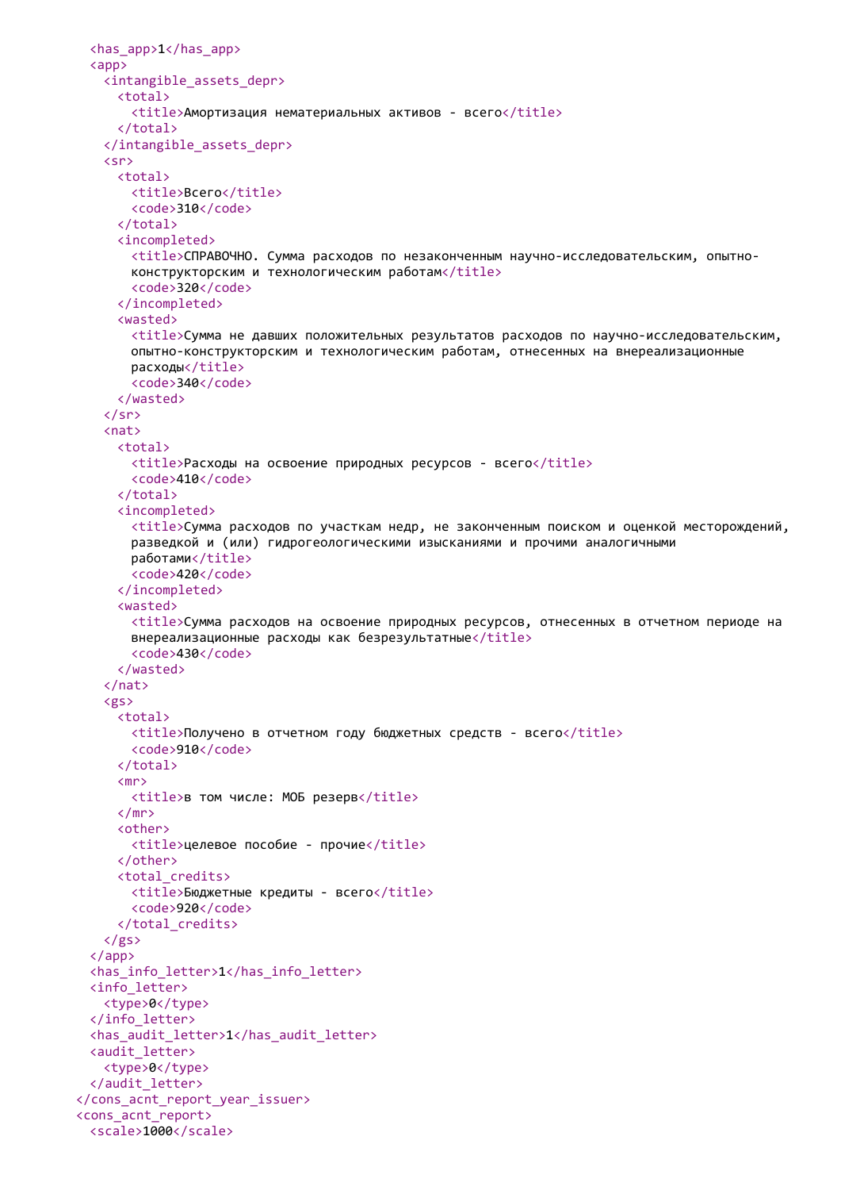```
<has_app>1</has_app>
  <app>
   <intangible_assets_depr>
     <total>
       <title>Амортизация нематериальных активов - всего</title>
     </total>
   </intangible_assets_depr>
   <sr>
     <total>
       <title>Bcero</title>
       <code>310</code>
     </total>
     <incompleted>
       <title>СПРАВОЧНО. Сумма расходов по незаконченным научно-исследовательским, опытно-
       конструкторским и технологическим работам</title>
       <code>320</code>
     </incompleted>
     <wasted>
       <title>Сумма не давших положительных результатов расходов по научно-исследовательским,
       опытно-конструкторским и технологическим работам, отнесенных на внереализационные
       расходы</title>
       <code>340</code>
     </wasted>
   \langle/sr>
   <nat>
     <total>
       <title>Расходы на освоение природных ресурсов - всего</title>
       <code>410</code>
     </total>
     <incompleted>
       <title>Сумма расходов по участкам недр, не законченным поиском и оценкой месторождений,
       разведкой и (или) гидрогеологическими изысканиями и прочими аналогичными
       работами</title>
       <code>420</code>
     </incompleted>
     <wasted>
       <title>Сумма расходов на освоение природных ресурсов, отнесенных в отчетном периоде на
       внереализационные расходы как безрезультатные</title>
       <code>430</code>
     </wasted>
   </nat>
   <gs>
     <total>
       <title>Получено в отчетном году бюджетных средств - всего</title>
       <code>910</code>
     </total>
     <mr>
       <title>в том числе: МОБ резерв</title>
     \langle/mr>
     <other>
       <title>целевое пособие - прочие</title>
     </other>
     <total_credits>
       <title>Бюджетные кредиты - всего</title>
       <code>920</code>
     </total_credits>
   \langle/gs>
  </app>
  <has info letter>1</has info letter>
  <info_letter>
   <type>0</type>
  </info_letter>
  <has_audit_letter>1</has_audit_letter>
  <audit_letter>
   <type>0</type>
  </audit_letter>
</cons_acnt_report_year_issuer>
<cons_acnt_report>
  <scale>1000</scale>
```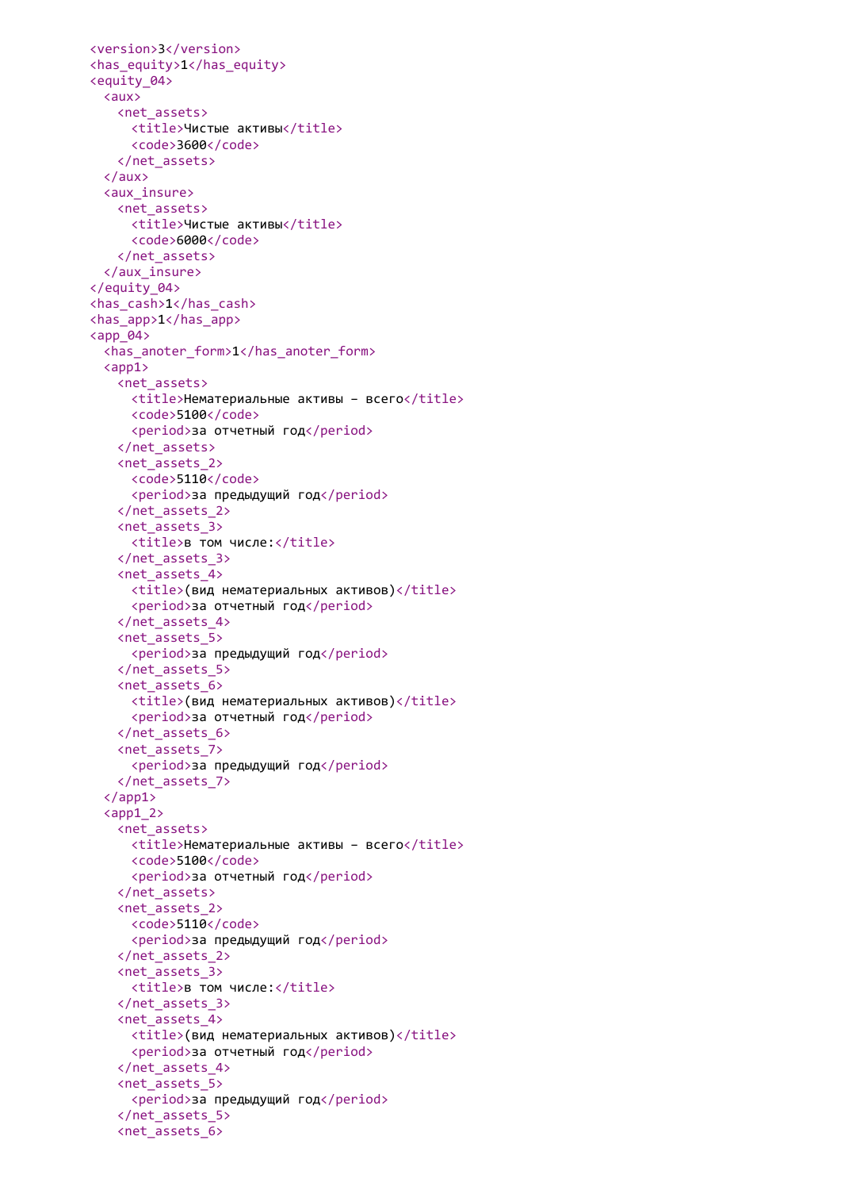```
<version>3</version>
<has_equity>1</has_equity>
<equity_04>
 <aux>
   <net_assets>
     <title>Чистые активы</title>
     <code>3600</code>
   </net_assets>
 </aux>
 <aux_insure>
   <net_assets>
     <title>Чистые активы</title>
     <code>6000</code>
   </net_assets>
 </aux_insure>
</equity_04>
<has_cash>1</has_cash>
<has_app>1</has_app>
<app_04>
 <has_anoter_form>1</has_anoter_form>
 \langle app1 \rangle<net_assets>
     <title>Нематериальные активы - всего</title>
     <code>5100</code>
     <period>за отчетный год</period>
   </net_assets>
   <net_assets_2>
     <code>5110</code>
     <period>за предыдущий год</period>
   </net_assets_2>
   <net_assets_3>
     <title>в том числе:</title>
   </net_assets_3>
   <net_assets_4>
     <title>(вид нематериальных активов)</title>
     <period>за отчетный год</period>
   </net_assets_4>
   <net_assets_5>
     <period>за предыдущий год</period>
   </net_assets_5>
   <net_assets_6>
     <title>(вид нематериальных активов)</title>
     <period>за отчетный год</period>
   </net_assets_6>
   <net_assets_7>
     <period>за предыдущий год</period>
   </net_assets_7>
 \langle app1>
 \langle app1 \rangle<net_assets>
     <title>Нематериальные активы – всего</title>
     <code>5100</code>
     <period>за отчетный год</period>
   </net_assets>
   <net_assets_2>
     <code>5110</code>
     <period>за предыдущий год</period>
   </net_assets_2>
   <net_assets_3>
     <title>в том числе:</title>
   </net_assets_3>
   <net_assets_4>
     <title>(вид нематериальных активов)</title>
     <period>за отчетный год</period>
   </net_assets_4>
   <net_assets_5>
     <period>за предыдущий год</period>
   </net_assets_5>
   <net_assets_6>
```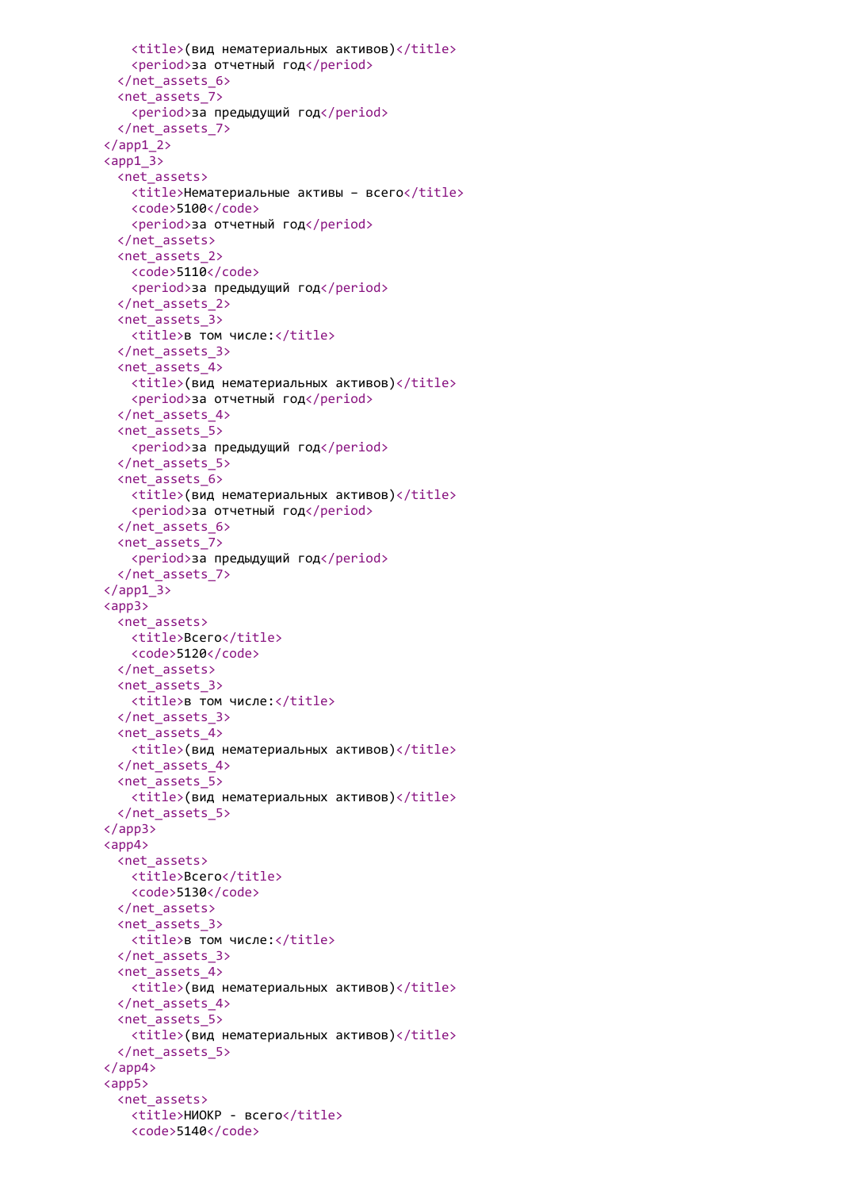```
<title>(вид нематериальных активов)</title>
   <period>за отчетный год</period>
 </net_assets_6>
 <net_assets_7>
   <period>за предыдущий год</period>
 </net_assets_7>
\langle app1_2>
\langle app1 \rangle 3>
 <net_assets>
   <title>Нематериальные активы - всего</title>
   <code>5100</code>
   <period>за отчетный год</period>
 </net_assets>
 <net_assets_2>
   <code>5110</code>
   <period>за предыдущий год</period>
 </net_assets_2>
 <net_assets_3>
   <title>в том числе:</title>
 </net_assets_3>
 <net_assets_4>
   <title>(вид нематериальных активов)</title>
   <period>за отчетный год</period>
 </net_assets_4>
 <net_assets_5>
   <period>за предыдущий год</period>
 </net_assets_5>
 <net_assets_6>
   <title>(вид нематериальных активов)</title>
   <period>за отчетный год</period>
 </net_assets_6>
 <net_assets_7>
   <period>за предыдущий год</period>
 </net_assets_7>
\langle app1 3><app3>
 <net_assets>
   <title>Bcero</title>
   <code>5120</code>
 </net_assets>
 <net_assets_3>
   <title>в том числе:</title>
 </net_assets_3>
 <net_assets_4>
   <title>(вид нематериальных активов)</title>
 </net_assets_4>
 <net_assets_5>
   <title>(вид нематериальных активов)</title>
 </net_assets_5>
</app3>
\langleapp4 \rangle<net_assets>
   <title>Всего</title>
   <code>5130</code>
 </net_assets>
 <net_assets_3>
   <title>в том числе:</title>
 </net_assets_3>
 <net_assets_4>
   <title>(вид нематериальных активов)</title>
 </net_assets_4>
 <net_assets_5>
   <title>(вид нематериальных активов)</title>
 </net_assets_5>
</app4>
<app5>
 <net_assets>
   <title>НИОКР - всего</title>
   <code>5140</code>
```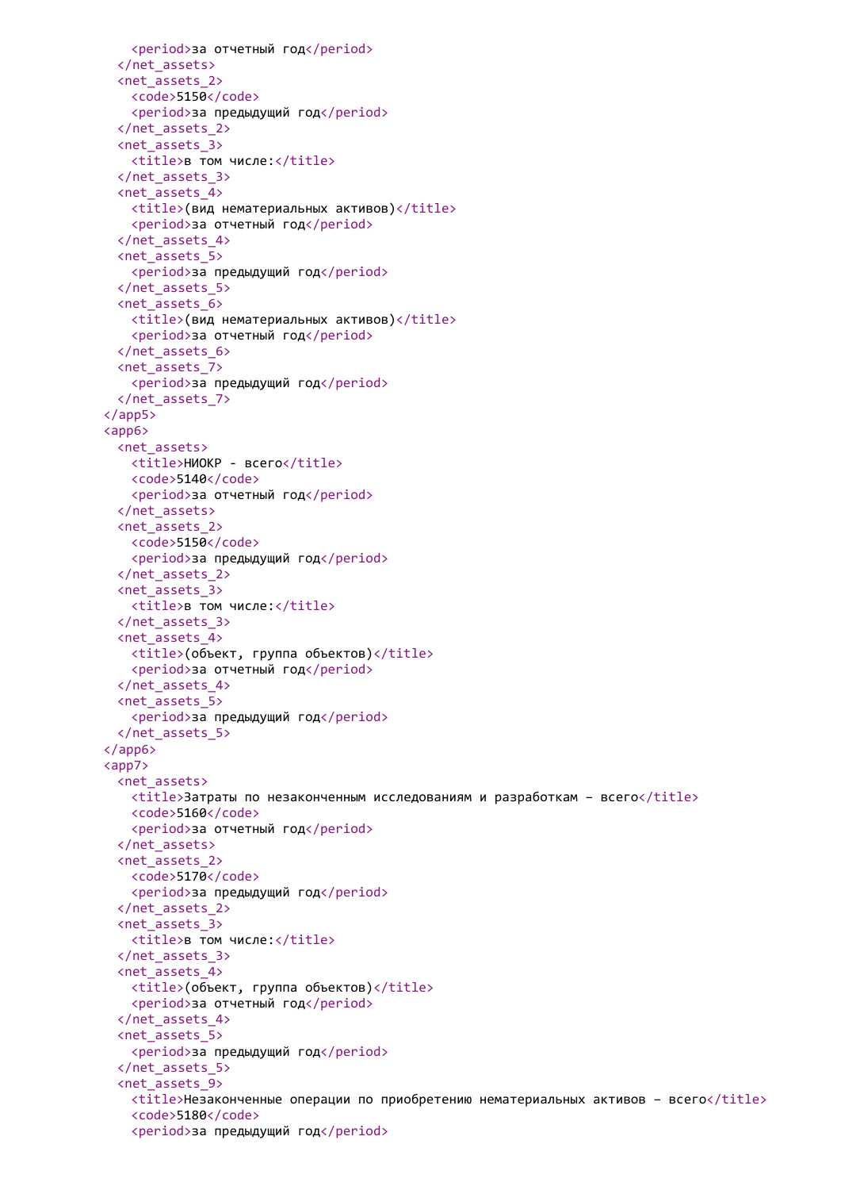```
<period>за отчетный год</period>
 </net_assets>
 <net_assets_2>
   <code>5150</code>
   <period>за предыдущий год</period>
 </net_assets_2>
 <net_assets_3>
   <title>в том числе:</title>
 </net_assets_3>
 <net_assets_4>
   <title>(вид нематериальных активов)</title>
   <period>за отчетный год</period>
 </net_assets_4>
 <net_assets_5>
   <period>за предыдущий год</period>
 </net_assets_5>
 <net_assets_6>
   <title>(вид нематериальных активов)</title>
   <period>за отчетный год</period>
 </net_assets_6>
 <net_assets_7>
   <period>за предыдущий год</period>
 </net_assets_7>
</app5>
<app6>
 <net_assets>
   <title>НИОКР - всего</title>
   <code>5140</code>
   <period>за отчетный год</period>
 </net_assets>
 <net_assets_2>
   <code>5150</code>
   <period>за предыдущий год</period>
 </net_assets_2>
 <net_assets_3>
   <title>в том числе:</title>
 </net_assets_3>
 <net_assets_4>
   <title>(объект, группа объектов)</title>
   <period>за отчетный год</period>
 </net_assets_4>
 <net_assets_5>
   <period>за предыдущий год</period>
 </net_assets_5>
</app6>
<app7>
 <net_assets>
   <title>Затраты по незаконченным исследованиям и разработкам – всего</title>
   <code>5160</code>
   <period>за отчетный год</period>
 </net_assets>
 <net_assets_2>
   <code>5170</code>
   <period>за предыдущий год</period>
 </net_assets_2>
 <net_assets_3>
   <title>в том числе:</title>
 </net_assets_3>
 <net_assets_4>
   <title>(объект, группа объектов)</title>
   <period>за отчетный год</period>
 </net_assets_4>
 <net_assets_5>
   <period>за предыдущий год</period>
 </net_assets_5>
 <net_assets_9>
   <title>Незаконченные операции по приобретению нематериальных активов – всего</title>
   <code>5180</code>
   <period>за предыдущий год</period>
```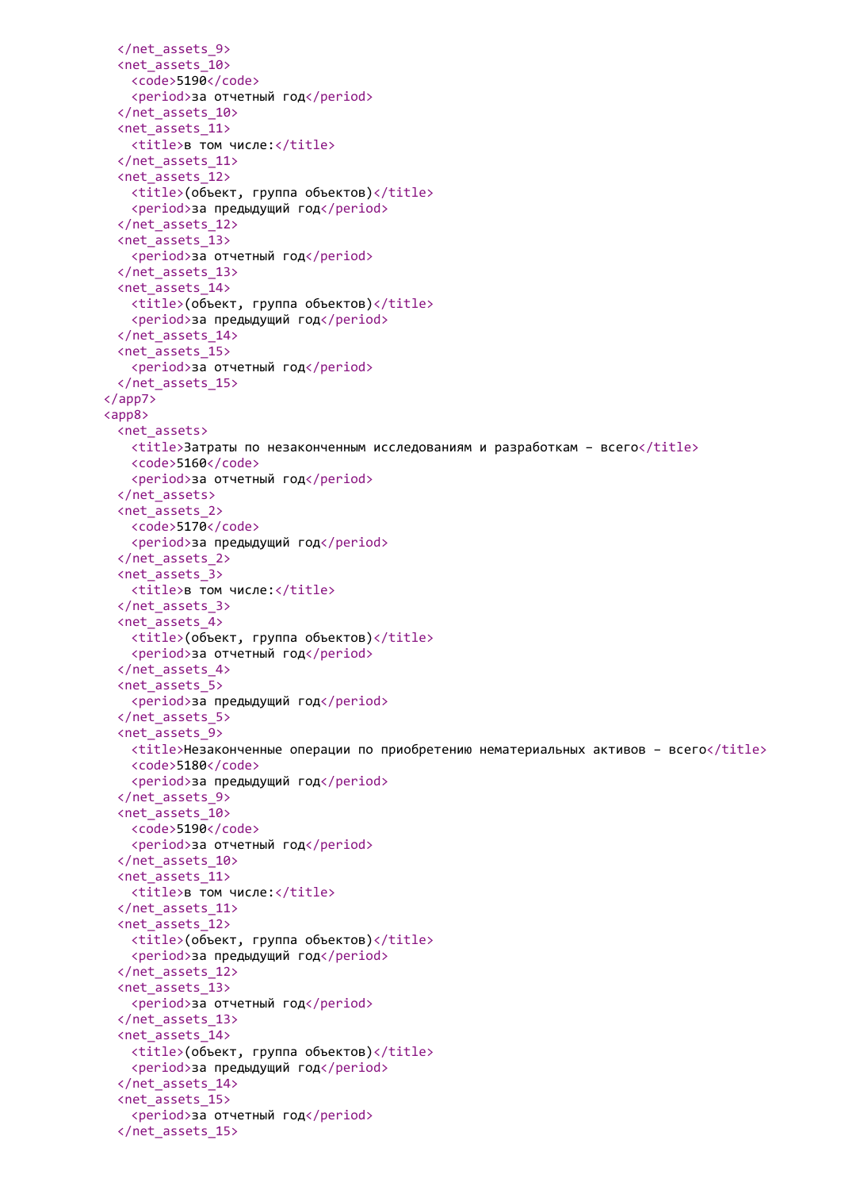```
</net_assets_9>
 <net_assets_10>
   <code>5190</code>
   <period>за отчетный год</period>
 </net_assets_10>
 <net_assets_11>
   <title>в том числе:</title>
 </net_assets_11>
 <net_assets_12>
   <title>(объект, группа объектов)</title>
   <period>за предыдущий год</period>
 </net_assets_12>
 <net_assets_13>
   <period>за отчетный год</period>
 </net_assets_13>
 <net_assets_14>
   <title>(объект, группа объектов)</title>
   <period>за предыдущий год</period>
 </net_assets_14>
 <net_assets_15>
   <period>за отчетный год</period>
 </net_assets_15>
</app7>
<app8>
 <net_assets>
   <title>Затраты по незаконченным исследованиям и разработкам – всего</title>
   <code>5160</code>
   <period>за отчетный год</period>
 </net_assets>
 <net_assets_2>
   <code>5170</code>
   <period>за предыдущий год</period>
 </net_assets_2>
 <net_assets_3>
   <title>в том числе:</title>
 </net_assets_3>
 <net_assets_4>
   <title>(объект, группа объектов)</title>
   <period>за отчетный год</period>
 </net_assets_4>
 <net_assets_5>
   <period>за предыдущий год</period>
 </net_assets_5>
 <net_assets_9>
   \timestitle>Незаконченные операции по приобретению нематериальных активов - всего\times/title>
   <code>5180</code>
   <period>за предыдущий год</period>
 </net_assets_9>
 <net_assets_10>
   <code>5190</code>
   <period>за отчетный год</period>
 </net_assets_10>
 <net_assets_11>
   <title>в том числе:</title>
 </net_assets_11>
 <net_assets_12>
   <title>(объект, группа объектов)</title>
   <period>за предыдущий год</period>
 </net_assets_12>
 <net_assets_13>
   <period>за отчетный год</period>
 </net_assets_13>
 <net_assets_14>
   <title>(объект, группа объектов)</title>
   <period>за предыдущий год</period>
 </net_assets_14>
 <net_assets_15>
   <period>за отчетный год</period>
 </net_assets_15>
```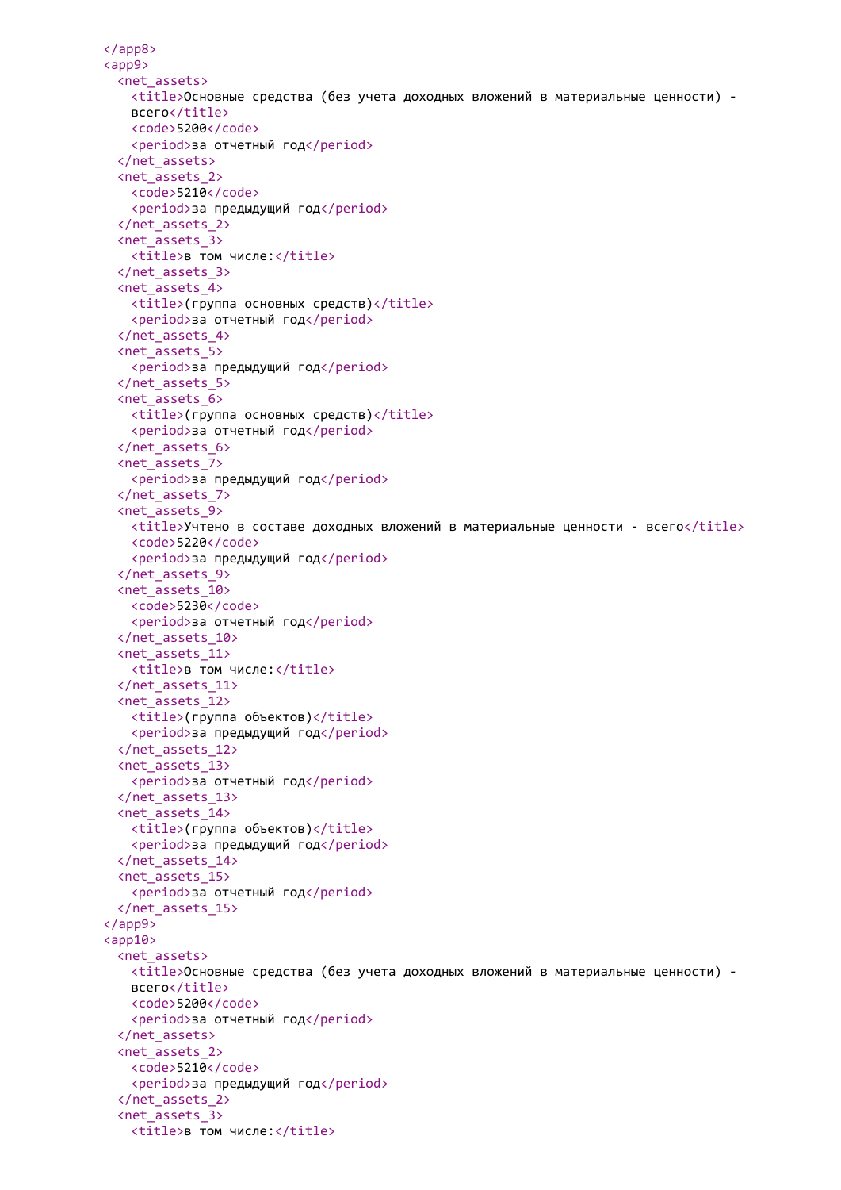```
</app8>
<app9>
 <net_assets>
   <title>Основные средства (без учета доходных вложений в материальные ценности) -
   всего</title>
   <code>5200</code>
   <period>за отчетный год</period>
 </net_assets>
 <net_assets_2>
   <code>5210</code>
   <period>за предыдущий год</period>
 </net_assets_2>
 <net_assets_3>
   <title>в том числе:</title>
 </net_assets_3>
 <net_assets_4>
   <title>(группа основных средств)</title>
   <period>за отчетный год</period>
 </net_assets_4>
 <net_assets_5>
   <period>за предыдущий год</period>
 </net_assets_5>
 <net_assets_6>
   <title>(группа основных средств)</title>
   <period>за отчетный год</period>
 </net_assets_6>
 <net_assets_7>
   <period>за предыдущий год</period>
 </net_assets_7>
 <net_assets_9>
   <title>Учтено в составе доходных вложений в материальные ценности - всего</title>
   <code>5220</code>
   <period>за предыдущий год</period>
 </net_assets_9>
 <net_assets_10>
   <code>5230</code>
   <period>за отчетный год</period>
 </net_assets_10>
 <net_assets_11>
   <title>в том числе:</title>
 </net_assets_11>
 <net_assets_12>
   <title>(группа объектов)</title>
   <period>за предыдущий год</period>
 </net_assets_12>
 <net_assets_13>
   <period>за отчетный год</period>
 </net_assets_13>
 <net_assets_14>
   <title>(группа объектов)</title>
   <period>за предыдущий год</period>
 </net_assets_14>
 <net_assets_15>
   <period>за отчетный год</period>
 </net_assets_15>
</app9>
<app10>
 <net_assets>
   <title>Основные средства (без учета доходных вложений в материальные ценности) -
   всего</title>
   <code>5200</code>
   <period>за отчетный год</period>
 </net_assets>
 <net_assets_2>
   <code>5210</code>
   <period>за предыдущий год</period>
 </net_assets_2>
 <net_assets_3>
   <title>в том числе:</title>
```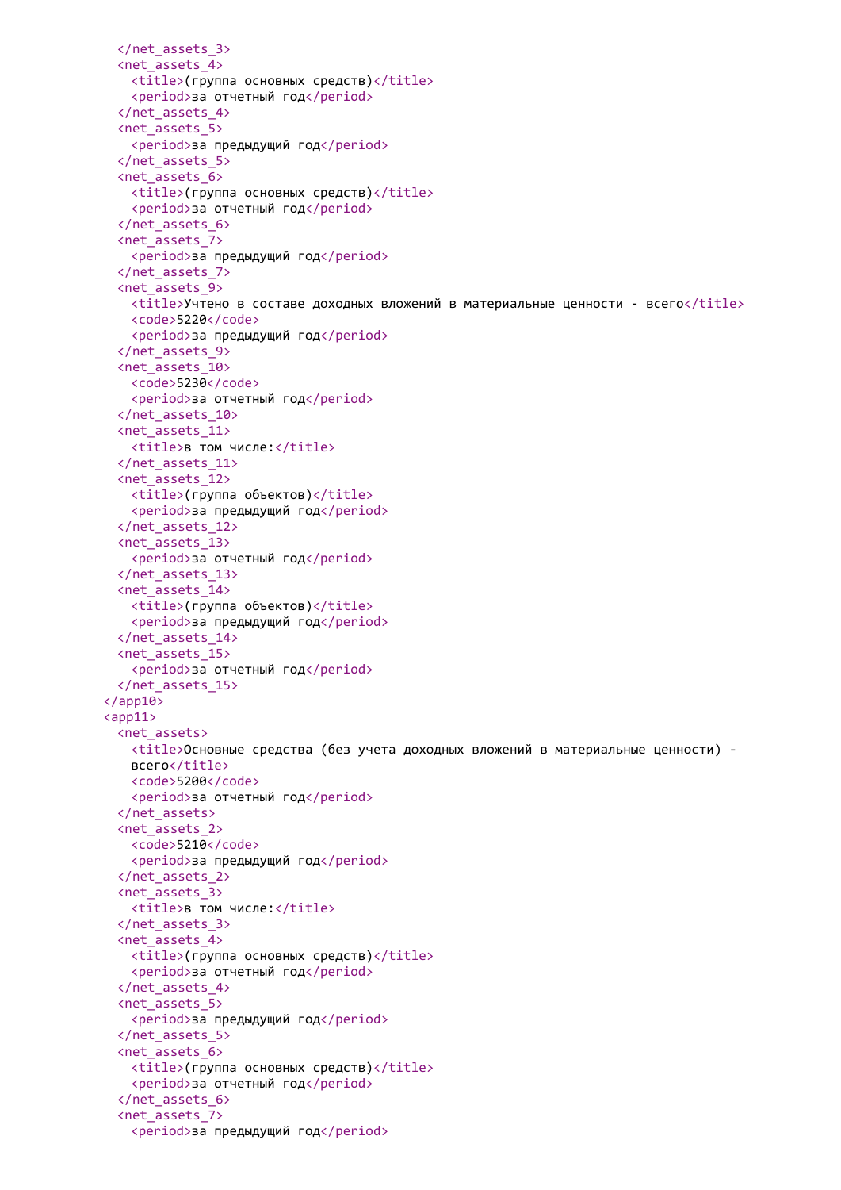```
</net_assets_3>
 <net_assets_4>
   <title>(группа основных средств)</title>
   <period>за отчетный год</period>
 </net_assets_4>
 <net_assets_5>
   <period>за предыдущий год</period>
 </net_assets_5>
 <net_assets_6>
   <title>(группа основных средств)</title>
   <period>за отчетный год</period>
 </net_assets_6>
 <net_assets_7>
   <period>за предыдущий год</period>
 </net_assets_7>
 <net_assets_9>
   <title>Учтено в составе доходных вложений в материальные ценности - всего</title>
   <code>5220</code>
   <period>за предыдущий год</period>
 </net_assets_9>
 <net_assets_10>
   <code>5230</code>
   <period>за отчетный год</period>
 </net_assets_10>
 <net_assets_11>
   <title>в том числе:</title>
 </net_assets_11>
 <net_assets_12>
   <title>(группа объектов)</title>
   <period>за предыдущий год</period>
 </net_assets_12>
 <net_assets_13>
   <period>за отчетный год</period>
 </net_assets_13>
 <net_assets_14>
   <title>(группа объектов)</title>
   <period>за предыдущий год</period>
 </net_assets_14>
 <net_assets_15>
   <period>за отчетный год</period>
 </net_assets_15>
</app10>
<app11>
 <net assets>
   <title>Основные средства (без учета доходных вложений в материальные ценности) -
   всего</title>
   <code>5200</code>
   <period>за отчетный год</period>
 </net_assets>
 <net_assets_2>
   <code>5210</code>
   <period>за предыдущий год</period>
 </net_assets_2>
 <net_assets_3>
   <title>в том числе:</title>
 </net_assets_3>
 <net_assets_4>
   <title>(группа основных средств)</title>
   <period>за отчетный год</period>
 </net_assets_4>
 <net_assets_5>
   <period>за предыдущий год</period>
 </net_assets_5>
 <net_assets_6>
   <title>(группа основных средств)</title>
   <period>за отчетный год</period>
 </net_assets_6>
 <net_assets_7>
   <period>за предыдущий год</period>
```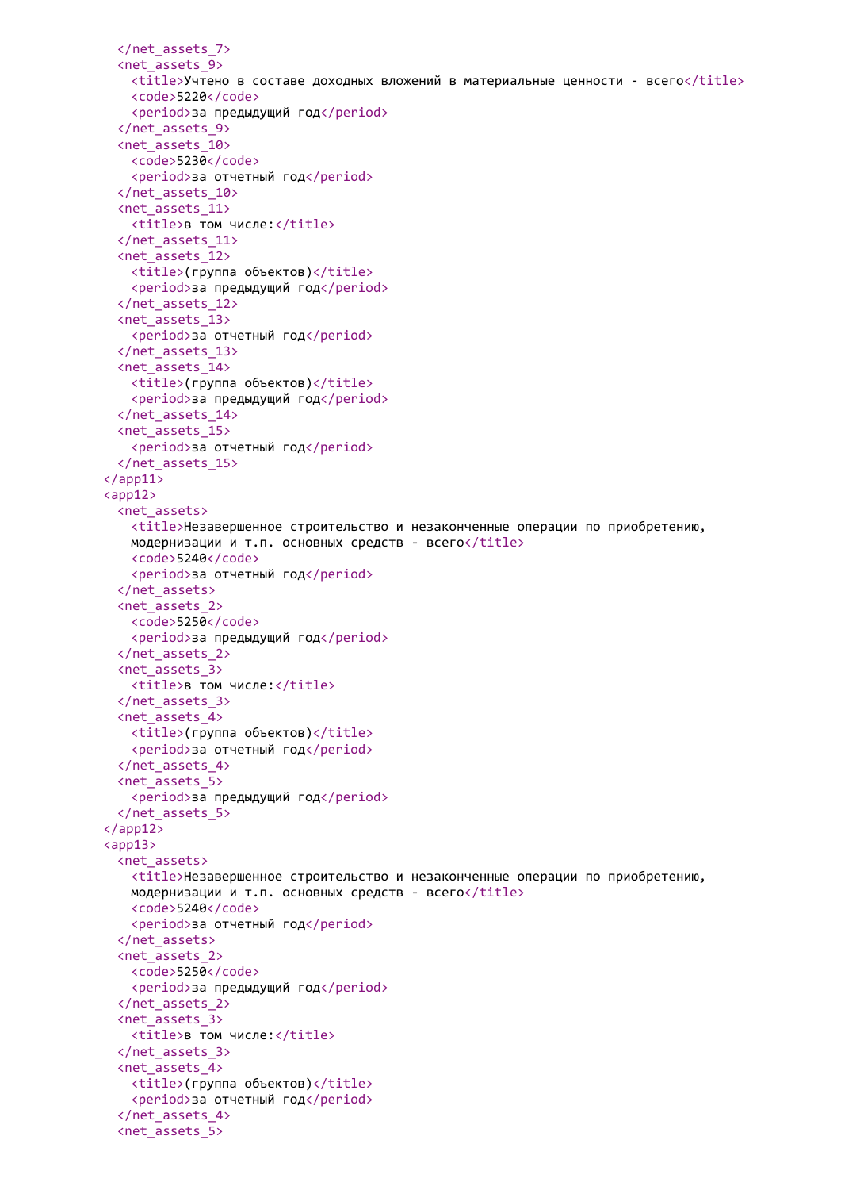```
</net_assets_7>
 <net_assets_9>
   <title>Учтено в составе доходных вложений в материальные ценности - всего</title>
   <code>5220</code>
   <period>за предыдущий год</period>
 </net_assets_9>
 <net_assets_10>
   <code>5230</code>
   <period>за отчетный год</period>
 </net_assets_10>
 <net_assets_11>
   <title>в том числе:</title>
 </net_assets_11>
 <net_assets_12>
   <title>(группа объектов)</title>
   <period>за предыдущий год</period>
 </net_assets_12>
 <net_assets_13>
   <period>за отчетный год</period>
 </net_assets_13>
 <net_assets_14>
   <title>(группа объектов)</title>
   <period>за предыдущий год</period>
 </net_assets_14>
 <net_assets_15>
   <period>за отчетный год</period>
 </net_assets_15>
\langle app11>
<app12>
 <net_assets>
   <title>Незавершенное строительство и незаконченные операции по приобретению,
   модернизации и т.п. основных средств - всего</title>
   <code>5240</code>
   <period>за отчетный год</period>
 </net_assets>
 <net_assets_2>
   <code>5250</code>
   <period>за предыдущий год</period>
 </net_assets_2>
 <net_assets_3>
   <title>в том числе:</title>
 </net_assets_3>
 <net_assets_4>
   <title>(группа объектов)</title>
   <period>за отчетный год</period>
 </net_assets_4>
 <net_assets_5>
   <period>за предыдущий год</period>
 </net_assets_5>
</app12>
\langleapp13\rangle<net_assets>
   <title>Незавершенное строительство и незаконченные операции по приобретению,
   модернизации и т.п. основных средств - всего\langletitle>
   <code>5240</code>
   <period>за отчетный год</period>
 </net_assets>
 <net_assets_2>
   <code>5250</code>
   <period>за предыдущий год</period>
 </net_assets_2>
 <net_assets_3>
   <title>в том числе:</title>
 </net_assets_3>
 <net_assets_4>
   <title>(группа объектов)</title>
   <period>за отчетный год</period>
 </net_assets_4>
 <net_assets_5>
```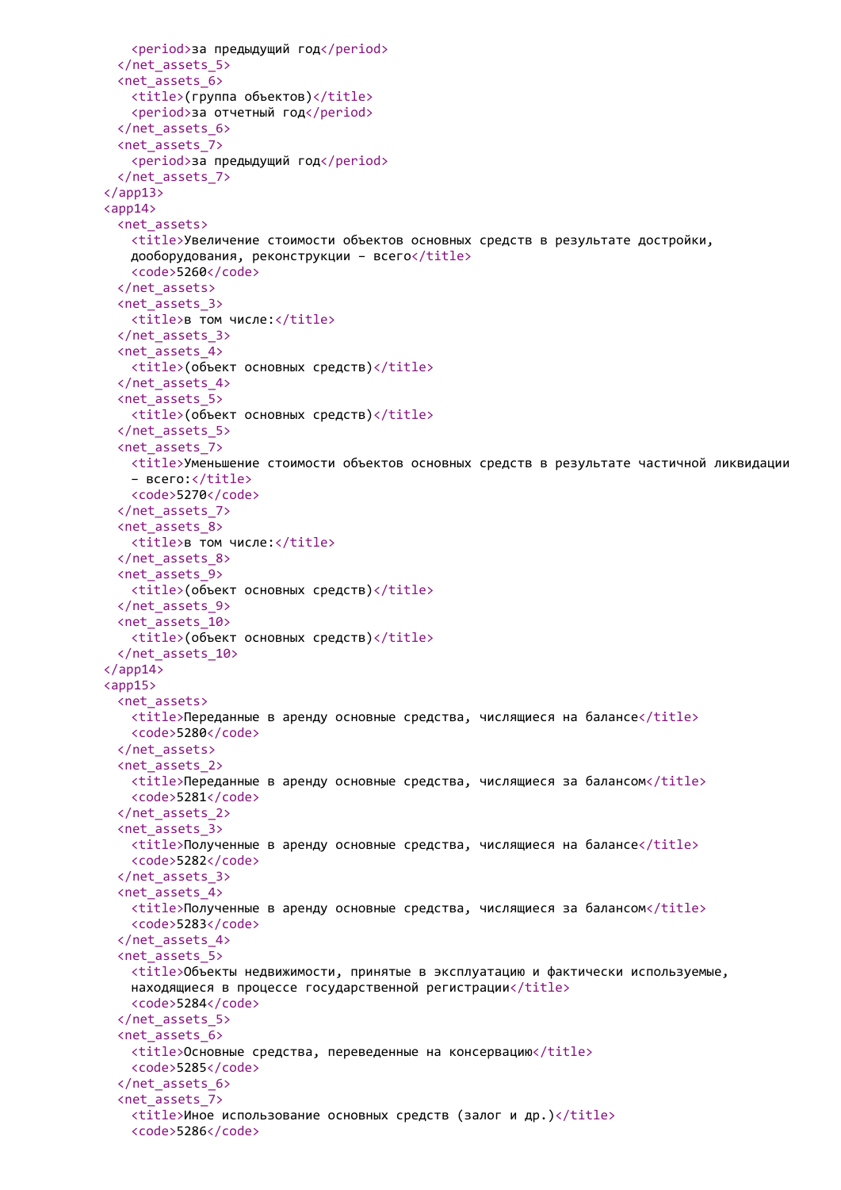```
<period>за предыдущий год</period>
 </net_assets_5>
 <net_assets_6>
   <title>(группа объектов)</title>
   <period>за отчетный год</period>
 </net_assets_6>
 <net_assets_7>
   <period>за предыдущий год</period>
 </net_assets_7>
</app13>
<app14>
 <net_assets>
   <title>Увеличение стоимости объектов основных средств в результате достройки,
   дооборудования, реконструкции - всего</title>
   <code>5260</code>
 </net_assets>
 <net_assets_3>
   <title>в том числе:</title>
 </net_assets_3>
 <net_assets_4>
   <title>(объект основных средств)</title>
 </net_assets_4>
 <net_assets_5>
   <title>(объект основных средств)</title>
 </net_assets_5>
 <net_assets_7>
   <title>Уменьшение стоимости объектов основных средств в результате частичной ликвидации
   – всего:</title>
   <code>5270</code>
 </net_assets_7>
 <net_assets_8>
   <title>в том числе:</title>
 </net_assets_8>
 <net_assets_9>
   <title>(объект основных средств)</title>
 </net_assets_9>
 <net_assets_10>
   <title>(объект основных средств)</title>
 </net_assets_10>
\langle app14>
<app15>
 <net_assets>
   <title>Переданные в аренду основные средства, числящиеся на балансе</title>
   <code>5280</code>
 </net_assets>
 <net_assets_2>
   <title>Переданные в аренду основные средства, числящиеся за балансом</title>
   <code>5281</code>
 </net_assets_2>
 <net_assets_3>
   <title>Полученные в аренду основные средства, числящиеся на балансе</title>
   <code>5282</code>
 </net_assets_3>
 <net_assets_4>
   <title>Полученные в аренду основные средства, числящиеся за балансом</title>
   <code>5283</code>
 </net_assets_4>
 <net_assets_5>
   <title>Объекты недвижимости, принятые в эксплуатацию и фактически используемые,
   находящиеся в процессе государственной регистрации</title>
   <code>5284</code>
 </net_assets_5>
 <net_assets_6>
   <title>Основные средства, переведенные на консервацию</title>
   <code>5285</code>
 </net_assets_6>
 <net_assets_7>
   \langletitle>Иное использование основных средств (залог и др.)\langle/title>
   <code>5286</code>
```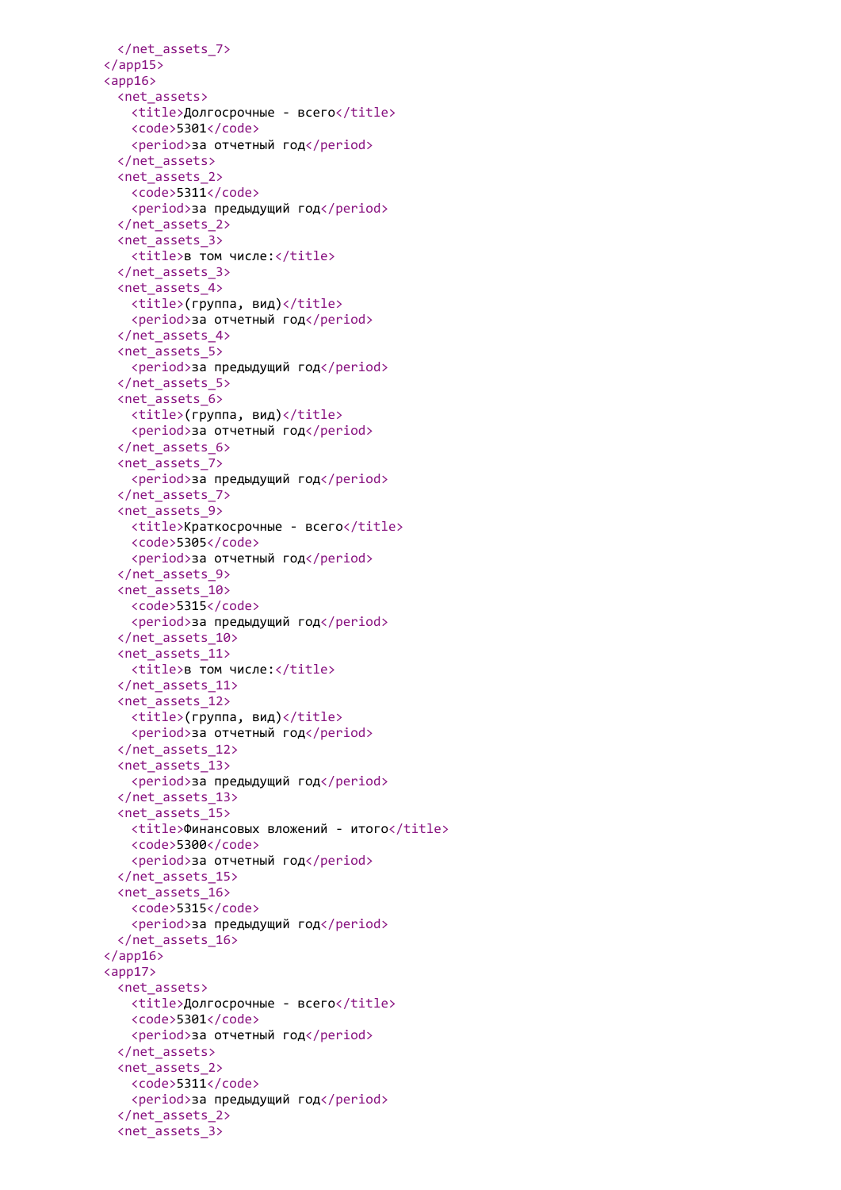```
</net_assets_7>
\langle app15\rangle<app16>
 <net_assets>
   <title>Долгосрочные - всего</title>
   <code>5301</code>
   <period>за отчетный год</period>
 </net_assets>
 <net_assets_2>
   <code>5311</code>
   <period>за предыдущий год</period>
 </net_assets_2>
 <net_assets_3>
   <title>в том числе:</title>
 </net_assets_3>
 <net_assets_4>
   \langle \text{title} \rangle(группа, вид)</title>
   <period>за отчетный год</period>
 </net_assets_4>
 <net_assets_5>
   <period>за предыдущий год</period>
 </net_assets_5>
 <net_assets_6>
   <title>(группа, вид)</title>
   <period>за отчетный год</period>
 </net_assets_6>
 <net_assets_7>
   <period>за предыдущий год</period>
 </net_assets_7>
 <net_assets_9>
   <title>Краткосрочные - всего</title>
   <code>5305</code>
   <period>за отчетный год</period>
 </net_assets_9>
 <net_assets_10>
   <code>5315</code>
   <period>за предыдущий год</period>
 </net_assets_10>
 <net_assets_11>
   <title>в том числе:</title>
 </net_assets_11>
 <net_assets_12>
   <title>(группа, вид)</title>
   <period>за отчетный год</period>
 </net_assets_12>
 <net_assets_13>
   <period>за предыдущий год</period>
 </net_assets_13>
 <net_assets_15>
   <title>Финансовых вложений - итого</title>
   <code>5300</code>
   <period>за отчетный год</period>
 </net_assets_15>
 <net_assets_16>
   <code>5315</code>
   <period>за предыдущий год</period>
 </net_assets_16>
</app16>
<app17>
 <net_assets>
   <title>Долгосрочные - всего</title>
   <code>5301</code>
   <period>за отчетный год</period>
 </net_assets>
 <net_assets_2>
   <code>5311</code>
   <period>за предыдущий год</period>
 </net_assets_2>
 <net_assets_3>
```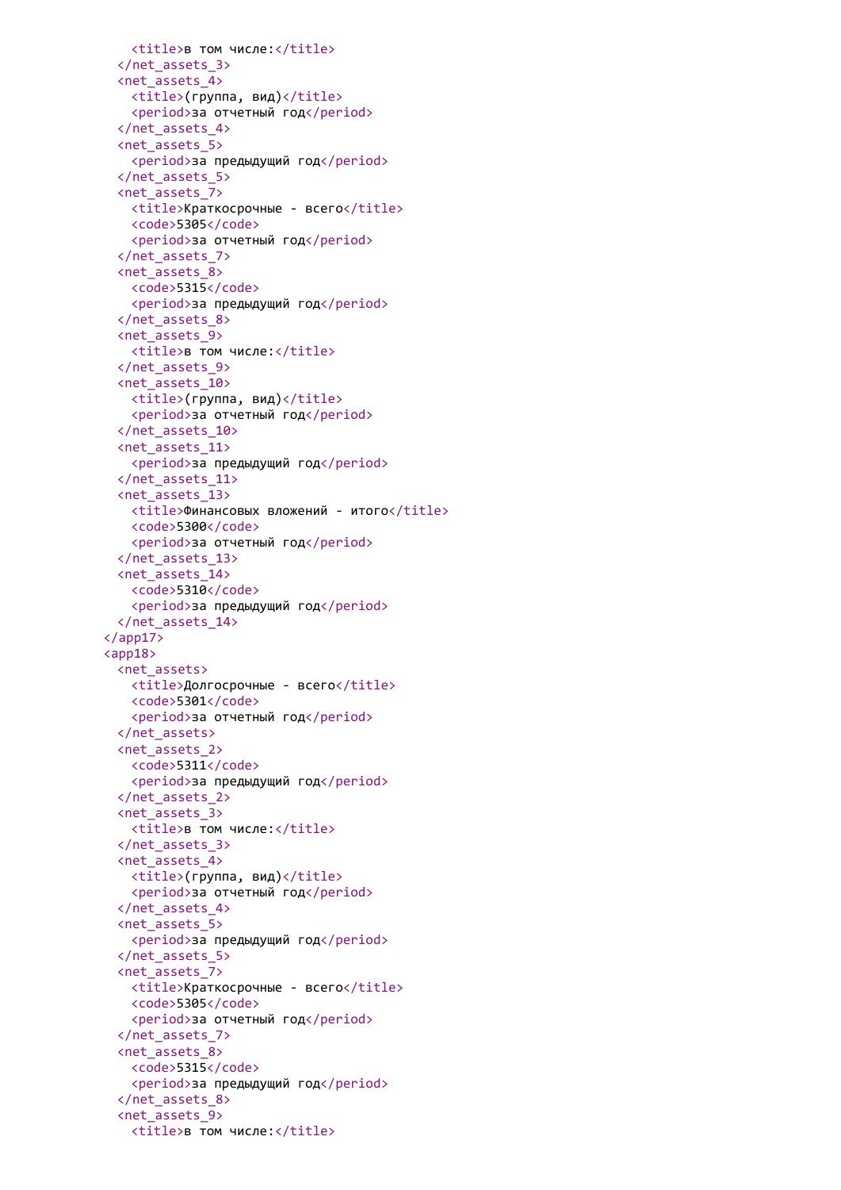```
<title>в том числе:</title>
 </net_assets_3>
 <net_assets_4>
   <title>(группа, вид)</title>
   <period>за отчетный год</period>
 </net_assets_4>
 <net_assets_5>
   <period>за предыдущий год</period>
 </net_assets_5>
 <net_assets_7>
   <title>Краткосрочные - всего</title>
   <code>5305</code>
   <period>за отчетный год</period>
 </net_assets_7>
 <net_assets_8>
   <code>5315</code>
   <period>за предыдущий год</period>
 </net_assets_8>
 <net_assets_9>
   <title>в том числе:</title>
 </net_assets_9>
 <net_assets_10>
   <title>(группа, вид)</title>
   <period>за отчетный год</period>
 </net_assets_10>
 <net_assets_11>
   <period>за предыдущий год</period>
 </net_assets_11>
 <net_assets_13>
   <title>Финансовых вложений - итого</title>
   <code>5300</code>
   <period>за отчетный год</period>
 </net_assets_13>
 <net_assets_14>
   <code>5310</code>
   <period>за предыдущий год</period>
 </net_assets_14>
</app17>
<app18>
 <net_assets>
   <title>Долгосрочные - всего</title>
   <code>5301</code>
   <period>за отчетный год</period>
 </net_assets>
 <net_assets_2>
   <code>5311</code>
   <period>за предыдущий год</period>
 </net_assets_2>
 <net_assets_3>
   <title>в том числе:</title>
 </net_assets_3>
 <net_assets_4>
   <title>(группа, вид)</title>
   <period>за отчетный год</period>
 </net_assets_4>
 <net_assets_5>
   <period>за предыдущий год</period>
 </net_assets_5>
 <net_assets_7>
   <title>Краткосрочные - всего</title>
   <code>5305</code>
   <period>за отчетный год</period>
 </net_assets_7>
 <net_assets_8>
   <code>5315</code>
   <period>за предыдущий год</period>
 </net_assets_8>
 <net_assets_9>
   <title>в том числе:</title>
```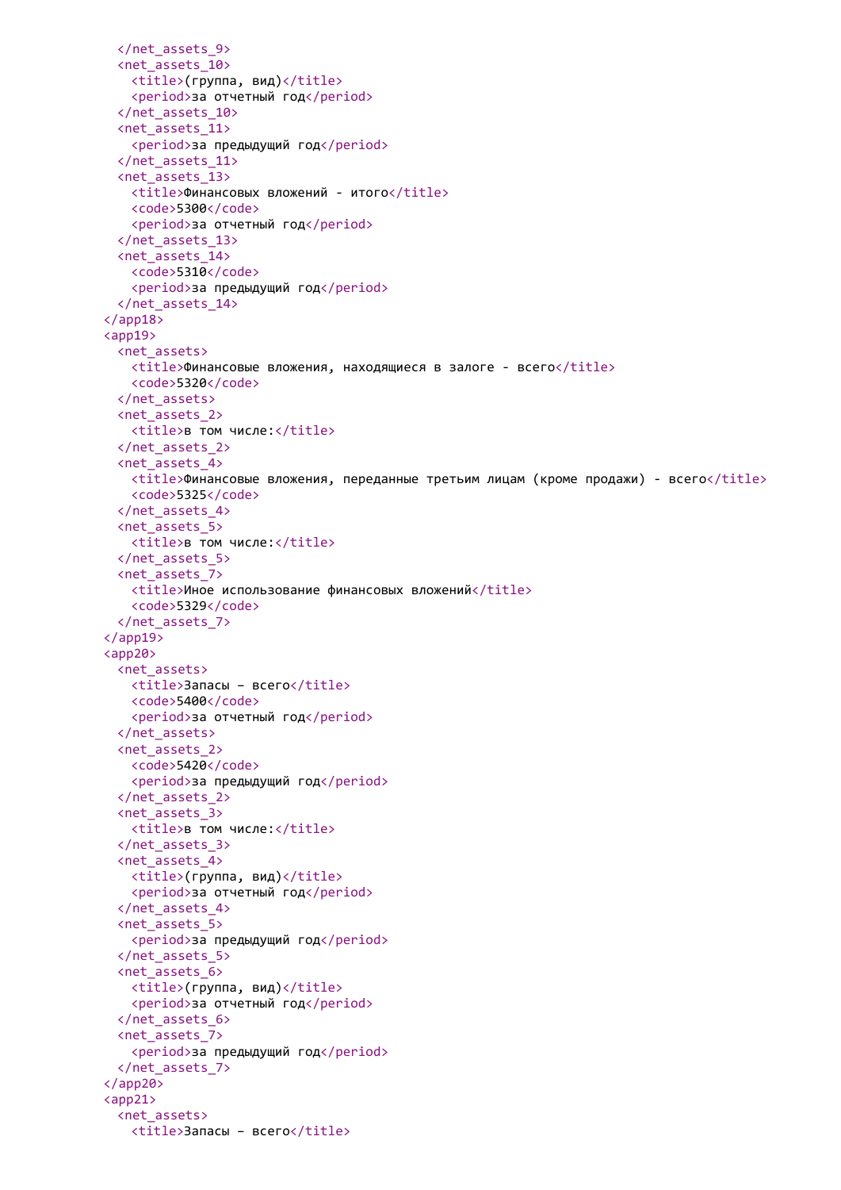```
</net_assets_9>
 <net_assets_10>
   <title>(группа, вид)</title>
   <period>за отчетный год</period>
 </net_assets_10>
 <net_assets_11>
   <period>за предыдущий год</period>
 </net_assets_11>
 <net_assets_13>
   <title>Финансовых вложений - итого</title>
   <code>5300</code>
   <period>за отчетный год</period>
 </net_assets_13>
 <net_assets_14>
   <code>5310</code>
   <period>за предыдущий год</period>
 </net_assets_14>
</app18>
<app19>
 <net assets>
   <title>Финансовые вложения, находящиеся в залоге - всего</title>
   <code>5320</code>
 </net_assets>
 <net_assets_2>
   <title>в том числе:</title>
 </net_assets_2>
 <net_assets_4>
   <title>Финансовые вложения, переданные третьим лицам (кроме продажи) - всего</title>
   <code>5325</code>
 </net_assets_4>
 <net_assets_5>
   <title>в том числе:</title>
 </net_assets_5>
 <net_assets_7>
   <title>Иное использование финансовых вложений</title>
   <code>5329</code>
 </net_assets_7>
</app19>
<app20>
 <net_assets>
   <title>Запасы - всего</title>
   <code>5400</code>
   <period>за отчетный год</period>
 </net_assets>
 <net_assets_2>
   <code>5420</code>
   <period>за предыдущий год</period>
 </net_assets_2>
 <net_assets_3>
   <title>в том числе:</title>
 </net_assets_3>
 <net_assets_4>
   <title>(группа, вид)</title>
   <period>за отчетный год</period>
 </net_assets_4>
 <net_assets_5>
   <period>за предыдущий год</period>
 </net_assets_5>
 <net_assets_6>
   <title>(группа, вид)</title>
   <period>за отчетный год</period>
 </net_assets_6>
 <net_assets_7>
   <period>за предыдущий год</period>
 </net_assets_7>
</app20>
<app21>
 <net_assets>
   <title>Запасы - всего</title>
```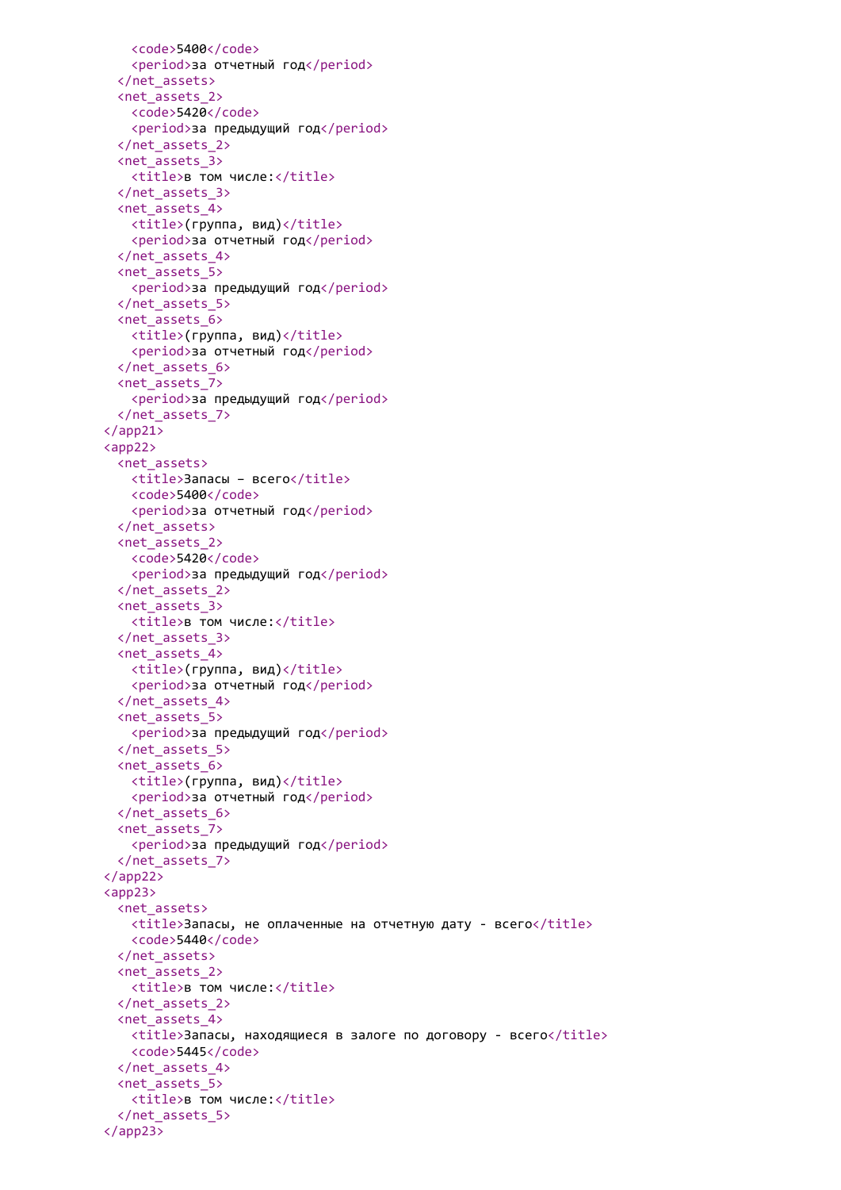```
<code>5400</code>
   <period>за отчетный год</period>
 </net_assets>
 <net_assets_2>
   <code>5420</code>
   <period>за предыдущий год</period>
 </net_assets_2>
 <net_assets_3>
   <title>в том числе:</title>
 </net_assets_3>
 <net_assets_4>
   <title>(группа, вид)</title>
   <period>за отчетный год</period>
 </net_assets_4>
 <net_assets_5>
   <period>за предыдущий год</period>
 </net_assets_5>
 <net_assets_6>
   <title>(группа, вид)</title>
   <period>за отчетный год</period>
 </net_assets_6>
 <net_assets_7>
   <period>за предыдущий год</period>
 </net_assets_7>
</app21>
<app22>
 <net assets>
   <title>Запасы - всего</title>
   <code>5400</code>
   <period>за отчетный год</period>
 </net_assets>
 <net_assets_2>
   <code>5420</code>
   <period>за предыдущий год</period>
 </net_assets_2>
 <net_assets_3>
   <title>в том числе:</title>
 </net_assets_3>
 <net_assets_4>
   <title>(группа, вид)</title>
   <period>за отчетный год</period>
 </net_assets_4>
 <net_assets_5>
   <period>за предыдущий год</period>
 </net_assets_5>
 <net_assets_6>
   <title>(группа, вид)</title>
   <period>за отчетный год</period>
 </net_assets_6>
 <net_assets_7>
   <period>за предыдущий год</period>
 </net_assets_7>
</app22>
<app23>
 <net_assets>
   <title>Запасы, не оплаченные на отчетную дату - всего</title>
   <code>5440</code>
 </net_assets>
 <net_assets_2>
   <title>в том числе:</title>
 </net_assets_2>
 <net_assets_4>
   <title>Запасы, находящиеся в залоге по договору - всего</title>
   <code>5445</code>
 </net_assets_4>
 <net_assets_5>
   <title>в том числе:</title>
 </net_assets_5>
</app23>
```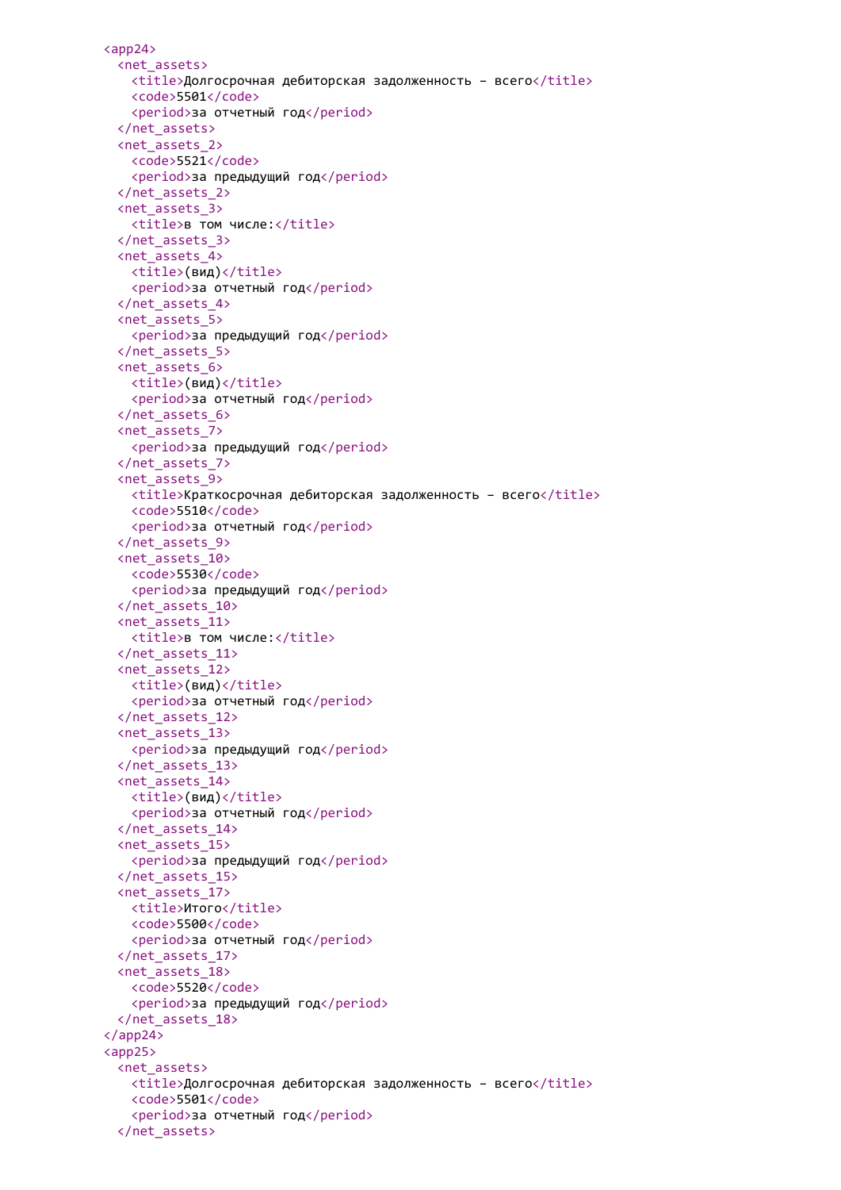```
<app24>
 <net_assets>
   \langletitle>Долгосрочная дебиторская задолженность - всего\langletitle>
   <code>5501</code>
   <period>за отчетный год</period>
 </net_assets>
 <net_assets_2>
   <code>5521</code>
   <period>за предыдущий год</period>
 </net_assets_2>
 <net_assets_3>
   <title>в том числе:</title>
 </net_assets_3>
 <net_assets_4>
   <title>(вид)</title>
   <period>за отчетный год</period>
 </net_assets_4>
 <net_assets_5>
   <period>за предыдущий год</period>
 </net_assets_5>
 <net_assets_6>
   <title>(вид)</title>
   <period>за отчетный год</period>
 </net_assets_6>
 <net_assets_7>
   <period>за предыдущий год</period>
 </net_assets_7>
 <net_assets_9>
   \langletitle>Краткосрочная дебиторская задолженность – всего\langletitle>
   <code>5510</code>
   <period>за отчетный год</period>
 </net_assets_9>
 <net_assets_10>
   <code>5530</code>
   <period>за предыдущий год</period>
 </net_assets_10>
 <net_assets_11>
   <title>в том числе:</title>
 </net_assets_11>
 <net_assets_12>
   <title>(вид)</title>
   <period>за отчетный год</period>
 </net_assets_12>
 <net_assets_13>
   <period>за предыдущий год</period>
 </net_assets_13>
 <net_assets_14>
   <title>(вид)</title>
   <period>за отчетный год</period>
 </net_assets_14>
 <net_assets_15>
   <period>за предыдущий год</period>
 </net_assets_15>
 <net_assets_17>
   <title>Итого</title>
   <code>5500</code>
   <period>за отчетный год</period>
 </net_assets_17>
 <net_assets_18>
   <code>5520</code>
   <period>за предыдущий год</period>
 </net_assets_18>
</app24>
<app25>
 <net_assets>
   <title>Долгосрочная дебиторская задолженность - всего</title>
   <code>5501</code>
   <period>за отчетный год</period>
 </net_assets>
```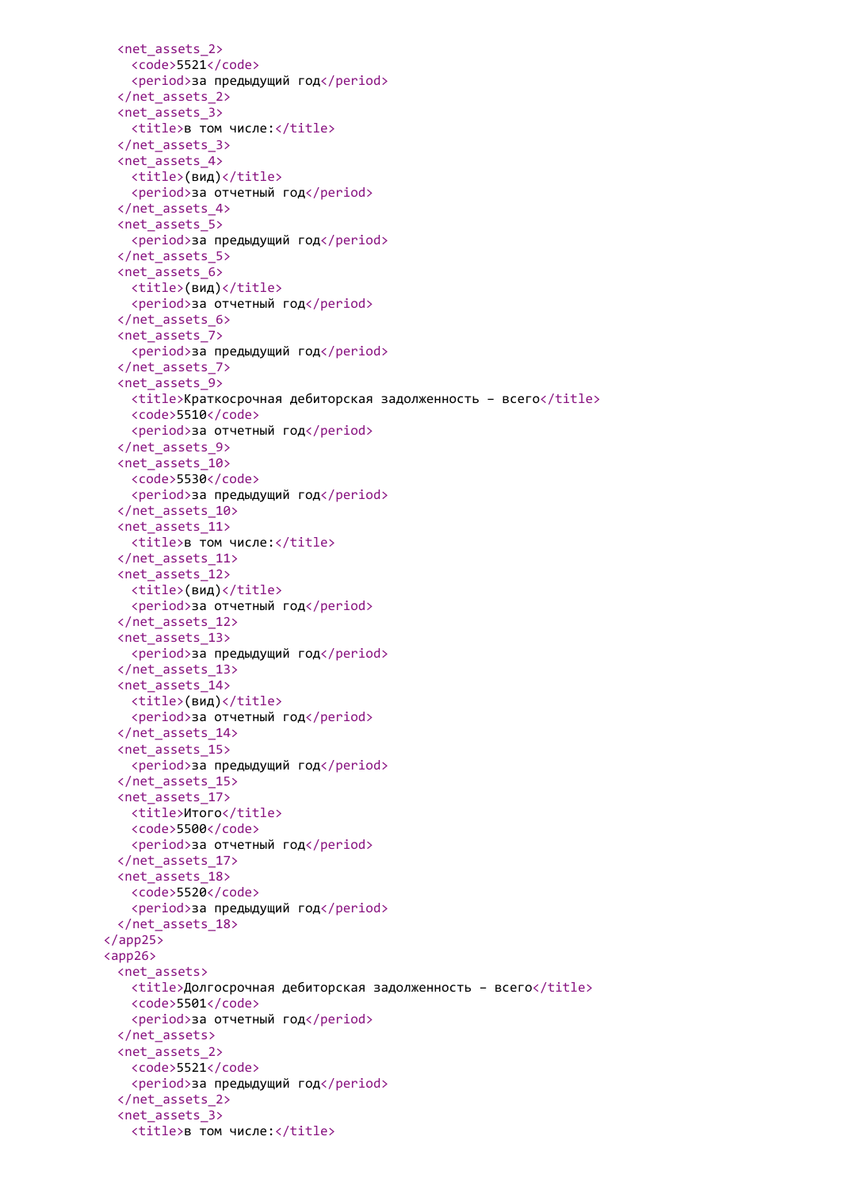<net\_assets\_2> <code>5521</code> <period>за предыдущий год</period> </net\_assets\_2> <net\_assets\_3> <title>в том числе:</title> </net\_assets\_3> <net\_assets\_4> <title>(вид)</title> <period>за отчетный год</period> </net\_assets\_4> <net\_assets\_5> <period>за предыдущий год</period> </net\_assets\_5> <net\_assets\_6> <title>(вид)</title> <period>за отчетный год</period> </net\_assets\_6> <net\_assets\_7> <period>за предыдущий год</period> </net\_assets\_7> <net\_assets\_9>  $\langle$ title>Краткосрочная дебиторская задолженность – всего $\langle$ title> <code>5510</code> <period>за отчетный год</period> </net\_assets\_9> <net\_assets\_10> <code>5530</code> <period>за предыдущий год</period> </net\_assets\_10> <net\_assets\_11> <title>в том числе:</title> </net\_assets\_11> <net\_assets\_12> <title>(вид)</title> <period>за отчетный год</period> </net\_assets\_12> <net\_assets\_13> <period>за предыдущий год</period> </net\_assets\_13> <net\_assets\_14> <title>(вид)</title> <period>за отчетный год</period> </net\_assets\_14> <net\_assets\_15> <period>за предыдущий год</period> </net\_assets\_15> <net\_assets\_17> <title>Итого</title> <code>5500</code> <period>за отчетный год</period> </net\_assets\_17> <net\_assets\_18> <code>5520</code> <period>за предыдущий год</period> </net\_assets\_18> </app25> <app26> <net\_assets> <title>Долгосрочная дебиторская задолженность – всего</title> <code>5501</code> <period>за отчетный год</period> </net\_assets> <net\_assets\_2> <code>5521</code> <period>за предыдущий год</period> </net\_assets\_2> <net\_assets\_3> <title>в том числе:</title>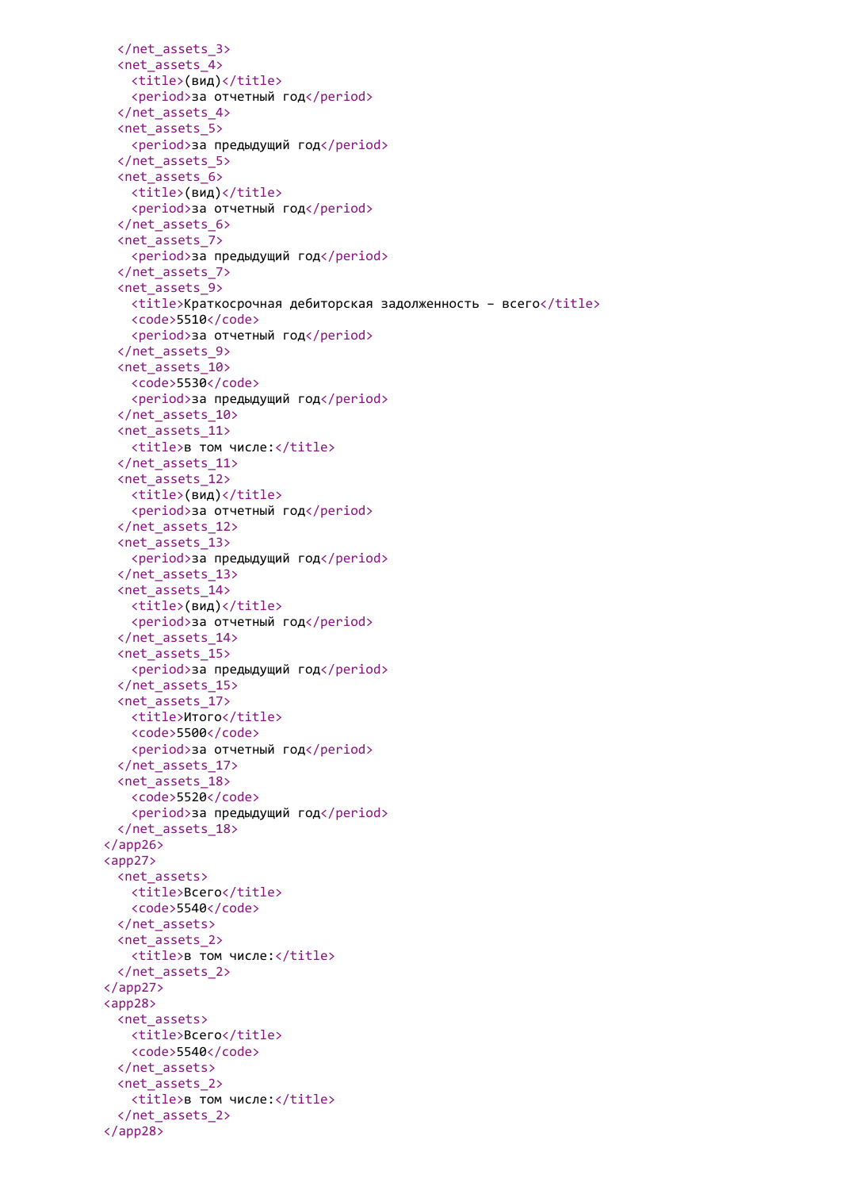```
</net_assets_3>
 <net_assets_4>
   <title>(вид)</title>
   <period>за отчетный год</period>
 </net_assets_4>
 <net_assets_5>
   <period>за предыдущий год</period>
 </net_assets_5>
 <net_assets_6>
   <title>(вид)</title>
   <period>за отчетный год</period>
 </net_assets_6>
 <net_assets_7>
   <period>за предыдущий год</period>
 </net_assets_7>
 <net_assets_9>
   <title>Краткосрочная дебиторская задолженность – всего</title>
   <code>5510</code>
   <period>за отчетный год</period>
 </net_assets_9>
 <net_assets_10>
   <code>5530</code>
   <period>за предыдущий год</period>
 </net_assets_10>
 <net_assets_11>
   <title>в том числе:</title>
 </net_assets_11>
 <net_assets_12>
   <title>(вид)</title>
   <period>за отчетный год</period>
 </net_assets_12>
 <net_assets_13>
   <period>за предыдущий год</period>
 </net_assets_13>
 <net_assets_14>
   <title>(вид)</title>
   <period>за отчетный год</period>
 </net_assets_14>
 <net_assets_15>
   <period>за предыдущий год</period>
 </net_assets_15>
 <net_assets_17>
   <title>Итого</title>
   <code>5500</code>
   <period>за отчетный год</period>
 </net_assets_17>
 <net_assets_18>
   <code>5520</code>
   <period>за предыдущий год</period>
 </net_assets_18>
</app26>
<app27>
 <net_assets>
   <title>Bcero</title>
   <code>5540</code>
 </net_assets>
 <net_assets_2>
   <title>в том числе:</title>
 </net_assets_2>
</app27>
<app28>
 <net_assets>
   <title>Всего</title>
   <code>5540</code>
 </net_assets>
 <net_assets_2>
   <title>в том числе:</title>
 </net_assets_2>
</app28>
```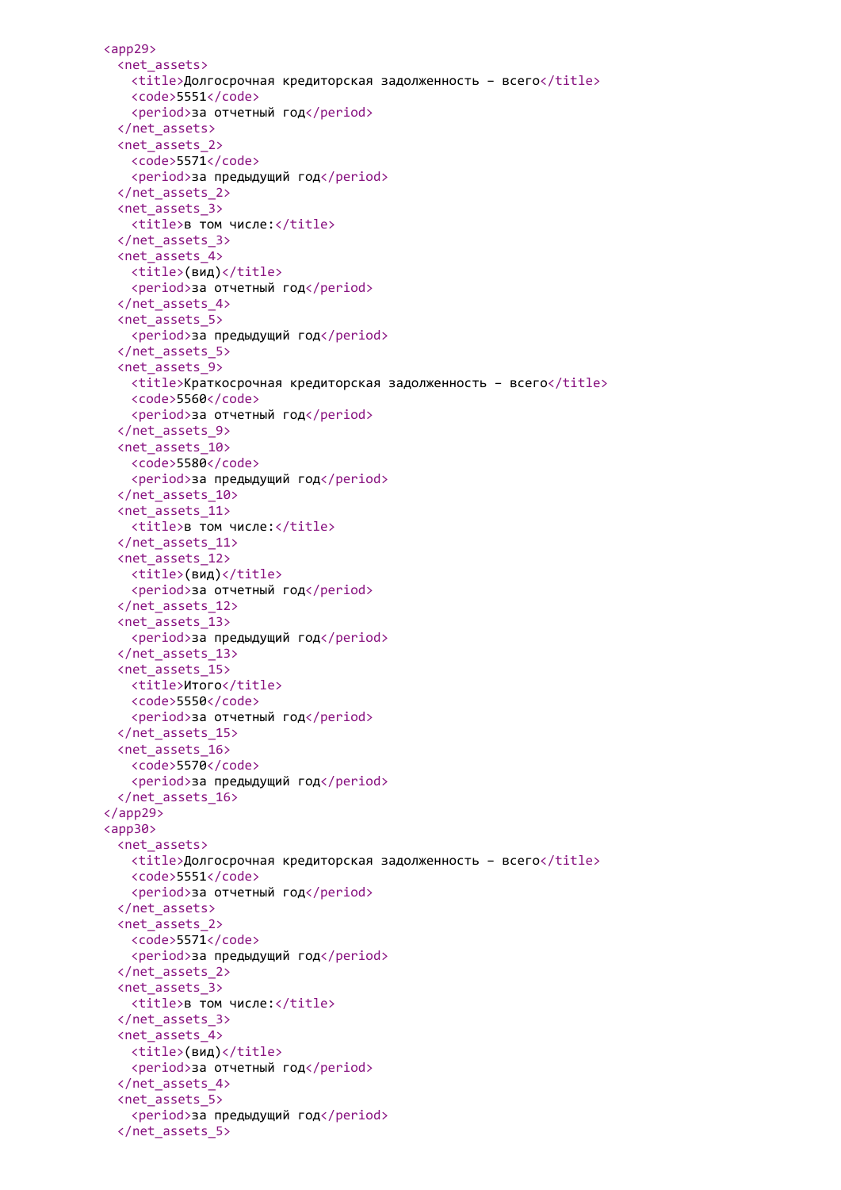```
<app29>
 <net_assets>
   \langletitle>Долгосрочная кредиторская задолженность – всего\langletitle>
   <code>5551</code>
   <period>за отчетный год</period>
 </net_assets>
 <net_assets_2>
   <code>5571</code>
   <period>за предыдущий год</period>
 </net_assets_2>
 <net_assets_3>
   <title>в том числе:</title>
 </net_assets_3>
 <net_assets_4>
   <title>(вид)</title>
   <period>за отчетный год</period>
 </net_assets_4>
 <net_assets_5>
   <period>за предыдущий год</period>
 </net_assets_5>
 <net_assets_9>
   <title>Краткосрочная кредиторская задолженность – всего</title>
   <code>5560</code>
   <period>за отчетный год</period>
 </net_assets_9>
 <net_assets_10>
   <code>5580</code>
   <period>за предыдущий год</period>
 </net_assets_10>
 <net_assets_11>
   <title>в том числе:</title>
 </net_assets_11>
 <net_assets_12>
   <title>(вид)</title>
   <period>за отчетный год</period>
 </net_assets_12>
 <net_assets_13>
   <period>за предыдущий год</period>
 </net_assets_13>
 <net_assets_15>
   <title>Итого</title>
   <code>5550</code>
   <period>за отчетный год</period>
 </net_assets_15>
 <net_assets_16>
   <code>5570</code>
   <period>за предыдущий год</period>
 </net_assets_16>
</app29>
<app30>
 <net_assets>
   \langletitle>Долгосрочная кредиторская задолженность – всего\langletitle>
   <code>5551</code>
   <period>за отчетный год</period>
 </net_assets>
 <net_assets_2>
   <code>5571</code>
   <period>за предыдущий год</period>
 </net_assets_2>
 <net_assets_3>
   <title>в том числе:</title>
 </net_assets_3>
 <net_assets_4>
   <title>(вид)</title>
   <period>за отчетный год</period>
 </net_assets_4>
 <net_assets_5>
   <period>за предыдущий год</period>
 </net_assets_5>
```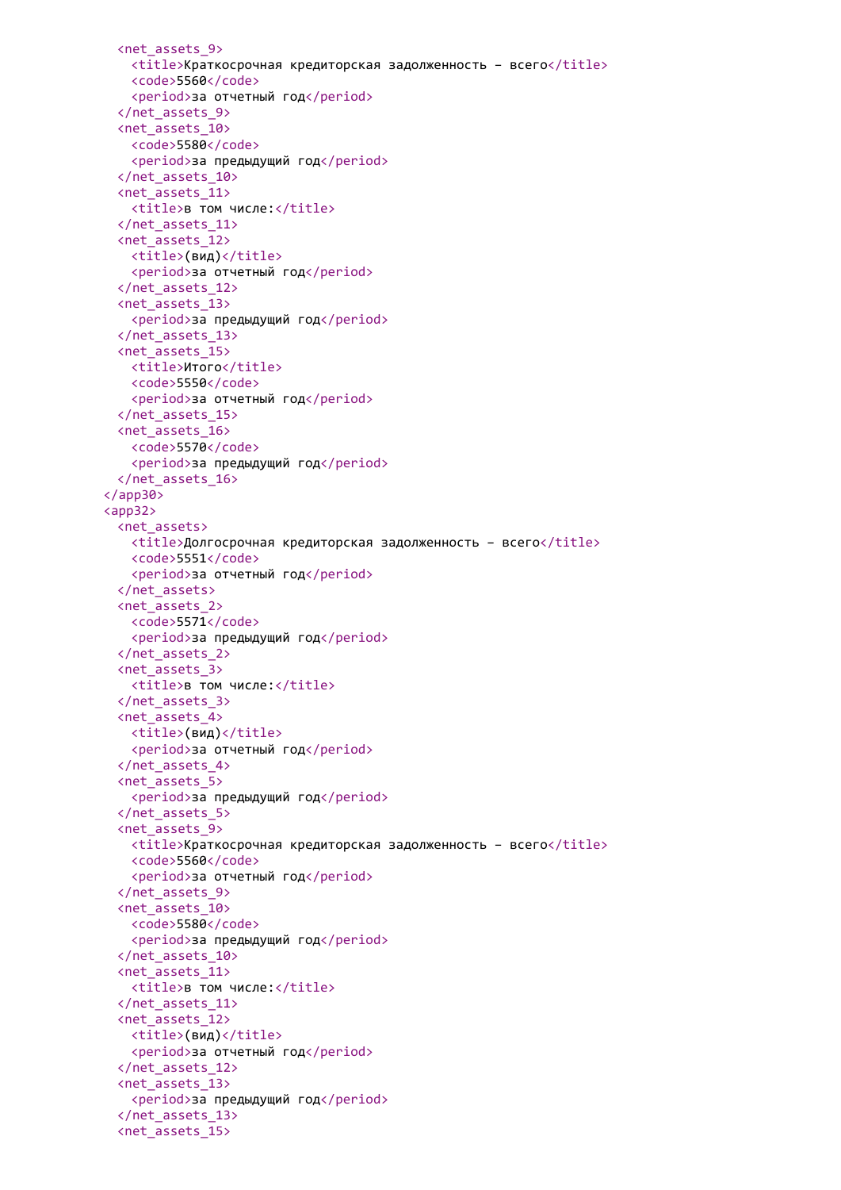```
<net_assets_9>
   <title>Краткосрочная кредиторская задолженность – всего</title>
   <code>5560</code>
   <period>за отчетный год</period>
 </net_assets_9>
 <net_assets_10>
   <code>5580</code>
   <period>за предыдущий год</period>
 </net_assets_10>
 <net_assets_11>
   <title>в том числе:</title>
 </net_assets_11>
 <net_assets_12>
   <title>(вид)</title>
   <period>за отчетный год</period>
 </net_assets_12>
 <net_assets_13>
   <period>за предыдущий год</period>
 </net_assets_13>
 <net_assets_15>
   <title>Итого</title>
   <code>5550</code>
   <period>за отчетный год</period>
 </net_assets_15>
 <net_assets_16>
   <code>5570</code>
   <period>за предыдущий год</period>
 </net_assets_16>
</app30>
<app32>
 <net assets>
   <title>Долгосрочная кредиторская задолженность – всего</title>
   <code>5551</code>
   <period>за отчетный год</period>
 </net_assets>
 <net_assets_2>
   <code>5571</code>
   <period>за предыдущий год</period>
 </net_assets_2>
 <net_assets_3>
   <title>в том числе:</title>
 </net_assets_3>
 <net_assets_4>
   <title>(вид)</title>
   <period>за отчетный год</period>
 </net_assets_4>
 <net_assets_5>
   <period>за предыдущий год</period>
 </net_assets_5>
 <net_assets_9>
   <title>Краткосрочная кредиторская задолженность – всего</title>
   <code>5560</code>
   <period>за отчетный год</period>
 </net_assets_9>
 <net_assets_10>
   <code>5580</code>
   <period>за предыдущий год</period>
 </net_assets_10>
 <net_assets_11>
   <title>в том числе:</title>
 </net_assets_11>
 <net_assets_12>
   <title>(вид)</title>
   <period>за отчетный год</period>
 </net_assets_12>
 <net_assets_13>
   <period>за предыдущий год</period>
 </net_assets_13>
 <net_assets_15>
```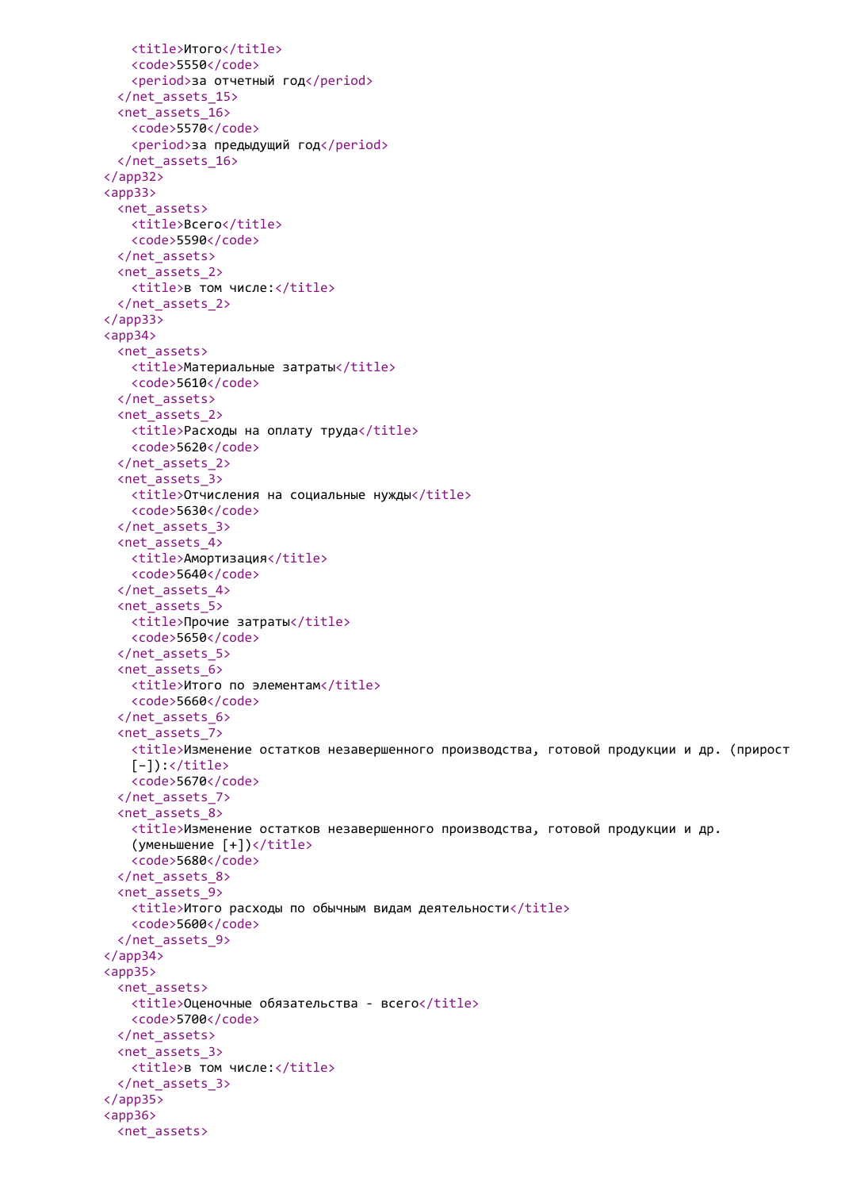```
<title>Итого</title>
   <code>5550</code>
   <period>за отчетный год</period>
 </net_assets_15>
 <net_assets_16>
   <code>5570</code>
   <period>за предыдущий год</period>
 </net_assets_16>
</app32>
<app33>
 <net assets>
   <title>Bcero</title>
   <code>5590</code>
 </net_assets>
 <net_assets_2>
   <title>в том числе:</title>
 </net_assets_2>
</app33>
<app34>
 <net_assets>
   <title>Материальные затраты</title>
   <code>5610</code>
 </net_assets>
 <net_assets_2>
   <title>Расходы на оплату труда</title>
   <code>5620</code>
 </net_assets_2>
 <net_assets_3>
   <title>Отчисления на социальные нужды</title>
   <code>5630</code>
 </net_assets_3>
 <net_assets_4>
   <title>Амортизация</title>
   <code>5640</code>
 </net_assets_4>
 <net_assets_5>
   <title>Прочие затраты</title>
   <code>5650</code>
 </net_assets_5>
 <net_assets_6>
   <title>Итого по элементам</title>
   <code>5660</code>
 </net_assets_6>
 <net_assets_7>
   <title>Изменение остатков незавершенного производства, готовой продукции и др. (прирост
   [-]):\langle/title>
   <code>5670</code>
 </net_assets_7>
 <net_assets_8>
   <title>Изменение остатков незавершенного производства, готовой продукции и др.
   ( уменьшение [+]) \lt/title>
   <code>5680</code>
 </net_assets_8>
 <net_assets_9>
   <title>Итого расходы по обычным видам деятельности</title>
   <code>5600</code>
 </net_assets_9>
</app34>
<app35>
 <net_assets>
   <title>Оценочные обязательства - всего</title>
   <code>5700</code>
 </net_assets>
 <net_assets_3>
   <title>в том числе:</title>
 </net_assets_3>
</app35>
<app36>
 <net_assets>
```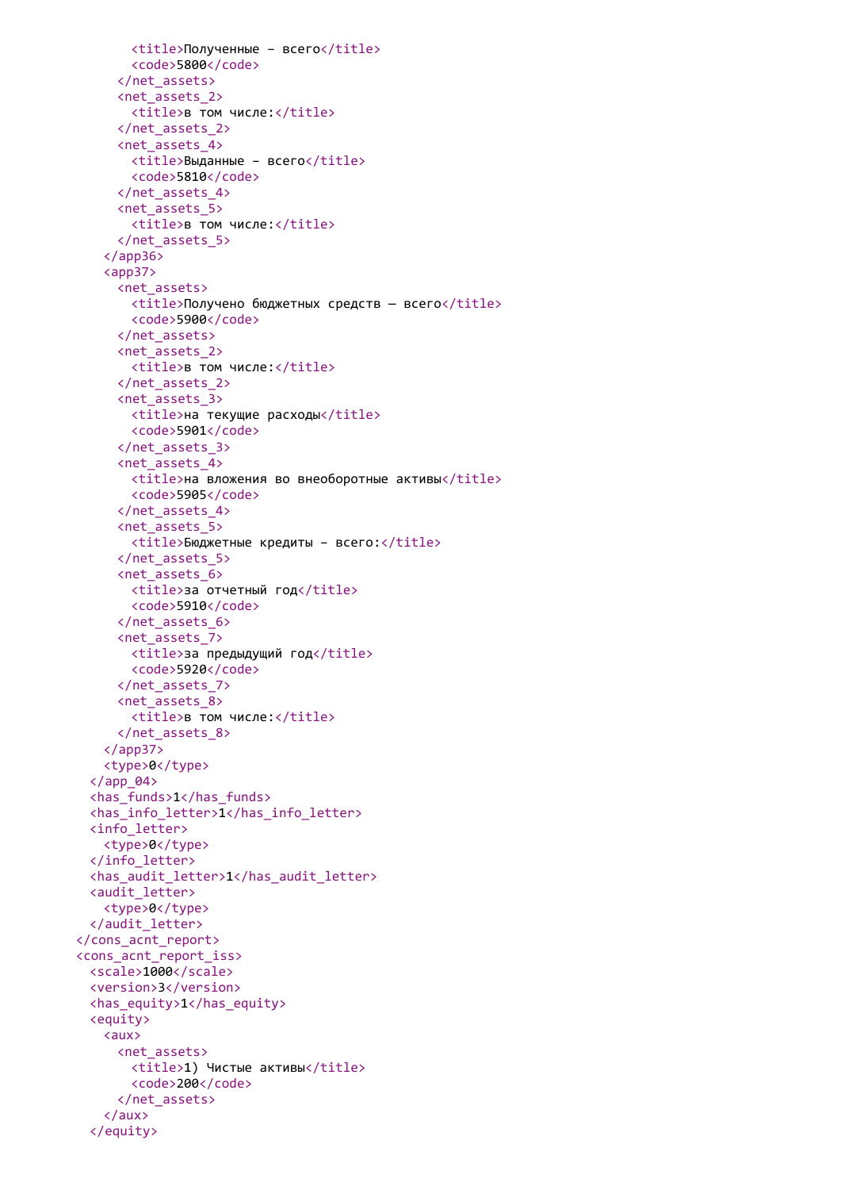```
<title>Полученные – всего</title>
       <code>5800</code>
      </net_assets>
     <net_assets_2>
       <title>в том числе:</title>
      </net_assets_2>
     <net_assets_4>
       <title>Выданные – всего</title>
       <code>5810</code>
     </net_assets_4>
     <net_assets_5>
       <title>в том числе:</title>
      </net_assets_5>
    </app36>
    <app37>
     <net_assets>
       \langle \text{title}\rangleПолучено бюджетных средств - всего\langle \text{title}\rangle<code>5900</code>
     </net_assets>
     <net_assets_2>
       <title>в том числе:</title>
     </net_assets_2>
     <net_assets_3>
       <title>на текущие расходы</title>
       <code>5901</code>
     </net_assets_3>
     <net_assets_4>
       <title>на вложения во внеоборотные активы</title>
       <code>5905</code>
     </net_assets_4>
     <net_assets_5>
       <title>Бюджетные кредиты - всего:</title>
      </net_assets_5>
     <net_assets_6>
       <title>за отчетный год</title>
       <code>5910</code>
      </net_assets_6>
     <net_assets_7>
       <title>за предыдущий год</title>
       <code>5920</code>
     </net_assets_7>
     <net_assets_8>
       <title>в том числе:</title>
     </net_assets_8>
   </app37>
   <type>0</type>
  \langle app 04\rangle<has_funds>1</has_funds>
  <has_info_letter>1</has_info_letter>
  <info_letter>
   <type>0</type>
  </info_letter>
  <has_audit_letter>1</has_audit_letter>
  <audit_letter>
   <type>0</type>
 </audit_letter>
</cons_acnt_report>
<cons_acnt_report_iss>
 <scale>1000</scale>
 <version>3</version>
 <has_equity>1</has_equity>
 <equity>
   <aux>
     <net_assets>
       <title>1) Чистые активы</title>
       <code>200</code>
     </net_assets>
   </aux>
  </equity>
```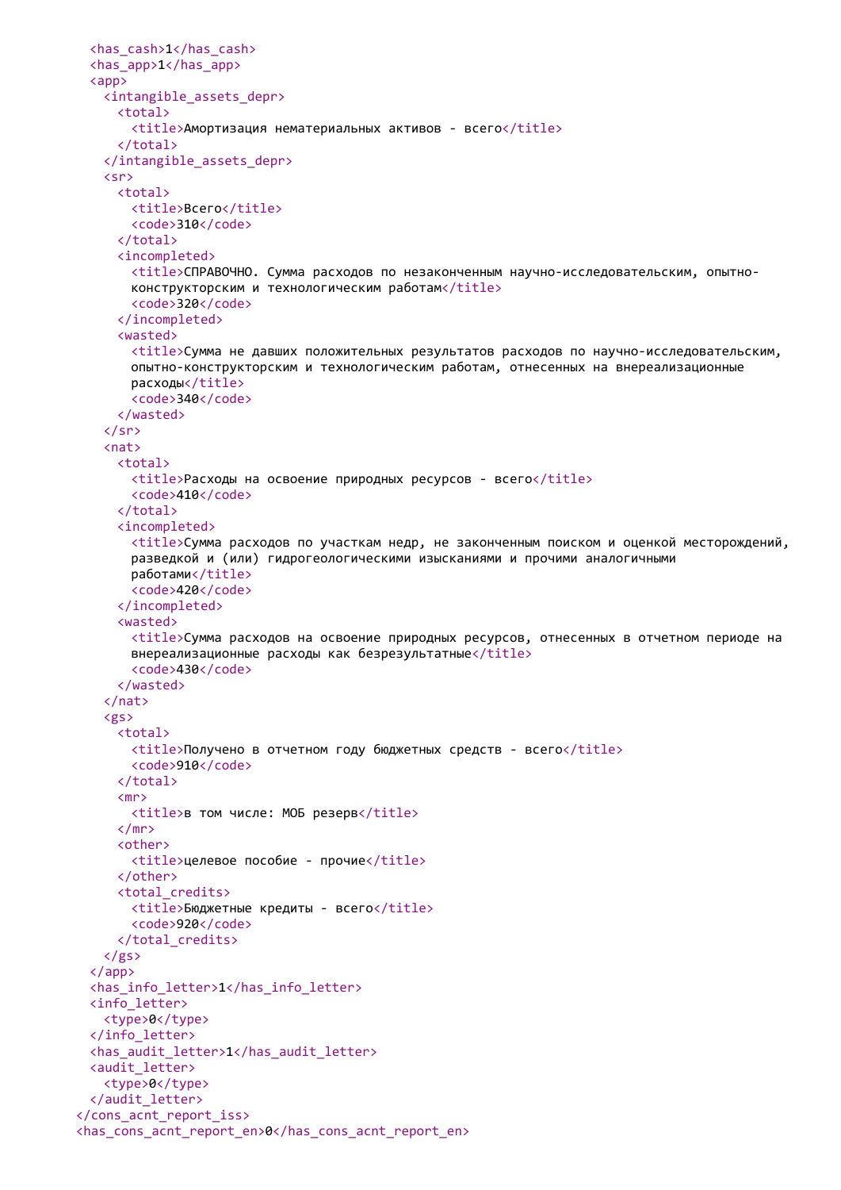```
<has_cash>1</has_cash>
  <has_app>1</has_app>
  <app>
   <intangible_assets_depr>
     <total>
       <title>Амортизация нематериальных активов - всего</title>
     </total>
   </intangible_assets_depr>
   <sr>
     <total>
       <title>Bcero</title>
       <code>310</code>
     </total>
     <incompleted>
       <title>СПРАВОЧНО. Сумма расходов по незаконченным научно-исследовательским, опытно-
       конструкторским и технологическим работам</title>
       <code>320</code>
     </incompleted>
     <wasted>
       <title>Сумма не давших положительных результатов расходов по научно-исследовательским,
       опытно-конструкторским и технологическим работам, отнесенных на внереализационные
       расходы</title>
       <code>340</code>
     </wasted>
   \langle/sr>
   <nat>
     <total>
       <title>Расходы на освоение природных ресурсов - всего</title>
       <code>410</code>
     </total>
     <incompleted>
       <title>Сумма расходов по участкам недр, не законченным поиском и оценкой месторождений,
       разведкой и (или) гидрогеологическими изысканиями и прочими аналогичными
       работами</title>
       <code>420</code>
     </incompleted>
     <wasted>
       <title>Сумма расходов на освоение природных ресурсов, отнесенных в отчетном периоде на
       внереализационные расходы как безрезультатные</title>
       <code>430</code>
     </wasted>
   </nat>
   <gs>
     <total>
       <title>Получено в отчетном году бюджетных средств - всего</title>
       <code>910</code>
     </total>
     <mr>
       <title>в том числе: МОБ резерв</title>
     \langle/mr\rangle<other>
       <title>целевое пособие - прочие</title>
     </other>
     <total_credits>
       <title>Бюджетные кредиты - всего</title>
       <code>920</code>
     </total_credits>
   </gs>
  </app>
  <has_info_letter>1</has_info_letter>
  <info_letter>
   <tvpe>0</tvpe>
  </info_letter>
 <has_audit_letter>1</has_audit_letter>
  <audit_letter>
   <type>0</type>
  </audit_letter>
</cons_acnt_report_iss>
<has_cons_acnt_report_en>0</has_cons_acnt_report_en>
```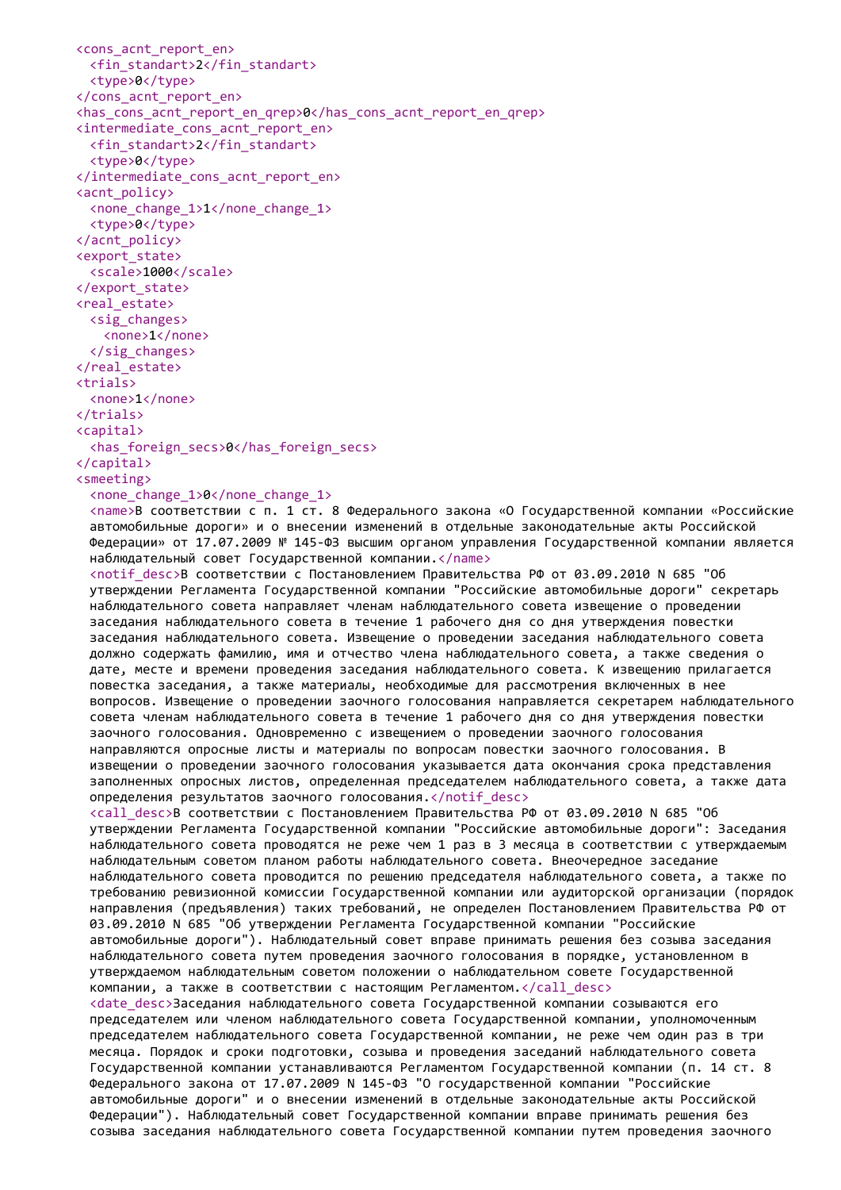```
<cons_acnt_report_en>
 <fin_standart>2</fin_standart>
 <type>0</type>
</cons_acnt_report_en>
<has_cons_acnt_report_en_qrep>0</has_cons_acnt_report_en_qrep>
<intermediate_cons_acnt_report_en>
 <fin_standart>2</fin_standart>
 <type>0</type>
</intermediate_cons_acnt_report_en>
<acnt_policy>
 \langle none change 1>1\langle/none change 1>
 <type>0</type>
</acnt_policy>
<export_state>
 <scale>1000</scale>
</export_state>
<real_estate>
 <sig_changes>
   <none>1</none>
 </sig_changes>
</real_estate>
<trials>
 <none>1</none>
</trials>
<capital>
 <has_foreign_secs>0</has_foreign_secs>
</capital>
<smeeting>
 <none_change_1>0</none_change_1>
 <name>В соответствии с п. 1 ст. 8 Федерального закона «О Государственной компании «Российские
 автомобильные дороги» и о внесении изменений в отдельные законодательные акты Российской
 Федерации» от 17.07.2009 № 145-ФЗ высшим органом управления Государственной компании является
 наблюдательный совет Государственной компании.</name>
 <notif_desc>В соответствии с Постановлением Правительства РФ от 03.09.2010 N 685 "Об
 утверждении Регламента Государственной компании "Российские автомобильные дороги" секретарь
 наблюдательного совета направляет членам наблюдательного совета извещение о проведении
 заседания наблюдательного совета в течение 1 рабочего дня со дня утверждения повестки
 заседания наблюдательного совета. Извещение о проведении заседания наблюдательного совета
 должно содержать фамилию, имя и отчество члена наблюдательного совета, а также сведения о
 дате, месте и времени проведения заседания наблюдательного совета. К извещению прилагается
 повестка заседания, а также материалы, необходимые для рассмотрения включенных в нее
 вопросов. Извещение о проведении заочного голосования направляется секретарем наблюдательного
 совета членам наблюдательного совета в течение 1 рабочего дня со дня утверждения повестки
 заочного голосования. Одновременно с извещением о проведении заочного голосования
 направляются опросные листы и материалы по вопросам повестки заочного голосования. В
 извещении о проведении заочного голосования указывается дата окончания срока представления
 заполненных опросных листов, определенная председателем наблюдательного совета, а также дата
 определения результатов заочного голосования.</notif_desc>
 <call_desc>В соответствии с Постановлением Правительства РФ от 03.09.2010 N 685 "Об
 утверждении Регламента Государственной компании "Российские автомобильные дороги": Заседания
 наблюдательного совета проводятся не реже чем 1 раз в 3 месяца в соответствии с утверждаемым
 наблюдательным советом планом работы наблюдательного совета. Внеочередное заседание
 наблюдательного совета проводится по решению председателя наблюдательного совета, а также по
 требованию ревизионной комиссии Государственной компании или аудиторской организации (порядок
 направления (предъявления) таких требований, не определен Постановлением Правительства РФ от
 03.09.2010 N 685 "Об утверждении Регламента Государственной компании "Российские
 автомобильные дороги"). Наблюдательный совет вправе принимать решения без созыва заседания
 наблюдательного совета путем проведения заочного голосования в порядке, установленном в
 утверждаемом наблюдательным советом положении о наблюдательном совете Государственной
 компании, а также в соответствии с настоящим Регламентом.</call_desc>
 <date desc>Заседания наблюдательного совета Государственной компании созываются его
 председателем или членом наблюдательного совета Государственной компании, уполномоченным
 председателем наблюдательного совета Государственной компании, не реже чем один раз в три
 месяца. Порядок и сроки подготовки, созыва и проведения заседаний наблюдательного совета
 Государственной компании устанавливаются Регламентом Государственной компании (п. 14 ст. 8
 Федерального закона от 17.07.2009 N 145-ФЗ "О государственной компании "Российские
 автомобильные дороги" и о внесении изменений в отдельные законодательные акты Российской
 Федерации"). Наблюдательный совет Государственной компании вправе принимать решения без
```
созыва заседания наблюдательного совета Государственной компании путем проведения заочного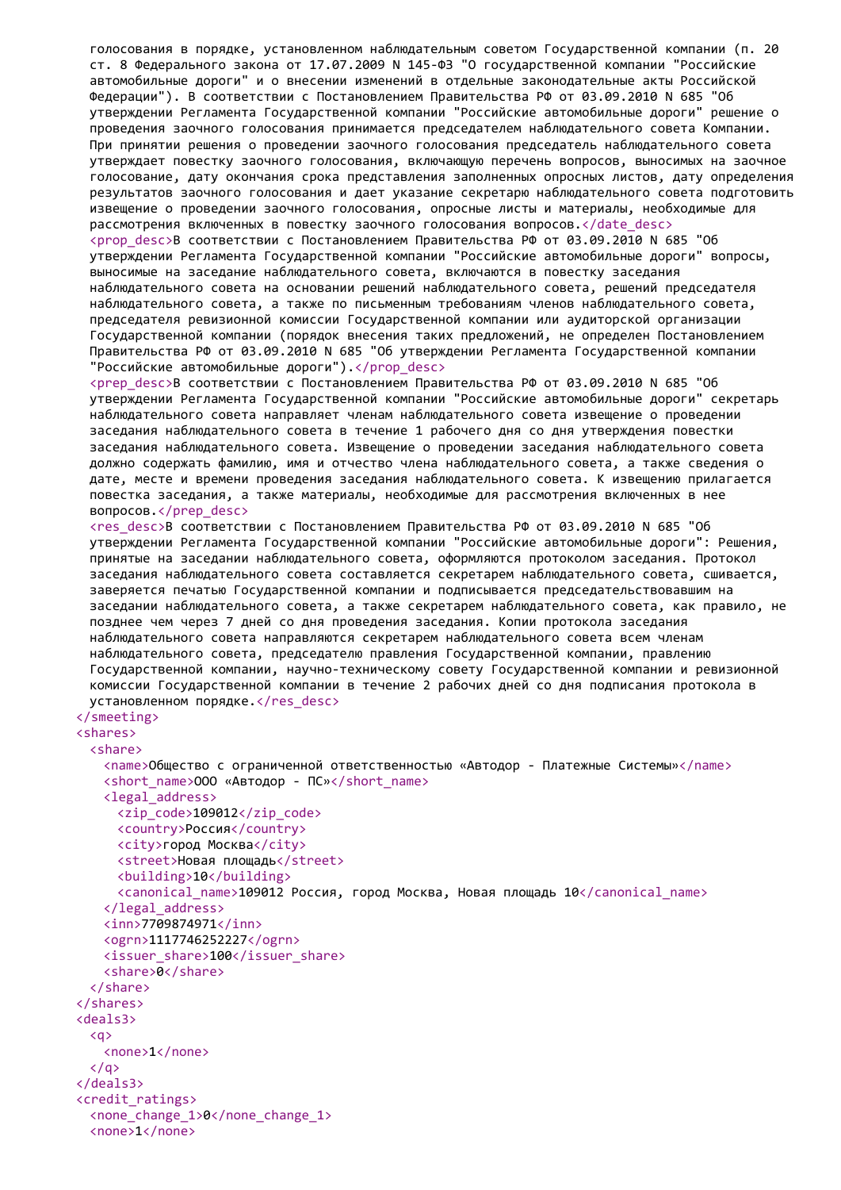```
голосования в порядке, установленном наблюдательным советом Государственной компании (п. 20
 ст. 8 Федерального закона от 17.07.2009 N 145-ФЗ "О государственной компании "Российские
 автомобильные дороги" и о внесении изменений в отдельные законодательные акты Российской
 Федерации"). В соответствии с Постановлением Правительства РФ от 03.09.2010 N 685 "Об
 утверждении Регламента Государственной компании "Российские автомобильные дороги" решение о
 проведения заочного голосования принимается председателем наблюдательного совета Компании.
 При принятии решения о проведении заочного голосования председатель наблюдательного совета
 утверждает повестку заочного голосования, включающую перечень вопросов, выносимых на заочное
 голосование, дату окончания срока представления заполненных опросных листов, дату определения
 результатов заочного голосования и дает указание секретарю наблюдательного совета подготовить
 извещение о проведении заочного голосования, опросные листы и материалы, необходимые для
 рассмотрения включенных в повестку заочного голосования вопросов.</date_desc>
 <prop desc>В соответствии с Постановлением Правительства РФ от 03.09.2010 N 685 "Об
 утверждении Регламента Государственной компании "Российские автомобильные дороги" вопросы,
 выносимые на заседание наблюдательного совета, включаются в повестку заседания
 наблюдательного совета на основании решений наблюдательного совета, решений председателя
 наблюдательного совета, а также по письменным требованиям членов наблюдательного совета,
 председателя ревизионной комиссии Государственной компании или аудиторской организации
 Государственной компании (порядок внесения таких предложений, не определен Постановлением
 Правительства РФ от 03.09.2010 N 685 "Об утверждении Регламента Государственной компании
 "Российские автомобильные дороги").</prop_desc>
 <prep_desc>В соответствии с Постановлением Правительства РФ от 03.09.2010 N 685 "Об
 утверждении Регламента Государственной компании "Российские автомобильные дороги" секретарь
 наблюдательного совета направляет членам наблюдательного совета извещение о проведении
 заседания наблюдательного совета в течение 1 рабочего дня со дня утверждения повестки
 заседания наблюдательного совета. Извещение о проведении заседания наблюдательного совета
 должно содержать фамилию, имя и отчество члена наблюдательного совета, а также сведения о
 дате, месте и времени проведения заседания наблюдательного совета. К извещению прилагается
 повестка заседания, а также материалы, необходимые для рассмотрения включенных в нее
 вопросов.</prep_desc>
 <res desc>В соответствии с Постановлением Правительства РФ от 03.09.2010 N 685 "Об
 утверждении Регламента Государственной компании "Российские автомобильные дороги": Решения,
 принятые на заседании наблюдательного совета, оформляются протоколом заседания. Протокол
 заседания наблюдательного совета составляется секретарем наблюдательного совета, сшивается,
 заверяется печатью Государственной компании и подписывается председательствовавшим на
 заседании наблюдательного совета, а также секретарем наблюдательного совета, как правило, не
 позднее чем через 7 дней со дня проведения заседания. Копии протокола заседания
 наблюдательного совета направляются секретарем наблюдательного совета всем членам
 наблюдательного совета, председателю правления Государственной компании, правлению
 Государственной компании, научно-техническому совету Государственной компании и ревизионной
 комиссии Государственной компании в течение 2 рабочих дней со дня подписания протокола в
 установленном порядке.</res_desc>
</smeeting>
<shares>
 <share>
   <name>Общество с ограниченной ответственностью «Автодор - Платежные Системы»</name>
   <short name>ООО «Автодор - ПС»</short name>
   <legal_address>
     <zip_code>109012</zip_code>
     <country>Россия</country>
     <city>город Москва</city>
     <street>Новая площадь</street>
     <building>10</building>
     <canonical_name>109012 Россия, город Москва, Новая площадь 10</canonical_name>
   </legal_address>
   <inn>7709874971</inn>
   <ogrn>1117746252227</ogrn>
   <issuer_share>100</issuer_share>
   <share>0</share>
 </share>
</shares>
<deals3>
 \langlea>
   <none>1</none>
 \langle/q>
</deals3>
<credit_ratings>
 <none_change_1>0</none_change_1>
 <none>1</none>
```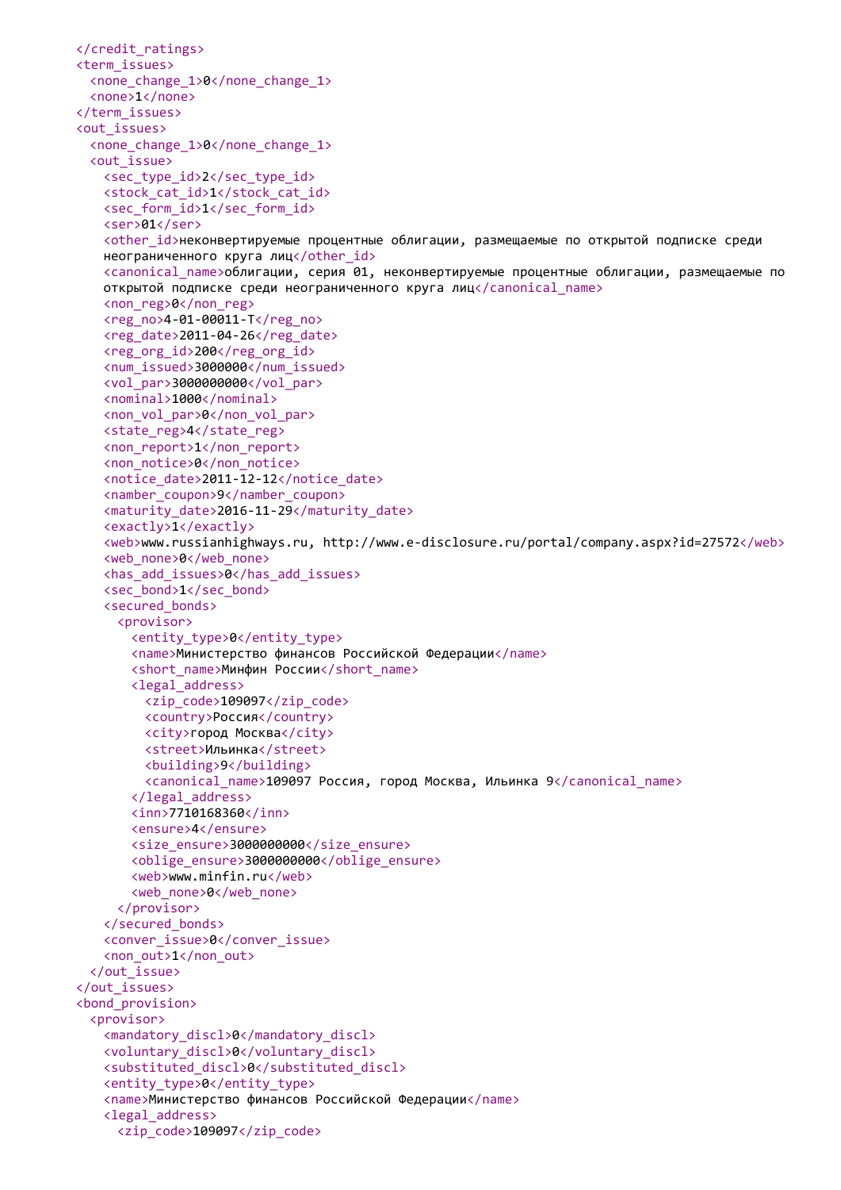```
</credit_ratings>
<term_issues>
 <none_change_1>0</none_change_1>
  <none>1</none>
</term_issues>
<out_issues>
  <none_change_1>0</none_change_1>
  <out_issue>
   <sec_type_id>2</sec_type_id>
   <stock cat id>1</stock cat id>
   <sec_form_id>1</sec_form_id>
   <ser>01</ser>
   <other id>неконвертируемые процентные облигации, размещаемые по открытой подписке среди
   неограниченного круга лиц</other id>
   <canonical_name>облигации, серия 01, неконвертируемые процентные облигации, размещаемые по
   открытой подписке среди неограниченного круга лиц</canonical_name>
   <non_reg>0</non_reg>
   <reg_no>4-01-00011-Т</reg_no>
   <reg_date>2011-04-26</reg_date>
   <reg_org_id>200</reg_org_id>
   <num_issued>3000000</num_issued>
   <vol_par>3000000000</vol_par>
   <nominal>1000</nominal>
   <non_vol_par>0</non_vol_par>
   <state_reg>4</state_reg>
   <non_report>1</non_report>
   <non_notice>0</non_notice>
   <notice_date>2011-12-12</notice_date>
   <namber_coupon>9</namber_coupon>
   <maturity_date>2016-11-29</maturity_date>
   <exactly>1</exactly>
   <web>www.russianhighways.ru, http://www.e-disclosure.ru/portal/company.aspx?id=27572</web>
   <web_none>0</web_none>
   <has_add_issues>0</has_add_issues>
   <sec_bond>1</sec_bond>
   <secured_bonds>
     <provisor>
       <entity_type>0</entity_type>
       <name>Министерство финансов Российской Федерации</name>
       <short name>Минфин России</short name>
       <legal_address>
         <zip_code>109097</zip_code>
         <country>Россия</country>
         <city>город Москва</city>
         <street>Ильинка</street>
         <building>9</building>
         <canonical_name>109097 Россия, город Москва, Ильинка 9</canonical_name>
       </legal_address>
       <inn>7710168360</inn>
       <ensure>4</ensure>
       <size_ensure>3000000000</size_ensure>
       <oblige_ensure>3000000000</oblige_ensure>
       <web>www.minfin.ru</web>
       <web_none>0</web_none>
     </provisor>
   </secured_bonds>
   <conver_issue>0</conver_issue>
   <non_out>1</non_out>
  </out_issue>
</out_issues>
<bond_provision>
  <provisor>
   <mandatory_discl>0</mandatory_discl>
   <voluntary_discl>0</voluntary_discl>
   <substituted_discl>0</substituted_discl>
   <entity_type>0</entity_type>
   <name>Министерство финансов Российской Федерации</name>
   <legal_address>
     <zip_code>109097</zip_code>
```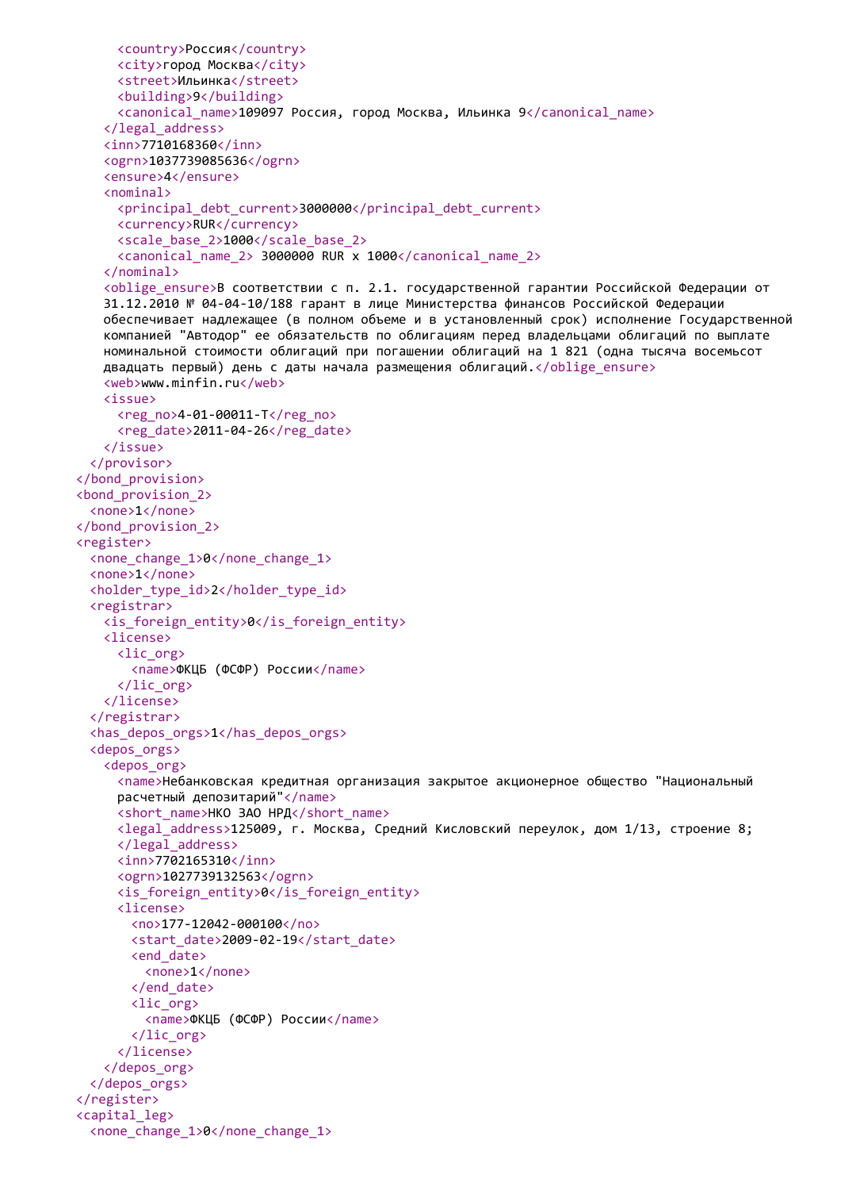```
<country>Россия</country>
     <city>город Москва</city>
     <street>Ильинка</street>
     <building>9</building>
     <canonical_name>109097 Россия, город Москва, Ильинка 9</canonical_name>
   </legal_address>
   <inn>7710168360</inn>
   <ogrn>1037739085636</ogrn>
   <ensure>4</ensure>
   <nominal>
     <principal_debt_current>3000000</principal_debt_current>
     <currency>RUR</currency>
     <scale_base_2>1000</scale_base_2>
     <canonical_name_2> 3000000 RUR x 1000</canonical_name_2>
   </nominal>
   <oblige_ensure>В соответствии с п. 2.1. государственной гарантии Российской Федерации от
   31.12.2010 № 04-04-10/188 гарант в лице Министерства финансов Российской Федерации
   обеспечивает надлежащее (в полном объеме и в установленный срок) исполнение Государственной
   компанией "Автодор" ее обязательств по облигациям перед владельцами облигаций по выплате
   номинальной стоимости облигаций при погашении облигаций на 1 821 (одна тысяча восемьсот
   двадцать первый) день с даты начала размещения облигаций.</oblige_ensure>
   <web>www.minfin.ru</web>
   <issue>
     <reg_no>4-01-00011-Т</reg_no>
     <reg_date>2011-04-26</reg_date>
   </issue>
  </provisor>
</bond_provision>
<bond_provision_2>
  <none>1</none>
</bond_provision_2>
<register>
  <none_change_1>0</none_change_1>
  <none>1</none>
  <holder_type_id>2</holder_type_id>
  <registrar>
   <is_foreign_entity>0</is_foreign_entity>
   <license>
     <lic_org>
       <name>ФКЦБ (ФСФР) России</name>
     \langlelic_org>
   </license>
  </registrar>
  <has_depos_orgs>1</has_depos_orgs>
  <depos_orgs>
   <depos_org>
     <name>Небанковская кредитная организация закрытое акционерное общество "Национальный
     расчетный депозитарий"</name>
     <short_name>НКО ЗАО НРД</short_name>
     \langlelegal address>125009, г. Москва, Средний Кисловский переулок, дом 1/13, строение 8;
     </legal_address>
     <inn>7702165310</inn>
     <ogrn>1027739132563</ogrn>
     <is_foreign_entity>0</is_foreign_entity>
     <license>
       <no>177-12042-000100</no>
       <start_date>2009-02-19</start_date>
       <end_date>
         <none>1</none>
       </end_date>
       <lic_org>
         <name>ФКЦБ (ФСФР) России</name>
       </lic_org>
     </license>
   </depos_org>
  </depos_orgs>
</register>
<capital_leg>
  <none_change_1>0</none_change_1>
```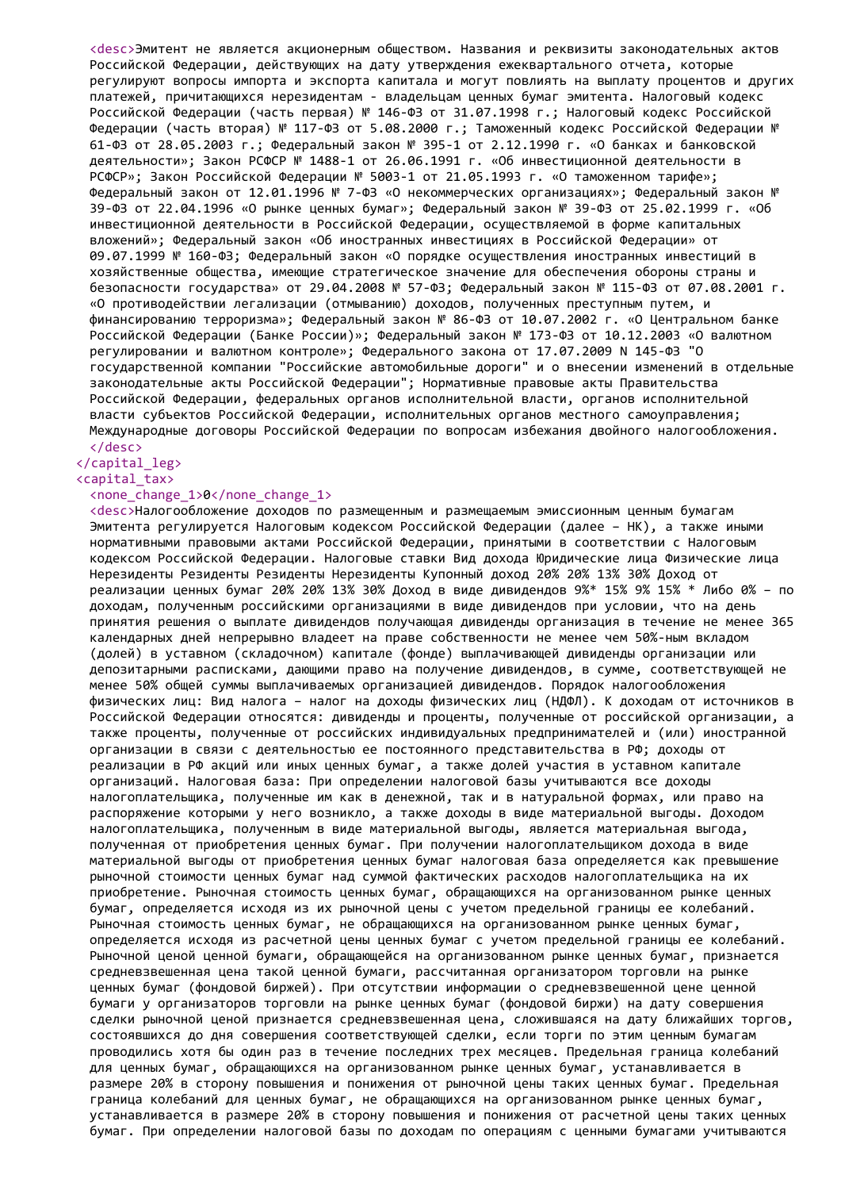<desc>Эмитент не является акционерным обществом. Названия и реквизиты законодательных актов Российской Федерации, действующих на дату утверждения ежеквартального отчета, которые регулируют вопросы импорта и экспорта капитала и могут повлиять на выплату процентов и других платежей, причитающихся нерезидентам - владельцам ценных бумаг эмитента. Налоговый кодекс Российской Федерации (часть первая) № 146-ФЗ от 31.07.1998 г.; Налоговый кодекс Российской Федерации (часть вторая) № 117-ФЗ от 5.08.2000 г.; Таможенный кодекс Российской Федерации № 61-ФЗ от 28.05.2003 г.; Федеральный закон № 395-1 от 2.12.1990 г. «О банках и банковской деятельности»; Закон РСФСР № 1488-1 от 26.06.1991 г. «Об инвестиционной деятельности в РСФСР»; Закон Российской Федерации № 5003-1 от 21.05.1993 г. «О таможенном тарифе»; Федеральный закон от 12.01.1996 № 7-ФЗ «О некоммерческих организациях»; Федеральный закон № 39-ФЗ от 22.04.1996 «О рынке ценных бумаг»; Федеральный закон № 39-ФЗ от 25.02.1999 г. «Об инвестиционной деятельности в Российской Федерации, осуществляемой в форме капитальных вложений»; Федеральный закон «Об иностранных инвестициях в Российской Федерации» от 09.07.1999 № 160-ФЗ; Федеральный закон «О порядке осуществления иностранных инвестиций в хозяйственные общества, имеющие стратегическое значение для обеспечения обороны страны и безопасности государства» от 29.04.2008 № 57-ФЗ; Федеральный закон № 115-ФЗ от 07.08.2001 г. «О противодействии легализации (отмыванию) доходов, полученных преступным путем, и финансированию терроризма»; Федеральный закон № 86-ФЗ от 10.07.2002 г. «О Центральном банке Российской Федерации (Банке России)»; Федеральный закон № 173-ФЗ от 10.12.2003 «О валютном регулировании и валютном контроле»; Федерального закона от 17.07.2009 N 145-ФЗ "О государственной компании "Российские автомобильные дороги" и о внесении изменений в отдельные законодательные акты Российской Федерации"; Нормативные правовые акты Правительства Российской Федерации, федеральных органов исполнительной власти, органов исполнительной власти субъектов Российской Федерации, исполнительных органов местного самоуправления; Международные договоры Российской Федерации по вопросам избежания двойного налогообложения. </desc>

## </capital\_leg>

## <capital\_tax>

## <none\_change\_1>0</none\_change\_1>

<desc>Налогообложение доходов по размещенным и размещаемым эмиссионным ценным бумагам Эмитента регулируется Налоговым кодексом Российской Федерации (далее – НК), а также иными нормативными правовыми актами Российской Федерации, принятыми в соответствии с Налоговым кодексом Российской Федерации. Налоговые ставки Вид дохода Юридические лица Физические лица Нерезиденты Резиденты Резиденты Нерезиденты Купонный доход 20% 20% 13% 30% Доход от реализации ценных бумаг 20% 20% 13% 30% Доход в виде дивидендов 9%\* 15% 9% 15% \* Либо 0% – по доходам, полученным российскими организациями в виде дивидендов при условии, что на день принятия решения о выплате дивидендов получающая дивиденды организация в течение не менее 365 календарных дней непрерывно владеет на праве собственности не менее чем 50%-ным вкладом (долей) в уставном (складочном) капитале (фонде) выплачивающей дивиденды организации или депозитарными расписками, дающими право на получение дивидендов, в сумме, соответствующей не менее 50% общей суммы выплачиваемых организацией дивидендов. Порядок налогообложения физических лиц: Вид налога – налог на доходы физических лиц (НДФЛ). К доходам от источников в Российской Федерации относятся: дивиденды и проценты, полученные от российской организации, а также проценты, полученные от российских индивидуальных предпринимателей и (или) иностранной организации в связи с деятельностью ее постоянного представительства в РФ; доходы от реализации в РФ акций или иных ценных бумаг, а также долей участия в уставном капитале организаций. Налоговая база: При определении налоговой базы учитываются все доходы налогоплательщика, полученные им как в денежной, так и в натуральной формах, или право на распоряжение которыми у него возникло, а также доходы в виде материальной выгоды. Доходом налогоплательщика, полученным в виде материальной выгоды, является материальная выгода, полученная от приобретения ценных бумаг. При получении налогоплательщиком дохода в виде материальной выгоды от приобретения ценных бумаг налоговая база определяется как превышение рыночной стоимости ценных бумаг над суммой фактических расходов налогоплательщика на их приобретение. Рыночная стоимость ценных бумаг, обращающихся на организованном рынке ценных бумаг, определяется исходя из их рыночной цены с учетом предельной границы ее колебаний. Рыночная стоимость ценных бумаг, не обращающихся на организованном рынке ценных бумаг, определяется исходя из расчетной цены ценных бумаг с учетом предельной границы ее колебаний. Рыночной ценой ценной бумаги, обращающейся на организованном рынке ценных бумаг, признается средневзвешенная цена такой ценной бумаги, рассчитанная организатором торговли на рынке ценных бумаг (фондовой биржей). При отсутствии информации о средневзвешенной цене ценной бумаги у организаторов торговли на рынке ценных бумаг (фондовой биржи) на дату совершения сделки рыночной ценой признается средневзвешенная цена, сложившаяся на дату ближайших торгов, состоявшихся до дня совершения соответствующей сделки, если торги по этим ценным бумагам проводились хотя бы один раз в течение последних трех месяцев. Предельная граница колебаний для ценных бумаг, обращающихся на организованном рынке ценных бумаг, устанавливается в размере 20% в сторону повышения и понижения от рыночной цены таких ценных бумаг. Предельная граница колебаний для ценных бумаг, не обращающихся на организованном рынке ценных бумаг, устанавливается в размере 20% в сторону повышения и понижения от расчетной цены таких ценных бумаг. При определении налоговой базы по доходам по операциям с ценными бумагами учитываются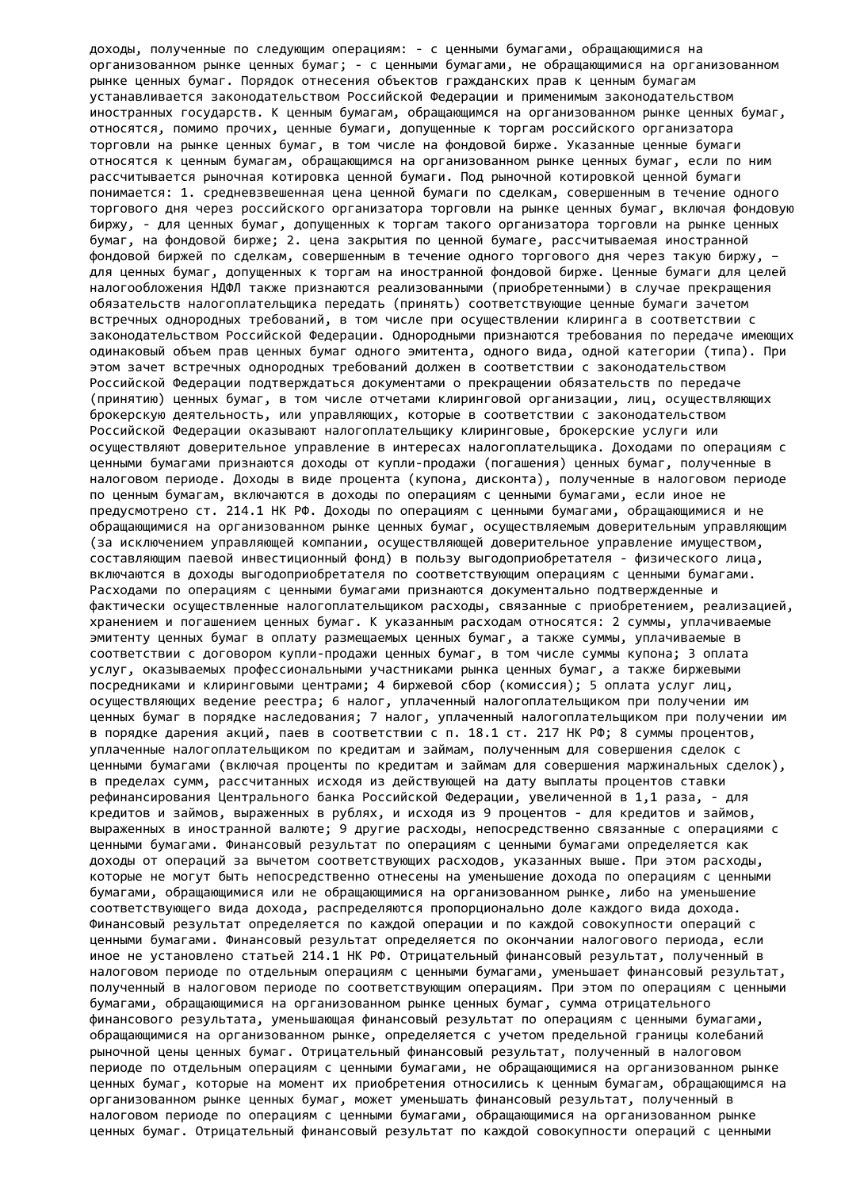доходы, полученные по следующим операциям: - с ценными бумагами, обращающимися на организованном рынке ценных бумаг; - с ценными бумагами, не обращающимися на организованном рынке ценных бумаг. Порядок отнесения объектов гражданских прав к ценным бумагам устанавливается законодательством Российской Федерации и применимым законодательством иностранных государств. К ценным бумагам, обращающимся на организованном рынке ценных бумаг, относятся, помимо прочих, ценные бумаги, допущенные к торгам российского организатора торговли на рынке ценных бумаг, в том числе на фондовой бирже. Указанные ценные бумаги относятся к ценным бумагам, обращающимся на организованном рынке ценных бумаг, если по ним рассчитывается рыночная котировка ценной бумаги. Под рыночной котировкой ценной бумаги понимается: 1. средневзвешенная цена ценной бумаги по сделкам, совершенным в течение одного торгового дня через российского организатора торговли на рынке ценных бумаг, включая фондовую биржу, - для ценных бумаг, допущенных к торгам такого организатора торговли на рынке ценных бумаг, на фондовой бирже; 2. цена закрытия по ценной бумаге, рассчитываемая иностранной фондовой биржей по сделкам, совершенным в течение одного торгового дня через такую биржу, – для ценных бумаг, допущенных к торгам на иностранной фондовой бирже. Ценные бумаги для целей налогообложения НДФЛ также признаются реализованными (приобретенными) в случае прекращения обязательств налогоплательщика передать (принять) соответствующие ценные бумаги зачетом встречных однородных требований, в том числе при осуществлении клиринга в соответствии с законодательством Российской Федерации. Однородными признаются требования по передаче имеющих одинаковый объем прав ценных бумаг одного эмитента, одного вида, одной категории (типа). При этом зачет встречных однородных требований должен в соответствии с законодательством Российской Федерации подтверждаться документами о прекращении обязательств по передаче (принятию) ценных бумаг, в том числе отчетами клиринговой организации, лиц, осуществляющих брокерскую деятельность, или управляющих, которые в соответствии с законодательством Российской Федерации оказывают налогоплательщику клиринговые, брокерские услуги или осуществляют доверительное управление в интересах налогоплательщика. Доходами по операциям с ценными бумагами признаются доходы от купли-продажи (погашения) ценных бумаг, полученные в налоговом периоде. Доходы в виде процента (купона, дисконта), полученные в налоговом периоде по ценным бумагам, включаются в доходы по операциям с ценными бумагами, если иное не предусмотрено ст. 214.1 НК РФ. Доходы по операциям с ценными бумагами, обращающимися и не обращающимися на организованном рынке ценных бумаг, осуществляемым доверительным управляющим (за исключением управляющей компании, осуществляющей доверительное управление имуществом, составляющим паевой инвестиционный фонд) в пользу выгодоприобретателя - физического лица, включаются в доходы выгодоприобретателя по соответствующим операциям с ценными бумагами. Расходами по операциям с ценными бумагами признаются документально подтвержденные и фактически осуществленные налогоплательщиком расходы, связанные с приобретением, реализацией, хранением и погашением ценных бумаг. К указанным расходам относятся: 2 суммы, уплачиваемые эмитенту ценных бумаг в оплату размещаемых ценных бумаг, а также суммы, уплачиваемые в соответствии с договором купли-продажи ценных бумаг, в том числе суммы купона; 3 оплата услуг, оказываемых профессиональными участниками рынка ценных бумаг, а также биржевыми посредниками и клиринговыми центрами; 4 биржевой сбор (комиссия); 5 оплата услуг лиц, осуществляющих ведение реестра; 6 налог, уплаченный налогоплательщиком при получении им ценных бумаг в порядке наследования; 7 налог, уплаченный налогоплательщиком при получении им в порядке дарения акций, паев в соответствии с п. 18.1 ст. 217 НК РФ; 8 суммы процентов, уплаченные налогоплательщиком по кредитам и займам, полученным для совершения сделок с ценными бумагами (включая проценты по кредитам и займам для совершения маржинальных сделок), в пределах сумм, рассчитанных исходя из действующей на дату выплаты процентов ставки рефинансирования Центрального банка Российской Федерации, увеличенной в 1,1 раза, - для кредитов и займов, выраженных в рублях, и исходя из 9 процентов - для кредитов и займов, выраженных в иностранной валюте; 9 другие расходы, непосредственно связанные с операциями с ценными бумагами. Финансовый результат по операциям с ценными бумагами определяется как доходы от операций за вычетом соответствующих расходов, указанных выше. При этом расходы, которые не могут быть непосредственно отнесены на уменьшение дохода по операциям с ценными бумагами, обращающимися или не обращающимися на организованном рынке, либо на уменьшение соответствующего вида дохода, распределяются пропорционально доле каждого вида дохода. Финансовый результат определяется по каждой операции и по каждой совокупности операций с ценными бумагами. Финансовый результат определяется по окончании налогового периода, если иное не установлено статьей 214.1 НК РФ. Отрицательный финансовый результат, полученный в налоговом периоде по отдельным операциям с ценными бумагами, уменьшает финансовый результат, полученный в налоговом периоде по соответствующим операциям. При этом по операциям с ценными бумагами, обращающимися на организованном рынке ценных бумаг, сумма отрицательного финансового результата, уменьшающая финансовый результат по операциям с ценными бумагами, обращающимися на организованном рынке, определяется с учетом предельной границы колебаний рыночной цены ценных бумаг. Отрицательный финансовый результат, полученный в налоговом периоде по отдельным операциям с ценными бумагами, не обращающимися на организованном рынке ценных бумаг, которые на момент их приобретения относились к ценным бумагам, обращающимся на организованном рынке ценных бумаг, может уменьшать финансовый результат, полученный в налоговом периоде по операциям с ценными бумагами, обращающимися на организованном рынке ценных бумаг. Отрицательный финансовый результат по каждой совокупности операций с ценными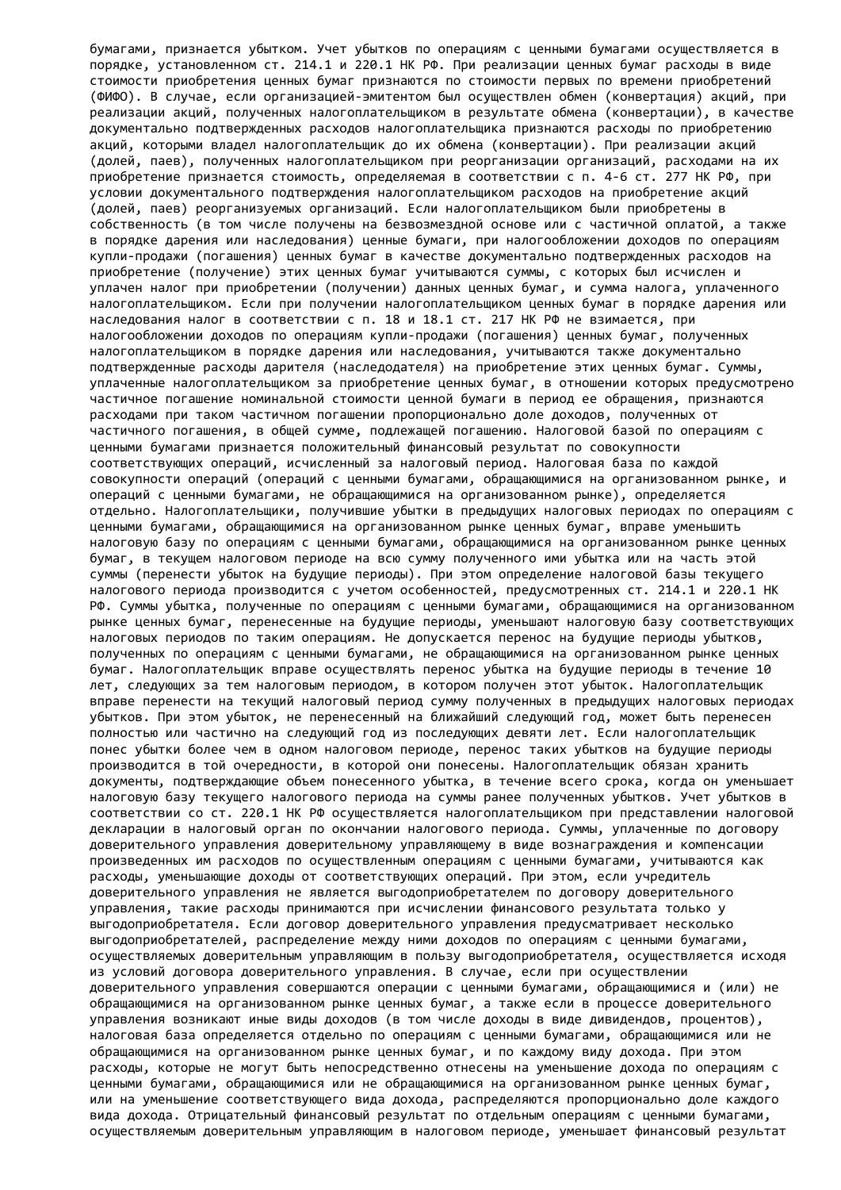бумагами, признается убытком. Учет убытков по операциям с ценными бумагами осуществляется в порядке, установленном ст. 214.1 и 220.1 НК РФ. При реализации ценных бумаг расходы в виде стоимости приобретения ценных бумаг признаются по стоимости первых по времени приобретений (ФИФО). В случае, если организацией-эмитентом был осуществлен обмен (конвертация) акций, при реализации акций, полученных налогоплательщиком в результате обмена (конвертации), в качестве документально подтвержденных расходов налогоплательщика признаются расходы по приобретению акций, которыми владел налогоплательщик до их обмена (конвертации). При реализации акций (долей, паев), полученных налогоплательщиком при реорганизации организаций, расходами на их приобретение признается стоимость, определяемая в соответствии с п. 4-6 ст. 277 НК РФ, при условии документального подтверждения налогоплательщиком расходов на приобретение акций (долей, паев) реорганизуемых организаций. Если налогоплательщиком были приобретены в собственность (в том числе получены на безвозмездной основе или с частичной оплатой, а также в порядке дарения или наследования) ценные бумаги, при налогообложении доходов по операциям купли-продажи (погашения) ценных бумаг в качестве документально подтвержденных расходов на приобретение (получение) этих ценных бумаг учитываются суммы, с которых был исчислен и уплачен налог при приобретении (получении) данных ценных бумаг, и сумма налога, уплаченного налогоплательщиком. Если при получении налогоплательщиком ценных бумаг в порядке дарения или наследования налог в соответствии с п. 18 и 18.1 ст. 217 НК РФ не взимается, при налогообложении доходов по операциям купли-продажи (погашения) ценных бумаг, полученных налогоплательщиком в порядке дарения или наследования, учитываются также документально подтвержденные расходы дарителя (наследодателя) на приобретение этих ценных бумаг. Суммы, уплаченные налогоплательщиком за приобретение ценных бумаг, в отношении которых предусмотрено частичное погашение номинальной стоимости ценной бумаги в период ее обращения, признаются расходами при таком частичном погашении пропорционально доле доходов, полученных от частичного погашения, в общей сумме, подлежащей погашению. Налоговой базой по операциям с ценными бумагами признается положительный финансовый результат по совокупности соответствующих операций, исчисленный за налоговый период. Налоговая база по каждой совокупности операций (операций с ценными бумагами, обращающимися на организованном рынке, и операций с ценными бумагами, не обращающимися на организованном рынке), определяется отдельно. Налогоплательщики, получившие убытки в предыдущих налоговых периодах по операциям с ценными бумагами, обращающимися на организованном рынке ценных бумаг, вправе уменьшить налоговую базу по операциям с ценными бумагами, обращающимися на организованном рынке ценных бумаг, в текущем налоговом периоде на всю сумму полученного ими убытка или на часть этой суммы (перенести убыток на будущие периоды). При этом определение налоговой базы текущего налогового периода производится с учетом особенностей, предусмотренных ст. 214.1 и 220.1 НК РФ. Суммы убытка, полученные по операциям с ценными бумагами, обращающимися на организованном рынке ценных бумаг, перенесенные на будущие периоды, уменьшают налоговую базу соответствующих налоговых периодов по таким операциям. Не допускается перенос на будущие периоды убытков, полученных по операциям с ценными бумагами, не обращающимися на организованном рынке ценных бумаг. Налогоплательщик вправе осуществлять перенос убытка на будущие периоды в течение 10 лет, следующих за тем налоговым периодом, в котором получен этот убыток. Налогоплательщик вправе перенести на текущий налоговый период сумму полученных в предыдущих налоговых периодах убытков. При этом убыток, не перенесенный на ближайший следующий год, может быть перенесен полностью или частично на следующий год из последующих девяти лет. Если налогоплательщик понес убытки более чем в одном налоговом периоде, перенос таких убытков на будущие периоды производится в той очередности, в которой они понесены. Налогоплательщик обязан хранить документы, подтверждающие объем понесенного убытка, в течение всего срока, когда он уменьшает налоговую базу текущего налогового периода на суммы ранее полученных убытков. Учет убытков в соответствии со ст. 220.1 НК РФ осуществляется налогоплательщиком при представлении налоговой декларации в налоговый орган по окончании налогового периода. Суммы, уплаченные по договору доверительного управления доверительному управляющему в виде вознаграждения и компенсации произведенных им расходов по осуществленным операциям с ценными бумагами, учитываются как расходы, уменьшающие доходы от соответствующих операций. При этом, если учредитель доверительного управления не является выгодоприобретателем по договору доверительного управления, такие расходы принимаются при исчислении финансового результата только у выгодоприобретателя. Если договор доверительного управления предусматривает несколько выгодоприобретателей, распределение между ними доходов по операциям с ценными бумагами, осуществляемых доверительным управляющим в пользу выгодоприобретателя, осуществляется исходя из условий договора доверительного управления. В случае, если при осуществлении доверительного управления совершаются операции с ценными бумагами, обращающимися и (или) не обращающимися на организованном рынке ценных бумаг, а также если в процессе доверительного управления возникают иные виды доходов (в том числе доходы в виде дивидендов, процентов), налоговая база определяется отдельно по операциям с ценными бумагами, обращающимися или не обращающимися на организованном рынке ценных бумаг, и по каждому виду дохода. При этом расходы, которые не могут быть непосредственно отнесены на уменьшение дохода по операциям с ценными бумагами, обращающимися или не обращающимися на организованном рынке ценных бумаг, или на уменьшение соответствующего вида дохода, распределяются пропорционально доле каждого вида дохода. Отрицательный финансовый результат по отдельным операциям с ценными бумагами, осуществляемым доверительным управляющим в налоговом периоде, уменьшает финансовый результат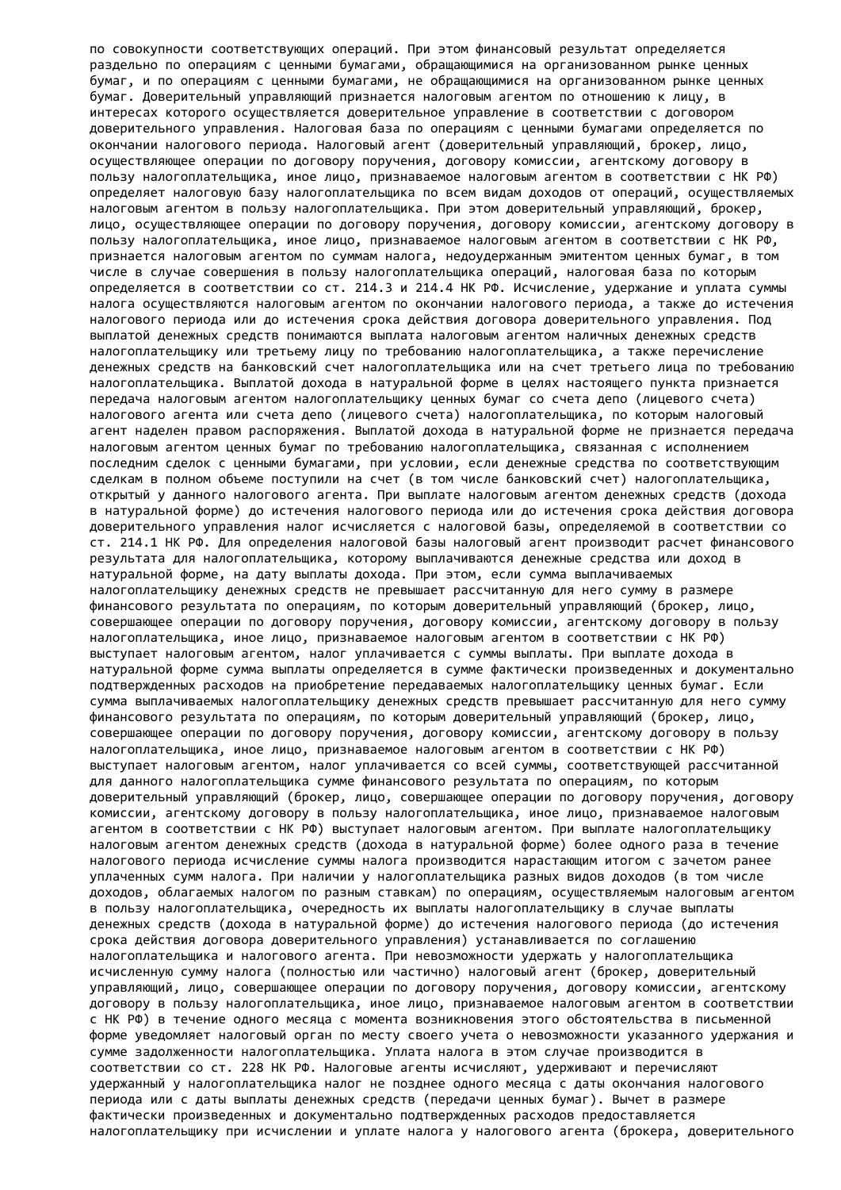по совокупности соответствующих операций. При этом финансовый результат определяется раздельно по операциям с ценными бумагами, обращающимися на организованном рынке ценных бумаг, и по операциям с ценными бумагами, не обращающимися на организованном рынке ценных бумаг. Доверительный управляющий признается налоговым агентом по отношению к лицу, в интересах которого осуществляется доверительное управление в соответствии с договором доверительного управления. Налоговая база по операциям с ценными бумагами определяется по окончании налогового периода. Налоговый агент (доверительный управляющий, брокер, лицо, осуществляющее операции по договору поручения, договору комиссии, агентскому договору в пользу налогоплательщика, иное лицо, признаваемое налоговым агентом в соответствии с НК РФ) определяет налоговую базу налогоплательщика по всем видам доходов от операций, осуществляемых налоговым агентом в пользу налогоплательщика. При этом доверительный управляющий, брокер, лицо, осуществляющее операции по договору поручения, договору комиссии, агентскому договору в пользу налогоплательщика, иное лицо, признаваемое налоговым агентом в соответствии с НК РФ, признается налоговым агентом по суммам налога, недоудержанным эмитентом ценных бумаг, в том числе в случае совершения в пользу налогоплательщика операций, налоговая база по которым определяется в соответствии со ст. 214.3 и 214.4 НК РФ. Исчисление, удержание и уплата суммы налога осуществляются налоговым агентом по окончании налогового периода, а также до истечения налогового периода или до истечения срока действия договора доверительного управления. Под выплатой денежных средств понимаются выплата налоговым агентом наличных денежных средств налогоплательщику или третьему лицу по требованию налогоплательщика, а также перечисление денежных средств на банковский счет налогоплательщика или на счет третьего лица по требованию налогоплательщика. Выплатой дохода в натуральной форме в целях настоящего пункта признается передача налоговым агентом налогоплательщику ценных бумаг со счета депо (лицевого счета) налогового агента или счета депо (лицевого счета) налогоплательщика, по которым налоговый агент наделен правом распоряжения. Выплатой дохода в натуральной форме не признается передача налоговым агентом ценных бумаг по требованию налогоплательщика, связанная с исполнением последним сделок с ценными бумагами, при условии, если денежные средства по соответствующим сделкам в полном объеме поступили на счет (в том числе банковский счет) налогоплательщика, открытый у данного налогового агента. При выплате налоговым агентом денежных средств (дохода в натуральной форме) до истечения налогового периода или до истечения срока действия договора доверительного управления налог исчисляется с налоговой базы, определяемой в соответствии со ст. 214.1 НК РФ. Для определения налоговой базы налоговый агент производит расчет финансового результата для налогоплательщика, которому выплачиваются денежные средства или доход в натуральной форме, на дату выплаты дохода. При этом, если сумма выплачиваемых налогоплательщику денежных средств не превышает рассчитанную для него сумму в размере финансового результата по операциям, по которым доверительный управляющий (брокер, лицо, совершающее операции по договору поручения, договору комиссии, агентскому договору в пользу налогоплательщика, иное лицо, признаваемое налоговым агентом в соответствии с НК РФ) выступает налоговым агентом, налог уплачивается с суммы выплаты. При выплате дохода в натуральной форме сумма выплаты определяется в сумме фактически произведенных и документально подтвержденных расходов на приобретение передаваемых налогоплательщику ценных бумаг. Если сумма выплачиваемых налогоплательщику денежных средств превышает рассчитанную для него сумму финансового результата по операциям, по которым доверительный управляющий (брокер, лицо, совершающее операции по договору поручения, договору комиссии, агентскому договору в пользу налогоплательщика, иное лицо, признаваемое налоговым агентом в соответствии с НК РФ) выступает налоговым агентом, налог уплачивается со всей суммы, соответствующей рассчитанной для данного налогоплательщика сумме финансового результата по операциям, по которым доверительный управляющий (брокер, лицо, совершающее операции по договору поручения, договору комиссии, агентскому договору в пользу налогоплательщика, иное лицо, признаваемое налоговым агентом в соответствии с НК РФ) выступает налоговым агентом. При выплате налогоплательщику налоговым агентом денежных средств (дохода в натуральной форме) более одного раза в течение налогового периода исчисление суммы налога производится нарастающим итогом с зачетом ранее уплаченных сумм налога. При наличии у налогоплательщика разных видов доходов (в том числе доходов, облагаемых налогом по разным ставкам) по операциям, осуществляемым налоговым агентом в пользу налогоплательщика, очередность их выплаты налогоплательщику в случае выплаты денежных средств (дохода в натуральной форме) до истечения налогового периода (до истечения срока действия договора доверительного управления) устанавливается по соглашению налогоплательщика и налогового агента. При невозможности удержать у налогоплательщика исчисленную сумму налога (полностью или частично) налоговый агент (брокер, доверительный управляющий, лицо, совершающее операции по договору поручения, договору комиссии, агентскому договору в пользу налогоплательщика, иное лицо, признаваемое налоговым агентом в соответствии с НК РФ) в течение одного месяца с момента возникновения этого обстоятельства в письменной форме уведомляет налоговый орган по месту своего учета о невозможности указанного удержания и сумме задолженности налогоплательщика. Уплата налога в этом случае производится в соответствии со ст. 228 НК РФ. Налоговые агенты исчисляют, удерживают и перечисляют удержанный у налогоплательщика налог не позднее одного месяца с даты окончания налогового периода или с даты выплаты денежных средств (передачи ценных бумаг). Вычет в размере фактически произведенных и документально подтвержденных расходов предоставляется налогоплательщику при исчислении и уплате налога у налогового агента (брокера, доверительного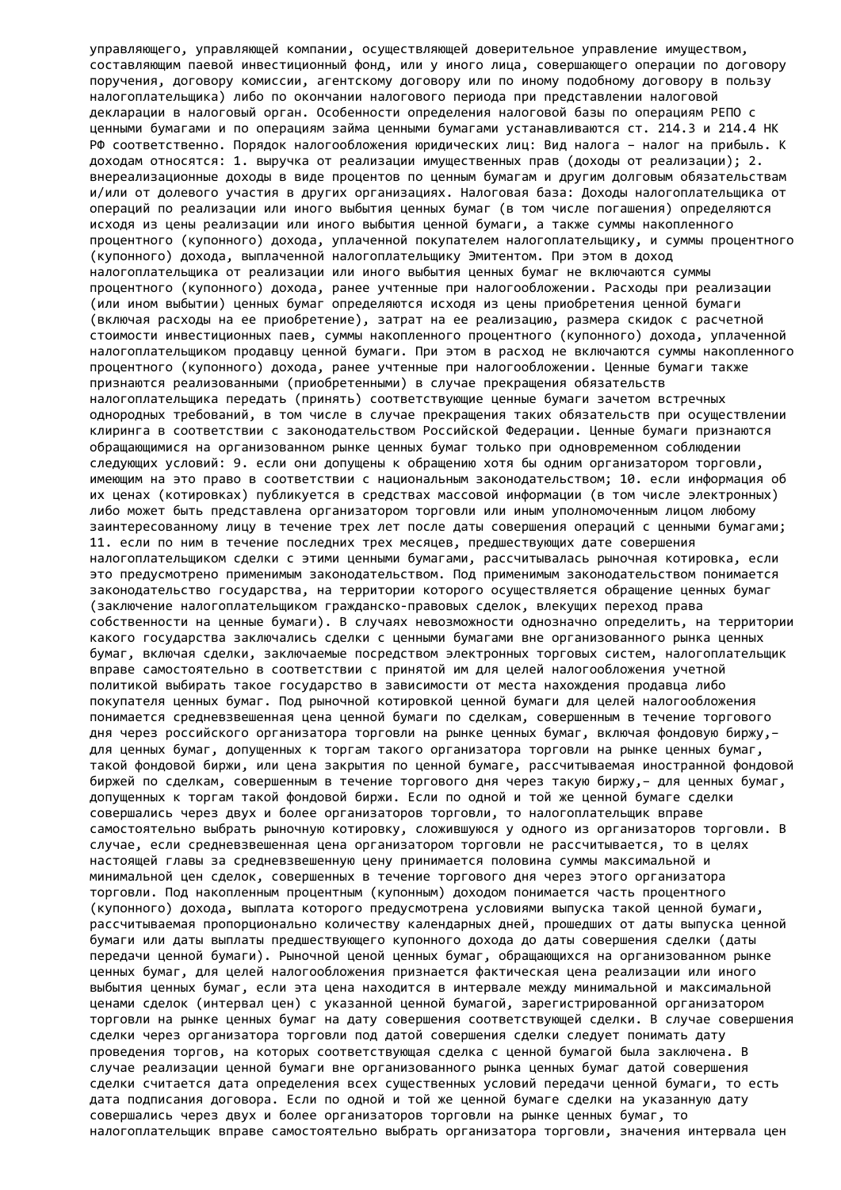управляющего, управляющей компании, осуществляющей доверительное управление имуществом, составляющим паевой инвестиционный фонд, или у иного лица, совершающего операции по договору поручения, договору комиссии, агентскому договору или по иному подобному договору в пользу налогоплательщика) либо по окончании налогового периода при представлении налоговой декларации в налоговый орган. Особенности определения налоговой базы по операциям РЕПО с ценными бумагами и по операциям займа ценными бумагами устанавливаются ст. 214.3 и 214.4 НК РФ соответственно. Порядок налогообложения юридических лиц: Вид налога – налог на прибыль. К доходам относятся: 1. выручка от реализации имущественных прав (доходы от реализации); 2. внереализационные доходы в виде процентов по ценным бумагам и другим долговым обязательствам и/или от долевого участия в других организациях. Налоговая база: Доходы налогоплательщика от операций по реализации или иного выбытия ценных бумаг (в том числе погашения) определяются исходя из цены реализации или иного выбытия ценной бумаги, а также суммы накопленного процентного (купонного) дохода, уплаченной покупателем налогоплательщику, и суммы процентного (купонного) дохода, выплаченной налогоплательщику Эмитентом. При этом в доход налогоплательщика от реализации или иного выбытия ценных бумаг не включаются суммы процентного (купонного) дохода, ранее учтенные при налогообложении. Расходы при реализации (или ином выбытии) ценных бумаг определяются исходя из цены приобретения ценной бумаги (включая расходы на ее приобретение), затрат на ее реализацию, размера скидок с расчетной стоимости инвестиционных паев, суммы накопленного процентного (купонного) дохода, уплаченной налогоплательщиком продавцу ценной бумаги. При этом в расход не включаются суммы накопленного процентного (купонного) дохода, ранее учтенные при налогообложении. Ценные бумаги также признаются реализованными (приобретенными) в случае прекращения обязательств налогоплательщика передать (принять) соответствующие ценные бумаги зачетом встречных однородных требований, в том числе в случае прекращения таких обязательств при осуществлении клиринга в соответствии с законодательством Российской Федерации. Ценные бумаги признаются обращающимися на организованном рынке ценных бумаг только при одновременном соблюдении следующих условий: 9. если они допущены к обращению хотя бы одним организатором торговли, имеющим на это право в соответствии с национальным законодательством; 10. если информация об их ценах (котировках) публикуется в средствах массовой информации (в том числе электронных) либо может быть представлена организатором торговли или иным уполномоченным лицом любому заинтересованному лицу в течение трех лет после даты совершения операций с ценными бумагами; 11. если по ним в течение последних трех месяцев, предшествующих дате совершения налогоплательщиком сделки с этими ценными бумагами, рассчитывалась рыночная котировка, если это предусмотрено применимым законодательством. Под применимым законодательством понимается законодательство государства, на территории которого осуществляется обращение ценных бумаг (заключение налогоплательщиком гражданско-правовых сделок, влекущих переход права собственности на ценные бумаги). В случаях невозможности однозначно определить, на территории какого государства заключались сделки с ценными бумагами вне организованного рынка ценных бумаг, включая сделки, заключаемые посредством электронных торговых систем, налогоплательщик вправе самостоятельно в соответствии с принятой им для целей налогообложения учетной политикой выбирать такое государство в зависимости от места нахождения продавца либо покупателя ценных бумаг. Под рыночной котировкой ценной бумаги для целей налогообложения понимается средневзвешенная цена ценной бумаги по сделкам, совершенным в течение торгового дня через российского организатора торговли на рынке ценных бумаг, включая фондовую биржу,– для ценных бумаг, допущенных к торгам такого организатора торговли на рынке ценных бумаг, такой фондовой биржи, или цена закрытия по ценной бумаге, рассчитываемая иностранной фондовой биржей по сделкам, совершенным в течение торгового дня через такую биржу,– для ценных бумаг, допущенных к торгам такой фондовой биржи. Если по одной и той же ценной бумаге сделки совершались через двух и более организаторов торговли, то налогоплательщик вправе самостоятельно выбрать рыночную котировку, сложившуюся у одного из организаторов торговли. В случае, если средневзвешенная цена организатором торговли не рассчитывается, то в целях настоящей главы за средневзвешенную цену принимается половина суммы максимальной и минимальной цен сделок, совершенных в течение торгового дня через этого организатора торговли. Под накопленным процентным (купонным) доходом понимается часть процентного (купонного) дохода, выплата которого предусмотрена условиями выпуска такой ценной бумаги, рассчитываемая пропорционально количеству календарных дней, прошедших от даты выпуска ценной бумаги или даты выплаты предшествующего купонного дохода до даты совершения сделки (даты передачи ценной бумаги). Рыночной ценой ценных бумаг, обращающихся на организованном рынке ценных бумаг, для целей налогообложения признается фактическая цена реализации или иного выбытия ценных бумаг, если эта цена находится в интервале между минимальной и максимальной ценами сделок (интервал цен) с указанной ценной бумагой, зарегистрированной организатором торговли на рынке ценных бумаг на дату совершения соответствующей сделки. В случае совершения сделки через организатора торговли под датой совершения сделки следует понимать дату проведения торгов, на которых соответствующая сделка с ценной бумагой была заключена. В случае реализации ценной бумаги вне организованного рынка ценных бумаг датой совершения сделки считается дата определения всех существенных условий передачи ценной бумаги, то есть дата подписания договора. Если по одной и той же ценной бумаге сделки на указанную дату совершались через двух и более организаторов торговли на рынке ценных бумаг, то налогоплательщик вправе самостоятельно выбрать организатора торговли, значения интервала цен